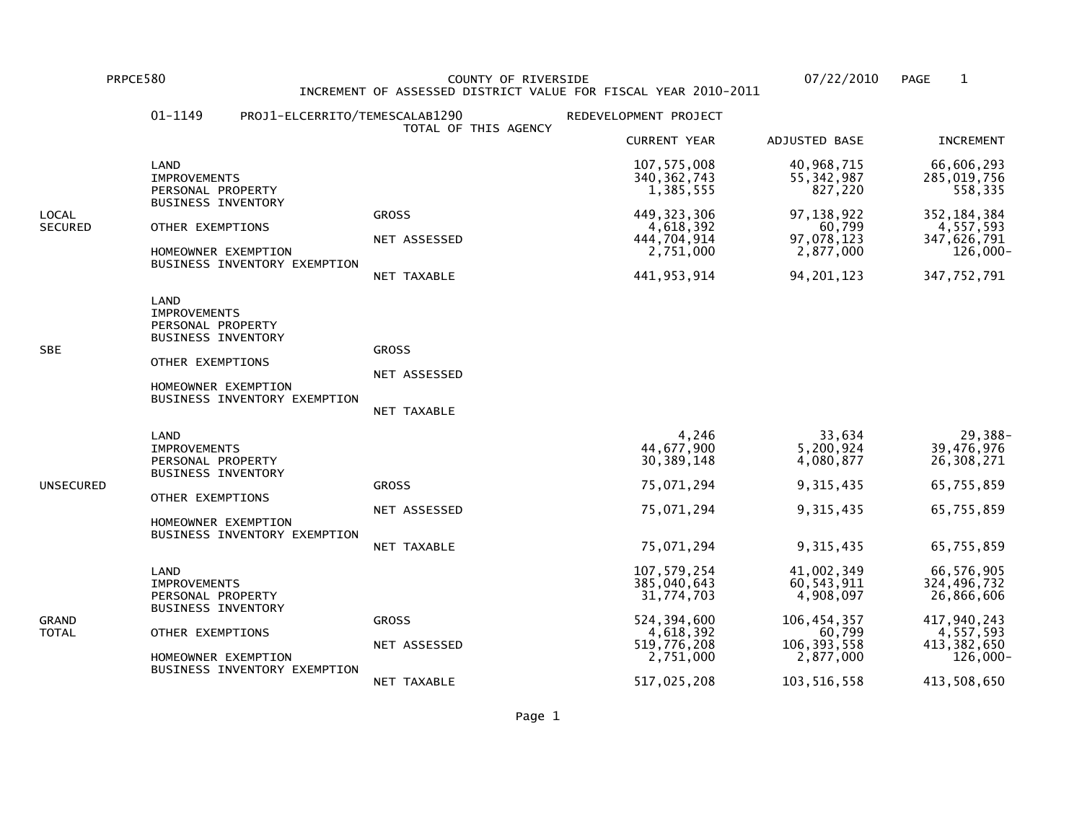PRPCE580 COUNTY OF RIVERSIDE 07/22/2010 PAGE 1 INCREMENT OF ASSESSED DISTRICT VALUE FOR FISCAL YEAR 2010-2011

|                         | 01-1149                                                                                                                  | PROJ1-ELCERRITO/TEMESCALAB1290 | TOTAL OF THIS AGENCY                        | REDEVELOPMENT PROJECT                                                                                             |                                                                                                               |                                                                                                               |
|-------------------------|--------------------------------------------------------------------------------------------------------------------------|--------------------------------|---------------------------------------------|-------------------------------------------------------------------------------------------------------------------|---------------------------------------------------------------------------------------------------------------|---------------------------------------------------------------------------------------------------------------|
|                         |                                                                                                                          |                                |                                             | <b>CURRENT YEAR</b>                                                                                               | ADJUSTED BASE                                                                                                 | <b>INCREMENT</b>                                                                                              |
|                         | LAND<br><b>IMPROVEMENTS</b><br>PERSONAL PROPERTY                                                                         |                                |                                             | 107, 575, 008<br>340, 362, 743<br>1,385,555                                                                       | 40,968,715<br>55, 342, 987<br>827,220                                                                         | 66,606,293<br>285,019,756<br>558,335                                                                          |
| LOCAL<br><b>SECURED</b> | <b>BUSINESS INVENTORY</b><br>OTHER EXEMPTIONS<br>HOMEOWNER EXEMPTION                                                     | BUSINESS INVENTORY EXEMPTION   | <b>GROSS</b><br>NET ASSESSED<br>NET TAXABLE | 449, 323, 306<br>4,618,392<br>444,704,914<br>2,751,000<br>441, 953, 914                                           | 97, 138, 922<br>60,799<br>97,078,123<br>2,877,000<br>94, 201, 123                                             | 352, 184, 384<br>4,557,593<br>347,626,791<br>126,000-<br>347,752,791                                          |
| <b>SBE</b>              | LAND<br><b>IMPROVEMENTS</b><br>PERSONAL PROPERTY<br><b>BUSINESS INVENTORY</b><br>OTHER EXEMPTIONS<br>HOMEOWNER EXEMPTION | BUSINESS INVENTORY EXEMPTION   | <b>GROSS</b><br>NET ASSESSED<br>NET TAXABLE |                                                                                                                   |                                                                                                               |                                                                                                               |
| UNSECURED               | LAND<br><b>IMPROVEMENTS</b><br>PERSONAL PROPERTY<br><b>BUSINESS INVENTORY</b><br>OTHER EXEMPTIONS<br>HOMEOWNER EXEMPTION | BUSINESS INVENTORY EXEMPTION   | <b>GROSS</b><br>NET ASSESSED<br>NET TAXABLE | 4,246<br>44,677,900<br>30, 389, 148<br>75,071,294<br>75,071,294<br>75,071,294                                     | 33,634<br>5,200,924<br>4,080,877<br>9,315,435<br>9,315,435<br>9,315,435                                       | 29,388-<br>39,476,976<br>26,308,271<br>65,755,859<br>65,755,859<br>65,755,859                                 |
| GRAND<br>TOTAL          | LAND<br><b>IMPROVEMENTS</b><br>PERSONAL PROPERTY<br><b>BUSINESS INVENTORY</b><br>OTHER EXEMPTIONS<br>HOMEOWNER EXEMPTION | BUSINESS INVENTORY EXEMPTION   | <b>GROSS</b><br>NET ASSESSED<br>NET TAXABLE | 107,579,254<br>385,040,643<br>31,774,703<br>524, 394, 600<br>4,618,392<br>519,776,208<br>2,751,000<br>517,025,208 | 41,002,349<br>60,543,911<br>4,908,097<br>106, 454, 357<br>60,799<br>106, 393, 558<br>2,877,000<br>103,516,558 | 66,576,905<br>324,496,732<br>26,866,606<br>417,940,243<br>4,557,593<br>413,382,650<br>126,000-<br>413,508,650 |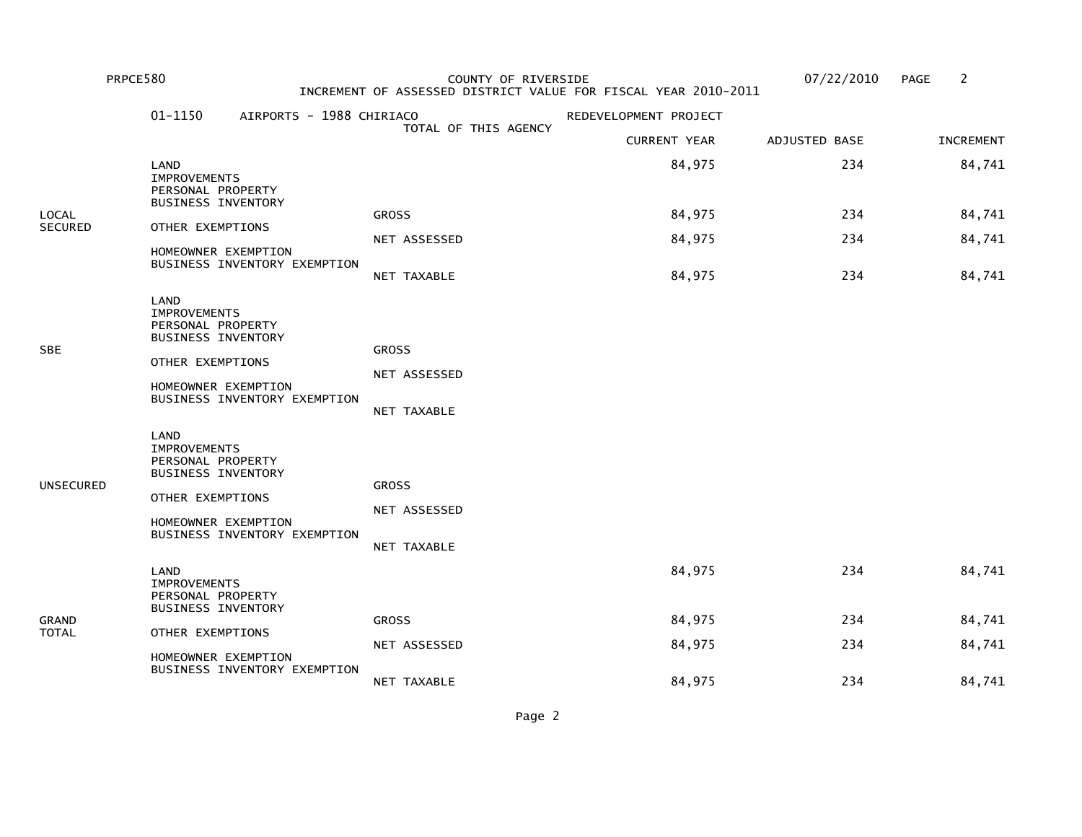|                         | PRPCE580                                                                                          |                                                     | COUNTY OF RIVERSIDE                         | INCREMENT OF ASSESSED DISTRICT VALUE FOR FISCAL YEAR 2010-2011 | 07/22/2010    | 2<br><b>PAGE</b> |
|-------------------------|---------------------------------------------------------------------------------------------------|-----------------------------------------------------|---------------------------------------------|----------------------------------------------------------------|---------------|------------------|
|                         | $01 - 1150$                                                                                       | AIRPORTS - 1988 CHIRIACO                            |                                             | REDEVELOPMENT PROJECT                                          |               |                  |
|                         |                                                                                                   |                                                     | TOTAL OF THIS AGENCY                        | <b>CURRENT YEAR</b>                                            | ADJUSTED BASE | <b>INCREMENT</b> |
|                         | LAND<br><b>IMPROVEMENTS</b><br>PERSONAL PROPERTY<br><b>BUSINESS INVENTORY</b>                     |                                                     |                                             | 84,975                                                         | 234           | 84,741           |
| LOCAL<br><b>SECURED</b> | OTHER EXEMPTIONS                                                                                  |                                                     | <b>GROSS</b>                                | 84,975                                                         | 234           | 84,741           |
|                         |                                                                                                   | HOMEOWNER EXEMPTION                                 | NET ASSESSED                                | 84,975                                                         | 234           | 84,741           |
|                         |                                                                                                   | BUSINESS INVENTORY EXEMPTION                        | NET TAXABLE                                 | 84,975                                                         | 234           | 84,741           |
| <b>SBE</b>              | LAND<br><b>IMPROVEMENTS</b><br>PERSONAL PROPERTY<br><b>BUSINESS INVENTORY</b><br>OTHER EXEMPTIONS | HOMEOWNER EXEMPTION<br>BUSINESS INVENTORY EXEMPTION | <b>GROSS</b><br>NET ASSESSED<br>NET TAXABLE |                                                                |               |                  |
| <b>UNSECURED</b>        | LAND<br><b>IMPROVEMENTS</b><br>PERSONAL PROPERTY<br><b>BUSINESS INVENTORY</b><br>OTHER EXEMPTIONS | HOMEOWNER EXEMPTION<br>BUSINESS INVENTORY EXEMPTION | <b>GROSS</b><br>NET ASSESSED<br>NET TAXABLE |                                                                |               |                  |
|                         | LAND<br><b>IMPROVEMENTS</b><br>PERSONAL PROPERTY                                                  |                                                     |                                             | 84,975                                                         | 234           | 84,741           |
| <b>GRAND</b>            | <b>BUSINESS INVENTORY</b>                                                                         |                                                     | <b>GROSS</b>                                | 84,975                                                         | 234           | 84,741           |
| <b>TOTAL</b>            | OTHER EXEMPTIONS                                                                                  | HOMEOWNER EXEMPTION                                 | NET ASSESSED                                | 84,975                                                         | 234           | 84,741           |
|                         |                                                                                                   | BUSINESS INVENTORY EXEMPTION                        | NET TAXABLE                                 | 84,975                                                         | 234           | 84,741           |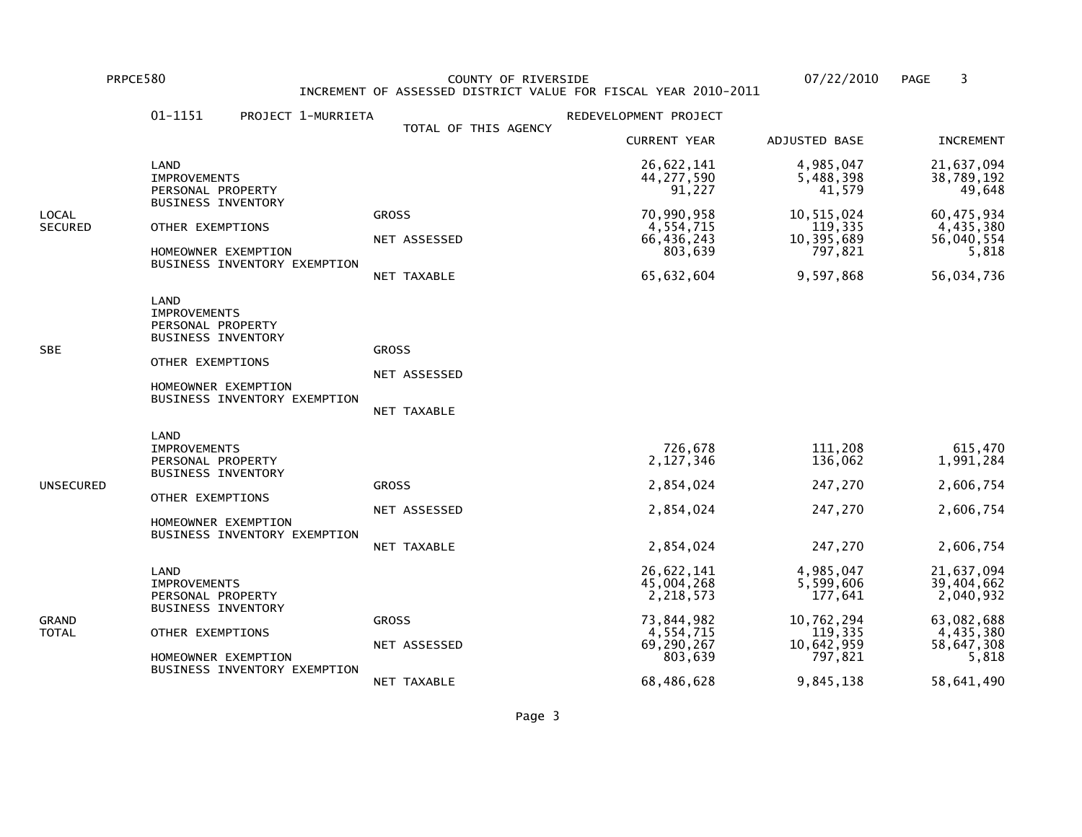PRPCE580 COUNTY OF RIVERSIDE 07/22/2010 PAGE 3 INCREMENT OF ASSESSED DISTRICT VALUE FOR FISCAL YEAR 2010-2011

|                  | 01-1151<br>PROJECT 1-MURRIETA                                                                                                                            |                                             | REDEVELOPMENT PROJECT                                                                                   |                                                                                                  |                                                                                                       |
|------------------|----------------------------------------------------------------------------------------------------------------------------------------------------------|---------------------------------------------|---------------------------------------------------------------------------------------------------------|--------------------------------------------------------------------------------------------------|-------------------------------------------------------------------------------------------------------|
|                  |                                                                                                                                                          | TOTAL OF THIS AGENCY                        | <b>CURRENT YEAR</b>                                                                                     | ADJUSTED BASE                                                                                    | <b>INCREMENT</b>                                                                                      |
|                  | LAND<br><b>IMPROVEMENTS</b><br>PERSONAL PROPERTY                                                                                                         |                                             | 26,622,141<br>44, 277, 590<br>91,227                                                                    | 4,985,047<br>5,488,398<br>41,579                                                                 | 21,637,094<br>38,789,192<br>49,648                                                                    |
| LOCAL<br>SECURED | <b>BUSINESS INVENTORY</b><br>OTHER EXEMPTIONS<br>HOMEOWNER EXEMPTION<br>BUSINESS INVENTORY EXEMPTION                                                     | <b>GROSS</b><br>NET ASSESSED<br>NET TAXABLE | 70,990,958<br>4,554,715<br>66,436,243<br>803,639<br>65,632,604                                          | 10,515,024<br>119,335<br>10,395,689<br>797,821<br>9,597,868                                      | 60,475,934<br>4,435,380<br>56,040,554<br>5,818<br>56,034,736                                          |
| SBE              | LAND<br><b>IMPROVEMENTS</b><br>PERSONAL PROPERTY<br><b>BUSINESS INVENTORY</b><br>OTHER EXEMPTIONS<br>HOMEOWNER EXEMPTION<br>BUSINESS INVENTORY EXEMPTION | <b>GROSS</b><br>NET ASSESSED<br>NET TAXABLE |                                                                                                         |                                                                                                  |                                                                                                       |
| UNSECURED        | LAND<br><b>IMPROVEMENTS</b><br>PERSONAL PROPERTY<br><b>BUSINESS INVENTORY</b><br>OTHER EXEMPTIONS<br>HOMEOWNER EXEMPTION<br>BUSINESS INVENTORY EXEMPTION | <b>GROSS</b><br>NET ASSESSED<br>NET TAXABLE | 726,678<br>2,127,346<br>2,854,024<br>2,854,024<br>2,854,024                                             | 111,208<br>136,062<br>247,270<br>247,270<br>247,270                                              | 615,470<br>1,991,284<br>2,606,754<br>2,606,754<br>2,606,754                                           |
| GRAND<br>TOTAL   | LAND<br><b>IMPROVEMENTS</b><br>PERSONAL PROPERTY<br><b>BUSINESS INVENTORY</b><br>OTHER EXEMPTIONS<br>HOMEOWNER EXEMPTION<br>BUSINESS INVENTORY EXEMPTION | <b>GROSS</b><br>NET ASSESSED<br>NET TAXABLE | 26,622,141<br>45,004,268<br>2,218,573<br>73,844,982<br>4,554,715<br>69,290,267<br>803,639<br>68,486,628 | 4,985,047<br>5,599,606<br>177,641<br>10,762,294<br>119,335<br>10,642,959<br>797,821<br>9,845,138 | 21,637,094<br>39,404,662<br>2,040,932<br>63,082,688<br>4,435,380<br>58,647,308<br>5,818<br>58,641,490 |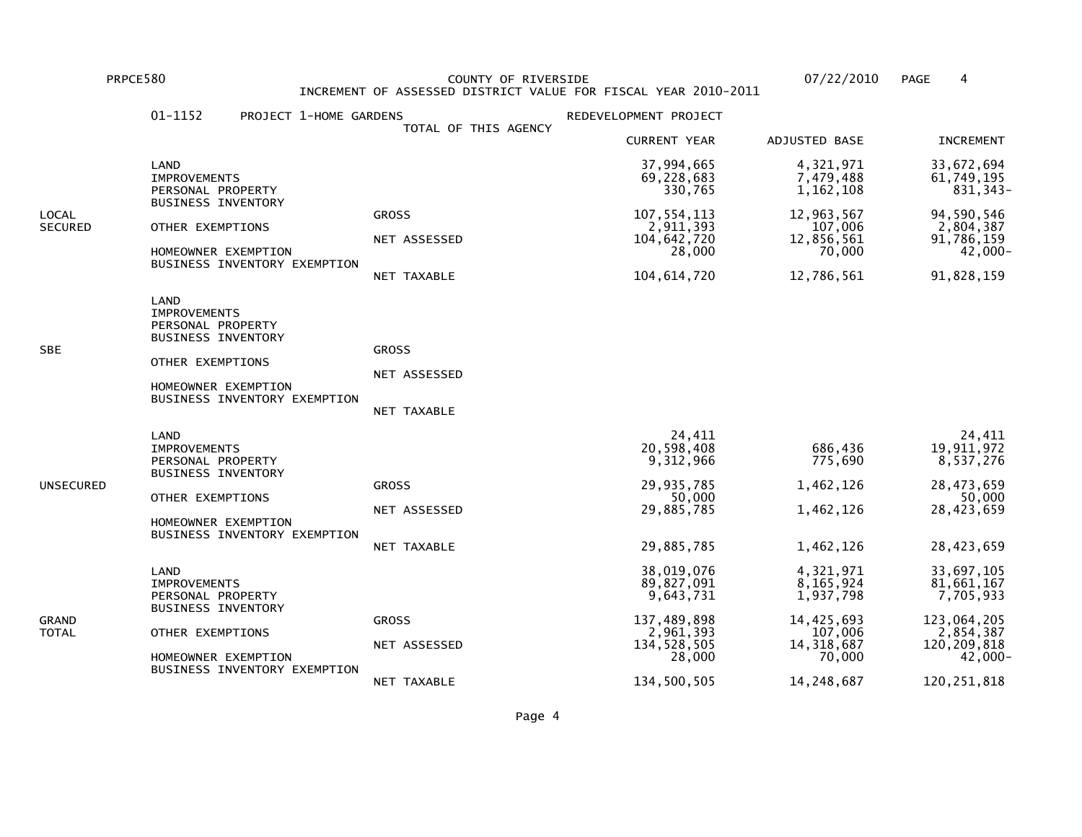PRPCE580 COUNTY OF RIVERSIDE 07/22/2010 PAGE 4 INCREMENT OF ASSESSED DISTRICT VALUE FOR FISCAL YEAR 2010-2011

|                         | 01-1152<br>PROJECT 1-HOME GARDENS                                                                                                                        |                                             | REDEVELOPMENT PROJECT                                                                                       |                                                                                                      |                                                                                                              |
|-------------------------|----------------------------------------------------------------------------------------------------------------------------------------------------------|---------------------------------------------|-------------------------------------------------------------------------------------------------------------|------------------------------------------------------------------------------------------------------|--------------------------------------------------------------------------------------------------------------|
|                         |                                                                                                                                                          | TOTAL OF THIS AGENCY                        | <b>CURRENT YEAR</b>                                                                                         | ADJUSTED BASE                                                                                        | <b>INCREMENT</b>                                                                                             |
| LOCAL<br><b>SECURED</b> | LAND<br><b>IMPROVEMENTS</b><br>PERSONAL PROPERTY                                                                                                         |                                             | 37,994,665<br>69,228,683<br>330,765                                                                         | 4,321,971<br>7,479,488<br>1,162,108                                                                  | 33,672,694<br>61,749,195<br>831, 343-                                                                        |
|                         | <b>BUSINESS INVENTORY</b><br>OTHER EXEMPTIONS<br>HOMEOWNER EXEMPTION<br>BUSINESS INVENTORY EXEMPTION                                                     | <b>GROSS</b><br>NET ASSESSED<br>NET TAXABLE | 107, 554, 113<br>2,911,393<br>104,642,720<br>28,000<br>104,614,720                                          | 12,963,567<br>107,006<br>12,856,561<br>70,000<br>12,786,561                                          | 94,590,546<br>2,804,387<br>91,786,159<br>-000, 42<br>91,828,159                                              |
| SBE                     | LAND<br><b>IMPROVEMENTS</b><br>PERSONAL PROPERTY<br><b>BUSINESS INVENTORY</b><br>OTHER EXEMPTIONS<br>HOMEOWNER EXEMPTION<br>BUSINESS INVENTORY EXEMPTION | <b>GROSS</b><br>NET ASSESSED<br>NET TAXABLE |                                                                                                             |                                                                                                      |                                                                                                              |
| UNSECURED               | LAND<br><b>IMPROVEMENTS</b><br>PERSONAL PROPERTY<br><b>BUSINESS INVENTORY</b><br>OTHER EXEMPTIONS<br>HOMEOWNER EXEMPTION<br>BUSINESS INVENTORY EXEMPTION | <b>GROSS</b><br>NET ASSESSED<br>NET TAXABLE | 24,411<br>20,598,408<br>9,312,966<br>29,935,785<br>50,000<br>29,885,785<br>29,885,785                       | 686,436<br>775,690<br>1,462,126<br>1,462,126<br>1,462,126                                            | 24,411<br>19,911,972<br>8,537,276<br>28,473,659<br>50,000<br>28,423,659<br>28,423,659                        |
| GRAND<br>TOTAL          | LAND<br><b>IMPROVEMENTS</b><br>PERSONAL PROPERTY<br><b>BUSINESS INVENTORY</b><br>OTHER EXEMPTIONS<br>HOMEOWNER EXEMPTION<br>BUSINESS INVENTORY EXEMPTION | <b>GROSS</b><br>NET ASSESSED<br>NET TAXABLE | 38,019,076<br>89,827,091<br>9,643,731<br>137,489,898<br>2,961,393<br>134, 528, 505<br>28,000<br>134,500,505 | 4,321,971<br>8,165,924<br>1,937,798<br>14,425,693<br>107,006<br>14, 318, 687<br>70,000<br>14,248,687 | 33,697,105<br>81,661,167<br>7,705,933<br>123,064,205<br>2,854,387<br>120,209,818<br>42,000-<br>120, 251, 818 |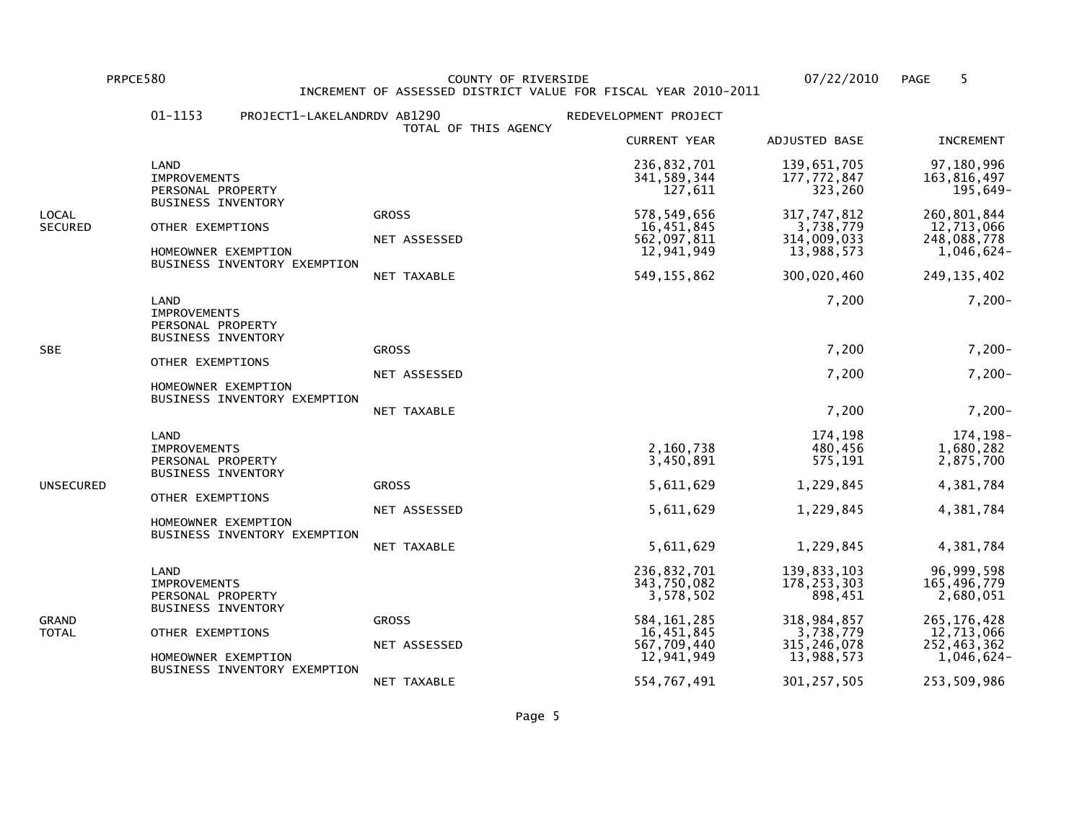PRPCE580 COUNTY OF RIVERSIDE 07/22/2010 PAGE 5 INCREMENT OF ASSESSED DISTRICT VALUE FOR FISCAL YEAR 2010-2011

|                         | 01-1153                                                                       | PROJECT1-LAKELANDRDV AB1290  | TOTAL OF THIS AGENCY                        | REDEVELOPMENT PROJECT                                                   |                                                                      |                                                                         |
|-------------------------|-------------------------------------------------------------------------------|------------------------------|---------------------------------------------|-------------------------------------------------------------------------|----------------------------------------------------------------------|-------------------------------------------------------------------------|
|                         |                                                                               |                              |                                             | <b>CURRENT YEAR</b>                                                     | ADJUSTED BASE                                                        | <b>INCREMENT</b>                                                        |
|                         | LAND<br><b>IMPROVEMENTS</b><br>PERSONAL PROPERTY                              |                              |                                             | 236,832,701<br>341,589,344<br>127,611                                   | 139,651,705<br>177,772,847<br>323,260                                | 97,180,996<br>163,816,497<br>195,649-                                   |
| LOCAL<br><b>SECURED</b> | <b>BUSINESS INVENTORY</b><br>OTHER EXEMPTIONS<br>HOMEOWNER EXEMPTION          | BUSINESS INVENTORY EXEMPTION | <b>GROSS</b><br>NET ASSESSED<br>NET TAXABLE | 578,549,656<br>16,451,845<br>562,097,811<br>12,941,949<br>549, 155, 862 | 317,747,812<br>3,738,779<br>314,009,033<br>13,988,573<br>300,020,460 | 260,801,844<br>12,713,066<br>248,088,778<br>1,046,624-<br>249, 135, 402 |
|                         | LAND<br><b>IMPROVEMENTS</b><br>PERSONAL PROPERTY<br><b>BUSINESS INVENTORY</b> |                              |                                             |                                                                         | 7,200                                                                | $7,200-$                                                                |
| <b>SBE</b>              |                                                                               | OTHER EXEMPTIONS             | <b>GROSS</b>                                |                                                                         | 7,200                                                                | $7,200-$                                                                |
|                         | HOMEOWNER EXEMPTION                                                           |                              | NET ASSESSED                                |                                                                         | 7,200                                                                | $7,200-$                                                                |
|                         |                                                                               | BUSINESS INVENTORY EXEMPTION | NET TAXABLE                                 |                                                                         | 7,200                                                                | $7,200-$                                                                |
|                         | LAND<br><b>IMPROVEMENTS</b><br>PERSONAL PROPERTY<br><b>BUSINESS INVENTORY</b> |                              |                                             | 2,160,738<br>3,450,891                                                  | 174,198<br>480,456<br>575, 191                                       | 174, 198-<br>1,680,282<br>2,875,700                                     |
| UNSECURED               | OTHER EXEMPTIONS                                                              |                              | <b>GROSS</b>                                | 5,611,629                                                               | 1,229,845                                                            | 4,381,784                                                               |
|                         | HOMEOWNER EXEMPTION                                                           |                              | NET ASSESSED                                | 5,611,629                                                               | 1,229,845                                                            | 4,381,784                                                               |
|                         |                                                                               | BUSINESS INVENTORY EXEMPTION | NET TAXABLE                                 | 5,611,629                                                               | 1,229,845                                                            | 4,381,784                                                               |
| GRAND<br>TOTAL          | LAND<br><b>IMPROVEMENTS</b><br>PERSONAL PROPERTY<br><b>BUSINESS INVENTORY</b> |                              |                                             | 236,832,701<br>343,750,082<br>3,578,502                                 | 139,833,103<br>178, 253, 303<br>898,451                              | 96,999,598<br>165,496,779<br>2,680,051                                  |
|                         | OTHER EXEMPTIONS                                                              |                              | <b>GROSS</b>                                | 584, 161, 285<br>16,451,845                                             | 318,984,857<br>3,738,779                                             | 265, 176, 428<br>12,713,066                                             |
|                         | HOMEOWNER EXEMPTION                                                           | BUSINESS INVENTORY EXEMPTION | NET ASSESSED                                | 567,709,440<br>12,941,949                                               | 315, 246, 078<br>13,988,573                                          | 252,463,362<br>1,046,624-                                               |
|                         |                                                                               |                              | NET TAXABLE                                 | 554,767,491                                                             | 301, 257, 505                                                        | 253,509,986                                                             |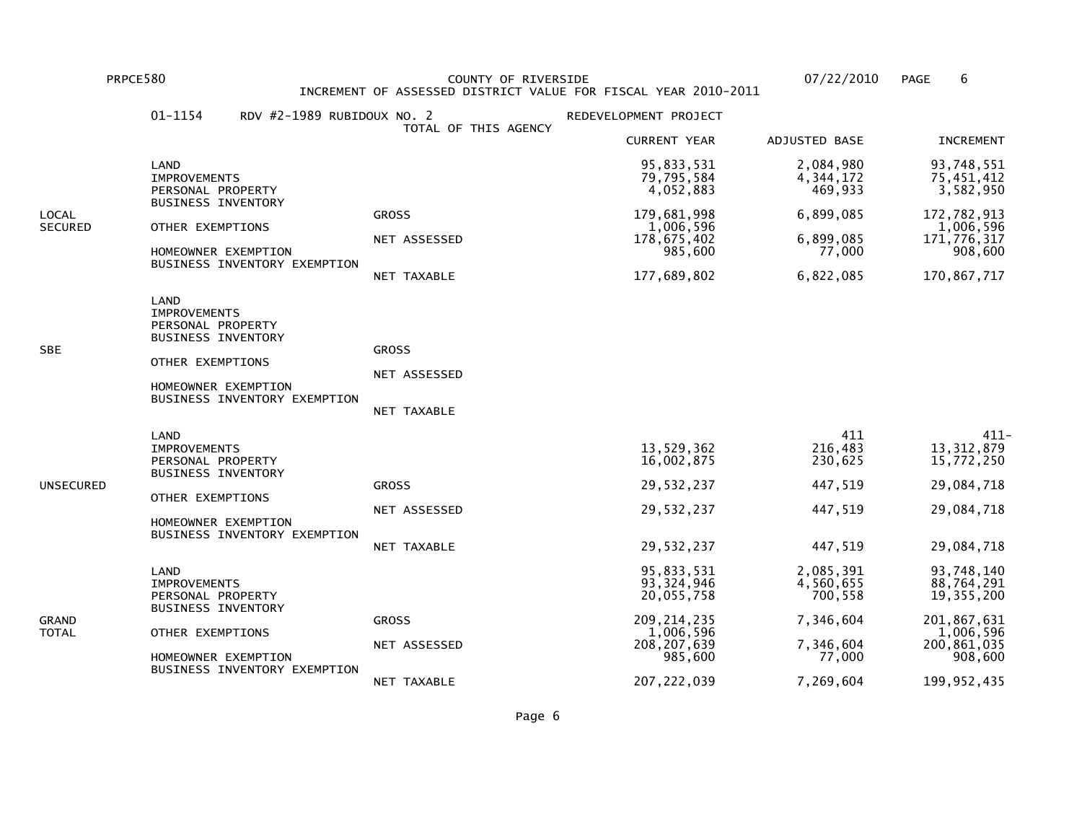PRPCE580 COUNTY OF RIVERSIDE 07/22/2010 PAGE 6 INCREMENT OF ASSESSED DISTRICT VALUE FOR FISCAL YEAR 2010-2011

|                         | 01-1154<br>RDV $#2-1989$ RUBIDOUX NO. 2                                                                                                                  | TOTAL OF THIS AGENCY                        | REDEVELOPMENT PROJECT                                                                              |                                                                       |                                                                                                |
|-------------------------|----------------------------------------------------------------------------------------------------------------------------------------------------------|---------------------------------------------|----------------------------------------------------------------------------------------------------|-----------------------------------------------------------------------|------------------------------------------------------------------------------------------------|
|                         |                                                                                                                                                          |                                             | <b>CURRENT YEAR</b>                                                                                | ADJUSTED BASE                                                         | <b>INCREMENT</b>                                                                               |
|                         | LAND<br><b>IMPROVEMENTS</b><br>PERSONAL PROPERTY                                                                                                         |                                             | 95,833,531<br>79,795,584<br>4,052,883                                                              | 2,084,980<br>4, 344, 172<br>469,933                                   | 93,748,551<br>75,451,412<br>3,582,950                                                          |
| LOCAL<br><b>SECURED</b> | <b>BUSINESS INVENTORY</b><br>OTHER EXEMPTIONS<br>HOMEOWNER EXEMPTION<br>BUSINESS INVENTORY EXEMPTION                                                     | <b>GROSS</b><br>NET ASSESSED<br>NET TAXABLE | 179,681,998<br>1,006,596<br>178,675,402<br>985,600<br>177,689,802                                  | 6,899,085<br>6,899,085<br>77,000<br>6,822,085                         | 172,782,913<br>1,006,596<br>171,776,317<br>908,600<br>170,867,717                              |
| SBE                     | LAND<br><b>IMPROVEMENTS</b><br>PERSONAL PROPERTY<br><b>BUSINESS INVENTORY</b><br>OTHER EXEMPTIONS<br>HOMEOWNER EXEMPTION<br>BUSINESS INVENTORY EXEMPTION | <b>GROSS</b><br>NET ASSESSED<br>NET TAXABLE |                                                                                                    |                                                                       |                                                                                                |
| UNSECURED               | LAND<br><b>IMPROVEMENTS</b><br>PERSONAL PROPERTY<br><b>BUSINESS INVENTORY</b><br>OTHER EXEMPTIONS<br>HOMEOWNER EXEMPTION<br>BUSINESS INVENTORY EXEMPTION | <b>GROSS</b><br>NET ASSESSED<br>NET TAXABLE | 13,529,362<br>16,002,875<br>29,532,237<br>29,532,237<br>29,532,237                                 | 411<br>216,483<br>230,625<br>447,519<br>447,519<br>447,519            | $411 -$<br>13, 312, 879<br>15,772,250<br>29,084,718<br>29,084,718<br>29,084,718                |
| GRAND<br>TOTAL          | LAND<br><b>IMPROVEMENTS</b><br>PERSONAL PROPERTY<br><b>BUSINESS INVENTORY</b><br>OTHER EXEMPTIONS<br>HOMEOWNER EXEMPTION<br>BUSINESS INVENTORY EXEMPTION | <b>GROSS</b><br>NET ASSESSED                | 95,833,531<br>93, 324, 946<br>20,055,758<br>209, 214, 235<br>1,006,596<br>208, 207, 639<br>985,600 | 2,085,391<br>4,560,655<br>700,558<br>7,346,604<br>7,346,604<br>77,000 | 93,748,140<br>88,764,291<br>19, 355, 200<br>201,867,631<br>1,006,596<br>200,861,035<br>908,600 |
|                         |                                                                                                                                                          | NET TAXABLE                                 | 207, 222, 039                                                                                      | 7,269,604                                                             | 199, 952, 435                                                                                  |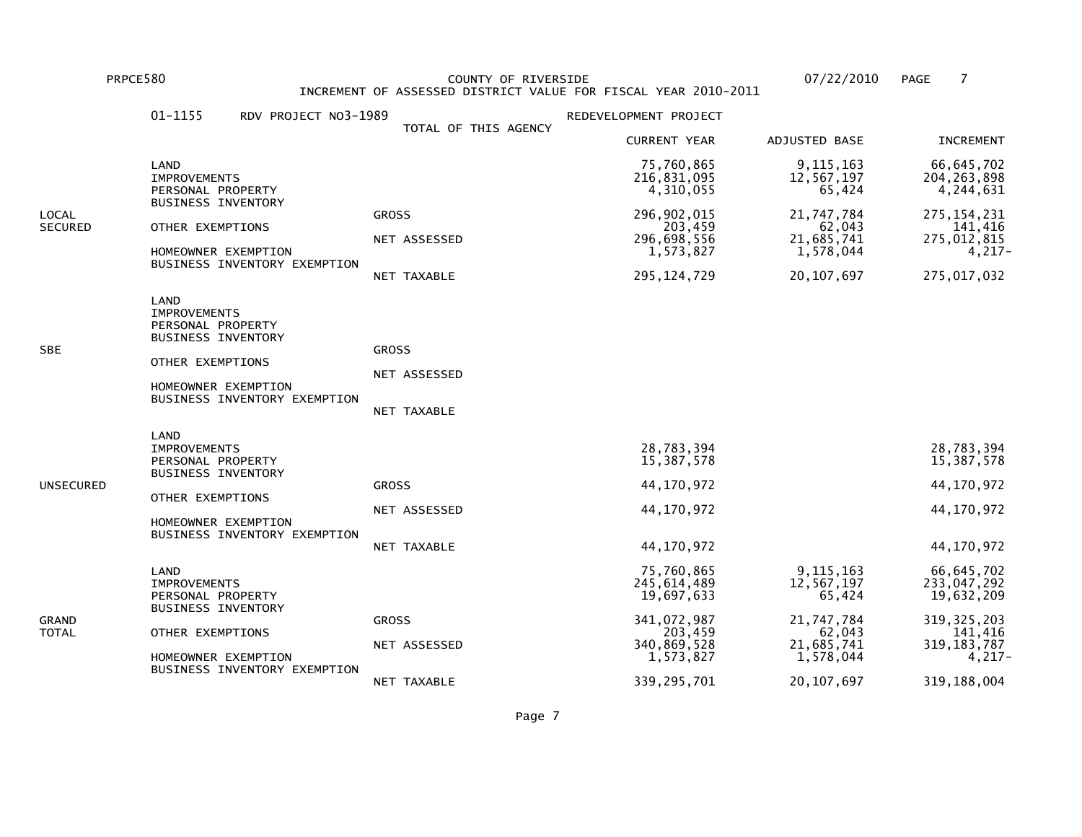PRPCE580 COUNTY OF RIVERSIDE 07/22/2010 PAGE 7 INCREMENT OF ASSESSED DISTRICT VALUE FOR FISCAL YEAR 2010-2011

|                | 01-1155<br>RDV PROJECT NO3-1989                                                                                                                          |                                             | REDEVELOPMENT PROJECT                  |                                     |                                            |
|----------------|----------------------------------------------------------------------------------------------------------------------------------------------------------|---------------------------------------------|----------------------------------------|-------------------------------------|--------------------------------------------|
|                |                                                                                                                                                          | TOTAL OF THIS AGENCY                        | <b>CURRENT YEAR</b>                    | ADJUSTED BASE                       | <b>INCREMENT</b>                           |
|                | LAND<br><b>IMPROVEMENTS</b><br>PERSONAL PROPERTY<br><b>BUSINESS INVENTORY</b>                                                                            |                                             | 75,760,865<br>216,831,095<br>4,310,055 | 9, 115, 163<br>12,567,197<br>65,424 | 66, 645, 702<br>204, 263, 898<br>4,244,631 |
| LOCAL          | OTHER EXEMPTIONS                                                                                                                                         | <b>GROSS</b>                                | 296, 902, 015                          | 21,747,784                          | 275, 154, 231                              |
| <b>SECURED</b> | HOMEOWNER EXEMPTION                                                                                                                                      | NET ASSESSED                                | 203,459<br>296,698,556<br>1,573,827    | 62,043<br>21,685,741<br>1,578,044   | 141,416<br>275,012,815<br>4,217-           |
|                | BUSINESS INVENTORY EXEMPTION                                                                                                                             | NET TAXABLE                                 | 295, 124, 729                          | 20, 107, 697                        | 275,017,032                                |
| <b>SBE</b>     | LAND<br><b>IMPROVEMENTS</b><br>PERSONAL PROPERTY<br><b>BUSINESS INVENTORY</b><br>OTHER EXEMPTIONS<br>HOMEOWNER EXEMPTION<br>BUSINESS INVENTORY EXEMPTION | <b>GROSS</b><br>NET ASSESSED<br>NET TAXABLE |                                        |                                     |                                            |
|                | LAND<br><b>IMPROVEMENTS</b><br>PERSONAL PROPERTY<br><b>BUSINESS INVENTORY</b>                                                                            |                                             | 28,783,394<br>15,387,578               |                                     | 28,783,394<br>15,387,578                   |
| UNSECURED      | OTHER EXEMPTIONS                                                                                                                                         | <b>GROSS</b>                                | 44, 170, 972                           |                                     | 44, 170, 972                               |
|                | HOMEOWNER EXEMPTION                                                                                                                                      | NET ASSESSED                                | 44, 170, 972                           |                                     | 44, 170, 972                               |
|                | BUSINESS INVENTORY EXEMPTION                                                                                                                             | NET TAXABLE                                 | 44,170,972                             |                                     | 44, 170, 972                               |

|                       | LAND<br><b>IMPROVEMENTS</b><br>PERSONAL PROPERTY<br><b>BUSINESS INVENTORY</b> |                | 75,760,865<br>245,614,489<br>19,697,633 | 9, 115, 163<br>12,567,197<br>65.424 | 66,645,702<br>233,047,292<br>19,632,209 |
|-----------------------|-------------------------------------------------------------------------------|----------------|-----------------------------------------|-------------------------------------|-----------------------------------------|
| GRAND<br><b>TOTAL</b> | OTHER EXEMPTIONS                                                              | <b>GROSS</b>   | 341,072,987<br>203.459                  | 21,747,784<br>62.043                | 319, 325, 203<br>141.416                |
|                       | HOMEOWNER EXEMPTION<br>BUSINESS INVENTORY EXEMPTION                           | NET ASSESSED   | 340,869,528<br>1,573,827                | 21,685,741<br>1,578,044             | 319, 183, 787<br>$4.217 -$              |
|                       |                                                                               | TAXABLE<br>NET | 339,295,701                             | 20,107,697                          | 319,188,004                             |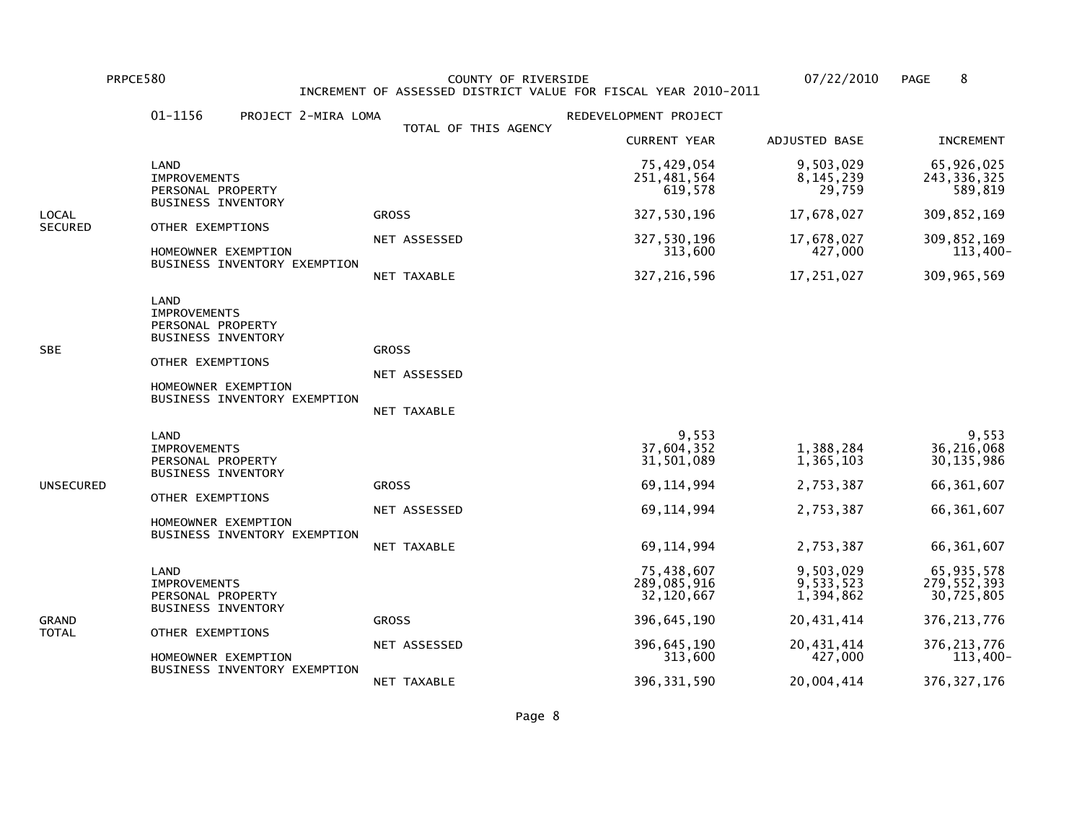PRPCE580 COUNTY OF RIVERSIDE 07/22/2010 PAGE 8 INCREMENT OF ASSESSED DISTRICT VALUE FOR FISCAL YEAR 2010-2011

|                | 01-1156<br>PROJECT 2-MIRA LOMA                                                                                                                           |                                             | REDEVELOPMENT PROJECT                                                             |                                                               |                                                                                 |
|----------------|----------------------------------------------------------------------------------------------------------------------------------------------------------|---------------------------------------------|-----------------------------------------------------------------------------------|---------------------------------------------------------------|---------------------------------------------------------------------------------|
|                |                                                                                                                                                          | TOTAL OF THIS AGENCY                        | <b>CURRENT YEAR</b>                                                               | ADJUSTED BASE                                                 | <b>INCREMENT</b>                                                                |
|                | LAND<br><b>IMPROVEMENTS</b><br>PERSONAL PROPERTY                                                                                                         |                                             | 75,429,054<br>251,481,564<br>619,578                                              | 9,503,029<br>8, 145, 239<br>29,759                            | 65,926,025<br>243, 336, 325<br>589,819                                          |
| LOCAL          | <b>BUSINESS INVENTORY</b>                                                                                                                                | <b>GROSS</b>                                | 327,530,196                                                                       | 17,678,027                                                    | 309,852,169                                                                     |
| <b>SECURED</b> | OTHER EXEMPTIONS<br>HOMEOWNER EXEMPTION                                                                                                                  | NET ASSESSED                                | 327,530,196<br>313,600                                                            | 17,678,027<br>427,000                                         | 309,852,169<br>113,400-                                                         |
|                | BUSINESS INVENTORY EXEMPTION                                                                                                                             | NET TAXABLE                                 | 327, 216, 596                                                                     | 17,251,027                                                    | 309, 965, 569                                                                   |
| SBE            | LAND<br><b>IMPROVEMENTS</b><br>PERSONAL PROPERTY<br><b>BUSINESS INVENTORY</b><br>OTHER EXEMPTIONS<br>HOMEOWNER EXEMPTION<br>BUSINESS INVENTORY EXEMPTION | <b>GROSS</b><br>NET ASSESSED<br>NET TAXABLE |                                                                                   |                                                               |                                                                                 |
| UNSECURED      | LAND<br><b>IMPROVEMENTS</b><br>PERSONAL PROPERTY<br><b>BUSINESS INVENTORY</b><br>OTHER EXEMPTIONS<br>HOMEOWNER EXEMPTION<br>BUSINESS INVENTORY EXEMPTION | <b>GROSS</b><br>NET ASSESSED<br>NET TAXABLE | 9,553<br>37,604,352<br>31,501,089<br>69, 114, 994<br>69, 114, 994<br>69, 114, 994 | 1,388,284<br>1,365,103<br>2,753,387<br>2,753,387<br>2,753,387 | 9,553<br>36,216,068<br>30, 135, 986<br>66, 361, 607<br>66,361,607<br>66,361,607 |
| GRAND<br>TOTAL | LAND<br><b>IMPROVEMENTS</b><br>PERSONAL PROPERTY<br><b>BUSINESS INVENTORY</b>                                                                            |                                             | 75,438,607<br>289,085,916<br>32,120,667                                           | 9,503,029<br>9,533,523<br>1,394,862                           | 65, 935, 578<br>279,552,393<br>30,725,805                                       |
|                | OTHER EXEMPTIONS                                                                                                                                         | <b>GROSS</b>                                | 396,645,190                                                                       | 20,431,414                                                    | 376, 213, 776                                                                   |
|                | HOMEOWNER EXEMPTION<br>BUSINESS INVENTORY EXEMPTION                                                                                                      | NET ASSESSED                                | 396, 645, 190<br>313,600                                                          | 20,431,414<br>427,000                                         | 376, 213, 776<br>$113,400-$                                                     |
|                |                                                                                                                                                          | NET TAXABLE                                 | 396, 331, 590                                                                     | 20,004,414                                                    | 376, 327, 176                                                                   |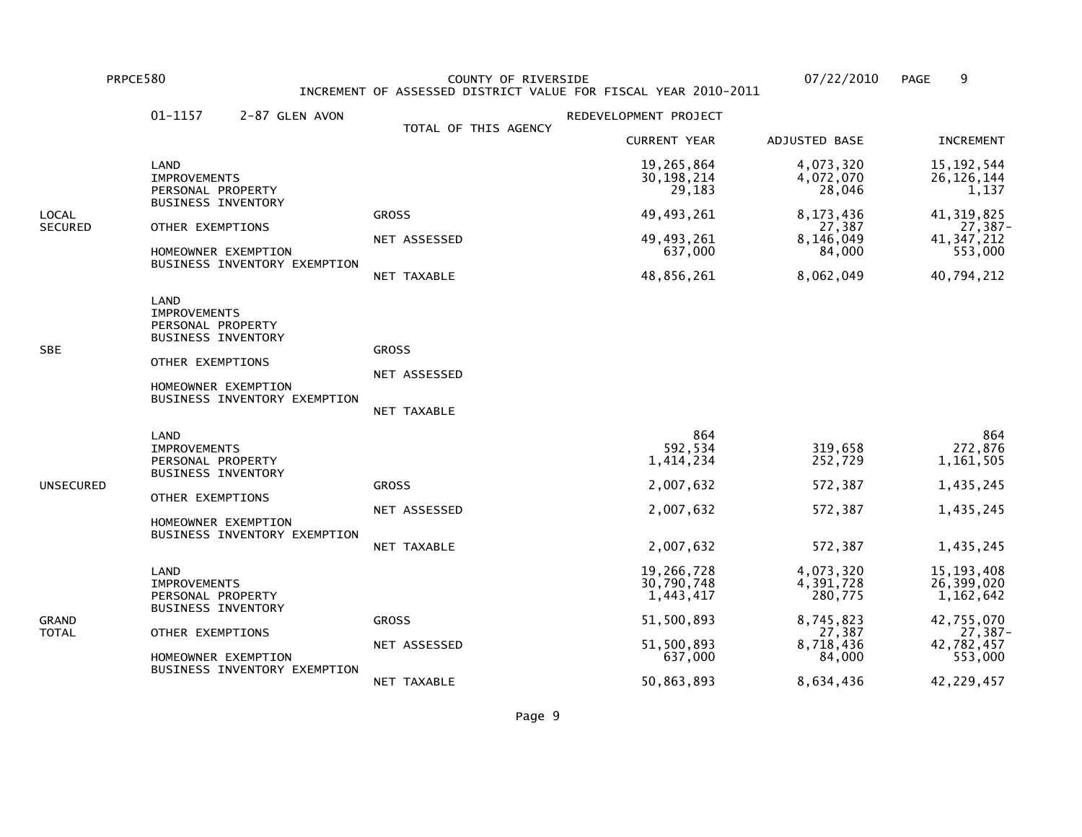PRPCE580 COUNTY OF RIVERSIDE 07/22/2010 PAGE 9 INCREMENT OF ASSESSED DISTRICT VALUE FOR FISCAL YEAR 2010-2011

|                | 01-1157<br>2-87 GLEN AVON                                                                                                                                |                                             | REDEVELOPMENT PROJECT                                              |                                                     |                                                                    |
|----------------|----------------------------------------------------------------------------------------------------------------------------------------------------------|---------------------------------------------|--------------------------------------------------------------------|-----------------------------------------------------|--------------------------------------------------------------------|
|                |                                                                                                                                                          | TOTAL OF THIS AGENCY                        | <b>CURRENT YEAR</b>                                                | ADJUSTED BASE                                       | <b>INCREMENT</b>                                                   |
| LOCAL          | LAND<br><b>IMPROVEMENTS</b><br>PERSONAL PROPERTY                                                                                                         |                                             | 19,265,864<br>30, 198, 214<br>29,183                               | 4,073,320<br>4,072,070<br>28,046                    | 15, 192, 544<br>26, 126, 144<br>1,137                              |
|                | <b>BUSINESS INVENTORY</b>                                                                                                                                | <b>GROSS</b>                                | 49, 493, 261                                                       | 8,173,436                                           | 41, 319, 825                                                       |
| SECURED        | OTHER EXEMPTIONS<br>HOMEOWNER EXEMPTION                                                                                                                  | NET ASSESSED                                | 49, 493, 261<br>637,000                                            | 27,387<br>8,146,049<br>84,000                       | 27,387-<br>41, 347, 212<br>553,000                                 |
|                | BUSINESS INVENTORY EXEMPTION                                                                                                                             | NET TAXABLE                                 | 48,856,261                                                         | 8,062,049                                           | 40,794,212                                                         |
| SBE            | LAND<br><b>IMPROVEMENTS</b><br>PERSONAL PROPERTY<br><b>BUSINESS INVENTORY</b><br>OTHER EXEMPTIONS<br>HOMEOWNER EXEMPTION<br>BUSINESS INVENTORY EXEMPTION | <b>GROSS</b><br>NET ASSESSED<br>NET TAXABLE |                                                                    |                                                     |                                                                    |
| UNSECURED      | LAND<br><b>IMPROVEMENTS</b><br>PERSONAL PROPERTY<br><b>BUSINESS INVENTORY</b><br>OTHER EXEMPTIONS<br>HOMEOWNER EXEMPTION<br>BUSINESS INVENTORY EXEMPTION | <b>GROSS</b><br>NET ASSESSED<br>NET TAXABLE | 864<br>592,534<br>1,414,234<br>2,007,632<br>2,007,632<br>2,007,632 | 319,658<br>252,729<br>572,387<br>572,387<br>572,387 | 864<br>272,876<br>1,161,505<br>1,435,245<br>1,435,245<br>1,435,245 |
| GRAND<br>TOTAL | LAND<br><b>IMPROVEMENTS</b><br>PERSONAL PROPERTY                                                                                                         |                                             | 19,266,728<br>30,790,748<br>1,443,417                              | 4,073,320<br>4,391,728<br>280,775                   | 15, 193, 408<br>26,399,020<br>1,162,642                            |
|                | <b>BUSINESS INVENTORY</b><br>OTHER EXEMPTIONS<br>HOMEOWNER EXEMPTION<br>BUSINESS INVENTORY EXEMPTION                                                     | <b>GROSS</b>                                | 51,500,893                                                         | 8,745,823<br>27,387                                 | 42,755,070<br>27,387-                                              |
|                |                                                                                                                                                          | NET ASSESSED                                | 51,500,893<br>637,000                                              | 8,718,436<br>84,000                                 | 42,782,457<br>553,000                                              |
|                |                                                                                                                                                          | NET TAXABLE                                 | 50,863,893                                                         | 8,634,436                                           | 42,229,457                                                         |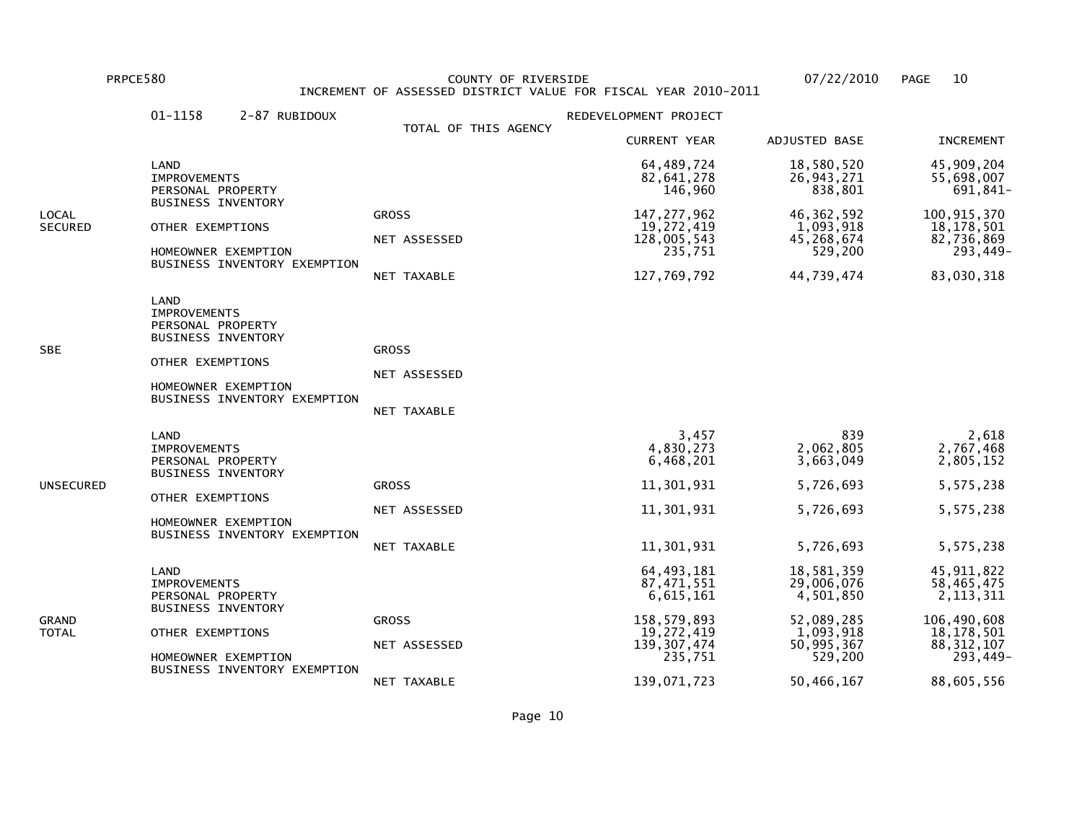PRPCE580 COUNTY OF RIVERSIDE 07/22/2010 PAGE 10 INCREMENT OF ASSESSED DISTRICT VALUE FOR FISCAL YEAR 2010-2011

|                  | LAND<br><b>IMPROVEMENTS</b><br>PERSONAL PROPERTY<br><b>BUSINESS INVENTORY</b><br>OTHER EXEMPTIONS                                                        | TOTAL OF THIS AGENCY<br><b>GROSS</b>        | <b>CURRENT YEAR</b><br>64,489,724<br>82,641,278<br>146,960                                                      | ADJUSTED BASE<br>18,580,520<br>26, 943, 271                                                             | <b>INCREMENT</b><br>45,909,204                                                                                     |
|------------------|----------------------------------------------------------------------------------------------------------------------------------------------------------|---------------------------------------------|-----------------------------------------------------------------------------------------------------------------|---------------------------------------------------------------------------------------------------------|--------------------------------------------------------------------------------------------------------------------|
|                  |                                                                                                                                                          |                                             |                                                                                                                 |                                                                                                         |                                                                                                                    |
|                  |                                                                                                                                                          |                                             |                                                                                                                 | 838,801                                                                                                 | 55,698,007<br>691,841-                                                                                             |
| LOCAL<br>SECURED | HOMEOWNER EXEMPTION<br>BUSINESS INVENTORY EXEMPTION                                                                                                      | NET ASSESSED<br>NET TAXABLE                 | 147, 277, 962<br>19,272,419<br>128,005,543<br>235,751<br>127,769,792                                            | 46, 362, 592<br>1,093,918<br>45,268,674<br>529,200<br>44,739,474                                        | 100,915,370<br>18, 178, 501<br>82,736,869<br>293,449-<br>83,030,318                                                |
| SBE              | LAND<br><b>IMPROVEMENTS</b><br>PERSONAL PROPERTY<br><b>BUSINESS INVENTORY</b><br>OTHER EXEMPTIONS<br>HOMEOWNER EXEMPTION<br>BUSINESS INVENTORY EXEMPTION | <b>GROSS</b><br>NET ASSESSED<br>NET TAXABLE |                                                                                                                 |                                                                                                         |                                                                                                                    |
| UNSECURED        | LAND<br><b>IMPROVEMENTS</b><br>PERSONAL PROPERTY<br><b>BUSINESS INVENTORY</b><br>OTHER EXEMPTIONS<br>HOMEOWNER EXEMPTION<br>BUSINESS INVENTORY EXEMPTION | <b>GROSS</b><br>NET ASSESSED<br>NET TAXABLE | 3,457<br>4,830,273<br>6,468,201<br>11,301,931<br>11,301,931<br>11,301,931                                       | 839<br>2,062,805<br>3,663,049<br>5,726,693<br>5,726,693<br>5,726,693                                    | 2,618<br>2,767,468<br>2,805,152<br>5,575,238<br>5,575,238<br>5,575,238                                             |
| GRAND<br>TOTAL   | LAND<br><b>IMPROVEMENTS</b><br>PERSONAL PROPERTY<br><b>BUSINESS INVENTORY</b><br>OTHER EXEMPTIONS<br>HOMEOWNER EXEMPTION<br>BUSINESS INVENTORY EXEMPTION | <b>GROSS</b><br>NET ASSESSED<br>NET TAXABLE | 64, 493, 181<br>87,471,551<br>6,615,161<br>158,579,893<br>19,272,419<br>139, 307, 474<br>235,751<br>139,071,723 | 18,581,359<br>29,006,076<br>4,501,850<br>52,089,285<br>1,093,918<br>50,995,367<br>529,200<br>50,466,167 | 45, 911, 822<br>58,465,475<br>2, 113, 311<br>106,490,608<br>18, 178, 501<br>88, 312, 107<br>293,449-<br>88,605,556 |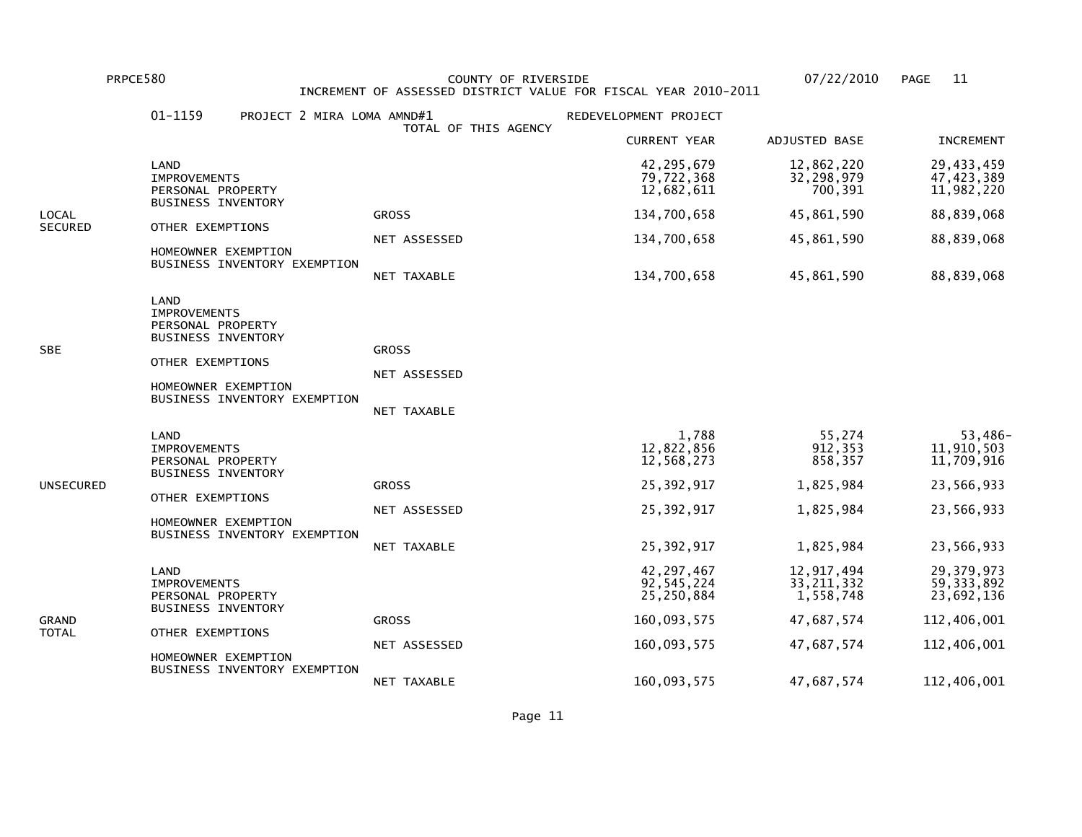PRPCE580 COUNTY OF RIVERSIDE 07/22/2010 PAGE 11 INCREMENT OF ASSESSED DISTRICT VALUE FOR FISCAL YEAR 2010-2011

|                | 01-1159<br>PROJECT 2 MIRA LOMA AMND#1                                                                                                                    | TOTAL OF THIS AGENCY                        | REDEVELOPMENT PROJECT                      |                                         |                                          |
|----------------|----------------------------------------------------------------------------------------------------------------------------------------------------------|---------------------------------------------|--------------------------------------------|-----------------------------------------|------------------------------------------|
|                |                                                                                                                                                          |                                             | <b>CURRENT YEAR</b>                        | ADJUSTED BASE                           | <b>INCREMENT</b>                         |
|                | LAND<br><b>IMPROVEMENTS</b><br>PERSONAL PROPERTY<br><b>BUSINESS INVENTORY</b>                                                                            |                                             | 42,295,679<br>79,722,368<br>12,682,611     | 12,862,220<br>32,298,979<br>700,391     | 29,433,459<br>47, 423, 389<br>11,982,220 |
| LOCAL          |                                                                                                                                                          | <b>GROSS</b>                                | 134,700,658                                | 45,861,590                              | 88,839,068                               |
| <b>SECURED</b> | OTHER EXEMPTIONS                                                                                                                                         | NET ASSESSED                                | 134,700,658                                | 45,861,590                              | 88,839,068                               |
|                | HOMEOWNER EXEMPTION<br>BUSINESS INVENTORY EXEMPTION                                                                                                      | NET TAXABLE                                 | 134,700,658                                | 45,861,590                              | 88,839,068                               |
| SBE            | LAND<br><b>IMPROVEMENTS</b><br>PERSONAL PROPERTY<br><b>BUSINESS INVENTORY</b><br>OTHER EXEMPTIONS<br>HOMEOWNER EXEMPTION<br>BUSINESS INVENTORY EXEMPTION | <b>GROSS</b><br>NET ASSESSED<br>NET TAXABLE |                                            |                                         |                                          |
|                |                                                                                                                                                          |                                             |                                            |                                         |                                          |
|                | LAND<br><b>IMPROVEMENTS</b><br>PERSONAL PROPERTY<br><b>BUSINESS INVENTORY</b>                                                                            |                                             | 1,788<br>12,822,856<br>12,568,273          | 55,274<br>912, 353<br>858,357           | 53,486-<br>11,910,503<br>11,709,916      |
| UNSECURED      | OTHER EXEMPTIONS                                                                                                                                         | <b>GROSS</b>                                | 25,392,917                                 | 1,825,984                               | 23,566,933                               |
|                | HOMEOWNER EXEMPTION                                                                                                                                      | NET ASSESSED                                | 25,392,917                                 | 1,825,984                               | 23,566,933                               |
|                | BUSINESS INVENTORY EXEMPTION                                                                                                                             | NET TAXABLE                                 | 25,392,917                                 | 1,825,984                               | 23,566,933                               |
|                | LAND<br><b>IMPROVEMENTS</b><br>PERSONAL PROPERTY<br><b>BUSINESS INVENTORY</b>                                                                            |                                             | 42, 297, 467<br>92, 545, 224<br>25,250,884 | 12,917,494<br>33, 211, 332<br>1,558,748 | 29,379,973<br>59, 333, 892<br>23,692,136 |
| GRAND          |                                                                                                                                                          | <b>GROSS</b>                                | 160,093,575                                | 47,687,574                              | 112,406,001                              |
| TOTAL          | OTHER EXEMPTIONS<br>HOMEOWNER EXEMPTION                                                                                                                  | NET ASSESSED                                | 160,093,575                                | 47,687,574                              | 112,406,001                              |
|                | BUSINESS INVENTORY EXEMPTION                                                                                                                             | NET TAXABLE                                 | 160,093,575                                | 47,687,574                              | 112,406,001                              |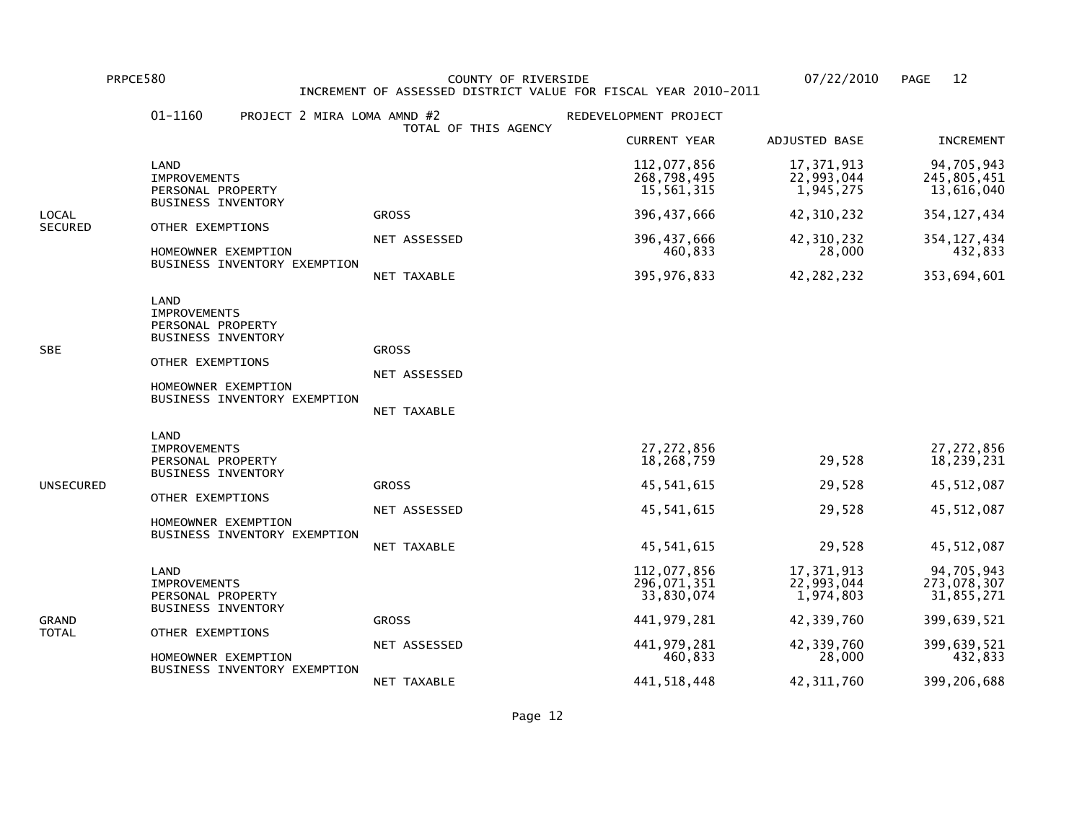PRPCE580 COUNTY OF RIVERSIDE 07/22/2010 PAGE 12 INCREMENT OF ASSESSED DISTRICT VALUE FOR FISCAL YEAR 2010-2011

|                | 01-1160<br>PROJECT 2 MIRA LOMA AMND #2                                                                                                                   |                                             | REDEVELOPMENT PROJECT                    |                                       |                                         |
|----------------|----------------------------------------------------------------------------------------------------------------------------------------------------------|---------------------------------------------|------------------------------------------|---------------------------------------|-----------------------------------------|
|                |                                                                                                                                                          | TOTAL OF THIS AGENCY                        | <b>CURRENT YEAR</b>                      | ADJUSTED BASE                         | <b>INCREMENT</b>                        |
|                | LAND<br><b>IMPROVEMENTS</b><br>PERSONAL PROPERTY                                                                                                         |                                             | 112,077,856<br>268,798,495<br>15,561,315 | 17,371,913<br>22,993,044<br>1,945,275 | 94,705,943<br>245,805,451<br>13,616,040 |
| LOCAL          | <b>BUSINESS INVENTORY</b>                                                                                                                                | <b>GROSS</b>                                | 396,437,666                              | 42,310,232                            | 354, 127, 434                           |
| <b>SECURED</b> | OTHER EXEMPTIONS<br>HOMEOWNER EXEMPTION<br>BUSINESS INVENTORY EXEMPTION                                                                                  | NET ASSESSED                                | 396, 437, 666<br>460,833                 | 42, 310, 232<br>28,000                | 354, 127, 434<br>432,833                |
|                |                                                                                                                                                          | NET TAXABLE                                 | 395, 976, 833                            | 42, 282, 232                          | 353,694,601                             |
| SBE            | LAND<br><b>IMPROVEMENTS</b><br>PERSONAL PROPERTY<br><b>BUSINESS INVENTORY</b><br>OTHER EXEMPTIONS<br>HOMEOWNER EXEMPTION<br>BUSINESS INVENTORY EXEMPTION | <b>GROSS</b><br>NET ASSESSED<br>NET TAXABLE |                                          |                                       |                                         |
|                | LAND<br><b>IMPROVEMENTS</b><br>PERSONAL PROPERTY<br><b>BUSINESS INVENTORY</b>                                                                            |                                             | 27, 272, 856<br>18,268,759               | 29,528                                | 27, 272, 856<br>18,239,231              |
| UNSECURED      |                                                                                                                                                          | <b>GROSS</b>                                | 45,541,615                               | 29,528                                | 45, 512, 087                            |
|                | OTHER EXEMPTIONS<br>HOMEOWNER EXEMPTION                                                                                                                  | NET ASSESSED                                | 45,541,615                               | 29,528                                | 45, 512, 087                            |
|                | BUSINESS INVENTORY EXEMPTION                                                                                                                             | NET TAXABLE                                 | 45,541,615                               | 29,528                                | 45, 512, 087                            |
| GRAND          | LAND<br>IMPROVEMENTS<br>PERSONAL PROPERTY<br><b>BUSINESS INVENTORY</b>                                                                                   |                                             | 112,077,856<br>296,071,351<br>33,830,074 | 17,371,913<br>22,993,044<br>1,974,803 | 94,705,943<br>273,078,307<br>31,855,271 |
|                |                                                                                                                                                          | <b>GROSS</b>                                | 441, 979, 281                            | 42,339,760                            | 399,639,521                             |
| TOTAL          | OTHER EXEMPTIONS<br>HOMEOWNER EXEMPTION                                                                                                                  | NET ASSESSED                                | 441, 979, 281<br>460,833                 | 42,339,760<br>28,000                  | 399,639,521<br>432,833                  |
|                | BUSINESS INVENTORY EXEMPTION                                                                                                                             | NET TAXABLE                                 | 441,518,448                              | 42, 311, 760                          | 399,206,688                             |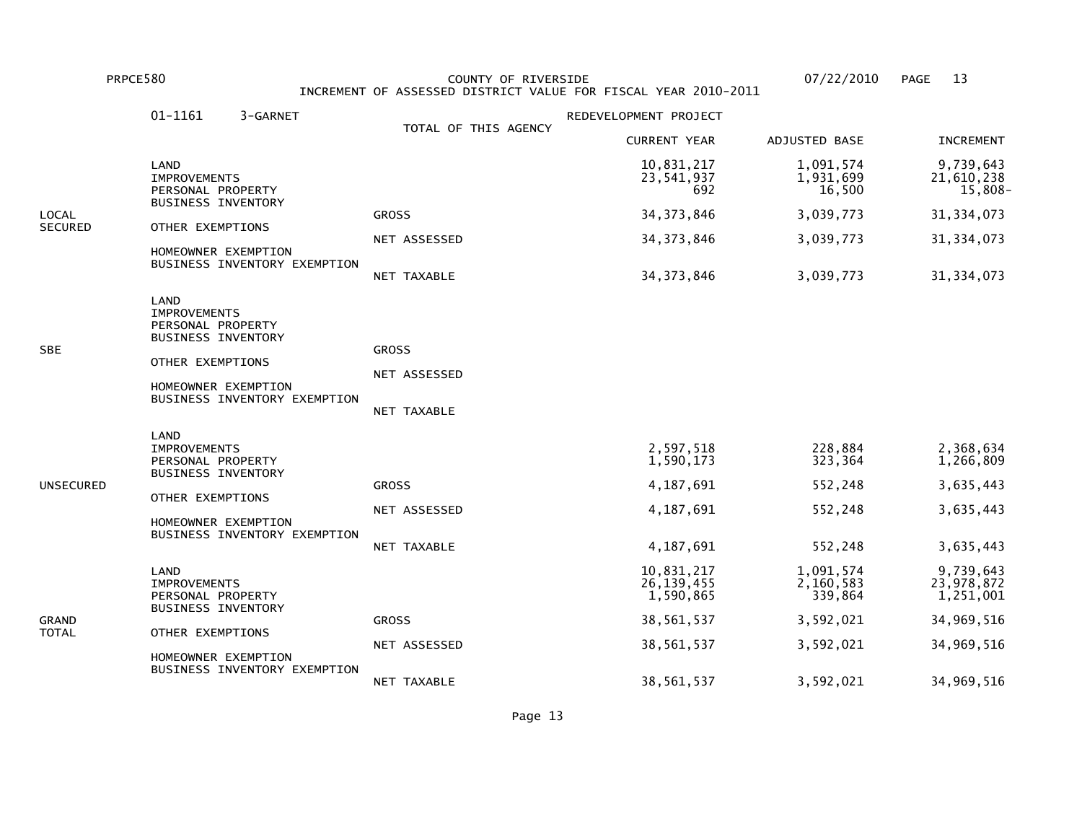PRPCE580 COUNTY OF RIVERSIDE 07/22/2010 PAGE 13 INCREMENT OF ASSESSED DISTRICT VALUE FOR FISCAL YEAR 2010-2011

|                | 01-1161                                                                                              | 3-GARNET                     |                      | REDEVELOPMENT PROJECT                   |                                   |                                      |
|----------------|------------------------------------------------------------------------------------------------------|------------------------------|----------------------|-----------------------------------------|-----------------------------------|--------------------------------------|
|                |                                                                                                      |                              | TOTAL OF THIS AGENCY | <b>CURRENT YEAR</b>                     | ADJUSTED BASE                     | <b>INCREMENT</b>                     |
|                | LAND<br><b>IMPROVEMENTS</b><br>PERSONAL PROPERTY                                                     |                              |                      | 10,831,217<br>23,541,937<br>692         | 1,091,574<br>1,931,699<br>16,500  | 9,739,643<br>21,610,238<br>15,808-   |
| LOCAL          | <b>BUSINESS INVENTORY</b>                                                                            |                              | <b>GROSS</b>         | 34, 373, 846                            | 3,039,773                         | 31, 334, 073                         |
| <b>SECURED</b> | OTHER EXEMPTIONS                                                                                     |                              | NET ASSESSED         | 34, 373, 846                            | 3,039,773                         | 31, 334, 073                         |
|                | HOMEOWNER EXEMPTION                                                                                  | BUSINESS INVENTORY EXEMPTION | NET TAXABLE          | 34, 373, 846                            | 3,039,773                         | 31, 334, 073                         |
|                | LAND<br><b>IMPROVEMENTS</b><br>PERSONAL PROPERTY<br><b>BUSINESS INVENTORY</b>                        |                              |                      |                                         |                                   |                                      |
| SBE            | OTHER EXEMPTIONS<br>HOMEOWNER EXEMPTION<br>BUSINESS INVENTORY EXEMPTION                              | <b>GROSS</b>                 |                      |                                         |                                   |                                      |
|                |                                                                                                      | NET ASSESSED                 |                      |                                         |                                   |                                      |
|                |                                                                                                      | NET TAXABLE                  |                      |                                         |                                   |                                      |
|                | LAND<br><b>IMPROVEMENTS</b><br>PERSONAL PROPERTY<br><b>BUSINESS INVENTORY</b>                        |                              |                      | 2,597,518<br>1,590,173                  | 228,884<br>323,364                | 2,368,634<br>1,266,809               |
| UNSECURED      | OTHER EXEMPTIONS<br>HOMEOWNER EXEMPTION<br>BUSINESS INVENTORY EXEMPTION                              | <b>GROSS</b>                 | 4,187,691            | 552,248                                 | 3,635,443                         |                                      |
|                |                                                                                                      | NET ASSESSED                 | 4,187,691            | 552,248                                 | 3,635,443                         |                                      |
|                |                                                                                                      | NET TAXABLE                  | 4,187,691            | 552,248                                 | 3,635,443                         |                                      |
|                | LAND<br><b>IMPROVEMENTS</b><br>PERSONAL PROPERTY                                                     |                              |                      | 10,831,217<br>26, 139, 455<br>1,590,865 | 1,091,574<br>2,160,583<br>339,864 | 9,739,643<br>23,978,872<br>1,251,001 |
| GRAND          | <b>BUSINESS INVENTORY</b><br>OTHER EXEMPTIONS<br>HOMEOWNER EXEMPTION<br>BUSINESS INVENTORY EXEMPTION |                              | <b>GROSS</b>         | 38,561,537                              | 3,592,021                         | 34,969,516                           |
| TOTAL          |                                                                                                      | NET ASSESSED                 | 38,561,537           | 3,592,021                               | 34,969,516                        |                                      |
|                |                                                                                                      | NET TAXABLE                  | 38,561,537           | 3,592,021                               | 34,969,516                        |                                      |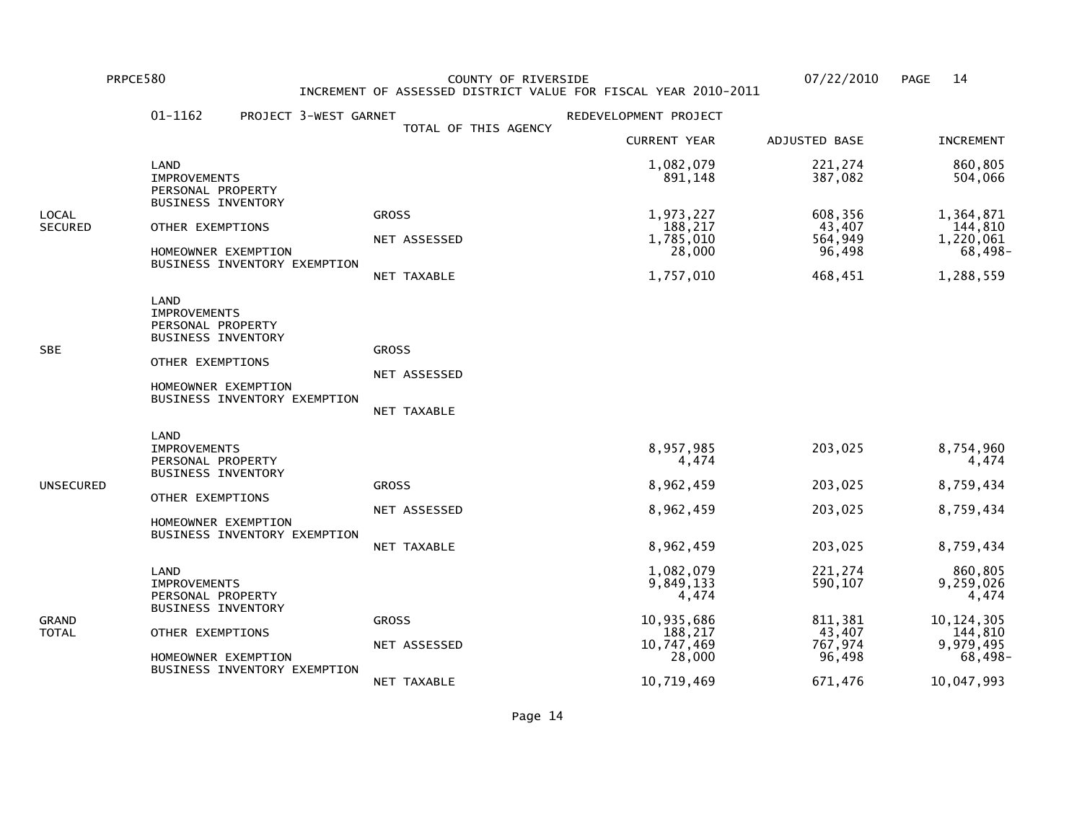PRPCE580 COUNTY OF RIVERSIDE 07/22/2010 PAGE 14 INCREMENT OF ASSESSED DISTRICT VALUE FOR FISCAL YEAR 2010-2011

|                         | 01-1162                                                                                                                                                         | PROJECT 3-WEST GARNET | TOTAL OF THIS AGENCY                        | REDEVELOPMENT PROJECT                                                                          |                                                                         |                                                                                                |
|-------------------------|-----------------------------------------------------------------------------------------------------------------------------------------------------------------|-----------------------|---------------------------------------------|------------------------------------------------------------------------------------------------|-------------------------------------------------------------------------|------------------------------------------------------------------------------------------------|
|                         |                                                                                                                                                                 |                       |                                             | <b>CURRENT YEAR</b>                                                                            | ADJUSTED BASE                                                           | <b>INCREMENT</b>                                                                               |
|                         | LAND<br><b>IMPROVEMENTS</b><br>PERSONAL PROPERTY<br><b>BUSINESS INVENTORY</b>                                                                                   |                       |                                             | 1,082,079<br>891,148                                                                           | 221,274<br>387,082                                                      | 860,805<br>504,066                                                                             |
| LOCAL<br><b>SECURED</b> | OTHER EXEMPTIONS<br>HOMEOWNER EXEMPTION<br>BUSINESS INVENTORY EXEMPTION                                                                                         |                       | <b>GROSS</b><br>NET ASSESSED<br>NET TAXABLE | 1,973,227<br>188,217<br>1,785,010<br>28,000<br>1,757,010                                       | 608,356<br>43,407<br>564,949<br>96,498<br>468,451                       | 1,364,871<br>144,810<br>1,220,061<br>68,498-<br>1,288,559                                      |
| SBE                     | <b>LAND</b><br><b>IMPROVEMENTS</b><br>PERSONAL PROPERTY<br><b>BUSINESS INVENTORY</b><br>OTHER EXEMPTIONS<br>HOMEOWNER EXEMPTION<br>BUSINESS INVENTORY EXEMPTION |                       | <b>GROSS</b><br>NET ASSESSED<br>NET TAXABLE |                                                                                                |                                                                         |                                                                                                |
| UNSECURED               | LAND<br><b>IMPROVEMENTS</b><br>PERSONAL PROPERTY<br><b>BUSINESS INVENTORY</b><br>OTHER EXEMPTIONS<br>HOMEOWNER EXEMPTION<br>BUSINESS INVENTORY EXEMPTION        |                       | <b>GROSS</b><br>NET ASSESSED<br>NET TAXABLE | 8,957,985<br>4,474<br>8,962,459<br>8,962,459<br>8,962,459                                      | 203,025<br>203,025<br>203,025<br>203,025                                | 8,754,960<br>4,474<br>8,759,434<br>8,759,434<br>8,759,434                                      |
| GRAND<br>TOTAL          | LAND<br><b>IMPROVEMENTS</b><br>PERSONAL PROPERTY<br><b>BUSINESS INVENTORY</b><br>OTHER EXEMPTIONS<br>HOMEOWNER EXEMPTION<br>BUSINESS INVENTORY EXEMPTION        |                       | <b>GROSS</b><br>NET ASSESSED<br>NET TAXABLE | 1,082,079<br>9,849,133<br>4,474<br>10,935,686<br>188,217<br>10,747,469<br>28,000<br>10,719,469 | 221,274<br>590,107<br>811,381<br>43,407<br>767,974<br>96,498<br>671,476 | 860,805<br>9,259,026<br>4,474<br>10, 124, 305<br>144,810<br>9,979,495<br>68,498-<br>10,047,993 |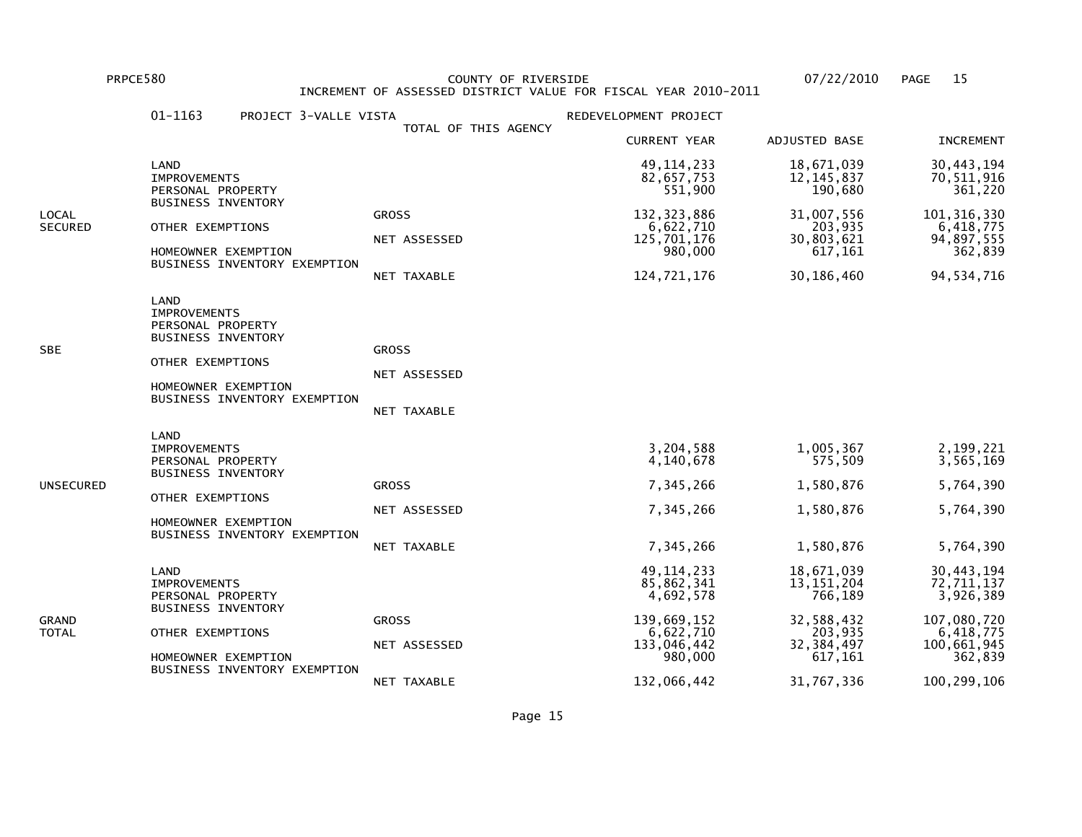PRPCE580 COUNTY OF RIVERSIDE 07/22/2010 PAGE 15 INCREMENT OF ASSESSED DISTRICT VALUE FOR FISCAL YEAR 2010-2011

|                  | 01-1163<br>PROJECT 3-VALLE VISTA                                                                                                                         |                                                    | REDEVELOPMENT PROJECT                                                                                        |                                                                                                         |                                                                                                            |
|------------------|----------------------------------------------------------------------------------------------------------------------------------------------------------|----------------------------------------------------|--------------------------------------------------------------------------------------------------------------|---------------------------------------------------------------------------------------------------------|------------------------------------------------------------------------------------------------------------|
|                  |                                                                                                                                                          | TOTAL OF THIS AGENCY                               | <b>CURRENT YEAR</b>                                                                                          | ADJUSTED BASE                                                                                           | <b>INCREMENT</b>                                                                                           |
|                  | LAND<br><b>IMPROVEMENTS</b><br>PERSONAL PROPERTY                                                                                                         |                                                    | 49, 114, 233<br>82,657,753<br>551,900                                                                        | 18,671,039<br>12, 145, 837<br>190,680                                                                   | 30,443,194<br>70,511,916<br>361,220                                                                        |
| LOCAL<br>SECURED | <b>BUSINESS INVENTORY</b><br>OTHER EXEMPTIONS<br>HOMEOWNER EXEMPTION<br>BUSINESS INVENTORY EXEMPTION                                                     | <b>GROSS</b><br>NET ASSESSED<br>NET TAXABLE        | 132, 323, 886<br>6,622,710<br>125,701,176<br>980,000<br>124,721,176                                          | 31,007,556<br>203,935<br>30,803,621<br>617,161<br>30,186,460                                            | 101, 316, 330<br>6,418,775<br>94,897,555<br>362,839<br>94, 534, 716                                        |
| SBE              | LAND<br><b>IMPROVEMENTS</b><br>PERSONAL PROPERTY<br><b>BUSINESS INVENTORY</b><br>OTHER EXEMPTIONS<br>HOMEOWNER EXEMPTION<br>BUSINESS INVENTORY EXEMPTION | <b>GROSS</b><br>NET ASSESSED<br>NET TAXABLE        |                                                                                                              |                                                                                                         |                                                                                                            |
| UNSECURED        | LAND<br><b>IMPROVEMENTS</b><br>PERSONAL PROPERTY<br><b>BUSINESS INVENTORY</b><br>OTHER EXEMPTIONS<br>HOMEOWNER EXEMPTION<br>BUSINESS INVENTORY EXEMPTION | <b>GROSS</b><br>NET ASSESSED<br><b>NET TAXABLE</b> | 3,204,588<br>4,140,678<br>7,345,266<br>7,345,266<br>7,345,266                                                | 1,005,367<br>575,509<br>1,580,876<br>1,580,876<br>1,580,876                                             | 2,199,221<br>3,565,169<br>5,764,390<br>5,764,390<br>5,764,390                                              |
| GRAND<br>TOTAL   | LAND<br><b>IMPROVEMENTS</b><br>PERSONAL PROPERTY<br><b>BUSINESS INVENTORY</b><br>OTHER EXEMPTIONS<br>HOMEOWNER EXEMPTION<br>BUSINESS INVENTORY EXEMPTION | <b>GROSS</b><br>NET ASSESSED<br>NET TAXABLE        | 49, 114, 233<br>85,862,341<br>4,692,578<br>139,669,152<br>6,622,710<br>133,046,442<br>980,000<br>132,066,442 | 18,671,039<br>13, 151, 204<br>766,189<br>32,588,432<br>203,935<br>32, 384, 497<br>617,161<br>31,767,336 | 30,443,194<br>72,711,137<br>3,926,389<br>107,080,720<br>6,418,775<br>100,661,945<br>362,839<br>100,299,106 |
|                  |                                                                                                                                                          |                                                    |                                                                                                              |                                                                                                         |                                                                                                            |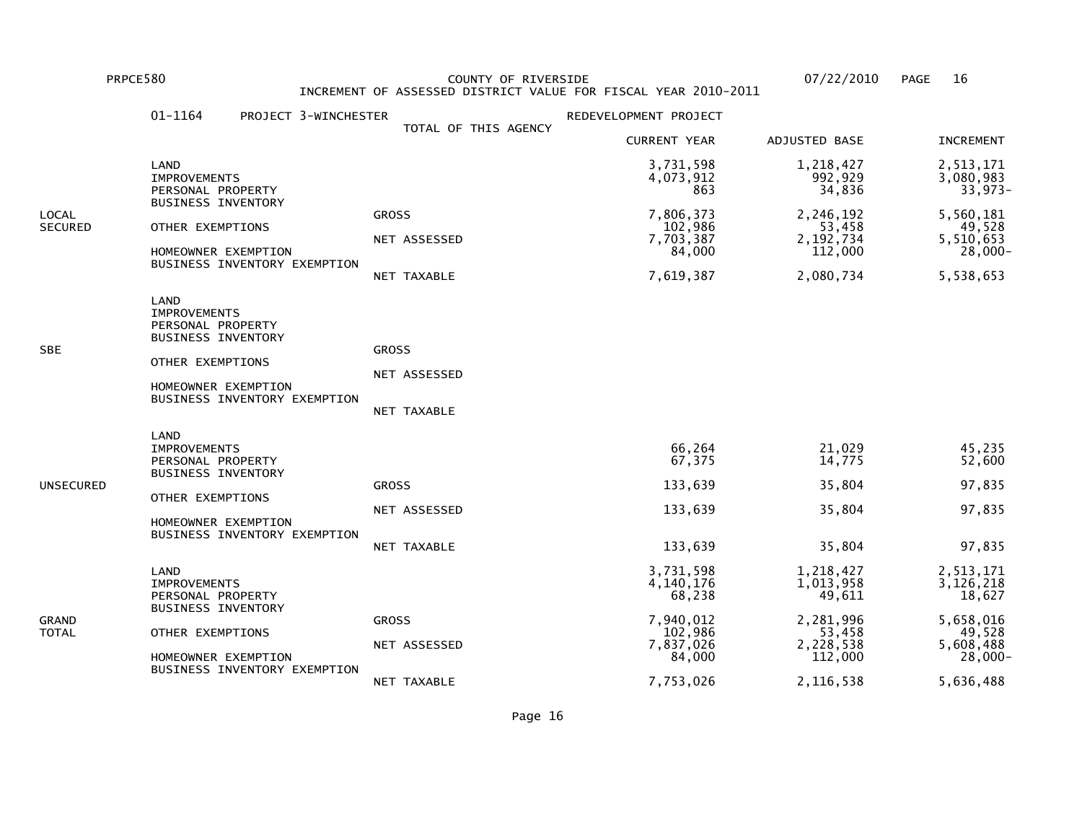PRPCE580 COUNTY OF RIVERSIDE 07/22/2010 PAGE 16 INCREMENT OF ASSESSED DISTRICT VALUE FOR FISCAL YEAR 2010-2011

|                         | 01-1164<br>PROJECT 3-WINCHESTER                                                                                                                          |                                             | REDEVELOPMENT PROJECT                                                                        |                                                                                              |                                                                                                 |
|-------------------------|----------------------------------------------------------------------------------------------------------------------------------------------------------|---------------------------------------------|----------------------------------------------------------------------------------------------|----------------------------------------------------------------------------------------------|-------------------------------------------------------------------------------------------------|
|                         |                                                                                                                                                          | TOTAL OF THIS AGENCY                        | <b>CURRENT YEAR</b>                                                                          | ADJUSTED BASE                                                                                | <b>INCREMENT</b>                                                                                |
|                         | LAND<br><b>IMPROVEMENTS</b><br>PERSONAL PROPERTY                                                                                                         |                                             | 3,731,598<br>4,073,912<br>863                                                                | 1,218,427<br>992,929<br>34,836                                                               | 2,513,171<br>3,080,983<br>33,973-                                                               |
| LOCAL<br><b>SECURED</b> | <b>BUSINESS INVENTORY</b><br>OTHER EXEMPTIONS<br>HOMEOWNER EXEMPTION<br>BUSINESS INVENTORY EXEMPTION                                                     | <b>GROSS</b><br>NET ASSESSED<br>NET TAXABLE | 7,806,373<br>102,986<br>7,703,387<br>84,000<br>7,619,387                                     | 2,246,192<br>53,458<br>2,192,734<br>112,000<br>2,080,734                                     | 5,560,181<br>49,528<br>5,510,653<br>$28,000 -$<br>5,538,653                                     |
| SBE                     | LAND<br><b>IMPROVEMENTS</b><br>PERSONAL PROPERTY<br><b>BUSINESS INVENTORY</b><br>OTHER EXEMPTIONS<br>HOMEOWNER EXEMPTION<br>BUSINESS INVENTORY EXEMPTION | <b>GROSS</b><br>NET ASSESSED<br>NET TAXABLE |                                                                                              |                                                                                              |                                                                                                 |
| UNSECURED               | LAND<br><b>IMPROVEMENTS</b><br>PERSONAL PROPERTY<br><b>BUSINESS INVENTORY</b><br>OTHER EXEMPTIONS<br>HOMEOWNER EXEMPTION<br>BUSINESS INVENTORY EXEMPTION | <b>GROSS</b><br>NET ASSESSED<br>NET TAXABLE | 66,264<br>67,375<br>133,639<br>133,639<br>133,639                                            | 21,029<br>14,775<br>35,804<br>35,804<br>35,804                                               | 45,235<br>52,600<br>97,835<br>97,835<br>97,835                                                  |
| GRAND<br>TOTAL          | LAND<br><b>IMPROVEMENTS</b><br>PERSONAL PROPERTY<br><b>BUSINESS INVENTORY</b><br>OTHER EXEMPTIONS<br>HOMEOWNER EXEMPTION<br>BUSINESS INVENTORY EXEMPTION | <b>GROSS</b><br>NET ASSESSED<br>NET TAXABLE | 3,731,598<br>4,140,176<br>68,238<br>7,940,012<br>102,986<br>7,837,026<br>84,000<br>7,753,026 | 1,218,427<br>1,013,958<br>49,611<br>2,281,996<br>53,458<br>2,228,538<br>112,000<br>2,116,538 | 2,513,171<br>3,126,218<br>18,627<br>5,658,016<br>49,528<br>5,608,488<br>$28,000 -$<br>5,636,488 |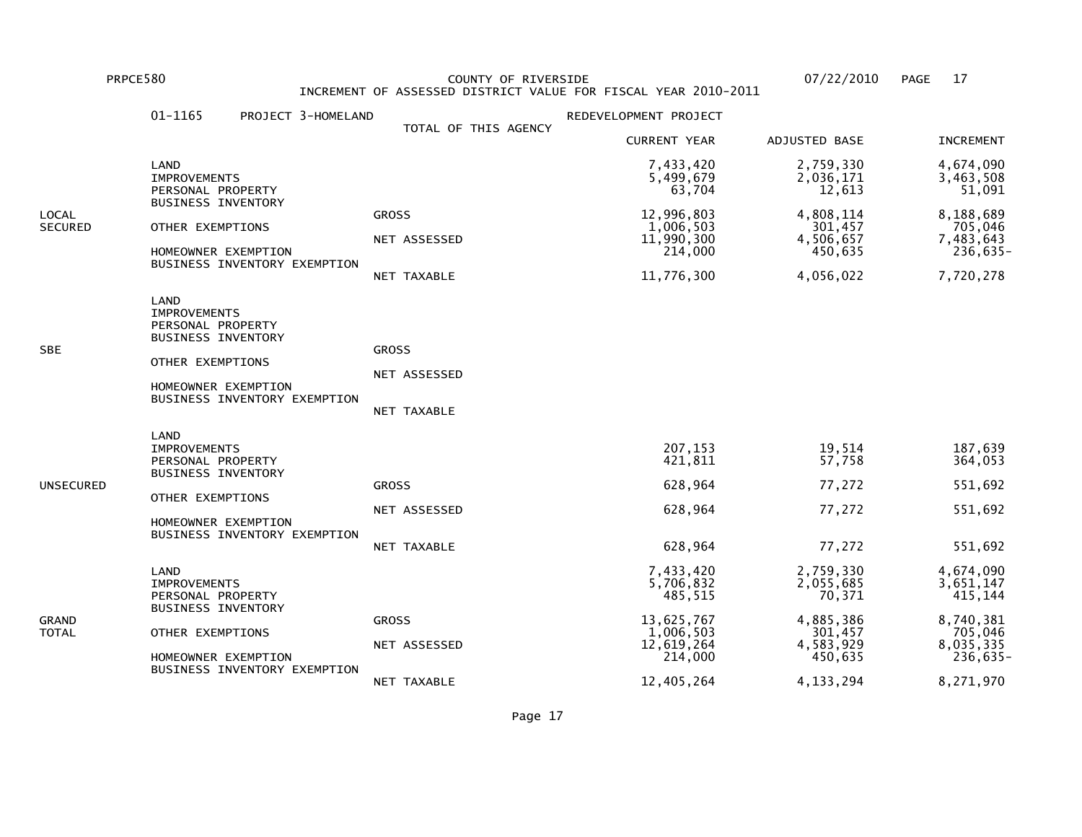PRPCE580 COUNTY OF RIVERSIDE 07/22/2010 PAGE 17 INCREMENT OF ASSESSED DISTRICT VALUE FOR FISCAL YEAR 2010-2011

|                  | 01-1165<br>PROJECT 3-HOMELAND                                                                                                                            |                                             | REDEVELOPMENT PROJECT                                                                               |                                                                                                 |                                                                                                    |
|------------------|----------------------------------------------------------------------------------------------------------------------------------------------------------|---------------------------------------------|-----------------------------------------------------------------------------------------------------|-------------------------------------------------------------------------------------------------|----------------------------------------------------------------------------------------------------|
|                  |                                                                                                                                                          | TOTAL OF THIS AGENCY                        | <b>CURRENT YEAR</b>                                                                                 | ADJUSTED BASE                                                                                   | <b>INCREMENT</b>                                                                                   |
|                  | LAND<br><b>IMPROVEMENTS</b><br>PERSONAL PROPERTY                                                                                                         |                                             | 7,433,420<br>5,499,679<br>63,704                                                                    | 2,759,330<br>2,036,171<br>12,613                                                                | 4,674,090<br>3,463,508<br>51,091                                                                   |
| LOCAL<br>SECURED | <b>BUSINESS INVENTORY</b><br>OTHER EXEMPTIONS<br>HOMEOWNER EXEMPTION<br>BUSINESS INVENTORY EXEMPTION                                                     | <b>GROSS</b><br>NET ASSESSED<br>NET TAXABLE | 12,996,803<br>1,006,503<br>11,990,300<br>214,000<br>11,776,300                                      | 4,808,114<br>301,457<br>4,506,657<br>450,635<br>4,056,022                                       | 8,188,689<br>705,046<br>7,483,643<br>236,635-<br>7,720,278                                         |
| SBE              | LAND<br><b>IMPROVEMENTS</b><br>PERSONAL PROPERTY<br><b>BUSINESS INVENTORY</b><br>OTHER EXEMPTIONS<br>HOMEOWNER EXEMPTION<br>BUSINESS INVENTORY EXEMPTION | <b>GROSS</b><br>NET ASSESSED<br>NET TAXABLE |                                                                                                     |                                                                                                 |                                                                                                    |
| UNSECURED        | LAND<br><b>IMPROVEMENTS</b><br>PERSONAL PROPERTY<br><b>BUSINESS INVENTORY</b><br>OTHER EXEMPTIONS<br>HOMEOWNER EXEMPTION<br>BUSINESS INVENTORY EXEMPTION | <b>GROSS</b><br>NET ASSESSED<br>NET TAXABLE | 207,153<br>421,811<br>628,964<br>628,964<br>628,964                                                 | 19,514<br>57,758<br>77,272<br>77,272<br>77,272                                                  | 187,639<br>364,053<br>551,692<br>551,692<br>551,692                                                |
| GRAND<br>TOTAL   | LAND<br><b>IMPROVEMENTS</b><br>PERSONAL PROPERTY<br><b>BUSINESS INVENTORY</b><br>OTHER EXEMPTIONS<br>HOMEOWNER EXEMPTION<br>BUSINESS INVENTORY EXEMPTION | <b>GROSS</b><br>NET ASSESSED<br>NET TAXABLE | 7,433,420<br>5,706,832<br>485,515<br>13,625,767<br>1,006,503<br>12,619,264<br>214,000<br>12,405,264 | 2,759,330<br>2,055,685<br>70,371<br>4,885,386<br>301,457<br>4,583,929<br>450,635<br>4, 133, 294 | 4,674,090<br>3,651,147<br>415,144<br>8,740,381<br>705,046<br>8,035,335<br>$236,635 -$<br>8,271,970 |
|                  |                                                                                                                                                          |                                             |                                                                                                     |                                                                                                 |                                                                                                    |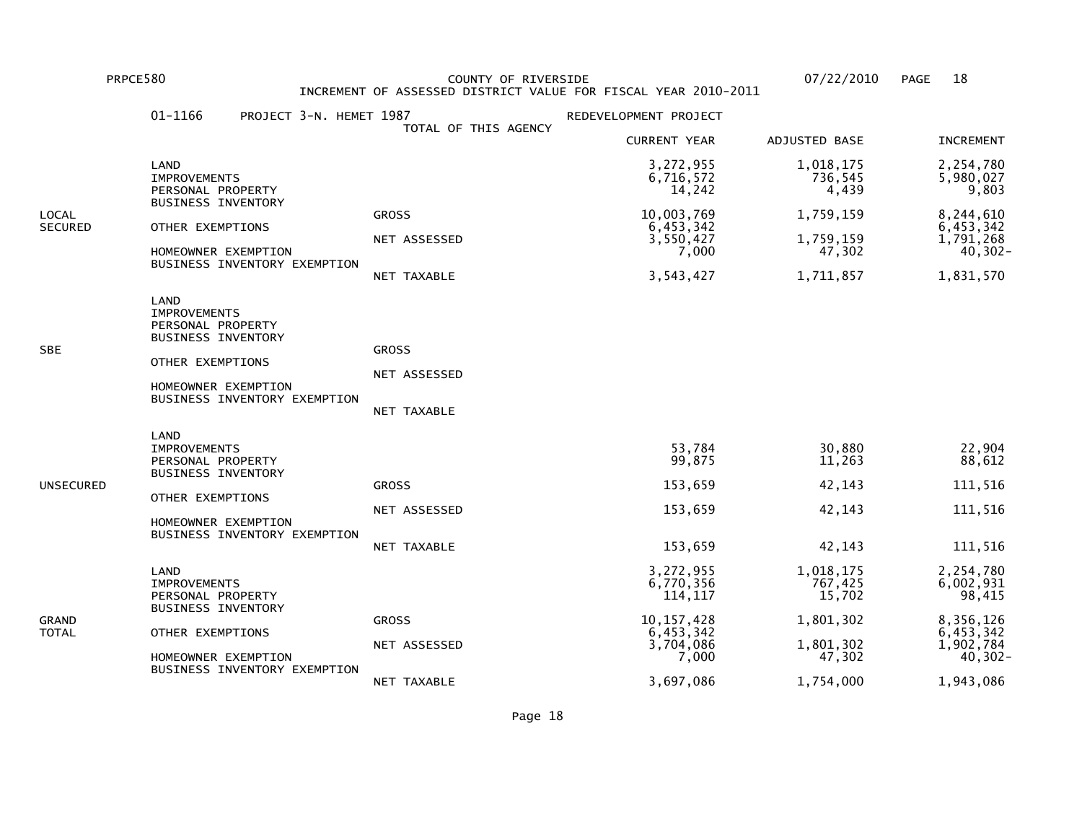PRPCE580 COUNTY OF RIVERSIDE 07/22/2010 PAGE 18 INCREMENT OF ASSESSED DISTRICT VALUE FOR FISCAL YEAR 2010-2011

|                         | 01-1166<br>PROJECT 3-N. HEMET 1987                                                                                                                       |                                             | REDEVELOPMENT PROJECT                                                                             |                                                                                 |                                                                                                     |
|-------------------------|----------------------------------------------------------------------------------------------------------------------------------------------------------|---------------------------------------------|---------------------------------------------------------------------------------------------------|---------------------------------------------------------------------------------|-----------------------------------------------------------------------------------------------------|
|                         |                                                                                                                                                          | TOTAL OF THIS AGENCY                        | <b>CURRENT YEAR</b>                                                                               | ADJUSTED BASE                                                                   | <b>INCREMENT</b>                                                                                    |
|                         | LAND<br><b>IMPROVEMENTS</b><br>PERSONAL PROPERTY                                                                                                         |                                             | 3,272,955<br>6,716,572<br>14,242                                                                  | 1,018,175<br>736,545<br>4,439                                                   | 2,254,780<br>5,980,027<br>9,803                                                                     |
| LOCAL<br><b>SECURED</b> | <b>BUSINESS INVENTORY</b><br>OTHER EXEMPTIONS<br>HOMEOWNER EXEMPTION<br>BUSINESS INVENTORY EXEMPTION                                                     | <b>GROSS</b><br>NET ASSESSED<br>NET TAXABLE | 10,003,769<br>6,453,342<br>3,550,427<br>7,000<br>3,543,427                                        | 1,759,159<br>1,759,159<br>47,302<br>1,711,857                                   | 8,244,610<br>6,453,342<br>1,791,268<br>$40, 302 -$<br>1,831,570                                     |
| SBE                     | LAND<br><b>IMPROVEMENTS</b><br>PERSONAL PROPERTY<br><b>BUSINESS INVENTORY</b><br>OTHER EXEMPTIONS<br>HOMEOWNER EXEMPTION<br>BUSINESS INVENTORY EXEMPTION | <b>GROSS</b><br>NET ASSESSED<br>NET TAXABLE |                                                                                                   |                                                                                 |                                                                                                     |
| UNSECURED               | LAND<br><b>IMPROVEMENTS</b><br>PERSONAL PROPERTY<br><b>BUSINESS INVENTORY</b><br>OTHER EXEMPTIONS<br>HOMEOWNER EXEMPTION<br>BUSINESS INVENTORY EXEMPTION | <b>GROSS</b><br>NET ASSESSED<br>NET TAXABLE | 53,784<br>99,875<br>153,659<br>153,659<br>153,659                                                 | 30,880<br>11,263<br>42,143<br>42,143<br>42,143                                  | 22,904<br>88,612<br>111,516<br>111,516<br>111,516                                                   |
| GRAND<br>TOTAL          | LAND<br><b>IMPROVEMENTS</b><br>PERSONAL PROPERTY<br><b>BUSINESS INVENTORY</b><br>OTHER EXEMPTIONS<br>HOMEOWNER EXEMPTION<br>BUSINESS INVENTORY EXEMPTION | <b>GROSS</b><br>NET ASSESSED<br>NET TAXABLE | 3,272,955<br>6,770,356<br>114,117<br>10, 157, 428<br>6,453,342<br>3,704,086<br>7,000<br>3,697,086 | 1,018,175<br>767,425<br>15,702<br>1,801,302<br>1,801,302<br>47,302<br>1,754,000 | 2,254,780<br>6,002,931<br>98,415<br>8,356,126<br>6,453,342<br>1,902,784<br>$40, 302 -$<br>1,943,086 |
|                         |                                                                                                                                                          |                                             |                                                                                                   |                                                                                 |                                                                                                     |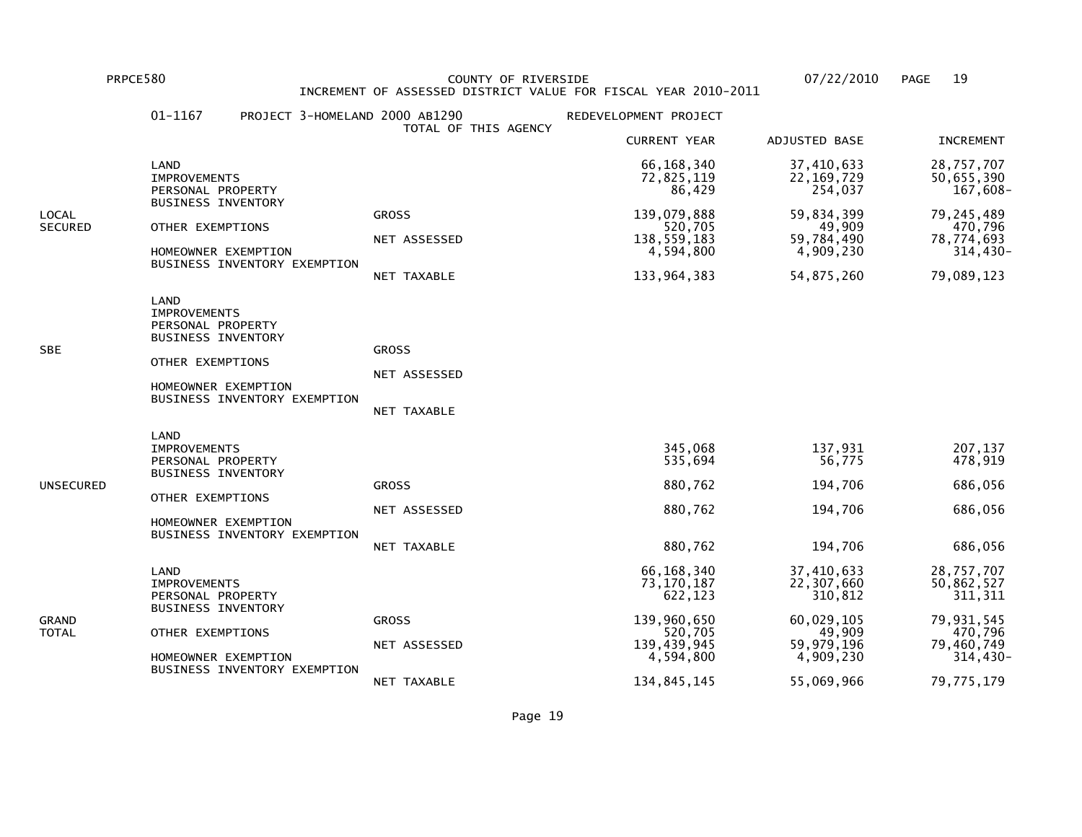PRPCE580 COUNTY OF RIVERSIDE 07/22/2010 PAGE 19 INCREMENT OF ASSESSED DISTRICT VALUE FOR FISCAL YEAR 2010-2011

|                         | 01-1167<br>PROJECT 3-HOMELAND 2000 AB1290                                                                                                                |                                             | REDEVELOPMENT PROJECT                                                                     |                                                                                        |                                                                                                         |
|-------------------------|----------------------------------------------------------------------------------------------------------------------------------------------------------|---------------------------------------------|-------------------------------------------------------------------------------------------|----------------------------------------------------------------------------------------|---------------------------------------------------------------------------------------------------------|
|                         |                                                                                                                                                          | TOTAL OF THIS AGENCY                        | <b>CURRENT YEAR</b>                                                                       | ADJUSTED BASE                                                                          | <b>INCREMENT</b>                                                                                        |
|                         | LAND<br><b>IMPROVEMENTS</b><br>PERSONAL PROPERTY                                                                                                         |                                             | 66, 168, 340<br>72,825,119<br>86,429                                                      | 37,410,633<br>22, 169, 729<br>254,037                                                  | 28,757,707<br>50,655,390<br>167,608-                                                                    |
| LOCAL<br><b>SECURED</b> | <b>BUSINESS INVENTORY</b><br>OTHER EXEMPTIONS<br>HOMEOWNER EXEMPTION<br>BUSINESS INVENTORY EXEMPTION                                                     | <b>GROSS</b><br>NET ASSESSED<br>NET TAXABLE | 139,079,888<br>520,705<br>138,559,183<br>4,594,800<br>133,964,383                         | 59,834,399<br>49,909<br>59,784,490<br>4,909,230<br>54,875,260                          | 79,245,489<br>470,796<br>78,774,693<br>314,430-<br>79,089,123                                           |
| SBE                     | LAND<br><b>IMPROVEMENTS</b><br>PERSONAL PROPERTY<br><b>BUSINESS INVENTORY</b><br>OTHER EXEMPTIONS<br>HOMEOWNER EXEMPTION<br>BUSINESS INVENTORY EXEMPTION | <b>GROSS</b><br>NET ASSESSED<br>NET TAXABLE |                                                                                           |                                                                                        |                                                                                                         |
| UNSECURED               | LAND<br><b>IMPROVEMENTS</b><br>PERSONAL PROPERTY<br><b>BUSINESS INVENTORY</b><br>OTHER EXEMPTIONS<br>HOMEOWNER EXEMPTION<br>BUSINESS INVENTORY EXEMPTION | <b>GROSS</b><br>NET ASSESSED<br>NET TAXABLE | 345,068<br>535,694<br>880,762<br>880,762<br>880,762                                       | 137,931<br>56,775<br>194,706<br>194,706<br>194,706                                     | 207,137<br>478,919<br>686,056<br>686,056<br>686,056                                                     |
| GRAND<br>TOTAL          | LAND<br><b>IMPROVEMENTS</b><br>PERSONAL PROPERTY<br><b>BUSINESS INVENTORY</b><br>OTHER EXEMPTIONS<br>HOMEOWNER EXEMPTION<br>BUSINESS INVENTORY EXEMPTION | <b>GROSS</b><br>NET ASSESSED                | 66,168,340<br>73,170,187<br>622,123<br>139,960,650<br>520,705<br>139,439,945<br>4,594,800 | 37,410,633<br>22,307,660<br>310,812<br>60,029,105<br>49,909<br>59,979,196<br>4,909,230 | 28,757,707<br>50,862,527<br>311, 311<br>79,931,545<br>470,796<br>79,460,749<br>$314,430-$<br>79,775,179 |
|                         |                                                                                                                                                          | NET TAXABLE                                 | 134,845,145                                                                               | 55,069,966                                                                             |                                                                                                         |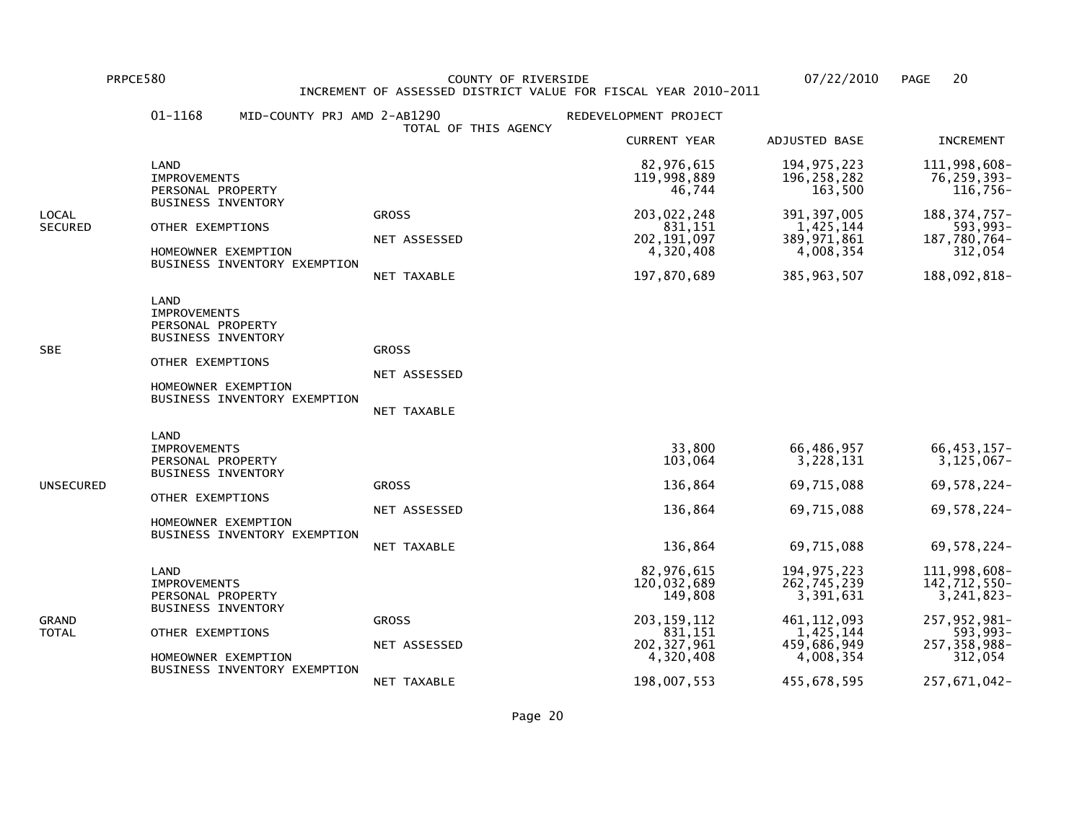PRPCE580 COUNTY OF RIVERSIDE 07/22/2010 PAGE 20 INCREMENT OF ASSESSED DISTRICT VALUE FOR FISCAL YEAR 2010-2011

|                  | 01-1168<br>MID-COUNTY PRJ AMD 2-AB1290                                                                                                                   |                                             | REDEVELOPMENT PROJECT                                                                                         |                                                                                                     |                                                                                                                     |
|------------------|----------------------------------------------------------------------------------------------------------------------------------------------------------|---------------------------------------------|---------------------------------------------------------------------------------------------------------------|-----------------------------------------------------------------------------------------------------|---------------------------------------------------------------------------------------------------------------------|
|                  |                                                                                                                                                          | TOTAL OF THIS AGENCY                        | <b>CURRENT YEAR</b>                                                                                           | ADJUSTED BASE                                                                                       | <b>INCREMENT</b>                                                                                                    |
|                  | LAND<br><b>IMPROVEMENTS</b><br>PERSONAL PROPERTY                                                                                                         |                                             | 82,976,615<br>119,998,889<br>46,744                                                                           | 194, 975, 223<br>196, 258, 282<br>163,500                                                           | 111,998,608-<br>76,259,393-<br>116,756-                                                                             |
| LOCAL<br>SECURED | <b>BUSINESS INVENTORY</b><br>OTHER EXEMPTIONS<br>HOMEOWNER EXEMPTION<br>BUSINESS INVENTORY EXEMPTION                                                     | <b>GROSS</b><br>NET ASSESSED<br>NET TAXABLE | 203,022,248<br>831,151<br>202, 191, 097<br>4,320,408<br>197,870,689                                           | 391, 397, 005<br>1,425,144<br>389, 971, 861<br>4,008,354<br>385, 963, 507                           | 188, 374, 757-<br>593,993-<br>187,780,764-<br>312,054<br>188,092,818-                                               |
| <b>SBE</b>       | LAND<br><b>IMPROVEMENTS</b><br>PERSONAL PROPERTY<br><b>BUSINESS INVENTORY</b><br>OTHER EXEMPTIONS<br>HOMEOWNER EXEMPTION<br>BUSINESS INVENTORY EXEMPTION | <b>GROSS</b><br>NET ASSESSED<br>NET TAXABLE |                                                                                                               |                                                                                                     |                                                                                                                     |
| UNSECURED        | LAND<br><b>IMPROVEMENTS</b><br>PERSONAL PROPERTY<br><b>BUSINESS INVENTORY</b><br>OTHER EXEMPTIONS<br>HOMEOWNER EXEMPTION<br>BUSINESS INVENTORY EXEMPTION | <b>GROSS</b><br>NET ASSESSED<br>NET TAXABLE | 33,800<br>103,064<br>136,864<br>136,864<br>136,864                                                            | 66,486,957<br>3,228,131<br>69,715,088<br>69,715,088<br>69,715,088                                   | 66, 453, 157-<br>3,125,067-<br>69,578,224-<br>69,578,224-<br>69,578,224-                                            |
| GRAND<br>TOTAL   | LAND<br><b>IMPROVEMENTS</b><br>PERSONAL PROPERTY<br><b>BUSINESS INVENTORY</b><br>OTHER EXEMPTIONS<br>HOMEOWNER EXEMPTION<br>BUSINESS INVENTORY EXEMPTION | <b>GROSS</b><br>NET ASSESSED                | 82,976,615<br>120,032,689<br>149,808<br>203, 159, 112<br>831,151<br>202, 327, 961<br>4,320,408<br>198,007,553 | 194, 975, 223<br>262,745,239<br>3,391,631<br>461, 112, 093<br>1,425,144<br>459,686,949<br>4,008,354 | 111,998,608-<br>142,712,550-<br>3,241,823-<br>257, 952, 981-<br>593,993-<br>257,358,988-<br>312,054<br>257,671,042- |
|                  |                                                                                                                                                          | NET TAXABLE                                 |                                                                                                               | 455,678,595                                                                                         |                                                                                                                     |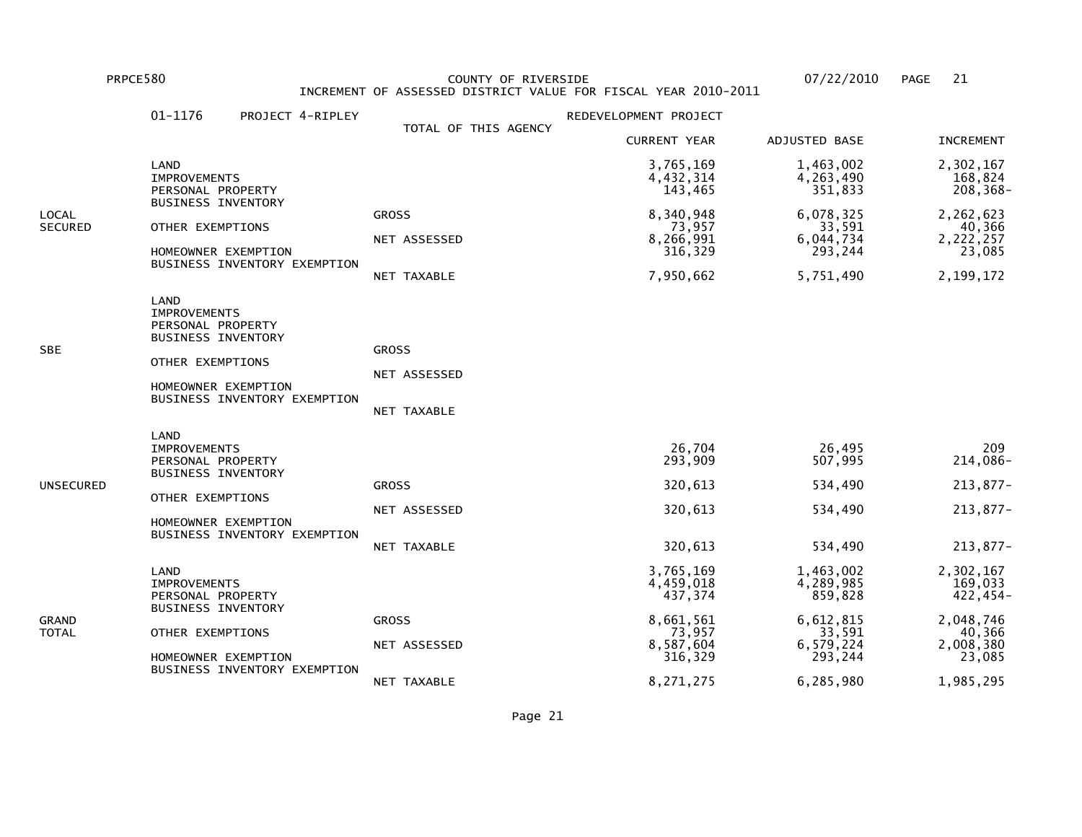PRPCE580 COUNTY OF RIVERSIDE 07/22/2010 PAGE 21 INCREMENT OF ASSESSED DISTRICT VALUE FOR FISCAL YEAR 2010-2011

|                         | 01-1176<br>PROJECT 4-RIPLEY                                                                                                                              |                                             | REDEVELOPMENT PROJECT                                                                         |                                                                                               |                                                                                                 |
|-------------------------|----------------------------------------------------------------------------------------------------------------------------------------------------------|---------------------------------------------|-----------------------------------------------------------------------------------------------|-----------------------------------------------------------------------------------------------|-------------------------------------------------------------------------------------------------|
|                         |                                                                                                                                                          | TOTAL OF THIS AGENCY                        | <b>CURRENT YEAR</b>                                                                           | ADJUSTED BASE                                                                                 | <b>INCREMENT</b>                                                                                |
|                         | LAND<br><b>IMPROVEMENTS</b><br>PERSONAL PROPERTY                                                                                                         |                                             | 3,765,169<br>4,432,314<br>143,465                                                             | 1,463,002<br>4,263,490<br>351,833                                                             | 2,302,167<br>168,824<br>208,368-                                                                |
| LOCAL<br><b>SECURED</b> | <b>BUSINESS INVENTORY</b><br>OTHER EXEMPTIONS<br>HOMEOWNER EXEMPTION<br>BUSINESS INVENTORY EXEMPTION                                                     | <b>GROSS</b><br>NET ASSESSED<br>NET TAXABLE | 8,340,948<br>73,957<br>8,266,991<br>316,329<br>7,950,662                                      | 6,078,325<br>33,591<br>6,044,734<br>293,244<br>5,751,490                                      | 2,262,623<br>40,366<br>2,222,257<br>23,085<br>2,199,172                                         |
| SBE                     | LAND<br><b>IMPROVEMENTS</b><br>PERSONAL PROPERTY<br><b>BUSINESS INVENTORY</b><br>OTHER EXEMPTIONS<br>HOMEOWNER EXEMPTION<br>BUSINESS INVENTORY EXEMPTION | <b>GROSS</b><br>NET ASSESSED<br>NET TAXABLE |                                                                                               |                                                                                               |                                                                                                 |
| UNSECURED               | LAND<br><b>IMPROVEMENTS</b><br>PERSONAL PROPERTY<br><b>BUSINESS INVENTORY</b><br>OTHER EXEMPTIONS<br>HOMEOWNER EXEMPTION<br>BUSINESS INVENTORY EXEMPTION | <b>GROSS</b><br>NET ASSESSED<br>NET TAXABLE | 26,704<br>293,909<br>320,613<br>320,613<br>320,613                                            | 26,495<br>507,995<br>534,490<br>534,490<br>534,490                                            | 209<br>214,086-<br>213,877-<br>213,877-<br>213,877-                                             |
| GRAND<br>TOTAL          | LAND<br><b>IMPROVEMENTS</b><br>PERSONAL PROPERTY<br><b>BUSINESS INVENTORY</b><br>OTHER EXEMPTIONS<br>HOMEOWNER EXEMPTION<br>BUSINESS INVENTORY EXEMPTION | <b>GROSS</b><br>NET ASSESSED<br>NET TAXABLE | 3,765,169<br>4,459,018<br>437,374<br>8,661,561<br>73,957<br>8,587,604<br>316,329<br>8,271,275 | 1,463,002<br>4,289,985<br>859,828<br>6,612,815<br>33,591<br>6,579,224<br>293,244<br>6,285,980 | 2,302,167<br>169,033<br>$422, 454 -$<br>2,048,746<br>40,366<br>2,008,380<br>23,085<br>1,985,295 |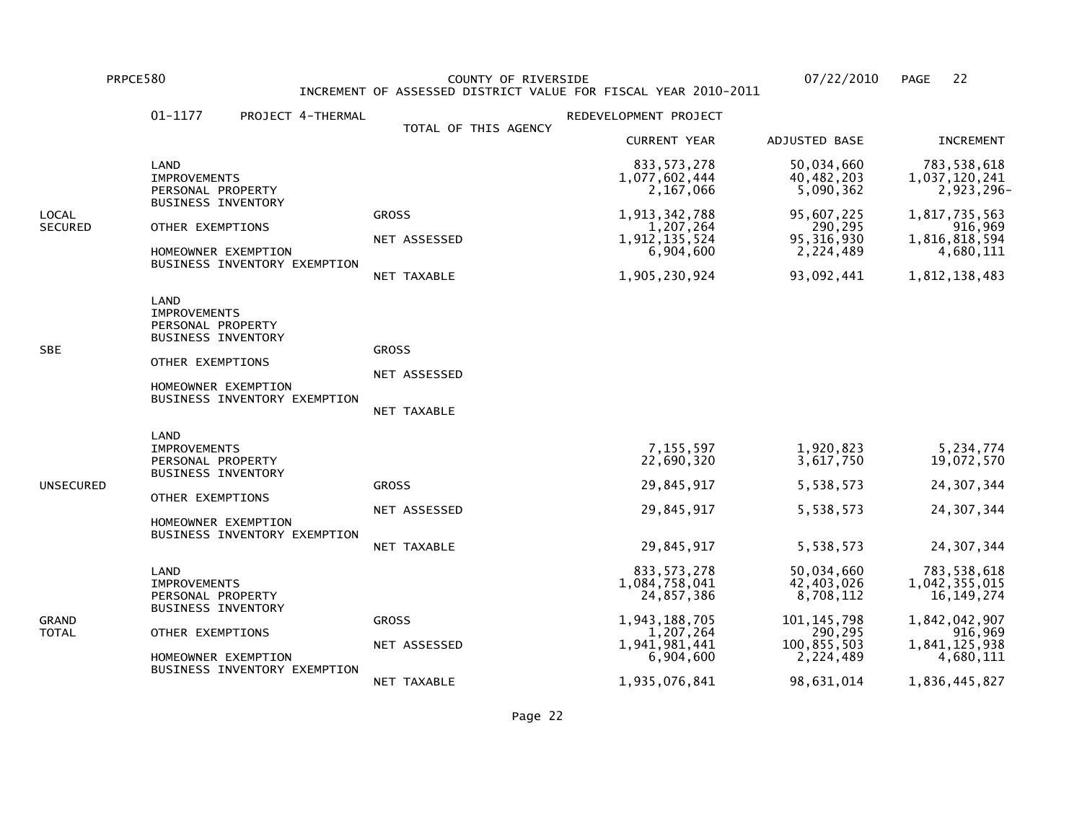PRPCE580 COUNTY OF RIVERSIDE 07/22/2010 PAGE 22 INCREMENT OF ASSESSED DISTRICT VALUE FOR FISCAL YEAR 2010-2011

| TOTAL OF THIS AGENCY<br><b>CURRENT YEAR</b><br>ADJUSTED BASE<br>833, 573, 278<br>50,034,660<br>LAND<br>40,482,203<br>1,077,602,444<br><b>IMPROVEMENTS</b><br>2,167,066<br>5,090,362<br>PERSONAL PROPERTY<br><b>BUSINESS INVENTORY</b><br>1,913,342,788<br>95,607,225<br><b>GROSS</b><br>290,295<br>1,207,264<br>OTHER EXEMPTIONS<br>1,912,135,524<br>95, 316, 930<br>NET ASSESSED<br>2,224,489<br>6,904,600<br>HOMEOWNER EXEMPTION<br>BUSINESS INVENTORY EXEMPTION<br>1,905,230,924<br>93,092,441<br>NET TAXABLE<br>LAND<br><b>IMPROVEMENTS</b><br>PERSONAL PROPERTY<br><b>BUSINESS INVENTORY</b><br><b>GROSS</b><br>OTHER EXEMPTIONS<br>NET ASSESSED<br>HOMEOWNER EXEMPTION<br>BUSINESS INVENTORY EXEMPTION<br>NET TAXABLE<br>LAND<br>1,920,823<br>7,155,597<br><b>IMPROVEMENTS</b><br>22,690,320<br>3,617,750<br>PERSONAL PROPERTY<br><b>BUSINESS INVENTORY</b><br>29,845,917<br>5,538,573<br><b>GROSS</b><br>OTHER EXEMPTIONS<br>29,845,917<br>5,538,573<br>NET ASSESSED<br>HOMEOWNER EXEMPTION<br>BUSINESS INVENTORY EXEMPTION<br>29,845,917<br>5,538,573<br>NET TAXABLE<br>833, 573, 278<br>50,034,660<br>LAND<br>1,084,758,041<br>42,403,026<br><b>IMPROVEMENTS</b><br>8,708,112<br>24,857,386<br>PERSONAL PROPERTY<br><b>BUSINESS INVENTORY</b><br>1,943,188,705<br>101, 145, 798<br><b>GROSS</b><br>290,295<br>1,207,264<br>OTHER EXEMPTIONS<br>1,941,981,441<br>100,855,503<br>NET ASSESSED |                  | $01 - 1177$<br>PROJECT 4-THERMAL | REDEVELOPMENT PROJECT |           |                                                                                                                         |
|------------------------------------------------------------------------------------------------------------------------------------------------------------------------------------------------------------------------------------------------------------------------------------------------------------------------------------------------------------------------------------------------------------------------------------------------------------------------------------------------------------------------------------------------------------------------------------------------------------------------------------------------------------------------------------------------------------------------------------------------------------------------------------------------------------------------------------------------------------------------------------------------------------------------------------------------------------------------------------------------------------------------------------------------------------------------------------------------------------------------------------------------------------------------------------------------------------------------------------------------------------------------------------------------------------------------------------------------------------------------------------------------------|------------------|----------------------------------|-----------------------|-----------|-------------------------------------------------------------------------------------------------------------------------|
|                                                                                                                                                                                                                                                                                                                                                                                                                                                                                                                                                                                                                                                                                                                                                                                                                                                                                                                                                                                                                                                                                                                                                                                                                                                                                                                                                                                                      |                  |                                  |                       |           | <b>INCREMENT</b>                                                                                                        |
|                                                                                                                                                                                                                                                                                                                                                                                                                                                                                                                                                                                                                                                                                                                                                                                                                                                                                                                                                                                                                                                                                                                                                                                                                                                                                                                                                                                                      |                  |                                  |                       |           | 783,538,618<br>1,037,120,241<br>2,923,296-                                                                              |
| SBE<br>UNSECURED<br>GRAND<br>TOTAL                                                                                                                                                                                                                                                                                                                                                                                                                                                                                                                                                                                                                                                                                                                                                                                                                                                                                                                                                                                                                                                                                                                                                                                                                                                                                                                                                                   | LOCAL<br>SECURED |                                  |                       |           | 1,817,735,563<br>916,969<br>1,816,818,594<br>4,680,111<br>1,812,138,483                                                 |
|                                                                                                                                                                                                                                                                                                                                                                                                                                                                                                                                                                                                                                                                                                                                                                                                                                                                                                                                                                                                                                                                                                                                                                                                                                                                                                                                                                                                      |                  |                                  |                       |           |                                                                                                                         |
|                                                                                                                                                                                                                                                                                                                                                                                                                                                                                                                                                                                                                                                                                                                                                                                                                                                                                                                                                                                                                                                                                                                                                                                                                                                                                                                                                                                                      |                  |                                  |                       |           | 5,234,774<br>19,072,570<br>24, 307, 344<br>24, 307, 344<br>24, 307, 344                                                 |
| BUSINESS INVENTORY EXEMPTION<br>1,935,076,841<br>98,631,014<br>NET TAXABLE                                                                                                                                                                                                                                                                                                                                                                                                                                                                                                                                                                                                                                                                                                                                                                                                                                                                                                                                                                                                                                                                                                                                                                                                                                                                                                                           |                  | HOMEOWNER EXEMPTION              | 6,904,600             | 2,224,489 | 783,538,618<br>1,042,355,015<br>16, 149, 274<br>1,842,042,907<br>916,969<br>1,841,125,938<br>4,680,111<br>1,836,445,827 |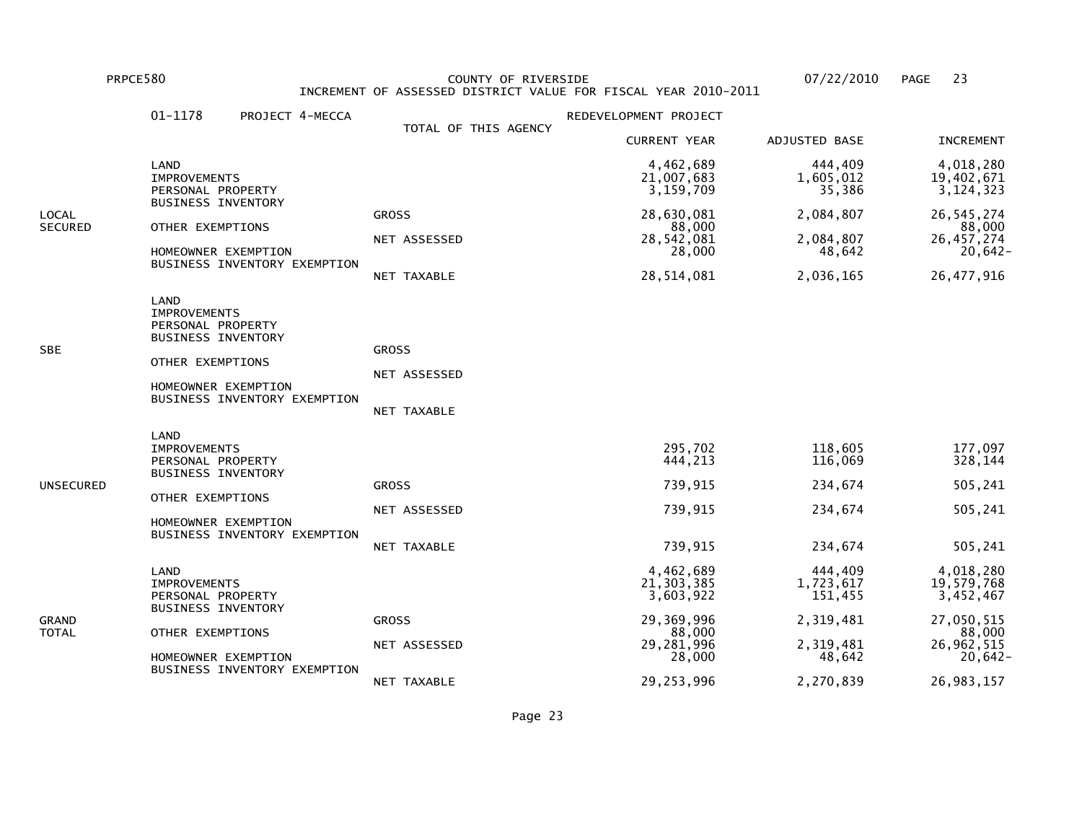PRPCE580 COUNTY OF RIVERSIDE 07/22/2010 PAGE 23 INCREMENT OF ASSESSED DISTRICT VALUE FOR FISCAL YEAR 2010-2011

|                         | 01-1178<br>PROJECT 4-MECCA                                                                           |                      | REDEVELOPMENT PROJECT                  |                                 |                                        |
|-------------------------|------------------------------------------------------------------------------------------------------|----------------------|----------------------------------------|---------------------------------|----------------------------------------|
|                         |                                                                                                      | TOTAL OF THIS AGENCY | <b>CURRENT YEAR</b>                    | ADJUSTED BASE                   | <b>INCREMENT</b>                       |
|                         | LAND<br><b>IMPROVEMENTS</b><br>PERSONAL PROPERTY                                                     |                      | 4,462,689<br>21,007,683<br>3,159,709   | 444,409<br>1,605,012<br>35,386  | 4,018,280<br>19,402,671<br>3, 124, 323 |
| LOCAL<br><b>SECURED</b> | <b>BUSINESS INVENTORY</b>                                                                            | <b>GROSS</b>         | 28,630,081                             | 2,084,807                       | 26, 545, 274                           |
|                         | OTHER EXEMPTIONS<br>HOMEOWNER EXEMPTION                                                              | NET ASSESSED         | 88,000<br>28,542,081<br>28,000         | 2,084,807<br>48,642             | 88,000<br>26, 457, 274<br>$20,642-$    |
|                         | BUSINESS INVENTORY EXEMPTION                                                                         | NET TAXABLE          | 28,514,081                             | 2,036,165                       | 26, 477, 916                           |
| SBE                     | LAND<br><b>IMPROVEMENTS</b><br>PERSONAL PROPERTY<br><b>BUSINESS INVENTORY</b>                        | <b>GROSS</b>         |                                        |                                 |                                        |
|                         | OTHER EXEMPTIONS                                                                                     | NET ASSESSED         |                                        |                                 |                                        |
|                         | HOMEOWNER EXEMPTION<br>BUSINESS INVENTORY EXEMPTION                                                  | NET TAXABLE          |                                        |                                 |                                        |
|                         | LAND<br><b>IMPROVEMENTS</b><br>PERSONAL PROPERTY<br><b>BUSINESS INVENTORY</b>                        |                      | 295,702<br>444,213                     | 118,605<br>116,069              | 177,097<br>328,144                     |
| UNSECURED               | OTHER EXEMPTIONS<br>HOMEOWNER EXEMPTION<br>BUSINESS INVENTORY EXEMPTION                              | <b>GROSS</b>         | 739,915                                | 234,674                         | 505,241                                |
|                         |                                                                                                      | NET ASSESSED         | 739,915                                | 234,674                         | 505,241                                |
|                         |                                                                                                      | NET TAXABLE          | 739,915                                | 234,674                         | 505,241                                |
| GRAND<br>TOTAL          | LAND<br><b>IMPROVEMENTS</b><br>PERSONAL PROPERTY                                                     |                      | 4,462,689<br>21, 303, 385<br>3,603,922 | 444,409<br>1,723,617<br>151,455 | 4,018,280<br>19,579,768<br>3,452,467   |
|                         | <b>BUSINESS INVENTORY</b><br>OTHER EXEMPTIONS<br>HOMEOWNER EXEMPTION<br>BUSINESS INVENTORY EXEMPTION | <b>GROSS</b>         | 29,369,996<br>88,000                   | 2,319,481                       | 27,050,515<br>88,000                   |
|                         |                                                                                                      | NET ASSESSED         | 29,281,996<br>28,000                   | 2,319,481<br>48,642             | 26,962,515<br>$20,642-$                |
|                         |                                                                                                      | NET TAXABLE          | 29,253,996                             | 2,270,839                       | 26,983,157                             |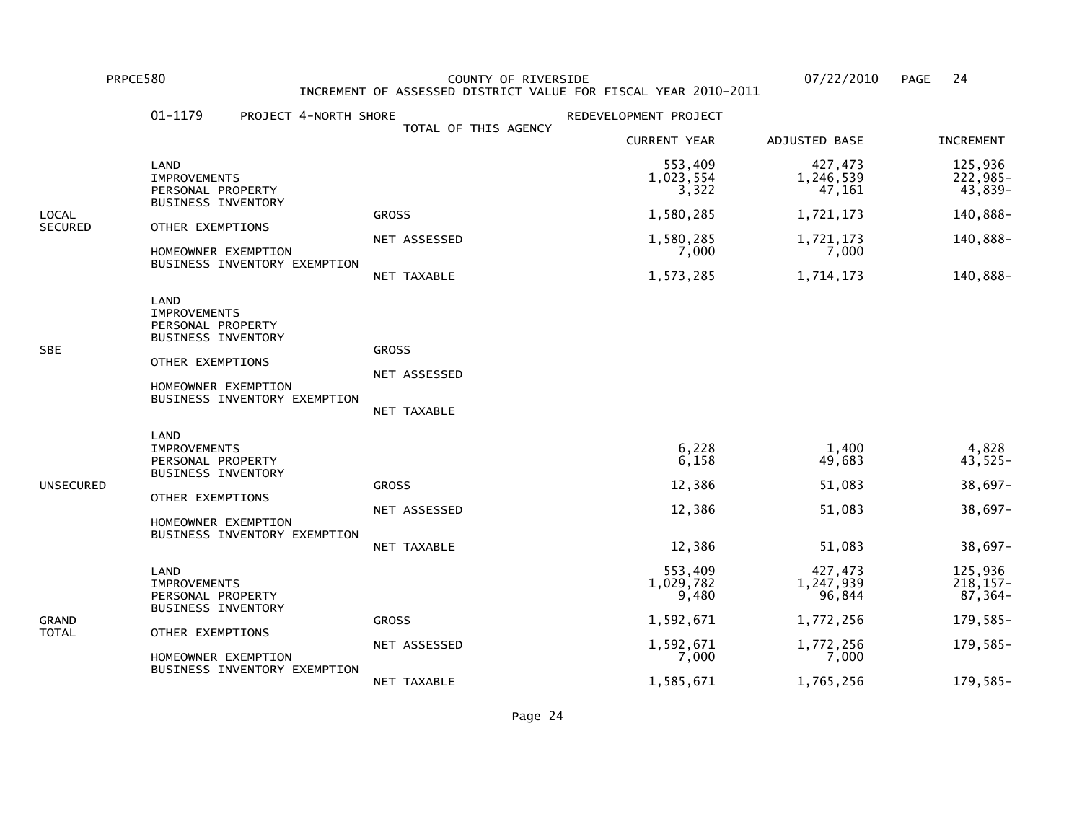PRPCE580 COUNTY OF RIVERSIDE 07/22/2010 PAGE 24 INCREMENT OF ASSESSED DISTRICT VALUE FOR FISCAL YEAR 2010-2011

|                | 01-1179<br>PROJECT 4-NORTH SHORE                                                                                                                         |                                             | REDEVELOPMENT PROJECT                        |                                               |                                                         |
|----------------|----------------------------------------------------------------------------------------------------------------------------------------------------------|---------------------------------------------|----------------------------------------------|-----------------------------------------------|---------------------------------------------------------|
|                |                                                                                                                                                          | TOTAL OF THIS AGENCY                        | <b>CURRENT YEAR</b>                          | ADJUSTED BASE                                 | <b>INCREMENT</b>                                        |
|                | LAND<br><b>IMPROVEMENTS</b><br>PERSONAL PROPERTY                                                                                                         |                                             | 553,409<br>1,023,554<br>3,322                | 427,473<br>1,246,539<br>47,161                | 125,936<br>222,985-<br>43,839-                          |
| LOCAL          | <b>BUSINESS INVENTORY</b>                                                                                                                                | <b>GROSS</b>                                | 1,580,285                                    | 1,721,173                                     | 140,888-                                                |
| SECURED        | OTHER EXEMPTIONS<br>HOMEOWNER EXEMPTION                                                                                                                  | NET ASSESSED                                | 1,580,285<br>7,000                           | 1,721,173<br>7,000                            | 140,888-                                                |
|                | BUSINESS INVENTORY EXEMPTION                                                                                                                             | NET TAXABLE                                 | 1,573,285                                    | 1,714,173                                     | 140,888-                                                |
| SBE            | LAND<br><b>IMPROVEMENTS</b><br>PERSONAL PROPERTY<br>BUSINESS INVENTORY<br>OTHER EXEMPTIONS<br>HOMEOWNER EXEMPTION<br>BUSINESS INVENTORY EXEMPTION        | <b>GROSS</b><br>NET ASSESSED<br>NET TAXABLE |                                              |                                               |                                                         |
| UNSECURED      | LAND<br><b>IMPROVEMENTS</b><br>PERSONAL PROPERTY<br><b>BUSINESS INVENTORY</b><br>OTHER EXEMPTIONS<br>HOMEOWNER EXEMPTION<br>BUSINESS INVENTORY EXEMPTION | <b>GROSS</b><br>NET ASSESSED<br>NET TAXABLE | 6,228<br>6,158<br>12,386<br>12,386<br>12,386 | 1,400<br>49,683<br>51,083<br>51,083<br>51,083 | 4,828<br>43,525-<br>$38,697-$<br>$38,697-$<br>$38,697-$ |
|                | LAND<br><b>IMPROVEMENTS</b><br>PERSONAL PROPERTY<br><b>BUSINESS INVENTORY</b>                                                                            |                                             | 553,409<br>1,029,782<br>9,480                | 427,473<br>1,247,939<br>96,844                | 125,936<br>$218, 157 -$<br>$87,364-$                    |
| GRAND<br>TOTAL | OTHER EXEMPTIONS                                                                                                                                         | <b>GROSS</b>                                | 1,592,671                                    | 1,772,256                                     | 179,585-                                                |
|                | HOMEOWNER EXEMPTION                                                                                                                                      | NET ASSESSED                                | 1,592,671<br>7,000                           | 1,772,256<br>7,000                            | 179,585-                                                |
|                | BUSINESS INVENTORY EXEMPTION                                                                                                                             | NET TAXABLE                                 | 1,585,671                                    | 1,765,256                                     | 179,585-                                                |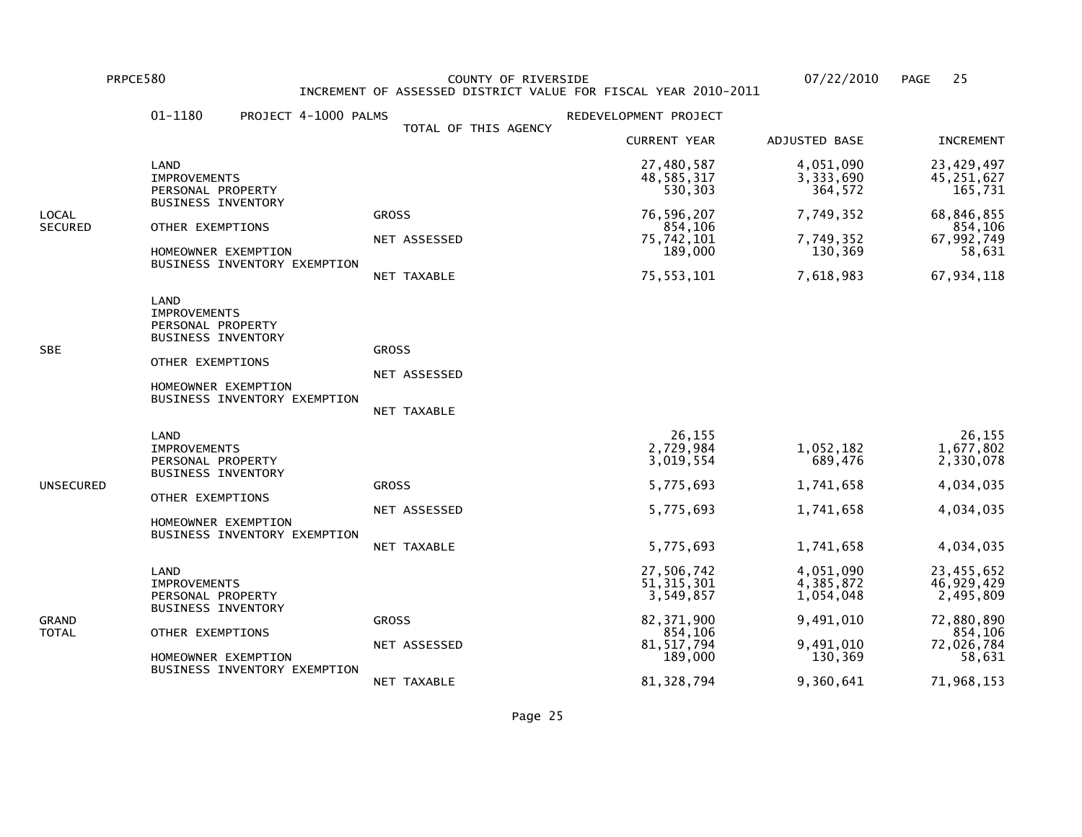PRPCE580 COUNTY OF RIVERSIDE 07/22/2010 PAGE 25 INCREMENT OF ASSESSED DISTRICT VALUE FOR FISCAL YEAR 2010-2011

|                  | 01-1180<br>PROJECT 4-1000 PALMS                                                                                                                          |                                             | REDEVELOPMENT PROJECT                                                                                         |                                                                                       |                                                                                                      |
|------------------|----------------------------------------------------------------------------------------------------------------------------------------------------------|---------------------------------------------|---------------------------------------------------------------------------------------------------------------|---------------------------------------------------------------------------------------|------------------------------------------------------------------------------------------------------|
|                  |                                                                                                                                                          | TOTAL OF THIS AGENCY                        | <b>CURRENT YEAR</b>                                                                                           | ADJUSTED BASE                                                                         | <b>INCREMENT</b>                                                                                     |
|                  | LAND<br><b>IMPROVEMENTS</b><br>PERSONAL PROPERTY                                                                                                         |                                             | 27,480,587<br>48,585,317<br>530,303                                                                           | 4,051,090<br>3,333,690<br>364,572                                                     | 23,429,497<br>45,251,627<br>165,731                                                                  |
| LOCAL<br>SECURED | <b>BUSINESS INVENTORY</b><br>OTHER EXEMPTIONS<br>HOMEOWNER EXEMPTION<br>BUSINESS INVENTORY EXEMPTION                                                     | <b>GROSS</b><br>NET ASSESSED<br>NET TAXABLE | 76,596,207<br>854,106<br>75,742,101<br>189,000<br>75, 553, 101                                                | 7,749,352<br>7,749,352<br>130,369<br>7,618,983                                        | 68,846,855<br>854,106<br>67,992,749<br>58,631<br>67,934,118                                          |
| SBE              | LAND<br><b>IMPROVEMENTS</b><br>PERSONAL PROPERTY<br><b>BUSINESS INVENTORY</b><br>OTHER EXEMPTIONS<br>HOMEOWNER EXEMPTION<br>BUSINESS INVENTORY EXEMPTION | <b>GROSS</b><br>NET ASSESSED<br>NET TAXABLE |                                                                                                               |                                                                                       |                                                                                                      |
| UNSECURED        | LAND<br><b>IMPROVEMENTS</b><br>PERSONAL PROPERTY<br><b>BUSINESS INVENTORY</b><br>OTHER EXEMPTIONS<br>HOMEOWNER EXEMPTION<br>BUSINESS INVENTORY EXEMPTION | <b>GROSS</b><br>NET ASSESSED<br>NET TAXABLE | 26,155<br>2,729,984<br>3,019,554<br>5,775,693<br>5,775,693<br>5,775,693                                       | 1,052,182<br>689,476<br>1,741,658<br>1,741,658<br>1,741,658                           | 26,155<br>1,677,802<br>2,330,078<br>4,034,035<br>4,034,035<br>4,034,035                              |
| GRAND<br>TOTAL   | LAND<br><b>IMPROVEMENTS</b><br>PERSONAL PROPERTY<br><b>BUSINESS INVENTORY</b><br>OTHER EXEMPTIONS<br>HOMEOWNER EXEMPTION<br>BUSINESS INVENTORY EXEMPTION | <b>GROSS</b><br>NET ASSESSED<br>NET TAXABLE | 27,506,742<br>51, 315, 301<br>3,549,857<br>82, 371, 900<br>854,106<br>81, 517, 794<br>189,000<br>81, 328, 794 | 4,051,090<br>4,385,872<br>1,054,048<br>9,491,010<br>9,491,010<br>130,369<br>9,360,641 | 23,455,652<br>46,929,429<br>2,495,809<br>72,880,890<br>854,106<br>72,026,784<br>58,631<br>71,968,153 |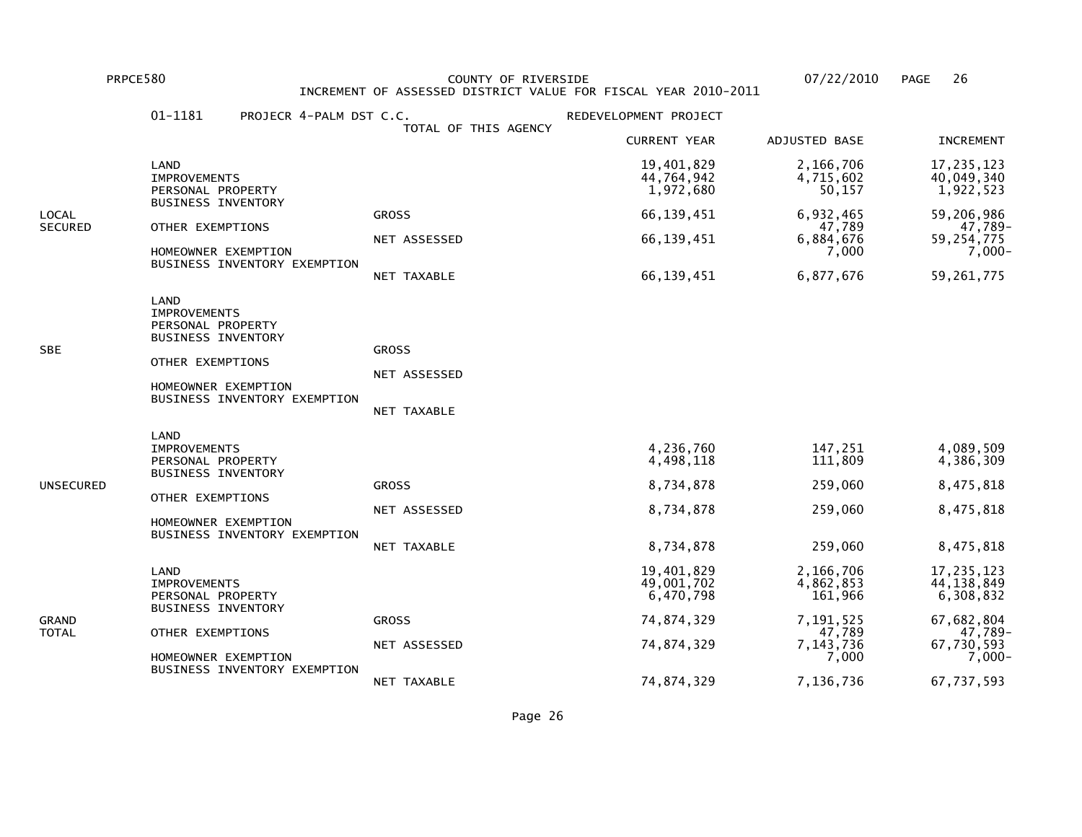PRPCE580 COUNTY OF RIVERSIDE 07/22/2010 PAGE 26 INCREMENT OF ASSESSED DISTRICT VALUE FOR FISCAL YEAR 2010-2011

|                  | 01-1181<br>PROJECR 4-PALM DST C.C.                                                                                                                       | TOTAL OF THIS AGENCY                        | REDEVELOPMENT PROJECT                                         |                                                     |                                                               |
|------------------|----------------------------------------------------------------------------------------------------------------------------------------------------------|---------------------------------------------|---------------------------------------------------------------|-----------------------------------------------------|---------------------------------------------------------------|
|                  |                                                                                                                                                          |                                             | <b>CURRENT YEAR</b>                                           | ADJUSTED BASE                                       | <b>INCREMENT</b>                                              |
|                  | LAND<br><b>IMPROVEMENTS</b><br>PERSONAL PROPERTY                                                                                                         |                                             | 19,401,829<br>44,764,942<br>1,972,680                         | 2,166,706<br>4,715,602<br>50,157                    | 17, 235, 123<br>40,049,340<br>1,922,523                       |
| LOCAL<br>SECURED | <b>BUSINESS INVENTORY</b><br>OTHER EXEMPTIONS<br>HOMEOWNER EXEMPTION                                                                                     | <b>GROSS</b><br>NET ASSESSED                | 66,139,451<br>66,139,451                                      | 6,932,465<br>47,789<br>6,884,676<br>7,000           | 59,206,986<br>47,789-<br>59,254,775<br>7,000-                 |
|                  | BUSINESS INVENTORY EXEMPTION                                                                                                                             | NET TAXABLE                                 | 66,139,451                                                    | 6,877,676                                           | 59, 261, 775                                                  |
| SBE              | LAND<br><b>IMPROVEMENTS</b><br>PERSONAL PROPERTY<br><b>BUSINESS INVENTORY</b><br>OTHER EXEMPTIONS<br>HOMEOWNER EXEMPTION<br>BUSINESS INVENTORY EXEMPTION | <b>GROSS</b><br>NET ASSESSED<br>NET TAXABLE |                                                               |                                                     |                                                               |
| UNSECURED        | LAND<br><b>IMPROVEMENTS</b><br>PERSONAL PROPERTY<br><b>BUSINESS INVENTORY</b><br>OTHER EXEMPTIONS<br>HOMEOWNER EXEMPTION<br>BUSINESS INVENTORY EXEMPTION | <b>GROSS</b><br>NET ASSESSED<br>NET TAXABLE | 4,236,760<br>4,498,118<br>8,734,878<br>8,734,878<br>8,734,878 | 147,251<br>111,809<br>259,060<br>259,060<br>259,060 | 4,089,509<br>4,386,309<br>8,475,818<br>8,475,818<br>8,475,818 |
| GRAND<br>TOTAL   | LAND<br><b>IMPROVEMENTS</b><br>PERSONAL PROPERTY                                                                                                         |                                             | 19,401,829<br>49,001,702<br>6,470,798                         | 2,166,706<br>4,862,853<br>161,966                   | 17,235,123<br>44, 138, 849<br>6,308,832                       |
|                  | <b>BUSINESS INVENTORY</b><br>OTHER EXEMPTIONS<br>HOMEOWNER EXEMPTION                                                                                     | <b>GROSS</b><br>NET ASSESSED                | 74,874,329<br>74,874,329                                      | 7,191,525<br>47,789<br>7,143,736<br>7,000           | 67,682,804<br>47,789-<br>67,730,593<br>$7,000-$               |
|                  | BUSINESS INVENTORY EXEMPTION                                                                                                                             | NET TAXABLE                                 | 74,874,329                                                    | 7,136,736                                           | 67,737,593                                                    |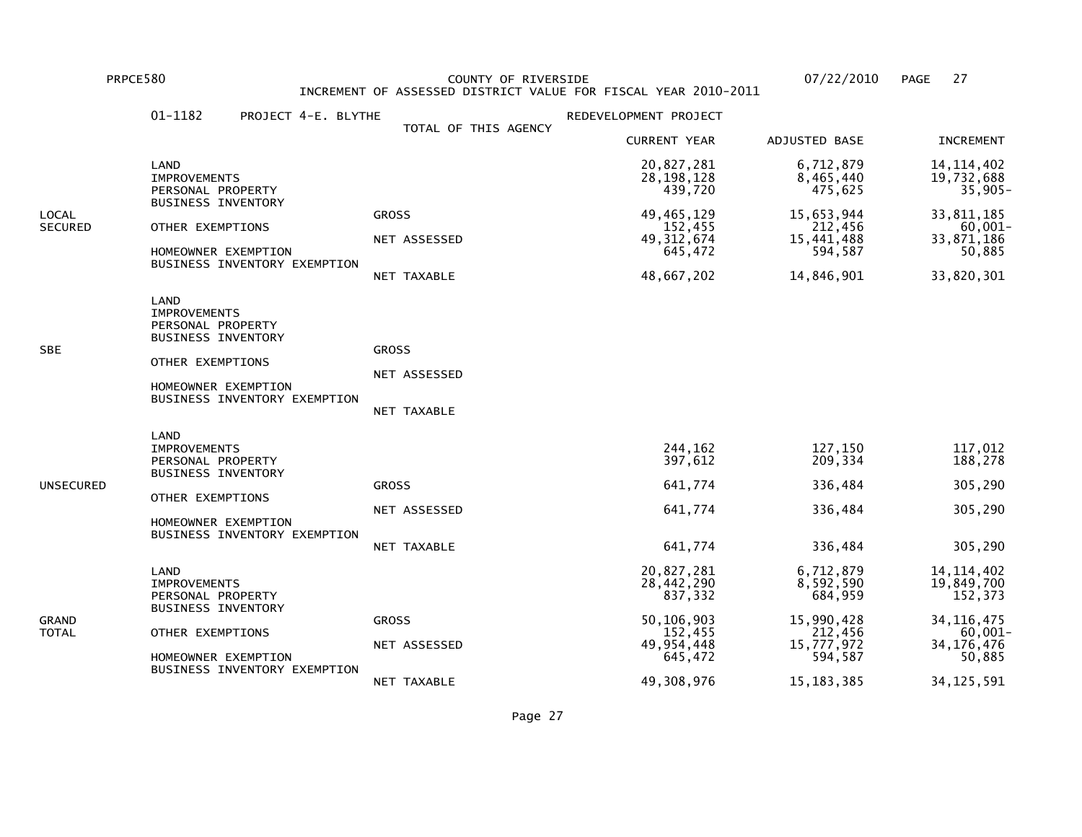PRPCE580 COUNTY OF RIVERSIDE 07/22/2010 PAGE 27 INCREMENT OF ASSESSED DISTRICT VALUE FOR FISCAL YEAR 2010-2011

|                         | 01-1182<br>PROJECT 4-E. BLYTHE                                                                                                                           |                                             | REDEVELOPMENT PROJECT                                                                                 |                                                                                                     |                                                                                                               |
|-------------------------|----------------------------------------------------------------------------------------------------------------------------------------------------------|---------------------------------------------|-------------------------------------------------------------------------------------------------------|-----------------------------------------------------------------------------------------------------|---------------------------------------------------------------------------------------------------------------|
|                         |                                                                                                                                                          | TOTAL OF THIS AGENCY                        | <b>CURRENT YEAR</b>                                                                                   | ADJUSTED BASE                                                                                       | <b>INCREMENT</b>                                                                                              |
|                         | LAND<br><b>IMPROVEMENTS</b><br>PERSONAL PROPERTY                                                                                                         |                                             | 20,827,281<br>28, 198, 128<br>439,720                                                                 | 6,712,879<br>8,465,440<br>475,625                                                                   | 14, 114, 402<br>19,732,688<br>$35,905-$                                                                       |
| LOCAL<br><b>SECURED</b> | <b>BUSINESS INVENTORY</b><br>OTHER EXEMPTIONS<br>HOMEOWNER EXEMPTION<br>BUSINESS INVENTORY EXEMPTION                                                     | <b>GROSS</b><br>NET ASSESSED<br>NET TAXABLE | 49, 465, 129<br>152,455<br>49, 312, 674<br>645,472<br>48,667,202                                      | 15,653,944<br>212,456<br>15,441,488<br>594,587<br>14,846,901                                        | 33,811,185<br>$60,001 -$<br>33,871,186<br>50,885<br>33,820,301                                                |
| SBE                     | LAND<br><b>IMPROVEMENTS</b><br>PERSONAL PROPERTY<br><b>BUSINESS INVENTORY</b><br>OTHER EXEMPTIONS<br>HOMEOWNER EXEMPTION<br>BUSINESS INVENTORY EXEMPTION | <b>GROSS</b><br>NET ASSESSED<br>NET TAXABLE |                                                                                                       |                                                                                                     |                                                                                                               |
| UNSECURED               | LAND<br><b>IMPROVEMENTS</b><br>PERSONAL PROPERTY<br><b>BUSINESS INVENTORY</b><br>OTHER EXEMPTIONS<br>HOMEOWNER EXEMPTION<br>BUSINESS INVENTORY EXEMPTION | <b>GROSS</b><br>NET ASSESSED<br>NET TAXABLE | 244,162<br>397,612<br>641,774<br>641,774<br>641,774                                                   | 127,150<br>209,334<br>336,484<br>336,484<br>336,484                                                 | 117,012<br>188,278<br>305,290<br>305,290<br>305,290                                                           |
| GRAND<br>TOTAL          | LAND<br><b>IMPROVEMENTS</b><br>PERSONAL PROPERTY<br><b>BUSINESS INVENTORY</b><br>OTHER EXEMPTIONS<br>HOMEOWNER EXEMPTION<br>BUSINESS INVENTORY EXEMPTION | <b>GROSS</b><br>NET ASSESSED<br>NET TAXABLE | 20,827,281<br>28,442,290<br>837,332<br>50,106,903<br>152,455<br>49, 954, 448<br>645,472<br>49,308,976 | 6,712,879<br>8,592,590<br>684,959<br>15,990,428<br>212,456<br>15,777,972<br>594,587<br>15, 183, 385 | 14, 114, 402<br>19,849,700<br>152,373<br>34, 116, 475<br>$60,001 -$<br>34, 176, 476<br>50,885<br>34, 125, 591 |
|                         |                                                                                                                                                          |                                             |                                                                                                       |                                                                                                     |                                                                                                               |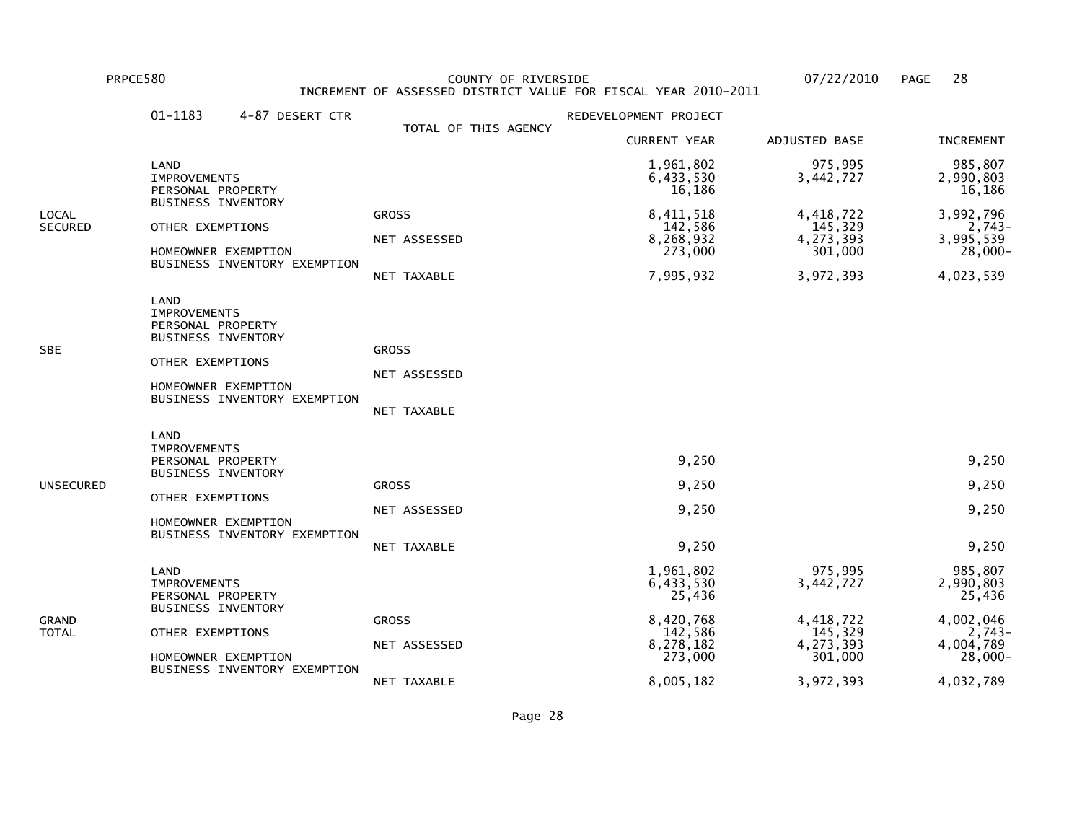PRPCE580 COUNTY OF RIVERSIDE 07/22/2010 PAGE 28 INCREMENT OF ASSESSED DISTRICT VALUE FOR FISCAL YEAR 2010-2011

|                  | 01-1183<br>4-87 DESERT CTR                                                                                                                                      |                                                            | REDEVELOPMENT PROJECT                                                                         |                                                                                   |                                                                                                 |
|------------------|-----------------------------------------------------------------------------------------------------------------------------------------------------------------|------------------------------------------------------------|-----------------------------------------------------------------------------------------------|-----------------------------------------------------------------------------------|-------------------------------------------------------------------------------------------------|
|                  |                                                                                                                                                                 | TOTAL OF THIS AGENCY                                       | <b>CURRENT YEAR</b>                                                                           | ADJUSTED BASE                                                                     | <b>INCREMENT</b>                                                                                |
|                  | LAND<br><b>IMPROVEMENTS</b><br>PERSONAL PROPERTY                                                                                                                |                                                            | 1,961,802<br>6,433,530<br>16,186                                                              | 975,995<br>3,442,727                                                              | 985,807<br>2,990,803<br>16,186                                                                  |
| LOCAL<br>SECURED | <b>BUSINESS INVENTORY</b><br>OTHER EXEMPTIONS<br>HOMEOWNER EXEMPTION<br>BUSINESS INVENTORY EXEMPTION                                                            | <b>GROSS</b><br>NET ASSESSED                               | 8,411,518<br>142,586<br>8,268,932<br>273,000                                                  | 4,418,722<br>145,329<br>4,273,393<br>301,000                                      | 3,992,796<br>$2,743-$<br>3,995,539<br>$28,000 -$                                                |
| SBE              | LAND<br><b>IMPROVEMENTS</b><br>PERSONAL PROPERTY<br><b>BUSINESS INVENTORY</b><br>OTHER EXEMPTIONS<br>HOMEOWNER EXEMPTION<br>BUSINESS INVENTORY EXEMPTION        | NET TAXABLE<br><b>GROSS</b><br>NET ASSESSED<br>NET TAXABLE | 7,995,932                                                                                     | 3,972,393                                                                         | 4,023,539                                                                                       |
| UNSECURED        | <b>LAND</b><br><b>IMPROVEMENTS</b><br>PERSONAL PROPERTY<br><b>BUSINESS INVENTORY</b><br>OTHER EXEMPTIONS<br>HOMEOWNER EXEMPTION<br>BUSINESS INVENTORY EXEMPTION | <b>GROSS</b><br>NET ASSESSED<br>NET TAXABLE                | 9,250<br>9,250<br>9,250<br>9,250                                                              |                                                                                   | 9,250<br>9,250<br>9,250<br>9,250                                                                |
| GRAND<br>TOTAL   | LAND<br><b>IMPROVEMENTS</b><br>PERSONAL PROPERTY<br><b>BUSINESS INVENTORY</b><br>OTHER EXEMPTIONS<br>HOMEOWNER EXEMPTION<br>BUSINESS INVENTORY EXEMPTION        | <b>GROSS</b><br>NET ASSESSED<br>NET TAXABLE                | 1,961,802<br>6,433,530<br>25,436<br>8,420,768<br>142,586<br>8,278,182<br>273,000<br>8,005,182 | 975,995<br>3,442,727<br>4,418,722<br>145,329<br>4,273,393<br>301,000<br>3,972,393 | 985,807<br>2,990,803<br>25,436<br>4,002,046<br>$2,743-$<br>4,004,789<br>$28,000 -$<br>4,032,789 |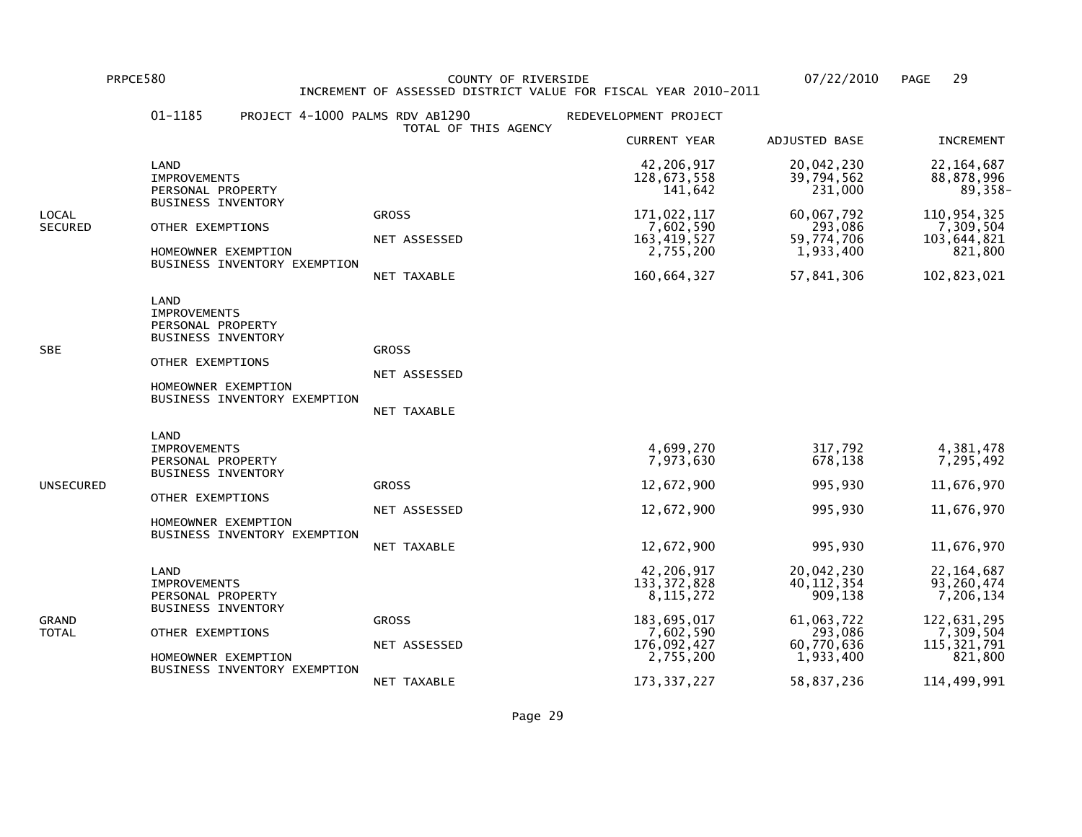PRPCE580 COUNTY OF RIVERSIDE 07/22/2010 PAGE 29INCREMENT OF ASSESSED DISTRICT VALUE FOR FISCAL YEAR 2010-2011

## 01-1185 PROJECT 4-1000 PALMS RDV AB1290 REDEVELOPMENT PROJECT TOTAL OF THIS AGENCY CURRENT YEAR ADJUSTED BASE INCREMENT LAND 42,206,917 20,042,230 22,164,68788,878,996 IMPROVEMENTS 128,673,558 39,794,562 88,878,996 $89.358-$ PERSONAL PROPERTY 231.000 BUSINESS INVENTORYLOCAL GROSS 171,022,117 60,067,792 110,954,3257,309,504 SECURED OTHER EXEMPTIONS NET ASSESSED 7,602,590 293,086 7,602,590 293,086<br>7,602,590 59,774,706 79,774,706 7,105 7,105 7,105 7,106 103,644,821 NET ASSESSED 163,419,527 59,774,706 103,644,821821,800 HOMEOWNER EXEMPTION 2,755,200 1,933,400 821,800 BUSINESS INVENTORY EXEMPTION NET TAXABLE 160,664,327 57,841,306 102,823,021 LAND IMPROVEMENTS PERSONAL PROPERTY BUSINESS INVENTORYSBE GROSS GROSS GROSS GROSS GROSS GROSS GROSS GROSS GROSS GROSS GROSS GROSS GROSS GROSS GROSS GROSS GROSS GROSS OTHER EXEMPTIONS NET ASSESSED HOMEOWNER EXEMPTION BUSINESS INVENTORY EXEMPTION NET TAXABLE LAND**IMPROVEMENTS**  IMPROVEMENTS 4,699,270 317,792 4,381,4787,295,492 PERSONAL PROPERTY 678,138 7,973,630 678,138 BUSINESS INVENTORYUNSECURED GROSS 12,672,900 995,930 11,676,970 OTHER EXEMPTIONS NET ASSESSED 12,672,900 995,930 11,676,970 HOMEOWNER EXEMPTION BUSINESS INVENTORY EXEMPTION NET TAXABLE 12,672,900 995,930 11,676,970 LAND 42,206,917 20,042,230 22,164,68793,260,474 IMPROVEMENTS 133,372,828 40,112,354 93,260,474 $7, 206, 134$ PERSONAL PROPERTY 3. 272 2009, 138 BUSINESS INVENTORYGRAND GROSS 183,695,017 61,063,722 122,631,295 $7,309,504$ TOTAL OTHER EXEMPTIONS 7,602,590 293,086 7,309,504115, 321, 791 NET ASSESSED 176,092,427 60,770,636 115,321,791821,800 HOMEOWNER EXEMPTION **2,755,200** 1,933,400 BUSINESS INVENTORY EXEMPTIONNET TAXABLE 173,337,227 58,837,236 114,499,991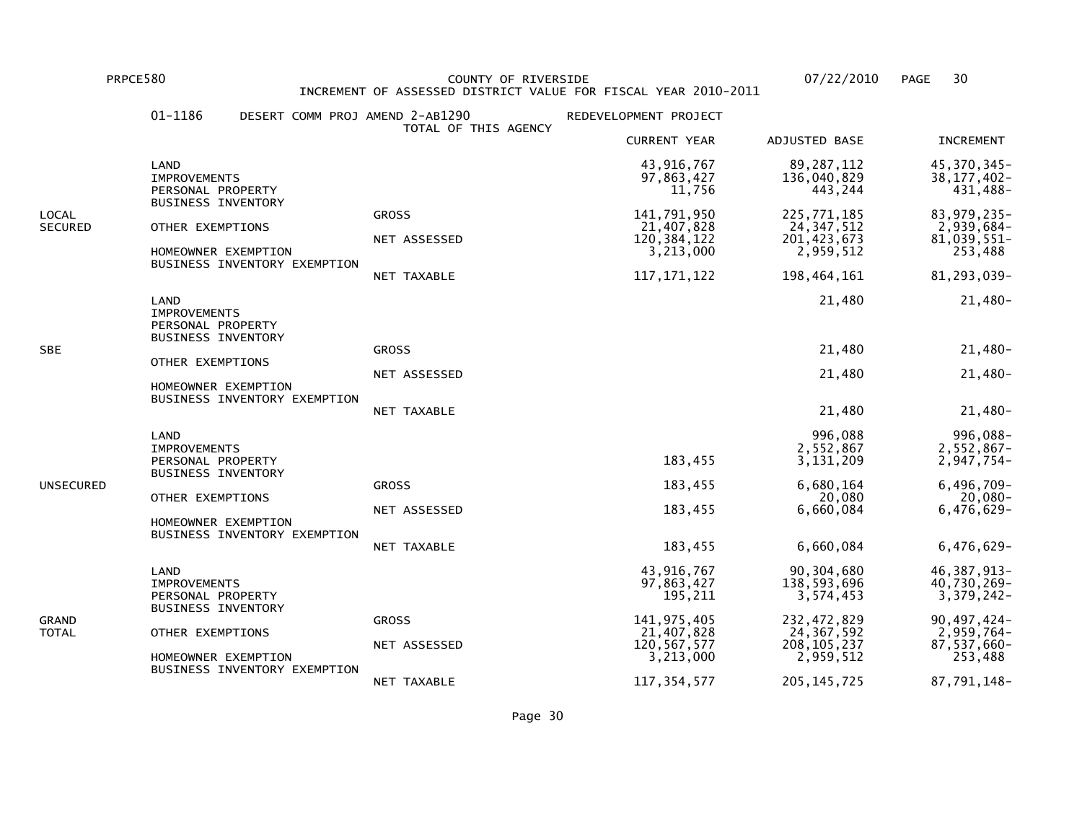PRPCE580 COUNTY OF RIVERSIDE 07/22/2010 PAGE 30INCREMENT OF ASSESSED DISTRICT VALUE FOR FISCAL YEAR 2010-2011

## 01-1186 DESERT COMM PROJ AMEND 2-AB1290 REDEVELOPMENT PROJECT TOTAL OF THIS AGENCY CURRENT YEAR ADJUSTED BASE INCREMENT LAND 43,916,767 89,287,112 45,370,345- $38, 177, 402 -$  IMPROVEMENTS 97,863,427 136,040,829 38,177,402-431.488-PERSONAL PROPERTY **11,756** 443,244 BUSINESS INVENTORYLOCAL GROSS 141,791,950 225,771,185 83,979,235-2,939,684-SECURED OTHER EXEMPTIONS 21,407,828 24,347,512 2,939,684- $81,039,551$ - NET ASSESSED 120,384,122 201,423,673 81,039,551-253,488 HOMEOWNER EXEMPTION 2.959,512 BUSINESS INVENTORY EXEMPTION NET TAXABLE 117,171,122 198,464,161 81,293,039- LAND 21,480 21,480-**IMPROVEMENTS**  PERSONAL PROPERTY BUSINESS INVENTORYSBE GROSS 21,480 21,480- OTHER EXEMPTIONS NET ASSESSED 21,480 21,480- HOMEOWNER EXEMPTION BUSINESS INVENTORY EXEMPTION NET TAXABLE 21,480 21,480- LAND 996,088 996,088- $2,552,867-$  IMPROVEMENTS 2,552,867 2,552,867- $2,947,754-$ -947,754 2,947,754 2,947,754 2,947,754 2,947 183,455 2,947,154 2,947,154 2,947, BUSINESS INVENTORYUNSECURED GROSS 183,455 6,680,164 6,496,709- $20,080 -$  OTHER EXEMPTIONS 20,080 20,080- $6.476.629 -$  NET ASSESSED 183,455 6,660,084 6,476,629- HOMEOWNER EXEMPTION BUSINESS INVENTORY EXEMPTION NET TAXABLE 183,455 6,660,084 6,476,629- LAND 43,916,767 90,304,680 46,387,913- $40.730.269 -$  IMPROVEMENTS 97,863,427 138,593,696 40,730,269- $3,379,242$ -PERSONAL PROPERTY 3,574,453 BUSINESS INVENTORYGRAND GROSS 141,975,405 232,472,829 90,497,424- $2.959,764 -$ TOTAL OTHER EXEMPTIONS 21,407,828 24,367,592 2,959,764-87,537,660- NET ASSESSED 120,567,577 208,105,237 87,537,660-253,488 HOMEOWNER EXEMPTION 2.959,512 BUSINESS INVENTORY EXEMPTIONNET TAXABLE 117,354,577 205,145,725 87,791,148-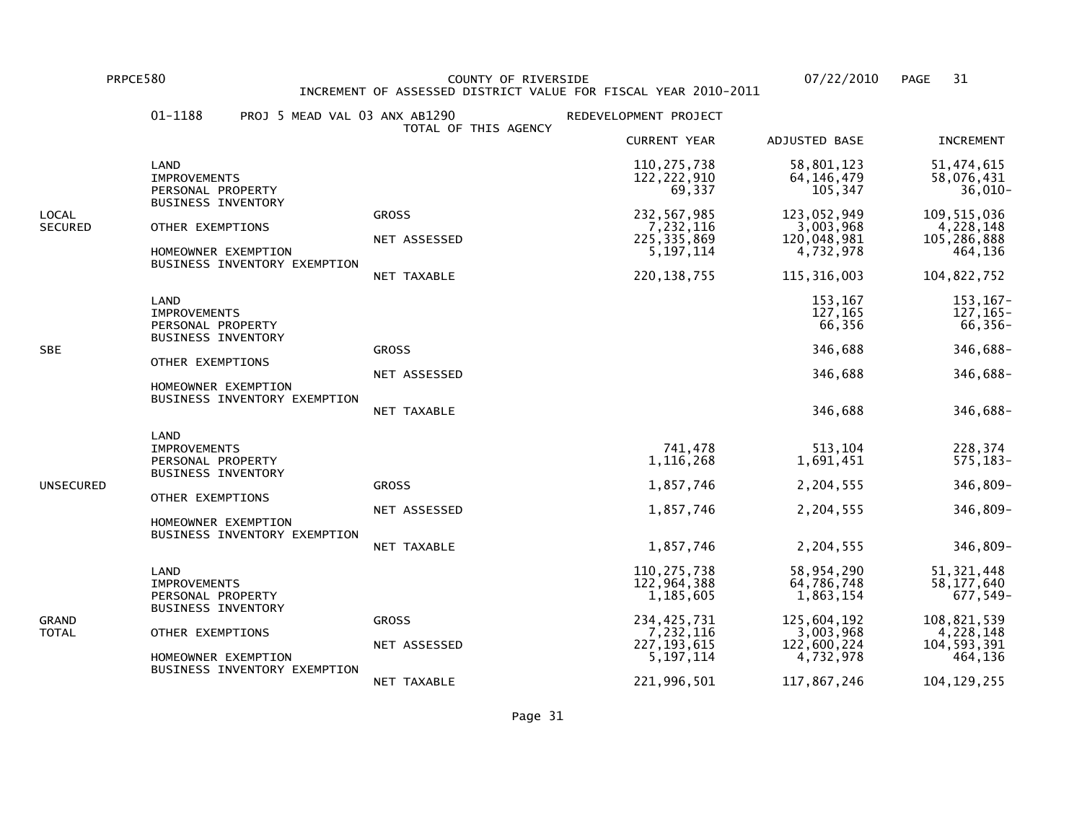PRPCE580 COUNTY OF RIVERSIDE 07/22/2010 PAGE 31 INCREMENT OF ASSESSED DISTRICT VALUE FOR FISCAL YEAR 2010-2011

|                         | 01-1188                                                                       | PROJ 5 MEAD VAL 03 ANX AB1290 | TOTAL OF THIS AGENCY         | REDEVELOPMENT PROJECT                                    |                                                      |                                                      |
|-------------------------|-------------------------------------------------------------------------------|-------------------------------|------------------------------|----------------------------------------------------------|------------------------------------------------------|------------------------------------------------------|
|                         |                                                                               |                               |                              | <b>CURRENT YEAR</b>                                      | ADJUSTED BASE                                        | <b>INCREMENT</b>                                     |
|                         | LAND<br><b>IMPROVEMENTS</b><br>PERSONAL PROPERTY                              |                               |                              | 110,275,738<br>122, 222, 910<br>69,337                   | 58,801,123<br>64, 146, 479<br>105,347                | 51,474,615<br>58,076,431<br>$36,010-$                |
| LOCAL<br><b>SECURED</b> | <b>BUSINESS INVENTORY</b><br>OTHER EXEMPTIONS<br>HOMEOWNER EXEMPTION          | BUSINESS INVENTORY EXEMPTION  | <b>GROSS</b><br>NET ASSESSED | 232,567,985<br>7,232,116<br>225, 335, 869<br>5, 197, 114 | 123,052,949<br>3,003,968<br>120,048,981<br>4,732,978 | 109, 515, 036<br>4,228,148<br>105,286,888<br>464,136 |
|                         |                                                                               |                               | NET TAXABLE                  | 220, 138, 755                                            | 115, 316, 003                                        | 104,822,752                                          |
|                         | LAND<br><b>IMPROVEMENTS</b><br>PERSONAL PROPERTY<br><b>BUSINESS INVENTORY</b> |                               |                              |                                                          | 153,167<br>127,165<br>66,356                         | 153, 167-<br>127, 165-<br>$66, 356 -$                |
| <b>SBE</b>              |                                                                               |                               | <b>GROSS</b>                 |                                                          | 346,688                                              | 346,688-                                             |
|                         | OTHER EXEMPTIONS                                                              |                               | NET ASSESSED                 |                                                          | 346,688                                              | 346,688-                                             |
|                         | HOMEOWNER EXEMPTION                                                           | BUSINESS INVENTORY EXEMPTION  | NET TAXABLE                  |                                                          | 346,688                                              | 346,688-                                             |
|                         | LAND<br><b>IMPROVEMENTS</b><br>PERSONAL PROPERTY<br><b>BUSINESS INVENTORY</b> |                               |                              | 741,478<br>1,116,268                                     | 513,104<br>1,691,451                                 | 228,374<br>$575, 183 -$                              |
| UNSECURED               | OTHER EXEMPTIONS                                                              |                               | <b>GROSS</b>                 | 1,857,746                                                | 2,204,555                                            | 346,809-                                             |
|                         |                                                                               | HOMEOWNER EXEMPTION           | NET ASSESSED                 | 1,857,746                                                | 2,204,555                                            | 346,809-                                             |
|                         |                                                                               | BUSINESS INVENTORY EXEMPTION  | NET TAXABLE                  | 1,857,746                                                | 2,204,555                                            | 346,809-                                             |
|                         | LAND<br><b>IMPROVEMENTS</b><br>PERSONAL PROPERTY                              |                               |                              | 110, 275, 738<br>122,964,388<br>1,185,605                | 58,954,290<br>64,786,748<br>1,863,154                | 51, 321, 448<br>58,177,640<br>677,549-               |
| GRAND<br>TOTAL          | <b>BUSINESS INVENTORY</b><br>OTHER EXEMPTIONS                                 |                               | <b>GROSS</b>                 | 234, 425, 731<br>7,232,116                               | 125,604,192<br>3,003,968                             | 108,821,539<br>4,228,148                             |
|                         | HOMEOWNER EXEMPTION                                                           |                               | NET ASSESSED                 | 227, 193, 615<br>5, 197, 114                             | 122,600,224<br>4,732,978                             | 104,593,391<br>464,136                               |
|                         |                                                                               | BUSINESS INVENTORY EXEMPTION  | NET TAXABLE                  | 221,996,501                                              | 117,867,246                                          | 104, 129, 255                                        |

Page 31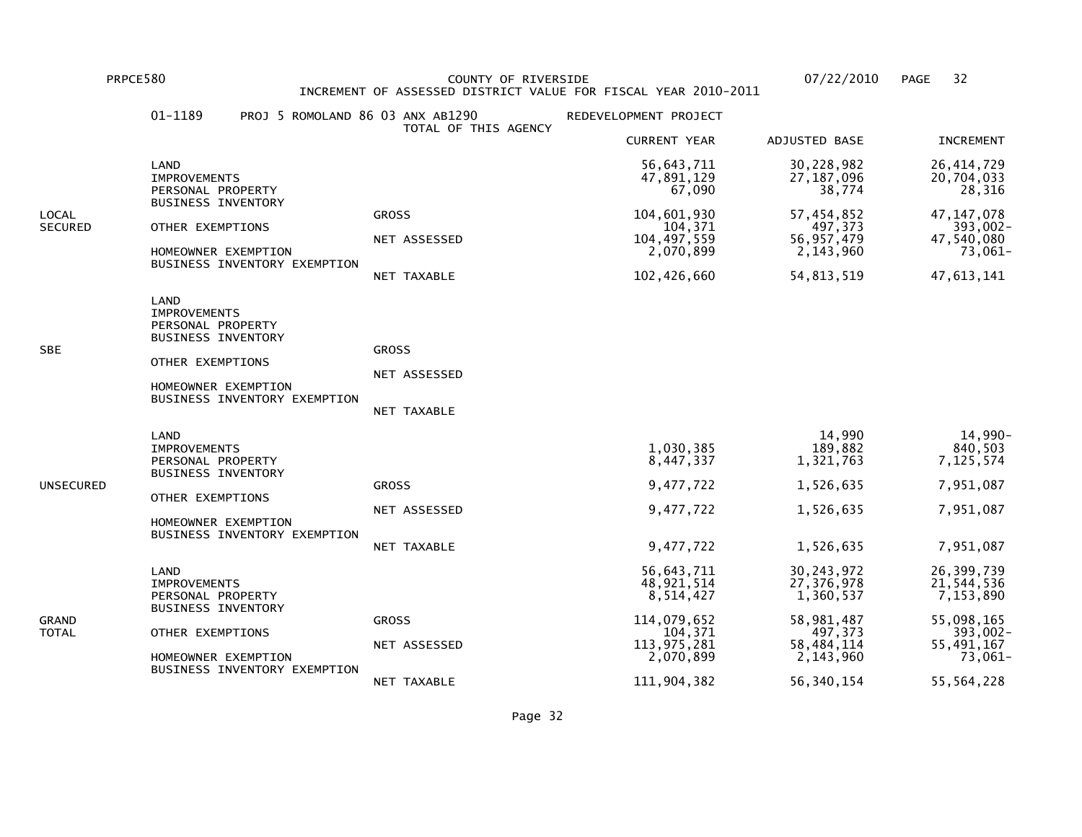PRPCE580 COUNTY OF RIVERSIDE 07/22/2010 PAGE 32 INCREMENT OF ASSESSED DISTRICT VALUE FOR FISCAL YEAR 2010-2011

|                  | 01-1189<br>PROJ 5 ROMOLAND 86 03 ANX AB1290                                                                                                              | TOTAL OF THIS AGENCY                        | REDEVELOPMENT PROJECT                                                                                      |                                                                                                           |                                                                                                        |
|------------------|----------------------------------------------------------------------------------------------------------------------------------------------------------|---------------------------------------------|------------------------------------------------------------------------------------------------------------|-----------------------------------------------------------------------------------------------------------|--------------------------------------------------------------------------------------------------------|
|                  |                                                                                                                                                          |                                             | <b>CURRENT YEAR</b>                                                                                        | ADJUSTED BASE                                                                                             | <b>INCREMENT</b>                                                                                       |
|                  | LAND<br><b>IMPROVEMENTS</b><br>PERSONAL PROPERTY                                                                                                         |                                             | 56,643,711<br>47,891,129<br>67,090                                                                         | 30,228,982<br>27, 187, 096<br>38,774                                                                      | 26, 414, 729<br>20,704,033<br>28,316                                                                   |
| LOCAL<br>SECURED | <b>BUSINESS INVENTORY</b><br>OTHER EXEMPTIONS<br>HOMEOWNER EXEMPTION<br>BUSINESS INVENTORY EXEMPTION                                                     | <b>GROSS</b><br>NET ASSESSED<br>NET TAXABLE | 104,601,930<br>104,371<br>104, 497, 559<br>2,070,899<br>102,426,660                                        | 57,454,852<br>497,373<br>56, 957, 479<br>2, 143, 960<br>54, 813, 519                                      | 47, 147, 078<br>393,002-<br>47,540,080<br>73,061-<br>47,613,141                                        |
| SBE              | LAND<br><b>IMPROVEMENTS</b><br>PERSONAL PROPERTY<br><b>BUSINESS INVENTORY</b><br>OTHER EXEMPTIONS<br>HOMEOWNER EXEMPTION<br>BUSINESS INVENTORY EXEMPTION | <b>GROSS</b><br>NET ASSESSED<br>NET TAXABLE |                                                                                                            |                                                                                                           |                                                                                                        |
| UNSECURED        | LAND<br><b>IMPROVEMENTS</b><br>PERSONAL PROPERTY<br><b>BUSINESS INVENTORY</b><br>OTHER EXEMPTIONS<br>HOMEOWNER EXEMPTION<br>BUSINESS INVENTORY EXEMPTION | <b>GROSS</b><br>NET ASSESSED<br>NET TAXABLE | 1,030,385<br>8,447,337<br>9,477,722<br>9,477,722<br>9,477,722                                              | 14,990<br>189,882<br>1,321,763<br>1,526,635<br>1,526,635<br>1,526,635                                     | 14,990-<br>840,503<br>7,125,574<br>7,951,087<br>7,951,087<br>7,951,087                                 |
| GRAND<br>TOTAL   | LAND<br><b>IMPROVEMENTS</b><br>PERSONAL PROPERTY<br><b>BUSINESS INVENTORY</b><br>OTHER EXEMPTIONS<br>HOMEOWNER EXEMPTION<br>BUSINESS INVENTORY EXEMPTION | <b>GROSS</b><br>NET ASSESSED<br>NET TAXABLE | 56,643,711<br>48,921,514<br>8,514,427<br>114,079,652<br>104,371<br>113,975,281<br>2,070,899<br>111,904,382 | 30,243,972<br>27,376,978<br>1,360,537<br>58,981,487<br>497,373<br>58,484,114<br>2,143,960<br>56, 340, 154 | 26,399,739<br>21,544,536<br>7,153,890<br>55,098,165<br>393,002-<br>55,491,167<br>73,061-<br>55,564,228 |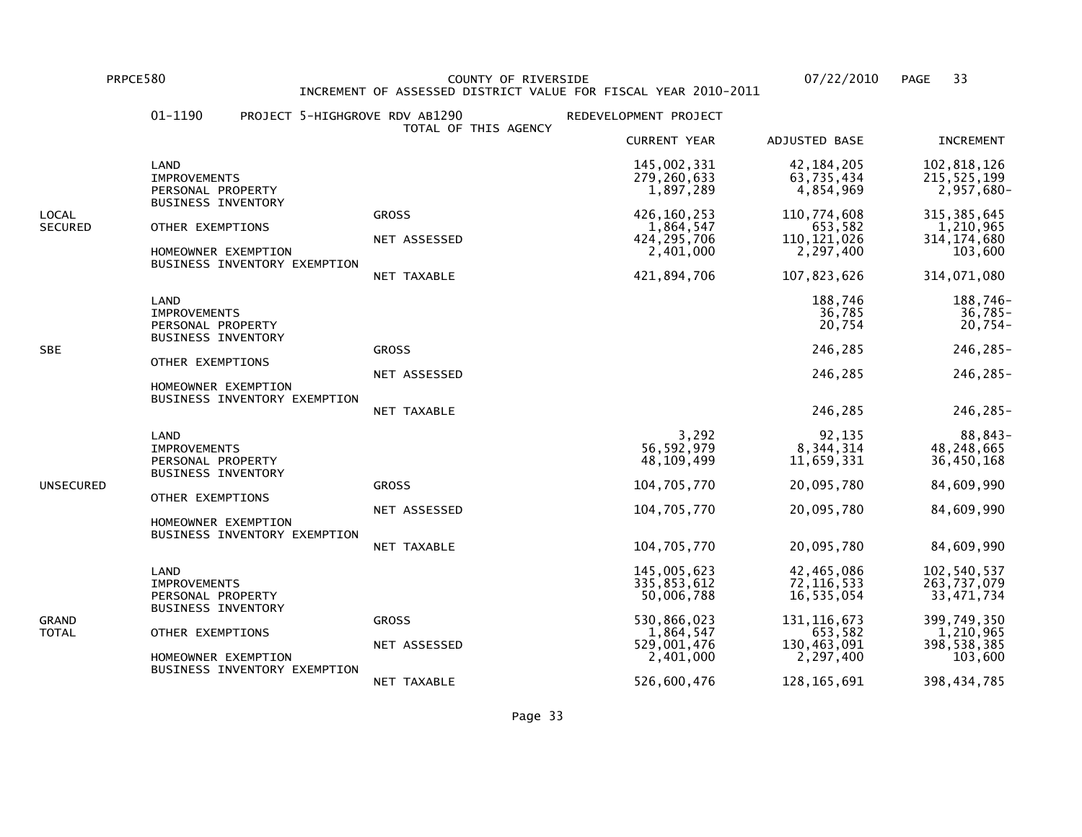PRPCE580 COUNTY OF RIVERSIDE 07/22/2010 PAGE 33INCREMENT OF ASSESSED DISTRICT VALUE FOR FISCAL YEAR 2010-2011

## 01-1190 PROJECT 5-HIGHGROVE RDV AB1290 REDEVELOPMENT PROJECT TOTAL OF THIS AGENCY CURRENT YEAR ADJUSTED BASE INCREMENT LAND 145,002,331 42,184,205 102,818,126215,525,199 IMPROVEMENTS 279,260,633 63,735,434 215,525,199 $2,957,680 -$  PERSONAL PROPERTY 1,897,289 4,854,969 2,957,680- BUSINESS INVENTORYLOCAL GROSS 426,160,253 110,774,608 315,385,6451,210,965 SECURED OTHER EXEMPTIONS 1,864,547 653,582 1,210,965314.174.680 NET ASSESSED 424,295,706 110,121,026 314,174,680103,600 HOMEOWNER EXEMPTION 2.401,000 2.497,400 BUSINESS INVENTORY EXEMPTION NET TAXABLE 421,894,706 107,823,626 314,071,080 LAND 188,746 188,746- $36,785 -$  IMPROVEMENTS 36,785 36,785- $20,754-$  PERSONAL PROPERTY 20,754 20,754- BUSINESS INVENTORYSBE GROSS 246,285 246,285- OTHER EXEMPTIONS NET ASSESSED 246,285 246,285- HOMEOWNER EXEMPTION BUSINESS INVENTORY EXEMPTION NET TAXABLE 246,285 246,285- LAND 3,292 92,135 88,843-48,248,665 IMPROVEMENTS 56,592,979 8,344,314 48,248,66536,450,168 PERSONAL PROPERTY 11,659,331 BUSINESS INVENTORYUNSECURED GROSS 104,705,770 20,095,780 84,609,990 OTHER EXEMPTIONS NET ASSESSED 104,705,770 20,095,780 84,609,990 HOMEOWNER EXEMPTION BUSINESS INVENTORY EXEMPTION NET TAXABLE 104,705,770 20,095,780 84,609,990 LAND 145,005,623 42,465,086 102,540,537263.737.079 IMPROVEMENTS 335,853,612 72,116,533 263,737,07933,471,734 PERSONAL PROPERTY **16,535,054** 30,006,788 35,054 BUSINESS INVENTORYGRAND GROSS 530,866,023 131,116,673 399,749,3501,210,965 TOTAL OTHER EXEMPTIONS 1,864,547 653,582 1,210,965398,538,385 NET ASSESSED 529,001,476 130,463,091 398,538,385103,600 HOMEOWNER EXEMPTION 2.401,000 2.497,400 BUSINESS INVENTORY EXEMPTIONNET TAXABLE 526,600,476 128,165,691 398,434,785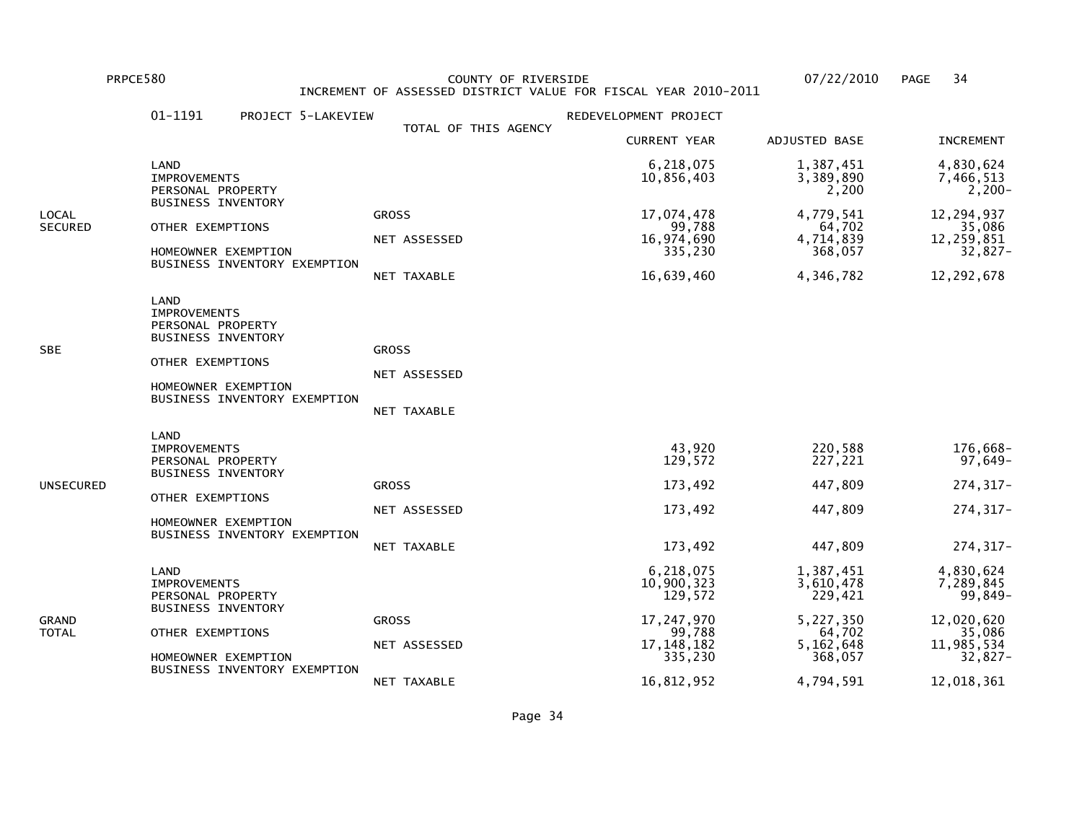PRPCE580 COUNTY OF RIVERSIDE 07/22/2010 PAGE 34 INCREMENT OF ASSESSED DISTRICT VALUE FOR FISCAL YEAR 2010-2011

|                  | 01-1191<br>PROJECT 5-LAKEVIEW                                                                                                                            |                                             | REDEVELOPMENT PROJECT                                                                               |                                                                                               |                                                                                                  |
|------------------|----------------------------------------------------------------------------------------------------------------------------------------------------------|---------------------------------------------|-----------------------------------------------------------------------------------------------------|-----------------------------------------------------------------------------------------------|--------------------------------------------------------------------------------------------------|
|                  |                                                                                                                                                          | TOTAL OF THIS AGENCY                        | <b>CURRENT YEAR</b>                                                                                 | ADJUSTED BASE                                                                                 | <b>INCREMENT</b>                                                                                 |
|                  | LAND<br><b>IMPROVEMENTS</b><br>PERSONAL PROPERTY                                                                                                         |                                             | 6,218,075<br>10,856,403                                                                             | 1,387,451<br>3,389,890<br>2,200                                                               | 4,830,624<br>7,466,513<br>2,200-                                                                 |
| LOCAL<br>SECURED | BUSINESS INVENTORY<br>OTHER EXEMPTIONS<br>HOMEOWNER EXEMPTION<br>BUSINESS INVENTORY EXEMPTION                                                            | <b>GROSS</b><br>NET ASSESSED<br>NET TAXABLE | 17,074,478<br>99,788<br>16,974,690<br>335,230<br>16,639,460                                         | 4,779,541<br>64,702<br>4,714,839<br>368,057<br>4,346,782                                      | 12,294,937<br>35,086<br>12,259,851<br>32,827-<br>12, 292, 678                                    |
| SBE              | LAND<br><b>IMPROVEMENTS</b><br>PERSONAL PROPERTY<br>BUSINESS INVENTORY<br>OTHER EXEMPTIONS<br>HOMEOWNER EXEMPTION<br>BUSINESS INVENTORY EXEMPTION        | <b>GROSS</b><br>NET ASSESSED<br>NET TAXABLE |                                                                                                     |                                                                                               |                                                                                                  |
| UNSECURED        | LAND<br><b>IMPROVEMENTS</b><br>PERSONAL PROPERTY<br><b>BUSINESS INVENTORY</b><br>OTHER EXEMPTIONS<br>HOMEOWNER EXEMPTION<br>BUSINESS INVENTORY EXEMPTION | <b>GROSS</b><br>NET ASSESSED<br>NET TAXABLE | 43,920<br>129,572<br>173,492<br>173,492<br>173,492                                                  | 220,588<br>227,221<br>447,809<br>447,809<br>447,809                                           | 176,668-<br>97,649-<br>274, 317-<br>274, 317-<br>274, 317-                                       |
| GRAND<br>TOTAL   | LAND<br><b>IMPROVEMENTS</b><br>PERSONAL PROPERTY<br><b>BUSINESS INVENTORY</b><br>OTHER EXEMPTIONS<br>HOMEOWNER EXEMPTION<br>BUSINESS INVENTORY EXEMPTION | <b>GROSS</b><br>NET ASSESSED<br>NET TAXABLE | 6,218,075<br>10,900,323<br>129,572<br>17,247,970<br>99,788<br>17, 148, 182<br>335,230<br>16,812,952 | 1,387,451<br>3,610,478<br>229,421<br>5,227,350<br>64,702<br>5,162,648<br>368,057<br>4,794,591 | 4,830,624<br>7,289,845<br>99,849-<br>12,020,620<br>35,086<br>11,985,534<br>32,827-<br>12,018,361 |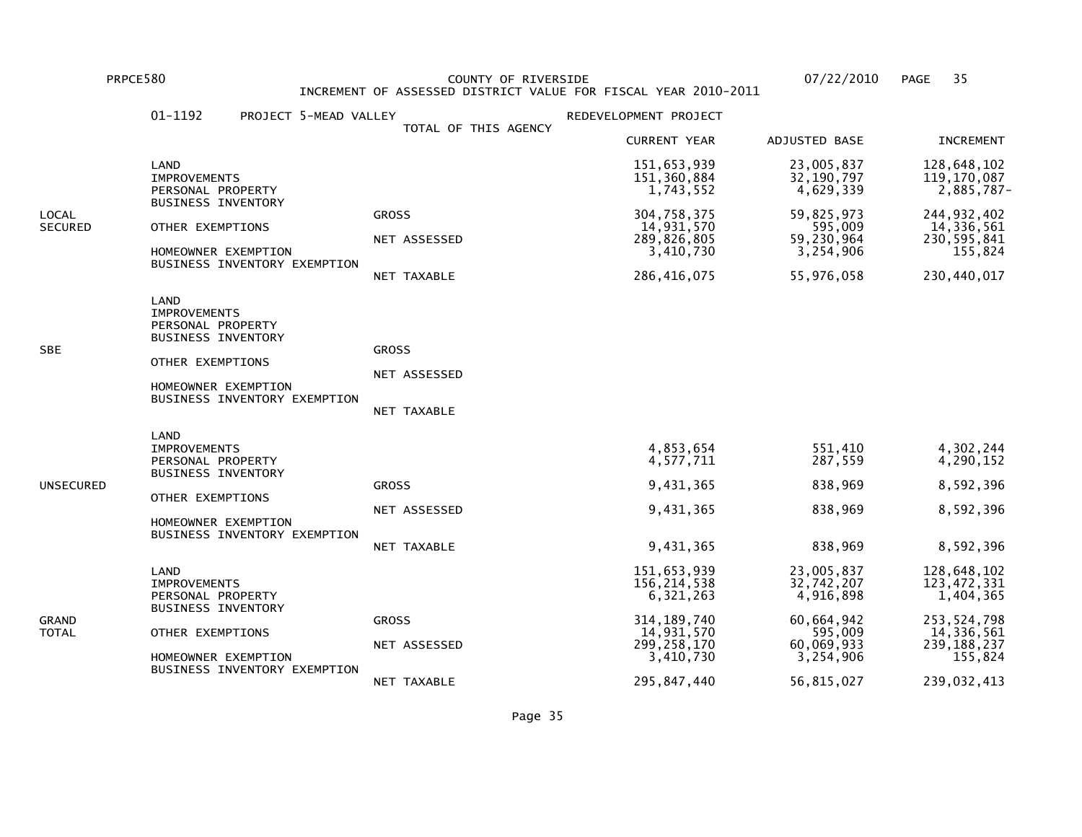PRPCE580 COUNTY OF RIVERSIDE 07/22/2010 PAGE 35 INCREMENT OF ASSESSED DISTRICT VALUE FOR FISCAL YEAR 2010-2011

|                         | 01-1192<br>PROJECT 5-MEAD VALLEY                                                                                                                         |                                             | REDEVELOPMENT PROJECT                                                                                |                                                                                           |                                                                                                    |
|-------------------------|----------------------------------------------------------------------------------------------------------------------------------------------------------|---------------------------------------------|------------------------------------------------------------------------------------------------------|-------------------------------------------------------------------------------------------|----------------------------------------------------------------------------------------------------|
|                         |                                                                                                                                                          | TOTAL OF THIS AGENCY                        | <b>CURRENT YEAR</b>                                                                                  | ADJUSTED BASE                                                                             | <b>INCREMENT</b>                                                                                   |
|                         | LAND<br><b>IMPROVEMENTS</b><br>PERSONAL PROPERTY                                                                                                         |                                             | 151,653,939<br>151, 360, 884<br>1,743,552                                                            | 23,005,837<br>32, 190, 797<br>4,629,339                                                   | 128,648,102<br>119,170,087<br>2,885,787-                                                           |
| LOCAL<br><b>SECURED</b> | <b>BUSINESS INVENTORY</b><br>OTHER EXEMPTIONS<br>HOMEOWNER EXEMPTION<br>BUSINESS INVENTORY EXEMPTION                                                     | <b>GROSS</b><br>NET ASSESSED<br>NET TAXABLE | 304,758,375<br>14,931,570<br>289,826,805<br>3,410,730<br>286,416,075                                 | 59,825,973<br>595,009<br>59,230,964<br>3,254,906<br>55,976,058                            | 244, 932, 402<br>14,336,561<br>230,595,841<br>155,824<br>230,440,017                               |
| SBE                     | LAND<br><b>IMPROVEMENTS</b><br>PERSONAL PROPERTY<br><b>BUSINESS INVENTORY</b><br>OTHER EXEMPTIONS<br>HOMEOWNER EXEMPTION<br>BUSINESS INVENTORY EXEMPTION | <b>GROSS</b><br>NET ASSESSED<br>NET TAXABLE |                                                                                                      |                                                                                           |                                                                                                    |
| UNSECURED               | LAND<br><b>IMPROVEMENTS</b><br>PERSONAL PROPERTY<br><b>BUSINESS INVENTORY</b><br>OTHER EXEMPTIONS<br>HOMEOWNER EXEMPTION<br>BUSINESS INVENTORY EXEMPTION | <b>GROSS</b><br>NET ASSESSED<br>NET TAXABLE | 4,853,654<br>4,577,711<br>9,431,365<br>9,431,365<br>9,431,365                                        | 551,410<br>287,559<br>838,969<br>838,969<br>838,969                                       | 4,302,244<br>4,290,152<br>8,592,396<br>8,592,396<br>8,592,396                                      |
| GRAND<br>TOTAL          | LAND<br><b>IMPROVEMENTS</b><br>PERSONAL PROPERTY<br><b>BUSINESS INVENTORY</b><br>OTHER EXEMPTIONS<br>HOMEOWNER EXEMPTION<br>BUSINESS INVENTORY EXEMPTION | <b>GROSS</b><br>NET ASSESSED                | 151,653,939<br>156,214,538<br>6,321,263<br>314, 189, 740<br>14,931,570<br>299, 258, 170<br>3,410,730 | 23,005,837<br>32,742,207<br>4,916,898<br>60,664,942<br>595,009<br>60,069,933<br>3,254,906 | 128,648,102<br>123,472,331<br>1,404,365<br>253, 524, 798<br>14,336,561<br>239, 188, 237<br>155,824 |
|                         |                                                                                                                                                          | NET TAXABLE                                 | 295,847,440                                                                                          | 56,815,027                                                                                | 239,032,413                                                                                        |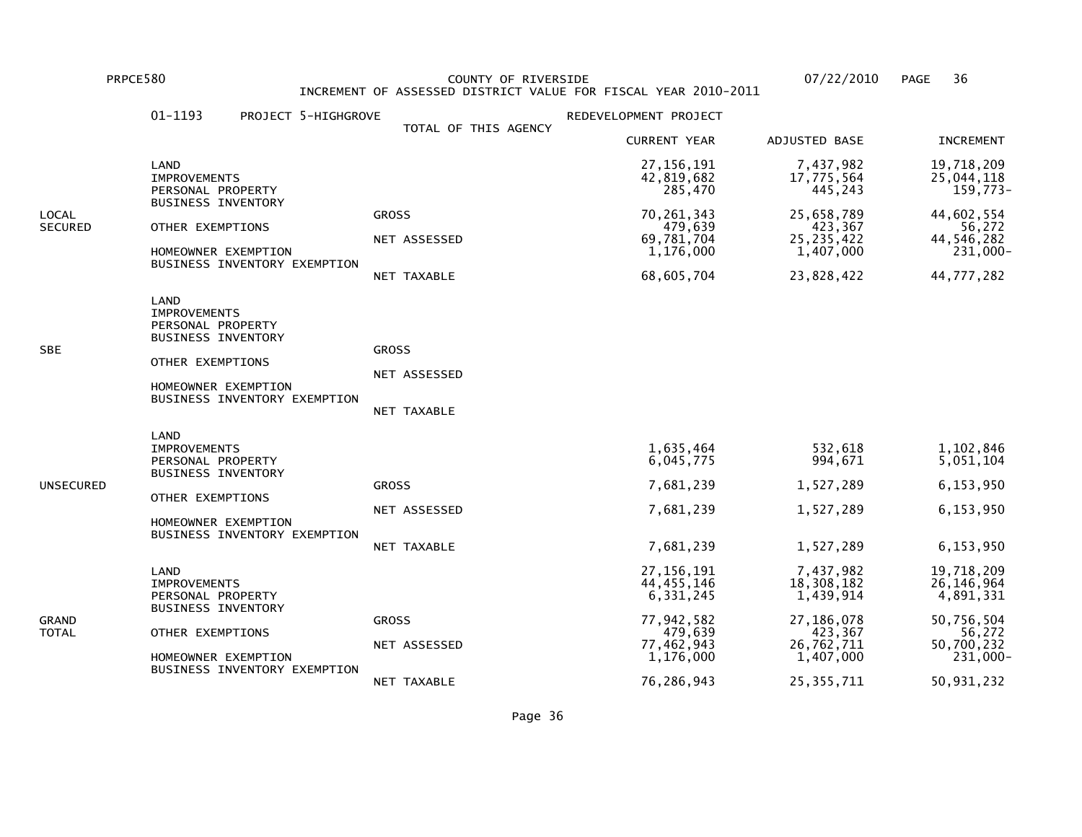PRPCE580 COUNTY OF RIVERSIDE 07/22/2010 PAGE 36 INCREMENT OF ASSESSED DISTRICT VALUE FOR FISCAL YEAR 2010-2011

|                         | 01-1193<br>PROJECT 5-HIGHGROVE                                                                                                                           |                                             | REDEVELOPMENT PROJECT                                                                         |                                                                                          |                                                                                           |
|-------------------------|----------------------------------------------------------------------------------------------------------------------------------------------------------|---------------------------------------------|-----------------------------------------------------------------------------------------------|------------------------------------------------------------------------------------------|-------------------------------------------------------------------------------------------|
|                         |                                                                                                                                                          | TOTAL OF THIS AGENCY                        | <b>CURRENT YEAR</b>                                                                           | ADJUSTED BASE                                                                            | <b>INCREMENT</b>                                                                          |
|                         | LAND<br><b>IMPROVEMENTS</b><br>PERSONAL PROPERTY                                                                                                         |                                             | 27, 156, 191<br>42,819,682<br>285,470                                                         | 7,437,982<br>17,775,564<br>445,243                                                       | 19,718,209<br>25,044,118<br>159,773-                                                      |
| LOCAL<br><b>SECURED</b> | <b>BUSINESS INVENTORY</b><br>OTHER EXEMPTIONS<br>HOMEOWNER EXEMPTION<br>BUSINESS INVENTORY EXEMPTION                                                     | <b>GROSS</b><br>NET ASSESSED<br>NET TAXABLE | 70, 261, 343<br>479,639<br>69,781,704<br>1,176,000<br>68,605,704                              | 25,658,789<br>423,367<br>25, 235, 422<br>1,407,000<br>23,828,422                         | 44,602,554<br>56,272<br>44,546,282<br>231,000-<br>44,777,282                              |
| SBE                     | LAND<br><b>IMPROVEMENTS</b><br>PERSONAL PROPERTY<br><b>BUSINESS INVENTORY</b><br>OTHER EXEMPTIONS<br>HOMEOWNER EXEMPTION<br>BUSINESS INVENTORY EXEMPTION | <b>GROSS</b><br>NET ASSESSED<br>NET TAXABLE |                                                                                               |                                                                                          |                                                                                           |
| UNSECURED               | LAND<br><b>IMPROVEMENTS</b><br>PERSONAL PROPERTY<br><b>BUSINESS INVENTORY</b><br>OTHER EXEMPTIONS<br>HOMEOWNER EXEMPTION<br>BUSINESS INVENTORY EXEMPTION | <b>GROSS</b><br>NET ASSESSED<br>NET TAXABLE | 1,635,464<br>6,045,775<br>7,681,239<br>7,681,239<br>7,681,239                                 | 532,618<br>994,671<br>1,527,289<br>1,527,289<br>1,527,289                                | 1,102,846<br>5,051,104<br>6,153,950<br>6,153,950<br>6,153,950                             |
| GRAND<br>TOTAL          | LAND<br><b>IMPROVEMENTS</b><br>PERSONAL PROPERTY<br><b>BUSINESS INVENTORY</b><br>OTHER EXEMPTIONS<br>HOMEOWNER EXEMPTION<br>BUSINESS INVENTORY EXEMPTION | <b>GROSS</b><br>NET ASSESSED                | 27, 156, 191<br>44,455,146<br>6, 331, 245<br>77,942,582<br>479,639<br>77,462,943<br>1,176,000 | 7,437,982<br>18,308,182<br>1,439,914<br>27,186,078<br>423,367<br>26,762,711<br>1,407,000 | 19,718,209<br>26, 146, 964<br>4,891,331<br>50,756,504<br>56,272<br>50,700,232<br>231,000- |
|                         |                                                                                                                                                          | NET TAXABLE                                 | 76,286,943                                                                                    | 25, 355, 711                                                                             | 50,931,232                                                                                |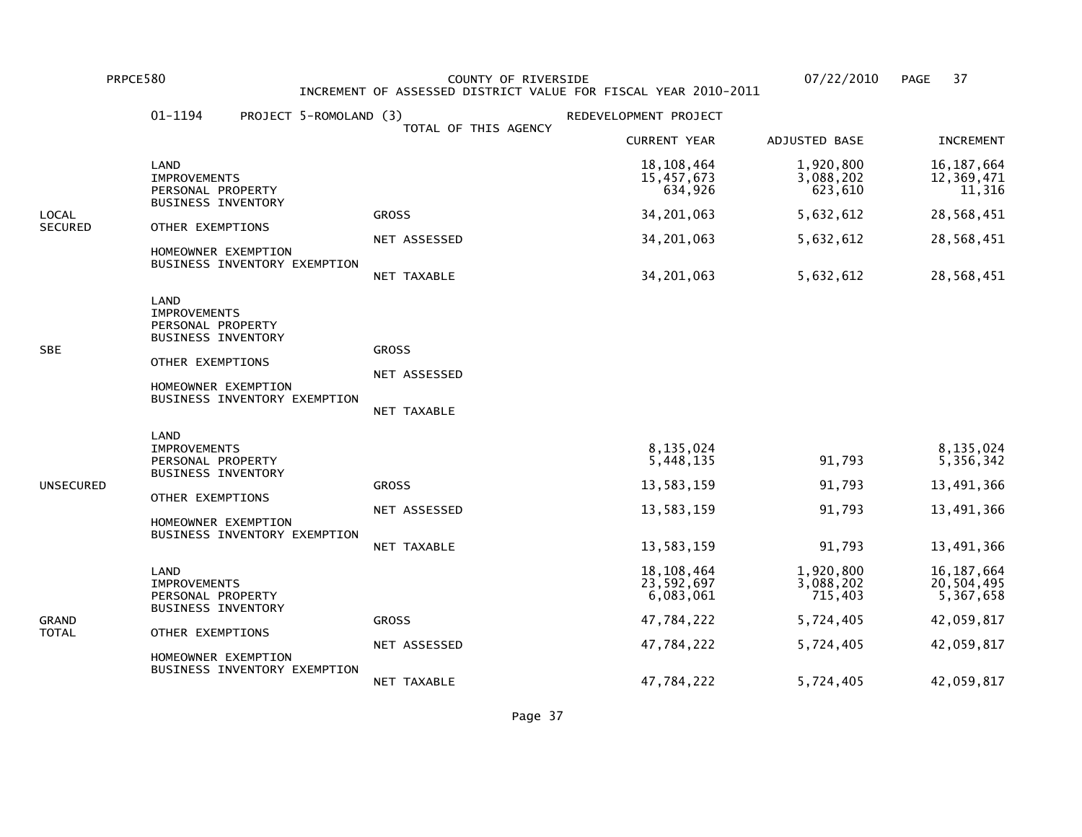PRPCE580 COUNTY OF RIVERSIDE 07/22/2010 PAGE 37 INCREMENT OF ASSESSED DISTRICT VALUE FOR FISCAL YEAR 2010-2011

|                | 01-1194<br>PROJECT 5-ROMOLAND (3)                                                          |                      | REDEVELOPMENT PROJECT                   |                                   |                                         |
|----------------|--------------------------------------------------------------------------------------------|----------------------|-----------------------------------------|-----------------------------------|-----------------------------------------|
|                |                                                                                            | TOTAL OF THIS AGENCY | <b>CURRENT YEAR</b>                     | ADJUSTED BASE                     | <b>INCREMENT</b>                        |
|                | LAND<br><b>IMPROVEMENTS</b><br>PERSONAL PROPERTY                                           |                      | 18, 108, 464<br>15,457,673<br>634,926   | 1,920,800<br>3,088,202<br>623,610 | 16, 187, 664<br>12,369,471<br>11,316    |
| LOCAL          | <b>BUSINESS INVENTORY</b>                                                                  | <b>GROSS</b>         | 34,201,063                              | 5,632,612                         | 28,568,451                              |
| <b>SECURED</b> | OTHER EXEMPTIONS                                                                           | NET ASSESSED         | 34, 201, 063                            | 5,632,612                         | 28,568,451                              |
|                | HOMEOWNER EXEMPTION<br>BUSINESS INVENTORY EXEMPTION                                        | NET TAXABLE          | 34, 201, 063                            | 5,632,612                         | 28,568,451                              |
| SBE            | LAND<br><b>IMPROVEMENTS</b><br>PERSONAL PROPERTY<br>BUSINESS INVENTORY<br>OTHER EXEMPTIONS | <b>GROSS</b>         |                                         |                                   |                                         |
|                | HOMEOWNER EXEMPTION                                                                        | NET ASSESSED         |                                         |                                   |                                         |
|                | BUSINESS INVENTORY EXEMPTION                                                               | NET TAXABLE          |                                         |                                   |                                         |
|                | LAND<br><b>IMPROVEMENTS</b><br>PERSONAL PROPERTY<br><b>BUSINESS INVENTORY</b>              |                      | 8,135,024<br>5,448,135                  | 91,793                            | 8,135,024<br>5,356,342                  |
| UNSECURED      | OTHER EXEMPTIONS                                                                           | <b>GROSS</b>         | 13,583,159                              | 91,793                            | 13,491,366                              |
|                | HOMEOWNER EXEMPTION                                                                        | NET ASSESSED         | 13,583,159                              | 91,793                            | 13,491,366                              |
|                | BUSINESS INVENTORY EXEMPTION                                                               | NET TAXABLE          | 13,583,159                              | 91,793                            | 13,491,366                              |
| GRAND          | LAND<br><b>IMPROVEMENTS</b><br>PERSONAL PROPERTY                                           |                      | 18, 108, 464<br>23,592,697<br>6,083,061 | 1,920,800<br>3,088,202<br>715,403 | 16, 187, 664<br>20,504,495<br>5,367,658 |
|                | <b>BUSINESS INVENTORY</b>                                                                  | <b>GROSS</b>         | 47,784,222                              | 5,724,405                         | 42,059,817                              |
| TOTAL          | OTHER EXEMPTIONS<br>HOMEOWNER EXEMPTION<br>BUSINESS INVENTORY EXEMPTION                    | NET ASSESSED         | 47,784,222                              | 5,724,405                         | 42,059,817                              |
|                |                                                                                            | NET TAXABLE          | 47,784,222                              | 5,724,405                         | 42,059,817                              |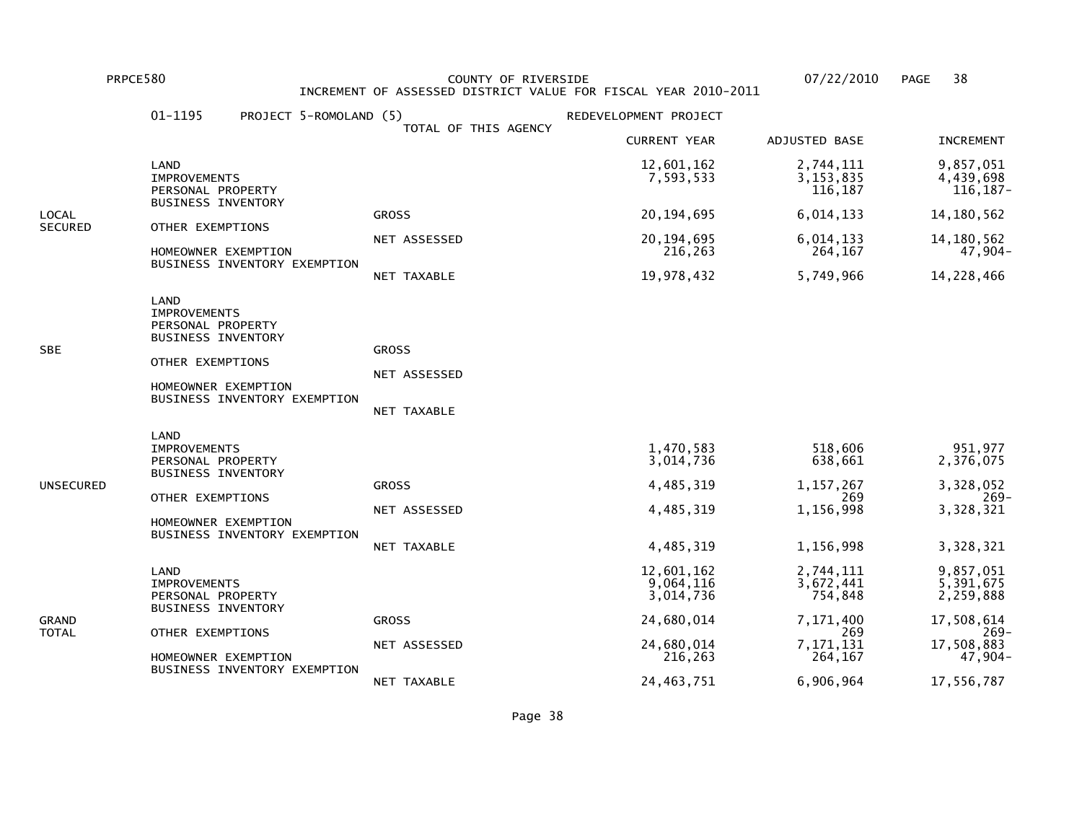PRPCE580 COUNTY OF RIVERSIDE 07/22/2010 PAGE 38 INCREMENT OF ASSESSED DISTRICT VALUE FOR FISCAL YEAR 2010-2011

|                | 01-1195<br>PROJECT 5-ROMOLAND (5)                                                                                                                        |                                             | REDEVELOPMENT PROJECT                                         |                                                                    |                                                                     |
|----------------|----------------------------------------------------------------------------------------------------------------------------------------------------------|---------------------------------------------|---------------------------------------------------------------|--------------------------------------------------------------------|---------------------------------------------------------------------|
|                |                                                                                                                                                          | TOTAL OF THIS AGENCY                        | <b>CURRENT YEAR</b>                                           | ADJUSTED BASE                                                      | <b>INCREMENT</b>                                                    |
|                | LAND<br><b>IMPROVEMENTS</b><br>PERSONAL PROPERTY                                                                                                         |                                             | 12,601,162<br>7,593,533                                       | 2,744,111<br>3, 153, 835<br>116,187                                | 9,857,051<br>4,439,698<br>116,187-                                  |
| LOCAL          | <b>BUSINESS INVENTORY</b>                                                                                                                                | <b>GROSS</b>                                | 20, 194, 695                                                  | 6,014,133                                                          | 14, 180, 562                                                        |
| SECURED        | OTHER EXEMPTIONS<br>HOMEOWNER EXEMPTION                                                                                                                  | NET ASSESSED                                | 20, 194, 695<br>216,263                                       | 6,014,133<br>264,167                                               | 14, 180, 562<br>47,904-                                             |
|                | BUSINESS INVENTORY EXEMPTION                                                                                                                             | NET TAXABLE                                 | 19,978,432                                                    | 5,749,966                                                          | 14,228,466                                                          |
| SBE            | LAND<br><b>IMPROVEMENTS</b><br>PERSONAL PROPERTY<br>BUSINESS INVENTORY<br>OTHER EXEMPTIONS<br>HOMEOWNER EXEMPTION<br>BUSINESS INVENTORY EXEMPTION        | <b>GROSS</b><br>NET ASSESSED<br>NET TAXABLE |                                                               |                                                                    |                                                                     |
| UNSECURED      | LAND<br><b>IMPROVEMENTS</b><br>PERSONAL PROPERTY<br><b>BUSINESS INVENTORY</b><br>OTHER EXEMPTIONS<br>HOMEOWNER EXEMPTION<br>BUSINESS INVENTORY EXEMPTION | <b>GROSS</b><br>NET ASSESSED<br>NET TAXABLE | 1,470,583<br>3,014,736<br>4,485,319<br>4,485,319<br>4,485,319 | 518,606<br>638,661<br>1, 157, 267<br>269<br>1,156,998<br>1,156,998 | 951,977<br>2,376,075<br>3,328,052<br>-269<br>3,328,321<br>3,328,321 |
| GRAND<br>TOTAL | LAND<br><b>IMPROVEMENTS</b><br>PERSONAL PROPERTY<br><b>BUSINESS INVENTORY</b>                                                                            |                                             | 12,601,162<br>9,064,116<br>3,014,736                          | 2,744,111<br>3,672,441<br>754,848                                  | 9,857,051<br>5,391,675<br>2,259,888                                 |
|                | OTHER EXEMPTIONS                                                                                                                                         | <b>GROSS</b>                                | 24,680,014                                                    | 7,171,400<br>269                                                   | 17,508,614<br>$269-$                                                |
|                | HOMEOWNER EXEMPTION<br>BUSINESS INVENTORY EXEMPTION                                                                                                      | NET ASSESSED                                | 24,680,014<br>216,263                                         | 7,171,131<br>264,167                                               | 17,508,883<br>47,904-                                               |
|                |                                                                                                                                                          | NET TAXABLE                                 | 24, 463, 751                                                  | 6,906,964                                                          | 17,556,787                                                          |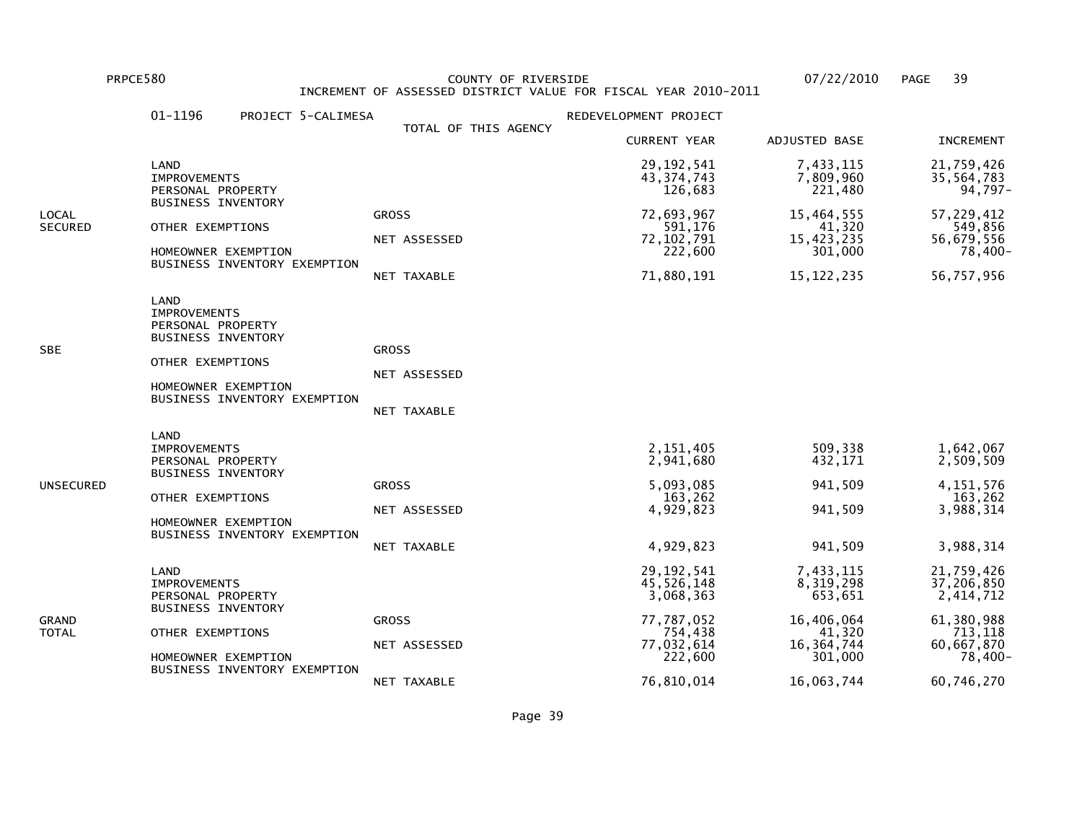PRPCE580 COUNTY OF RIVERSIDE 07/22/2010 PAGE 39 INCREMENT OF ASSESSED DISTRICT VALUE FOR FISCAL YEAR 2010-2011

|                  | 01-1196<br>PROJECT 5-CALIMESA                                                                                                                            |                                             | REDEVELOPMENT PROJECT                                                                     |                                                                                      |                                                                                         |
|------------------|----------------------------------------------------------------------------------------------------------------------------------------------------------|---------------------------------------------|-------------------------------------------------------------------------------------------|--------------------------------------------------------------------------------------|-----------------------------------------------------------------------------------------|
|                  |                                                                                                                                                          | TOTAL OF THIS AGENCY                        | <b>CURRENT YEAR</b>                                                                       | ADJUSTED BASE                                                                        | <b>INCREMENT</b>                                                                        |
|                  | LAND<br><b>IMPROVEMENTS</b><br>PERSONAL PROPERTY                                                                                                         |                                             | 29, 192, 541<br>43, 374, 743<br>126,683                                                   | 7,433,115<br>7,809,960<br>221,480                                                    | 21,759,426<br>35,564,783<br>$94,797-$                                                   |
| LOCAL<br>SECURED | <b>BUSINESS INVENTORY</b><br>OTHER EXEMPTIONS<br>HOMEOWNER EXEMPTION<br>BUSINESS INVENTORY EXEMPTION                                                     | <b>GROSS</b><br>NET ASSESSED<br>NET TAXABLE | 72,693,967<br>591,176<br>72, 102, 791<br>222,600<br>71,880,191                            | 15,464,555<br>41,320<br>15,423,235<br>301,000<br>15, 122, 235                        | 57,229,412<br>549,856<br>56,679,556<br>78,400-<br>56,757,956                            |
| SBE              | LAND<br><b>IMPROVEMENTS</b><br>PERSONAL PROPERTY<br><b>BUSINESS INVENTORY</b><br>OTHER EXEMPTIONS<br>HOMEOWNER EXEMPTION<br>BUSINESS INVENTORY EXEMPTION | <b>GROSS</b><br>NET ASSESSED<br>NET TAXABLE |                                                                                           |                                                                                      |                                                                                         |
| UNSECURED        | LAND<br><b>IMPROVEMENTS</b><br>PERSONAL PROPERTY<br><b>BUSINESS INVENTORY</b><br>OTHER EXEMPTIONS<br>HOMEOWNER EXEMPTION<br>BUSINESS INVENTORY EXEMPTION | <b>GROSS</b><br>NET ASSESSED<br>NET TAXABLE | 2,151,405<br>2,941,680<br>5,093,085<br>163,262<br>4,929,823<br>4,929,823                  | 509,338<br>432,171<br>941,509<br>941,509<br>941,509                                  | 1,642,067<br>2,509,509<br>4, 151, 576<br>163,262<br>3,988,314<br>3,988,314              |
| GRAND<br>TOTAL   | LAND<br><b>IMPROVEMENTS</b><br>PERSONAL PROPERTY<br><b>BUSINESS INVENTORY</b><br>OTHER EXEMPTIONS<br>HOMEOWNER EXEMPTION<br>BUSINESS INVENTORY EXEMPTION | <b>GROSS</b><br>NET ASSESSED                | 29, 192, 541<br>45,526,148<br>3,068,363<br>77,787,052<br>754,438<br>77,032,614<br>222,600 | 7,433,115<br>8,319,298<br>653,651<br>16,406,064<br>41,320<br>16, 364, 744<br>301,000 | 21,759,426<br>37,206,850<br>2,414,712<br>61,380,988<br>713,118<br>60,667,870<br>78,400- |
|                  |                                                                                                                                                          | NET TAXABLE                                 | 76,810,014                                                                                | 16,063,744                                                                           | 60,746,270                                                                              |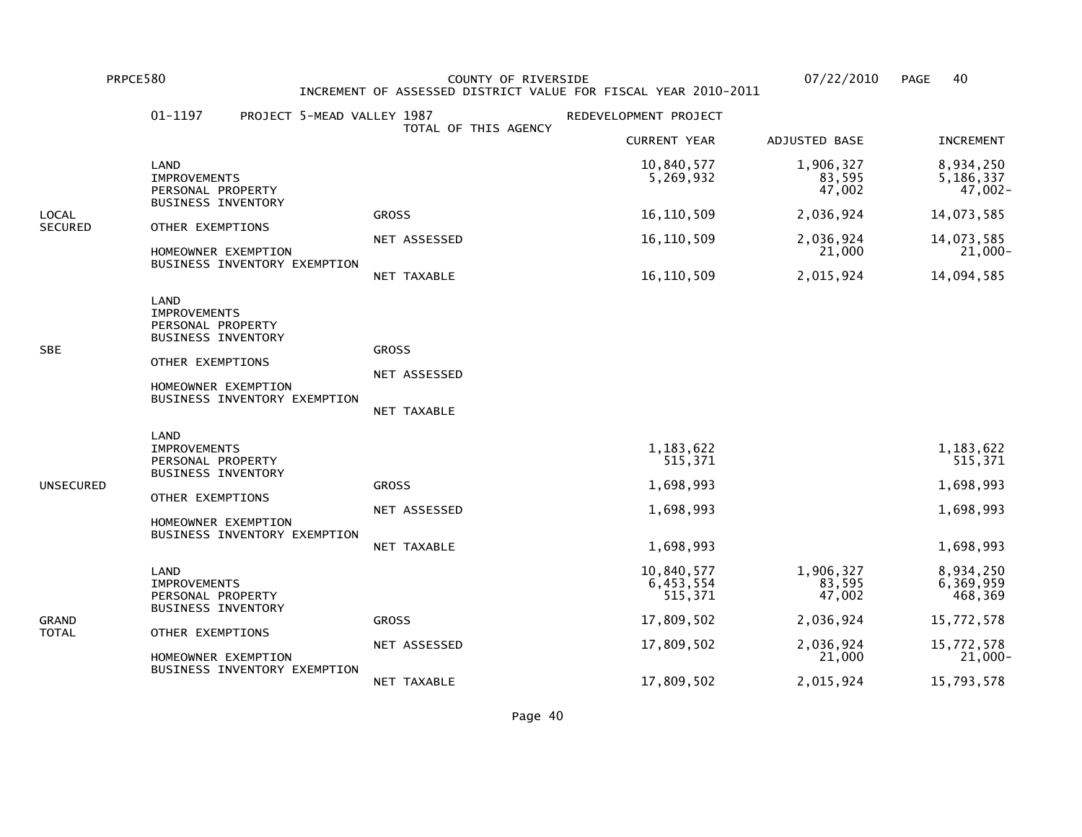PRPCE580 COUNTY OF RIVERSIDE 07/22/2010 PAGE 40 INCREMENT OF ASSESSED DISTRICT VALUE FOR FISCAL YEAR 2010-2011

|                | 01-1197<br>PROJECT 5-MEAD VALLEY 1987                                                                                                                    | TOTAL OF THIS AGENCY                        | REDEVELOPMENT PROJECT                                       |                               |                                                             |
|----------------|----------------------------------------------------------------------------------------------------------------------------------------------------------|---------------------------------------------|-------------------------------------------------------------|-------------------------------|-------------------------------------------------------------|
|                |                                                                                                                                                          |                                             | <b>CURRENT YEAR</b>                                         | ADJUSTED BASE                 | <b>INCREMENT</b>                                            |
|                | LAND<br><b>IMPROVEMENTS</b><br>PERSONAL PROPERTY                                                                                                         |                                             | 10,840,577<br>5,269,932                                     | 1,906,327<br>83,595<br>47,002 | 8,934,250<br>5,186,337<br>47,002-                           |
| LOCAL          | <b>BUSINESS INVENTORY</b>                                                                                                                                | <b>GROSS</b>                                | 16, 110, 509                                                | 2,036,924                     | 14,073,585                                                  |
| <b>SECURED</b> | OTHER EXEMPTIONS<br>HOMEOWNER EXEMPTION                                                                                                                  | NET ASSESSED                                | 16, 110, 509                                                | 2,036,924<br>21,000           | 14,073,585<br>21,000-                                       |
|                | BUSINESS INVENTORY EXEMPTION                                                                                                                             | NET TAXABLE                                 | 16, 110, 509                                                | 2,015,924                     | 14,094,585                                                  |
| SBE            | LAND<br><b>IMPROVEMENTS</b><br>PERSONAL PROPERTY<br><b>BUSINESS INVENTORY</b><br>OTHER EXEMPTIONS<br>HOMEOWNER EXEMPTION<br>BUSINESS INVENTORY EXEMPTION | <b>GROSS</b><br>NET ASSESSED<br>NET TAXABLE |                                                             |                               |                                                             |
| UNSECURED      | LAND<br><b>IMPROVEMENTS</b><br>PERSONAL PROPERTY<br><b>BUSINESS INVENTORY</b><br>OTHER EXEMPTIONS<br>HOMEOWNER EXEMPTION<br>BUSINESS INVENTORY EXEMPTION | <b>GROSS</b><br>NET ASSESSED<br>NET TAXABLE | 1,183,622<br>515,371<br>1,698,993<br>1,698,993<br>1,698,993 |                               | 1,183,622<br>515,371<br>1,698,993<br>1,698,993<br>1,698,993 |
| GRAND<br>TOTAL | LAND<br><b>IMPROVEMENTS</b><br>PERSONAL PROPERTY<br><b>BUSINESS INVENTORY</b>                                                                            |                                             | 10,840,577<br>6,453,554<br>515,371                          | 1,906,327<br>83,595<br>47,002 | 8,934,250<br>6,369,959<br>468,369                           |
|                |                                                                                                                                                          | <b>GROSS</b>                                | 17,809,502                                                  | 2,036,924                     | 15,772,578                                                  |
|                | OTHER EXEMPTIONS<br>HOMEOWNER EXEMPTION<br>BUSINESS INVENTORY EXEMPTION                                                                                  | NET ASSESSED                                | 17,809,502                                                  | 2,036,924<br>21,000           | 15,772,578<br>21,000-                                       |
|                |                                                                                                                                                          | NET TAXABLE                                 | 17,809,502                                                  | 2,015,924                     | 15,793,578                                                  |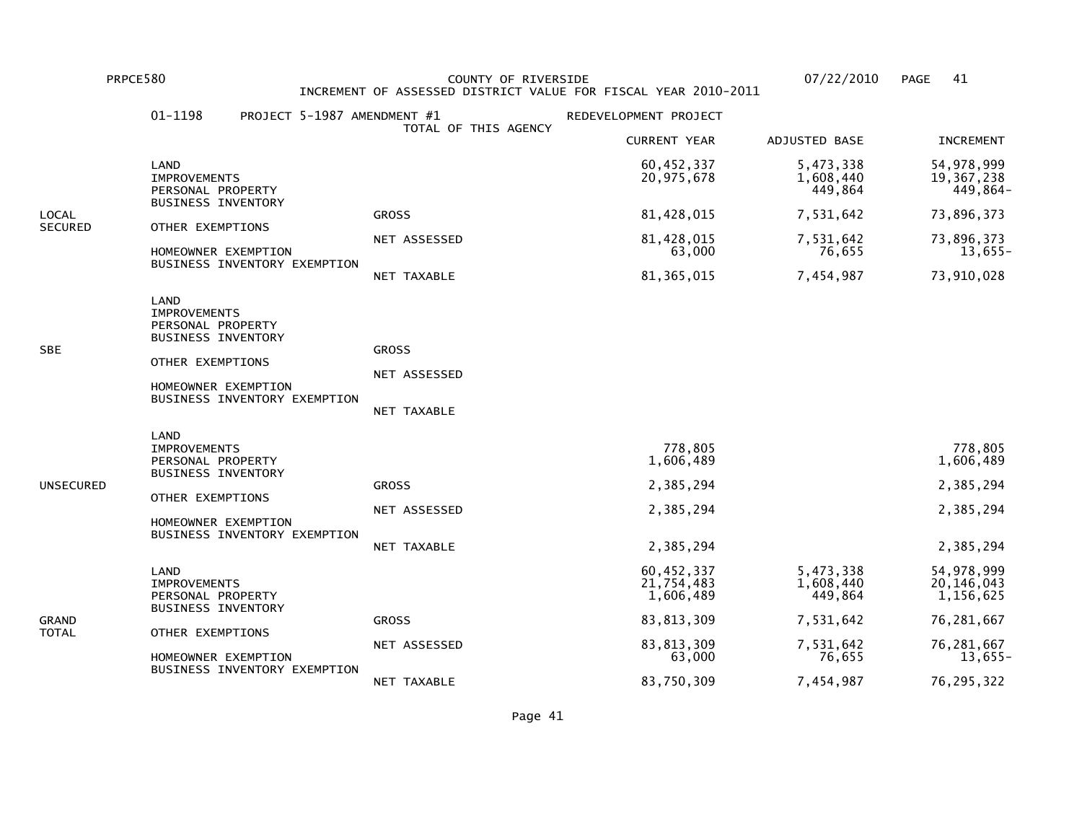PRPCE580 COUNTY OF RIVERSIDE 07/22/2010 PAGE 41 INCREMENT OF ASSESSED DISTRICT VALUE FOR FISCAL YEAR 2010-2011

|                | 01-1198<br>PROJECT 5-1987 AMENDMENT #1                                                                                                                   |                              | REDEVELOPMENT PROJECT                 |                                   |                                           |
|----------------|----------------------------------------------------------------------------------------------------------------------------------------------------------|------------------------------|---------------------------------------|-----------------------------------|-------------------------------------------|
|                |                                                                                                                                                          | TOTAL OF THIS AGENCY         | <b>CURRENT YEAR</b>                   | ADJUSTED BASE                     | <b>INCREMENT</b>                          |
|                | LAND<br><b>IMPROVEMENTS</b><br>PERSONAL PROPERTY                                                                                                         |                              | 60,452,337<br>20,975,678              | 5,473,338<br>1,608,440<br>449,864 | 54, 978, 999<br>19,367,238<br>449,864-    |
| LOCAL          | <b>BUSINESS INVENTORY</b>                                                                                                                                | <b>GROSS</b>                 | 81,428,015                            | 7,531,642                         | 73,896,373                                |
| <b>SECURED</b> | OTHER EXEMPTIONS<br>HOMEOWNER EXEMPTION                                                                                                                  | NET ASSESSED                 | 81,428,015<br>63,000                  | 7,531,642<br>76,655               | 73,896,373<br>$13,655-$                   |
|                | BUSINESS INVENTORY EXEMPTION                                                                                                                             | NET TAXABLE                  | 81, 365, 015                          | 7,454,987                         | 73,910,028                                |
| SBE            | LAND<br><b>IMPROVEMENTS</b><br>PERSONAL PROPERTY<br><b>BUSINESS INVENTORY</b><br>OTHER EXEMPTIONS<br>HOMEOWNER EXEMPTION<br>BUSINESS INVENTORY EXEMPTION | <b>GROSS</b><br>NET ASSESSED |                                       |                                   |                                           |
|                |                                                                                                                                                          | NET TAXABLE                  |                                       |                                   |                                           |
|                | LAND<br><b>IMPROVEMENTS</b><br>PERSONAL PROPERTY<br><b>BUSINESS INVENTORY</b>                                                                            |                              | 778,805<br>1,606,489                  |                                   | 778,805<br>1,606,489                      |
| UNSECURED      | OTHER EXEMPTIONS                                                                                                                                         | <b>GROSS</b>                 | 2,385,294                             |                                   | 2,385,294                                 |
|                | HOMEOWNER EXEMPTION                                                                                                                                      | NET ASSESSED                 | 2,385,294                             |                                   | 2,385,294                                 |
|                | BUSINESS INVENTORY EXEMPTION                                                                                                                             | NET TAXABLE                  | 2,385,294                             |                                   | 2,385,294                                 |
|                | LAND<br><b>IMPROVEMENTS</b><br>PERSONAL PROPERTY                                                                                                         |                              | 60,452,337<br>21,754,483<br>1,606,489 | 5,473,338<br>1,608,440<br>449,864 | 54, 978, 999<br>20, 146, 043<br>1,156,625 |
| GRAND          | <b>BUSINESS INVENTORY</b>                                                                                                                                | <b>GROSS</b>                 | 83, 813, 309                          | 7,531,642                         | 76,281,667                                |
| TOTAL          | OTHER EXEMPTIONS<br>HOMEOWNER EXEMPTION<br>BUSINESS INVENTORY EXEMPTION                                                                                  | NET ASSESSED                 | 83, 813, 309<br>63,000                | 7,531,642<br>76,655               | 76,281,667<br>$13,655-$                   |
|                |                                                                                                                                                          | NET TAXABLE                  | 83,750,309                            | 7,454,987                         | 76, 295, 322                              |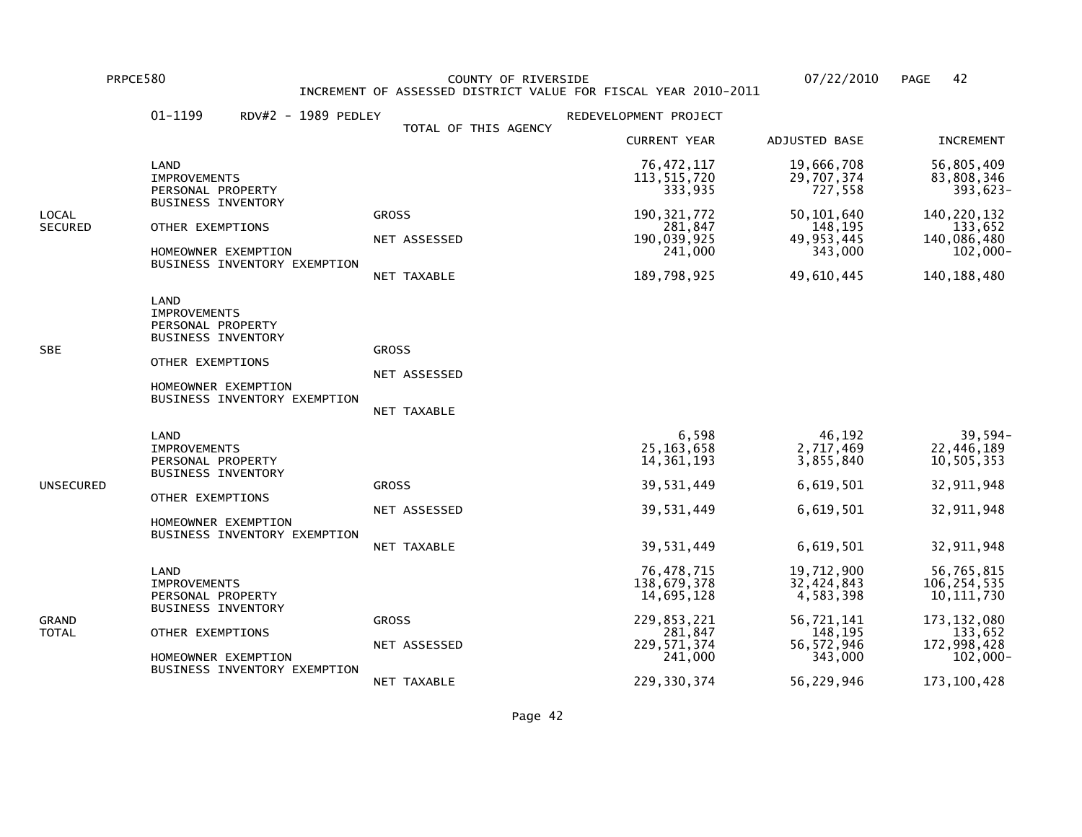PRPCE580 COUNTY OF RIVERSIDE 07/22/2010 PAGE 42 INCREMENT OF ASSESSED DISTRICT VALUE FOR FISCAL YEAR 2010-2011

|                  | 01-1199<br>RDV#2 - 1989 PEDLEY                                                                                                                                  |                                                            | REDEVELOPMENT PROJECT                                                                                          |                                                                                                         |                                                                                                                      |
|------------------|-----------------------------------------------------------------------------------------------------------------------------------------------------------------|------------------------------------------------------------|----------------------------------------------------------------------------------------------------------------|---------------------------------------------------------------------------------------------------------|----------------------------------------------------------------------------------------------------------------------|
|                  |                                                                                                                                                                 | TOTAL OF THIS AGENCY                                       | <b>CURRENT YEAR</b>                                                                                            | ADJUSTED BASE                                                                                           | <b>INCREMENT</b>                                                                                                     |
|                  | LAND<br><b>IMPROVEMENTS</b><br>PERSONAL PROPERTY<br><b>BUSINESS INVENTORY</b>                                                                                   |                                                            | 76, 472, 117<br>113,515,720<br>333,935                                                                         | 19,666,708<br>29,707,374<br>727,558                                                                     | 56,805,409<br>83,808,346<br>393,623-                                                                                 |
| LOCAL<br>SECURED | OTHER EXEMPTIONS<br>HOMEOWNER EXEMPTION<br>BUSINESS INVENTORY EXEMPTION                                                                                         | <b>GROSS</b><br>NET ASSESSED                               | 190, 321, 772<br>281,847<br>190,039,925<br>241,000                                                             | 50, 101, 640<br>148,195<br>49, 953, 445<br>343,000                                                      | 140, 220, 132<br>133,652<br>140,086,480<br>$102,000 -$                                                               |
| SBE              | <b>LAND</b><br><b>IMPROVEMENTS</b><br>PERSONAL PROPERTY<br><b>BUSINESS INVENTORY</b><br>OTHER EXEMPTIONS<br>HOMEOWNER EXEMPTION<br>BUSINESS INVENTORY EXEMPTION | NET TAXABLE<br><b>GROSS</b><br>NET ASSESSED<br>NET TAXABLE | 189,798,925                                                                                                    | 49,610,445                                                                                              | 140, 188, 480                                                                                                        |
| UNSECURED        | LAND<br><b>IMPROVEMENTS</b><br>PERSONAL PROPERTY<br><b>BUSINESS INVENTORY</b><br>OTHER EXEMPTIONS<br>HOMEOWNER EXEMPTION<br>BUSINESS INVENTORY EXEMPTION        | <b>GROSS</b><br>NET ASSESSED<br>NET TAXABLE                | 6,598<br>25, 163, 658<br>14, 361, 193<br>39,531,449<br>39,531,449<br>39,531,449                                | 46,192<br>2,717,469<br>3,855,840<br>6,619,501<br>6,619,501<br>6,619,501                                 | 39,594-<br>22,446,189<br>10,505,353<br>32,911,948<br>32,911,948<br>32,911,948                                        |
| GRAND<br>TOTAL   | LAND<br><b>IMPROVEMENTS</b><br>PERSONAL PROPERTY<br><b>BUSINESS INVENTORY</b><br>OTHER EXEMPTIONS<br>HOMEOWNER EXEMPTION<br>BUSINESS INVENTORY EXEMPTION        | <b>GROSS</b><br>NET ASSESSED<br>NET TAXABLE                | 76,478,715<br>138,679,378<br>14,695,128<br>229,853,221<br>281,847<br>229, 571, 374<br>241,000<br>229, 330, 374 | 19,712,900<br>32,424,843<br>4,583,398<br>56,721,141<br>148,195<br>56, 572, 946<br>343,000<br>56,229,946 | 56,765,815<br>106,254,535<br>10, 111, 730<br>173, 132, 080<br>133,652<br>172,998,428<br>$102,000 -$<br>173, 100, 428 |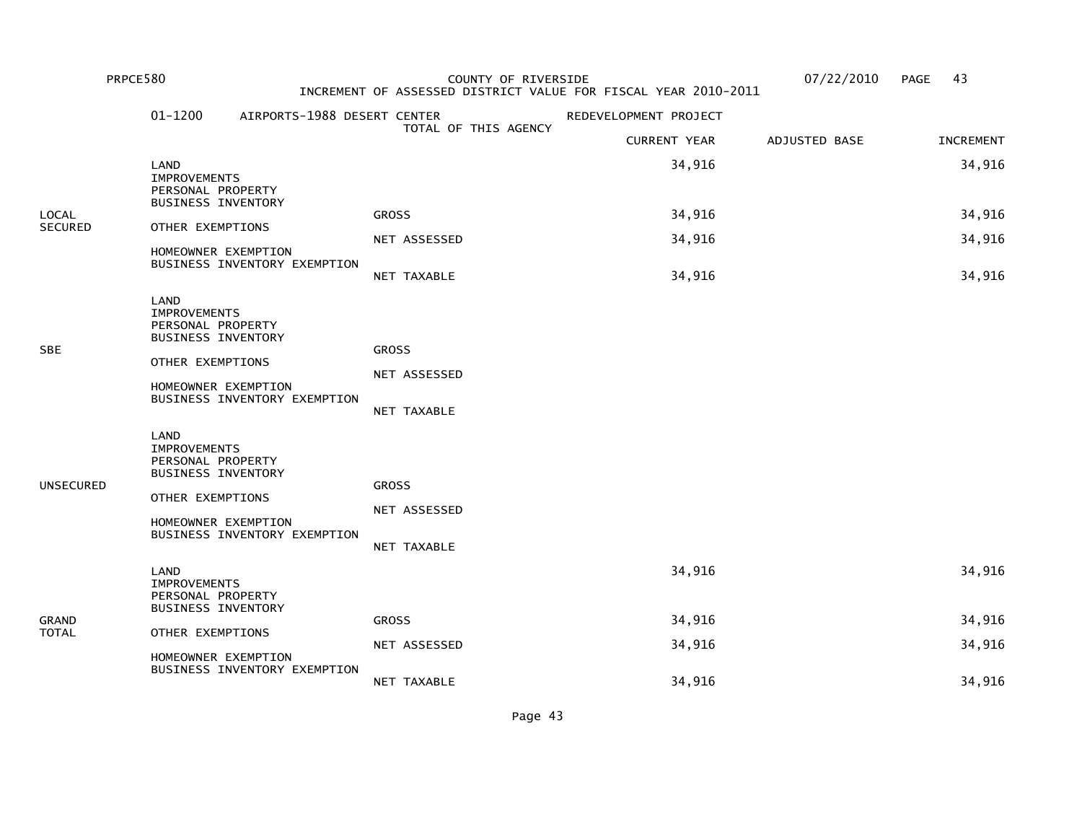| PRPCE580                |                                                                                                                          |                                         | COUNTY OF RIVERSIDE<br>INCREMENT OF ASSESSED DISTRICT VALUE FOR FISCAL YEAR 2010-2011 |                       |               | 43<br><b>PAGE</b> |
|-------------------------|--------------------------------------------------------------------------------------------------------------------------|-----------------------------------------|---------------------------------------------------------------------------------------|-----------------------|---------------|-------------------|
|                         | $01 - 1200$                                                                                                              | AIRPORTS-1988 DESERT CENTER             |                                                                                       | REDEVELOPMENT PROJECT |               |                   |
|                         |                                                                                                                          |                                         | TOTAL OF THIS AGENCY                                                                  | <b>CURRENT YEAR</b>   | ADJUSTED BASE | <b>INCREMENT</b>  |
|                         | LAND<br><b>IMPROVEMENTS</b><br>PERSONAL PROPERTY<br><b>BUSINESS INVENTORY</b>                                            |                                         |                                                                                       | 34,916                |               | 34,916            |
| <b>LOCAL</b><br>SECURED | OTHER EXEMPTIONS                                                                                                         |                                         | <b>GROSS</b>                                                                          | 34,916                |               | 34,916            |
|                         | HOMEOWNER EXEMPTION                                                                                                      |                                         | NET ASSESSED                                                                          | 34,916                |               | 34,916            |
|                         |                                                                                                                          | BUSINESS INVENTORY EXEMPTION            | NET TAXABLE                                                                           | 34,916                |               | 34,916            |
| <b>SBE</b>              | LAND<br><b>IMPROVEMENTS</b><br>PERSONAL PROPERTY<br>BUSINESS INVENTORY<br>OTHER EXEMPTIONS<br>HOMEOWNER EXEMPTION        | BUSINESS INVENTORY EXEMPTION            | <b>GROSS</b><br>NET ASSESSED<br>NET TAXABLE                                           |                       |               |                   |
| <b>UNSECURED</b>        | LAND<br><b>IMPROVEMENTS</b><br>PERSONAL PROPERTY<br><b>BUSINESS INVENTORY</b><br>OTHER EXEMPTIONS<br>HOMEOWNER EXEMPTION | BUSINESS INVENTORY EXEMPTION            | <b>GROSS</b><br>NET ASSESSED<br>NET TAXABLE                                           |                       |               |                   |
|                         | LAND<br>IMPROVEMENTS<br>PERSONAL PROPERTY                                                                                |                                         |                                                                                       | 34,916                |               | 34,916            |
| <b>GRAND</b>            | <b>BUSINESS INVENTORY</b>                                                                                                |                                         | <b>GROSS</b>                                                                          | 34,916                |               | 34,916            |
| <b>TOTAL</b>            |                                                                                                                          | OTHER EXEMPTIONS<br>HOMEOWNER EXEMPTION | NET ASSESSED                                                                          | 34,916                |               | 34,916            |
|                         |                                                                                                                          | BUSINESS INVENTORY EXEMPTION            | NET TAXABLE                                                                           | 34,916                |               | 34,916            |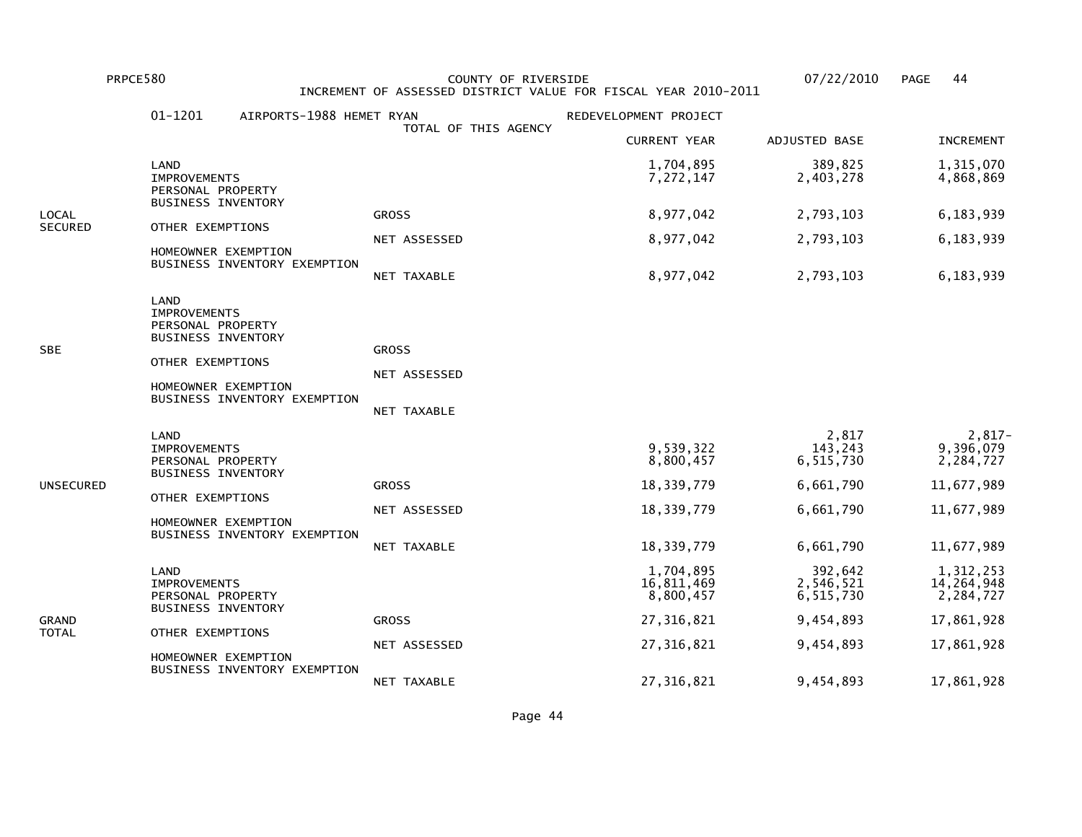PRPCE580 COUNTY OF RIVERSIDE 07/22/2010 PAGE 44 INCREMENT OF ASSESSED DISTRICT VALUE FOR FISCAL YEAR 2010-2011

|                | $01 - 1201$                                                                                                              | AIRPORTS-1988 HEMET RYAN     | TOTAL OF THIS AGENCY                        | REDEVELOPMENT PROJECT                |                                   |                                      |
|----------------|--------------------------------------------------------------------------------------------------------------------------|------------------------------|---------------------------------------------|--------------------------------------|-----------------------------------|--------------------------------------|
|                |                                                                                                                          |                              |                                             | <b>CURRENT YEAR</b>                  | ADJUSTED BASE                     | <b>INCREMENT</b>                     |
|                | LAND<br><b>IMPROVEMENTS</b><br>PERSONAL PROPERTY<br>BUSINESS INVENTORY                                                   |                              |                                             | 1,704,895<br>7,272,147               | 389,825<br>2,403,278              | 1,315,070<br>4,868,869               |
| LOCAL          |                                                                                                                          |                              | <b>GROSS</b>                                | 8,977,042                            | 2,793,103                         | 6,183,939                            |
| <b>SECURED</b> | OTHER EXEMPTIONS<br>HOMEOWNER EXEMPTION                                                                                  | BUSINESS INVENTORY EXEMPTION | NET ASSESSED                                | 8,977,042                            | 2,793,103                         | 6,183,939                            |
|                |                                                                                                                          |                              | NET TAXABLE                                 | 8,977,042                            | 2,793,103                         | 6,183,939                            |
| SBE            | LAND<br><b>IMPROVEMENTS</b><br>PERSONAL PROPERTY<br><b>BUSINESS INVENTORY</b><br>OTHER EXEMPTIONS<br>HOMEOWNER EXEMPTION | BUSINESS INVENTORY EXEMPTION | <b>GROSS</b><br>NET ASSESSED<br>NET TAXABLE |                                      |                                   |                                      |
|                | LAND<br><b>IMPROVEMENTS</b><br>PERSONAL PROPERTY<br><b>BUSINESS INVENTORY</b>                                            |                              |                                             | 9,539,322<br>8,800,457               | 2,817<br>143,243<br>6,515,730     | $2,817-$<br>9,396,079<br>2,284,727   |
| UNSECURED      | OTHER EXEMPTIONS                                                                                                         |                              | <b>GROSS</b>                                | 18,339,779                           | 6,661,790                         | 11,677,989                           |
|                | HOMEOWNER EXEMPTION                                                                                                      | BUSINESS INVENTORY EXEMPTION | NET ASSESSED                                | 18,339,779                           | 6,661,790                         | 11,677,989                           |
|                |                                                                                                                          |                              | NET TAXABLE                                 | 18,339,779                           | 6,661,790                         | 11,677,989                           |
|                | LAND<br><b>IMPROVEMENTS</b><br>PERSONAL PROPERTY<br><b>BUSINESS INVENTORY</b>                                            |                              |                                             | 1,704,895<br>16,811,469<br>8,800,457 | 392,642<br>2,546,521<br>6,515,730 | 1,312,253<br>14,264,948<br>2,284,727 |
| GRAND          | OTHER EXEMPTIONS                                                                                                         |                              | <b>GROSS</b>                                | 27,316,821                           | 9,454,893                         | 17,861,928                           |
| TOTAL          | HOMEOWNER EXEMPTION                                                                                                      | BUSINESS INVENTORY EXEMPTION | NET ASSESSED                                | 27, 316, 821                         | 9,454,893                         | 17,861,928                           |
|                |                                                                                                                          |                              | NET TAXABLE                                 | 27,316,821                           | 9,454,893                         | 17,861,928                           |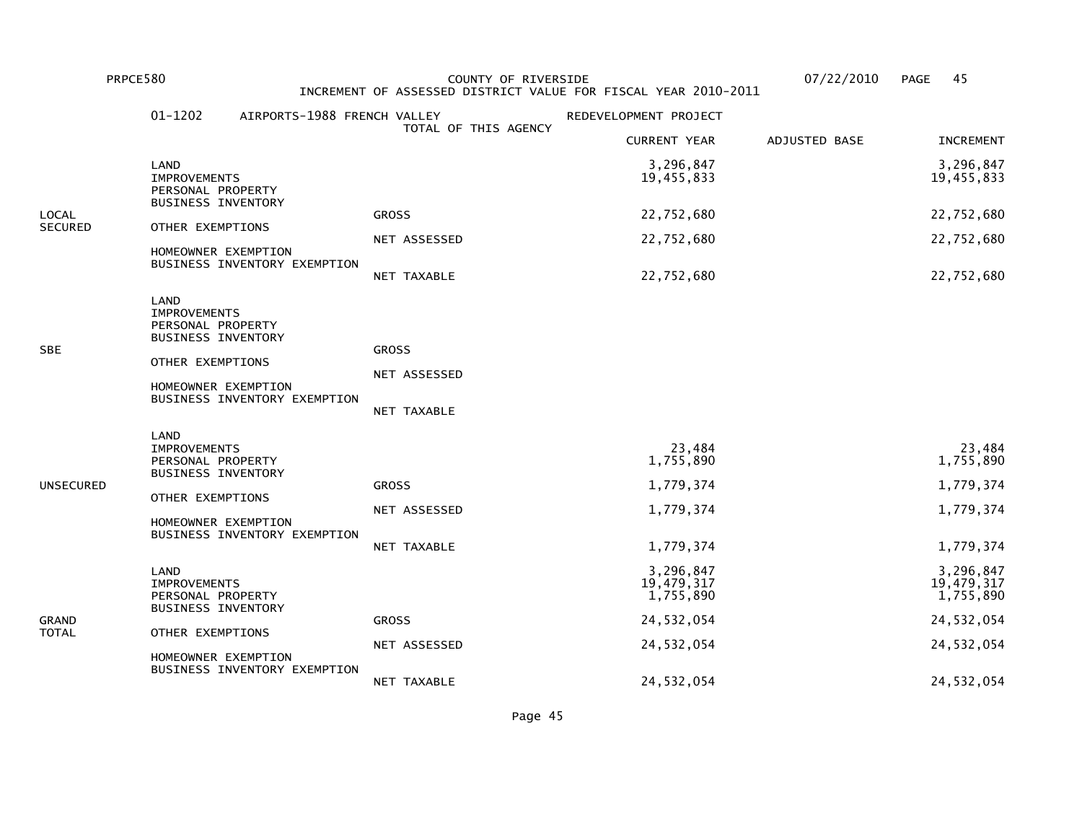## PRPCE580 COUNTY OF RIVERSIDE 07/22/2010 PAGE 45 INCREMENT OF ASSESSED DISTRICT VALUE FOR FISCAL YEAR 2010-2011

|                | $01 - 1202$                                                                                       | AIRPORTS-1988 FRENCH VALLEY                         |                                             | REDEVELOPMENT PROJECT                |               |                                      |
|----------------|---------------------------------------------------------------------------------------------------|-----------------------------------------------------|---------------------------------------------|--------------------------------------|---------------|--------------------------------------|
|                |                                                                                                   |                                                     | TOTAL OF THIS AGENCY                        | <b>CURRENT YEAR</b>                  | ADJUSTED BASE | <b>INCREMENT</b>                     |
|                | LAND<br><b>IMPROVEMENTS</b><br>PERSONAL PROPERTY<br><b>BUSINESS INVENTORY</b>                     |                                                     |                                             | 3,296,847<br>19,455,833              |               | 3,296,847<br>19,455,833              |
| LOCAL          |                                                                                                   |                                                     | <b>GROSS</b>                                | 22,752,680                           |               | 22,752,680                           |
| <b>SECURED</b> | OTHER EXEMPTIONS                                                                                  | HOMEOWNER EXEMPTION                                 | NET ASSESSED                                | 22,752,680                           |               | 22,752,680                           |
|                |                                                                                                   | BUSINESS INVENTORY EXEMPTION                        | NET TAXABLE                                 | 22,752,680                           |               | 22,752,680                           |
| SBE            | LAND<br><b>IMPROVEMENTS</b><br>PERSONAL PROPERTY<br><b>BUSINESS INVENTORY</b><br>OTHER EXEMPTIONS | HOMEOWNER EXEMPTION<br>BUSINESS INVENTORY EXEMPTION | <b>GROSS</b><br>NET ASSESSED<br>NET TAXABLE |                                      |               |                                      |
|                | LAND<br><b>IMPROVEMENTS</b><br>PERSONAL PROPERTY<br><b>BUSINESS INVENTORY</b>                     |                                                     |                                             | 23,484<br>1,755,890                  |               | 23,484<br>1,755,890                  |
| UNSECURED      |                                                                                                   |                                                     | <b>GROSS</b>                                | 1,779,374                            |               | 1,779,374                            |
|                | OTHER EXEMPTIONS                                                                                  | HOMEOWNER EXEMPTION                                 | NET ASSESSED                                | 1,779,374                            |               | 1,779,374                            |
|                |                                                                                                   | BUSINESS INVENTORY EXEMPTION                        | NET TAXABLE                                 | 1,779,374                            |               | 1,779,374                            |
|                | LAND<br><b>IMPROVEMENTS</b><br>PERSONAL PROPERTY<br><b>BUSINESS INVENTORY</b>                     |                                                     |                                             | 3,296,847<br>19,479,317<br>1,755,890 |               | 3,296,847<br>19,479,317<br>1,755,890 |
| GRAND          | OTHER EXEMPTIONS                                                                                  |                                                     | <b>GROSS</b>                                | 24,532,054                           |               | 24,532,054                           |
| TOTAL          |                                                                                                   | HOMEOWNER EXEMPTION<br>BUSINESS INVENTORY EXEMPTION | NET ASSESSED                                | 24,532,054                           |               | 24,532,054                           |
|                |                                                                                                   |                                                     | NET TAXABLE                                 | 24,532,054                           |               | 24,532,054                           |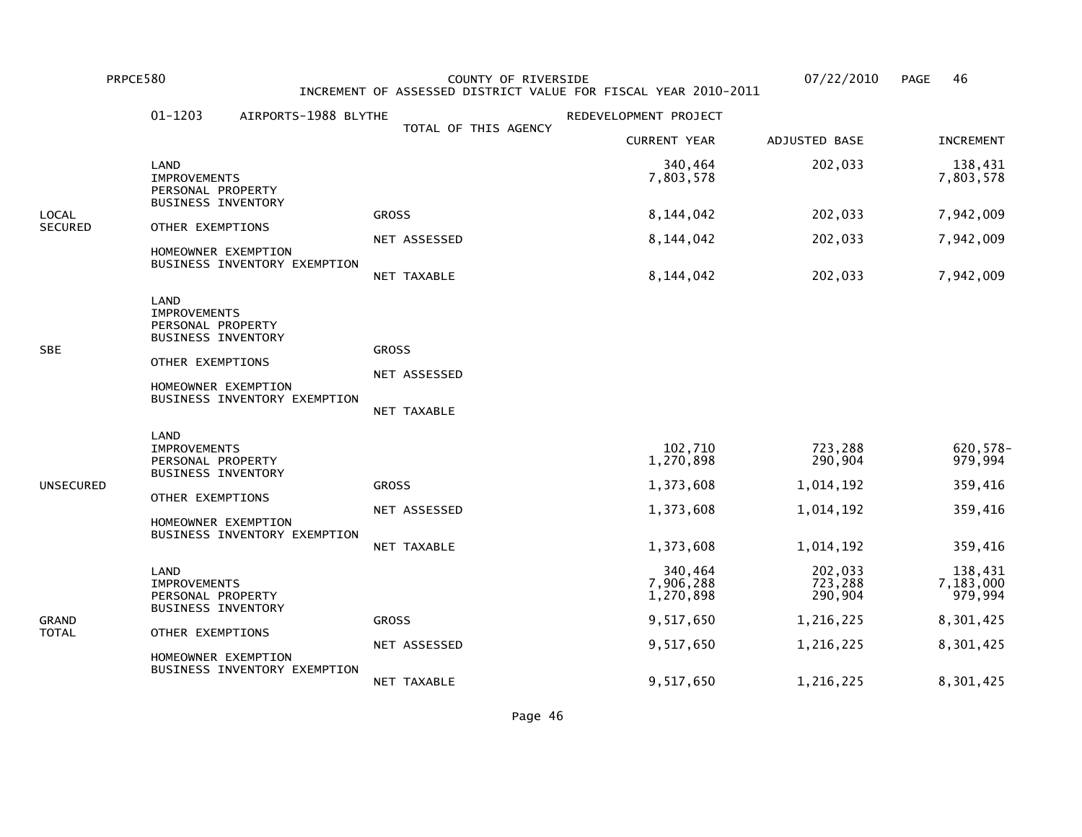PRPCE580 COUNTY OF RIVERSIDE 07/22/2010 PAGE 46 INCREMENT OF ASSESSED DISTRICT VALUE FOR FISCAL YEAR 2010-2011

|                         | 01-1203<br>AIRPORTS-1988 BLYTHE                                                                                                                          |                                             | REDEVELOPMENT PROJECT                                       |                                                           |                                                       |
|-------------------------|----------------------------------------------------------------------------------------------------------------------------------------------------------|---------------------------------------------|-------------------------------------------------------------|-----------------------------------------------------------|-------------------------------------------------------|
|                         |                                                                                                                                                          | TOTAL OF THIS AGENCY                        | <b>CURRENT YEAR</b>                                         | ADJUSTED BASE                                             | <b>INCREMENT</b>                                      |
|                         | LAND<br><b>IMPROVEMENTS</b><br>PERSONAL PROPERTY<br><b>BUSINESS INVENTORY</b>                                                                            |                                             | 340,464<br>7,803,578                                        | 202,033                                                   | 138,431<br>7,803,578                                  |
| LOCAL<br><b>SECURED</b> | OTHER EXEMPTIONS                                                                                                                                         | <b>GROSS</b>                                | 8,144,042                                                   | 202,033                                                   | 7,942,009                                             |
|                         | HOMEOWNER EXEMPTION<br>BUSINESS INVENTORY EXEMPTION                                                                                                      | NET ASSESSED                                | 8,144,042                                                   | 202,033                                                   | 7,942,009                                             |
|                         |                                                                                                                                                          | NET TAXABLE                                 | 8,144,042                                                   | 202,033                                                   | 7,942,009                                             |
| SBE                     | LAND<br><b>IMPROVEMENTS</b><br>PERSONAL PROPERTY<br><b>BUSINESS INVENTORY</b><br>OTHER EXEMPTIONS<br>HOMEOWNER EXEMPTION<br>BUSINESS INVENTORY EXEMPTION | <b>GROSS</b><br>NET ASSESSED<br>NET TAXABLE |                                                             |                                                           |                                                       |
| UNSECURED               | LAND<br><b>IMPROVEMENTS</b><br>PERSONAL PROPERTY<br><b>BUSINESS INVENTORY</b><br>OTHER EXEMPTIONS<br>HOMEOWNER EXEMPTION<br>BUSINESS INVENTORY EXEMPTION | <b>GROSS</b><br>NET ASSESSED<br>NET TAXABLE | 102,710<br>1,270,898<br>1,373,608<br>1,373,608<br>1,373,608 | 723,288<br>290,904<br>1,014,192<br>1,014,192<br>1,014,192 | 620, 578-<br>979,994<br>359,416<br>359,416<br>359,416 |
|                         | LAND<br><b>IMPROVEMENTS</b><br>PERSONAL PROPERTY<br><b>BUSINESS INVENTORY</b>                                                                            |                                             | 340,464<br>7,906,288<br>1,270,898                           | 202,033<br>723,288<br>290,904                             | 138,431<br>7,183,000<br>979,994                       |
| GRAND                   | OTHER EXEMPTIONS                                                                                                                                         | <b>GROSS</b>                                | 9,517,650                                                   | 1,216,225                                                 | 8,301,425                                             |
| TOTAL                   | HOMEOWNER EXEMPTION<br>BUSINESS INVENTORY EXEMPTION                                                                                                      | NET ASSESSED                                | 9,517,650                                                   | 1,216,225                                                 | 8,301,425                                             |
|                         |                                                                                                                                                          | NET TAXABLE                                 | 9,517,650                                                   | 1,216,225                                                 | 8,301,425                                             |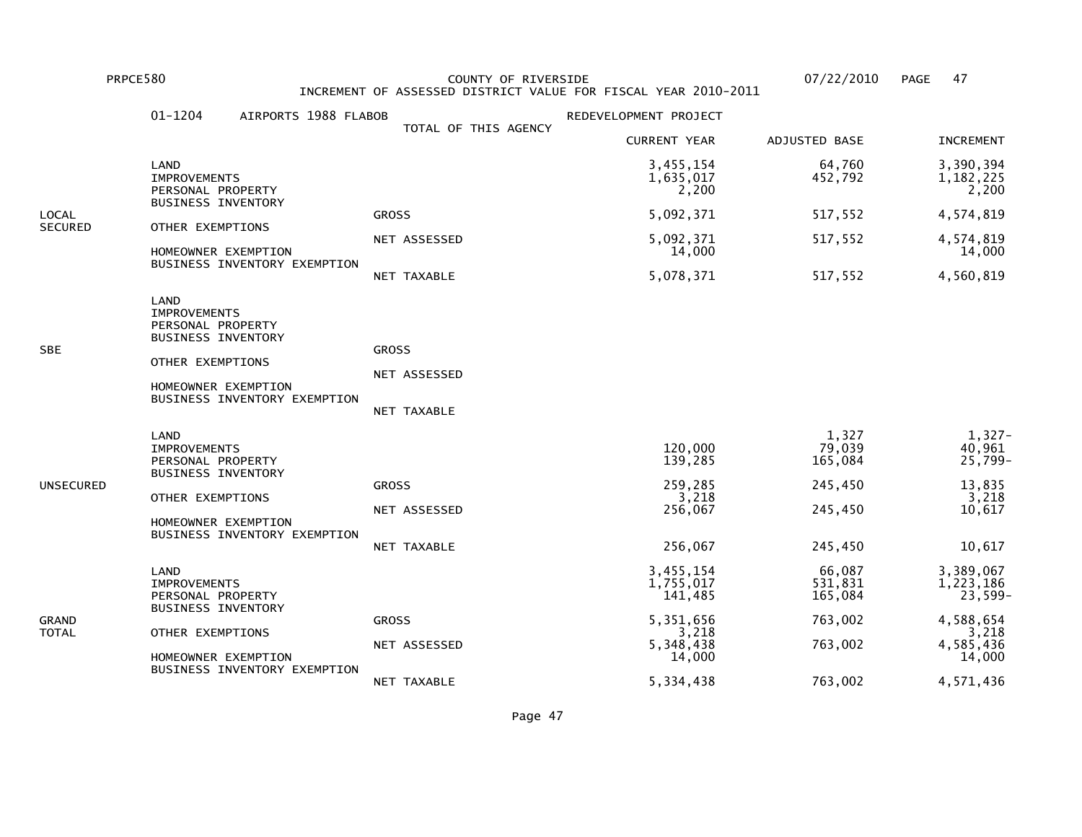PRPCE580 COUNTY OF RIVERSIDE 07/22/2010 PAGE 47 INCREMENT OF ASSESSED DISTRICT VALUE FOR FISCAL YEAR 2010-2011

|                | 01-1204<br>AIRPORTS 1988 FLABOB                                                                                                                          |                                             | REDEVELOPMENT PROJECT                                        |                                                             |                                                                      |
|----------------|----------------------------------------------------------------------------------------------------------------------------------------------------------|---------------------------------------------|--------------------------------------------------------------|-------------------------------------------------------------|----------------------------------------------------------------------|
|                |                                                                                                                                                          | TOTAL OF THIS AGENCY                        | <b>CURRENT YEAR</b>                                          | ADJUSTED BASE                                               | <b>INCREMENT</b>                                                     |
|                | LAND<br><b>IMPROVEMENTS</b><br>PERSONAL PROPERTY                                                                                                         |                                             | 3,455,154<br>1,635,017<br>2,200                              | 64,760<br>452,792                                           | 3,390,394<br>1, 182, 225<br>2,200                                    |
| LOCAL          | <b>BUSINESS INVENTORY</b>                                                                                                                                | <b>GROSS</b>                                | 5,092,371                                                    | 517,552                                                     | 4,574,819                                                            |
| <b>SECURED</b> | OTHER EXEMPTIONS<br>HOMEOWNER EXEMPTION                                                                                                                  | NET ASSESSED                                | 5,092,371<br>14,000                                          | 517,552                                                     | 4,574,819<br>14,000                                                  |
|                | BUSINESS INVENTORY EXEMPTION                                                                                                                             | NET TAXABLE                                 | 5,078,371                                                    | 517,552                                                     | 4,560,819                                                            |
| SBE            | LAND<br><b>IMPROVEMENTS</b><br>PERSONAL PROPERTY<br><b>BUSINESS INVENTORY</b><br>OTHER EXEMPTIONS<br>HOMEOWNER EXEMPTION<br>BUSINESS INVENTORY EXEMPTION | <b>GROSS</b><br>NET ASSESSED<br>NET TAXABLE |                                                              |                                                             |                                                                      |
| UNSECURED      | LAND<br><b>IMPROVEMENTS</b><br>PERSONAL PROPERTY<br><b>BUSINESS INVENTORY</b><br>OTHER EXEMPTIONS<br>HOMEOWNER EXEMPTION<br>BUSINESS INVENTORY EXEMPTION | <b>GROSS</b><br>NET ASSESSED<br>NET TAXABLE | 120,000<br>139,285<br>259,285<br>3,218<br>256,067<br>256,067 | 1,327<br>79,039<br>165,084<br>245,450<br>245,450<br>245,450 | 1,327-<br>40,961<br>$25,799-$<br>13,835<br>3,218<br>10,617<br>10,617 |
| GRAND<br>TOTAL | LAND<br><b>IMPROVEMENTS</b><br>PERSONAL PROPERTY<br><b>BUSINESS INVENTORY</b><br>OTHER EXEMPTIONS                                                        | <b>GROSS</b>                                | 3,455,154<br>1,755,017<br>141,485<br>5,351,656<br>3,218      | 66,087<br>531,831<br>165,084<br>763,002                     | 3,389,067<br>1,223,186<br>$23,599-$<br>4,588,654<br>3,218            |
|                | HOMEOWNER EXEMPTION<br>BUSINESS INVENTORY EXEMPTION                                                                                                      | NET ASSESSED<br>NET TAXABLE                 | 5,348,438<br>14,000<br>5,334,438                             | 763,002<br>763,002                                          | 4,585,436<br>14,000<br>4,571,436                                     |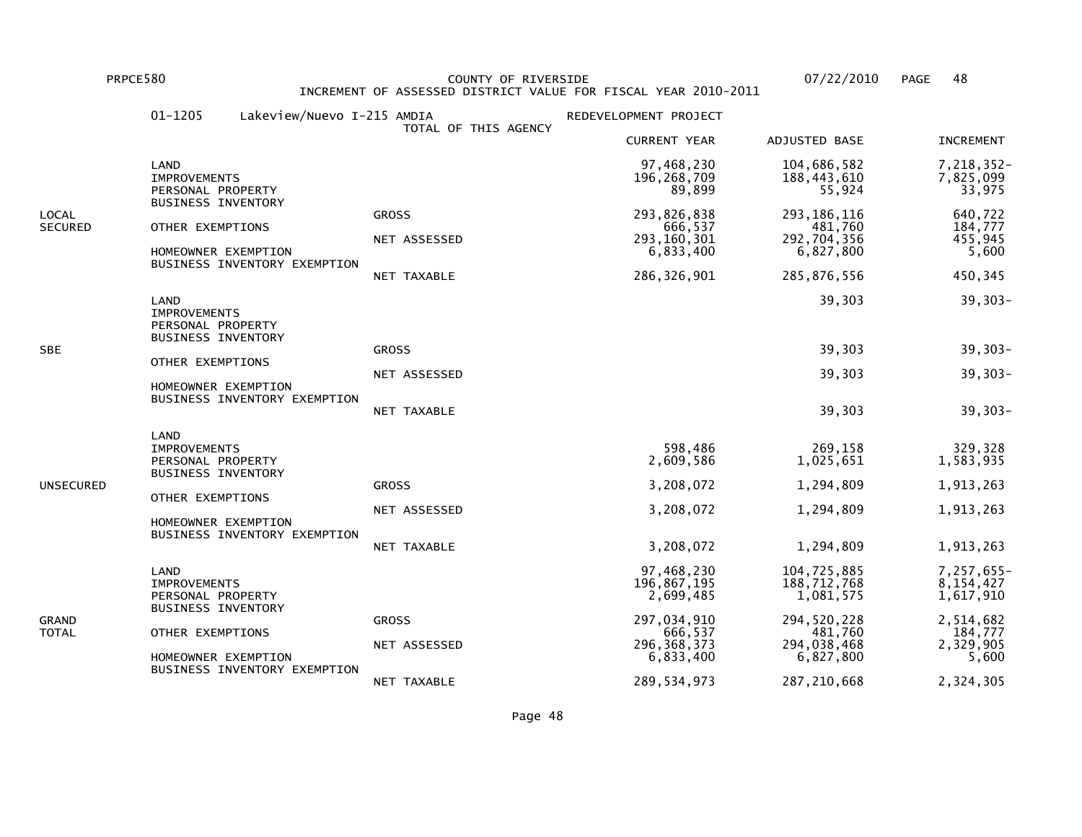PRPCE580 COUNTY OF RIVERSIDE 07/22/2010 PAGE 48 INCREMENT OF ASSESSED DISTRICT VALUE FOR FISCAL YEAR 2010-2011

|                         | $01 - 1205$<br>Lakeview/Nuevo I-215 AMDIA                                                            | TOTAL OF THIS AGENCY                        | REDEVELOPMENT PROJECT                                                 |                                                                     |                                                   |
|-------------------------|------------------------------------------------------------------------------------------------------|---------------------------------------------|-----------------------------------------------------------------------|---------------------------------------------------------------------|---------------------------------------------------|
|                         |                                                                                                      |                                             | <b>CURRENT YEAR</b>                                                   | ADJUSTED BASE                                                       | <b>INCREMENT</b>                                  |
|                         | LAND<br><b>IMPROVEMENTS</b><br>PERSONAL PROPERTY                                                     |                                             | 97,468,230<br>196, 268, 709<br>89,899                                 | 104,686,582<br>188,443,610<br>55,924                                | 7,218,352-<br>7,825,099<br>33,975                 |
| LOCAL<br><b>SECURED</b> | <b>BUSINESS INVENTORY</b><br>OTHER EXEMPTIONS<br>HOMEOWNER EXEMPTION<br>BUSINESS INVENTORY EXEMPTION | <b>GROSS</b><br>NET ASSESSED<br>NET TAXABLE | 293,826,838<br>666,537<br>293, 160, 301<br>6,833,400<br>286, 326, 901 | 293, 186, 116<br>481,760<br>292,704,356<br>6,827,800<br>285,876,556 | 640,722<br>184,777<br>455,945<br>5,600<br>450,345 |
|                         | LAND<br><b>IMPROVEMENTS</b><br>PERSONAL PROPERTY<br><b>BUSINESS INVENTORY</b>                        |                                             |                                                                       | 39,303                                                              | $39,303-$                                         |
| SBE                     |                                                                                                      | <b>GROSS</b>                                |                                                                       | 39,303                                                              | 39,303-                                           |
|                         | OTHER EXEMPTIONS<br>HOMEOWNER EXEMPTION                                                              | NET ASSESSED                                |                                                                       | 39,303                                                              | 39,303-                                           |
|                         | BUSINESS INVENTORY EXEMPTION                                                                         | NET TAXABLE                                 |                                                                       | 39,303                                                              | 39,303-                                           |
|                         | LAND<br><b>IMPROVEMENTS</b><br>PERSONAL PROPERTY<br><b>BUSINESS INVENTORY</b>                        |                                             | 598,486<br>2,609,586                                                  | 269,158<br>1,025,651                                                | 329,328<br>1,583,935                              |
| UNSECURED               | OTHER EXEMPTIONS                                                                                     | <b>GROSS</b>                                | 3,208,072                                                             | 1,294,809                                                           | 1,913,263                                         |
|                         | HOMEOWNER EXEMPTION<br>BUSINESS INVENTORY EXEMPTION                                                  | NET ASSESSED                                | 3,208,072                                                             | 1,294,809                                                           | 1,913,263                                         |
|                         |                                                                                                      | NET TAXABLE                                 | 3,208,072                                                             | 1,294,809                                                           | 1,913,263                                         |
| GRAND<br>TOTAL          | LAND<br><b>IMPROVEMENTS</b><br>PERSONAL PROPERTY<br><b>BUSINESS INVENTORY</b>                        |                                             | 97,468,230<br>196,867,195<br>2,699,485                                | 104,725,885<br>188,712,768<br>1,081,575                             | 7,257,655-<br>8,154,427<br>1,617,910              |
|                         | OTHER EXEMPTIONS                                                                                     | <b>GROSS</b>                                | 297,034,910<br>666,537                                                | 294,520,228<br>481,760                                              | 2,514,682<br>184,777                              |
|                         | HOMEOWNER EXEMPTION                                                                                  | NET ASSESSED                                | 296, 368, 373<br>6,833,400                                            | 294,038,468<br>6,827,800                                            | 2,329,905<br>5,600                                |
|                         | BUSINESS INVENTORY EXEMPTION                                                                         | NET TAXABLE                                 | 289, 534, 973                                                         | 287, 210, 668                                                       | 2,324,305                                         |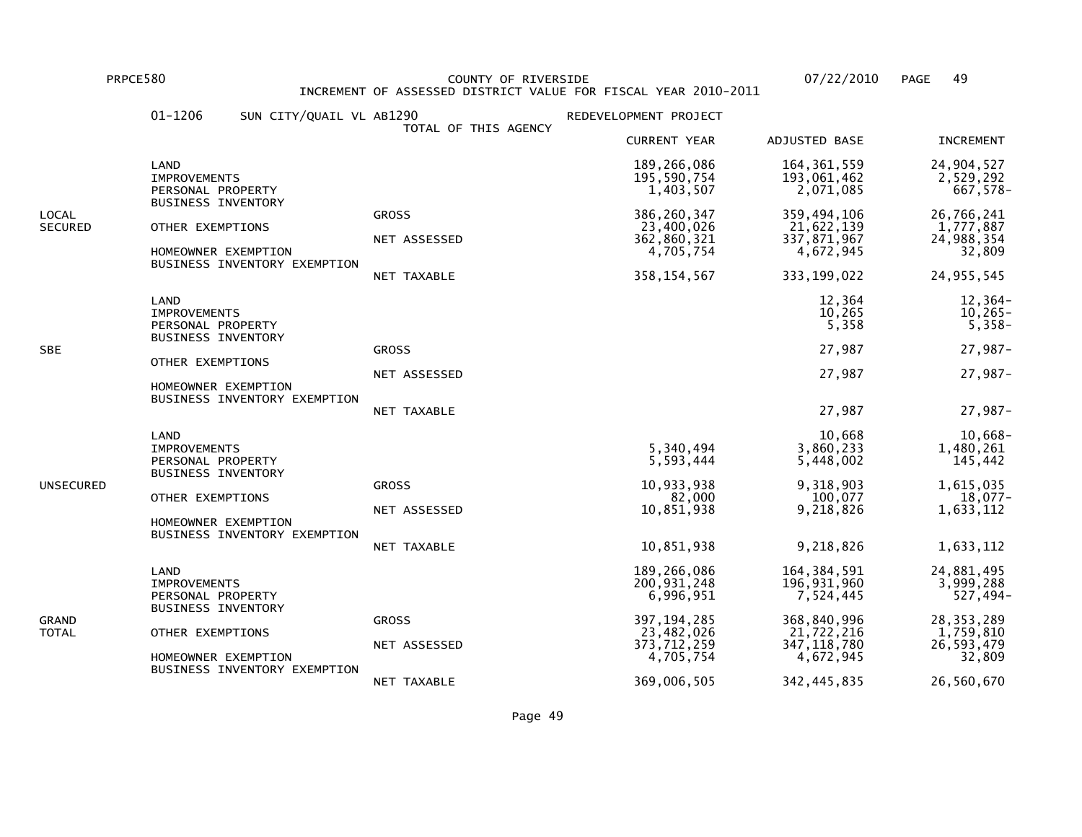PRPCE580 COUNTY OF RIVERSIDE 07/22/2010 PAGE 49 INCREMENT OF ASSESSED DISTRICT VALUE FOR FISCAL YEAR 2010-2011

|                         | 01-1206<br>SUN CITY/QUAIL VL AB1290                                                                  | TOTAL OF THIS AGENCY                        | REDEVELOPMENT PROJECT                                                    |                                                                        |                                                                 |
|-------------------------|------------------------------------------------------------------------------------------------------|---------------------------------------------|--------------------------------------------------------------------------|------------------------------------------------------------------------|-----------------------------------------------------------------|
|                         |                                                                                                      |                                             | <b>CURRENT YEAR</b>                                                      | ADJUSTED BASE                                                          | <b>INCREMENT</b>                                                |
|                         | LAND<br><b>IMPROVEMENTS</b><br>PERSONAL PROPERTY                                                     |                                             | 189,266,086<br>195, 590, 754<br>1,403,507                                | 164, 361, 559<br>193,061,462<br>2,071,085                              | 24,904,527<br>2,529,292<br>667,578-                             |
| LOCAL<br><b>SECURED</b> | <b>BUSINESS INVENTORY</b><br>OTHER EXEMPTIONS<br>HOMEOWNER EXEMPTION<br>BUSINESS INVENTORY EXEMPTION | <b>GROSS</b><br>NET ASSESSED<br>NET TAXABLE | 386, 260, 347<br>23,400,026<br>362,860,321<br>4,705,754<br>358, 154, 567 | 359,494,106<br>21,622,139<br>337,871,967<br>4,672,945<br>333, 199, 022 | 26,766,241<br>1,777,887<br>24,988,354<br>32,809<br>24, 955, 545 |
|                         | LAND<br><b>IMPROVEMENTS</b><br>PERSONAL PROPERTY<br><b>BUSINESS INVENTORY</b>                        |                                             |                                                                          | 12,364<br>10,265<br>5,358                                              | 12,364-<br>$10,265-$<br>$5,358-$                                |
| <b>SBE</b>              | OTHER EXEMPTIONS                                                                                     | <b>GROSS</b>                                |                                                                          | 27,987                                                                 | 27,987-                                                         |
|                         | HOMEOWNER EXEMPTION                                                                                  | NET ASSESSED                                |                                                                          | 27,987                                                                 | 27,987-                                                         |
|                         | BUSINESS INVENTORY EXEMPTION                                                                         | NET TAXABLE                                 |                                                                          | 27,987                                                                 | 27,987-                                                         |
|                         | LAND<br><b>IMPROVEMENTS</b><br>PERSONAL PROPERTY<br><b>BUSINESS INVENTORY</b>                        |                                             | 5,340,494<br>5,593,444                                                   | 10,668<br>3,860,233<br>5,448,002                                       | $10,668-$<br>1,480,261<br>145,442                               |
| UNSECURED               | OTHER EXEMPTIONS                                                                                     | <b>GROSS</b>                                | 10,933,938                                                               | 9,318,903<br>100,077                                                   | 1,615,035<br>18,077-                                            |
|                         | HOMEOWNER EXEMPTION                                                                                  | NET ASSESSED                                | 82,000<br>10,851,938                                                     | 9,218,826                                                              | 1,633,112                                                       |
|                         | BUSINESS INVENTORY EXEMPTION                                                                         | NET TAXABLE                                 | 10,851,938                                                               | 9,218,826                                                              | 1,633,112                                                       |
| GRAND<br>TOTAL          | LAND<br><b>IMPROVEMENTS</b><br>PERSONAL PROPERTY<br><b>BUSINESS INVENTORY</b>                        |                                             | 189,266,086<br>200, 931, 248<br>6,996,951                                | 164, 384, 591<br>196,931,960<br>7,524,445                              | 24,881,495<br>3,999,288<br>527,494-                             |
|                         | OTHER EXEMPTIONS                                                                                     | <b>GROSS</b>                                | 397, 194, 285<br>23,482,026                                              | 368,840,996<br>21,722,216                                              | 28, 353, 289<br>1,759,810                                       |
|                         | HOMEOWNER EXEMPTION                                                                                  | NET ASSESSED                                | 373,712,259<br>4,705,754                                                 | 347, 118, 780<br>4,672,945                                             | 26,593,479<br>32,809                                            |
|                         | BUSINESS INVENTORY EXEMPTION                                                                         | NET TAXABLE                                 | 369,006,505                                                              | 342, 445, 835                                                          | 26,560,670                                                      |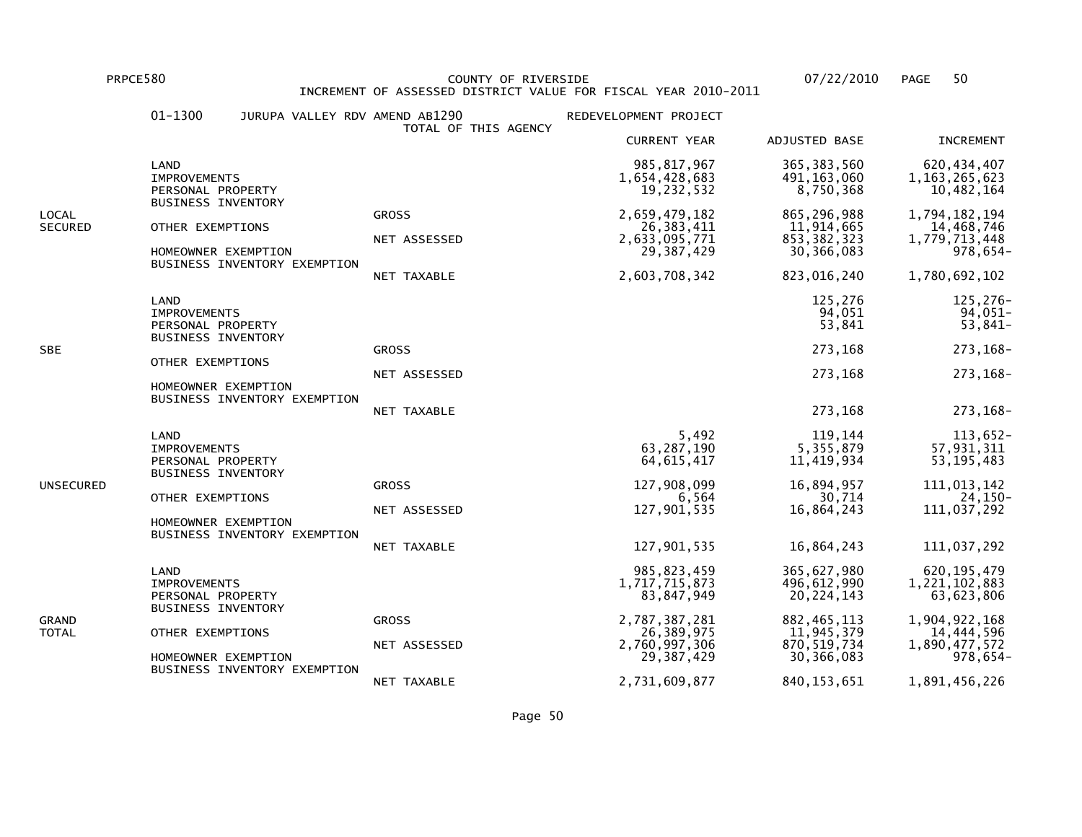PRPCE580 COUNTY OF RIVERSIDE 07/22/2010 PAGE 50 INCREMENT OF ASSESSED DISTRICT VALUE FOR FISCAL YEAR 2010-2011

|                         | $01 - 1300$<br>JURUPA VALLEY RDV AMEND AB1290                                                                                                            | TOTAL OF THIS AGENCY                        | REDEVELOPMENT PROJECT                                                                                                         |                                                                                                                           |                                                                                                                           |
|-------------------------|----------------------------------------------------------------------------------------------------------------------------------------------------------|---------------------------------------------|-------------------------------------------------------------------------------------------------------------------------------|---------------------------------------------------------------------------------------------------------------------------|---------------------------------------------------------------------------------------------------------------------------|
|                         |                                                                                                                                                          |                                             | <b>CURRENT YEAR</b>                                                                                                           | ADJUSTED BASE                                                                                                             | <b>INCREMENT</b>                                                                                                          |
|                         | LAND<br><b>IMPROVEMENTS</b><br>PERSONAL PROPERTY                                                                                                         |                                             | 985, 817, 967<br>1,654,428,683<br>19,232,532                                                                                  | 365, 383, 560<br>491, 163, 060<br>8,750,368                                                                               | 620, 434, 407<br>1, 163, 265, 623<br>10,482,164                                                                           |
| LOCAL<br><b>SECURED</b> | <b>BUSINESS INVENTORY</b><br>OTHER EXEMPTIONS<br>HOMEOWNER EXEMPTION<br>BUSINESS INVENTORY EXEMPTION                                                     | <b>GROSS</b><br>NET ASSESSED<br>NET TAXABLE | 2,659,479,182<br>26, 383, 411<br>2,633,095,771<br>29, 387, 429<br>2,603,708,342                                               | 865,296,988<br>11,914,665<br>853, 382, 323<br>30,366,083<br>823,016,240                                                   | 1,794,182,194<br>14,468,746<br>1,779,713,448<br>$978,654-$<br>1,780,692,102                                               |
| <b>SBE</b>              | LAND<br><b>IMPROVEMENTS</b><br>PERSONAL PROPERTY<br><b>BUSINESS INVENTORY</b><br>OTHER EXEMPTIONS<br>HOMEOWNER EXEMPTION<br>BUSINESS INVENTORY EXEMPTION | <b>GROSS</b><br>NET ASSESSED<br>NET TAXABLE |                                                                                                                               | 125,276<br>94,051<br>53,841<br>273,168<br>273,168<br>273,168                                                              | 125,276-<br>94,051-<br>53,841-<br>273, 168-<br>273, 168-<br>273, 168-                                                     |
| UNSECURED               | LAND<br><b>IMPROVEMENTS</b><br>PERSONAL PROPERTY<br><b>BUSINESS INVENTORY</b><br>OTHER EXEMPTIONS<br>HOMEOWNER EXEMPTION<br>BUSINESS INVENTORY EXEMPTION | <b>GROSS</b><br>NET ASSESSED<br>NET TAXABLE | 5,492<br>63, 287, 190<br>64, 615, 417<br>127,908,099<br>6,564<br>127,901,535<br>127,901,535                                   | 119,144<br>5,355,879<br>11,419,934<br>16,894,957<br>30,714<br>16,864,243<br>16,864,243                                    | 113,652-<br>57,931,311<br>53, 195, 483<br>111,013,142<br>24,150-<br>111,037,292<br>111,037,292                            |
| GRAND<br>TOTAL          | LAND<br><b>IMPROVEMENTS</b><br>PERSONAL PROPERTY<br><b>BUSINESS INVENTORY</b><br>OTHER EXEMPTIONS<br>HOMEOWNER EXEMPTION<br>BUSINESS INVENTORY EXEMPTION | <b>GROSS</b><br>NET ASSESSED<br>NET TAXABLE | 985, 823, 459<br>1,717,715,873<br>83,847,949<br>2,787,387,281<br>26,389,975<br>2,760,997,306<br>29, 387, 429<br>2,731,609,877 | 365,627,980<br>496,612,990<br>20, 224, 143<br>882, 465, 113<br>11,945,379<br>870, 519, 734<br>30,366,083<br>840, 153, 651 | 620, 195, 479<br>1,221,102,883<br>63,623,806<br>1,904,922,168<br>14,444,596<br>1,890,477,572<br>978,654-<br>1,891,456,226 |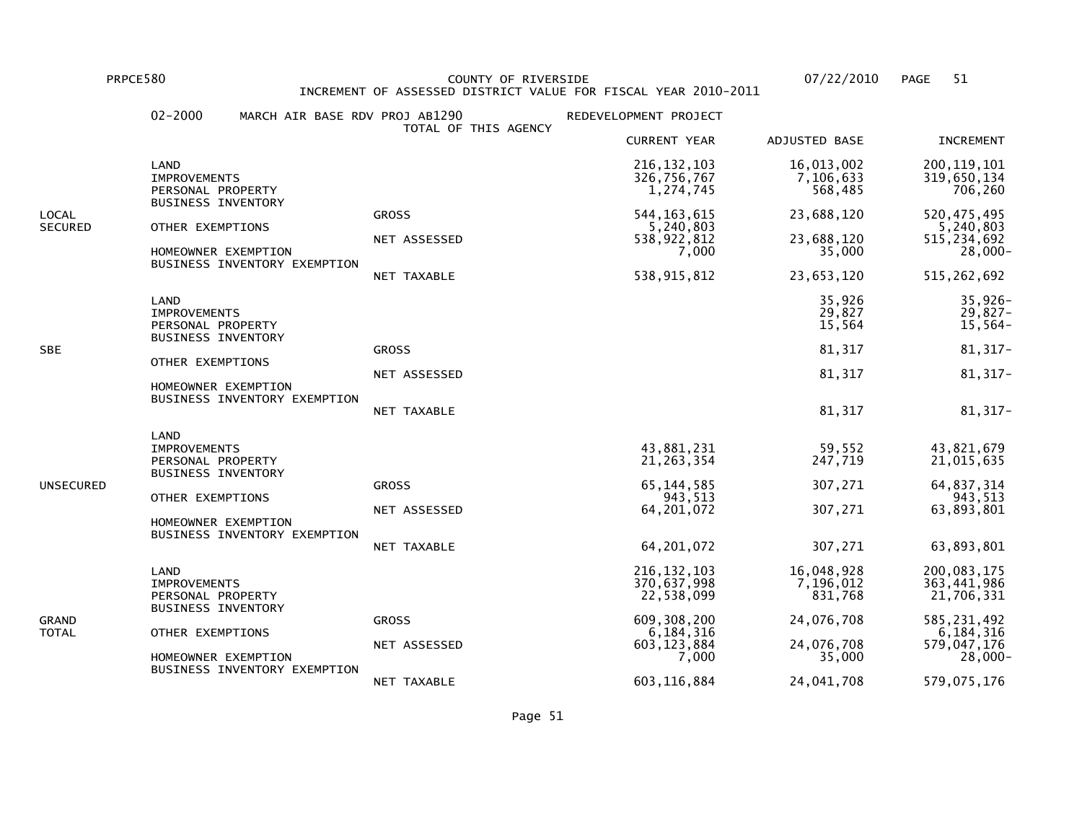PRPCE580 COUNTY OF RIVERSIDE 07/22/2010 PAGE 51 INCREMENT OF ASSESSED DISTRICT VALUE FOR FISCAL YEAR 2010-2011

|                         | $02 - 2000$<br>MARCH AIR BASE RDV PROJ AB1290                                 |                              | REDEVELOPMENT PROJECT                              |                                    |                                                           |
|-------------------------|-------------------------------------------------------------------------------|------------------------------|----------------------------------------------------|------------------------------------|-----------------------------------------------------------|
|                         |                                                                               | TOTAL OF THIS AGENCY         | <b>CURRENT YEAR</b>                                | ADJUSTED BASE                      | <b>INCREMENT</b>                                          |
|                         | LAND<br><b>IMPROVEMENTS</b><br>PERSONAL PROPERTY                              |                              | 216, 132, 103<br>326,756,767<br>1,274,745          | 16,013,002<br>7,106,633<br>568,485 | 200, 119, 101<br>319,650,134<br>706,260                   |
| LOCAL<br><b>SECURED</b> | <b>BUSINESS INVENTORY</b><br>OTHER EXEMPTIONS<br>HOMEOWNER EXEMPTION          | <b>GROSS</b><br>NET ASSESSED | 544, 163, 615<br>5,240,803<br>538,922,812<br>7,000 | 23,688,120<br>23,688,120<br>35,000 | 520, 475, 495<br>5,240,803<br>515, 234, 692<br>$28,000 -$ |
|                         | BUSINESS INVENTORY EXEMPTION                                                  | NET TAXABLE                  | 538, 915, 812                                      | 23,653,120                         | 515, 262, 692                                             |
|                         | LAND<br><b>IMPROVEMENTS</b><br>PERSONAL PROPERTY<br><b>BUSINESS INVENTORY</b> |                              |                                                    | 35,926<br>29,827<br>15,564         | $35,926-$<br>$29,827-$<br>$15,564-$                       |
| <b>SBE</b>              |                                                                               | <b>GROSS</b>                 |                                                    | 81,317                             | 81, 317-                                                  |
|                         | OTHER EXEMPTIONS<br>HOMEOWNER EXEMPTION                                       | NET ASSESSED                 |                                                    | 81,317                             | 81, 317-                                                  |
|                         | BUSINESS INVENTORY EXEMPTION                                                  | NET TAXABLE                  |                                                    | 81,317                             | 81,317-                                                   |
|                         | LAND<br><b>IMPROVEMENTS</b><br>PERSONAL PROPERTY<br><b>BUSINESS INVENTORY</b> |                              | 43,881,231<br>21, 263, 354                         | 59,552<br>247,719                  | 43,821,679<br>21,015,635                                  |
| UNSECURED               | OTHER EXEMPTIONS                                                              | <b>GROSS</b>                 | 65, 144, 585<br>943,513                            | 307,271                            | 64,837,314<br>943,513                                     |
|                         | HOMEOWNER EXEMPTION                                                           | NET ASSESSED                 | 64, 201, 072                                       | 307,271                            | 63,893,801                                                |
|                         | BUSINESS INVENTORY EXEMPTION                                                  | NET TAXABLE                  | 64, 201, 072                                       | 307,271                            | 63,893,801                                                |
| GRAND<br>TOTAL          | LAND<br><b>IMPROVEMENTS</b><br>PERSONAL PROPERTY<br><b>BUSINESS INVENTORY</b> |                              | 216, 132, 103<br>370,637,998<br>22,538,099         | 16,048,928<br>7,196,012<br>831,768 | 200,083,175<br>363,441,986<br>21,706,331                  |
|                         | OTHER EXEMPTIONS                                                              | <b>GROSS</b>                 | 609, 308, 200                                      | 24,076,708                         | 585, 231, 492<br>6,184,316                                |
|                         | HOMEOWNER EXEMPTION                                                           | NET ASSESSED                 | 6,184,316<br>603, 123, 884<br>7,000                | 24,076,708<br>35,000               | 579,047,176<br>$28,000 -$                                 |
|                         | BUSINESS INVENTORY EXEMPTION                                                  | NET TAXABLE                  | 603, 116, 884                                      | 24,041,708                         | 579,075,176                                               |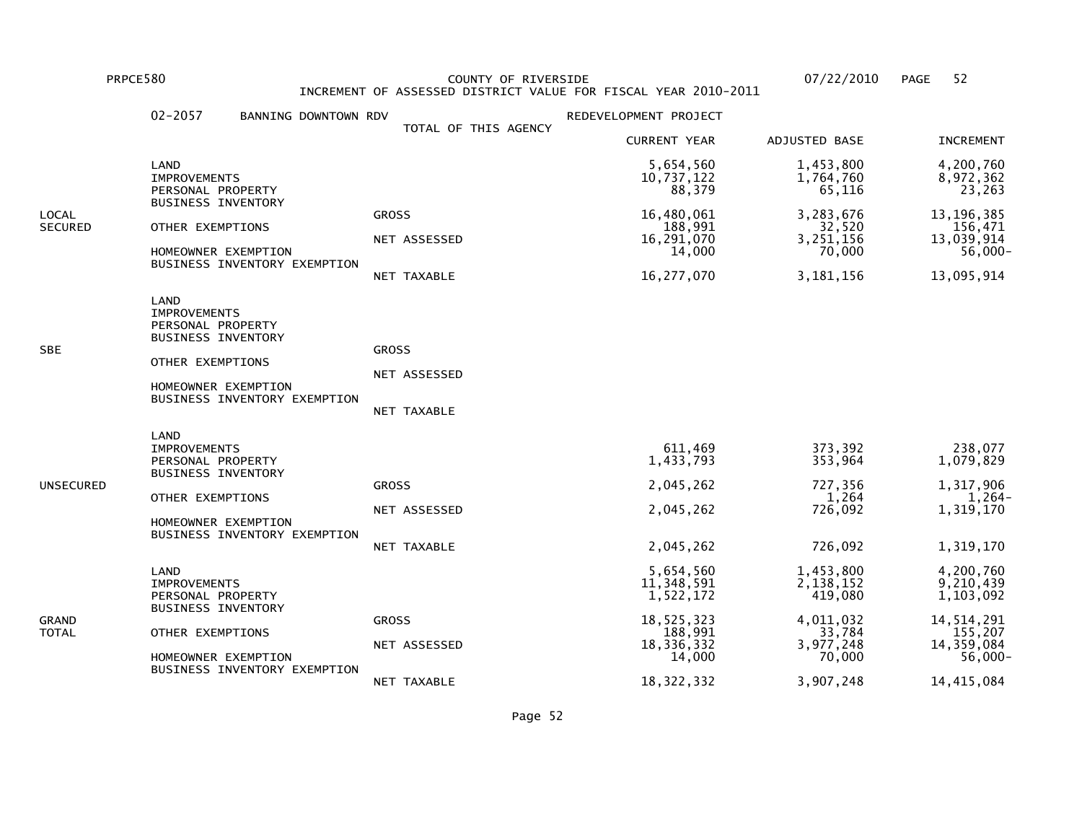PRPCE580 COUNTY OF RIVERSIDE 07/22/2010 PAGE 52 INCREMENT OF ASSESSED DISTRICT VALUE FOR FISCAL YEAR 2010-2011

|                         | $02 - 2057$<br>BANNING DOWNTOWN RDV                                                                                                                      |                                             | REDEVELOPMENT PROJECT                                                                 |                                                                                 |                                                                                          |
|-------------------------|----------------------------------------------------------------------------------------------------------------------------------------------------------|---------------------------------------------|---------------------------------------------------------------------------------------|---------------------------------------------------------------------------------|------------------------------------------------------------------------------------------|
|                         |                                                                                                                                                          | TOTAL OF THIS AGENCY                        | <b>CURRENT YEAR</b>                                                                   | <b>ADJUSTED BASE</b>                                                            | <b>INCREMENT</b>                                                                         |
|                         | LAND<br><b>IMPROVEMENTS</b><br>PERSONAL PROPERTY                                                                                                         |                                             | 5,654,560<br>10,737,122<br>88,379                                                     | 1,453,800<br>1,764,760<br>65,116                                                | 4,200,760<br>8,972,362<br>23,263                                                         |
| LOCAL<br><b>SECURED</b> | <b>BUSINESS INVENTORY</b><br>OTHER EXEMPTIONS<br>HOMEOWNER EXEMPTION<br>BUSINESS INVENTORY EXEMPTION                                                     | <b>GROSS</b><br>NET ASSESSED<br>NET TAXABLE | 16,480,061<br>188,991<br>16,291,070<br>14,000<br>16,277,070                           | 3,283,676<br>32,520<br>3,251,156<br>70,000<br>3, 181, 156                       | 13, 196, 385<br>156,471<br>13,039,914<br>$56,000 -$<br>13,095,914                        |
| SBE                     | LAND<br><b>IMPROVEMENTS</b><br>PERSONAL PROPERTY<br><b>BUSINESS INVENTORY</b><br>OTHER EXEMPTIONS<br>HOMEOWNER EXEMPTION<br>BUSINESS INVENTORY EXEMPTION | <b>GROSS</b><br>NET ASSESSED<br>NET TAXABLE |                                                                                       |                                                                                 |                                                                                          |
| UNSECURED               | LAND<br><b>IMPROVEMENTS</b><br>PERSONAL PROPERTY<br><b>BUSINESS INVENTORY</b><br>OTHER EXEMPTIONS<br>HOMEOWNER EXEMPTION<br>BUSINESS INVENTORY EXEMPTION | <b>GROSS</b><br>NET ASSESSED<br>NET TAXABLE | 611,469<br>1,433,793<br>2,045,262<br>2,045,262<br>2,045,262                           | 373,392<br>353,964<br>727,356<br>1,264<br>726,092<br>726,092                    | 238,077<br>1,079,829<br>1,317,906<br>$1,264-$<br>1,319,170<br>1,319,170                  |
| GRAND<br>TOTAL          | LAND<br><b>IMPROVEMENTS</b><br>PERSONAL PROPERTY<br><b>BUSINESS INVENTORY</b><br>OTHER EXEMPTIONS<br>HOMEOWNER EXEMPTION<br>BUSINESS INVENTORY EXEMPTION | <b>GROSS</b><br>NET ASSESSED                | 5,654,560<br>11,348,591<br>1,522,172<br>18,525,323<br>188,991<br>18,336,332<br>14,000 | 1,453,800<br>2,138,152<br>419,080<br>4,011,032<br>33,784<br>3,977,248<br>70,000 | 4,200,760<br>9,210,439<br>1,103,092<br>14,514,291<br>155,207<br>14,359,084<br>$56,000 -$ |
|                         |                                                                                                                                                          | NET TAXABLE                                 | 18, 322, 332                                                                          | 3,907,248                                                                       | 14, 415, 084                                                                             |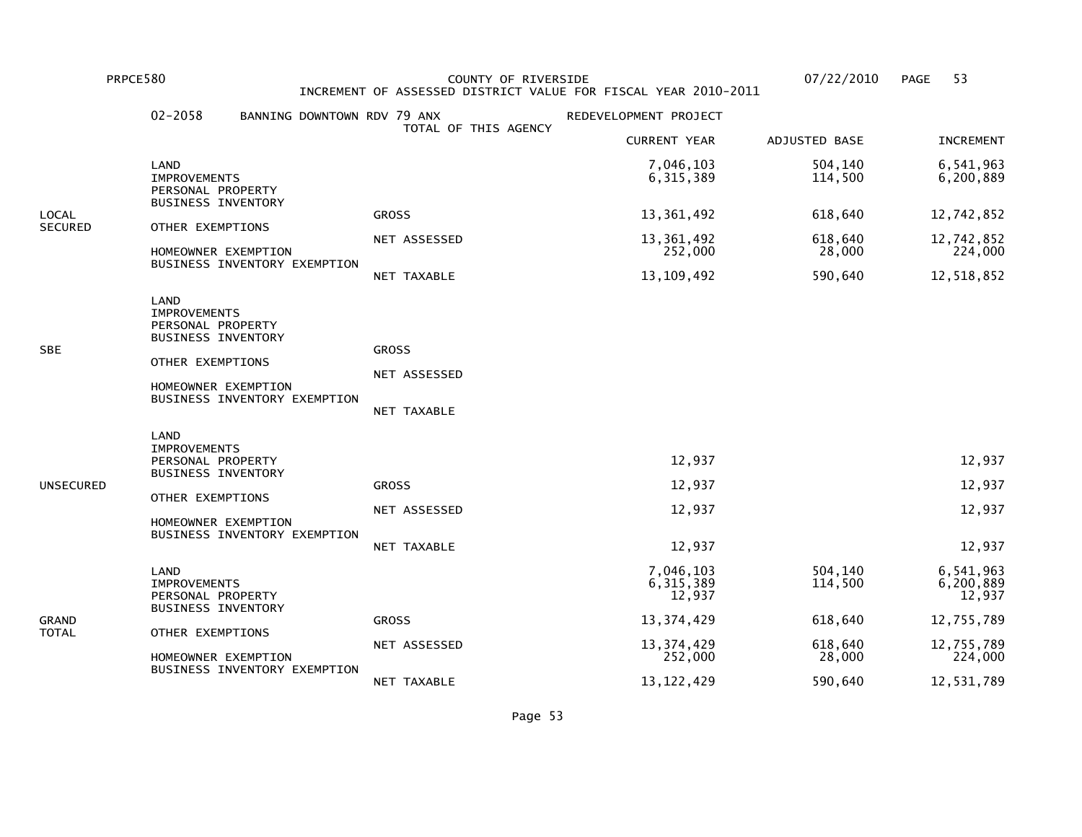PRPCE580 COUNTY OF RIVERSIDE 07/22/2010 PAGE 53 INCREMENT OF ASSESSED DISTRICT VALUE FOR FISCAL YEAR 2010-2011

|                | $02 - 2058$<br>BANNING DOWNTOWN RDV 79 ANX                                    |                      | REDEVELOPMENT PROJECT              |                    |                                  |
|----------------|-------------------------------------------------------------------------------|----------------------|------------------------------------|--------------------|----------------------------------|
|                |                                                                               | TOTAL OF THIS AGENCY | <b>CURRENT YEAR</b>                | ADJUSTED BASE      | <b>INCREMENT</b>                 |
|                | LAND<br><b>IMPROVEMENTS</b><br>PERSONAL PROPERTY                              |                      | 7,046,103<br>6, 315, 389           | 504,140<br>114,500 | 6,541,963<br>6,200,889           |
| LOCAL          | <b>BUSINESS INVENTORY</b>                                                     | <b>GROSS</b>         | 13,361,492                         | 618,640            | 12,742,852                       |
| <b>SECURED</b> | OTHER EXEMPTIONS<br>HOMEOWNER EXEMPTION                                       | NET ASSESSED         | 13,361,492<br>252,000              | 618,640<br>28,000  | 12,742,852<br>224,000            |
|                | BUSINESS INVENTORY EXEMPTION                                                  | NET TAXABLE          | 13, 109, 492                       | 590,640            | 12,518,852                       |
|                | LAND<br><b>IMPROVEMENTS</b><br>PERSONAL PROPERTY<br>BUSINESS INVENTORY        |                      |                                    |                    |                                  |
| SBE            | OTHER EXEMPTIONS                                                              | <b>GROSS</b>         |                                    |                    |                                  |
|                | HOMEOWNER EXEMPTION<br>BUSINESS INVENTORY EXEMPTION                           | NET ASSESSED         |                                    |                    |                                  |
|                |                                                                               | NET TAXABLE          |                                    |                    |                                  |
|                | LAND<br><b>IMPROVEMENTS</b><br>PERSONAL PROPERTY<br><b>BUSINESS INVENTORY</b> |                      | 12,937                             |                    | 12,937                           |
| UNSECURED      | OTHER EXEMPTIONS                                                              | <b>GROSS</b>         | 12,937                             |                    | 12,937                           |
|                | HOMEOWNER EXEMPTION<br>BUSINESS INVENTORY EXEMPTION                           | NET ASSESSED         | 12,937                             |                    | 12,937                           |
|                |                                                                               | <b>NET TAXABLE</b>   | 12,937                             |                    | 12,937                           |
| GRAND<br>TOTAL | LAND<br><b>IMPROVEMENTS</b><br>PERSONAL PROPERTY<br><b>BUSINESS INVENTORY</b> |                      | 7,046,103<br>6, 315, 389<br>12,937 | 504,140<br>114,500 | 6,541,963<br>6,200,889<br>12,937 |
|                | OTHER EXEMPTIONS                                                              | <b>GROSS</b>         | 13, 374, 429                       | 618,640            | 12,755,789                       |
|                | HOMEOWNER EXEMPTION                                                           | NET ASSESSED         | 13, 374, 429<br>252,000            | 618,640<br>28,000  | 12,755,789<br>224,000            |
|                | BUSINESS INVENTORY EXEMPTION                                                  | NET TAXABLE          | 13, 122, 429                       | 590,640            | 12,531,789                       |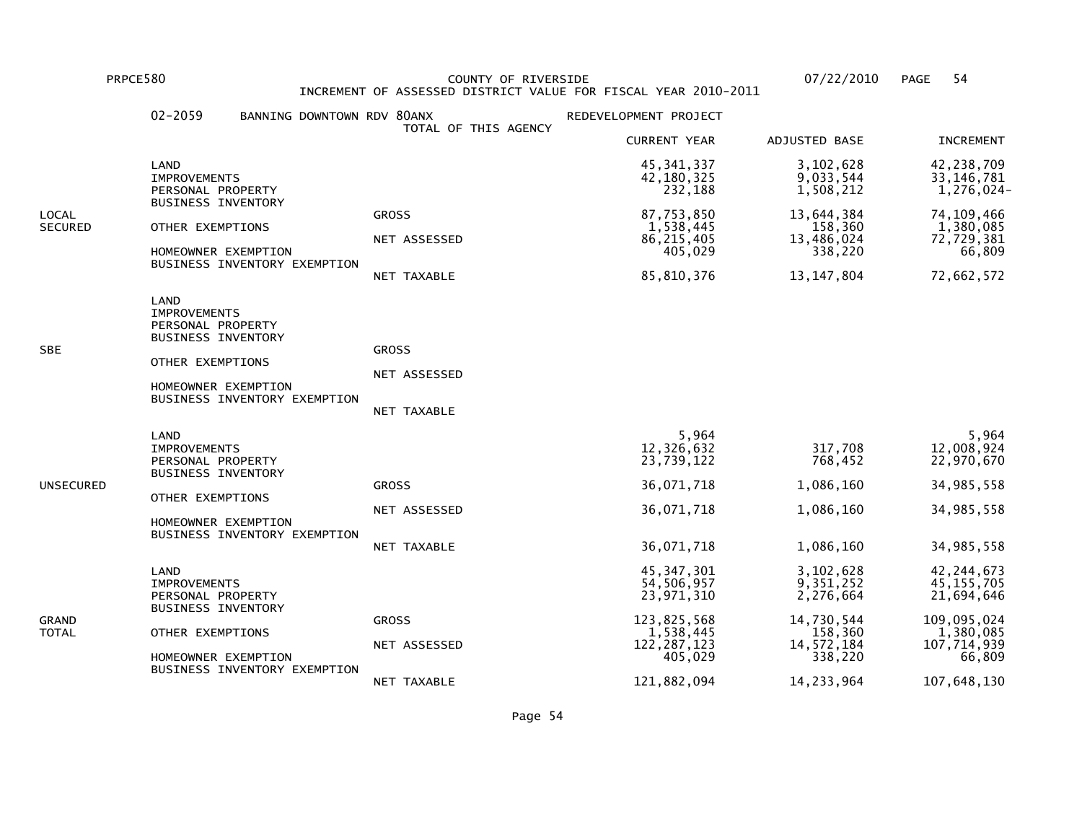PRPCE580 COUNTY OF RIVERSIDE 07/22/2010 PAGE 54 INCREMENT OF ASSESSED DISTRICT VALUE FOR FISCAL YEAR 2010-2011

|                         | $02 - 2059$<br>BANNING DOWNTOWN RDV 80ANX                                                                                                                | TOTAL OF THIS AGENCY                        | REDEVELOPMENT PROJECT                                                                            |                                                                                       |                                                                                                 |
|-------------------------|----------------------------------------------------------------------------------------------------------------------------------------------------------|---------------------------------------------|--------------------------------------------------------------------------------------------------|---------------------------------------------------------------------------------------|-------------------------------------------------------------------------------------------------|
|                         |                                                                                                                                                          |                                             | <b>CURRENT YEAR</b>                                                                              | ADJUSTED BASE                                                                         | <b>INCREMENT</b>                                                                                |
|                         | LAND<br><b>IMPROVEMENTS</b><br>PERSONAL PROPERTY                                                                                                         |                                             | 45, 341, 337<br>42, 180, 325<br>232,188                                                          | 3,102,628<br>9,033,544<br>1,508,212                                                   | 42,238,709<br>33, 146, 781<br>1,276,024-                                                        |
| LOCAL<br><b>SECURED</b> | <b>BUSINESS INVENTORY</b><br>OTHER EXEMPTIONS<br>HOMEOWNER EXEMPTION<br>BUSINESS INVENTORY EXEMPTION                                                     | <b>GROSS</b><br>NET ASSESSED<br>NET TAXABLE | 87,753,850<br>1,538,445<br>86, 215, 405<br>405,029<br>85,810,376                                 | 13,644,384<br>158,360<br>13,486,024<br>338,220<br>13, 147, 804                        | 74,109,466<br>1,380,085<br>72,729,381<br>66,809<br>72,662,572                                   |
| SBE                     | LAND<br><b>IMPROVEMENTS</b><br>PERSONAL PROPERTY<br><b>BUSINESS INVENTORY</b><br>OTHER EXEMPTIONS<br>HOMEOWNER EXEMPTION<br>BUSINESS INVENTORY EXEMPTION | <b>GROSS</b><br>NET ASSESSED<br>NET TAXABLE |                                                                                                  |                                                                                       |                                                                                                 |
| UNSECURED               | LAND<br><b>IMPROVEMENTS</b><br>PERSONAL PROPERTY<br><b>BUSINESS INVENTORY</b><br>OTHER EXEMPTIONS<br>HOMEOWNER EXEMPTION<br>BUSINESS INVENTORY EXEMPTION | <b>GROSS</b><br>NET ASSESSED<br>NET TAXABLE | 5,964<br>12,326,632<br>23,739,122<br>36,071,718<br>36,071,718<br>36,071,718                      | 317,708<br>768,452<br>1,086,160<br>1,086,160<br>1,086,160                             | 5,964<br>12,008,924<br>22,970,670<br>34,985,558<br>34,985,558<br>34,985,558                     |
| GRAND<br>TOTAL          | LAND<br><b>IMPROVEMENTS</b><br>PERSONAL PROPERTY<br><b>BUSINESS INVENTORY</b><br>OTHER EXEMPTIONS<br>HOMEOWNER EXEMPTION<br>BUSINESS INVENTORY EXEMPTION | <b>GROSS</b><br>NET ASSESSED                | 45, 347, 301<br>54,506,957<br>23,971,310<br>123,825,568<br>1,538,445<br>122, 287, 123<br>405,029 | 3,102,628<br>9,351,252<br>2,276,664<br>14,730,544<br>158,360<br>14,572,184<br>338,220 | 42, 244, 673<br>45, 155, 705<br>21,694,646<br>109,095,024<br>1,380,085<br>107,714,939<br>66,809 |
|                         |                                                                                                                                                          | NET TAXABLE                                 | 121,882,094                                                                                      | 14, 233, 964                                                                          | 107,648,130                                                                                     |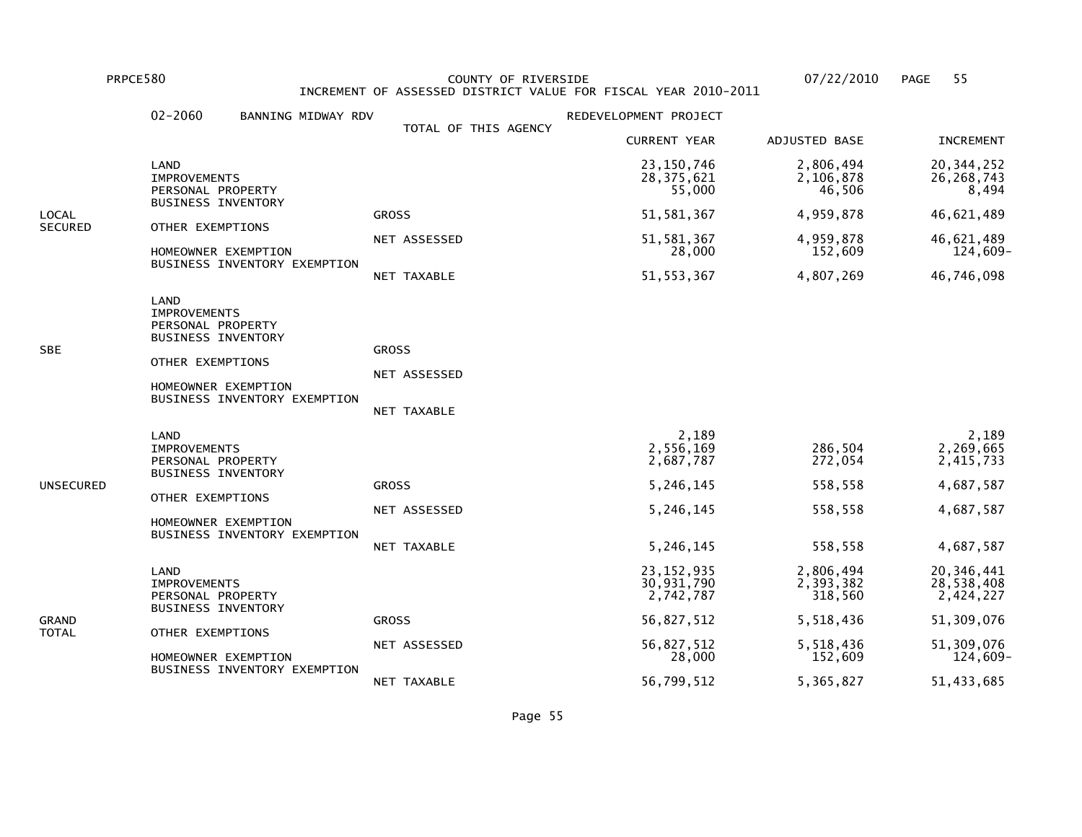PRPCE580 COUNTY OF RIVERSIDE 07/22/2010 PAGE 55INCREMENT OF ASSESSED DISTRICT VALUE FOR FISCAL YEAR 2010-2011

02-2060 BANNING MIDWAY RDV **REDEVELOPMENT PROJECT**  TOTAL OF THIS AGENCY CURRENT YEAR ADJUSTED BASE INCREMENT LAND 23,150,746 2,806,494 20,344,25226,268,743 IMPROVEMENTS 28,375,621 2,106,878 26,268,743 $8,494$ PERSONAL PROPERTY 55,000 46,506 BUSINESS INVENTORYLOCAL GROSS 51,581,367 4,959,878 46,621,489SECURED OTHER EXEMPTIONS NET ASSESSED 51,581,367 4,959,878 46,621,489 $124,609-$  HOMEOWNER EXEMPTION 28,000 152,609 124,609- BUSINESS INVENTORY EXEMPTION NET TAXABLE 51,553,367 4,807,269 46,746,098 LAND IMPROVEMENTS PERSONAL PROPERTY BUSINESS INVENTORYSBE GROSS GROSS GROSS GROSS GROSS GROSS GROSS GROSS GROSS GROSS GROSS GROSS GROSS GROSS GROSS GROSS GROSS GROSS OTHER EXEMPTIONS NET ASSESSED HOMEOWNER EXEMPTION BUSINESS INVENTORY EXEMPTION NET TAXABLE LAND 2,189 2,1892,269,665 IMPROVEMENTS 2,556,169 286,504 2,269,6652,415,733 PERSONAL PROPERTY 2.687,787 272,054 BUSINESS INVENTORYUNSECURED GROSS 5,246,145 558,558 4,687,587 OTHER EXEMPTIONS NET ASSESSED 5,246,145 558,558 4,687,587 HOMEOWNER EXEMPTION BUSINESS INVENTORY EXEMPTION NET TAXABLE 5,246,145 558,558 4,687,587LAND 23,152,935 2,806,494 20,346,441

28.538.408 IMPROVEMENTS 30,931,790 2,393,382 28,538,408 $2,424,227$ PERSONAL PROPERTY 318,560 BUSINESS INVENTORYGRAND GROSS 56,827,512 5,518,436 51,309,076TOTAL OTHER EXEMPTIONS NET ASSESSED 56,827,512 5,518,436 51,309,076 $124,609-$ HOMEOWNER EXEMPTION **28,000** 152,609 BUSINESS INVENTORY EXEMPTIONNET TAXABLE 56,799,512 5,365,827 51,433,685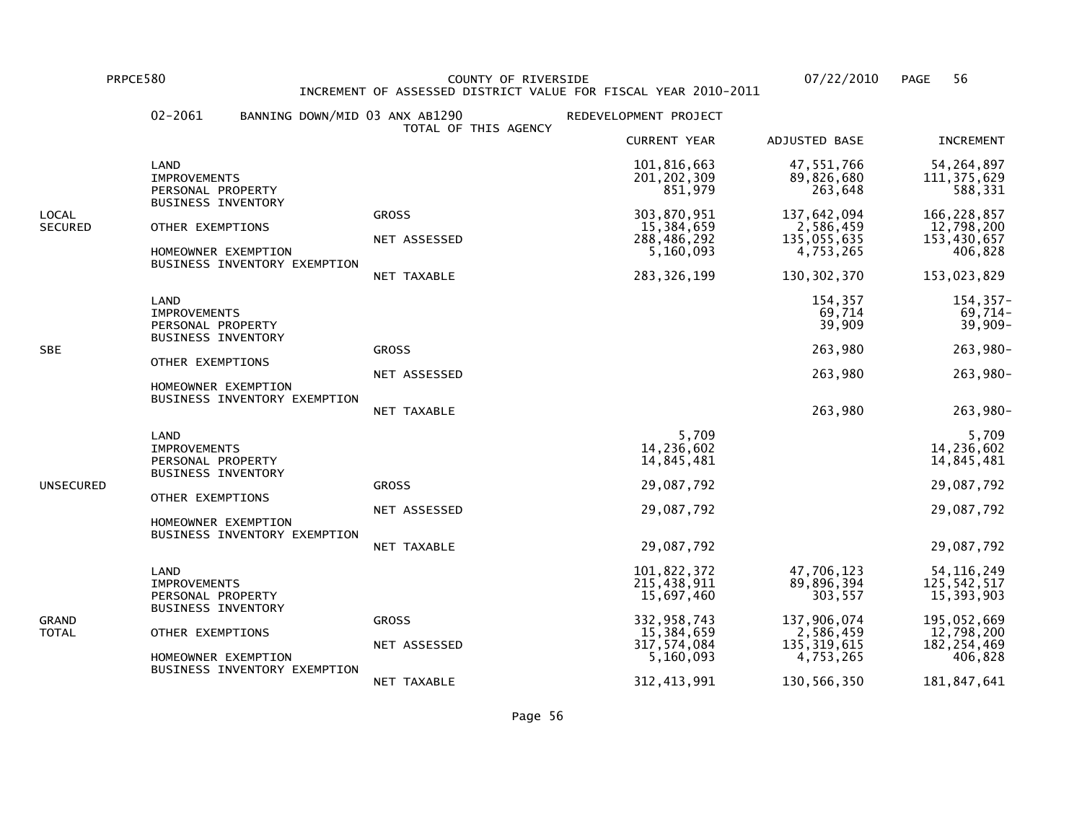PRPCE580 COUNTY OF RIVERSIDE 07/22/2010 PAGE 56 INCREMENT OF ASSESSED DISTRICT VALUE FOR FISCAL YEAR 2010-2011

|                         | $02 - 2061$                                                                   | BANNING DOWN/MID 03 ANX AB1290                      | TOTAL OF THIS AGENCY         | REDEVELOPMENT PROJECT                                 |                                                      |                                                       |
|-------------------------|-------------------------------------------------------------------------------|-----------------------------------------------------|------------------------------|-------------------------------------------------------|------------------------------------------------------|-------------------------------------------------------|
|                         |                                                                               |                                                     |                              | <b>CURRENT YEAR</b>                                   | ADJUSTED BASE                                        | <b>INCREMENT</b>                                      |
|                         | LAND<br><b>IMPROVEMENTS</b><br>PERSONAL PROPERTY                              |                                                     |                              | 101,816,663<br>201, 202, 309<br>851,979               | 47,551,766<br>89,826,680<br>263,648                  | 54, 264, 897<br>111, 375, 629<br>588,331              |
| LOCAL<br><b>SECURED</b> | BUSINESS INVENTORY<br>OTHER EXEMPTIONS                                        | HOMEOWNER EXEMPTION<br>BUSINESS INVENTORY EXEMPTION | <b>GROSS</b><br>NET ASSESSED | 303,870,951<br>15,384,659<br>288,486,292<br>5,160,093 | 137,642,094<br>2,586,459<br>135,055,635<br>4,753,265 | 166, 228, 857<br>12,798,200<br>153,430,657<br>406,828 |
|                         |                                                                               |                                                     | NET TAXABLE                  | 283, 326, 199                                         | 130, 302, 370                                        | 153,023,829                                           |
|                         | LAND<br><b>IMPROVEMENTS</b><br>PERSONAL PROPERTY<br><b>BUSINESS INVENTORY</b> |                                                     |                              |                                                       | 154,357<br>69,714<br>39,909                          | $154, 357 -$<br>$69,714-$<br>$39,909 -$               |
| <b>SBE</b>              |                                                                               |                                                     | <b>GROSS</b>                 |                                                       | 263,980                                              | 263,980-                                              |
|                         | OTHER EXEMPTIONS                                                              | HOMEOWNER EXEMPTION                                 | NET ASSESSED                 |                                                       | 263,980                                              | 263,980-                                              |
|                         |                                                                               | BUSINESS INVENTORY EXEMPTION                        | NET TAXABLE                  |                                                       | 263,980                                              | 263,980-                                              |
|                         | LAND<br><b>IMPROVEMENTS</b><br>PERSONAL PROPERTY<br><b>BUSINESS INVENTORY</b> |                                                     |                              | 5,709<br>14,236,602<br>14,845,481                     |                                                      | 5,709<br>14,236,602<br>14,845,481                     |
| UNSECURED               | OTHER EXEMPTIONS                                                              |                                                     | <b>GROSS</b>                 | 29,087,792                                            |                                                      | 29,087,792                                            |
|                         |                                                                               | HOMEOWNER EXEMPTION                                 | NET ASSESSED                 | 29,087,792                                            |                                                      | 29,087,792                                            |
|                         |                                                                               | BUSINESS INVENTORY EXEMPTION                        | NET TAXABLE                  | 29,087,792                                            |                                                      | 29,087,792                                            |
| GRAND<br>TOTAL          | LAND<br><b>IMPROVEMENTS</b><br>PERSONAL PROPERTY                              |                                                     |                              | 101,822,372<br>215,438,911<br>15,697,460              | 47,706,123<br>89,896,394<br>303,557                  | 54, 116, 249<br>125,542,517<br>15,393,903             |
|                         |                                                                               | <b>BUSINESS INVENTORY</b><br>OTHER EXEMPTIONS       | <b>GROSS</b>                 | 332, 958, 743<br>15,384,659                           | 137,906,074<br>2,586,459                             | 195,052,669<br>12,798,200                             |
|                         |                                                                               | HOMEOWNER EXEMPTION                                 | NET ASSESSED                 | 317,574,084<br>5,160,093                              | 135, 319, 615<br>4,753,265                           | 182, 254, 469<br>406,828                              |
|                         |                                                                               | BUSINESS INVENTORY EXEMPTION                        | NET TAXABLE                  | 312, 413, 991                                         | 130,566,350                                          | 181,847,641                                           |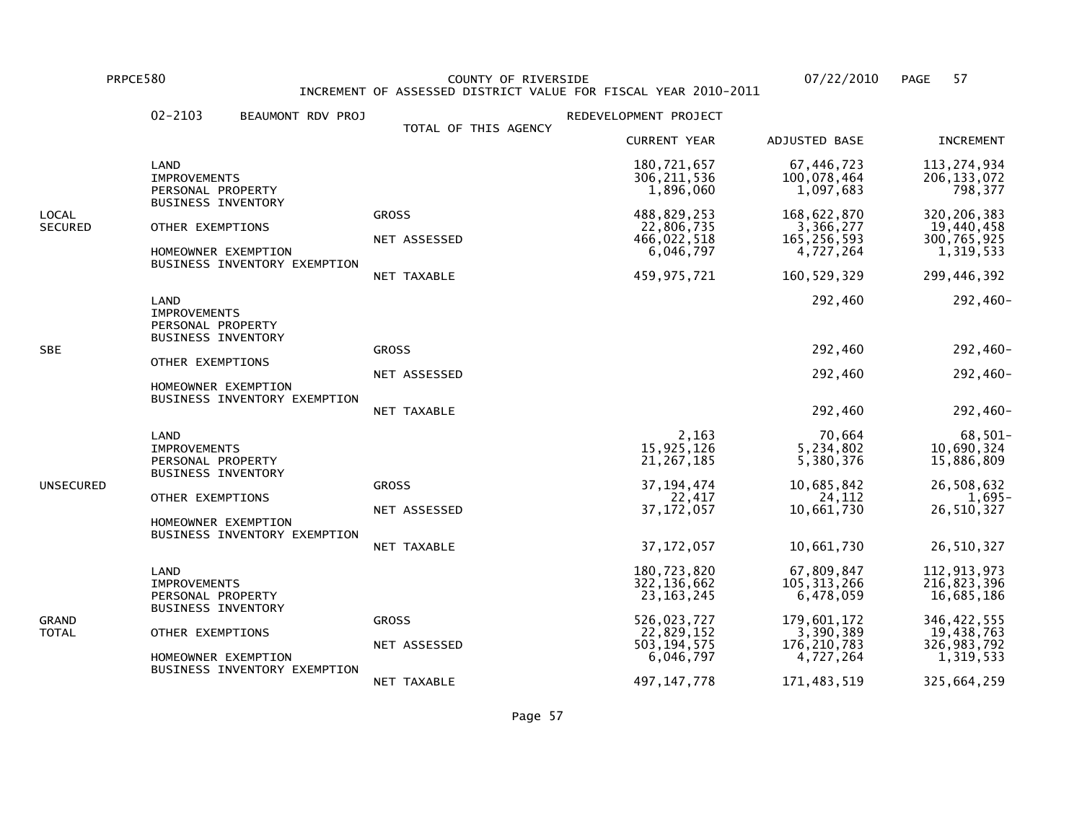PRPCE580 COUNTY OF RIVERSIDE 07/22/2010 PAGE 57 INCREMENT OF ASSESSED DISTRICT VALUE FOR FISCAL YEAR 2010-2011

|                         | $02 - 2103$                                                                   | BEAUMONT RDV PROJ                                   | TOTAL OF THIS AGENCY                        | REDEVELOPMENT PROJECT                                                  |                                                                         |                                                                        |
|-------------------------|-------------------------------------------------------------------------------|-----------------------------------------------------|---------------------------------------------|------------------------------------------------------------------------|-------------------------------------------------------------------------|------------------------------------------------------------------------|
|                         |                                                                               |                                                     |                                             | <b>CURRENT YEAR</b>                                                    | ADJUSTED BASE                                                           | <b>INCREMENT</b>                                                       |
|                         | LAND<br><b>IMPROVEMENTS</b><br>PERSONAL PROPERTY                              |                                                     |                                             | 180,721,657<br>306, 211, 536<br>1,896,060                              | 67,446,723<br>100,078,464<br>1,097,683                                  | 113,274,934<br>206, 133, 072<br>798,377                                |
| LOCAL<br><b>SECURED</b> | <b>BUSINESS INVENTORY</b><br>OTHER EXEMPTIONS                                 | HOMEOWNER EXEMPTION<br>BUSINESS INVENTORY EXEMPTION | <b>GROSS</b><br>NET ASSESSED<br>NET TAXABLE | 488,829,253<br>22,806,735<br>466,022,518<br>6,046,797<br>459, 975, 721 | 168,622,870<br>3,366,277<br>165, 256, 593<br>4,727,264<br>160, 529, 329 | 320, 206, 383<br>19,440,458<br>300,765,925<br>1,319,533<br>299,446,392 |
|                         | LAND<br><b>IMPROVEMENTS</b><br>PERSONAL PROPERTY<br><b>BUSINESS INVENTORY</b> |                                                     |                                             |                                                                        | 292,460                                                                 | 292,460-                                                               |
| SBE                     |                                                                               |                                                     | <b>GROSS</b>                                |                                                                        | 292,460                                                                 | 292,460-                                                               |
|                         | OTHER EXEMPTIONS<br>HOMEOWNER EXEMPTION                                       |                                                     | NET ASSESSED                                |                                                                        | 292,460                                                                 | 292,460-                                                               |
|                         |                                                                               | BUSINESS INVENTORY EXEMPTION                        | NET TAXABLE                                 |                                                                        | 292,460                                                                 | 292,460-                                                               |
|                         | LAND<br><b>IMPROVEMENTS</b><br>PERSONAL PROPERTY<br><b>BUSINESS INVENTORY</b> |                                                     |                                             | 2,163<br>15,925,126<br>21, 267, 185                                    | 70,664<br>5,234,802<br>5,380,376                                        | 68,501-<br>10,690,324<br>15,886,809                                    |
| UNSECURED               | OTHER EXEMPTIONS                                                              |                                                     | <b>GROSS</b>                                | 37, 194, 474<br>22,417                                                 | 10,685,842<br>24,112                                                    | 26,508,632<br>1,695-                                                   |
|                         |                                                                               | HOMEOWNER EXEMPTION<br>BUSINESS INVENTORY EXEMPTION | NET ASSESSED                                | 37, 172, 057                                                           | 10,661,730                                                              | 26,510,327                                                             |
|                         |                                                                               |                                                     | NET TAXABLE                                 | 37, 172, 057                                                           | 10,661,730                                                              | 26,510,327                                                             |
| GRAND<br>TOTAL          | LAND<br><b>IMPROVEMENTS</b><br>PERSONAL PROPERTY                              |                                                     |                                             | 180,723,820<br>322, 136, 662<br>23, 163, 245                           | 67,809,847<br>105, 313, 266<br>6,478,059                                | 112, 913, 973<br>216,823,396<br>16,685,186                             |
|                         |                                                                               | <b>BUSINESS INVENTORY</b><br>OTHER EXEMPTIONS       | <b>GROSS</b>                                | 526,023,727<br>22,829,152                                              | 179,601,172<br>3,390,389                                                | 346, 422, 555<br>19,438,763                                            |
|                         | HOMEOWNER EXEMPTION                                                           | BUSINESS INVENTORY EXEMPTION                        | NET ASSESSED                                | 503, 194, 575<br>6,046,797                                             | 176, 210, 783<br>4,727,264                                              | 326, 983, 792<br>1,319,533                                             |
|                         |                                                                               |                                                     | NET TAXABLE                                 | 497, 147, 778                                                          | 171,483,519                                                             | 325,664,259                                                            |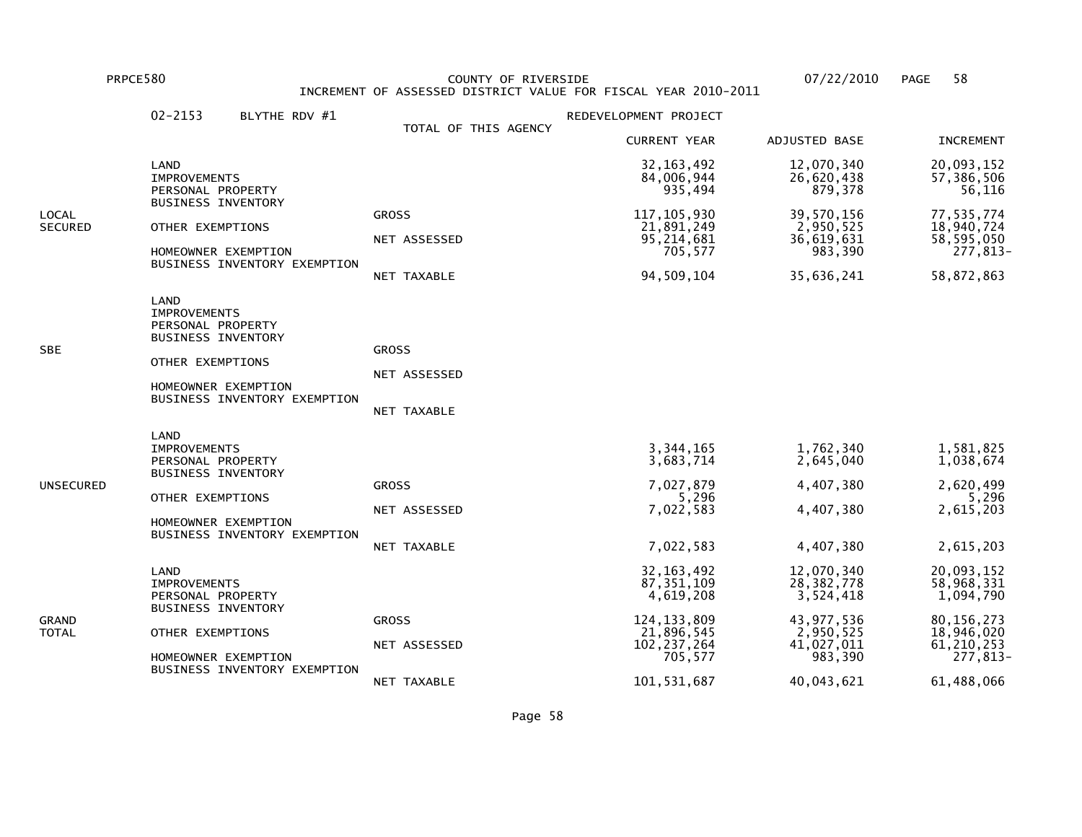PRPCE580 COUNTY OF RIVERSIDE 07/22/2010 PAGE 58 INCREMENT OF ASSESSED DISTRICT VALUE FOR FISCAL YEAR 2010-2011

|                         | $02 - 2153$<br>BLYTHE RDV #1                                                                                                                             |                                             | REDEVELOPMENT PROJECT                                                                                |                                                                                               |                                                                                                 |
|-------------------------|----------------------------------------------------------------------------------------------------------------------------------------------------------|---------------------------------------------|------------------------------------------------------------------------------------------------------|-----------------------------------------------------------------------------------------------|-------------------------------------------------------------------------------------------------|
|                         |                                                                                                                                                          | TOTAL OF THIS AGENCY                        | <b>CURRENT YEAR</b>                                                                                  | ADJUSTED BASE                                                                                 | <b>INCREMENT</b>                                                                                |
|                         | LAND<br><b>IMPROVEMENTS</b><br>PERSONAL PROPERTY                                                                                                         |                                             | 32, 163, 492<br>84,006,944<br>935,494                                                                | 12,070,340<br>26,620,438<br>879,378                                                           | 20,093,152<br>57,386,506<br>56,116                                                              |
| LOCAL<br><b>SECURED</b> | <b>BUSINESS INVENTORY</b><br>OTHER EXEMPTIONS<br>HOMEOWNER EXEMPTION<br>BUSINESS INVENTORY EXEMPTION                                                     | <b>GROSS</b><br>NET ASSESSED<br>NET TAXABLE | 117, 105, 930<br>21,891,249<br>95,214,681<br>705,577<br>94,509,104                                   | 39,570,156<br>2,950,525<br>36,619,631<br>983,390<br>35,636,241                                | 77,535,774<br>18,940,724<br>58,595,050<br>277,813-<br>58,872,863                                |
| SBE                     | LAND<br><b>IMPROVEMENTS</b><br>PERSONAL PROPERTY<br><b>BUSINESS INVENTORY</b><br>OTHER EXEMPTIONS<br>HOMEOWNER EXEMPTION<br>BUSINESS INVENTORY EXEMPTION | <b>GROSS</b><br>NET ASSESSED<br>NET TAXABLE |                                                                                                      |                                                                                               |                                                                                                 |
| UNSECURED               | LAND<br><b>IMPROVEMENTS</b><br>PERSONAL PROPERTY<br><b>BUSINESS INVENTORY</b><br>OTHER EXEMPTIONS<br>HOMEOWNER EXEMPTION<br>BUSINESS INVENTORY EXEMPTION | <b>GROSS</b><br>NET ASSESSED<br>NET TAXABLE | 3,344,165<br>3,683,714<br>7,027,879<br>5,296<br>7,022,583<br>7,022,583                               | 1,762,340<br>2,645,040<br>4,407,380<br>4,407,380<br>4,407,380                                 | 1,581,825<br>1,038,674<br>2,620,499<br>5,296<br>2,615,203<br>2,615,203                          |
| GRAND<br>TOTAL          | LAND<br><b>IMPROVEMENTS</b><br>PERSONAL PROPERTY<br><b>BUSINESS INVENTORY</b><br>OTHER EXEMPTIONS<br>HOMEOWNER EXEMPTION<br>BUSINESS INVENTORY EXEMPTION | <b>GROSS</b><br>NET ASSESSED                | 32, 163, 492<br>87, 351, 109<br>4,619,208<br>124, 133, 809<br>21,896,545<br>102, 237, 264<br>705,577 | 12,070,340<br>28, 382, 778<br>3,524,418<br>43, 977, 536<br>2,950,525<br>41,027,011<br>983,390 | 20,093,152<br>58,968,331<br>1,094,790<br>80, 156, 273<br>18,946,020<br>61, 210, 253<br>277,813- |
|                         |                                                                                                                                                          | NET TAXABLE                                 | 101, 531, 687                                                                                        | 40,043,621                                                                                    | 61,488,066                                                                                      |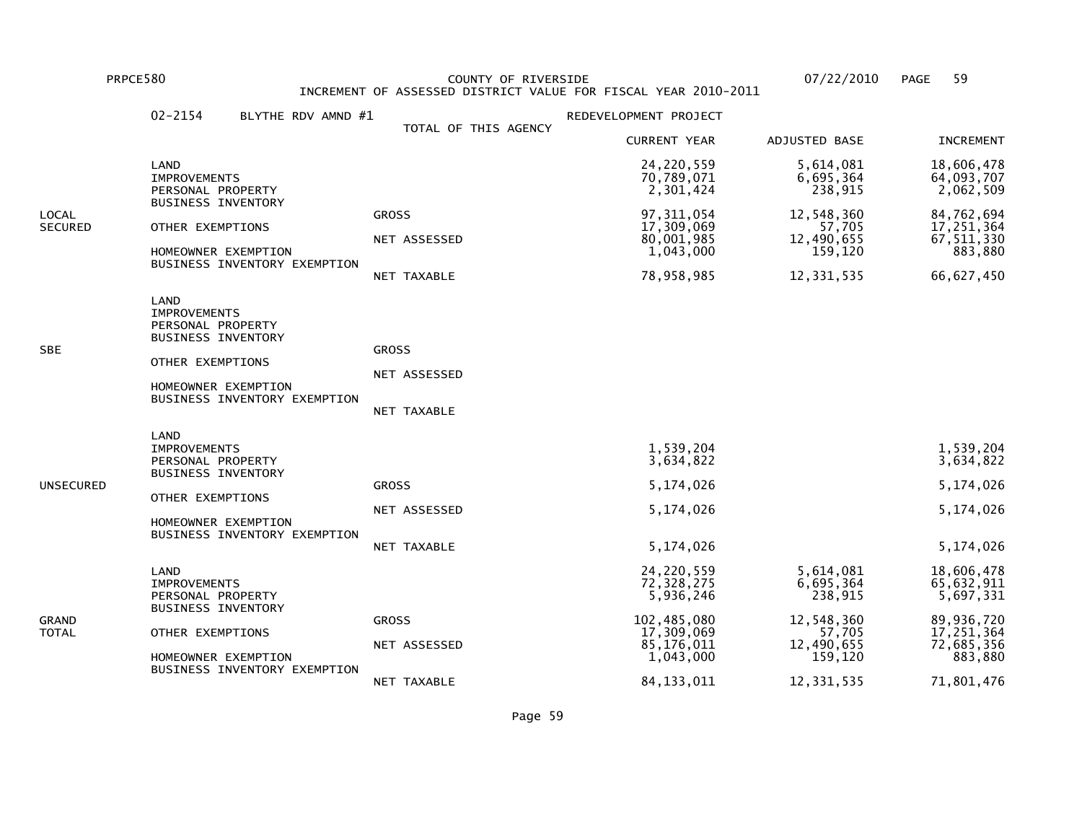PRPCE580 COUNTY OF RIVERSIDE 07/22/2010 PAGE 59 INCREMENT OF ASSESSED DISTRICT VALUE FOR FISCAL YEAR 2010-2011

|                  | $02 - 2154$<br>BLYTHE RDV AMND #1                                                                                                                        |                                                    | REDEVELOPMENT PROJECT                                                                         |                                                                                    |                                                                                            |
|------------------|----------------------------------------------------------------------------------------------------------------------------------------------------------|----------------------------------------------------|-----------------------------------------------------------------------------------------------|------------------------------------------------------------------------------------|--------------------------------------------------------------------------------------------|
|                  |                                                                                                                                                          | TOTAL OF THIS AGENCY                               | <b>CURRENT YEAR</b>                                                                           | ADJUSTED BASE                                                                      | <b>INCREMENT</b>                                                                           |
|                  | LAND<br><b>IMPROVEMENTS</b><br>PERSONAL PROPERTY                                                                                                         |                                                    | 24,220,559<br>70,789,071<br>2,301,424                                                         | 5,614,081<br>6,695,364<br>238,915                                                  | 18,606,478<br>64,093,707<br>2,062,509                                                      |
| LOCAL<br>SECURED | <b>BUSINESS INVENTORY</b><br>OTHER EXEMPTIONS<br>HOMEOWNER EXEMPTION<br>BUSINESS INVENTORY EXEMPTION                                                     | <b>GROSS</b><br>NET ASSESSED<br><b>NET TAXABLE</b> | 97, 311, 054<br>17,309,069<br>80,001,985<br>1,043,000<br>78,958,985                           | 12,548,360<br>57,705<br>12,490,655<br>159,120<br>12,331,535                        | 84,762,694<br>17,251,364<br>67, 511, 330<br>883,880<br>66,627,450                          |
| SBE              | LAND<br><b>IMPROVEMENTS</b><br>PERSONAL PROPERTY<br><b>BUSINESS INVENTORY</b><br>OTHER EXEMPTIONS<br>HOMEOWNER EXEMPTION<br>BUSINESS INVENTORY EXEMPTION | <b>GROSS</b><br>NET ASSESSED<br>NET TAXABLE        |                                                                                               |                                                                                    |                                                                                            |
| UNSECURED        | LAND<br><b>IMPROVEMENTS</b><br>PERSONAL PROPERTY<br><b>BUSINESS INVENTORY</b><br>OTHER EXEMPTIONS<br>HOMEOWNER EXEMPTION<br>BUSINESS INVENTORY EXEMPTION | <b>GROSS</b><br>NET ASSESSED<br>NET TAXABLE        | 1,539,204<br>3,634,822<br>5,174,026<br>5,174,026<br>5,174,026                                 |                                                                                    | 1,539,204<br>3,634,822<br>5,174,026<br>5,174,026<br>5, 174, 026                            |
| GRAND<br>TOTAL   | LAND<br><b>IMPROVEMENTS</b><br>PERSONAL PROPERTY<br><b>BUSINESS INVENTORY</b><br>OTHER EXEMPTIONS<br>HOMEOWNER EXEMPTION<br>BUSINESS INVENTORY EXEMPTION | <b>GROSS</b><br>NET ASSESSED                       | 24,220,559<br>72,328,275<br>5,936,246<br>102,485,080<br>17,309,069<br>85,176,011<br>1,043,000 | 5,614,081<br>6,695,364<br>238,915<br>12,548,360<br>57,705<br>12,490,655<br>159,120 | 18,606,478<br>65,632,911<br>5,697,331<br>89,936,720<br>17,251,364<br>72,685,356<br>883,880 |
|                  |                                                                                                                                                          | NET TAXABLE                                        | 84, 133, 011                                                                                  | 12,331,535                                                                         | 71,801,476                                                                                 |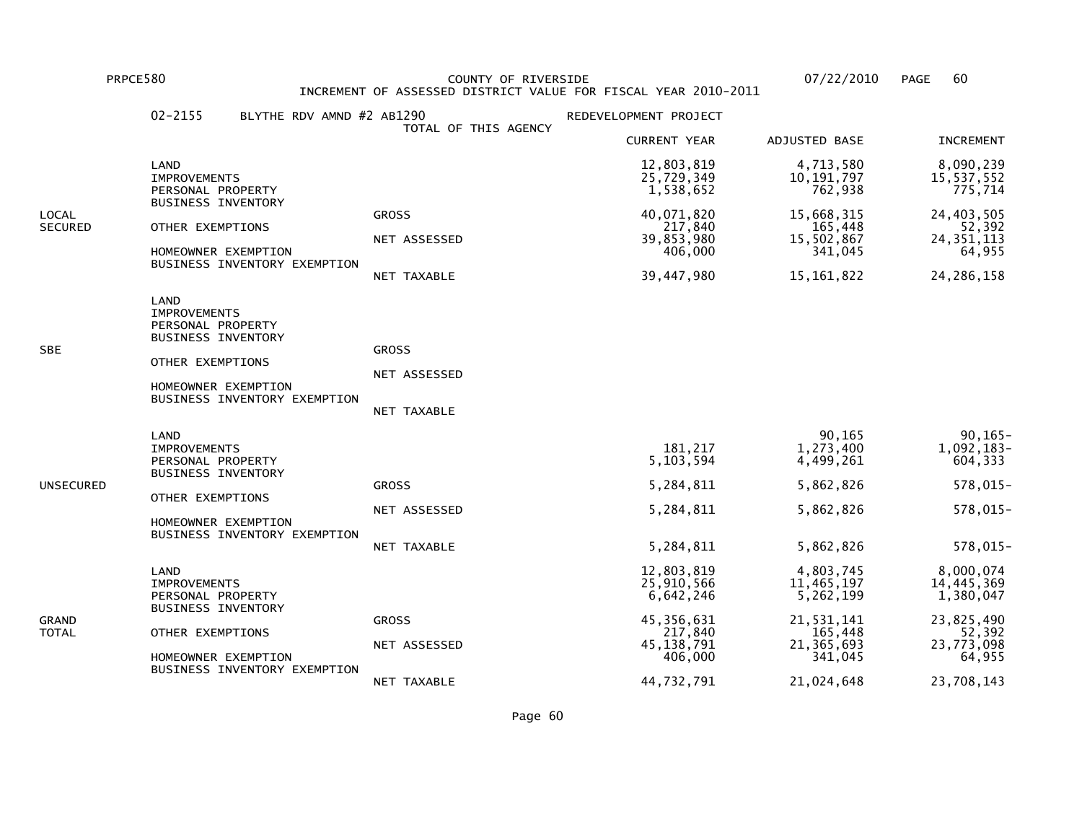PRPCE580 COUNTY OF RIVERSIDE 07/22/2010 PAGE 60 INCREMENT OF ASSESSED DISTRICT VALUE FOR FISCAL YEAR 2010-2011

|                  | $02 - 2155$<br>BLYTHE RDV AMND #2 AB1290                                                                                                                        | TOTAL OF THIS AGENCY                        | REDEVELOPMENT PROJECT                                                                                     |                                                                                                        |                                                                                                    |
|------------------|-----------------------------------------------------------------------------------------------------------------------------------------------------------------|---------------------------------------------|-----------------------------------------------------------------------------------------------------------|--------------------------------------------------------------------------------------------------------|----------------------------------------------------------------------------------------------------|
|                  |                                                                                                                                                                 |                                             | <b>CURRENT YEAR</b>                                                                                       | ADJUSTED BASE                                                                                          | <b>INCREMENT</b>                                                                                   |
|                  | LAND<br><b>IMPROVEMENTS</b><br>PERSONAL PROPERTY                                                                                                                |                                             | 12,803,819<br>25,729,349<br>1,538,652                                                                     | 4,713,580<br>10, 191, 797<br>762,938                                                                   | 8,090,239<br>15,537,552<br>775,714                                                                 |
| LOCAL<br>SECURED | <b>BUSINESS INVENTORY</b><br>OTHER EXEMPTIONS<br>HOMEOWNER EXEMPTION<br>BUSINESS INVENTORY EXEMPTION                                                            | <b>GROSS</b><br>NET ASSESSED<br>NET TAXABLE | 40,071,820<br>217,840<br>39,853,980<br>406,000<br>39,447,980                                              | 15,668,315<br>165,448<br>15,502,867<br>341,045<br>15,161,822                                           | 24,403,505<br>52,392<br>24, 351, 113<br>64,955<br>24, 286, 158                                     |
| SBE              | <b>LAND</b><br><b>IMPROVEMENTS</b><br>PERSONAL PROPERTY<br><b>BUSINESS INVENTORY</b><br>OTHER EXEMPTIONS<br>HOMEOWNER EXEMPTION<br>BUSINESS INVENTORY EXEMPTION | <b>GROSS</b><br>NET ASSESSED<br>NET TAXABLE |                                                                                                           |                                                                                                        |                                                                                                    |
| UNSECURED        | LAND<br><b>IMPROVEMENTS</b><br>PERSONAL PROPERTY<br><b>BUSINESS INVENTORY</b><br>OTHER EXEMPTIONS<br>HOMEOWNER EXEMPTION<br>BUSINESS INVENTORY EXEMPTION        | <b>GROSS</b><br>NET ASSESSED<br>NET TAXABLE | 181,217<br>5,103,594<br>5,284,811<br>5,284,811<br>5,284,811                                               | 90,165<br>1,273,400<br>4,499,261<br>5,862,826<br>5,862,826<br>5,862,826                                | $90, 165 -$<br>$1,092,183-$<br>604, 333<br>578,015-<br>578,015-<br>578,015-                        |
| GRAND<br>TOTAL   | LAND<br><b>IMPROVEMENTS</b><br>PERSONAL PROPERTY<br><b>BUSINESS INVENTORY</b><br>OTHER EXEMPTIONS<br>HOMEOWNER EXEMPTION<br>BUSINESS INVENTORY EXEMPTION        | <b>GROSS</b><br>NET ASSESSED<br>NET TAXABLE | 12,803,819<br>25,910,566<br>6,642,246<br>45, 356, 631<br>217,840<br>45, 138, 791<br>406,000<br>44,732,791 | 4,803,745<br>11,465,197<br>5,262,199<br>21,531,141<br>165,448<br>21, 365, 693<br>341,045<br>21,024,648 | 8,000,074<br>14,445,369<br>1,380,047<br>23,825,490<br>52,392<br>23,773,098<br>64,955<br>23,708,143 |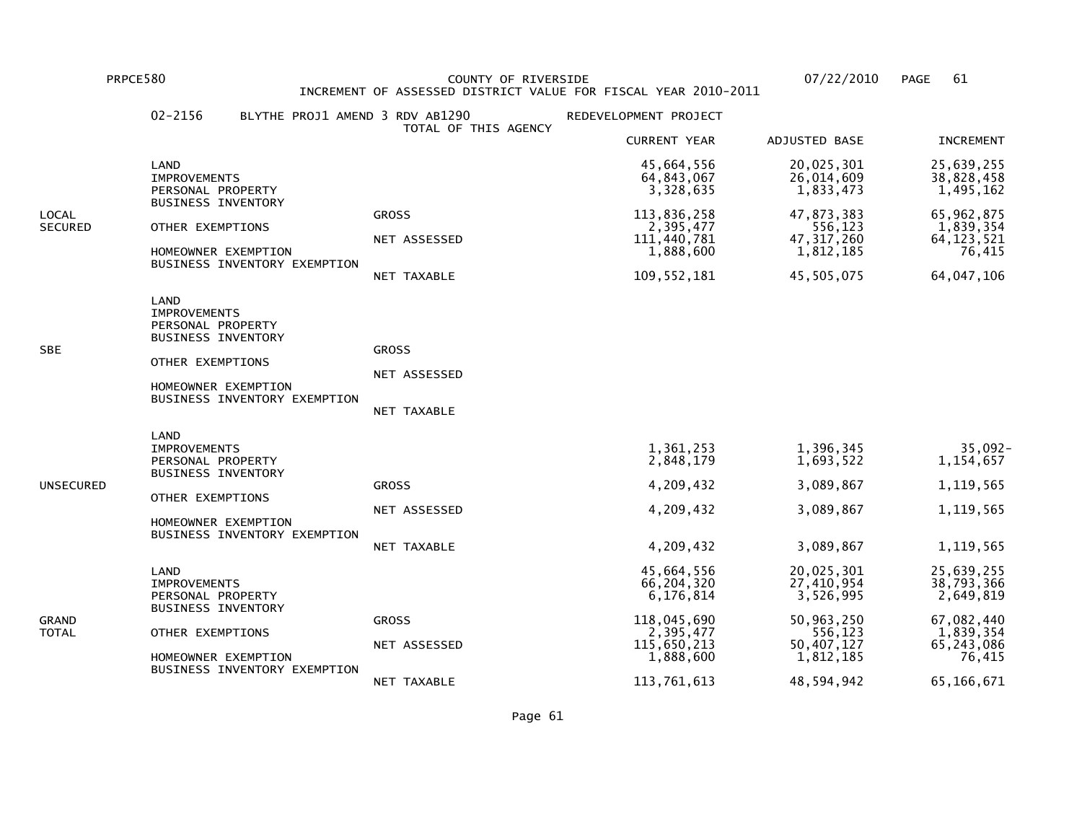LAND

IMPROVEMENTS

 PRPCE580 COUNTY OF RIVERSIDE 07/22/2010 PAGE 61INCREMENT OF ASSESSED DISTRICT VALUE FOR FISCAL YEAR 2010-2011

 02-2156 BLYTHE PROJ1 AMEND 3 RDV AB1290 REDEVELOPMENT PROJECT TOTAL OF THIS AGENCY CURRENT YEAR ADJUSTED BASE INCREMENT LAND 45,664,556 20,025,301 25,639,25538,828,458 IMPROVEMENTS 64,843,067 26,014,609 38,828,458 $1,495,162$ PERSONAL PROPERTY 3,328,635 1,833,473 BUSINESS INVENTORYLOCAL GROSS 113,836,258 47,873,383 65,962,8751,839,354 SECURED OTHER EXEMPTIONS NET ASSESSED 2,395,477 556,123<br>47,317,260 111,440,781 64, 123, 521 NET ASSESSED 111,440,781 47,317,260 64,123,52176,415 HOMEOWNER EXEMPTION **1,888,600** 1,812,185 BUSINESS INVENTORY EXEMPTION NET TAXABLE 109,552,181 45,505,075 64,047,106 PERSONAL PROPERTY BUSINESS INVENTORYSBE GROSS

 OTHER EXEMPTIONS NET ASSESSEDHOMEOWNER EXEMPTION

 BUSINESS INVENTORY EXEMPTIONNET TAXABLE

|              | LAND<br><b>IMPROVEMENTS</b><br>PERSONAL PROPERTY<br><b>BUSINESS INVENTORY</b> |              | 1,361,253<br>2,848,179                | 1,396,345<br>1,693,522                | $35,092 -$<br>1,154,657               |
|--------------|-------------------------------------------------------------------------------|--------------|---------------------------------------|---------------------------------------|---------------------------------------|
| UNSECURED    |                                                                               | <b>GROSS</b> | 4,209,432                             | 3,089,867                             | 1,119,565                             |
|              | OTHER EXEMPTIONS                                                              |              |                                       |                                       |                                       |
|              |                                                                               | NET ASSESSED | 4,209,432                             | 3,089,867                             | 1,119,565                             |
|              | HOMEOWNER EXEMPTION<br>BUSINESS INVENTORY EXEMPTION                           |              |                                       |                                       |                                       |
|              |                                                                               | NET TAXABLE  | 4,209,432                             | 3,089,867                             | 1,119,565                             |
|              | LAND<br><b>IMPROVEMENTS</b><br>PERSONAL PROPERTY<br><b>BUSINESS INVENTORY</b> |              | 45,664,556<br>66,204,320<br>6,176,814 | 20,025,301<br>27,410,954<br>3.526.995 | 25,639,255<br>38,793,366<br>2,649,819 |
| <b>GRAND</b> |                                                                               | <b>GROSS</b> | 118,045,690                           | 50,963,250                            | 67,082,440                            |
| <b>TOTAL</b> | OTHER EXEMPTIONS                                                              |              | 2,395,477                             | 556,123                               | 1,839,354                             |
|              |                                                                               | NET ASSESSED | 115,650,213                           | 50,407,127                            | 65,243,086                            |
|              | HOMEOWNER EXEMPTION<br>BUSINESS INVENTORY EXEMPTION                           |              | 1,888,600                             | 1,812,185                             | 76,415                                |
|              |                                                                               | NET TAXABLE  | 113,761,613                           | 48,594,942                            | 65,166,671                            |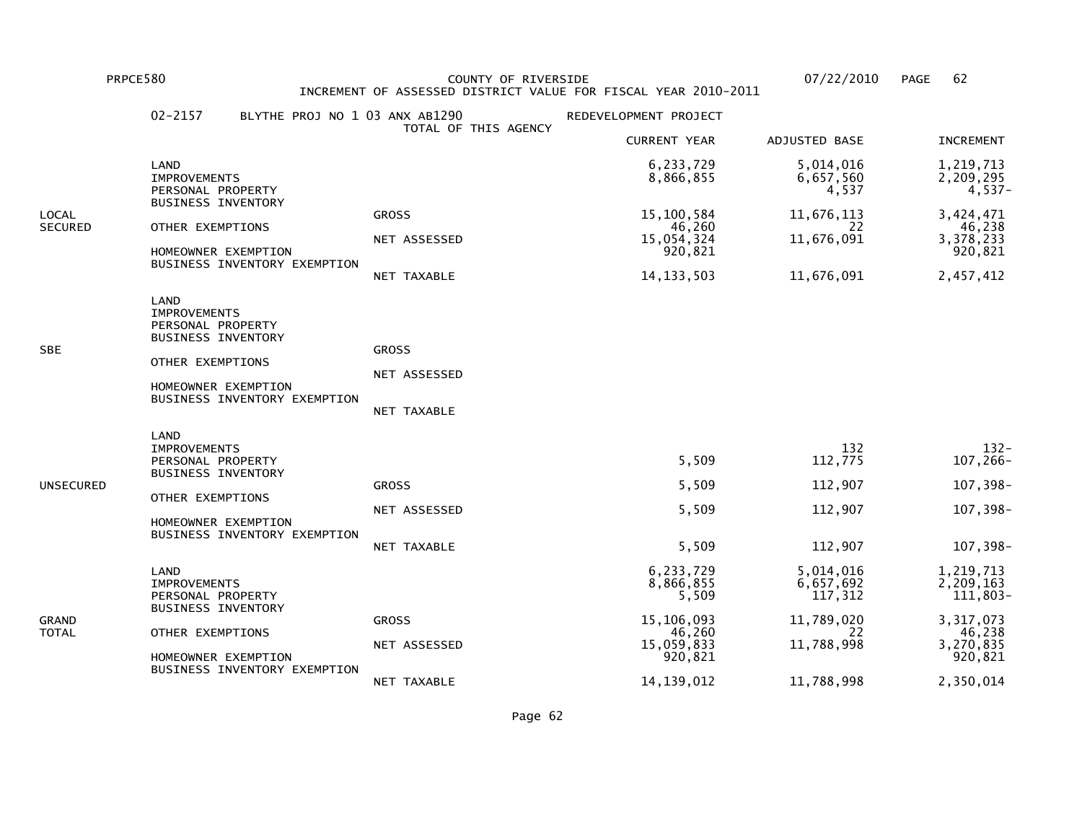PRPCE580 COUNTY OF RIVERSIDE 07/22/2010 PAGE 62 INCREMENT OF ASSESSED DISTRICT VALUE FOR FISCAL YEAR 2010-2011

|                         | $02 - 2157$<br>BLYTHE PROJ NO 1 03 ANX AB1290                                                                                                            |                                             | REDEVELOPMENT PROJECT                                                            |                                                                     |                                                                                   |
|-------------------------|----------------------------------------------------------------------------------------------------------------------------------------------------------|---------------------------------------------|----------------------------------------------------------------------------------|---------------------------------------------------------------------|-----------------------------------------------------------------------------------|
|                         |                                                                                                                                                          | TOTAL OF THIS AGENCY                        | <b>CURRENT YEAR</b>                                                              | <b>ADJUSTED BASE</b>                                                | <b>INCREMENT</b>                                                                  |
|                         | LAND<br><b>IMPROVEMENTS</b><br>PERSONAL PROPERTY                                                                                                         |                                             | 6,233,729<br>8,866,855                                                           | 5,014,016<br>6,657,560<br>4,537                                     | 1,219,713<br>2,209,295<br>4,537-                                                  |
| LOCAL<br><b>SECURED</b> | <b>BUSINESS INVENTORY</b><br>OTHER EXEMPTIONS<br>HOMEOWNER EXEMPTION<br>BUSINESS INVENTORY EXEMPTION                                                     | <b>GROSS</b><br>NET ASSESSED<br>NET TAXABLE | 15,100,584<br>46,260<br>15,054,324<br>920,821<br>14, 133, 503                    | 11,676,113<br>22<br>11,676,091<br>11,676,091                        | 3,424,471<br>46,238<br>3,378,233<br>920,821<br>2,457,412                          |
| SBE                     | LAND<br><b>IMPROVEMENTS</b><br>PERSONAL PROPERTY<br>BUSINESS INVENTORY<br>OTHER EXEMPTIONS<br>HOMEOWNER EXEMPTION<br>BUSINESS INVENTORY EXEMPTION        | <b>GROSS</b><br>NET ASSESSED<br>NET TAXABLE |                                                                                  |                                                                     |                                                                                   |
| UNSECURED               | LAND<br><b>IMPROVEMENTS</b><br>PERSONAL PROPERTY<br><b>BUSINESS INVENTORY</b><br>OTHER EXEMPTIONS<br>HOMEOWNER EXEMPTION<br>BUSINESS INVENTORY EXEMPTION | <b>GROSS</b><br>NET ASSESSED<br>NET TAXABLE | 5,509<br>5,509<br>5,509<br>5,509                                                 | 132<br>112,775<br>112,907<br>112,907<br>112,907                     | $132 -$<br>107,266-<br>107,398-<br>107,398-<br>107,398-                           |
| GRAND<br>TOTAL          | LAND<br><b>IMPROVEMENTS</b><br>PERSONAL PROPERTY<br><b>BUSINESS INVENTORY</b><br>OTHER EXEMPTIONS<br>HOMEOWNER EXEMPTION<br>BUSINESS INVENTORY EXEMPTION | <b>GROSS</b><br>NET ASSESSED                | 6,233,729<br>8,866,855<br>5,509<br>15,106,093<br>46,260<br>15,059,833<br>920,821 | 5,014,016<br>6,657,692<br>117,312<br>11,789,020<br>22<br>11,788,998 | 1,219,713<br>2,209,163<br>111,803-<br>3,317,073<br>46,238<br>3,270,835<br>920,821 |
|                         |                                                                                                                                                          | NET TAXABLE                                 | 14, 139, 012                                                                     | 11,788,998                                                          | 2,350,014                                                                         |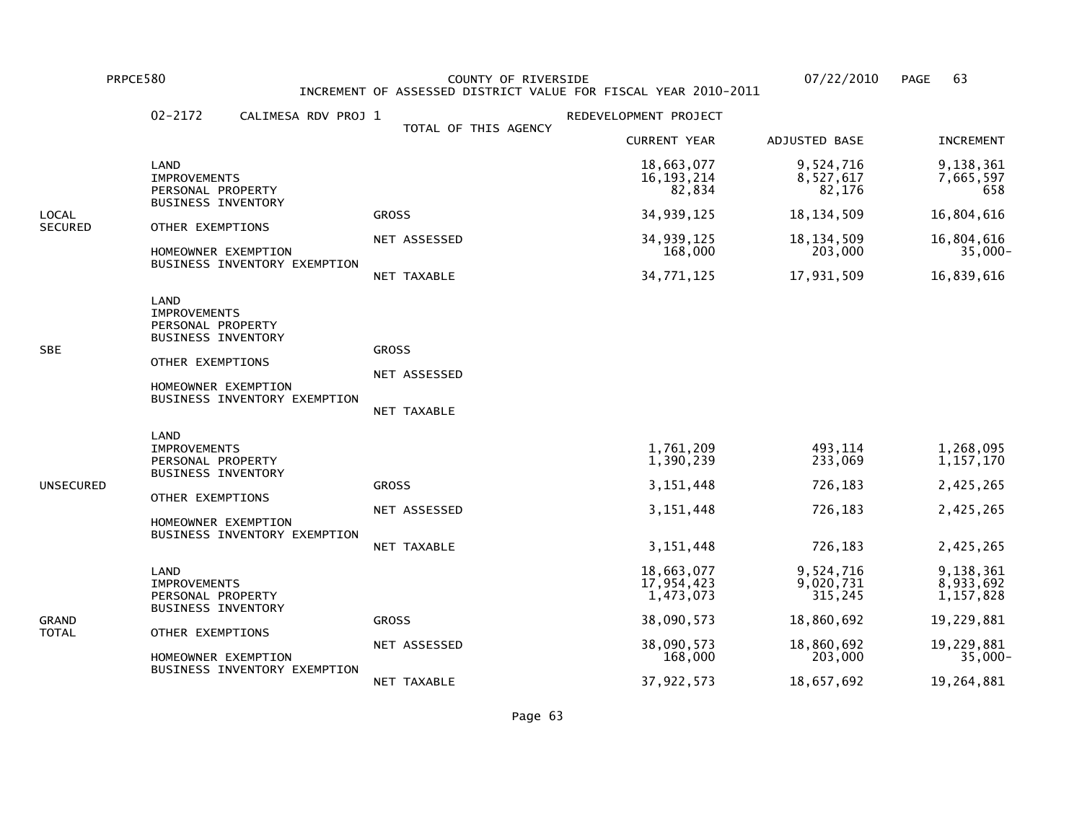PRPCE580 COUNTY OF RIVERSIDE 07/22/2010 PAGE 63 INCREMENT OF ASSESSED DISTRICT VALUE FOR FISCAL YEAR 2010-2011

|                | $02 - 2172$<br>CALIMESA RDV PROJ 1                                                                                                                       | TOTAL OF THIS AGENCY                        | REDEVELOPMENT PROJECT                                               |                                                     |                                                                 |
|----------------|----------------------------------------------------------------------------------------------------------------------------------------------------------|---------------------------------------------|---------------------------------------------------------------------|-----------------------------------------------------|-----------------------------------------------------------------|
|                |                                                                                                                                                          |                                             | <b>CURRENT YEAR</b>                                                 | ADJUSTED BASE                                       | <b>INCREMENT</b>                                                |
|                | LAND<br><b>IMPROVEMENTS</b><br>PERSONAL PROPERTY                                                                                                         |                                             | 18,663,077<br>16, 193, 214<br>82,834                                | 9,524,716<br>8,527,617<br>82,176                    | 9,138,361<br>7,665,597<br>658                                   |
| LOCAL          | <b>BUSINESS INVENTORY</b>                                                                                                                                | <b>GROSS</b>                                | 34,939,125                                                          | 18, 134, 509                                        | 16,804,616                                                      |
| <b>SECURED</b> | OTHER EXEMPTIONS<br>HOMEOWNER EXEMPTION                                                                                                                  | NET ASSESSED                                | 34,939,125<br>168,000                                               | 18, 134, 509<br>203,000                             | 16,804,616<br>$35,000 -$                                        |
|                | BUSINESS INVENTORY EXEMPTION                                                                                                                             | NET TAXABLE                                 | 34,771,125                                                          | 17,931,509                                          | 16,839,616                                                      |
| SBE            | LAND<br><b>IMPROVEMENTS</b><br>PERSONAL PROPERTY<br><b>BUSINESS INVENTORY</b><br>OTHER EXEMPTIONS<br>HOMEOWNER EXEMPTION<br>BUSINESS INVENTORY EXEMPTION | <b>GROSS</b><br>NET ASSESSED<br>NET TAXABLE |                                                                     |                                                     |                                                                 |
| UNSECURED      | LAND<br><b>IMPROVEMENTS</b><br>PERSONAL PROPERTY<br><b>BUSINESS INVENTORY</b><br>OTHER EXEMPTIONS<br>HOMEOWNER EXEMPTION<br>BUSINESS INVENTORY EXEMPTION | <b>GROSS</b><br>NET ASSESSED<br>NET TAXABLE | 1,761,209<br>1,390,239<br>3, 151, 448<br>3, 151, 448<br>3, 151, 448 | 493,114<br>233,069<br>726,183<br>726,183<br>726,183 | 1,268,095<br>1, 157, 170<br>2,425,265<br>2,425,265<br>2,425,265 |
|                | LAND<br><b>IMPROVEMENTS</b><br>PERSONAL PROPERTY<br><b>BUSINESS INVENTORY</b>                                                                            |                                             | 18,663,077<br>17,954,423<br>1,473,073                               | 9,524,716<br>9,020,731<br>315,245                   | 9,138,361<br>8,933,692<br>1,157,828                             |
| GRAND<br>TOTAL | OTHER EXEMPTIONS                                                                                                                                         | <b>GROSS</b>                                | 38,090,573                                                          | 18,860,692                                          | 19,229,881                                                      |
|                | HOMEOWNER EXEMPTION<br>BUSINESS INVENTORY EXEMPTION                                                                                                      | NET ASSESSED                                | 38,090,573<br>168,000                                               | 18,860,692<br>203,000                               | 19,229,881<br>35,000-                                           |
|                |                                                                                                                                                          | NET TAXABLE                                 | 37,922,573                                                          | 18,657,692                                          | 19,264,881                                                      |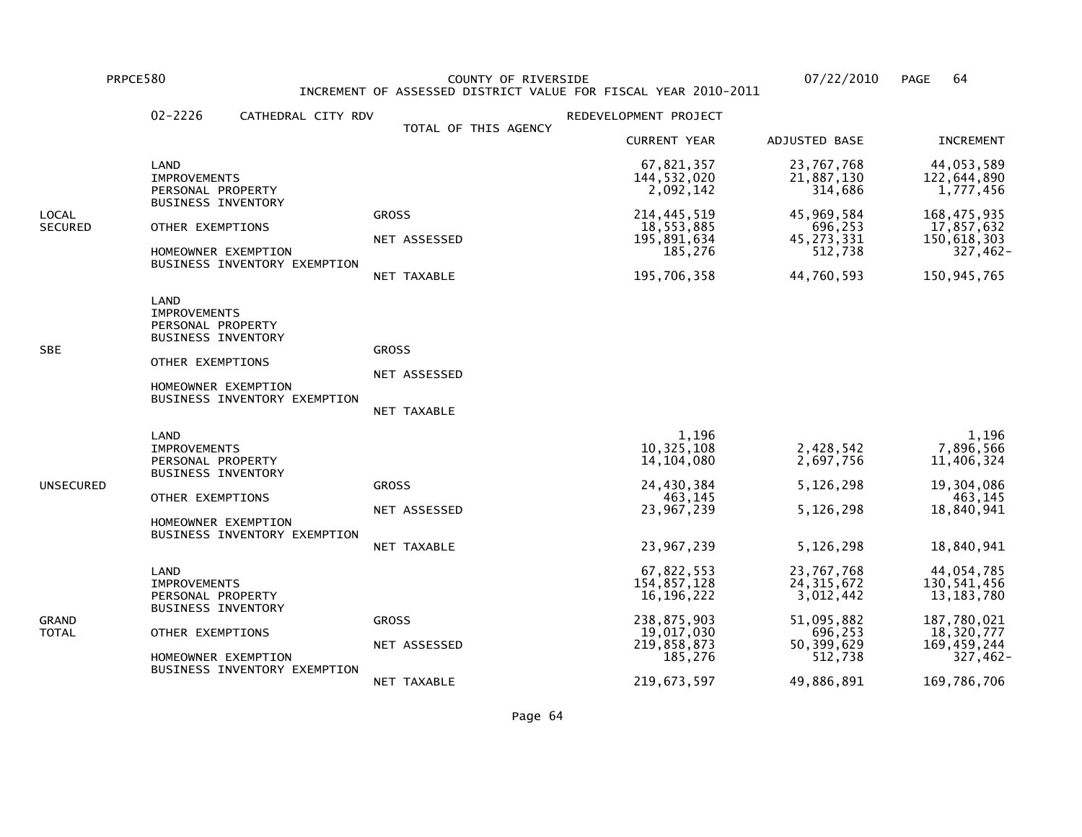PRPCE580 COUNTY OF RIVERSIDE 07/22/2010 PAGE 64 INCREMENT OF ASSESSED DISTRICT VALUE FOR FISCAL YEAR 2010-2011

|                         | $02 - 2226$<br>CATHEDRAL CITY RDV                                                                                                                        |                                             | REDEVELOPMENT PROJECT                                                                                         |                                                                                           |                                                                                                                  |
|-------------------------|----------------------------------------------------------------------------------------------------------------------------------------------------------|---------------------------------------------|---------------------------------------------------------------------------------------------------------------|-------------------------------------------------------------------------------------------|------------------------------------------------------------------------------------------------------------------|
|                         |                                                                                                                                                          | TOTAL OF THIS AGENCY                        | <b>CURRENT YEAR</b>                                                                                           | ADJUSTED BASE                                                                             | <b>INCREMENT</b>                                                                                                 |
|                         | LAND<br><b>IMPROVEMENTS</b><br>PERSONAL PROPERTY                                                                                                         |                                             | 67,821,357<br>144,532,020<br>2,092,142                                                                        | 23,767,768<br>21,887,130<br>314,686                                                       | 44,053,589<br>122,644,890<br>1,777,456                                                                           |
| LOCAL<br><b>SECURED</b> | <b>BUSINESS INVENTORY</b><br>OTHER EXEMPTIONS<br>HOMEOWNER EXEMPTION<br>BUSINESS INVENTORY EXEMPTION                                                     | <b>GROSS</b><br>NET ASSESSED<br>NET TAXABLE | 214, 445, 519<br>18,553,885<br>195,891,634<br>185,276<br>195,706,358                                          | 45,969,584<br>696,253<br>45, 273, 331<br>512,738<br>44,760,593                            | 168, 475, 935<br>17,857,632<br>150,618,303<br>$327,462 -$<br>150, 945, 765                                       |
| SBE                     | LAND<br><b>IMPROVEMENTS</b><br>PERSONAL PROPERTY<br>BUSINESS INVENTORY<br>OTHER EXEMPTIONS<br>HOMEOWNER EXEMPTION<br>BUSINESS INVENTORY EXEMPTION        | <b>GROSS</b><br>NET ASSESSED<br>NET TAXABLE |                                                                                                               |                                                                                           |                                                                                                                  |
| UNSECURED               | LAND<br><b>IMPROVEMENTS</b><br>PERSONAL PROPERTY<br><b>BUSINESS INVENTORY</b><br>OTHER EXEMPTIONS<br>HOMEOWNER EXEMPTION<br>BUSINESS INVENTORY EXEMPTION | <b>GROSS</b><br>NET ASSESSED<br>NET TAXABLE | 1,196<br>10, 325, 108<br>14, 104, 080<br>24,430,384<br>463,145<br>23,967,239<br>23,967,239                    | 2,428,542<br>2,697,756<br>5,126,298<br>5,126,298<br>5,126,298                             | 1,196<br>7,896,566<br>11,406,324<br>19,304,086<br>463,145<br>18,840,941<br>18,840,941                            |
| GRAND<br>TOTAL          | LAND<br><b>IMPROVEMENTS</b><br>PERSONAL PROPERTY<br><b>BUSINESS INVENTORY</b><br>OTHER EXEMPTIONS<br>HOMEOWNER EXEMPTION<br>BUSINESS INVENTORY EXEMPTION | <b>GROSS</b><br>NET ASSESSED                | 67,822,553<br>154,857,128<br>16,196,222<br>238,875,903<br>19,017,030<br>219,858,873<br>185,276<br>219,673,597 | 23,767,768<br>24, 315, 672<br>3,012,442<br>51,095,882<br>696,253<br>50,399,629<br>512,738 | 44,054,785<br>130,541,456<br>13, 183, 780<br>187,780,021<br>18,320,777<br>169,459,244<br>327,462-<br>169,786,706 |
|                         |                                                                                                                                                          | NET TAXABLE                                 |                                                                                                               | 49,886,891                                                                                |                                                                                                                  |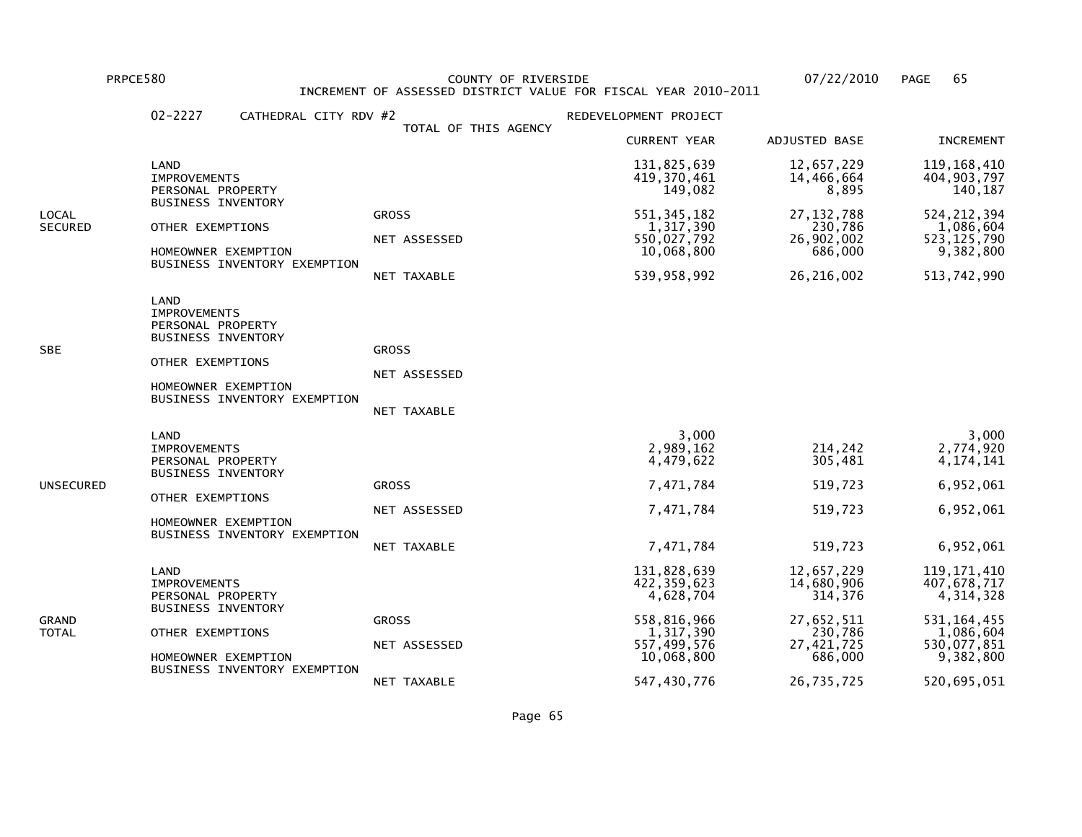PRPCE580 COUNTY OF RIVERSIDE 07/22/2010 PAGE 65 INCREMENT OF ASSESSED DISTRICT VALUE FOR FISCAL YEAR 2010-2011

|                         | $02 - 2227$<br>CATHEDRAL CITY RDV #2                                                                                                                     |                                             | REDEVELOPMENT PROJECT                                                                            |                                                                                       |                                                                                                       |
|-------------------------|----------------------------------------------------------------------------------------------------------------------------------------------------------|---------------------------------------------|--------------------------------------------------------------------------------------------------|---------------------------------------------------------------------------------------|-------------------------------------------------------------------------------------------------------|
|                         |                                                                                                                                                          | TOTAL OF THIS AGENCY                        | <b>CURRENT YEAR</b>                                                                              | ADJUSTED BASE                                                                         | <b>INCREMENT</b>                                                                                      |
|                         | LAND<br><b>IMPROVEMENTS</b><br>PERSONAL PROPERTY                                                                                                         |                                             | 131,825,639<br>419, 370, 461<br>149,082                                                          | 12,657,229<br>14,466,664<br>8,895                                                     | 119, 168, 410<br>404,903,797<br>140,187                                                               |
| LOCAL<br><b>SECURED</b> | <b>BUSINESS INVENTORY</b><br>OTHER EXEMPTIONS<br>HOMEOWNER EXEMPTION<br>BUSINESS INVENTORY EXEMPTION                                                     | <b>GROSS</b><br>NET ASSESSED<br>NET TAXABLE | 551, 345, 182<br>1,317,390<br>550,027,792<br>10,068,800<br>539,958,992                           | 27, 132, 788<br>230,786<br>26,902,002<br>686,000<br>26,216,002                        | 524, 212, 394<br>1,086,604<br>523, 125, 790<br>9,382,800<br>513,742,990                               |
| SBE                     | LAND<br><b>IMPROVEMENTS</b><br>PERSONAL PROPERTY<br><b>BUSINESS INVENTORY</b><br>OTHER EXEMPTIONS<br>HOMEOWNER EXEMPTION<br>BUSINESS INVENTORY EXEMPTION | <b>GROSS</b><br>NET ASSESSED<br>NET TAXABLE |                                                                                                  |                                                                                       |                                                                                                       |
| UNSECURED               | LAND<br><b>IMPROVEMENTS</b><br>PERSONAL PROPERTY<br><b>BUSINESS INVENTORY</b><br>OTHER EXEMPTIONS<br>HOMEOWNER EXEMPTION<br>BUSINESS INVENTORY EXEMPTION | <b>GROSS</b><br>NET ASSESSED<br>NET TAXABLE | 3,000<br>2,989,162<br>4,479,622<br>7,471,784<br>7,471,784<br>7,471,784                           | 214,242<br>305,481<br>519,723<br>519,723<br>519,723                                   | 3,000<br>2,774,920<br>4, 174, 141<br>6,952,061<br>6,952,061<br>6,952,061                              |
| GRAND<br>TOTAL          | LAND<br><b>IMPROVEMENTS</b><br>PERSONAL PROPERTY<br>BUSINESS INVENTORY<br>OTHER EXEMPTIONS<br>HOMEOWNER EXEMPTION<br>BUSINESS INVENTORY EXEMPTION        | <b>GROSS</b><br>NET ASSESSED                | 131,828,639<br>422,359,623<br>4,628,704<br>558,816,966<br>1,317,390<br>557,499,576<br>10,068,800 | 12,657,229<br>14,680,906<br>314,376<br>27,652,511<br>230,786<br>27,421,725<br>686,000 | 119, 171, 410<br>407,678,717<br>4, 314, 328<br>531, 164, 455<br>1,086,604<br>530,077,851<br>9,382,800 |
|                         |                                                                                                                                                          | NET TAXABLE                                 | 547,430,776                                                                                      | 26,735,725                                                                            | 520,695,051                                                                                           |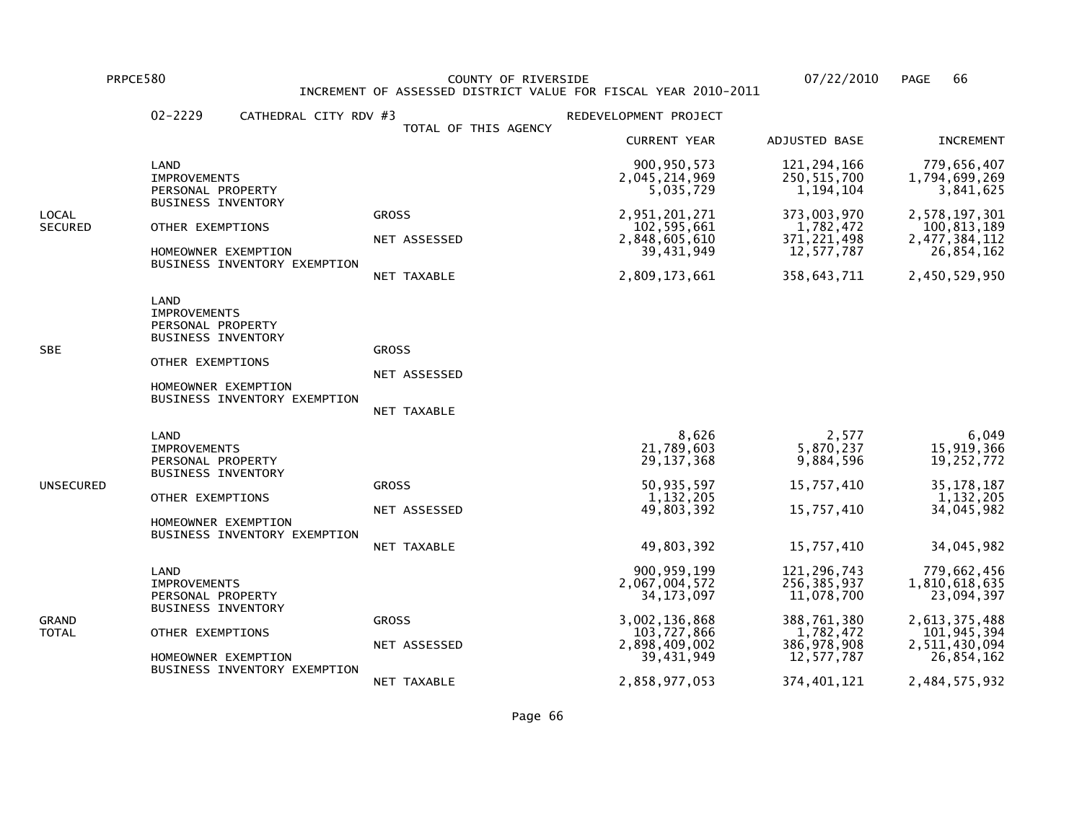PRPCE580 COUNTY OF RIVERSIDE 07/22/2010 PAGE 66 INCREMENT OF ASSESSED DISTRICT VALUE FOR FISCAL YEAR 2010-2011

|                  | $02 - 2229$<br>CATHEDRAL CITY RDV #3                                                                                                                     |                                             | REDEVELOPMENT PROJECT                                                                                                          |                                                                                                                    |                                                                                                                            |
|------------------|----------------------------------------------------------------------------------------------------------------------------------------------------------|---------------------------------------------|--------------------------------------------------------------------------------------------------------------------------------|--------------------------------------------------------------------------------------------------------------------|----------------------------------------------------------------------------------------------------------------------------|
|                  |                                                                                                                                                          | TOTAL OF THIS AGENCY                        | <b>CURRENT YEAR</b>                                                                                                            | ADJUSTED BASE                                                                                                      | <b>INCREMENT</b>                                                                                                           |
|                  | LAND<br><b>IMPROVEMENTS</b><br>PERSONAL PROPERTY                                                                                                         |                                             | 900, 950, 573<br>2,045,214,969<br>5,035,729                                                                                    | 121, 294, 166<br>250, 515, 700<br>1, 194, 104                                                                      | 779,656,407<br>1,794,699,269<br>3,841,625                                                                                  |
| LOCAL<br>SECURED | BUSINESS INVENTORY<br>OTHER EXEMPTIONS<br>HOMEOWNER EXEMPTION<br>BUSINESS INVENTORY EXEMPTION                                                            | <b>GROSS</b><br>NET ASSESSED<br>NET TAXABLE | 2,951,201,271<br>102,595,661<br>2,848,605,610<br>39,431,949<br>2,809,173,661                                                   | 373,003,970<br>1,782,472<br>371, 221, 498<br>12,577,787<br>358,643,711                                             | 2,578,197,301<br>100,813,189<br>2, 477, 384, 112<br>26,854,162<br>2,450,529,950                                            |
| SBE              | LAND<br><b>IMPROVEMENTS</b><br>PERSONAL PROPERTY<br><b>BUSINESS INVENTORY</b><br>OTHER EXEMPTIONS<br>HOMEOWNER EXEMPTION<br>BUSINESS INVENTORY EXEMPTION | <b>GROSS</b><br>NET ASSESSED<br>NET TAXABLE |                                                                                                                                |                                                                                                                    |                                                                                                                            |
| UNSECURED        | LAND<br><b>IMPROVEMENTS</b><br>PERSONAL PROPERTY<br><b>BUSINESS INVENTORY</b><br>OTHER EXEMPTIONS<br>HOMEOWNER EXEMPTION<br>BUSINESS INVENTORY EXEMPTION | <b>GROSS</b><br>NET ASSESSED<br>NET TAXABLE | 8,626<br>21,789,603<br>29, 137, 368<br>50,935,597<br>1, 132, 205<br>49,803,392<br>49,803,392                                   | 2,577<br>5,870,237<br>9,884,596<br>15,757,410<br>15,757,410<br>15,757,410                                          | 6,049<br>15,919,366<br>19,252,772<br>35, 178, 187<br>1,132,205<br>34,045,982<br>34,045,982                                 |
| GRAND<br>TOTAL   | LAND<br><b>IMPROVEMENTS</b><br>PERSONAL PROPERTY<br><b>BUSINESS INVENTORY</b><br>OTHER EXEMPTIONS<br>HOMEOWNER EXEMPTION<br>BUSINESS INVENTORY EXEMPTION | <b>GROSS</b><br>NET ASSESSED<br>NET TAXABLE | 900, 959, 199<br>2,067,004,572<br>34, 173, 097<br>3,002,136,868<br>103,727,866<br>2,898,409,002<br>39,431,949<br>2,858,977,053 | 121, 296, 743<br>256,385,937<br>11,078,700<br>388,761,380<br>1,782,472<br>386,978,908<br>12,577,787<br>374,401,121 | 779,662,456<br>1,810,618,635<br>23,094,397<br>2,613,375,488<br>101,945,394<br>2,511,430,094<br>26,854,162<br>2,484,575,932 |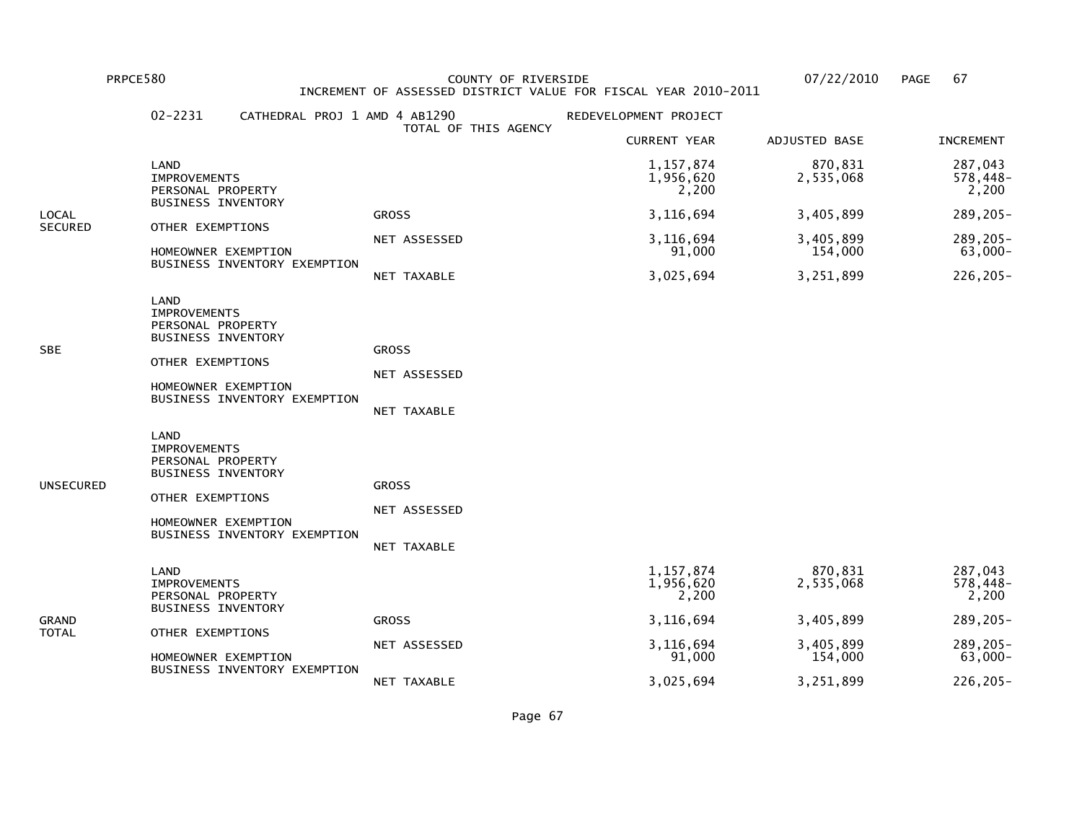PRPCE580 COUNTY OF RIVERSIDE 07/22/2010 PAGE 67 INCREMENT OF ASSESSED DISTRICT VALUE FOR FISCAL YEAR 2010-2011

|                | $02 - 2231$<br>CATHEDRAL PROJ 1 AMD 4 AB1290                                                                                                                    |                                             | REDEVELOPMENT PROJECT             |                      |                              |
|----------------|-----------------------------------------------------------------------------------------------------------------------------------------------------------------|---------------------------------------------|-----------------------------------|----------------------|------------------------------|
|                |                                                                                                                                                                 | TOTAL OF THIS AGENCY                        | <b>CURRENT YEAR</b>               | ADJUSTED BASE        | <b>INCREMENT</b>             |
|                | LAND<br><b>IMPROVEMENTS</b><br>PERSONAL PROPERTY                                                                                                                |                                             | 1,157,874<br>1,956,620<br>2,200   | 870,831<br>2,535,068 | 287,043<br>578,448-<br>2,200 |
| LOCAL          | BUSINESS INVENTORY                                                                                                                                              | <b>GROSS</b>                                | 3,116,694                         | 3,405,899            | 289,205-                     |
| SECURED        | OTHER EXEMPTIONS<br>HOMEOWNER EXEMPTION                                                                                                                         | NET ASSESSED                                | 3,116,694<br>91,000               | 3,405,899<br>154,000 | 289,205-<br>$63,000-$        |
|                | BUSINESS INVENTORY EXEMPTION                                                                                                                                    | NET TAXABLE                                 | 3,025,694                         | 3,251,899            | 226,205-                     |
| SBE            | LAND<br><b>IMPROVEMENTS</b><br>PERSONAL PROPERTY<br>BUSINESS INVENTORY<br>OTHER EXEMPTIONS<br>HOMEOWNER EXEMPTION<br>BUSINESS INVENTORY EXEMPTION               | <b>GROSS</b><br>NET ASSESSED<br>NET TAXABLE |                                   |                      |                              |
| UNSECURED      | <b>LAND</b><br><b>IMPROVEMENTS</b><br>PERSONAL PROPERTY<br><b>BUSINESS INVENTORY</b><br>OTHER EXEMPTIONS<br>HOMEOWNER EXEMPTION<br>BUSINESS INVENTORY EXEMPTION | <b>GROSS</b><br>NET ASSESSED<br>NET TAXABLE |                                   |                      |                              |
|                | LAND<br><b>IMPROVEMENTS</b><br>PERSONAL PROPERTY<br><b>BUSINESS INVENTORY</b>                                                                                   |                                             | 1, 157, 874<br>1,956,620<br>2,200 | 870,831<br>2,535,068 | 287,043<br>578,448-<br>2,200 |
| GRAND<br>TOTAL | OTHER EXEMPTIONS                                                                                                                                                | <b>GROSS</b>                                | 3,116,694                         | 3,405,899            | 289,205-                     |
|                | HOMEOWNER EXEMPTION<br>BUSINESS INVENTORY EXEMPTION                                                                                                             | NET ASSESSED                                | 3,116,694<br>91,000               | 3,405,899<br>154,000 | 289,205-<br>$63,000-$        |
|                |                                                                                                                                                                 | NET TAXABLE                                 | 3,025,694                         | 3,251,899            | 226,205-                     |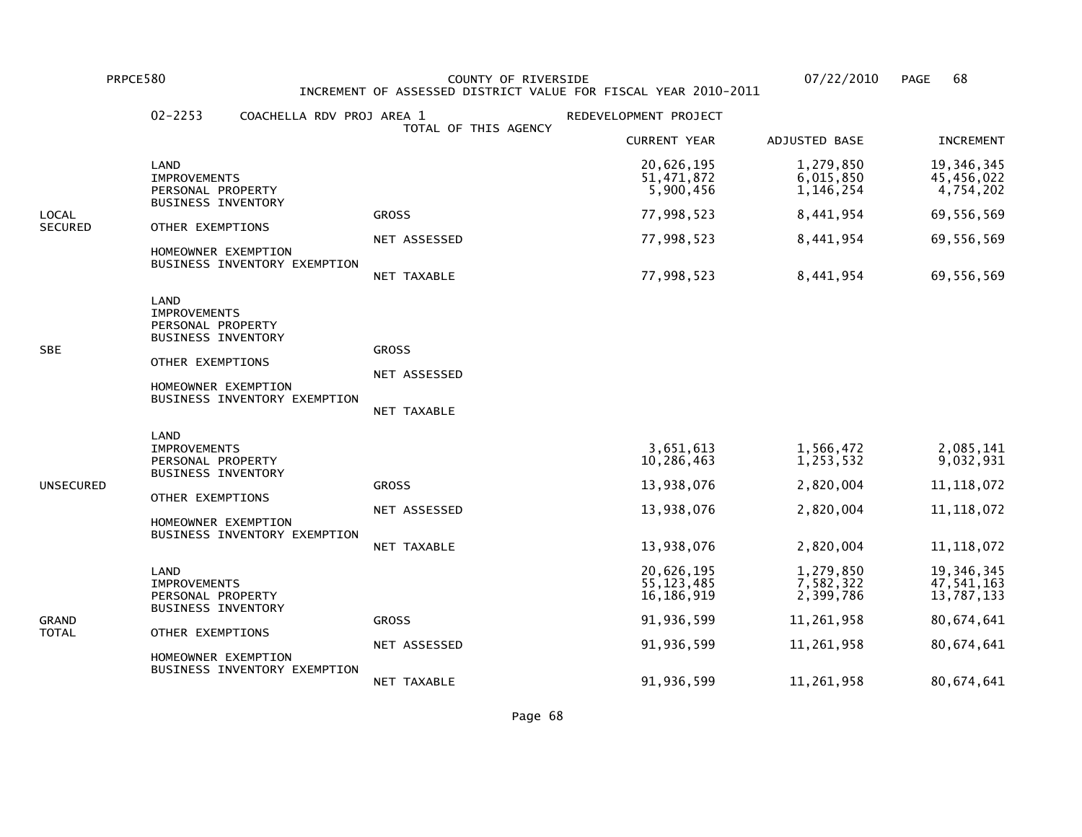PRPCE580 COUNTY OF RIVERSIDE 07/22/2010 PAGE 68 INCREMENT OF ASSESSED DISTRICT VALUE FOR FISCAL YEAR 2010-2011

|           | $02 - 2253$                                                                                                                                              | COACHELLA RDV PROJ AREA 1<br>TOTAL OF THIS AGENCY  | REDEVELOPMENT PROJECT                    |                                     |                                        |
|-----------|----------------------------------------------------------------------------------------------------------------------------------------------------------|----------------------------------------------------|------------------------------------------|-------------------------------------|----------------------------------------|
|           |                                                                                                                                                          |                                                    | <b>CURRENT YEAR</b>                      | ADJUSTED BASE                       | <b>INCREMENT</b>                       |
|           | LAND<br>IMPROVEMENTS<br>PERSONAL PROPERTY<br><b>BUSINESS INVENTORY</b>                                                                                   |                                                    | 20,626,195<br>51,471,872<br>5,900,456    | 1,279,850<br>6,015,850<br>1,146,254 | 19,346,345<br>45,456,022<br>4,754,202  |
| LOCAL     |                                                                                                                                                          | <b>GROSS</b>                                       | 77,998,523                               | 8,441,954                           | 69,556,569                             |
| SECURED   | OTHER EXEMPTIONS<br>HOMEOWNER EXEMPTION<br>BUSINESS INVENTORY EXEMPTION                                                                                  | NET ASSESSED                                       | 77,998,523                               | 8,441,954                           | 69,556,569                             |
|           |                                                                                                                                                          | <b>NET TAXABLE</b>                                 | 77,998,523                               | 8,441,954                           | 69,556,569                             |
| SBE       | LAND<br><b>IMPROVEMENTS</b><br>PERSONAL PROPERTY<br><b>BUSINESS INVENTORY</b><br>OTHER EXEMPTIONS<br>HOMEOWNER EXEMPTION<br>BUSINESS INVENTORY EXEMPTION | <b>GROSS</b><br>NET ASSESSED<br><b>NET TAXABLE</b> |                                          |                                     |                                        |
|           | LAND<br><b>IMPROVEMENTS</b><br>PERSONAL PROPERTY<br><b>BUSINESS INVENTORY</b>                                                                            |                                                    | 3,651,613<br>10,286,463                  | 1,566,472<br>1,253,532              | 2,085,141<br>9,032,931                 |
| UNSECURED | OTHER EXEMPTIONS                                                                                                                                         | <b>GROSS</b>                                       | 13,938,076                               | 2,820,004                           | 11, 118, 072                           |
|           | HOMEOWNER EXEMPTION                                                                                                                                      | NET ASSESSED                                       | 13,938,076                               | 2,820,004                           | 11, 118, 072                           |
|           | BUSINESS INVENTORY EXEMPTION                                                                                                                             | NET TAXABLE                                        | 13,938,076                               | 2,820,004                           | 11, 118, 072                           |
|           | LAND<br><b>IMPROVEMENTS</b><br>PERSONAL PROPERTY<br><b>BUSINESS INVENTORY</b>                                                                            |                                                    | 20,626,195<br>55, 123, 485<br>16,186,919 | 1,279,850<br>7,582,322<br>2,399,786 | 19,346,345<br>47,541,163<br>13,787,133 |
| GRAND     |                                                                                                                                                          | <b>GROSS</b>                                       | 91,936,599                               | 11,261,958                          | 80,674,641                             |
| TOTAL     | OTHER EXEMPTIONS<br>HOMEOWNER EXEMPTION                                                                                                                  | NET ASSESSED                                       | 91,936,599                               | 11,261,958                          | 80,674,641                             |
|           | BUSINESS INVENTORY EXEMPTION                                                                                                                             | NET TAXABLE                                        | 91,936,599                               | 11,261,958                          | 80,674,641                             |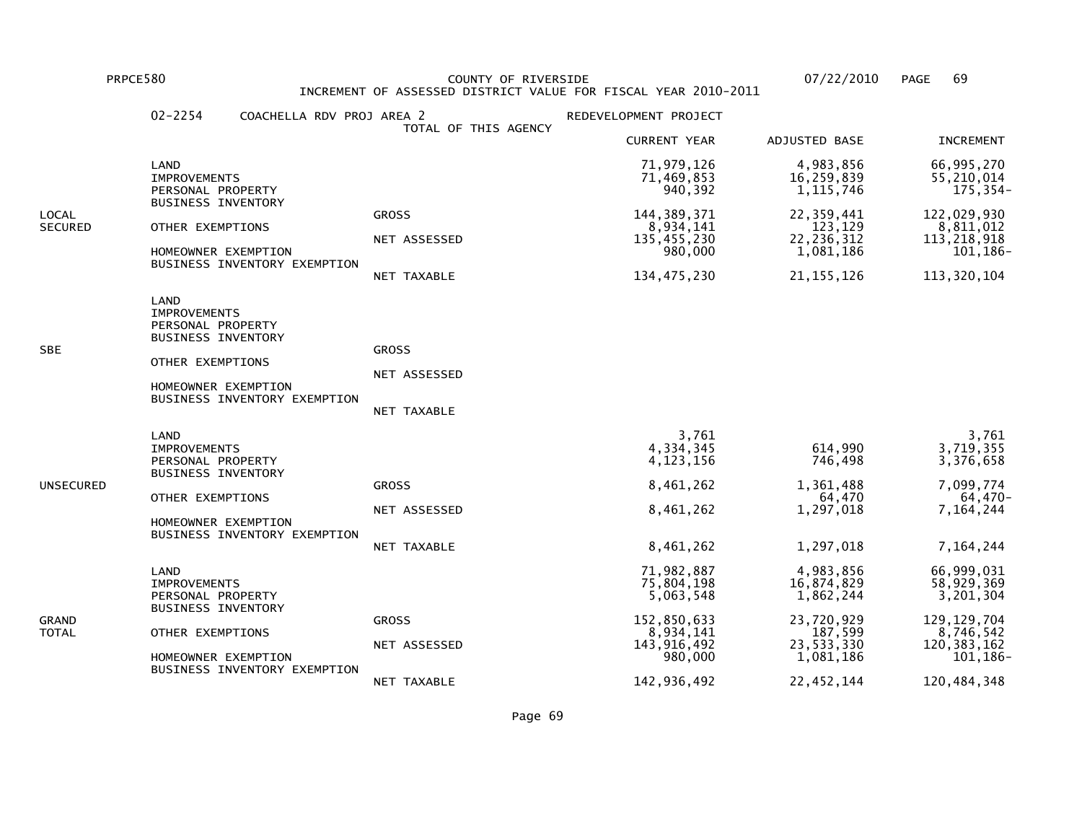PRPCE580 COUNTY OF RIVERSIDE 07/22/2010 PAGE 69 INCREMENT OF ASSESSED DISTRICT VALUE FOR FISCAL YEAR 2010-2011

|                  | $02 - 2254$<br>COACHELLA RDV PROJ AREA 2                                                                                                                 |                                             | REDEVELOPMENT PROJECT                                                                       |                                                                                          |                                                                                                  |
|------------------|----------------------------------------------------------------------------------------------------------------------------------------------------------|---------------------------------------------|---------------------------------------------------------------------------------------------|------------------------------------------------------------------------------------------|--------------------------------------------------------------------------------------------------|
|                  |                                                                                                                                                          | TOTAL OF THIS AGENCY                        | <b>CURRENT YEAR</b>                                                                         | ADJUSTED BASE                                                                            | <b>INCREMENT</b>                                                                                 |
|                  | LAND<br><b>IMPROVEMENTS</b><br>PERSONAL PROPERTY                                                                                                         |                                             | 71,979,126<br>71,469,853<br>940,392                                                         | 4,983,856<br>16,259,839<br>1, 115, 746                                                   | 66,995,270<br>55,210,014<br>$175, 354-$                                                          |
| LOCAL<br>SECURED | <b>BUSINESS INVENTORY</b><br>OTHER EXEMPTIONS<br>HOMEOWNER EXEMPTION<br>BUSINESS INVENTORY EXEMPTION                                                     | <b>GROSS</b><br>NET ASSESSED<br>NET TAXABLE | 144, 389, 371<br>8,934,141<br>135,455,230<br>980,000<br>134,475,230                         | 22,359,441<br>123,129<br>22, 236, 312<br>1,081,186<br>21, 155, 126                       | 122,029,930<br>8,811,012<br>113, 218, 918<br>101,186-<br>113, 320, 104                           |
| SBE              | LAND<br><b>IMPROVEMENTS</b><br>PERSONAL PROPERTY<br><b>BUSINESS INVENTORY</b><br>OTHER EXEMPTIONS<br>HOMEOWNER EXEMPTION<br>BUSINESS INVENTORY EXEMPTION | <b>GROSS</b><br>NET ASSESSED<br>NET TAXABLE |                                                                                             |                                                                                          |                                                                                                  |
| UNSECURED        | LAND<br><b>IMPROVEMENTS</b><br>PERSONAL PROPERTY<br><b>BUSINESS INVENTORY</b><br>OTHER EXEMPTIONS<br>HOMEOWNER EXEMPTION<br>BUSINESS INVENTORY EXEMPTION | <b>GROSS</b><br>NET ASSESSED<br>NET TAXABLE | 3,761<br>4,334,345<br>4, 123, 156<br>8,461,262<br>8,461,262<br>8,461,262                    | 614,990<br>746,498<br>1,361,488<br>64,470<br>1,297,018<br>1,297,018                      | 3,761<br>3,719,355<br>3,376,658<br>7,099,774<br>64,470-<br>7,164,244<br>7,164,244                |
| GRAND<br>TOTAL   | LAND<br><b>IMPROVEMENTS</b><br>PERSONAL PROPERTY<br><b>BUSINESS INVENTORY</b><br>OTHER EXEMPTIONS<br>HOMEOWNER EXEMPTION<br>BUSINESS INVENTORY EXEMPTION | <b>GROSS</b><br>NET ASSESSED                | 71,982,887<br>75,804,198<br>5,063,548<br>152,850,633<br>8,934,141<br>143,916,492<br>980,000 | 4,983,856<br>16,874,829<br>1,862,244<br>23,720,929<br>187,599<br>23,533,330<br>1,081,186 | 66,999,031<br>58,929,369<br>3,201,304<br>129, 129, 704<br>8,746,542<br>120, 383, 162<br>101,186- |
|                  |                                                                                                                                                          | NET TAXABLE                                 | 142,936,492                                                                                 | 22,452,144                                                                               | 120,484,348                                                                                      |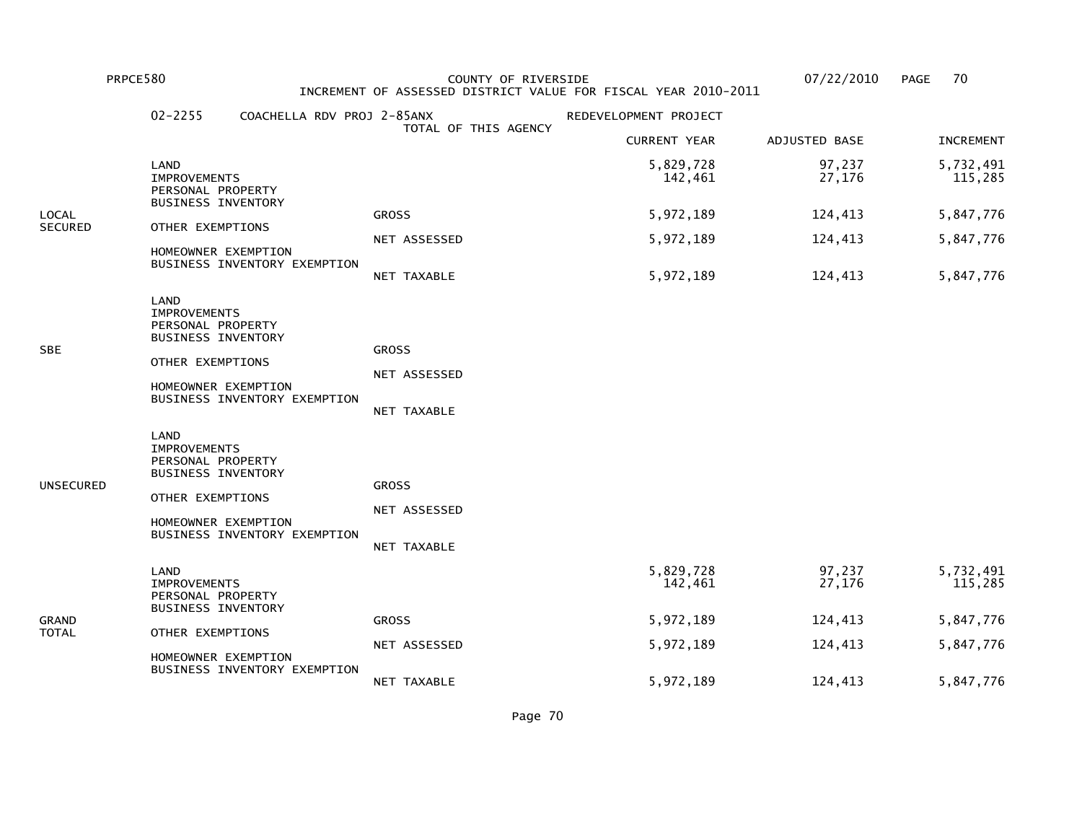PRPCE580 COUNTY OF RIVERSIDE 07/22/2010 PAGE 70 INCREMENT OF ASSESSED DISTRICT VALUE FOR FISCAL YEAR 2010-2011

|                              | $02 - 2255$                                                                                                              | COACHELLA RDV PROJ 2-85ANX   |                                             | REDEVELOPMENT PROJECT |                  |                      |
|------------------------------|--------------------------------------------------------------------------------------------------------------------------|------------------------------|---------------------------------------------|-----------------------|------------------|----------------------|
|                              |                                                                                                                          |                              | TOTAL OF THIS AGENCY                        | <b>CURRENT YEAR</b>   | ADJUSTED BASE    | <b>INCREMENT</b>     |
|                              | LAND<br><b>IMPROVEMENTS</b><br>PERSONAL PROPERTY                                                                         |                              |                                             | 5,829,728<br>142,461  | 97,237<br>27,176 | 5,732,491<br>115,285 |
| LOCAL                        | <b>BUSINESS INVENTORY</b>                                                                                                |                              | <b>GROSS</b>                                | 5,972,189             | 124,413          | 5,847,776            |
| <b>SECURED</b>               | OTHER EXEMPTIONS                                                                                                         |                              | NET ASSESSED                                | 5,972,189             | 124,413          | 5,847,776            |
|                              | HOMEOWNER EXEMPTION                                                                                                      | BUSINESS INVENTORY EXEMPTION | NET TAXABLE                                 | 5,972,189             | 124,413          | 5,847,776            |
| <b>SBE</b>                   | LAND<br><b>IMPROVEMENTS</b><br>PERSONAL PROPERTY<br>BUSINESS INVENTORY<br>OTHER EXEMPTIONS<br>HOMEOWNER EXEMPTION        | BUSINESS INVENTORY EXEMPTION | <b>GROSS</b><br>NET ASSESSED<br>NET TAXABLE |                       |                  |                      |
| <b>UNSECURED</b>             | LAND<br><b>IMPROVEMENTS</b><br>PERSONAL PROPERTY<br><b>BUSINESS INVENTORY</b><br>OTHER EXEMPTIONS<br>HOMEOWNER EXEMPTION | BUSINESS INVENTORY EXEMPTION | <b>GROSS</b><br>NET ASSESSED<br>NET TAXABLE |                       |                  |                      |
|                              | LAND<br><b>IMPROVEMENTS</b><br>PERSONAL PROPERTY<br><b>BUSINESS INVENTORY</b>                                            |                              |                                             | 5,829,728<br>142,461  | 97,237<br>27,176 | 5,732,491<br>115,285 |
| <b>GRAND</b><br><b>TOTAL</b> | OTHER EXEMPTIONS                                                                                                         |                              | <b>GROSS</b>                                | 5,972,189             | 124,413          | 5,847,776            |
|                              | HOMEOWNER EXEMPTION                                                                                                      | BUSINESS INVENTORY EXEMPTION | NET ASSESSED                                | 5,972,189             | 124,413          | 5,847,776            |
|                              |                                                                                                                          |                              | NET TAXABLE                                 | 5,972,189             | 124,413          | 5,847,776            |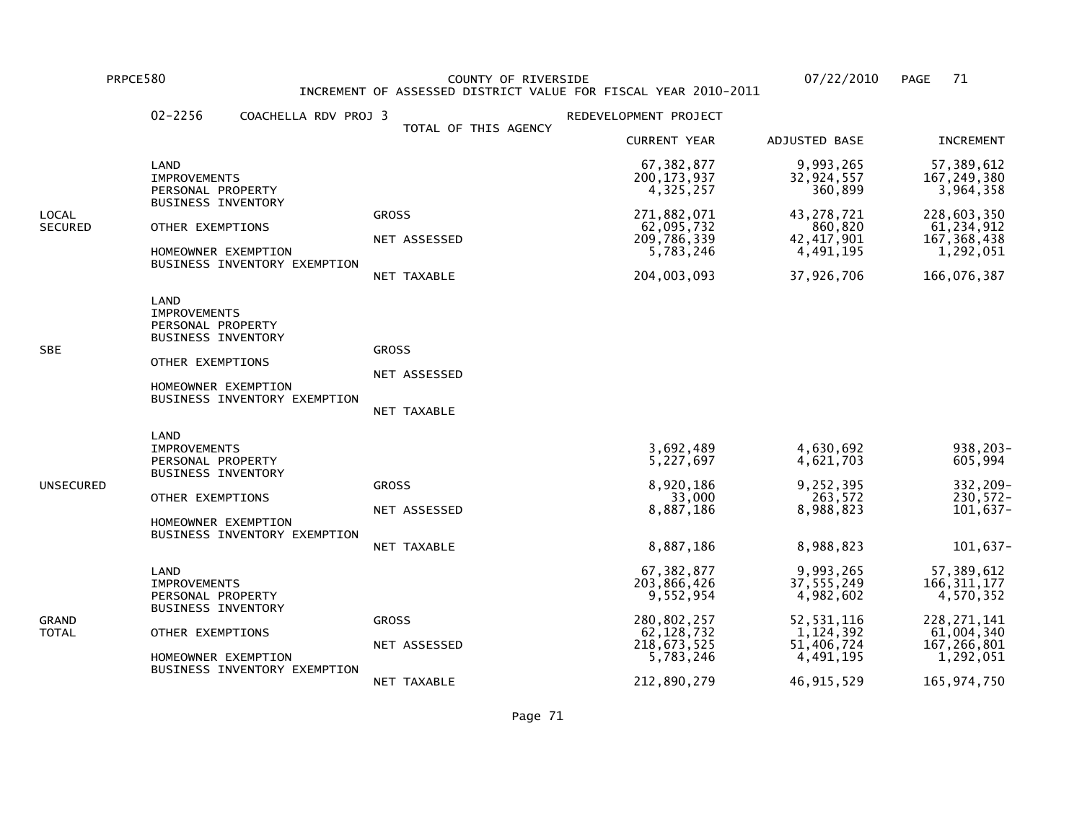PRPCE580 COUNTY OF RIVERSIDE 07/22/2010 PAGE 71 INCREMENT OF ASSESSED DISTRICT VALUE FOR FISCAL YEAR 2010-2011

|                  | $02 - 2256$<br>COACHELLA RDV PROJ 3                                                                                                                      |                                             | REDEVELOPMENT PROJECT                                                                               |                                                                                              |                                                                                                     |
|------------------|----------------------------------------------------------------------------------------------------------------------------------------------------------|---------------------------------------------|-----------------------------------------------------------------------------------------------------|----------------------------------------------------------------------------------------------|-----------------------------------------------------------------------------------------------------|
|                  |                                                                                                                                                          | TOTAL OF THIS AGENCY                        | <b>CURRENT YEAR</b>                                                                                 | ADJUSTED BASE                                                                                | <b>INCREMENT</b>                                                                                    |
|                  | LAND<br><b>IMPROVEMENTS</b><br>PERSONAL PROPERTY                                                                                                         |                                             | 67, 382, 877<br>200, 173, 937<br>4,325,257                                                          | 9,993,265<br>32,924,557<br>360,899                                                           | 57,389,612<br>167, 249, 380<br>3,964,358                                                            |
| LOCAL<br>SECURED | <b>BUSINESS INVENTORY</b><br>OTHER EXEMPTIONS<br>HOMEOWNER EXEMPTION<br>BUSINESS INVENTORY EXEMPTION                                                     | <b>GROSS</b><br>NET ASSESSED<br>NET TAXABLE | 271,882,071<br>62,095,732<br>209,786,339<br>5,783,246<br>204,003,093                                | 43, 278, 721<br>860,820<br>42, 417, 901<br>4,491,195<br>37,926,706                           | 228,603,350<br>61,234,912<br>167, 368, 438<br>1,292,051<br>166,076,387                              |
| SBE              | LAND<br><b>IMPROVEMENTS</b><br>PERSONAL PROPERTY<br><b>BUSINESS INVENTORY</b><br>OTHER EXEMPTIONS<br>HOMEOWNER EXEMPTION<br>BUSINESS INVENTORY EXEMPTION | <b>GROSS</b><br>NET ASSESSED<br>NET TAXABLE |                                                                                                     |                                                                                              |                                                                                                     |
| UNSECURED        | LAND<br><b>IMPROVEMENTS</b><br>PERSONAL PROPERTY<br><b>BUSINESS INVENTORY</b><br>OTHER EXEMPTIONS<br>HOMEOWNER EXEMPTION<br>BUSINESS INVENTORY EXEMPTION | <b>GROSS</b><br>NET ASSESSED<br>NET TAXABLE | 3,692,489<br>5,227,697<br>8,920,186<br>33,000<br>8,887,186<br>8,887,186                             | 4,630,692<br>4,621,703<br>9,252,395<br>263,572<br>8,988,823<br>8,988,823                     | 938,203-<br>605,994<br>332,209-<br>230,572-<br>101,637-<br>101,637-                                 |
| GRAND<br>TOTAL   | LAND<br><b>IMPROVEMENTS</b><br>PERSONAL PROPERTY<br><b>BUSINESS INVENTORY</b><br>OTHER EXEMPTIONS<br>HOMEOWNER EXEMPTION<br>BUSINESS INVENTORY EXEMPTION | <b>GROSS</b><br>NET ASSESSED                | 67,382,877<br>203,866,426<br>9,552,954<br>280,802,257<br>62, 128, 732<br>218, 673, 525<br>5,783,246 | 9,993,265<br>37,555,249<br>4,982,602<br>52, 531, 116<br>1,124,392<br>51,406,724<br>4,491,195 | 57,389,612<br>166, 311, 177<br>4,570,352<br>228, 271, 141<br>61,004,340<br>167,266,801<br>1,292,051 |
|                  |                                                                                                                                                          | NET TAXABLE                                 | 212,890,279                                                                                         | 46, 915, 529                                                                                 | 165, 974, 750                                                                                       |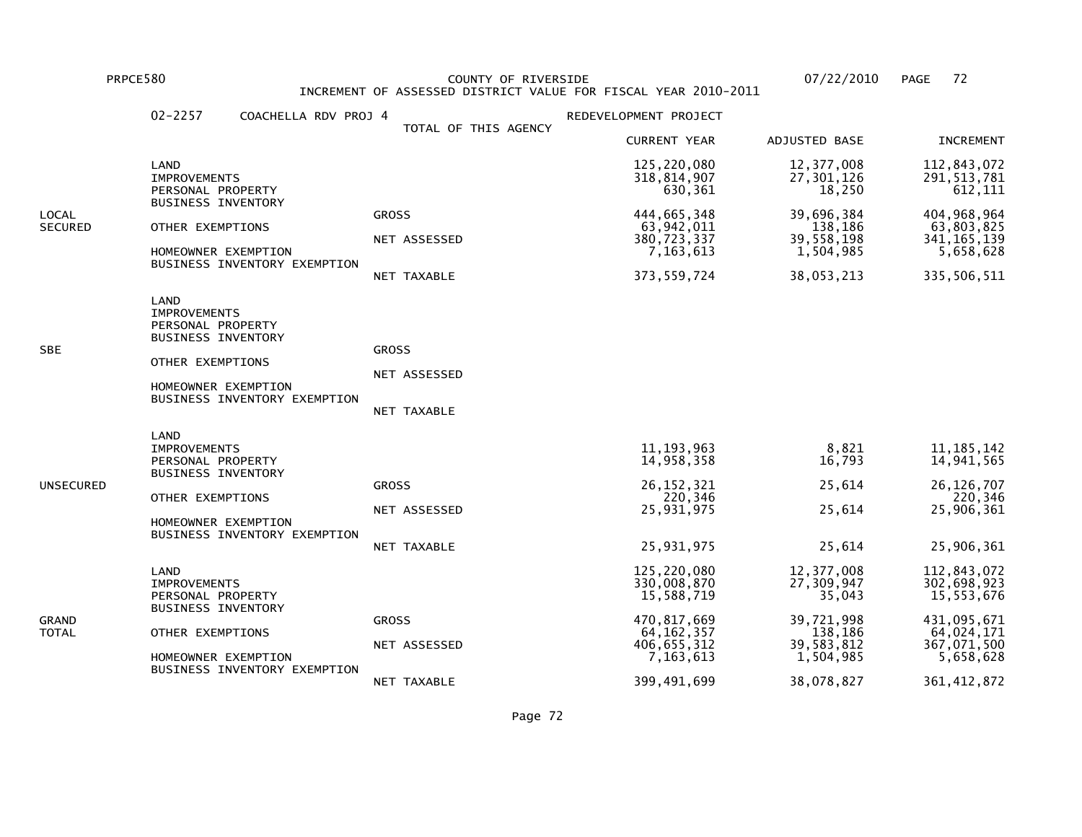PRPCE580 COUNTY OF RIVERSIDE 07/22/2010 PAGE 72 INCREMENT OF ASSESSED DISTRICT VALUE FOR FISCAL YEAR 2010-2011

|                         | $02 - 2257$<br>COACHELLA RDV PROJ 4                                                                                                                      |                                                    | REDEVELOPMENT PROJECT                                                                               |                                                                                        |                                                                                                   |
|-------------------------|----------------------------------------------------------------------------------------------------------------------------------------------------------|----------------------------------------------------|-----------------------------------------------------------------------------------------------------|----------------------------------------------------------------------------------------|---------------------------------------------------------------------------------------------------|
|                         |                                                                                                                                                          | TOTAL OF THIS AGENCY                               | <b>CURRENT YEAR</b>                                                                                 | ADJUSTED BASE                                                                          | <b>INCREMENT</b>                                                                                  |
|                         | LAND<br><b>IMPROVEMENTS</b><br>PERSONAL PROPERTY                                                                                                         |                                                    | 125,220,080<br>318, 814, 907<br>630,361                                                             | 12,377,008<br>27,301,126<br>18,250                                                     | 112,843,072<br>291, 513, 781<br>612,111                                                           |
| LOCAL<br><b>SECURED</b> | <b>BUSINESS INVENTORY</b><br>OTHER EXEMPTIONS<br>HOMEOWNER EXEMPTION<br>BUSINESS INVENTORY EXEMPTION                                                     | <b>GROSS</b><br>NET ASSESSED<br>NET TAXABLE        | 444,665,348<br>63,942,011<br>380,723,337<br>7, 163, 613<br>373, 559, 724                            | 39,696,384<br>138,186<br>39,558,198<br>1,504,985<br>38,053,213                         | 404, 968, 964<br>63,803,825<br>341, 165, 139<br>5,658,628<br>335,506,511                          |
| SBE                     | LAND<br><b>IMPROVEMENTS</b><br>PERSONAL PROPERTY<br><b>BUSINESS INVENTORY</b><br>OTHER EXEMPTIONS<br>HOMEOWNER EXEMPTION<br>BUSINESS INVENTORY EXEMPTION | <b>GROSS</b><br>NET ASSESSED<br><b>NET TAXABLE</b> |                                                                                                     |                                                                                        |                                                                                                   |
| UNSECURED               | LAND<br><b>IMPROVEMENTS</b><br>PERSONAL PROPERTY<br>BUSINESS INVENTORY<br>OTHER EXEMPTIONS<br>HOMEOWNER EXEMPTION<br>BUSINESS INVENTORY EXEMPTION        | <b>GROSS</b><br>NET ASSESSED<br><b>NET TAXABLE</b> | 11, 193, 963<br>14,958,358<br>26, 152, 321<br>220,346<br>25,931,975<br>25,931,975                   | 8,821<br>16,793<br>25,614<br>25,614<br>25,614                                          | 11, 185, 142<br>14,941,565<br>26, 126, 707<br>220,346<br>25,906,361<br>25,906,361                 |
| GRAND<br>TOTAL          | LAND<br><b>IMPROVEMENTS</b><br>PERSONAL PROPERTY<br><b>BUSINESS INVENTORY</b><br>OTHER EXEMPTIONS<br>HOMEOWNER EXEMPTION<br>BUSINESS INVENTORY EXEMPTION | <b>GROSS</b><br>NET ASSESSED                       | 125,220,080<br>330,008,870<br>15,588,719<br>470,817,669<br>64, 162, 357<br>406,655,312<br>7,163,613 | 12,377,008<br>27,309,947<br>35,043<br>39,721,998<br>138,186<br>39,583,812<br>1,504,985 | 112,843,072<br>302,698,923<br>15,553,676<br>431,095,671<br>64,024,171<br>367,071,500<br>5,658,628 |
|                         |                                                                                                                                                          | NET TAXABLE                                        | 399,491,699                                                                                         | 38,078,827                                                                             | 361, 412, 872                                                                                     |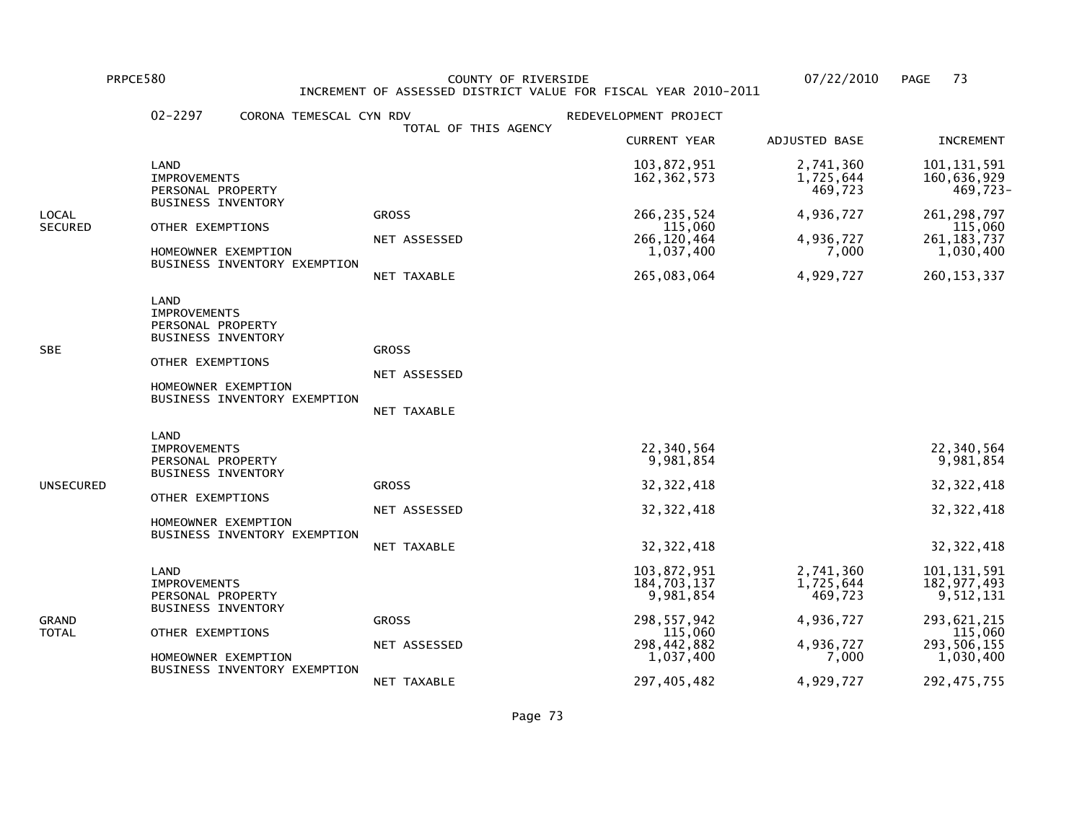PRPCE580 COUNTY OF RIVERSIDE 07/22/2010 PAGE 73 INCREMENT OF ASSESSED DISTRICT VALUE FOR FISCAL YEAR 2010-2011

|                         | $02 - 2297$<br>CORONA TEMESCAL CYN RDV                                                                                                                   |                                             | REDEVELOPMENT PROJECT                                                                           |                                                                      |                                                                                                   |
|-------------------------|----------------------------------------------------------------------------------------------------------------------------------------------------------|---------------------------------------------|-------------------------------------------------------------------------------------------------|----------------------------------------------------------------------|---------------------------------------------------------------------------------------------------|
|                         |                                                                                                                                                          | TOTAL OF THIS AGENCY                        | <b>CURRENT YEAR</b>                                                                             | <b>ADJUSTED BASE</b>                                                 | <b>INCREMENT</b>                                                                                  |
|                         | LAND<br><b>IMPROVEMENTS</b><br>PERSONAL PROPERTY                                                                                                         |                                             | 103,872,951<br>162, 362, 573                                                                    | 2,741,360<br>1,725,644<br>469,723                                    | 101, 131, 591<br>160,636,929<br>469,723-                                                          |
| LOCAL<br><b>SECURED</b> | <b>BUSINESS INVENTORY</b><br>OTHER EXEMPTIONS<br>HOMEOWNER EXEMPTION<br>BUSINESS INVENTORY EXEMPTION                                                     | <b>GROSS</b><br>NET ASSESSED<br>NET TAXABLE | 266, 235, 524<br>115,060<br>266, 120, 464<br>1,037,400<br>265,083,064                           | 4,936,727<br>4,936,727<br>7,000<br>4,929,727                         | 261, 298, 797<br>115,060<br>261, 183, 737<br>1,030,400<br>260, 153, 337                           |
| SBE                     | LAND<br><b>IMPROVEMENTS</b><br>PERSONAL PROPERTY<br><b>BUSINESS INVENTORY</b><br>OTHER EXEMPTIONS<br>HOMEOWNER EXEMPTION<br>BUSINESS INVENTORY EXEMPTION | <b>GROSS</b><br>NET ASSESSED<br>NET TAXABLE |                                                                                                 |                                                                      |                                                                                                   |
| UNSECURED               | LAND<br><b>IMPROVEMENTS</b><br>PERSONAL PROPERTY<br><b>BUSINESS INVENTORY</b><br>OTHER EXEMPTIONS<br>HOMEOWNER EXEMPTION<br>BUSINESS INVENTORY EXEMPTION | <b>GROSS</b><br>NET ASSESSED<br>NET TAXABLE | 22,340,564<br>9,981,854<br>32, 322, 418<br>32, 322, 418<br>32, 322, 418                         |                                                                      | 22,340,564<br>9,981,854<br>32, 322, 418<br>32, 322, 418<br>32, 322, 418                           |
| GRAND<br>TOTAL          | LAND<br><b>IMPROVEMENTS</b><br>PERSONAL PROPERTY<br><b>BUSINESS INVENTORY</b><br>OTHER EXEMPTIONS<br>HOMEOWNER EXEMPTION<br>BUSINESS INVENTORY EXEMPTION | <b>GROSS</b><br>NET ASSESSED                | 103,872,951<br>184,703,137<br>9,981,854<br>298, 557, 942<br>115,060<br>298,442,882<br>1,037,400 | 2,741,360<br>1,725,644<br>469,723<br>4,936,727<br>4,936,727<br>7,000 | 101, 131, 591<br>182, 977, 493<br>9,512,131<br>293,621,215<br>115,060<br>293,506,155<br>1,030,400 |
|                         |                                                                                                                                                          | NET TAXABLE                                 | 297,405,482                                                                                     | 4,929,727                                                            | 292, 475, 755                                                                                     |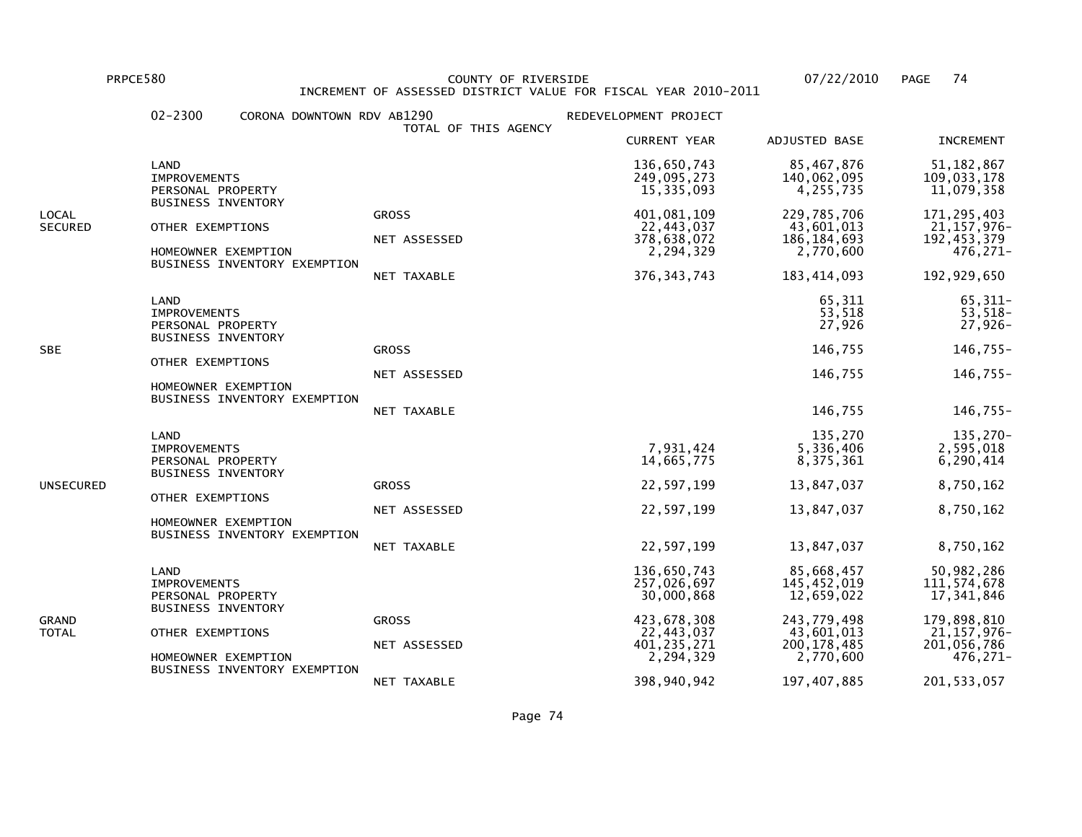PRPCE580 COUNTY OF RIVERSIDE 07/22/2010 PAGE 74 INCREMENT OF ASSESSED DISTRICT VALUE FOR FISCAL YEAR 2010-2011

|                                                                                                          | $02 - 2300$                                                                   | CORONA DOWNTOWN RDV AB1290                          | TOTAL OF THIS AGENCY                        | REDEVELOPMENT PROJECT                                                  |                                                                        |                                                                                |
|----------------------------------------------------------------------------------------------------------|-------------------------------------------------------------------------------|-----------------------------------------------------|---------------------------------------------|------------------------------------------------------------------------|------------------------------------------------------------------------|--------------------------------------------------------------------------------|
|                                                                                                          |                                                                               |                                                     |                                             | <b>CURRENT YEAR</b>                                                    | ADJUSTED BASE                                                          | INCREMENT                                                                      |
|                                                                                                          | LAND<br><b>IMPROVEMENTS</b><br>PERSONAL PROPERTY                              |                                                     |                                             | 136,650,743<br>249,095,273<br>15,335,093                               | 85,467,876<br>140,062,095<br>4,255,735                                 | 51, 182, 867<br>109,033,178<br>11,079,358                                      |
| LOCAL<br><b>SECURED</b>                                                                                  | <b>BUSINESS INVENTORY</b><br>OTHER EXEMPTIONS                                 | HOMEOWNER EXEMPTION<br>BUSINESS INVENTORY EXEMPTION | <b>GROSS</b><br>NET ASSESSED<br>NET TAXABLE | 401,081,109<br>22,443,037<br>378,638,072<br>2,294,329<br>376, 343, 743 | 229,785,706<br>43,601,013<br>186, 184, 693<br>2,770,600<br>183,414,093 | 171, 295, 403<br>21, 157, 976-<br>192, 453, 379<br>$476, 271 -$<br>192,929,650 |
| LAND<br><b>IMPROVEMENTS</b><br>PERSONAL PROPERTY<br><b>BUSINESS INVENTORY</b><br>SBE<br>OTHER EXEMPTIONS |                                                                               | <b>GROSS</b><br>NET ASSESSED                        |                                             | 65,311<br>53,518<br>27,926<br>146,755<br>146,755                       | $65,311-$<br>$53,518-$<br>$27,926-$<br>$146,755-$<br>$146,755-$        |                                                                                |
|                                                                                                          |                                                                               | HOMEOWNER EXEMPTION<br>BUSINESS INVENTORY EXEMPTION | NET TAXABLE                                 |                                                                        | 146,755                                                                | 146,755-                                                                       |
|                                                                                                          | LAND<br><b>IMPROVEMENTS</b><br>PERSONAL PROPERTY<br><b>BUSINESS INVENTORY</b> |                                                     |                                             | 7,931,424<br>14,665,775                                                | 135,270<br>5,336,406<br>8,375,361                                      | 135,270-<br>2,595,018<br>6, 290, 414                                           |
| UNSECURED                                                                                                | OTHER EXEMPTIONS                                                              |                                                     | <b>GROSS</b>                                | 22,597,199                                                             | 13,847,037                                                             | 8,750,162                                                                      |
|                                                                                                          |                                                                               | HOMEOWNER EXEMPTION<br>BUSINESS INVENTORY EXEMPTION | NET ASSESSED                                | 22,597,199                                                             | 13,847,037                                                             | 8,750,162                                                                      |
|                                                                                                          |                                                                               |                                                     | <b>NET TAXABLE</b>                          | 22,597,199                                                             | 13,847,037                                                             | 8,750,162                                                                      |
| GRAND<br>TOTAL                                                                                           | LAND<br><b>IMPROVEMENTS</b><br>PERSONAL PROPERTY                              |                                                     |                                             | 136,650,743<br>257,026,697<br>30,000,868                               | 85,668,457<br>145, 452, 019<br>12,659,022                              | 50,982,286<br>111, 574, 678<br>17,341,846                                      |
|                                                                                                          |                                                                               | <b>BUSINESS INVENTORY</b><br>OTHER EXEMPTIONS       | <b>GROSS</b><br>NET ASSESSED                | 423,678,308<br>22,443,037<br>401, 235, 271                             | 243,779,498<br>43,601,013<br>200, 178, 485                             | 179,898,810<br>$21, 157, 976 -$<br>201,056,786                                 |
|                                                                                                          |                                                                               | HOMEOWNER EXEMPTION<br>BUSINESS INVENTORY EXEMPTION |                                             | 2,294,329                                                              | 2,770,600                                                              | 476,271-                                                                       |
|                                                                                                          |                                                                               |                                                     | NET TAXABLE                                 | 398,940,942                                                            | 197,407,885                                                            | 201, 533, 057                                                                  |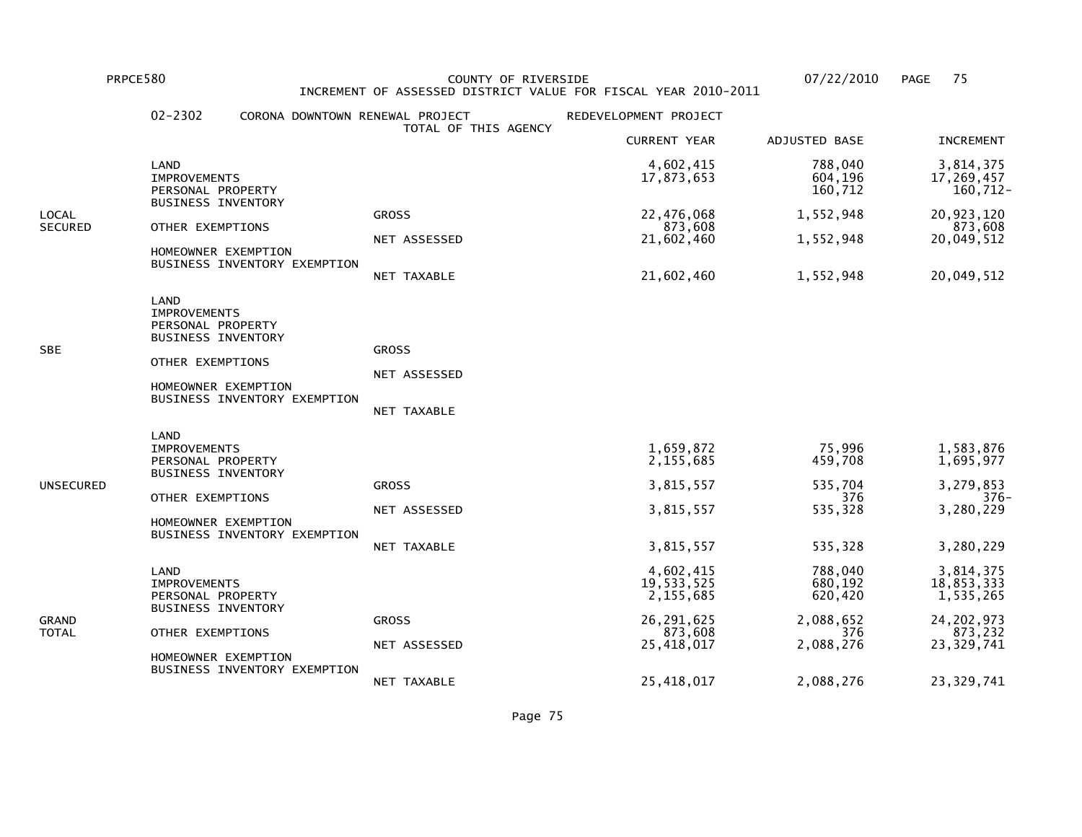PRPCE580 COUNTY OF RIVERSIDE 07/22/2010 PAGE 75INCREMENT OF ASSESSED DISTRICT VALUE FOR FISCAL YEAR 2010-2011

## 02-2302 CORONA DOWNTOWN RENEWAL PROJECT REDEVELOPMENT PROJECT TOTAL OF THIS AGENCY CURRENT YEAR ADJUSTED BASE INCREMENT LAND 4,602,415 788,040 3,814,37517,269,457 IMPROVEMENTS 17,873,653 604,196 17,269,457 $160, 712 -$ PERSONAL PROPERTY 160,712 BUSINESS INVENTORYLOCAL GROSS 22,476,068 1,552,948 20,923,120873,608 SECURED OTHER EXEMPTIONS NET ASSESSED 873,608<br>MET ASSESSED 21,602,460 21,552,948 20,049,512 NET ASSESSED 21,602,460 1,552,948 20,049,512 HOMEOWNER EXEMPTION BUSINESS INVENTORY EXEMPTION NET TAXABLE 21,602,460 1,552,948 20,049,512 LAND IMPROVEMENTS PERSONAL PROPERTY BUSINESS INVENTORYSBE GROSS GROSS GROSS GROSS GROSS GROSS GROSS GROSS GROSS GROSS GROSS GROSS GROSS GROSS GROSS GROSS GROSS GROSS OTHER EXEMPTIONS NET ASSESSED HOMEOWNER EXEMPTION BUSINESS INVENTORY EXEMPTION NET TAXABLE LAND**IMPROVEMENTS**  IMPROVEMENTS 1,659,872 75,996 1,583,8761.695,977 PERSONAL PROPERTY 2,155,685 459,708 1,695,977 BUSINESS INVENTORYUNSECURED GROSS 3,815,557 535,704 3,279,853 $376-$ OTHER EXEMPTIONS 376 3.280.229 NET ASSESSED 3,815,557 535,328 3,280,229 HOMEOWNER EXEMPTION BUSINESS INVENTORY EXEMPTION NET TAXABLE 3,815,557 535,328 3,280,229 LAND 4,602,415 788,040 3,814,37518.853.333 IMPROVEMENTS 19,533,525 680,192 18,853,333 $1,535,265$ PERSONAL PROPERTY 620, 155,685 620,420 BUSINESS INVENTORYGRAND GROSS 26,291,625 2,088,652 24,202,973873,232 TOTAL OTHER EXEMPTIONS 873,608 376 873,23223,329,741 NET ASSESSED 25,418,017 2,088,276 23,329,741 HOMEOWNER EXEMPTION BUSINESS INVENTORY EXEMPTIONNET TAXABLE 25,418,017 2,088,276 23,329,741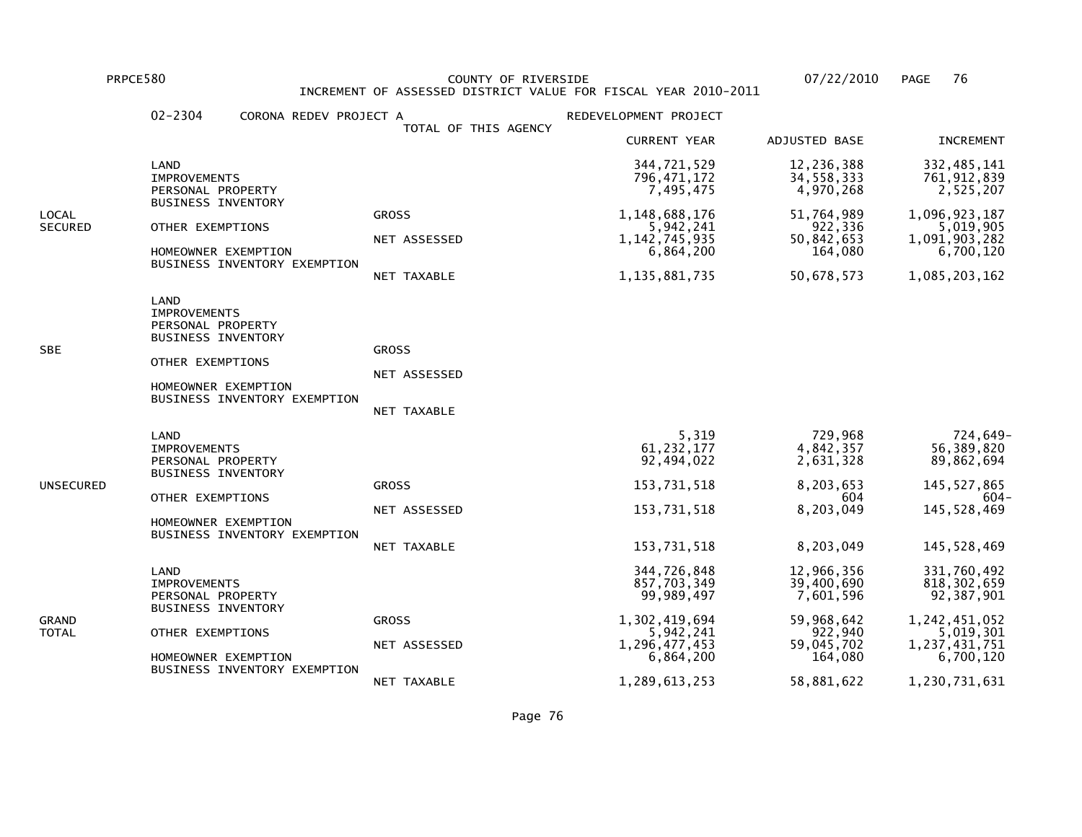PRPCE580 COUNTY OF RIVERSIDE 07/22/2010 PAGE 76 INCREMENT OF ASSESSED DISTRICT VALUE FOR FISCAL YEAR 2010-2011

|                  | $02 - 2304$<br>CORONA REDEV PROJECT A                                                                                                                    |                                             | REDEVELOPMENT PROJECT                                                                                                 |                                                                                                       |                                                                                                                         |
|------------------|----------------------------------------------------------------------------------------------------------------------------------------------------------|---------------------------------------------|-----------------------------------------------------------------------------------------------------------------------|-------------------------------------------------------------------------------------------------------|-------------------------------------------------------------------------------------------------------------------------|
|                  |                                                                                                                                                          | TOTAL OF THIS AGENCY                        | <b>CURRENT YEAR</b>                                                                                                   | <b>ADJUSTED BASE</b>                                                                                  | <b>INCREMENT</b>                                                                                                        |
|                  | LAND<br><b>IMPROVEMENTS</b><br>PERSONAL PROPERTY                                                                                                         |                                             | 344,721,529<br>796, 471, 172<br>7,495,475                                                                             | 12,236,388<br>34,558,333<br>4,970,268                                                                 | 332, 485, 141<br>761, 912, 839<br>2,525,207                                                                             |
| LOCAL<br>SECURED | <b>BUSINESS INVENTORY</b><br>OTHER EXEMPTIONS<br>HOMEOWNER EXEMPTION<br>BUSINESS INVENTORY EXEMPTION                                                     | <b>GROSS</b><br>NET ASSESSED<br>NET TAXABLE | 1,148,688,176<br>5,942,241<br>1, 142, 745, 935<br>6,864,200<br>1, 135, 881, 735                                       | 51,764,989<br>922,336<br>50,842,653<br>164,080<br>50,678,573                                          | 1,096,923,187<br>5,019,905<br>1,091,903,282<br>6,700,120<br>1,085,203,162                                               |
| SBE              | LAND<br><b>IMPROVEMENTS</b><br>PERSONAL PROPERTY<br><b>BUSINESS INVENTORY</b><br>OTHER EXEMPTIONS<br>HOMEOWNER EXEMPTION<br>BUSINESS INVENTORY EXEMPTION | <b>GROSS</b><br>NET ASSESSED<br>NET TAXABLE |                                                                                                                       |                                                                                                       |                                                                                                                         |
| UNSECURED        | LAND<br><b>IMPROVEMENTS</b><br>PERSONAL PROPERTY<br><b>BUSINESS INVENTORY</b><br>OTHER EXEMPTIONS<br>HOMEOWNER EXEMPTION<br>BUSINESS INVENTORY EXEMPTION | <b>GROSS</b><br>NET ASSESSED<br>NET TAXABLE | 5,319<br>61, 232, 177<br>92,494,022<br>153,731,518<br>153,731,518<br>153,731,518                                      | 729,968<br>4,842,357<br>2,631,328<br>8,203,653<br>604<br>8,203,049<br>8,203,049                       | 724,649-<br>56,389,820<br>89,862,694<br>145, 527, 865<br>-604<br>145,528,469<br>145,528,469                             |
| GRAND<br>TOTAL   | LAND<br><b>IMPROVEMENTS</b><br>PERSONAL PROPERTY<br><b>BUSINESS INVENTORY</b><br>OTHER EXEMPTIONS<br>HOMEOWNER EXEMPTION<br>BUSINESS INVENTORY EXEMPTION | <b>GROSS</b><br>NET ASSESSED<br>NET TAXABLE | 344,726,848<br>857,703,349<br>99,989,497<br>1,302,419,694<br>5,942,241<br>1,296,477,453<br>6,864,200<br>1,289,613,253 | 12,966,356<br>39,400,690<br>7,601,596<br>59,968,642<br>922,940<br>59,045,702<br>164,080<br>58,881,622 | 331,760,492<br>818, 302, 659<br>92,387,901<br>1,242,451,052<br>5,019,301<br>1,237,431,751<br>6,700,120<br>1,230,731,631 |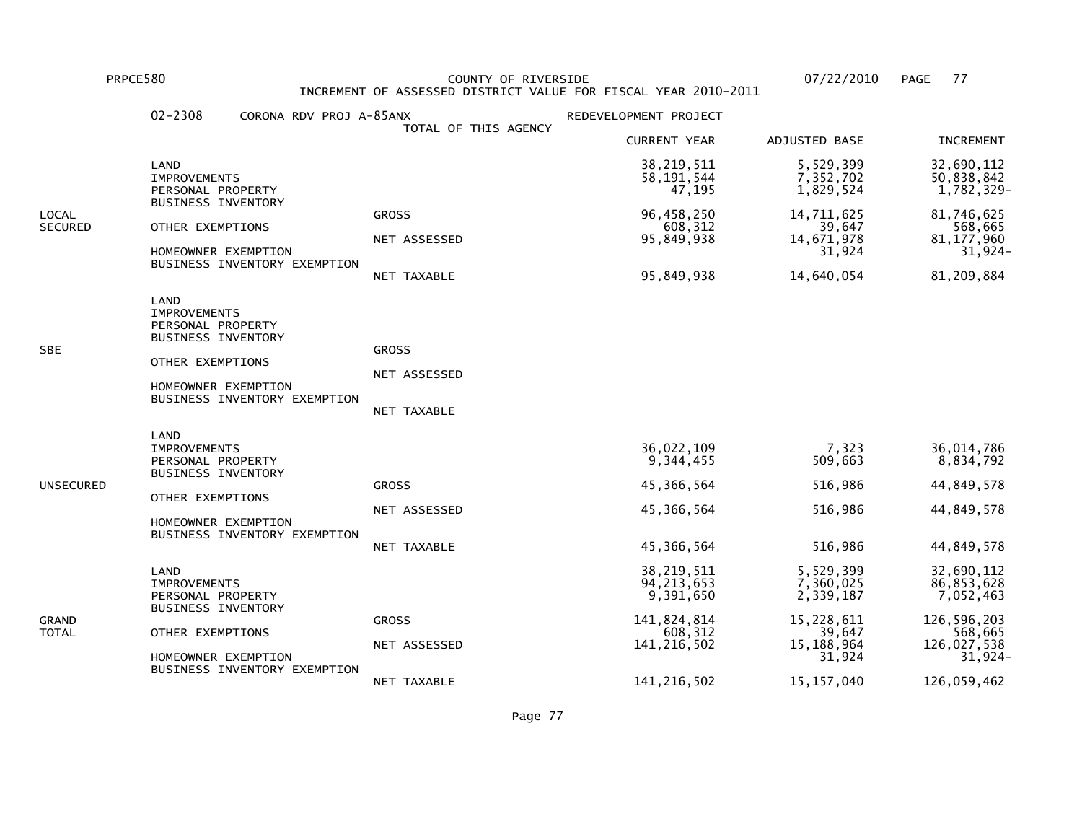PRPCE580 COUNTY OF RIVERSIDE 07/22/2010 PAGE 77 INCREMENT OF ASSESSED DISTRICT VALUE FOR FISCAL YEAR 2010-2011

|                  | $02 - 2308$<br>CORONA RDV PROJ A-85ANX                                                                                                                   |                                             | REDEVELOPMENT PROJECT                                                                |                                                                                       |                                                                                           |
|------------------|----------------------------------------------------------------------------------------------------------------------------------------------------------|---------------------------------------------|--------------------------------------------------------------------------------------|---------------------------------------------------------------------------------------|-------------------------------------------------------------------------------------------|
|                  |                                                                                                                                                          | TOTAL OF THIS AGENCY                        | <b>CURRENT YEAR</b>                                                                  | ADJUSTED BASE                                                                         | <b>INCREMENT</b>                                                                          |
|                  | LAND<br><b>IMPROVEMENTS</b><br>PERSONAL PROPERTY                                                                                                         |                                             | 38, 219, 511<br>58, 191, 544<br>47,195                                               | 5,529,399<br>7,352,702<br>1,829,524                                                   | 32,690,112<br>50,838,842<br>1,782,329-                                                    |
| LOCAL<br>SECURED | <b>BUSINESS INVENTORY</b><br>OTHER EXEMPTIONS<br>HOMEOWNER EXEMPTION<br>BUSINESS INVENTORY EXEMPTION                                                     | <b>GROSS</b><br>NET ASSESSED<br>NET TAXABLE | 96,458,250<br>608,312<br>95,849,938<br>95,849,938                                    | 14,711,625<br>39,647<br>14,671,978<br>31,924<br>14,640,054                            | 81,746,625<br>568,665<br>81, 177, 960<br>31,924-<br>81,209,884                            |
| SBE              | LAND<br><b>IMPROVEMENTS</b><br>PERSONAL PROPERTY<br><b>BUSINESS INVENTORY</b><br>OTHER EXEMPTIONS<br>HOMEOWNER EXEMPTION<br>BUSINESS INVENTORY EXEMPTION | <b>GROSS</b><br>NET ASSESSED<br>NET TAXABLE |                                                                                      |                                                                                       |                                                                                           |
| UNSECURED        | LAND<br><b>IMPROVEMENTS</b><br>PERSONAL PROPERTY<br><b>BUSINESS INVENTORY</b><br>OTHER EXEMPTIONS<br>HOMEOWNER EXEMPTION<br>BUSINESS INVENTORY EXEMPTION | <b>GROSS</b><br>NET ASSESSED<br>NET TAXABLE | 36,022,109<br>9,344,455<br>45,366,564<br>45,366,564<br>45,366,564                    | 7,323<br>509,663<br>516,986<br>516,986<br>516,986                                     | 36,014,786<br>8,834,792<br>44,849,578<br>44,849,578<br>44,849,578                         |
| GRAND<br>TOTAL   | LAND<br><b>IMPROVEMENTS</b><br>PERSONAL PROPERTY<br><b>BUSINESS INVENTORY</b><br>OTHER EXEMPTIONS<br>HOMEOWNER EXEMPTION<br>BUSINESS INVENTORY EXEMPTION | <b>GROSS</b><br>NET ASSESSED                | 38, 219, 511<br>94, 213, 653<br>9,391,650<br>141,824,814<br>608,312<br>141, 216, 502 | 5,529,399<br>7,360,025<br>2,339,187<br>15,228,611<br>39,647<br>15, 188, 964<br>31,924 | 32,690,112<br>86,853,628<br>7,052,463<br>126,596,203<br>568,665<br>126,027,538<br>31,924- |
|                  |                                                                                                                                                          | NET TAXABLE                                 | 141, 216, 502                                                                        | 15, 157, 040                                                                          | 126,059,462                                                                               |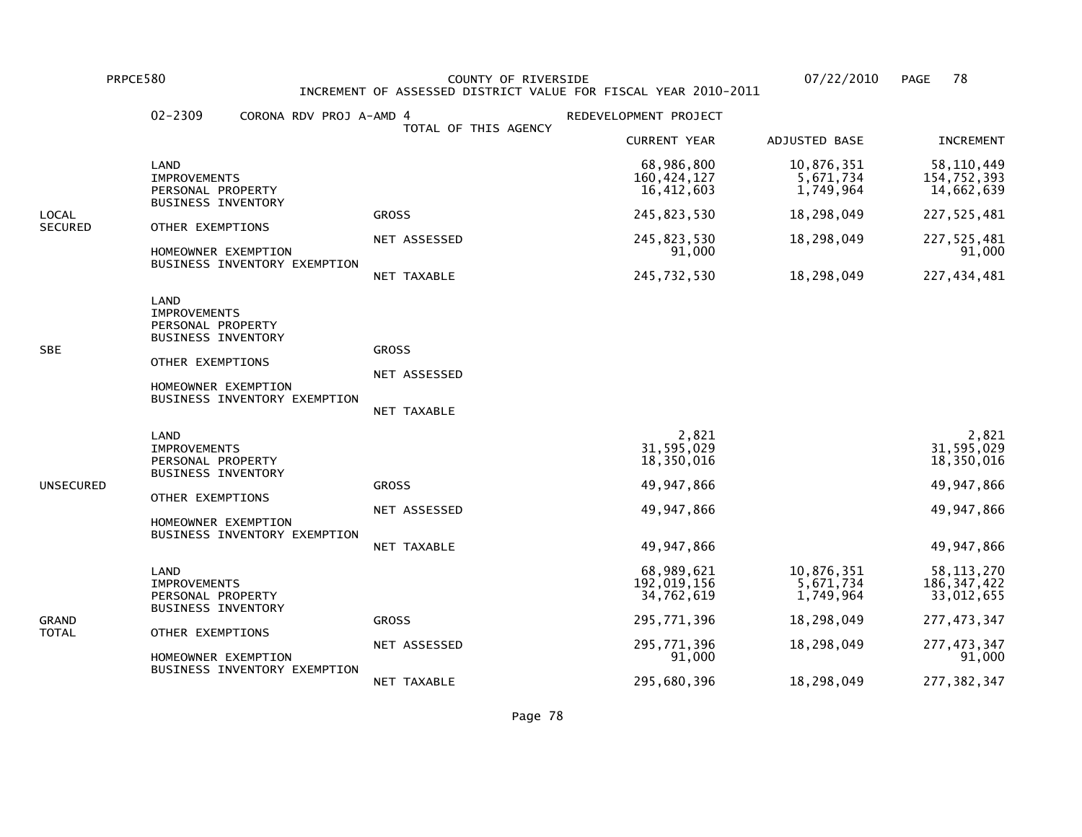PRPCE580 COUNTY OF RIVERSIDE 07/22/2010 PAGE 78 INCREMENT OF ASSESSED DISTRICT VALUE FOR FISCAL YEAR 2010-2011

|                | $02 - 2309$<br>CORONA RDV PROJ A-AMD 4                                                                                                                   |                                             | REDEVELOPMENT PROJECT                   |                                      |                                             |
|----------------|----------------------------------------------------------------------------------------------------------------------------------------------------------|---------------------------------------------|-----------------------------------------|--------------------------------------|---------------------------------------------|
|                |                                                                                                                                                          | TOTAL OF THIS AGENCY                        | <b>CURRENT YEAR</b>                     | ADJUSTED BASE                        | <b>INCREMENT</b>                            |
|                | LAND<br><b>IMPROVEMENTS</b><br>PERSONAL PROPERTY                                                                                                         |                                             | 68,986,800<br>160,424,127<br>16,412,603 | 10,876,351<br>5,671,734<br>1,749,964 | 58, 110, 449<br>154,752,393<br>14,662,639   |
| LOCAL          | <b>BUSINESS INVENTORY</b>                                                                                                                                | <b>GROSS</b>                                | 245,823,530                             | 18,298,049                           | 227, 525, 481                               |
| SECURED        | OTHER EXEMPTIONS<br>HOMEOWNER EXEMPTION                                                                                                                  | NET ASSESSED                                | 245,823,530<br>91,000                   | 18,298,049                           | 227, 525, 481<br>91,000                     |
|                | BUSINESS INVENTORY EXEMPTION                                                                                                                             | NET TAXABLE                                 | 245,732,530                             | 18,298,049                           | 227,434,481                                 |
| SBE            | LAND<br><b>IMPROVEMENTS</b><br>PERSONAL PROPERTY<br><b>BUSINESS INVENTORY</b><br>OTHER EXEMPTIONS<br>HOMEOWNER EXEMPTION<br>BUSINESS INVENTORY EXEMPTION | <b>GROSS</b><br>NET ASSESSED<br>NET TAXABLE |                                         |                                      |                                             |
|                |                                                                                                                                                          |                                             |                                         |                                      |                                             |
|                | LAND<br><b>IMPROVEMENTS</b><br>PERSONAL PROPERTY<br><b>BUSINESS INVENTORY</b>                                                                            |                                             | 2,821<br>31,595,029<br>18,350,016       |                                      | 2,821<br>31,595,029<br>18,350,016           |
| UNSECURED      |                                                                                                                                                          | <b>GROSS</b>                                | 49,947,866                              |                                      | 49,947,866                                  |
|                | OTHER EXEMPTIONS<br>HOMEOWNER EXEMPTION                                                                                                                  | NET ASSESSED                                | 49, 947, 866                            |                                      | 49,947,866                                  |
|                | BUSINESS INVENTORY EXEMPTION                                                                                                                             | NET TAXABLE                                 | 49,947,866                              |                                      | 49,947,866                                  |
| GRAND<br>TOTAL | LAND<br><b>IMPROVEMENTS</b><br>PERSONAL PROPERTY                                                                                                         |                                             | 68,989,621<br>192,019,156<br>34,762,619 | 10,876,351<br>5,671,734<br>1,749,964 | 58, 113, 270<br>186, 347, 422<br>33,012,655 |
|                | <b>BUSINESS INVENTORY</b>                                                                                                                                | <b>GROSS</b>                                | 295,771,396                             | 18,298,049                           | 277, 473, 347                               |
|                | OTHER EXEMPTIONS<br>HOMEOWNER EXEMPTION<br>BUSINESS INVENTORY EXEMPTION                                                                                  | NET ASSESSED                                | 295,771,396<br>91,000                   | 18,298,049                           | 277, 473, 347<br>91,000                     |
|                |                                                                                                                                                          | NET TAXABLE                                 | 295,680,396                             | 18,298,049                           | 277, 382, 347                               |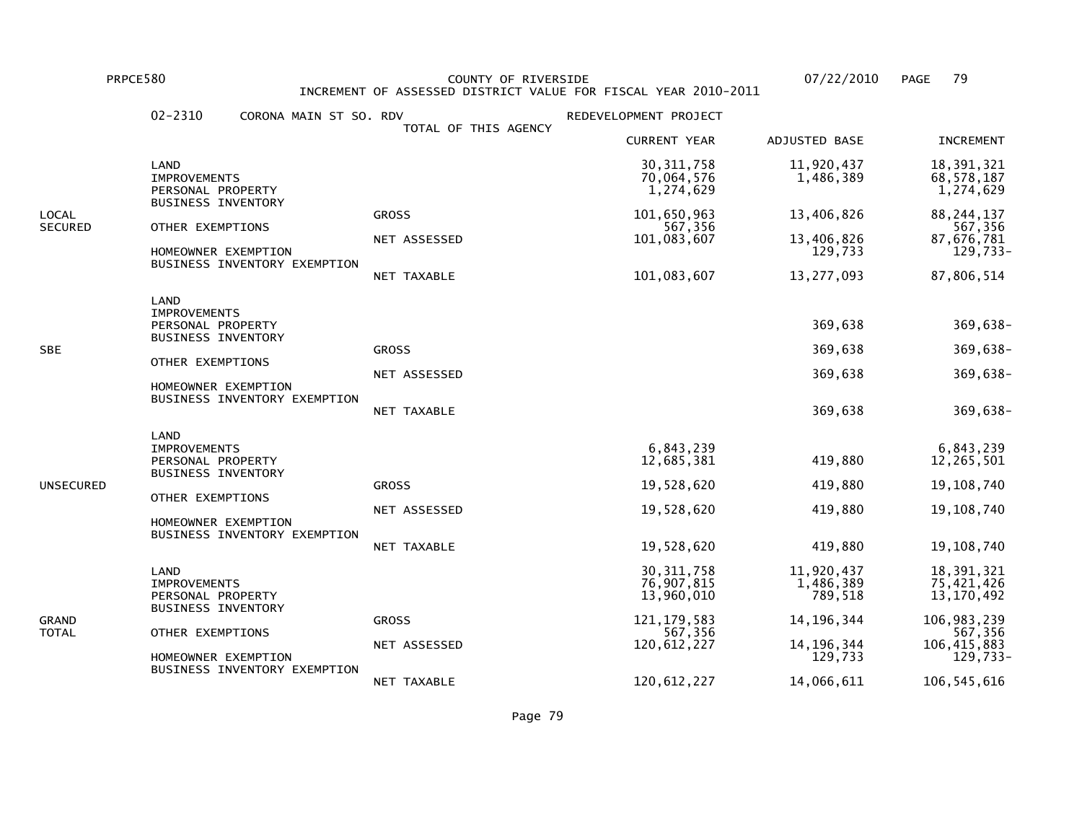PRPCE580 COUNTY OF RIVERSIDE 07/22/2010 PAGE 79 INCREMENT OF ASSESSED DISTRICT VALUE FOR FISCAL YEAR 2010-2011

|                         | $02 - 2310$<br>CORONA MAIN ST SO. RDV                                                                                                                    |                                             | REDEVELOPMENT PROJECT                                                                              |                                                                                             |                                                                                                                      |
|-------------------------|----------------------------------------------------------------------------------------------------------------------------------------------------------|---------------------------------------------|----------------------------------------------------------------------------------------------------|---------------------------------------------------------------------------------------------|----------------------------------------------------------------------------------------------------------------------|
|                         |                                                                                                                                                          | TOTAL OF THIS AGENCY                        | <b>CURRENT YEAR</b>                                                                                | ADJUSTED BASE                                                                               | <b>INCREMENT</b>                                                                                                     |
|                         | LAND<br><b>IMPROVEMENTS</b><br>PERSONAL PROPERTY                                                                                                         |                                             | 30, 311, 758<br>70,064,576<br>1,274,629                                                            | 11,920,437<br>1,486,389                                                                     | 18,391,321<br>68,578,187<br>1,274,629                                                                                |
| LOCAL<br><b>SECURED</b> | <b>BUSINESS INVENTORY</b><br>OTHER EXEMPTIONS<br>HOMEOWNER EXEMPTION<br>BUSINESS INVENTORY EXEMPTION                                                     | <b>GROSS</b><br>NET ASSESSED<br>NET TAXABLE | 101,650,963<br>567,356<br>101,083,607<br>101,083,607                                               | 13,406,826<br>13,406,826<br>129,733<br>13,277,093                                           | 88, 244, 137<br>567,356<br>87,676,781<br>$129,733-$<br>87,806,514                                                    |
| SBE                     | LAND<br><b>IMPROVEMENTS</b><br>PERSONAL PROPERTY<br><b>BUSINESS INVENTORY</b><br>OTHER EXEMPTIONS<br>HOMEOWNER EXEMPTION<br>BUSINESS INVENTORY EXEMPTION | <b>GROSS</b><br>NET ASSESSED<br>NET TAXABLE |                                                                                                    | 369,638<br>369,638<br>369,638<br>369,638                                                    | 369,638-<br>369,638-<br>369,638-<br>369,638-                                                                         |
| UNSECURED               | LAND<br><b>IMPROVEMENTS</b><br>PERSONAL PROPERTY<br><b>BUSINESS INVENTORY</b><br>OTHER EXEMPTIONS<br>HOMEOWNER EXEMPTION<br>BUSINESS INVENTORY EXEMPTION | <b>GROSS</b><br>NET ASSESSED<br>NET TAXABLE | 6,843,239<br>12,685,381<br>19,528,620<br>19,528,620<br>19,528,620                                  | 419,880<br>419,880<br>419,880<br>419,880                                                    | 6,843,239<br>12,265,501<br>19, 108, 740<br>19,108,740<br>19, 108, 740                                                |
| GRAND<br><b>TOTAL</b>   | LAND<br><b>IMPROVEMENTS</b><br>PERSONAL PROPERTY<br><b>BUSINESS INVENTORY</b><br>OTHER EXEMPTIONS<br>HOMEOWNER EXEMPTION<br>BUSINESS INVENTORY EXEMPTION | <b>GROSS</b><br>NET ASSESSED<br>NET TAXABLE | 30, 311, 758<br>76,907,815<br>13,960,010<br>121, 179, 583<br>567,356<br>120,612,227<br>120,612,227 | 11,920,437<br>1,486,389<br>789,518<br>14, 196, 344<br>14, 196, 344<br>129,733<br>14,066,611 | 18,391,321<br>75,421,426<br>13, 170, 492<br>106, 983, 239<br>567,356<br>106, 415, 883<br>$129,733-$<br>106, 545, 616 |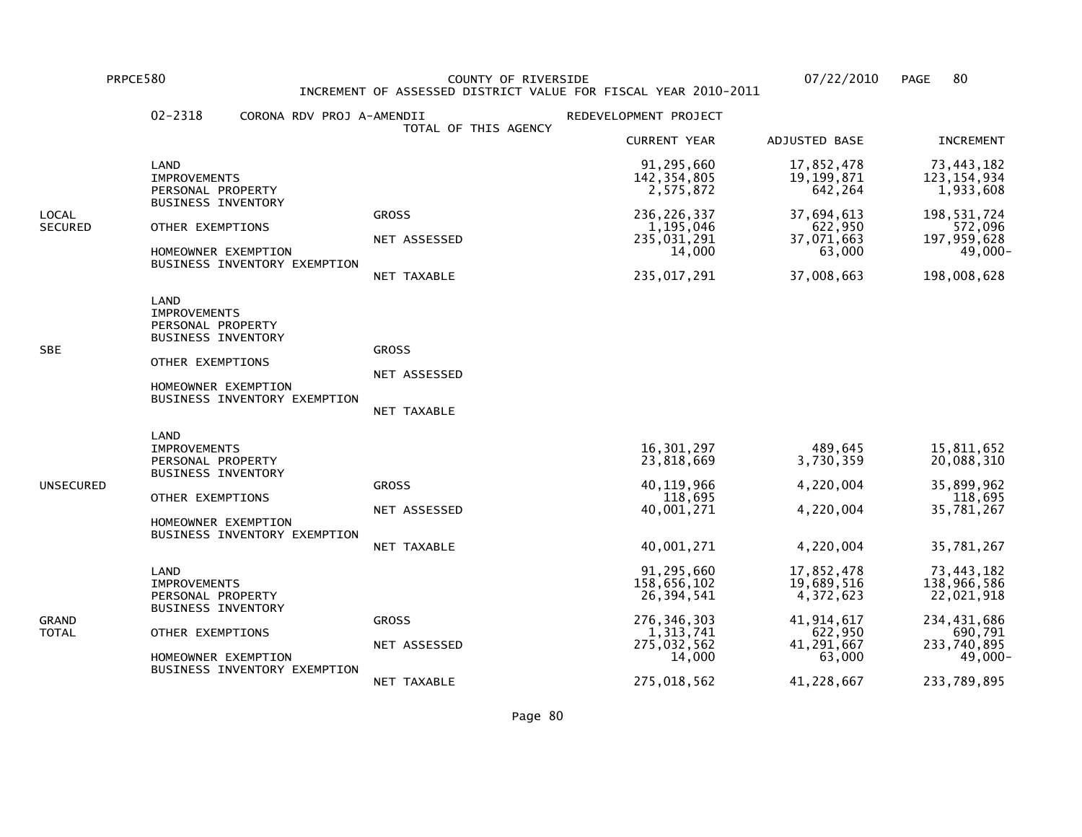PRPCE580 COUNTY OF RIVERSIDE 07/22/2010 PAGE 80 INCREMENT OF ASSESSED DISTRICT VALUE FOR FISCAL YEAR 2010-2011

|                  | 02-2318<br>CORONA RDV PROJ A-AMENDII                                                                                                                     | TOTAL OF THIS AGENCY                        | REDEVELOPMENT PROJECT                                                                          |                                                                                          |                                                                                                |
|------------------|----------------------------------------------------------------------------------------------------------------------------------------------------------|---------------------------------------------|------------------------------------------------------------------------------------------------|------------------------------------------------------------------------------------------|------------------------------------------------------------------------------------------------|
|                  |                                                                                                                                                          |                                             | <b>CURRENT YEAR</b>                                                                            | ADJUSTED BASE                                                                            | <b>INCREMENT</b>                                                                               |
|                  | LAND<br><b>IMPROVEMENTS</b><br>PERSONAL PROPERTY                                                                                                         |                                             | 91,295,660<br>142, 354, 805<br>2,575,872                                                       | 17,852,478<br>19, 199, 871<br>642,264                                                    | 73,443,182<br>123, 154, 934<br>1,933,608                                                       |
| LOCAL<br>SECURED | <b>BUSINESS INVENTORY</b><br>OTHER EXEMPTIONS<br>HOMEOWNER EXEMPTION<br>BUSINESS INVENTORY EXEMPTION                                                     | <b>GROSS</b><br>NET ASSESSED<br>NET TAXABLE | 236, 226, 337<br>1,195,046<br>235,031,291<br>14,000<br>235,017,291                             | 37,694,613<br>622,950<br>37,071,663<br>63,000<br>37,008,663                              | 198,531,724<br>572,096<br>197,959,628<br>49,000-<br>198,008,628                                |
| SBE              | LAND<br><b>IMPROVEMENTS</b><br>PERSONAL PROPERTY<br><b>BUSINESS INVENTORY</b><br>OTHER EXEMPTIONS<br>HOMEOWNER EXEMPTION<br>BUSINESS INVENTORY EXEMPTION | <b>GROSS</b><br>NET ASSESSED<br>NET TAXABLE |                                                                                                |                                                                                          |                                                                                                |
| UNSECURED        | LAND<br><b>IMPROVEMENTS</b><br>PERSONAL PROPERTY<br><b>BUSINESS INVENTORY</b><br>OTHER EXEMPTIONS<br>HOMEOWNER EXEMPTION<br>BUSINESS INVENTORY EXEMPTION | <b>GROSS</b><br>NET ASSESSED<br>NET TAXABLE | 16,301,297<br>23,818,669<br>40, 119, 966<br>118,695<br>40,001,271<br>40,001,271                | 489,645<br>3,730,359<br>4,220,004<br>4,220,004<br>4,220,004                              | 15,811,652<br>20,088,310<br>35,899,962<br>118,695<br>35,781,267<br>35,781,267                  |
| GRAND<br>TOTAL   | LAND<br><b>IMPROVEMENTS</b><br>PERSONAL PROPERTY<br><b>BUSINESS INVENTORY</b><br>OTHER EXEMPTIONS<br>HOMEOWNER EXEMPTION<br>BUSINESS INVENTORY EXEMPTION | <b>GROSS</b><br>NET ASSESSED                | 91,295,660<br>158,656,102<br>26,394,541<br>276, 346, 303<br>1,313,741<br>275,032,562<br>14,000 | 17,852,478<br>19,689,516<br>4,372,623<br>41, 914, 617<br>622,950<br>41,291,667<br>63,000 | 73,443,182<br>138,966,586<br>22,021,918<br>234,431,686<br>690,791<br>233,740,895<br>$49,000 -$ |
|                  |                                                                                                                                                          | NET TAXABLE                                 | 275,018,562                                                                                    | 41,228,667                                                                               | 233,789,895                                                                                    |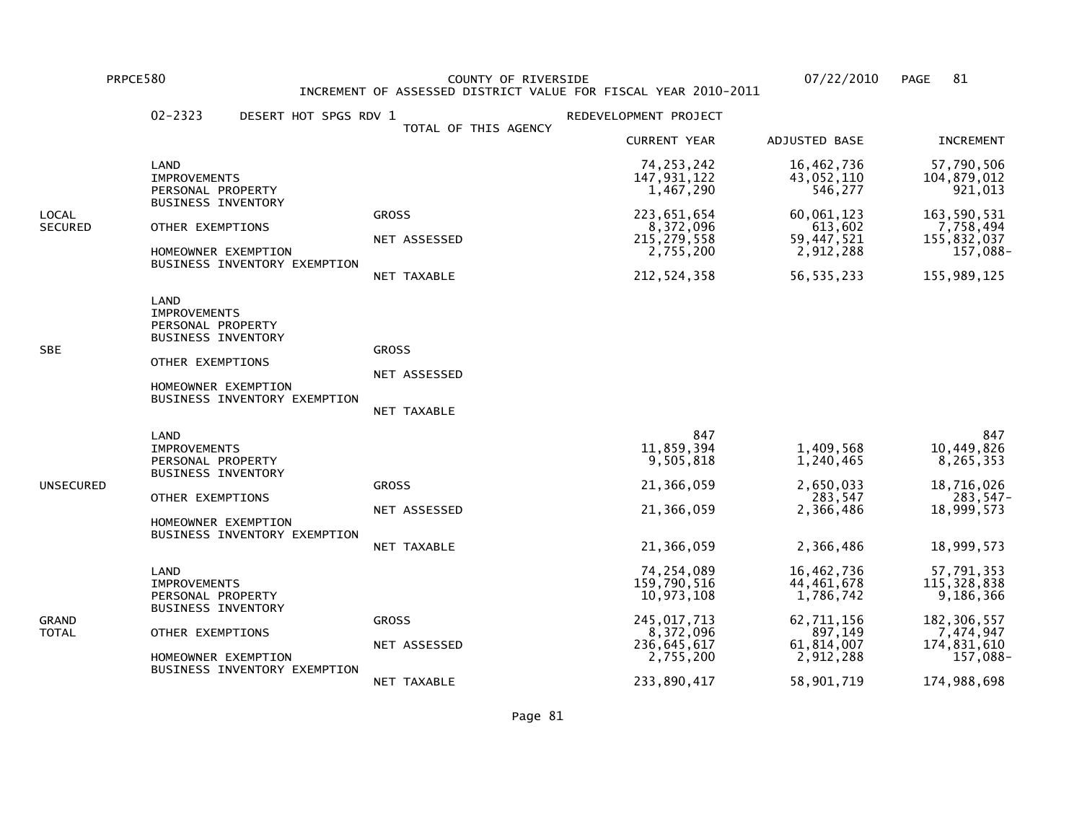PRPCE580 COUNTY OF RIVERSIDE 07/22/2010 PAGE 81 INCREMENT OF ASSESSED DISTRICT VALUE FOR FISCAL YEAR 2010-2011

|                         | $02 - 2323$<br>DESERT HOT SPGS RDV 1                                                                                                                     |                                             | REDEVELOPMENT PROJECT                                                                                            |                                                                                                         |                                                                                                                  |
|-------------------------|----------------------------------------------------------------------------------------------------------------------------------------------------------|---------------------------------------------|------------------------------------------------------------------------------------------------------------------|---------------------------------------------------------------------------------------------------------|------------------------------------------------------------------------------------------------------------------|
|                         |                                                                                                                                                          | TOTAL OF THIS AGENCY                        | <b>CURRENT YEAR</b>                                                                                              | ADJUSTED BASE                                                                                           | <b>INCREMENT</b>                                                                                                 |
|                         | LAND<br><b>IMPROVEMENTS</b><br>PERSONAL PROPERTY                                                                                                         |                                             | 74, 253, 242<br>147,931,122<br>1,467,290                                                                         | 16,462,736<br>43,052,110<br>546,277                                                                     | 57,790,506<br>104,879,012<br>921,013                                                                             |
| LOCAL<br><b>SECURED</b> | <b>BUSINESS INVENTORY</b><br>OTHER EXEMPTIONS<br>HOMEOWNER EXEMPTION<br>BUSINESS INVENTORY EXEMPTION                                                     | <b>GROSS</b><br>NET ASSESSED<br>NET TAXABLE | 223,651,654<br>8,372,096<br>215, 279, 558<br>2,755,200<br>212,524,358                                            | 60,061,123<br>613,602<br>59,447,521<br>2,912,288<br>56, 535, 233                                        | 163,590,531<br>7,758,494<br>155,832,037<br>157,088-<br>155,989,125                                               |
| SBE                     | LAND<br><b>IMPROVEMENTS</b><br>PERSONAL PROPERTY<br><b>BUSINESS INVENTORY</b><br>OTHER EXEMPTIONS<br>HOMEOWNER EXEMPTION<br>BUSINESS INVENTORY EXEMPTION | <b>GROSS</b><br>NET ASSESSED<br>NET TAXABLE |                                                                                                                  |                                                                                                         |                                                                                                                  |
| UNSECURED               | LAND<br><b>IMPROVEMENTS</b><br>PERSONAL PROPERTY<br><b>BUSINESS INVENTORY</b><br>OTHER EXEMPTIONS<br>HOMEOWNER EXEMPTION<br>BUSINESS INVENTORY EXEMPTION | <b>GROSS</b><br>NET ASSESSED<br>NET TAXABLE | 847<br>11,859,394<br>9,505,818<br>21,366,059<br>21,366,059<br>21,366,059                                         | 1,409,568<br>1,240,465<br>2,650,033<br>283,547<br>2,366,486<br>2,366,486                                | 847<br>10,449,826<br>8,265,353<br>18,716,026<br>283,547-<br>18,999,573<br>18,999,573                             |
| GRAND<br>TOTAL          | LAND<br><b>IMPROVEMENTS</b><br>PERSONAL PROPERTY<br><b>BUSINESS INVENTORY</b><br>OTHER EXEMPTIONS<br>HOMEOWNER EXEMPTION<br>BUSINESS INVENTORY EXEMPTION | <b>GROSS</b><br>NET ASSESSED<br>NET TAXABLE | 74,254,089<br>159,790,516<br>10,973,108<br>245,017,713<br>8,372,096<br>236, 645, 617<br>2,755,200<br>233,890,417 | 16,462,736<br>44,461,678<br>1,786,742<br>62,711,156<br>897,149<br>61,814,007<br>2,912,288<br>58,901,719 | 57,791,353<br>115, 328, 838<br>9,186,366<br>182, 306, 557<br>7,474,947<br>174,831,610<br>157,088-<br>174,988,698 |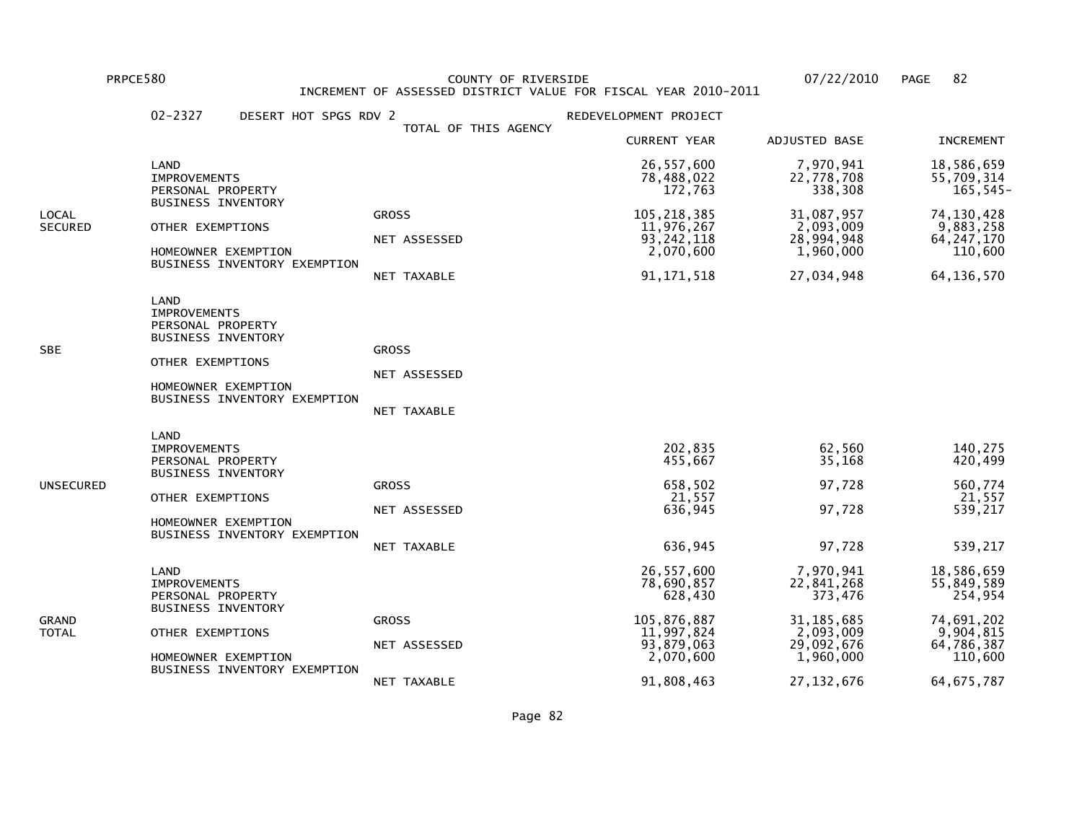PRPCE580 COUNTY OF RIVERSIDE 07/22/2010 PAGE 82 INCREMENT OF ASSESSED DISTRICT VALUE FOR FISCAL YEAR 2010-2011

|                         | $02 - 2327$<br>DESERT HOT SPGS RDV 2                                                                                                                     |                                             | REDEVELOPMENT PROJECT                                                                       |                                                                                            |                                                                                         |
|-------------------------|----------------------------------------------------------------------------------------------------------------------------------------------------------|---------------------------------------------|---------------------------------------------------------------------------------------------|--------------------------------------------------------------------------------------------|-----------------------------------------------------------------------------------------|
|                         |                                                                                                                                                          | TOTAL OF THIS AGENCY                        | <b>CURRENT YEAR</b>                                                                         | ADJUSTED BASE                                                                              | <b>INCREMENT</b>                                                                        |
|                         | LAND<br><b>IMPROVEMENTS</b><br>PERSONAL PROPERTY                                                                                                         |                                             | 26,557,600<br>78,488,022<br>172,763                                                         | 7,970,941<br>22,778,708<br>338,308                                                         | 18,586,659<br>55,709,314<br>$165, 545 -$                                                |
| LOCAL<br><b>SECURED</b> | <b>BUSINESS INVENTORY</b><br>OTHER EXEMPTIONS<br>HOMEOWNER EXEMPTION<br>BUSINESS INVENTORY EXEMPTION                                                     | <b>GROSS</b><br>NET ASSESSED<br>NET TAXABLE | 105, 218, 385<br>11,976,267<br>93, 242, 118<br>2,070,600<br>91, 171, 518                    | 31,087,957<br>2,093,009<br>28,994,948<br>1,960,000<br>27,034,948                           | 74, 130, 428<br>9,883,258<br>64, 247, 170<br>110,600<br>64, 136, 570                    |
| SBE                     | LAND<br><b>IMPROVEMENTS</b><br>PERSONAL PROPERTY<br><b>BUSINESS INVENTORY</b><br>OTHER EXEMPTIONS<br>HOMEOWNER EXEMPTION<br>BUSINESS INVENTORY EXEMPTION | <b>GROSS</b><br>NET ASSESSED<br>NET TAXABLE |                                                                                             |                                                                                            |                                                                                         |
| UNSECURED               | LAND<br><b>IMPROVEMENTS</b><br>PERSONAL PROPERTY<br><b>BUSINESS INVENTORY</b><br>OTHER EXEMPTIONS<br>HOMEOWNER EXEMPTION<br>BUSINESS INVENTORY EXEMPTION | <b>GROSS</b><br>NET ASSESSED<br>NET TAXABLE | 202,835<br>455,667<br>658,502<br>21,557<br>636,945<br>636,945                               | 62,560<br>35,168<br>97,728<br>97,728<br>97,728                                             | 140,275<br>420,499<br>560,774<br>21,557<br>539,217<br>539,217                           |
| GRAND<br>TOTAL          | LAND<br><b>IMPROVEMENTS</b><br>PERSONAL PROPERTY<br><b>BUSINESS INVENTORY</b><br>OTHER EXEMPTIONS<br>HOMEOWNER EXEMPTION<br>BUSINESS INVENTORY EXEMPTION | <b>GROSS</b><br>NET ASSESSED                | 26,557,600<br>78,690,857<br>628,430<br>105,876,887<br>11,997,824<br>93,879,063<br>2,070,600 | 7,970,941<br>22,841,268<br>373,476<br>31, 185, 685<br>2,093,009<br>29,092,676<br>1,960,000 | 18,586,659<br>55,849,589<br>254,954<br>74,691,202<br>9,904,815<br>64,786,387<br>110,600 |
|                         |                                                                                                                                                          | NET TAXABLE                                 | 91,808,463                                                                                  | 27, 132, 676                                                                               | 64, 675, 787                                                                            |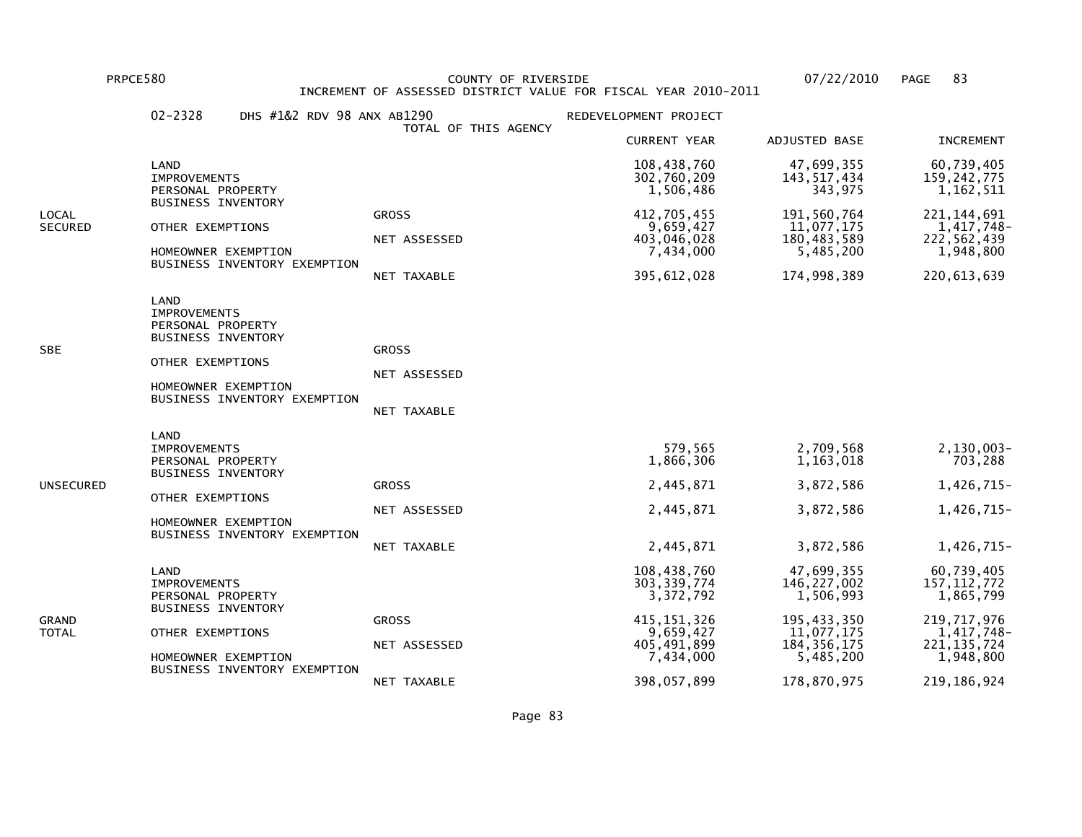PRPCE580 COUNTY OF RIVERSIDE 07/22/2010 PAGE 83 INCREMENT OF ASSESSED DISTRICT VALUE FOR FISCAL YEAR 2010-2011

|                  | $02 - 2328$<br>DHS #1&2 RDV 98 ANX AB1290                                                                                                                | TOTAL OF THIS AGENCY                        | REDEVELOPMENT PROJECT                                                                                              |                                                                                                                  |                                                                                                                        |
|------------------|----------------------------------------------------------------------------------------------------------------------------------------------------------|---------------------------------------------|--------------------------------------------------------------------------------------------------------------------|------------------------------------------------------------------------------------------------------------------|------------------------------------------------------------------------------------------------------------------------|
|                  |                                                                                                                                                          |                                             | <b>CURRENT YEAR</b>                                                                                                | ADJUSTED BASE                                                                                                    | <b>INCREMENT</b>                                                                                                       |
|                  | LAND<br><b>IMPROVEMENTS</b><br>PERSONAL PROPERTY                                                                                                         |                                             | 108,438,760<br>302,760,209<br>1,506,486                                                                            | 47,699,355<br>143,517,434<br>343,975                                                                             | 60,739,405<br>159, 242, 775<br>1,162,511                                                                               |
| LOCAL<br>SECURED | <b>BUSINESS INVENTORY</b><br>OTHER EXEMPTIONS<br>HOMEOWNER EXEMPTION<br>BUSINESS INVENTORY EXEMPTION                                                     | <b>GROSS</b><br>NET ASSESSED<br>NET TAXABLE | 412,705,455<br>9,659,427<br>403,046,028<br>7,434,000<br>395,612,028                                                | 191,560,764<br>11,077,175<br>180,483,589<br>5,485,200<br>174,998,389                                             | 221, 144, 691<br>1,417,748-<br>222,562,439<br>1,948,800<br>220, 613, 639                                               |
| SBE              | LAND<br><b>IMPROVEMENTS</b><br>PERSONAL PROPERTY<br><b>BUSINESS INVENTORY</b><br>OTHER EXEMPTIONS<br>HOMEOWNER EXEMPTION<br>BUSINESS INVENTORY EXEMPTION | <b>GROSS</b><br>NET ASSESSED<br>NET TAXABLE |                                                                                                                    |                                                                                                                  |                                                                                                                        |
| UNSECURED        | LAND<br><b>IMPROVEMENTS</b><br>PERSONAL PROPERTY<br><b>BUSINESS INVENTORY</b><br>OTHER EXEMPTIONS<br>HOMEOWNER EXEMPTION<br>BUSINESS INVENTORY EXEMPTION | <b>GROSS</b><br>NET ASSESSED<br>NET TAXABLE | 579,565<br>1,866,306<br>2,445,871<br>2,445,871<br>2,445,871                                                        | 2,709,568<br>1,163,018<br>3,872,586<br>3,872,586<br>3,872,586                                                    | 2,130,003-<br>703,288<br>1,426,715-<br>1,426,715-<br>1,426,715-                                                        |
| GRAND<br>TOTAL   | LAND<br><b>IMPROVEMENTS</b><br>PERSONAL PROPERTY<br><b>BUSINESS INVENTORY</b><br>OTHER EXEMPTIONS<br>HOMEOWNER EXEMPTION<br>BUSINESS INVENTORY EXEMPTION | <b>GROSS</b><br>NET ASSESSED<br>NET TAXABLE | 108,438,760<br>303, 339, 774<br>3,372,792<br>415, 151, 326<br>9,659,427<br>405,491,899<br>7,434,000<br>398,057,899 | 47,699,355<br>146,227,002<br>1,506,993<br>195,433,350<br>11,077,175<br>184, 356, 175<br>5,485,200<br>178,870,975 | 60,739,405<br>157, 112, 772<br>1,865,799<br>219, 717, 976<br>1,417,748-<br>221, 135, 724<br>1,948,800<br>219, 186, 924 |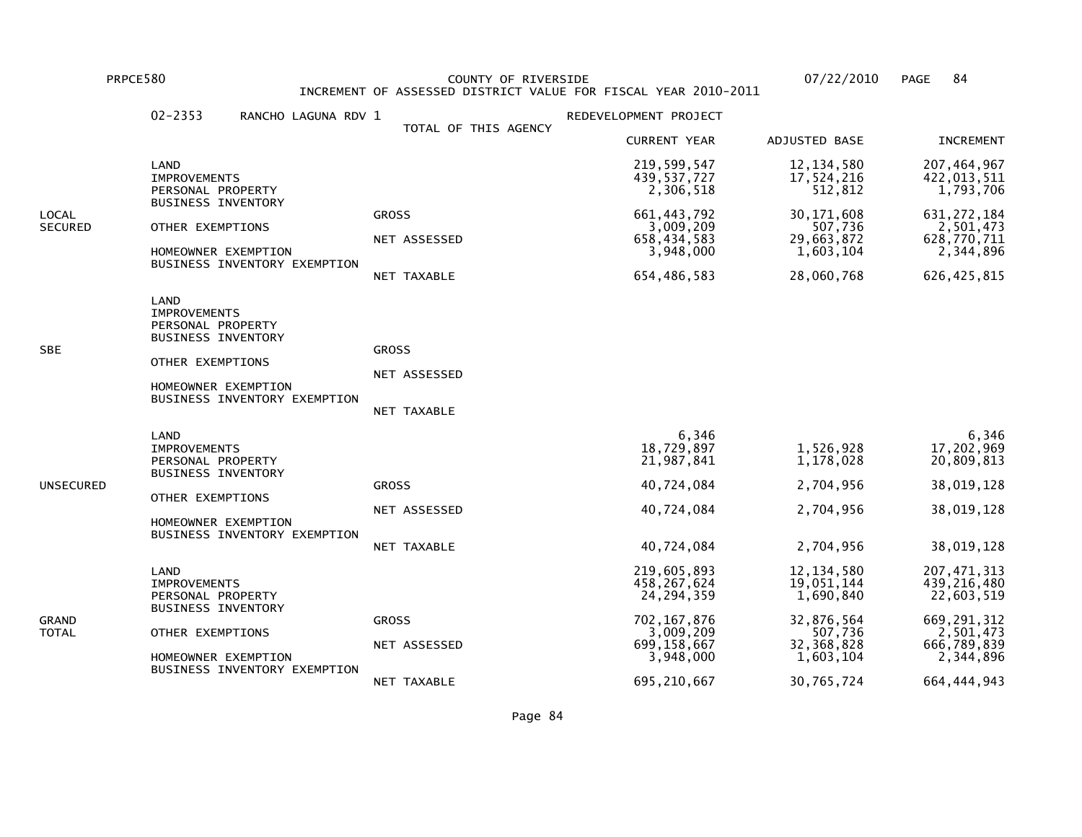PRPCE580 COUNTY OF RIVERSIDE 07/22/2010 PAGE 84 INCREMENT OF ASSESSED DISTRICT VALUE FOR FISCAL YEAR 2010-2011

|                         | $02 - 2353$<br>RANCHO LAGUNA RDV 1                                                                                                                       |  | REDEVELOPMENT PROJECT                       |                                                                                                                       |                                                                                                           |                                                                                                                       |
|-------------------------|----------------------------------------------------------------------------------------------------------------------------------------------------------|--|---------------------------------------------|-----------------------------------------------------------------------------------------------------------------------|-----------------------------------------------------------------------------------------------------------|-----------------------------------------------------------------------------------------------------------------------|
|                         |                                                                                                                                                          |  | TOTAL OF THIS AGENCY                        | <b>CURRENT YEAR</b>                                                                                                   | ADJUSTED BASE                                                                                             | <b>INCREMENT</b>                                                                                                      |
|                         | LAND<br><b>IMPROVEMENTS</b><br>PERSONAL PROPERTY                                                                                                         |  |                                             | 219,599,547<br>439,537,727<br>2,306,518                                                                               | 12, 134, 580<br>17,524,216<br>512,812                                                                     | 207,464,967<br>422,013,511<br>1,793,706                                                                               |
| LOCAL<br><b>SECURED</b> | <b>BUSINESS INVENTORY</b><br>OTHER EXEMPTIONS<br>HOMEOWNER EXEMPTION<br>BUSINESS INVENTORY EXEMPTION                                                     |  | <b>GROSS</b><br>NET ASSESSED<br>NET TAXABLE | 661, 443, 792<br>3,009,209<br>658, 434, 583<br>3,948,000<br>654,486,583                                               | 30, 171, 608<br>507,736<br>29,663,872<br>1,603,104<br>28,060,768                                          | 631, 272, 184<br>2,501,473<br>628,770,711<br>2,344,896<br>626, 425, 815                                               |
| SBE                     | LAND<br><b>IMPROVEMENTS</b><br>PERSONAL PROPERTY<br><b>BUSINESS INVENTORY</b><br>OTHER EXEMPTIONS<br>HOMEOWNER EXEMPTION<br>BUSINESS INVENTORY EXEMPTION |  | <b>GROSS</b><br>NET ASSESSED<br>NET TAXABLE |                                                                                                                       |                                                                                                           |                                                                                                                       |
| UNSECURED               | LAND<br><b>IMPROVEMENTS</b><br>PERSONAL PROPERTY<br><b>BUSINESS INVENTORY</b><br>OTHER EXEMPTIONS<br>HOMEOWNER EXEMPTION<br>BUSINESS INVENTORY EXEMPTION |  | <b>GROSS</b><br>NET ASSESSED<br>NET TAXABLE | 6,346<br>18,729,897<br>21,987,841<br>40,724,084<br>40,724,084<br>40,724,084                                           | 1,526,928<br>1,178,028<br>2,704,956<br>2,704,956<br>2,704,956                                             | 6,346<br>17,202,969<br>20,809,813<br>38,019,128<br>38,019,128<br>38,019,128                                           |
| GRAND<br>TOTAL          | LAND<br><b>IMPROVEMENTS</b><br>PERSONAL PROPERTY<br><b>BUSINESS INVENTORY</b><br>OTHER EXEMPTIONS<br>HOMEOWNER EXEMPTION<br>BUSINESS INVENTORY EXEMPTION |  | <b>GROSS</b><br>NET ASSESSED<br>NET TAXABLE | 219,605,893<br>458, 267, 624<br>24, 294, 359<br>702, 167, 876<br>3,009,209<br>699,158,667<br>3,948,000<br>695,210,667 | 12, 134, 580<br>19,051,144<br>1,690,840<br>32,876,564<br>507,736<br>32,368,828<br>1,603,104<br>30,765,724 | 207, 471, 313<br>439,216,480<br>22,603,519<br>669, 291, 312<br>2,501,473<br>666,789,839<br>2,344,896<br>664, 444, 943 |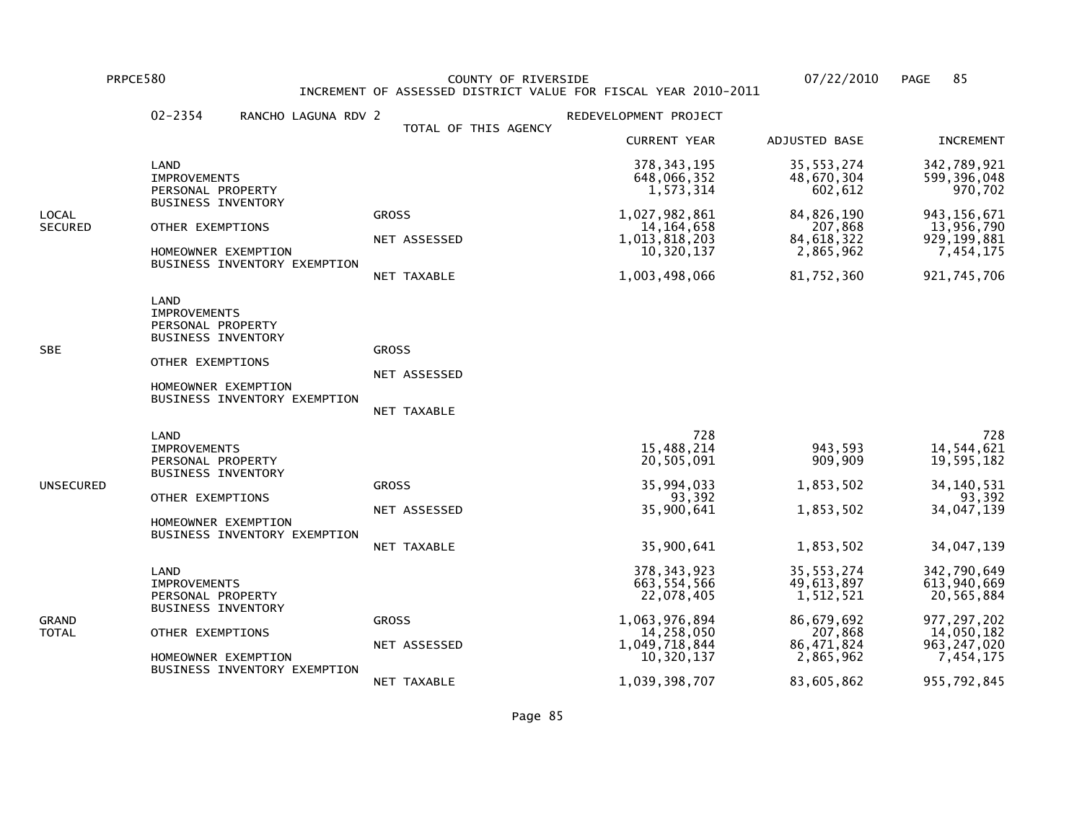PRPCE580 COUNTY OF RIVERSIDE 07/22/2010 PAGE 85 INCREMENT OF ASSESSED DISTRICT VALUE FOR FISCAL YEAR 2010-2011

|                  | $02 - 2354$<br>RANCHO LAGUNA RDV 2                                                                                                                       |                                                    | REDEVELOPMENT PROJECT                                                                                                       |                                                                                                             |                                                                                                                      |
|------------------|----------------------------------------------------------------------------------------------------------------------------------------------------------|----------------------------------------------------|-----------------------------------------------------------------------------------------------------------------------------|-------------------------------------------------------------------------------------------------------------|----------------------------------------------------------------------------------------------------------------------|
|                  |                                                                                                                                                          | TOTAL OF THIS AGENCY                               | <b>CURRENT YEAR</b>                                                                                                         | ADJUSTED BASE                                                                                               | <b>INCREMENT</b>                                                                                                     |
|                  | LAND<br>IMPROVEMENTS<br>PERSONAL PROPERTY                                                                                                                |                                                    | 378, 343, 195<br>648,066,352<br>1,573,314                                                                                   | 35, 553, 274<br>48,670,304<br>602,612                                                                       | 342,789,921<br>599, 396, 048<br>970,702                                                                              |
| LOCAL<br>SECURED | <b>BUSINESS INVENTORY</b><br>OTHER EXEMPTIONS<br>HOMEOWNER EXEMPTION<br>BUSINESS INVENTORY EXEMPTION                                                     | <b>GROSS</b><br>NET ASSESSED<br>NET TAXABLE        | 1,027,982,861<br>14, 164, 658<br>1,013,818,203<br>10,320,137<br>1,003,498,066                                               | 84,826,190<br>207,868<br>84,618,322<br>2,865,962<br>81,752,360                                              | 943, 156, 671<br>13,956,790<br>929, 199, 881<br>7,454,175<br>921,745,706                                             |
| SBE              | LAND<br><b>IMPROVEMENTS</b><br>PERSONAL PROPERTY<br><b>BUSINESS INVENTORY</b><br>OTHER EXEMPTIONS<br>HOMEOWNER EXEMPTION<br>BUSINESS INVENTORY EXEMPTION | <b>GROSS</b><br>NET ASSESSED<br><b>NET TAXABLE</b> |                                                                                                                             |                                                                                                             |                                                                                                                      |
| UNSECURED        | LAND<br><b>IMPROVEMENTS</b><br>PERSONAL PROPERTY<br><b>BUSINESS INVENTORY</b><br>OTHER EXEMPTIONS<br>HOMEOWNER EXEMPTION<br>BUSINESS INVENTORY EXEMPTION | <b>GROSS</b><br>NET ASSESSED<br><b>NET TAXABLE</b> | 728<br>15,488,214<br>20,505,091<br>35,994,033<br>93,392<br>35,900,641<br>35,900,641                                         | 943,593<br>909,909<br>1,853,502<br>1,853,502<br>1,853,502                                                   | 728<br>14,544,621<br>19,595,182<br>34, 140, 531<br>93,392<br>34,047,139<br>34,047,139                                |
| GRAND<br>TOTAL   | LAND<br><b>IMPROVEMENTS</b><br>PERSONAL PROPERTY<br><b>BUSINESS INVENTORY</b><br>OTHER EXEMPTIONS<br>HOMEOWNER EXEMPTION<br>BUSINESS INVENTORY EXEMPTION | <b>GROSS</b><br>NET ASSESSED<br>NET TAXABLE        | 378, 343, 923<br>663, 554, 566<br>22,078,405<br>1,063,976,894<br>14,258,050<br>1,049,718,844<br>10,320,137<br>1,039,398,707 | 35, 553, 274<br>49,613,897<br>1,512,521<br>86,679,692<br>207,868<br>86, 471, 824<br>2,865,962<br>83,605,862 | 342,790,649<br>613,940,669<br>20,565,884<br>977, 297, 202<br>14,050,182<br>963, 247, 020<br>7,454,175<br>955,792,845 |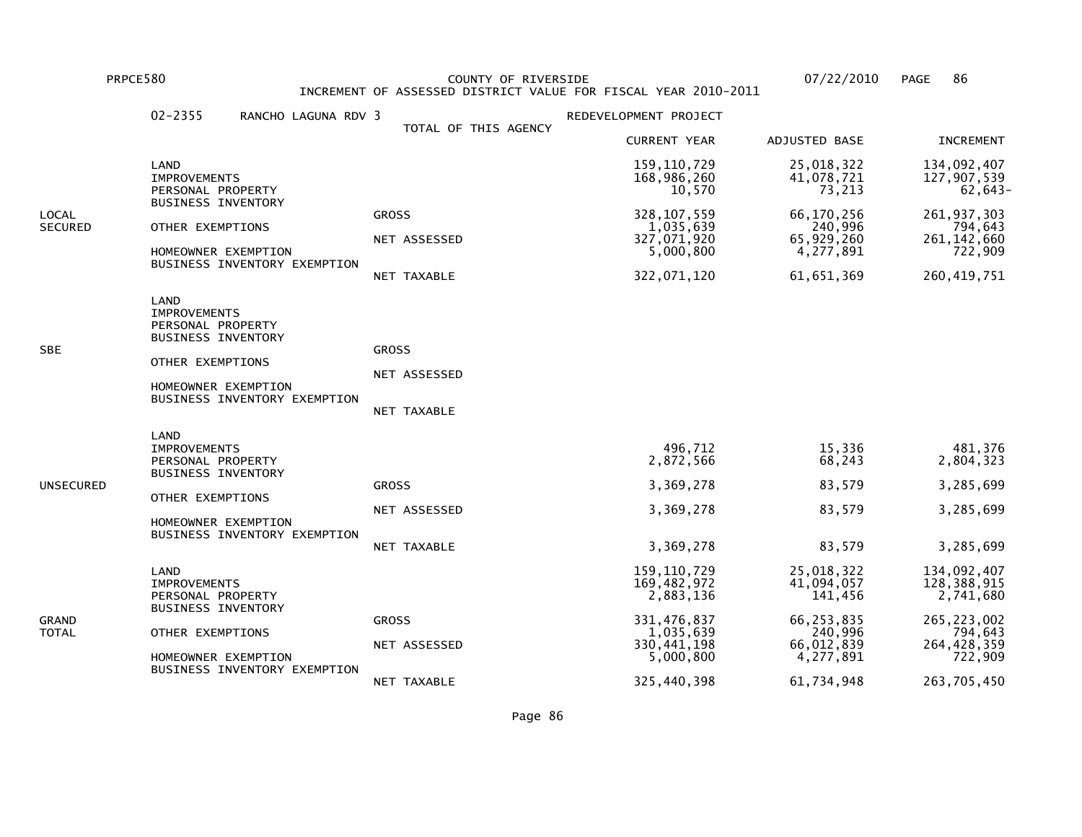PRPCE580 COUNTY OF RIVERSIDE 07/22/2010 PAGE 86 INCREMENT OF ASSESSED DISTRICT VALUE FOR FISCAL YEAR 2010-2011

|                         | $02 - 2355$<br>RANCHO LAGUNA RDV 3                                                                                                                       |                                             | REDEVELOPMENT PROJECT                                                                                          |                                                                                                       |                                                                                                              |
|-------------------------|----------------------------------------------------------------------------------------------------------------------------------------------------------|---------------------------------------------|----------------------------------------------------------------------------------------------------------------|-------------------------------------------------------------------------------------------------------|--------------------------------------------------------------------------------------------------------------|
|                         |                                                                                                                                                          | TOTAL OF THIS AGENCY                        | <b>CURRENT YEAR</b>                                                                                            | ADJUSTED BASE                                                                                         | <b>INCREMENT</b>                                                                                             |
|                         | LAND<br><b>IMPROVEMENTS</b><br>PERSONAL PROPERTY                                                                                                         |                                             | 159, 110, 729<br>168,986,260<br>10,570                                                                         | 25,018,322<br>41,078,721<br>73,213                                                                    | 134,092,407<br>127,907,539<br>62,643-                                                                        |
| LOCAL<br><b>SECURED</b> | <b>BUSINESS INVENTORY</b><br>OTHER EXEMPTIONS<br>HOMEOWNER EXEMPTION<br>BUSINESS INVENTORY EXEMPTION                                                     | <b>GROSS</b><br>NET ASSESSED<br>NET TAXABLE | 328, 107, 559<br>1,035,639<br>327,071,920<br>5,000,800<br>322,071,120                                          | 66,170,256<br>240,996<br>65,929,260<br>4,277,891<br>61,651,369                                        | 261, 937, 303<br>794,643<br>261, 142, 660<br>722,909<br>260, 419, 751                                        |
| SBE                     | LAND<br><b>IMPROVEMENTS</b><br>PERSONAL PROPERTY<br><b>BUSINESS INVENTORY</b><br>OTHER EXEMPTIONS<br>HOMEOWNER EXEMPTION<br>BUSINESS INVENTORY EXEMPTION | <b>GROSS</b><br>NET ASSESSED<br>NET TAXABLE |                                                                                                                |                                                                                                       |                                                                                                              |
| UNSECURED               | LAND<br><b>IMPROVEMENTS</b><br>PERSONAL PROPERTY<br><b>BUSINESS INVENTORY</b><br>OTHER EXEMPTIONS<br>HOMEOWNER EXEMPTION<br>BUSINESS INVENTORY EXEMPTION | <b>GROSS</b><br>NET ASSESSED<br>NET TAXABLE | 496,712<br>2,872,566<br>3,369,278<br>3,369,278<br>3,369,278                                                    | 15,336<br>68,243<br>83,579<br>83,579<br>83,579                                                        | 481,376<br>2,804,323<br>3,285,699<br>3,285,699<br>3,285,699                                                  |
| GRAND<br>TOTAL          | LAND<br><b>IMPROVEMENTS</b><br>PERSONAL PROPERTY<br><b>BUSINESS INVENTORY</b><br>OTHER EXEMPTIONS<br>HOMEOWNER EXEMPTION<br>BUSINESS INVENTORY EXEMPTION | <b>GROSS</b><br>NET ASSESSED<br>NET TAXABLE | 159,110,729<br>169,482,972<br>2,883,136<br>331,476,837<br>1,035,639<br>330,441,198<br>5,000,800<br>325,440,398 | 25,018,322<br>41,094,057<br>141,456<br>66,253,835<br>240,996<br>66,012,839<br>4,277,891<br>61,734,948 | 134,092,407<br>128,388,915<br>2,741,680<br>265, 223, 002<br>794,643<br>264,428,359<br>722,909<br>263,705,450 |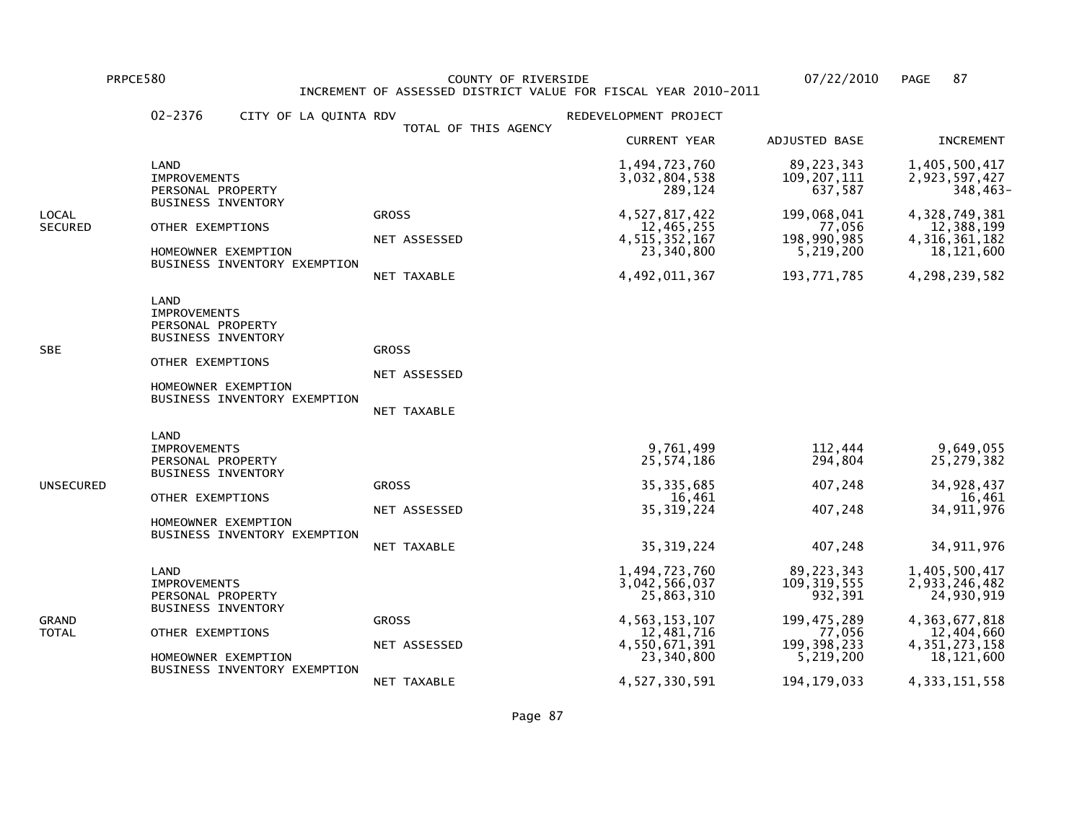PRPCE580 COUNTY OF RIVERSIDE 07/22/2010 PAGE 87 INCREMENT OF ASSESSED DISTRICT VALUE FOR FISCAL YEAR 2010-2011

|                  | 02-2376<br>CITY OF LA QUINTA RDV                                                                                                                         |                                             | REDEVELOPMENT PROJECT                                                                                                          |                                                                                                                  |                                                                                                                                      |
|------------------|----------------------------------------------------------------------------------------------------------------------------------------------------------|---------------------------------------------|--------------------------------------------------------------------------------------------------------------------------------|------------------------------------------------------------------------------------------------------------------|--------------------------------------------------------------------------------------------------------------------------------------|
|                  |                                                                                                                                                          | TOTAL OF THIS AGENCY                        | <b>CURRENT YEAR</b>                                                                                                            | ADJUSTED BASE                                                                                                    | <b>INCREMENT</b>                                                                                                                     |
|                  | LAND<br><b>IMPROVEMENTS</b><br>PERSONAL PROPERTY                                                                                                         |                                             | 1,494,723,760<br>3,032,804,538<br>289,124                                                                                      | 89, 223, 343<br>109, 207, 111<br>637,587                                                                         | 1,405,500,417<br>2,923,597,427<br>348,463-                                                                                           |
| LOCAL<br>SECURED | <b>BUSINESS INVENTORY</b><br>OTHER EXEMPTIONS<br>HOMEOWNER EXEMPTION<br>BUSINESS INVENTORY EXEMPTION                                                     | <b>GROSS</b><br>NET ASSESSED<br>NET TAXABLE | 4,527,817,422<br>12,465,255<br>4, 515, 352, 167<br>23,340,800<br>4,492,011,367                                                 | 199,068,041<br>77,056<br>198,990,985<br>5,219,200<br>193,771,785                                                 | 4,328,749,381<br>12,388,199<br>4, 316, 361, 182<br>18, 121, 600<br>4,298,239,582                                                     |
| SBE              | LAND<br><b>IMPROVEMENTS</b><br>PERSONAL PROPERTY<br>BUSINESS INVENTORY<br>OTHER EXEMPTIONS<br>HOMEOWNER EXEMPTION<br>BUSINESS INVENTORY EXEMPTION        | <b>GROSS</b><br>NET ASSESSED<br>NET TAXABLE |                                                                                                                                |                                                                                                                  |                                                                                                                                      |
| UNSECURED        | LAND<br><b>IMPROVEMENTS</b><br>PERSONAL PROPERTY<br><b>BUSINESS INVENTORY</b><br>OTHER EXEMPTIONS<br>HOMEOWNER EXEMPTION<br>BUSINESS INVENTORY EXEMPTION | <b>GROSS</b><br>NET ASSESSED<br>NET TAXABLE | 9,761,499<br>25,574,186<br>35, 335, 685<br>16,461<br>35, 319, 224<br>35, 319, 224                                              | 112,444<br>294,804<br>407,248<br>407,248<br>407,248                                                              | 9,649,055<br>25,279,382<br>34,928,437<br>16,461<br>34, 911, 976<br>34, 911, 976                                                      |
| GRAND<br>TOTAL   | LAND<br><b>IMPROVEMENTS</b><br>PERSONAL PROPERTY<br><b>BUSINESS INVENTORY</b><br>OTHER EXEMPTIONS<br>HOMEOWNER EXEMPTION<br>BUSINESS INVENTORY EXEMPTION | <b>GROSS</b><br>NET ASSESSED                | 1,494,723,760<br>3,042,566,037<br>25,863,310<br>4, 563, 153, 107<br>12,481,716<br>4,550,671,391<br>23,340,800<br>4,527,330,591 | 89,223,343<br>109, 319, 555<br>932,391<br>199, 475, 289<br>77,056<br>199, 398, 233<br>5,219,200<br>194, 179, 033 | 1,405,500,417<br>2,933,246,482<br>24,930,919<br>4, 363, 677, 818<br>12,404,660<br>4, 351, 273, 158<br>18,121,600<br>4, 333, 151, 558 |
|                  |                                                                                                                                                          | NET TAXABLE                                 |                                                                                                                                |                                                                                                                  |                                                                                                                                      |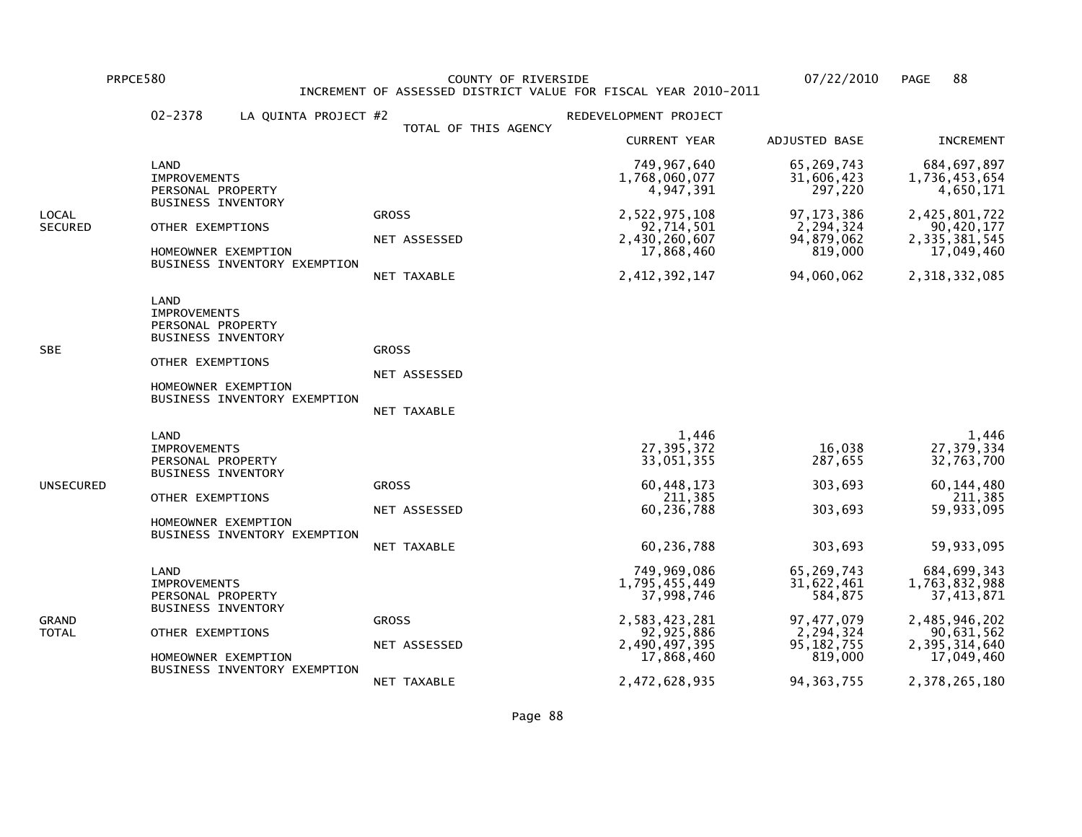PRPCE580 COUNTY OF RIVERSIDE 07/22/2010 PAGE 88 INCREMENT OF ASSESSED DISTRICT VALUE FOR FISCAL YEAR 2010-2011

|                  | $02 - 2378$<br>LA QUINTA PROJECT #2                                                                                                                      |                                             | REDEVELOPMENT PROJECT                                                                                      |                                                                                               |                                                                                                                               |
|------------------|----------------------------------------------------------------------------------------------------------------------------------------------------------|---------------------------------------------|------------------------------------------------------------------------------------------------------------|-----------------------------------------------------------------------------------------------|-------------------------------------------------------------------------------------------------------------------------------|
|                  |                                                                                                                                                          | TOTAL OF THIS AGENCY                        | <b>CURRENT YEAR</b>                                                                                        | ADJUSTED BASE                                                                                 | <b>INCREMENT</b>                                                                                                              |
|                  | LAND<br><b>IMPROVEMENTS</b><br>PERSONAL PROPERTY                                                                                                         |                                             | 749,967,640<br>1,768,060,077<br>4,947,391                                                                  | 65,269,743<br>31,606,423<br>297,220                                                           | 684, 697, 897<br>1,736,453,654<br>4,650,171                                                                                   |
| LOCAL<br>SECURED | <b>BUSINESS INVENTORY</b><br>OTHER EXEMPTIONS<br>HOMEOWNER EXEMPTION<br>BUSINESS INVENTORY EXEMPTION                                                     | <b>GROSS</b><br>NET ASSESSED<br>NET TAXABLE | 2,522,975,108<br>92,714,501<br>2,430,260,607<br>17,868,460<br>2, 412, 392, 147                             | 97, 173, 386<br>2,294,324<br>94,879,062<br>819,000<br>94,060,062                              | 2,425,801,722<br>90,420,177<br>2,335,381,545<br>17,049,460<br>2,318,332,085                                                   |
| SBE              | LAND<br><b>IMPROVEMENTS</b><br>PERSONAL PROPERTY<br><b>BUSINESS INVENTORY</b><br>OTHER EXEMPTIONS<br>HOMEOWNER EXEMPTION<br>BUSINESS INVENTORY EXEMPTION | <b>GROSS</b><br>NET ASSESSED<br>NET TAXABLE |                                                                                                            |                                                                                               |                                                                                                                               |
| UNSECURED        | LAND<br><b>IMPROVEMENTS</b><br>PERSONAL PROPERTY<br><b>BUSINESS INVENTORY</b><br>OTHER EXEMPTIONS<br>HOMEOWNER EXEMPTION<br>BUSINESS INVENTORY EXEMPTION | <b>GROSS</b><br>NET ASSESSED<br>NET TAXABLE | 1,446<br>27,395,372<br>33,051,355<br>60,448,173<br>211,385<br>60,236,788<br>60,236,788                     | 16,038<br>287,655<br>303,693<br>303,693<br>303,693                                            | 1,446<br>27, 379, 334<br>32,763,700<br>60, 144, 480<br>211,385<br>59,933,095<br>59,933,095                                    |
| GRAND<br>TOTAL   | LAND<br><b>IMPROVEMENTS</b><br>PERSONAL PROPERTY<br><b>BUSINESS INVENTORY</b><br>OTHER EXEMPTIONS<br>HOMEOWNER EXEMPTION<br>BUSINESS INVENTORY EXEMPTION | <b>GROSS</b><br>NET ASSESSED                | 749,969,086<br>1,795,455,449<br>37,998,746<br>2,583,423,281<br>92, 925, 886<br>2,490,497,395<br>17,868,460 | 65,269,743<br>31,622,461<br>584,875<br>97, 477, 079<br>2, 294, 324<br>95, 182, 755<br>819,000 | 684, 699, 343<br>1,763,832,988<br>37, 413, 871<br>2,485,946,202<br>90,631,562<br>2,395,314,640<br>17,049,460<br>2,378,265,180 |
|                  |                                                                                                                                                          | NET TAXABLE                                 | 2,472,628,935                                                                                              | 94, 363, 755                                                                                  |                                                                                                                               |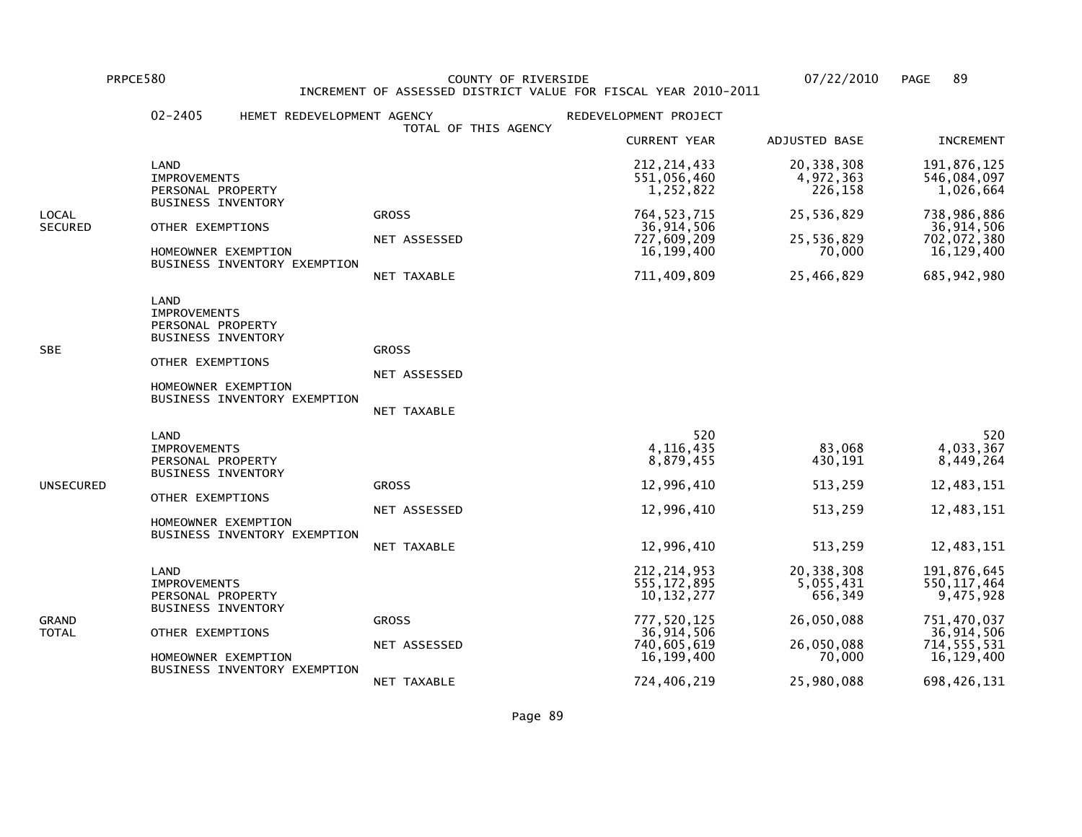PRPCE580 COUNTY OF RIVERSIDE 07/22/2010 PAGE 89 INCREMENT OF ASSESSED DISTRICT VALUE FOR FISCAL YEAR 2010-2011

|                         | $02 - 2405$                                                                                                              | HEMET REDEVELOPMENT AGENCY   | TOTAL OF THIS AGENCY                               | REDEVELOPMENT PROJECT                                                                                    |                                                                          |                                                                                                       |
|-------------------------|--------------------------------------------------------------------------------------------------------------------------|------------------------------|----------------------------------------------------|----------------------------------------------------------------------------------------------------------|--------------------------------------------------------------------------|-------------------------------------------------------------------------------------------------------|
|                         |                                                                                                                          |                              |                                                    | <b>CURRENT YEAR</b>                                                                                      | ADJUSTED BASE                                                            | <b>INCREMENT</b>                                                                                      |
|                         | LAND<br><b>IMPROVEMENTS</b><br>PERSONAL PROPERTY                                                                         |                              |                                                    | 212, 214, 433<br>551,056,460<br>1,252,822                                                                | 20,338,308<br>4,972,363<br>226,158                                       | 191,876,125<br>546,084,097<br>1,026,664                                                               |
| LOCAL<br><b>SECURED</b> | <b>BUSINESS INVENTORY</b><br>OTHER EXEMPTIONS<br>HOMEOWNER EXEMPTION                                                     | BUSINESS INVENTORY EXEMPTION | <b>GROSS</b><br>NET ASSESSED<br>NET TAXABLE        | 764, 523, 715<br>36,914,506<br>727,609,209<br>16,199,400<br>711,409,809                                  | 25,536,829<br>25,536,829<br>70,000<br>25,466,829                         | 738,986,886<br>36,914,506<br>702,072,380<br>16,129,400<br>685, 942, 980                               |
| SBE                     | LAND<br><b>IMPROVEMENTS</b><br>PERSONAL PROPERTY<br><b>BUSINESS INVENTORY</b><br>OTHER EXEMPTIONS<br>HOMEOWNER EXEMPTION | BUSINESS INVENTORY EXEMPTION | <b>GROSS</b><br>NET ASSESSED<br>NET TAXABLE        |                                                                                                          |                                                                          |                                                                                                       |
| UNSECURED               | LAND<br><b>IMPROVEMENTS</b><br>PERSONAL PROPERTY<br><b>BUSINESS INVENTORY</b><br>OTHER EXEMPTIONS<br>HOMEOWNER EXEMPTION | BUSINESS INVENTORY EXEMPTION | <b>GROSS</b><br>NET ASSESSED<br><b>NET TAXABLE</b> | 520<br>4, 116, 435<br>8,879,455<br>12,996,410<br>12,996,410<br>12,996,410                                | 83,068<br>430,191<br>513,259<br>513,259<br>513,259                       | 520<br>4,033,367<br>8,449,264<br>12,483,151<br>12,483,151<br>12,483,151                               |
| GRAND<br>TOTAL          | LAND<br><b>IMPROVEMENTS</b><br>PERSONAL PROPERTY<br><b>BUSINESS INVENTORY</b><br>OTHER EXEMPTIONS<br>HOMEOWNER EXEMPTION | BUSINESS INVENTORY EXEMPTION | <b>GROSS</b><br>NET ASSESSED                       | 212, 214, 953<br>555, 172, 895<br>10, 132, 277<br>777,520,125<br>36,914,506<br>740,605,619<br>16,199,400 | 20,338,308<br>5,055,431<br>656,349<br>26,050,088<br>26,050,088<br>70,000 | 191,876,645<br>550, 117, 464<br>9,475,928<br>751,470,037<br>36,914,506<br>714, 555, 531<br>16,129,400 |
|                         |                                                                                                                          |                              | NET TAXABLE                                        | 724,406,219                                                                                              | 25,980,088                                                               | 698,426,131                                                                                           |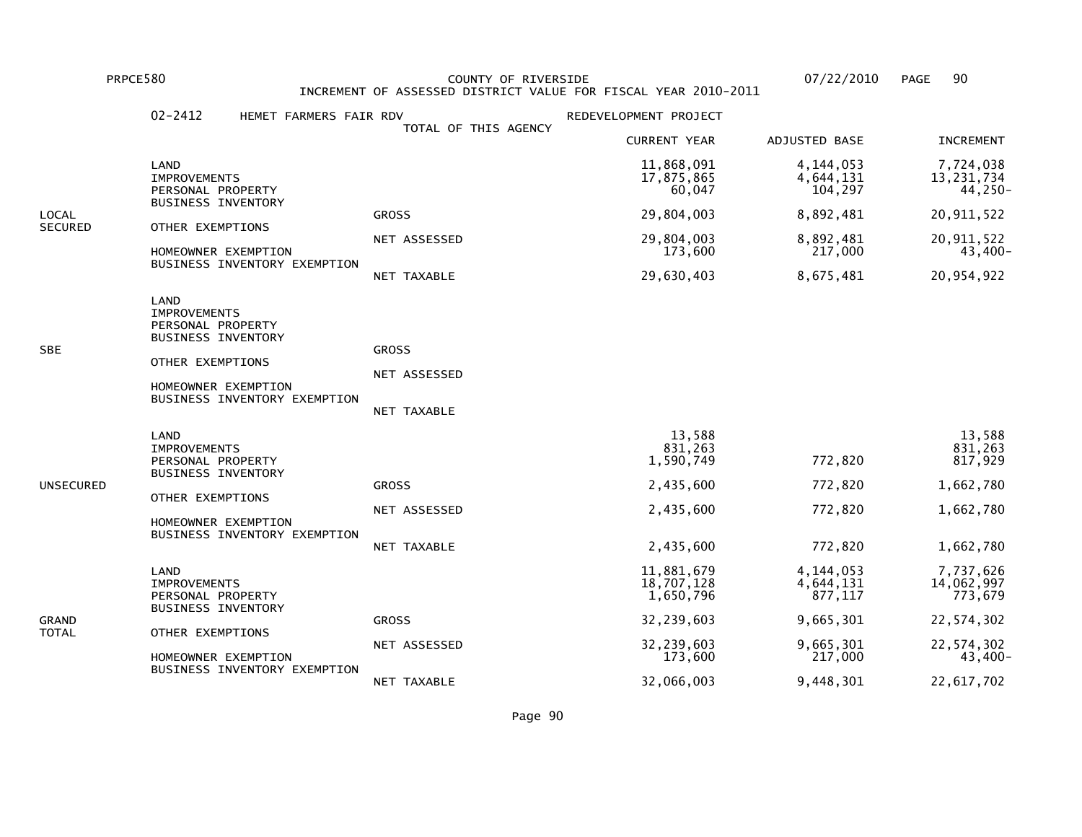PRPCE580 COUNTY OF RIVERSIDE 07/22/2010 PAGE 90 INCREMENT OF ASSESSED DISTRICT VALUE FOR FISCAL YEAR 2010-2011

|                | $02 - 2412$<br>HEMET FARMERS FAIR RDV                                                                                                                           | TOTAL OF THIS AGENCY                        | REDEVELOPMENT PROJECT                                                 |                                          |                                                                     |
|----------------|-----------------------------------------------------------------------------------------------------------------------------------------------------------------|---------------------------------------------|-----------------------------------------------------------------------|------------------------------------------|---------------------------------------------------------------------|
|                |                                                                                                                                                                 |                                             | <b>CURRENT YEAR</b>                                                   | ADJUSTED BASE                            | <b>INCREMENT</b>                                                    |
|                | LAND<br><b>IMPROVEMENTS</b><br>PERSONAL PROPERTY                                                                                                                |                                             | 11,868,091<br>17,875,865<br>60,047                                    | 4,144,053<br>4,644,131<br>104,297        | 7,724,038<br>13, 231, 734<br>44,250-                                |
| LOCAL          | <b>BUSINESS INVENTORY</b>                                                                                                                                       | <b>GROSS</b>                                | 29,804,003                                                            | 8,892,481                                | 20, 911, 522                                                        |
| <b>SECURED</b> | OTHER EXEMPTIONS<br>HOMEOWNER EXEMPTION                                                                                                                         | NET ASSESSED                                | 29,804,003<br>173,600                                                 | 8,892,481<br>217,000                     | 20, 911, 522<br>43,400-                                             |
|                | BUSINESS INVENTORY EXEMPTION                                                                                                                                    | NET TAXABLE                                 | 29,630,403                                                            | 8,675,481                                | 20,954,922                                                          |
| SBE            | LAND<br><b>IMPROVEMENTS</b><br>PERSONAL PROPERTY<br><b>BUSINESS INVENTORY</b><br>OTHER EXEMPTIONS<br>HOMEOWNER EXEMPTION<br>BUSINESS INVENTORY EXEMPTION        | <b>GROSS</b><br>NET ASSESSED<br>NET TAXABLE |                                                                       |                                          |                                                                     |
| UNSECURED      | <b>LAND</b><br><b>IMPROVEMENTS</b><br>PERSONAL PROPERTY<br><b>BUSINESS INVENTORY</b><br>OTHER EXEMPTIONS<br>HOMEOWNER EXEMPTION<br>BUSINESS INVENTORY EXEMPTION | <b>GROSS</b><br>NET ASSESSED<br>NET TAXABLE | 13,588<br>831,263<br>1,590,749<br>2,435,600<br>2,435,600<br>2,435,600 | 772,820<br>772,820<br>772,820<br>772,820 | 13,588<br>831,263<br>817,929<br>1,662,780<br>1,662,780<br>1,662,780 |
| GRAND<br>TOTAL | LAND<br><b>IMPROVEMENTS</b><br>PERSONAL PROPERTY<br><b>BUSINESS INVENTORY</b>                                                                                   |                                             | 11,881,679<br>18,707,128<br>1,650,796                                 | 4,144,053<br>4,644,131<br>877,117        | 7,737,626<br>14,062,997<br>773,679                                  |
|                | OTHER EXEMPTIONS                                                                                                                                                | <b>GROSS</b>                                | 32,239,603                                                            | 9,665,301                                | 22,574,302                                                          |
|                | HOMEOWNER EXEMPTION<br>BUSINESS INVENTORY EXEMPTION                                                                                                             | NET ASSESSED                                | 32,239,603<br>173,600                                                 | 9,665,301<br>217,000                     | 22,574,302<br>43,400-                                               |
|                |                                                                                                                                                                 | NET TAXABLE                                 | 32,066,003                                                            | 9,448,301                                | 22,617,702                                                          |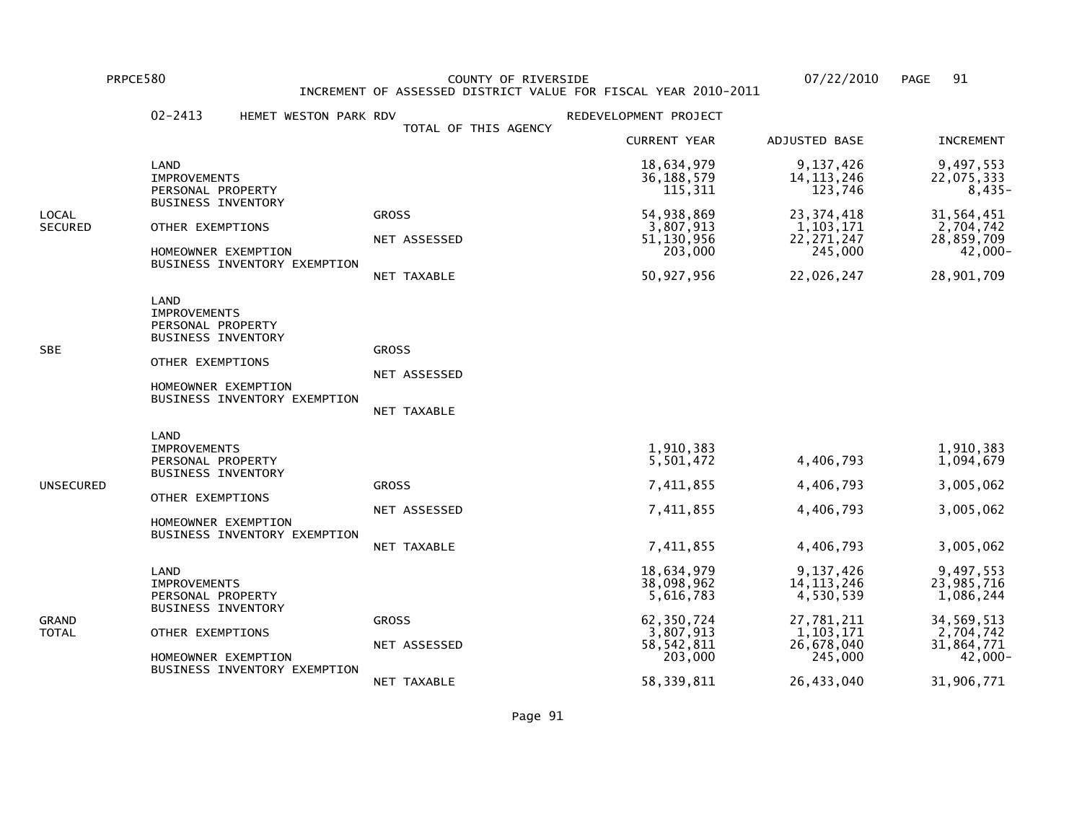PRPCE580 COUNTY OF RIVERSIDE 07/22/2010 PAGE 91 INCREMENT OF ASSESSED DISTRICT VALUE FOR FISCAL YEAR 2010-2011

|                         | $02 - 2413$<br>HEMET WESTON PARK RDV                                                                                                                     |                                             | REDEVELOPMENT PROJECT                                                                       |                                                                                              |                                                                                          |
|-------------------------|----------------------------------------------------------------------------------------------------------------------------------------------------------|---------------------------------------------|---------------------------------------------------------------------------------------------|----------------------------------------------------------------------------------------------|------------------------------------------------------------------------------------------|
|                         |                                                                                                                                                          | TOTAL OF THIS AGENCY                        | <b>CURRENT YEAR</b>                                                                         | ADJUSTED BASE                                                                                | <b>INCREMENT</b>                                                                         |
|                         | LAND<br><b>IMPROVEMENTS</b><br>PERSONAL PROPERTY<br><b>BUSINESS INVENTORY</b>                                                                            |                                             | 18,634,979<br>36, 188, 579<br>115,311                                                       | 9,137,426<br>14, 113, 246<br>123,746                                                         | 9,497,553<br>22,075,333<br>$8,435-$                                                      |
| LOCAL<br><b>SECURED</b> | OTHER EXEMPTIONS<br>HOMEOWNER EXEMPTION<br>BUSINESS INVENTORY EXEMPTION                                                                                  | <b>GROSS</b><br>NET ASSESSED<br>NET TAXABLE | 54,938,869<br>3,807,913<br>51,130,956<br>203,000<br>50,927,956                              | 23, 374, 418<br>1,103,171<br>22, 271, 247<br>245,000<br>22,026,247                           | 31,564,451<br>2,704,742<br>28,859,709<br>$42,000 -$<br>28,901,709                        |
| SBE                     | LAND<br><b>IMPROVEMENTS</b><br>PERSONAL PROPERTY<br><b>BUSINESS INVENTORY</b><br>OTHER EXEMPTIONS<br>HOMEOWNER EXEMPTION<br>BUSINESS INVENTORY EXEMPTION | <b>GROSS</b><br>NET ASSESSED<br>NET TAXABLE |                                                                                             |                                                                                              |                                                                                          |
| UNSECURED               | LAND<br><b>IMPROVEMENTS</b><br>PERSONAL PROPERTY<br><b>BUSINESS INVENTORY</b><br>OTHER EXEMPTIONS<br>HOMEOWNER EXEMPTION<br>BUSINESS INVENTORY EXEMPTION | <b>GROSS</b><br>NET ASSESSED<br>NET TAXABLE | 1,910,383<br>5,501,472<br>7,411,855<br>7,411,855<br>7,411,855                               | 4,406,793<br>4,406,793<br>4,406,793<br>4,406,793                                             | 1,910,383<br>1,094,679<br>3,005,062<br>3,005,062<br>3,005,062                            |
| GRAND<br>TOTAL          | LAND<br><b>IMPROVEMENTS</b><br>PERSONAL PROPERTY<br><b>BUSINESS INVENTORY</b><br>OTHER EXEMPTIONS<br>HOMEOWNER EXEMPTION<br>BUSINESS INVENTORY EXEMPTION | <b>GROSS</b><br>NET ASSESSED                | 18,634,979<br>38,098,962<br>5,616,783<br>62,350,724<br>3,807,913<br>58, 542, 811<br>203,000 | 9,137,426<br>14, 113, 246<br>4,530,539<br>27,781,211<br>1, 103, 171<br>26,678,040<br>245,000 | 9,497,553<br>23,985,716<br>1,086,244<br>34,569,513<br>2,704,742<br>31,864,771<br>42,000- |
|                         |                                                                                                                                                          | NET TAXABLE                                 | 58,339,811                                                                                  | 26,433,040                                                                                   | 31,906,771                                                                               |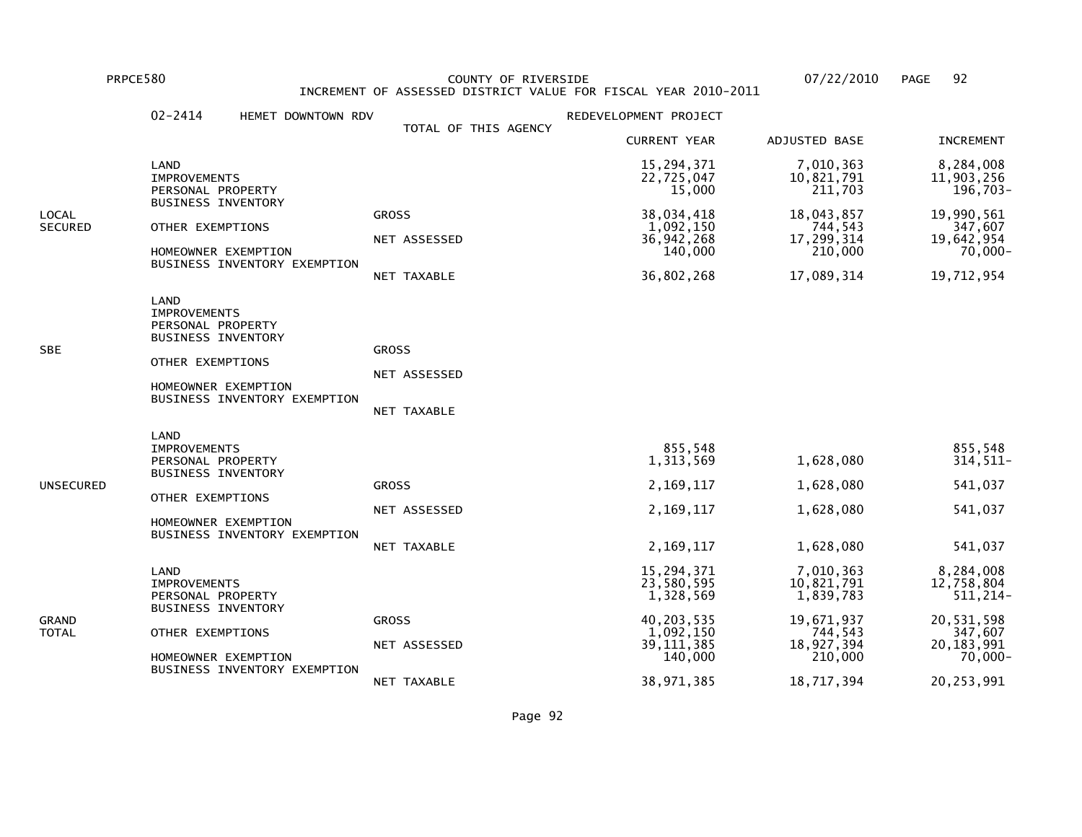PRPCE580 COUNTY OF RIVERSIDE 07/22/2010 PAGE 92 INCREMENT OF ASSESSED DISTRICT VALUE FOR FISCAL YEAR 2010-2011

|                         | $02 - 2414$<br>HEMET DOWNTOWN RDV                                                                                                                        |                                             | REDEVELOPMENT PROJECT                                                                         |                                                                                        |                                                                                          |
|-------------------------|----------------------------------------------------------------------------------------------------------------------------------------------------------|---------------------------------------------|-----------------------------------------------------------------------------------------------|----------------------------------------------------------------------------------------|------------------------------------------------------------------------------------------|
|                         |                                                                                                                                                          | TOTAL OF THIS AGENCY                        | <b>CURRENT YEAR</b>                                                                           | <b>ADJUSTED BASE</b>                                                                   | <b>INCREMENT</b>                                                                         |
|                         | LAND<br><b>IMPROVEMENTS</b><br>PERSONAL PROPERTY                                                                                                         |                                             | 15,294,371<br>22,725,047<br>15,000                                                            | 7,010,363<br>10,821,791<br>211,703                                                     | 8,284,008<br>11,903,256<br>196,703-                                                      |
| LOCAL<br><b>SECURED</b> | <b>BUSINESS INVENTORY</b><br>OTHER EXEMPTIONS<br>HOMEOWNER EXEMPTION<br>BUSINESS INVENTORY EXEMPTION                                                     | <b>GROSS</b><br>NET ASSESSED<br>NET TAXABLE | 38,034,418<br>1,092,150<br>36, 942, 268<br>140,000<br>36,802,268                              | 18,043,857<br>744,543<br>17,299,314<br>210,000<br>17,089,314                           | 19,990,561<br>347,607<br>19,642,954<br>70,000-<br>19,712,954                             |
| SBE                     | LAND<br><b>IMPROVEMENTS</b><br>PERSONAL PROPERTY<br><b>BUSINESS INVENTORY</b><br>OTHER EXEMPTIONS<br>HOMEOWNER EXEMPTION<br>BUSINESS INVENTORY EXEMPTION | <b>GROSS</b><br>NET ASSESSED<br>NET TAXABLE |                                                                                               |                                                                                        |                                                                                          |
| UNSECURED               | LAND<br><b>IMPROVEMENTS</b><br>PERSONAL PROPERTY<br><b>BUSINESS INVENTORY</b><br>OTHER EXEMPTIONS<br>HOMEOWNER EXEMPTION<br>BUSINESS INVENTORY EXEMPTION | <b>GROSS</b><br>NET ASSESSED<br>NET TAXABLE | 855,548<br>1,313,569<br>2,169,117<br>2,169,117<br>2,169,117                                   | 1,628,080<br>1,628,080<br>1,628,080<br>1,628,080                                       | 855,548<br>314, 511-<br>541,037<br>541,037<br>541,037                                    |
| GRAND<br>TOTAL          | LAND<br><b>IMPROVEMENTS</b><br>PERSONAL PROPERTY<br><b>BUSINESS INVENTORY</b><br>OTHER EXEMPTIONS<br>HOMEOWNER EXEMPTION<br>BUSINESS INVENTORY EXEMPTION | <b>GROSS</b><br>NET ASSESSED                | 15,294,371<br>23,580,595<br>1,328,569<br>40, 203, 535<br>1,092,150<br>39, 111, 385<br>140,000 | 7,010,363<br>10,821,791<br>1,839,783<br>19,671,937<br>744,543<br>18,927,394<br>210,000 | 8,284,008<br>12,758,804<br>511, 214-<br>20,531,598<br>347,607<br>20, 183, 991<br>70,000- |
|                         |                                                                                                                                                          | NET TAXABLE                                 | 38,971,385                                                                                    | 18,717,394                                                                             | 20,253,991                                                                               |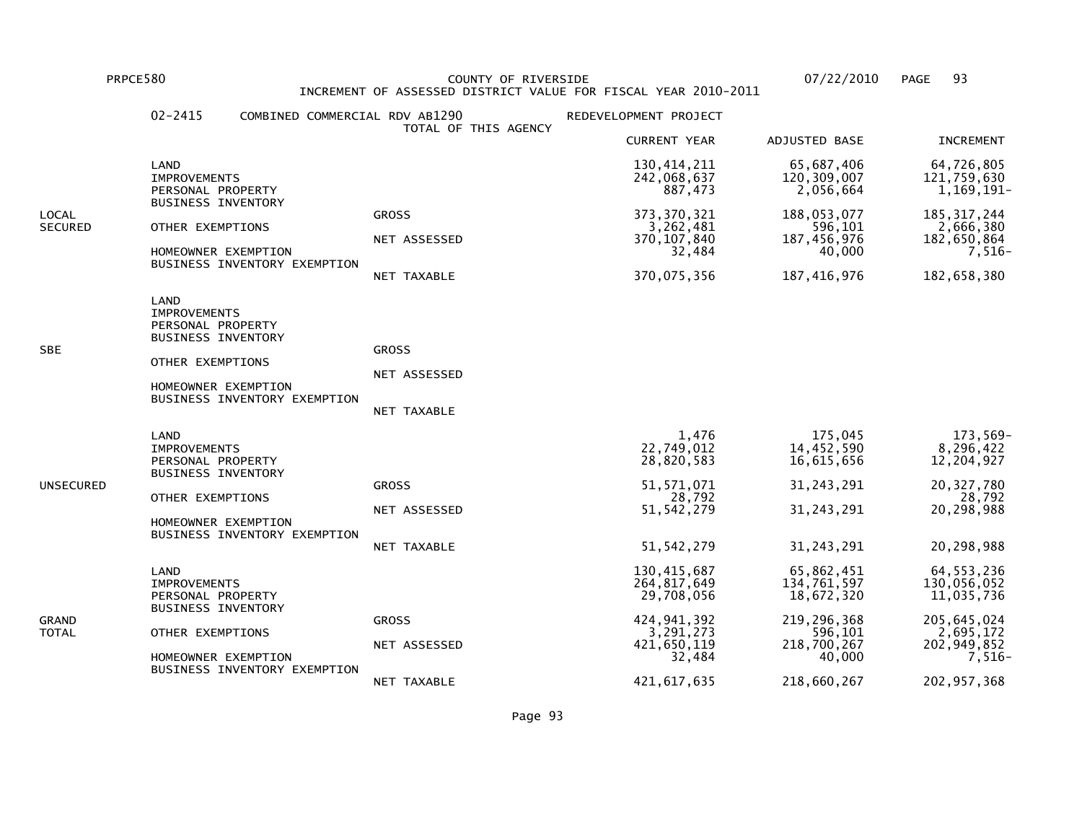PRPCE580 COUNTY OF RIVERSIDE 07/22/2010 PAGE 93 INCREMENT OF ASSESSED DISTRICT VALUE FOR FISCAL YEAR 2010-2011

|                         | $02 - 2415$                                                                                                              | COMBINED COMMERCIAL RDV AB1290 | TOTAL OF THIS AGENCY                        | REDEVELOPMENT PROJECT                                                                                            |                                                                                                           |                                                                                                                     |
|-------------------------|--------------------------------------------------------------------------------------------------------------------------|--------------------------------|---------------------------------------------|------------------------------------------------------------------------------------------------------------------|-----------------------------------------------------------------------------------------------------------|---------------------------------------------------------------------------------------------------------------------|
|                         |                                                                                                                          |                                |                                             | <b>CURRENT YEAR</b>                                                                                              | ADJUSTED BASE                                                                                             | <b>INCREMENT</b>                                                                                                    |
|                         | LAND<br><b>IMPROVEMENTS</b><br>PERSONAL PROPERTY                                                                         |                                |                                             | 130,414,211<br>242,068,637<br>887,473                                                                            | 65,687,406<br>120, 309, 007<br>2,056,664                                                                  | 64,726,805<br>121,759,630<br>1,169,191-                                                                             |
| LOCAL<br><b>SECURED</b> | <b>BUSINESS INVENTORY</b><br>OTHER EXEMPTIONS<br>HOMEOWNER EXEMPTION                                                     | BUSINESS INVENTORY EXEMPTION   | <b>GROSS</b><br>NET ASSESSED<br>NET TAXABLE | 373, 370, 321<br>3,262,481<br>370, 107, 840<br>32,484<br>370,075,356                                             | 188,053,077<br>596,101<br>187,456,976<br>40,000<br>187,416,976                                            | 185, 317, 244<br>2,666,380<br>182,650,864<br>7,516-<br>182,658,380                                                  |
| SBE                     | LAND<br><b>IMPROVEMENTS</b><br>PERSONAL PROPERTY<br><b>BUSINESS INVENTORY</b><br>OTHER EXEMPTIONS<br>HOMEOWNER EXEMPTION | BUSINESS INVENTORY EXEMPTION   | <b>GROSS</b><br>NET ASSESSED<br>NET TAXABLE |                                                                                                                  |                                                                                                           |                                                                                                                     |
| UNSECURED               | LAND<br><b>IMPROVEMENTS</b><br>PERSONAL PROPERTY<br><b>BUSINESS INVENTORY</b><br>OTHER EXEMPTIONS<br>HOMEOWNER EXEMPTION | BUSINESS INVENTORY EXEMPTION   | <b>GROSS</b><br>NET ASSESSED<br>NET TAXABLE | 1,476<br>22,749,012<br>28,820,583<br>51, 571, 071<br>28,792<br>51, 542, 279<br>51, 542, 279                      | 175,045<br>14,452,590<br>16,615,656<br>31, 243, 291<br>31, 243, 291<br>31, 243, 291                       | 173,569-<br>8,296,422<br>12,204,927<br>20, 327, 780<br>28,792<br>20,298,988<br>20,298,988                           |
| GRAND<br>TOTAL          | LAND<br><b>IMPROVEMENTS</b><br>PERSONAL PROPERTY<br><b>BUSINESS INVENTORY</b><br>OTHER EXEMPTIONS<br>HOMEOWNER EXEMPTION | BUSINESS INVENTORY EXEMPTION   | <b>GROSS</b><br>NET ASSESSED<br>NET TAXABLE | 130, 415, 687<br>264, 817, 649<br>29,708,056<br>424,941,392<br>3,291,273<br>421,650,119<br>32,484<br>421,617,635 | 65,862,451<br>134,761,597<br>18,672,320<br>219,296,368<br>596,101<br>218,700,267<br>40,000<br>218,660,267 | 64, 553, 236<br>130.056.052<br>11,035,736<br>205, 645, 024<br>2,695,172<br>202,949,852<br>$7,516-$<br>202, 957, 368 |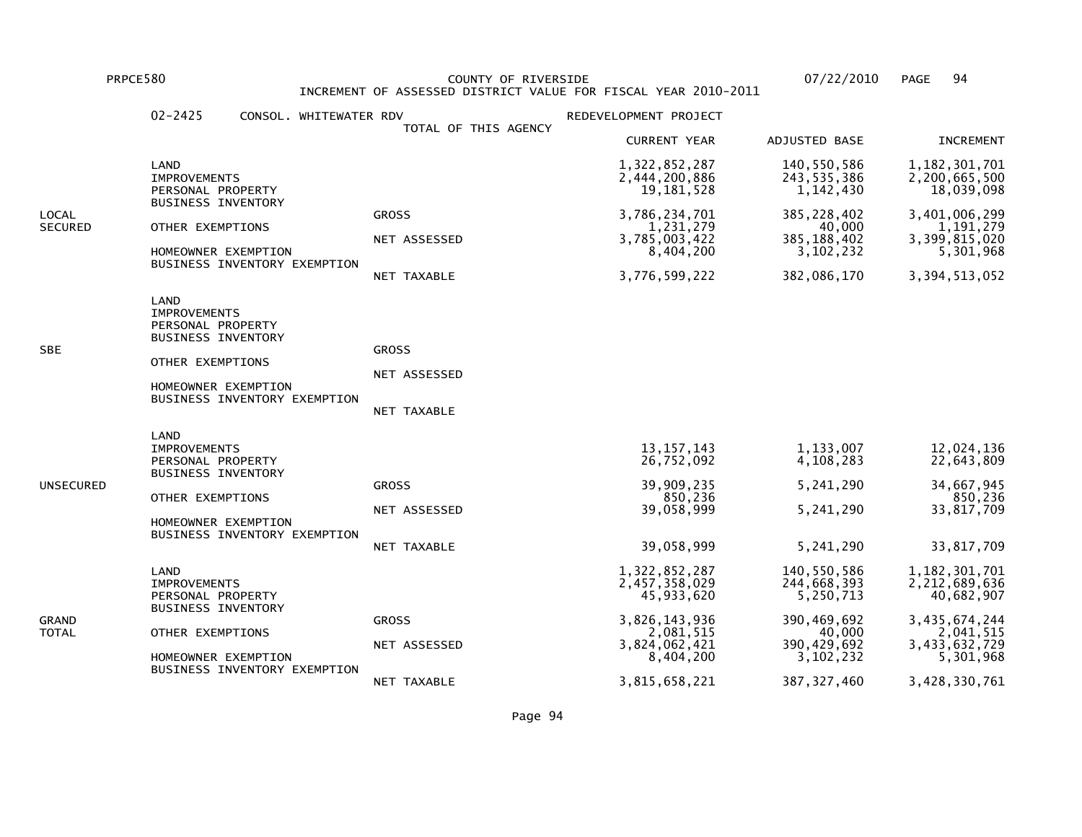PRPCE580 COUNTY OF RIVERSIDE 07/22/2010 PAGE 94 INCREMENT OF ASSESSED DISTRICT VALUE FOR FISCAL YEAR 2010-2011

|                  | $02 - 2425$<br>CONSOL. WHITEWATER RDV                                                                                                                    |                                             | REDEVELOPMENT PROJECT                                                                                                     |                                                                                                                   |                                                                                                                              |
|------------------|----------------------------------------------------------------------------------------------------------------------------------------------------------|---------------------------------------------|---------------------------------------------------------------------------------------------------------------------------|-------------------------------------------------------------------------------------------------------------------|------------------------------------------------------------------------------------------------------------------------------|
|                  |                                                                                                                                                          | TOTAL OF THIS AGENCY                        | <b>CURRENT YEAR</b>                                                                                                       | ADJUSTED BASE                                                                                                     | <b>INCREMENT</b>                                                                                                             |
|                  | LAND<br><b>IMPROVEMENTS</b><br>PERSONAL PROPERTY                                                                                                         |                                             | 1,322,852,287<br>2,444,200,886<br>19, 181, 528                                                                            | 140,550,586<br>243,535,386<br>1, 142, 430                                                                         | 1,182,301,701<br>2,200,665,500<br>18,039,098                                                                                 |
| LOCAL<br>SECURED | <b>BUSINESS INVENTORY</b><br>OTHER EXEMPTIONS<br>HOMEOWNER EXEMPTION<br>BUSINESS INVENTORY EXEMPTION                                                     | <b>GROSS</b><br>NET ASSESSED<br>NET TAXABLE | 3,786,234,701<br>1,231,279<br>3,785,003,422<br>8,404,200<br>3,776,599,222                                                 | 385, 228, 402<br>40,000<br>385, 188, 402<br>3,102,232<br>382,086,170                                              | 3,401,006,299<br>1,191,279<br>3,399,815,020<br>5,301,968<br>3,394,513,052                                                    |
| SBE              | LAND<br><b>IMPROVEMENTS</b><br>PERSONAL PROPERTY<br><b>BUSINESS INVENTORY</b><br>OTHER EXEMPTIONS<br>HOMEOWNER EXEMPTION<br>BUSINESS INVENTORY EXEMPTION | <b>GROSS</b><br>NET ASSESSED<br>NET TAXABLE |                                                                                                                           |                                                                                                                   |                                                                                                                              |
| UNSECURED        | LAND<br><b>IMPROVEMENTS</b><br>PERSONAL PROPERTY<br><b>BUSINESS INVENTORY</b><br>OTHER EXEMPTIONS<br>HOMEOWNER EXEMPTION<br>BUSINESS INVENTORY EXEMPTION | <b>GROSS</b><br>NET ASSESSED<br>NET TAXABLE | 13, 157, 143<br>26,752,092<br>39,909,235<br>850,236<br>39,058,999<br>39,058,999                                           | 1,133,007<br>4,108,283<br>5,241,290<br>5,241,290<br>5, 241, 290                                                   | 12,024,136<br>22,643,809<br>34,667,945<br>850,236<br>33,817,709<br>33,817,709                                                |
| GRAND<br>TOTAL   | LAND<br><b>IMPROVEMENTS</b><br>PERSONAL PROPERTY<br><b>BUSINESS INVENTORY</b><br>OTHER EXEMPTIONS<br>HOMEOWNER EXEMPTION<br>BUSINESS INVENTORY EXEMPTION | <b>GROSS</b><br>NET ASSESSED<br>NET TAXABLE | 1,322,852,287<br>2,457,358,029<br>45,933,620<br>3,826,143,936<br>2,081,515<br>3,824,062,421<br>8,404,200<br>3,815,658,221 | 140,550,586<br>244,668,393<br>5,250,713<br>390,469,692<br>40,000<br>390, 429, 692<br>3, 102, 232<br>387, 327, 460 | 1, 182, 301, 701<br>2,212,689,636<br>40,682,907<br>3,435,674,244<br>2,041,515<br>3,433,632,729<br>5,301,968<br>3,428,330,761 |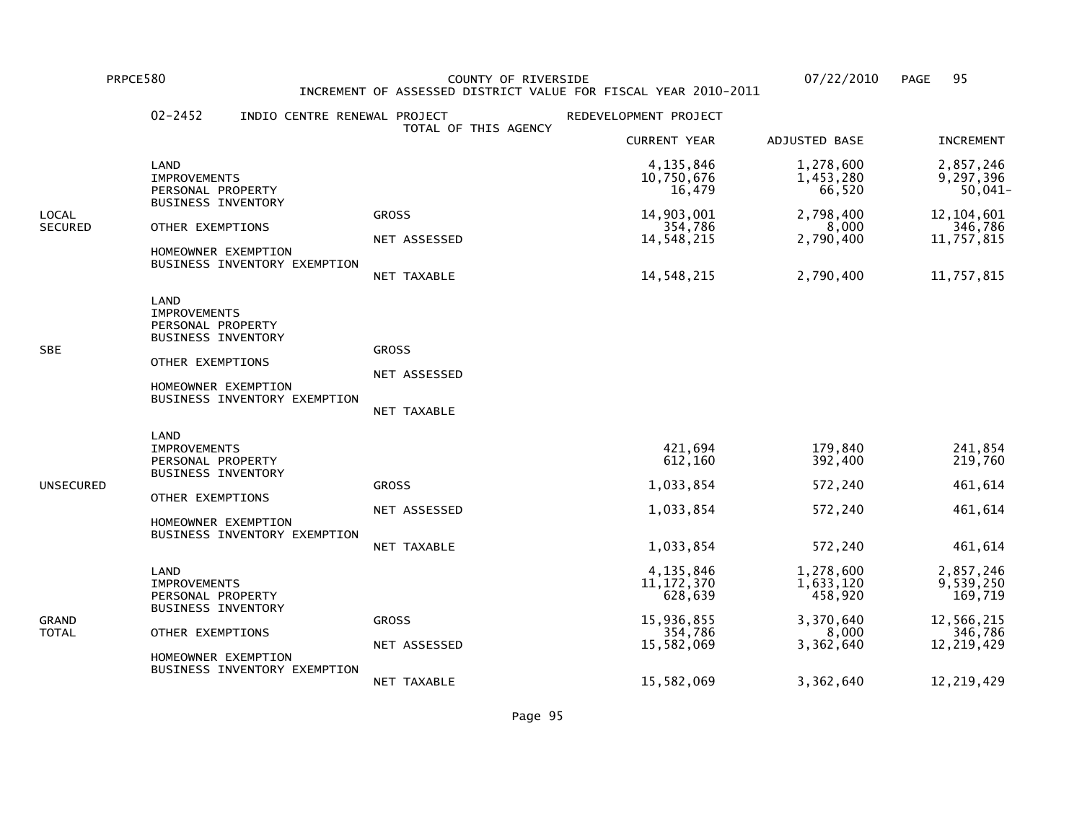PRPCE580 COUNTY OF RIVERSIDE 07/22/2010 PAGE 95INCREMENT OF ASSESSED DISTRICT VALUE FOR FISCAL YEAR 2010-2011

## 02-2452 INDIO CENTRE RENEWAL PROJECT REDEVELOPMENT PROJECT TOTAL OF THIS AGENCY CURRENT YEAR ADJUSTED BASE INCREMENT LAND 4,135,846 1,278,600 2,857,246 $9,297,396$  IMPROVEMENTS 10,750,676 1,453,280 9,297,396 $50,041-$ PERSONAL PROPERTY 66,520 BUSINESS INVENTORYLOCAL GROSS 14,903,001 2,798,400 12,104,601346,786 SECURED OTHER EXEMPTIONS 354,786 8,000 346,78611,757,815 NET ASSESSED 14,548,215 2,790,400 11,757,815 HOMEOWNER EXEMPTION BUSINESS INVENTORY EXEMPTION NET TAXABLE 14,548,215 2,790,400 11,757,815 LAND IMPROVEMENTS PERSONAL PROPERTY BUSINESS INVENTORYSBE GROSS GROSS GROSS GROSS GROSS GROSS GROSS GROSS GROSS GROSS GROSS GROSS GROSS GROSS GROSS GROSS GROSS GROSS OTHER EXEMPTIONS NET ASSESSED HOMEOWNER EXEMPTION BUSINESS INVENTORY EXEMPTION NET TAXABLE LAND**IMPROVEMENTS**  IMPROVEMENTS 421,694 179,840 241,854219,760 PERSONAL PROPERTY 392,400 BUSINESS INVENTORYUNSECURED GROSS 1,033,854 572,240 461,614 OTHER EXEMPTIONS NET ASSESSED 1,033,854 572,240 461,614 HOMEOWNER EXEMPTION BUSINESS INVENTORY EXEMPTION NET TAXABLE 1,033,854 572,240 461,614 LAND 4,135,846 1,278,600 2,857,2469.539.250 IMPROVEMENTS 11,172,370 1,633,120 9,539,250169,719 PERSONAL PROPERTY **128,020** 169,020 169,020 169,020 169,020 169,020 169,020 169,020 169,020 169,920 169,920 169,920 BUSINESS INVENTORYGRAND GROSS 15,936,855 3,370,640 12,566,215346,786 TOTAL OTHER EXEMPTIONS 354,786 8,000 346,78612.219.429 NET ASSESSED 15,582,069 3,362,640 12,219,429 HOMEOWNER EXEMPTION BUSINESS INVENTORY EXEMPTIONNET TAXABLE 15,582,069 3,362,640 12,219,429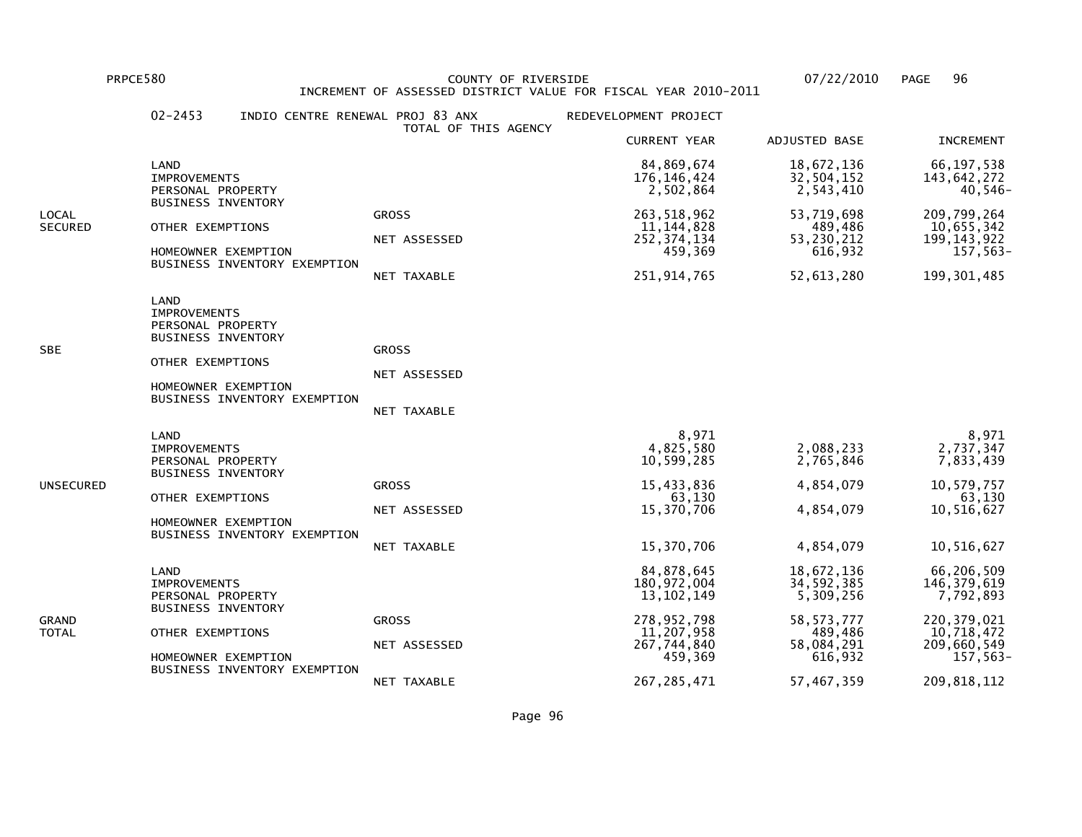PRPCE580 COUNTY OF RIVERSIDE 07/22/2010 PAGE 96 INCREMENT OF ASSESSED DISTRICT VALUE FOR FISCAL YEAR 2010-2011

| LAND                    | <b>IMPROVEMENTS</b><br>PERSONAL PROPERTY                                                                                                         | TOTAL OF THIS AGENCY                        | <b>CURRENT YEAR</b><br>84,869,674                                                                               | ADJUSTED BASE                                                                                           | <b>INCREMENT</b>                                                                                                  |
|-------------------------|--------------------------------------------------------------------------------------------------------------------------------------------------|---------------------------------------------|-----------------------------------------------------------------------------------------------------------------|---------------------------------------------------------------------------------------------------------|-------------------------------------------------------------------------------------------------------------------|
|                         |                                                                                                                                                  |                                             |                                                                                                                 |                                                                                                         |                                                                                                                   |
|                         |                                                                                                                                                  |                                             | 176, 146, 424<br>2,502,864                                                                                      | 18,672,136<br>32,504,152<br>2,543,410                                                                   | 66, 197, 538<br>143,642,272<br>$40,546-$                                                                          |
| LOCAL<br><b>SECURED</b> | BUSINESS INVENTORY<br>OTHER EXEMPTIONS<br>HOMEOWNER EXEMPTION<br>BUSINESS INVENTORY EXEMPTION                                                    | <b>GROSS</b><br>NET ASSESSED<br>NET TAXABLE | 263, 518, 962<br>11,144,828<br>252, 374, 134<br>459,369<br>251, 914, 765                                        | 53,719,698<br>489,486<br>53, 230, 212<br>616,932<br>52,613,280                                          | 209,799,264<br>10,655,342<br>199, 143, 922<br>$157,563-$<br>199, 301, 485                                         |
| LAND<br><b>SBE</b>      | <b>IMPROVEMENTS</b><br>PERSONAL PROPERTY<br><b>BUSINESS INVENTORY</b><br>OTHER EXEMPTIONS<br>HOMEOWNER EXEMPTION<br>BUSINESS INVENTORY EXEMPTION | <b>GROSS</b><br>NET ASSESSED<br>NET TAXABLE |                                                                                                                 |                                                                                                         |                                                                                                                   |
| LAND<br>UNSECURED       | <b>IMPROVEMENTS</b><br>PERSONAL PROPERTY<br><b>BUSINESS INVENTORY</b><br>OTHER EXEMPTIONS<br>HOMEOWNER EXEMPTION<br>BUSINESS INVENTORY EXEMPTION | <b>GROSS</b><br>NET ASSESSED<br>NET TAXABLE | 8,971<br>4,825,580<br>10,599,285<br>15,433,836<br>63,130<br>15,370,706<br>15,370,706                            | 2,088,233<br>2,765,846<br>4,854,079<br>4,854,079<br>4,854,079                                           | 8,971<br>2,737,347<br>7,833,439<br>10,579,757<br>63,130<br>10,516,627<br>10,516,627                               |
| LAND<br>GRAND<br>TOTAL  | <b>IMPROVEMENTS</b><br>PERSONAL PROPERTY<br><b>BUSINESS INVENTORY</b><br>OTHER EXEMPTIONS<br>HOMEOWNER EXEMPTION<br>BUSINESS INVENTORY EXEMPTION | <b>GROSS</b><br>NET ASSESSED<br>NET TAXABLE | 84,878,645<br>180,972,004<br>13,102,149<br>278,952,798<br>11,207,958<br>267,744,840<br>459,369<br>267, 285, 471 | 18,672,136<br>34,592,385<br>5,309,256<br>58, 573, 777<br>489,486<br>58,084,291<br>616,932<br>57,467,359 | 66,206,509<br>146, 379, 619<br>7,792,893<br>220, 379, 021<br>10,718,472<br>209,660,549<br>157,563-<br>209,818,112 |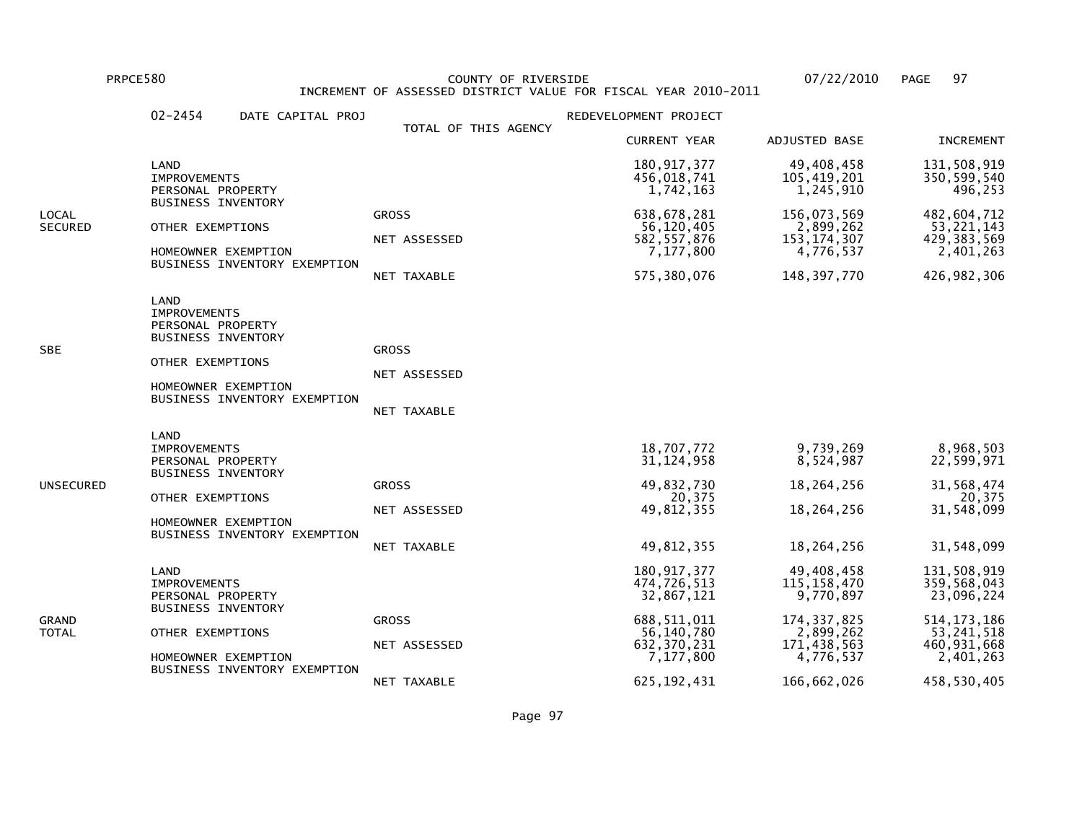PRPCE580 COUNTY OF RIVERSIDE 07/22/2010 PAGE 97INCREMENT OF ASSESSED DISTRICT VALUE FOR FISCAL YEAR 2010-2011

02-2454 DATE CAPITAL PROJ CONTRACT PROJECT TOTAL OF THIS AGENCY CURRENT YEAR ADJUSTED BASE INCREMENT LAND 180,917,377 49,408,458 131,508,919350,599,540 105,419,201 105,419,201 105,419,201 105,419,201 105,419,201 105,419,201 350,599,540  $1496.253$ PERSONAL PROPERTY 1,742,163 1,245,910 BUSINESS INVENTORYLOCAL GROSS 638,678,281 156,073,569 482,604,71253, 221, 143 SECURED OTHER EXEMPTIONS NET ASSESSED 56,120,405 2,899,262<br>S82,557,876 153,174,307 429, 383, 569 NET ASSESSED 582,557,876 153,174,307 429,383,5692,401,263 HOMEOWNER EXEMPTION  $\begin{array}{ccc} 7,177,800 &\phantom{00} &\phantom{00} &\phantom{00} &\phantom{00} &\phantom{0} &\phantom{0} &\phantom{0} &\phantom{0} &\phantom{0} &\phantom{0} &\phantom{0} &\phantom{0} &\phantom{0} &\phantom{0} &\phantom{0} &\phantom{0} &\phantom{0} &\phantom{0} &\phantom{0} &\phantom{0} &\phantom{0} &\phantom{0} &\phantom{0} &\phantom{0} &\phantom{0} &\phantom{$  BUSINESS INVENTORY EXEMPTION NET TAXABLE 575,380,076 148,397,770 426,982,306 LAND IMPROVEMENTS PERSONAL PROPERTY BUSINESS INVENTORYSBE GROSS GROSS GROSS GROSS GROSS GROSS GROSS GROSS GROSS GROSS GROSS GROSS GROSS GROSS GROSS GROSS GROSS GROSS OTHER EXEMPTIONS NET ASSESSED HOMEOWNER EXEMPTION BUSINESS INVENTORY EXEMPTION NET TAXABLE LAND**IMPROVEMENTS**  IMPROVEMENTS 18,707,772 9,739,269 8,968,50322,599,971 PERSONAL PROPERTY 31,124,958 8,524,987 BUSINESS INVENTORYUNSECURED GROSS 49,832,730 18,264,256 31,568,47420,375 OTHER EXEMPTIONS 20,375 20,37531.548.099 NET ASSESSED 49,812,355 18,264,256 31,548,099 HOMEOWNER EXEMPTION BUSINESS INVENTORY EXEMPTION NET TAXABLE 49,812,355 18,264,256 31,548,099 LAND 180,917,377 49,408,458 131,508,919359.568.043 IMPROVEMENTS 474,726,513 115,158,470 359,568,043

BUSINESS INVENTORY

BUSINESS INVENTORY EXEMPTION

PERSONAL PROPERTY 32,867,121 9,770,897

HOMEOWNER EXEMPTION  $\overline{17.177.800}$  4,776,537

NET ASSESSED 632,370,231 171,438,563 460,931,668

NET TAXABLE 625,192,431 166,662,026 458,530,405

23,096,224

53, 241, 518

 $2,401,263$ 

460,931,668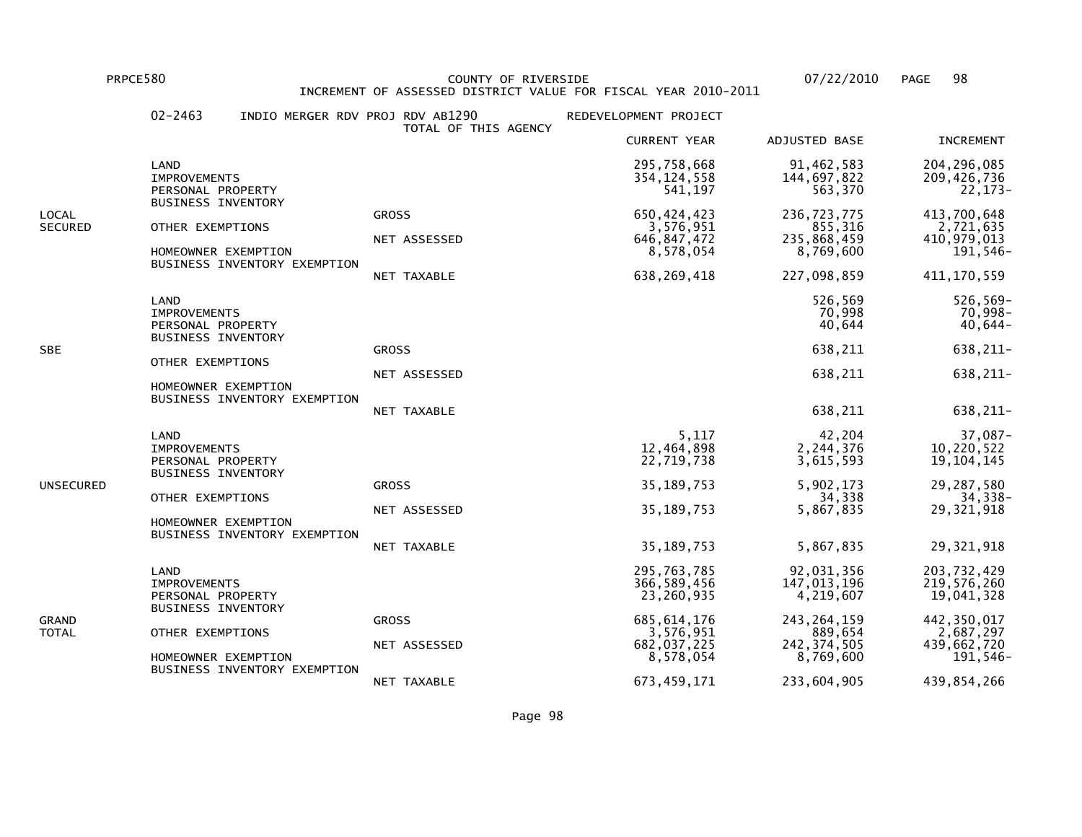PRPCE580 COUNTY OF RIVERSIDE 07/22/2010 PAGE 98INCREMENT OF ASSESSED DISTRICT VALUE FOR FISCAL YEAR 2010-2011

## 02-2463 INDIO MERGER RDV PROJ RDV AB1290 REDEVELOPMENT PROJECT TOTAL OF THIS AGENCY CURRENT YEAR ADJUSTED BASE INCREMENT LAND 295,758,668 91,462,583 204,296,085209,426,736 IMPROVEMENTS 354,124,558 144,697,822 209,426,736 $22.173-$ PERSONAL PROPERTY 563,370 BUSINESS INVENTORYLOCAL GROSS 650,424,423 236,723,775 413,700,6482,721,635 SECURED OTHER EXEMPTIONS NET ASSESSED 3,576,951 3.576,951 0THER EXEMPTIONS NET ASSESSED 3.576,847.472 235.868.459 410,979,013 NET ASSESSED 646,847,472 235,868,459 410,979,013191,546- HOMEOWNER EXEMPTION 8,578,054 8,769,600 191,546- BUSINESS INVENTORY EXEMPTION NET TAXABLE 638,269,418 227,098,859 411,170,559 LAND 526,569 526,569- $70,998 -$  IMPROVEMENTS 70,998 70,998- $40,644-$ PERSONAL PROPERTY 40,644 BUSINESS INVENTORYSBE GROSS 638,211 638,211- OTHER EXEMPTIONS NET ASSESSED 638,211 638,211- HOMEOWNER EXEMPTION BUSINESS INVENTORY EXEMPTION NET TAXABLE 638,211 638,211- LAND 5,117 42,204 37,087-10,220,522 IMPROVEMENTS 12,464,898 2,244,376 10,220,52219, 104, 145 19,104,145 19,104,145 19,104,145 19,104,145 19,104,145 19,104,145 19,104,145 19, 104,145 19,104,145 19,104,145 BUSINESS INVENTORYUNSECURED GROSS 35,189,753 5,902,173 29,287,580 $34,338-$  OTHER EXEMPTIONS 34,338 34,338-29.321.918 NET ASSESSED 35,189,753 5,867,835 29,321,918 HOMEOWNER EXEMPTION BUSINESS INVENTORY EXEMPTION NET TAXABLE 35,189,753 5,867,835 29,321,918 LAND 295,763,785 92,031,356 203,732,429219,576,260 IMPROVEMENTS 366,589,456 147,013,196 219,576,26019,041,328 PERSONAL PROPERTY 23,260,935 4,219,607 BUSINESS INVENTORYGRAND GROSS 685,614,176 243,264,159 442,350,0172,687,297 TOTAL OTHER EXEMPTIONS 3,576,951 889,654 2,687,297439,662,720 NET ASSESSED 682,037,225 242,374,505 439,662,720 $191,546-$ HOMEOWNER EXEMPTION 8.578,054 8,769,600 BUSINESS INVENTORY EXEMPTIONNET TAXABLE 673,459,171 233,604,905 439,854,266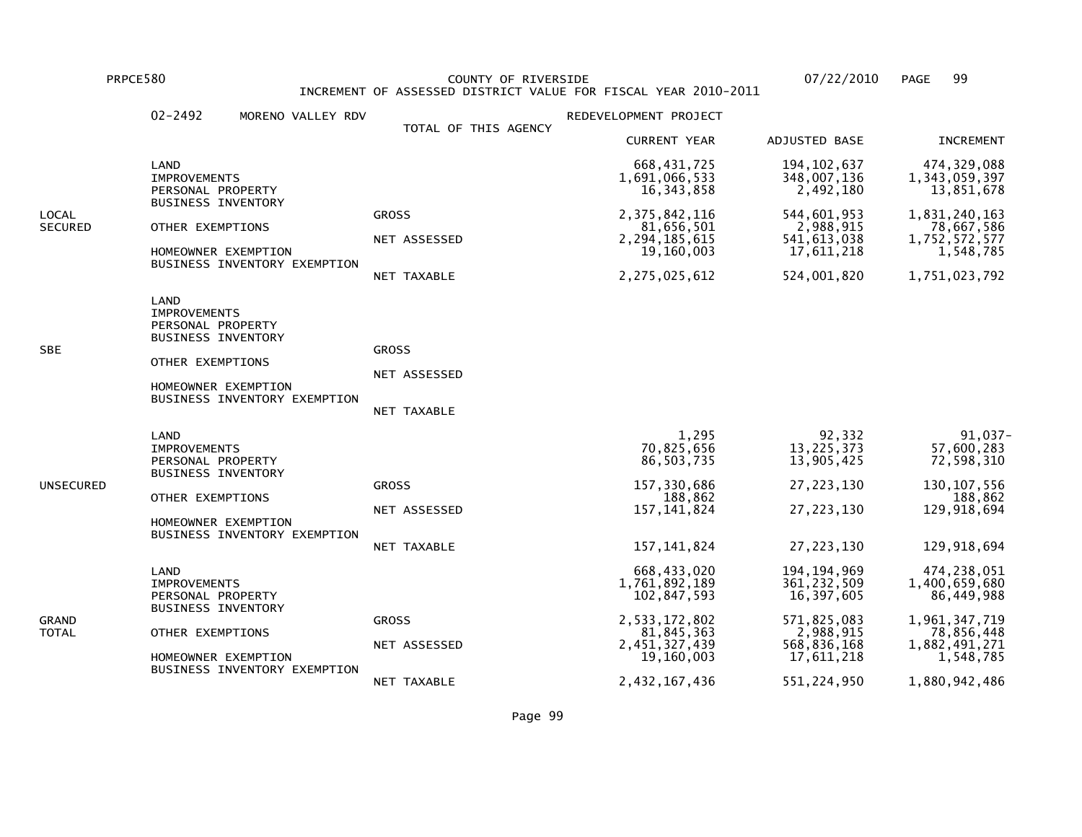PRPCE580 COUNTY OF RIVERSIDE 07/22/2010 PAGE 99 INCREMENT OF ASSESSED DISTRICT VALUE FOR FISCAL YEAR 2010-2011

| LAND<br>LOCAL<br>SECURED | <b>IMPROVEMENTS</b><br>PERSONAL PROPERTY<br><b>BUSINESS INVENTORY</b><br>OTHER EXEMPTIONS                                                        | TOTAL OF THIS AGENCY<br><b>GROSS</b>        | <b>CURRENT YEAR</b><br>668,431,725<br>1,691,066,533<br>16, 343, 858                                                        | ADJUSTED BASE<br>194, 102, 637<br>348,007,136<br>2,492,180                                                           | <b>INCREMENT</b><br>474, 329, 088<br>1,343,059,397                                                                       |
|--------------------------|--------------------------------------------------------------------------------------------------------------------------------------------------|---------------------------------------------|----------------------------------------------------------------------------------------------------------------------------|----------------------------------------------------------------------------------------------------------------------|--------------------------------------------------------------------------------------------------------------------------|
|                          |                                                                                                                                                  |                                             |                                                                                                                            |                                                                                                                      |                                                                                                                          |
|                          |                                                                                                                                                  |                                             |                                                                                                                            |                                                                                                                      | 13,851,678                                                                                                               |
|                          | HOMEOWNER EXEMPTION<br>BUSINESS INVENTORY EXEMPTION                                                                                              | NET ASSESSED<br>NET TAXABLE                 | 2,375,842,116<br>81,656,501<br>2, 294, 185, 615<br>19,160,003<br>2, 275, 025, 612                                          | 544,601,953<br>2,988,915<br>541,613,038<br>17,611,218<br>524,001,820                                                 | 1,831,240,163<br>78,667,586<br>1,752,572,577<br>1,548,785<br>1,751,023,792                                               |
| <b>LAND</b><br>SBE       | <b>IMPROVEMENTS</b><br>PERSONAL PROPERTY<br><b>BUSINESS INVENTORY</b><br>OTHER EXEMPTIONS<br>HOMEOWNER EXEMPTION<br>BUSINESS INVENTORY EXEMPTION | <b>GROSS</b><br>NET ASSESSED<br>NET TAXABLE |                                                                                                                            |                                                                                                                      |                                                                                                                          |
| LAND<br>UNSECURED        | <b>IMPROVEMENTS</b><br>PERSONAL PROPERTY<br><b>BUSINESS INVENTORY</b><br>OTHER EXEMPTIONS<br>HOMEOWNER EXEMPTION<br>BUSINESS INVENTORY EXEMPTION | <b>GROSS</b><br>NET ASSESSED<br>NET TAXABLE | 1,295<br>70,825,656<br>86, 503, 735<br>157,330,686<br>188,862<br>157, 141, 824<br>157, 141, 824                            | 92,332<br>13, 225, 373<br>13,905,425<br>27, 223, 130<br>27, 223, 130<br>27, 223, 130                                 | 91,037-<br>57,600,283<br>72,598,310<br>130, 107, 556<br>188,862<br>129,918,694<br>129,918,694                            |
| LAND<br>GRAND<br>TOTAL   | <b>IMPROVEMENTS</b><br>PERSONAL PROPERTY<br><b>BUSINESS INVENTORY</b><br>OTHER EXEMPTIONS<br>HOMEOWNER EXEMPTION<br>BUSINESS INVENTORY EXEMPTION | <b>GROSS</b><br>NET ASSESSED<br>NET TAXABLE | 668,433,020<br>1,761,892,189<br>102,847,593<br>2,533,172,802<br>81,845,363<br>2,451,327,439<br>19,160,003<br>2,432,167,436 | 194, 194, 969<br>361,232,509<br>16,397,605<br>571,825,083<br>2,988,915<br>568,836,168<br>17,611,218<br>551, 224, 950 | 474,238,051<br>1,400,659,680<br>86,449,988<br>1,961,347,719<br>78,856,448<br>1,882,491,271<br>1,548,785<br>1,880,942,486 |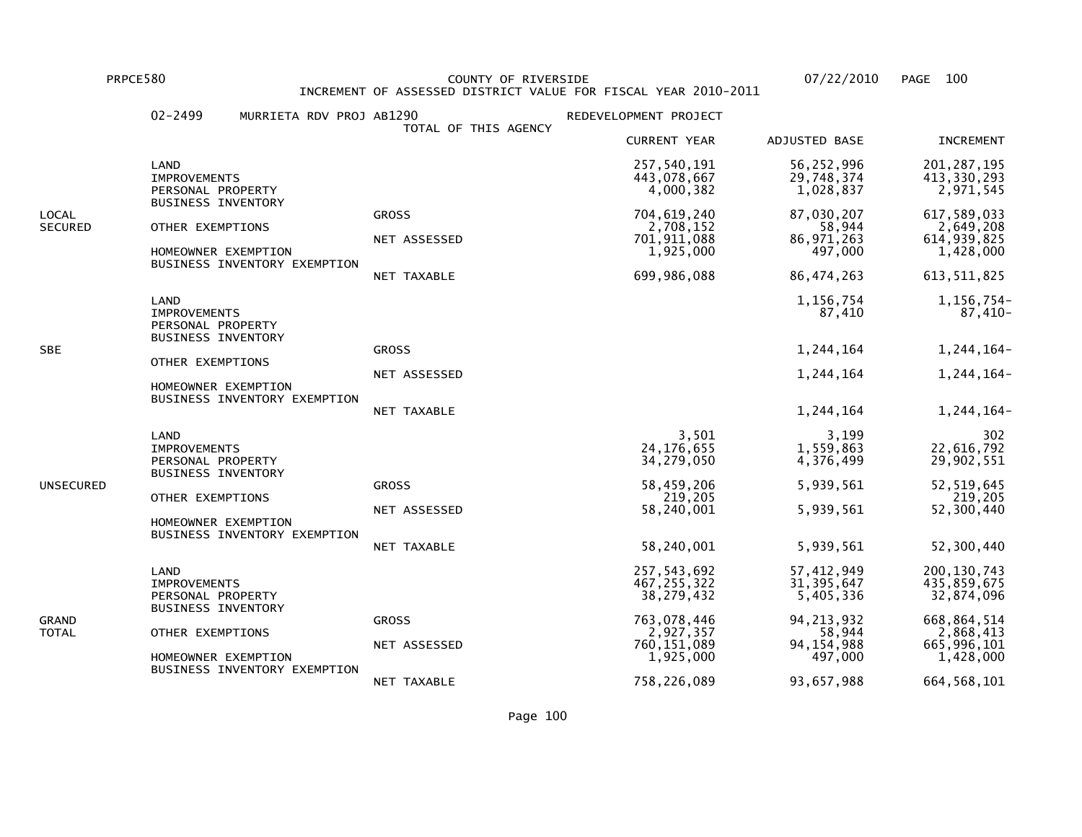PRPCE580 COUNTY OF RIVERSIDE 07/22/2010 PAGE 100 INCREMENT OF ASSESSED DISTRICT VALUE FOR FISCAL YEAR 2010-2011

|                         | $02 - 2499$<br>MURRIETA RDV PROJ AB1290                                                              | TOTAL OF THIS AGENCY                        | REDEVELOPMENT PROJECT                                               |                                                                 |                                                                         |
|-------------------------|------------------------------------------------------------------------------------------------------|---------------------------------------------|---------------------------------------------------------------------|-----------------------------------------------------------------|-------------------------------------------------------------------------|
|                         |                                                                                                      |                                             | <b>CURRENT YEAR</b>                                                 | ADJUSTED BASE                                                   | <b>INCREMENT</b>                                                        |
| LOCAL<br><b>SECURED</b> | LAND<br><b>IMPROVEMENTS</b><br>PERSONAL PROPERTY                                                     |                                             | 257,540,191<br>443,078,667<br>4,000,382                             | 56,252,996<br>29,748,374<br>1,028,837                           | 201, 287, 195<br>413,330,293<br>2,971,545                               |
|                         | <b>BUSINESS INVENTORY</b><br>OTHER EXEMPTIONS<br>HOMEOWNER EXEMPTION<br>BUSINESS INVENTORY EXEMPTION | <b>GROSS</b><br>NET ASSESSED<br>NET TAXABLE | 704,619,240<br>2,708,152<br>701,911,088<br>1,925,000<br>699,986,088 | 87,030,207<br>58,944<br>86, 971, 263<br>497,000<br>86, 474, 263 | 617,589,033<br>2,649,208<br>614, 939, 825<br>1,428,000<br>613, 511, 825 |
|                         | <b>LAND</b><br><b>IMPROVEMENTS</b><br>PERSONAL PROPERTY<br><b>BUSINESS INVENTORY</b>                 |                                             |                                                                     | 1,156,754<br>87,410                                             | 1,156,754-<br>87,410-                                                   |
| <b>SBE</b>              |                                                                                                      | <b>GROSS</b>                                |                                                                     | 1,244,164                                                       | 1,244,164-                                                              |
|                         | OTHER EXEMPTIONS<br>HOMEOWNER EXEMPTION                                                              | NET ASSESSED                                |                                                                     | 1,244,164                                                       | 1,244,164-                                                              |
|                         | BUSINESS INVENTORY EXEMPTION                                                                         | NET TAXABLE                                 |                                                                     | 1,244,164                                                       | 1,244,164-                                                              |
|                         | LAND<br><b>IMPROVEMENTS</b><br>PERSONAL PROPERTY<br><b>BUSINESS INVENTORY</b>                        |                                             | 3,501<br>24, 176, 655<br>34,279,050                                 | 3,199<br>1,559,863<br>4,376,499                                 | 302<br>22,616,792<br>29,902,551                                         |
| UNSECURED               | OTHER EXEMPTIONS                                                                                     | <b>GROSS</b>                                | 58,459,206<br>219,205                                               | 5,939,561                                                       | 52, 519, 645<br>219,205                                                 |
|                         | HOMEOWNER EXEMPTION<br>BUSINESS INVENTORY EXEMPTION                                                  | NET ASSESSED                                | 58,240,001                                                          | 5,939,561                                                       | 52,300,440                                                              |
|                         |                                                                                                      | NET TAXABLE                                 | 58,240,001                                                          | 5,939,561                                                       | 52,300,440                                                              |
| GRAND<br>TOTAL          | LAND<br><b>IMPROVEMENTS</b><br>PERSONAL PROPERTY<br><b>BUSINESS INVENTORY</b>                        |                                             | 257,543,692<br>467, 255, 322<br>38,279,432                          | 57,412,949<br>31, 395, 647<br>5,405,336                         | 200, 130, 743<br>435,859,675<br>32,874,096                              |
|                         | OTHER EXEMPTIONS                                                                                     | <b>GROSS</b>                                | 763,078,446<br>2,927,357                                            | 94, 213, 932<br>58,944                                          | 668,864,514<br>2,868,413                                                |
|                         | HOMEOWNER EXEMPTION                                                                                  | NET ASSESSED                                | 760,151,089<br>1,925,000                                            | 94, 154, 988<br>497,000                                         | 665,996,101<br>1,428,000                                                |
|                         | BUSINESS INVENTORY EXEMPTION                                                                         | NET TAXABLE                                 | 758,226,089                                                         | 93,657,988                                                      | 664, 568, 101                                                           |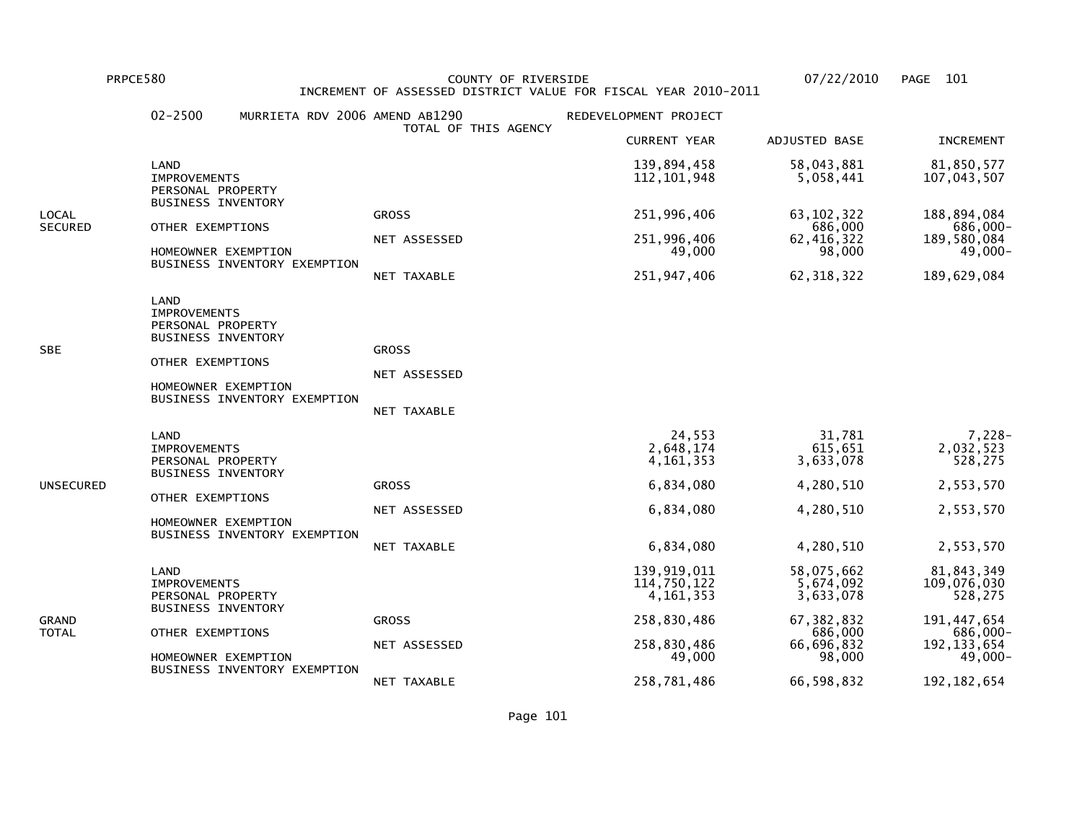PRPCE580 COUNTY OF RIVERSIDE 07/22/2010 PAGE 101 INCREMENT OF ASSESSED DISTRICT VALUE FOR FISCAL YEAR 2010-2011

|                  | $02 - 2500$<br>MURRIETA RDV 2006 AMEND AB1290                                 | TOTAL OF THIS AGENCY | REDEVELOPMENT PROJECT                     |                                      |                                      |
|------------------|-------------------------------------------------------------------------------|----------------------|-------------------------------------------|--------------------------------------|--------------------------------------|
|                  |                                                                               |                      | <b>CURRENT YEAR</b>                       | ADJUSTED BASE                        | <b>INCREMENT</b>                     |
|                  | LAND<br><b>IMPROVEMENTS</b><br>PERSONAL PROPERTY<br><b>BUSINESS INVENTORY</b> |                      | 139,894,458<br>112, 101, 948              | 58,043,881<br>5,058,441              | 81,850,577<br>107,043,507            |
| LOCAL<br>SECURED | OTHER EXEMPTIONS                                                              | <b>GROSS</b>         | 251,996,406                               | 63, 102, 322<br>686,000              | 188,894,084<br>686,000-              |
|                  | HOMEOWNER EXEMPTION<br>BUSINESS INVENTORY EXEMPTION                           | NET ASSESSED         | 251,996,406<br>49,000                     | 62, 416, 322<br>98,000               | 189,580,084<br>-49,000               |
|                  |                                                                               | NET TAXABLE          | 251,947,406                               | 62, 318, 322                         | 189,629,084                          |
| <b>SBE</b>       | LAND<br><b>IMPROVEMENTS</b><br>PERSONAL PROPERTY<br><b>BUSINESS INVENTORY</b> | <b>GROSS</b>         |                                           |                                      |                                      |
|                  | OTHER EXEMPTIONS                                                              | NET ASSESSED         |                                           |                                      |                                      |
|                  | HOMEOWNER EXEMPTION<br>BUSINESS INVENTORY EXEMPTION                           | NET TAXABLE          |                                           |                                      |                                      |
|                  | LAND<br><b>IMPROVEMENTS</b><br>PERSONAL PROPERTY<br><b>BUSINESS INVENTORY</b> |                      | 24,553<br>2,648,174<br>4, 161, 353        | 31,781<br>615,651<br>3,633,078       | $7,228-$<br>2,032,523<br>528,275     |
| UNSECURED        | OTHER EXEMPTIONS<br>HOMEOWNER EXEMPTION<br>BUSINESS INVENTORY EXEMPTION       | <b>GROSS</b>         | 6,834,080                                 | 4,280,510                            | 2,553,570                            |
|                  |                                                                               | NET ASSESSED         | 6,834,080                                 | 4,280,510                            | 2,553,570                            |
|                  |                                                                               | NET TAXABLE          | 6,834,080                                 | 4,280,510                            | 2,553,570                            |
| GRAND<br>TOTAL   | LAND<br><b>IMPROVEMENTS</b><br>PERSONAL PROPERTY<br><b>BUSINESS INVENTORY</b> |                      | 139,919,011<br>114,750,122<br>4, 161, 353 | 58,075,662<br>5,674,092<br>3,633,078 | 81,843,349<br>109,076,030<br>528,275 |
|                  |                                                                               | <b>GROSS</b>         | 258,830,486                               | 67, 382, 832<br>686,000              | 191, 447, 654<br>686,000-            |
|                  | OTHER EXEMPTIONS<br>HOMEOWNER EXEMPTION                                       | NET ASSESSED         | 258,830,486<br>49,000                     | 66,696,832<br>98,000                 | 192, 133, 654<br>49,000-             |
|                  | BUSINESS INVENTORY EXEMPTION                                                  | NET TAXABLE          | 258,781,486                               | 66,598,832                           | 192, 182, 654                        |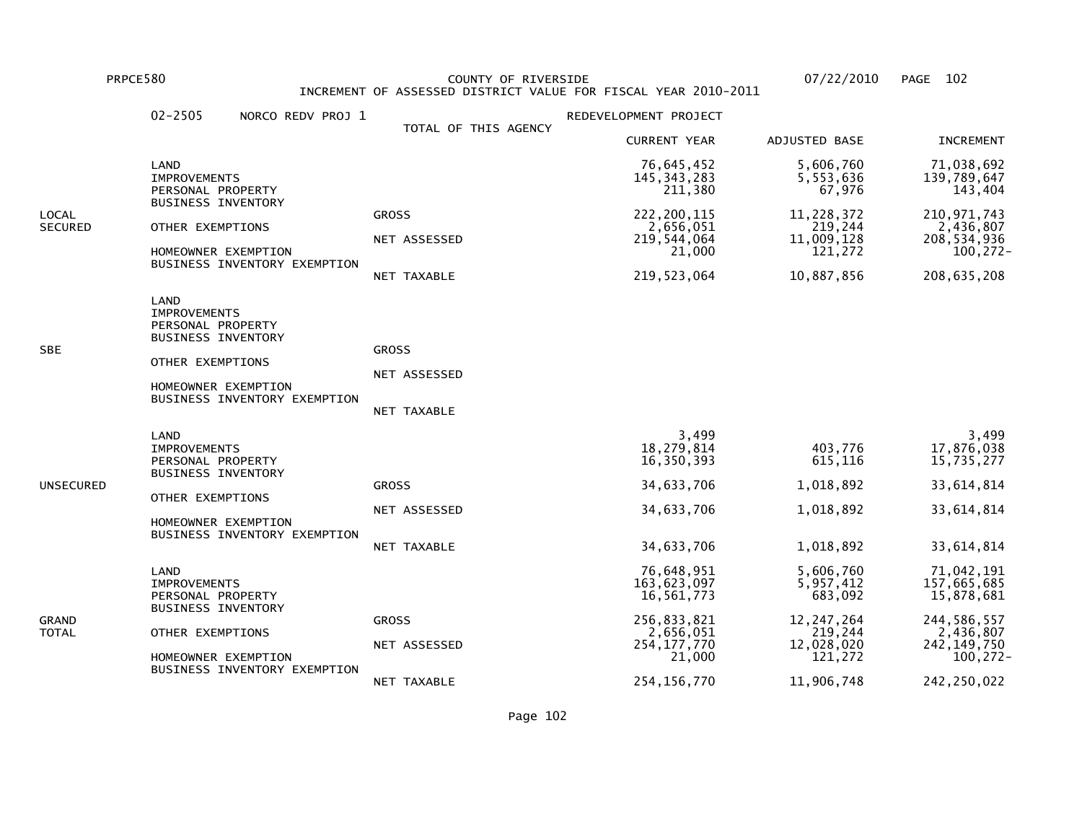PRPCE580 COUNTY OF RIVERSIDE 07/22/2010 PAGE 102 INCREMENT OF ASSESSED DISTRICT VALUE FOR FISCAL YEAR 2010-2011

|                         | $02 - 2505$<br>NORCO REDV PROJ 1                                                                                                                         |                                             | REDEVELOPMENT PROJECT                                                                                           |                                                                                                     |                                                                                                                   |
|-------------------------|----------------------------------------------------------------------------------------------------------------------------------------------------------|---------------------------------------------|-----------------------------------------------------------------------------------------------------------------|-----------------------------------------------------------------------------------------------------|-------------------------------------------------------------------------------------------------------------------|
|                         |                                                                                                                                                          | TOTAL OF THIS AGENCY                        | <b>CURRENT YEAR</b>                                                                                             | ADJUSTED BASE                                                                                       | <b>INCREMENT</b>                                                                                                  |
| LOCAL<br><b>SECURED</b> | LAND<br><b>IMPROVEMENTS</b><br>PERSONAL PROPERTY<br><b>BUSINESS INVENTORY</b><br>OTHER EXEMPTIONS<br>HOMEOWNER EXEMPTION<br>BUSINESS INVENTORY EXEMPTION |                                             | 76,645,452<br>145, 343, 283<br>211,380                                                                          | 5,606,760<br>5,553,636<br>67,976                                                                    | 71,038,692<br>139,789,647<br>143,404                                                                              |
|                         |                                                                                                                                                          | <b>GROSS</b><br>NET ASSESSED<br>NET TAXABLE | 222, 200, 115<br>2,656,051<br>219,544,064<br>21,000<br>219,523,064                                              | 11,228,372<br>219,244<br>11,009,128<br>121,272<br>10,887,856                                        | 210, 971, 743<br>2,436,807<br>208,534,936<br>100,272-<br>208, 635, 208                                            |
| SBE                     | LAND<br><b>IMPROVEMENTS</b><br>PERSONAL PROPERTY<br><b>BUSINESS INVENTORY</b><br>OTHER EXEMPTIONS<br>HOMEOWNER EXEMPTION<br>BUSINESS INVENTORY EXEMPTION | <b>GROSS</b><br>NET ASSESSED<br>NET TAXABLE |                                                                                                                 |                                                                                                     |                                                                                                                   |
| UNSECURED               | LAND<br><b>IMPROVEMENTS</b><br>PERSONAL PROPERTY<br><b>BUSINESS INVENTORY</b><br>OTHER EXEMPTIONS<br>HOMEOWNER EXEMPTION<br>BUSINESS INVENTORY EXEMPTION | <b>GROSS</b><br>NET ASSESSED<br>NET TAXABLE | 3,499<br>18,279,814<br>16,350,393<br>34,633,706<br>34,633,706<br>34,633,706                                     | 403,776<br>615,116<br>1,018,892<br>1,018,892<br>1,018,892                                           | 3,499<br>17,876,038<br>15,735,277<br>33,614,814<br>33,614,814<br>33,614,814                                       |
| GRAND<br>TOTAL          | LAND<br><b>IMPROVEMENTS</b><br>PERSONAL PROPERTY<br><b>BUSINESS INVENTORY</b><br>OTHER EXEMPTIONS<br>HOMEOWNER EXEMPTION<br>BUSINESS INVENTORY EXEMPTION | <b>GROSS</b><br>NET ASSESSED<br>NET TAXABLE | 76,648,951<br>163,623,097<br>16,561,773<br>256,833,821<br>2,656,051<br>254, 177, 770<br>21,000<br>254, 156, 770 | 5,606,760<br>5,957,412<br>683,092<br>12, 247, 264<br>219,244<br>12,028,020<br>121,272<br>11,906,748 | 71,042,191<br>157,665,685<br>15,878,681<br>244,586,557<br>2,436,807<br>242, 149, 750<br>100,272-<br>242, 250, 022 |

Page 102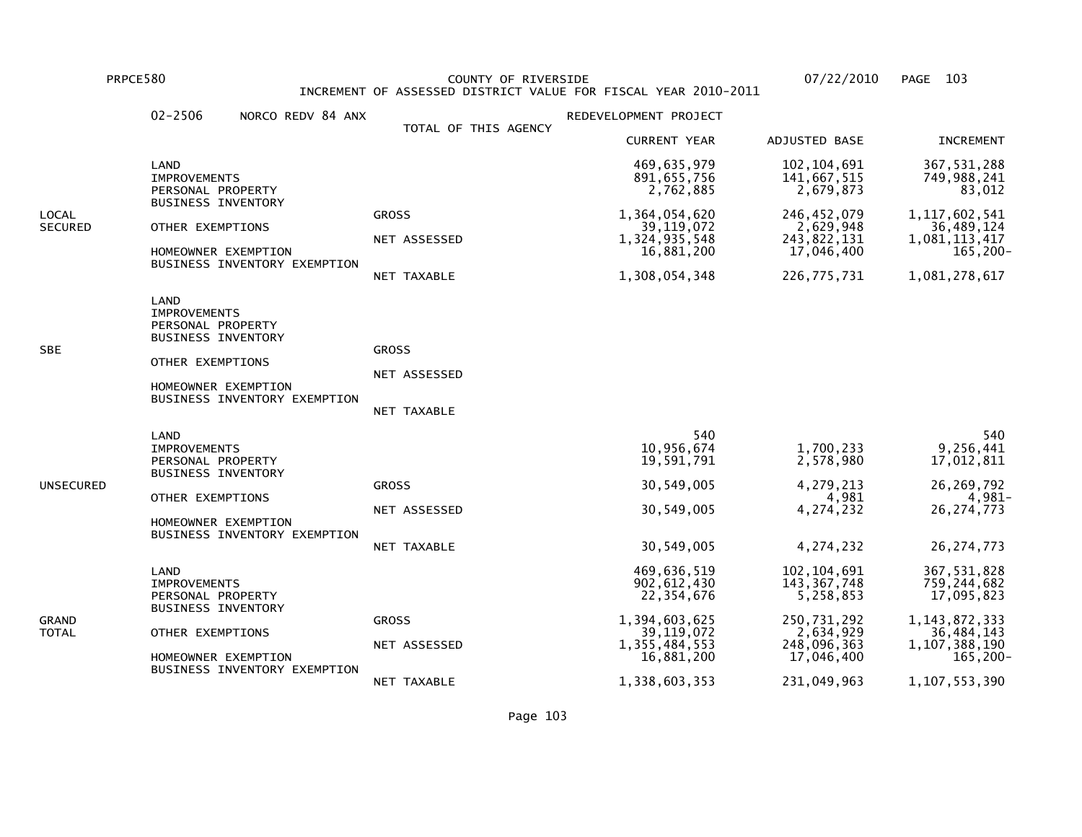PRPCE580 COUNTY OF RIVERSIDE 07/22/2010 PAGE 103 INCREMENT OF ASSESSED DISTRICT VALUE FOR FISCAL YEAR 2010-2011

|                         | $02 - 2506$<br>NORCO REDV 84 ANX                                                                                                                         |                                             | REDEVELOPMENT PROJECT                                                                                       |                                                                                                      |                                                                                                           |
|-------------------------|----------------------------------------------------------------------------------------------------------------------------------------------------------|---------------------------------------------|-------------------------------------------------------------------------------------------------------------|------------------------------------------------------------------------------------------------------|-----------------------------------------------------------------------------------------------------------|
|                         |                                                                                                                                                          | TOTAL OF THIS AGENCY                        | <b>CURRENT YEAR</b>                                                                                         | ADJUSTED BASE                                                                                        | <b>INCREMENT</b>                                                                                          |
|                         | LAND<br><b>IMPROVEMENTS</b><br>PERSONAL PROPERTY                                                                                                         |                                             | 469,635,979<br>891,655,756<br>2,762,885                                                                     | 102, 104, 691<br>141,667,515<br>2,679,873                                                            | 367, 531, 288<br>749,988,241<br>83,012                                                                    |
| LOCAL<br><b>SECURED</b> | <b>BUSINESS INVENTORY</b><br>OTHER EXEMPTIONS<br>HOMEOWNER EXEMPTION<br>BUSINESS INVENTORY EXEMPTION                                                     | <b>GROSS</b><br>NET ASSESSED<br>NET TAXABLE | 1,364,054,620<br>39, 119, 072<br>1,324,935,548<br>16,881,200<br>1,308,054,348                               | 246, 452, 079<br>2,629,948<br>243,822,131<br>17,046,400<br>226,775,731                               | 1, 117, 602, 541<br>36,489,124<br>1,081,113,417<br>165,200-<br>1,081,278,617                              |
| SBE                     | LAND<br><b>IMPROVEMENTS</b><br>PERSONAL PROPERTY<br><b>BUSINESS INVENTORY</b><br>OTHER EXEMPTIONS<br>HOMEOWNER EXEMPTION<br>BUSINESS INVENTORY EXEMPTION | <b>GROSS</b><br>NET ASSESSED<br>NET TAXABLE |                                                                                                             |                                                                                                      |                                                                                                           |
| UNSECURED               | LAND<br><b>IMPROVEMENTS</b><br>PERSONAL PROPERTY<br><b>BUSINESS INVENTORY</b><br>OTHER EXEMPTIONS<br>HOMEOWNER EXEMPTION<br>BUSINESS INVENTORY EXEMPTION | <b>GROSS</b><br>NET ASSESSED<br>NET TAXABLE | 540<br>10,956,674<br>19,591,791<br>30,549,005<br>30,549,005<br>30,549,005                                   | 1,700,233<br>2,578,980<br>4,279,213<br>4,981<br>4,274,232<br>4,274,232                               | 540<br>9,256,441<br>17,012,811<br>26, 269, 792<br>4,981-<br>26, 274, 773<br>26, 274, 773                  |
| GRAND<br>TOTAL          | LAND<br><b>IMPROVEMENTS</b><br>PERSONAL PROPERTY<br><b>BUSINESS INVENTORY</b><br>OTHER EXEMPTIONS<br>HOMEOWNER EXEMPTION<br>BUSINESS INVENTORY EXEMPTION | <b>GROSS</b><br>NET ASSESSED                | 469,636,519<br>902,612,430<br>22,354,676<br>1,394,603,625<br>39, 119, 072<br>1, 355, 484, 553<br>16,881,200 | 102, 104, 691<br>143, 367, 748<br>5,258,853<br>250,731,292<br>2,634,929<br>248,096,363<br>17,046,400 | 367, 531, 828<br>759,244,682<br>17,095,823<br>1, 143, 872, 333<br>36,484,143<br>1,107,388,190<br>165,200- |
|                         |                                                                                                                                                          | NET TAXABLE                                 | 1,338,603,353                                                                                               | 231,049,963                                                                                          | 1,107,553,390                                                                                             |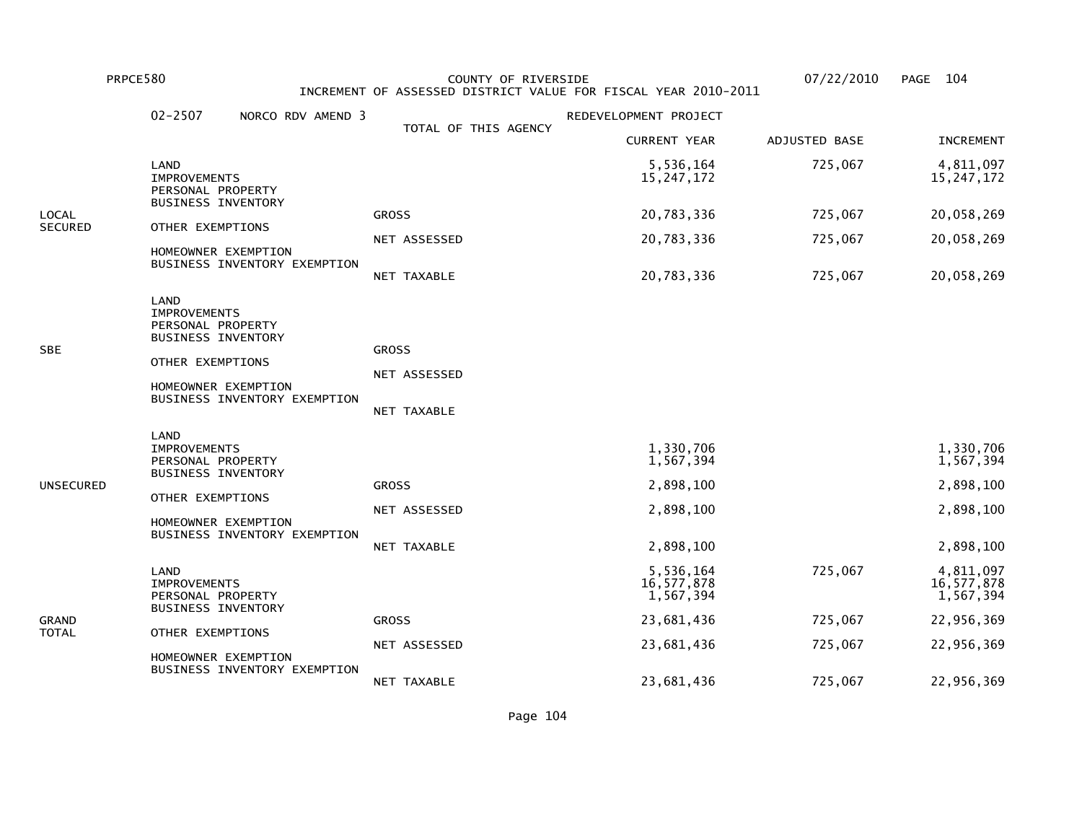PRPCE580 COUNTY OF RIVERSIDE 07/22/2010 PAGE 104 INCREMENT OF ASSESSED DISTRICT VALUE FOR FISCAL YEAR 2010-2011

|                | $02 - 2507$<br>NORCO RDV AMEND 3                                                                                                                         |                                             | REDEVELOPMENT PROJECT                            |               |                                                  |
|----------------|----------------------------------------------------------------------------------------------------------------------------------------------------------|---------------------------------------------|--------------------------------------------------|---------------|--------------------------------------------------|
|                |                                                                                                                                                          | TOTAL OF THIS AGENCY                        | <b>CURRENT YEAR</b>                              | ADJUSTED BASE | <b>INCREMENT</b>                                 |
|                | LAND<br><b>IMPROVEMENTS</b><br>PERSONAL PROPERTY                                                                                                         |                                             | 5,536,164<br>15, 247, 172                        | 725,067       | 4,811,097<br>15, 247, 172                        |
| LOCAL          | <b>BUSINESS INVENTORY</b>                                                                                                                                | <b>GROSS</b>                                | 20,783,336                                       | 725,067       | 20,058,269                                       |
| <b>SECURED</b> | OTHER EXEMPTIONS                                                                                                                                         | NET ASSESSED                                | 20,783,336                                       | 725,067       | 20,058,269                                       |
|                | HOMEOWNER EXEMPTION<br>BUSINESS INVENTORY EXEMPTION                                                                                                      | NET TAXABLE                                 | 20,783,336                                       | 725,067       | 20,058,269                                       |
| SBE            | LAND<br><b>IMPROVEMENTS</b><br>PERSONAL PROPERTY<br><b>BUSINESS INVENTORY</b><br>OTHER EXEMPTIONS<br>HOMEOWNER EXEMPTION<br>BUSINESS INVENTORY EXEMPTION | <b>GROSS</b><br>NET ASSESSED<br>NET TAXABLE |                                                  |               |                                                  |
| UNSECURED      | LAND<br><b>IMPROVEMENTS</b><br>PERSONAL PROPERTY<br><b>BUSINESS INVENTORY</b><br>OTHER EXEMPTIONS<br>HOMEOWNER EXEMPTION<br>BUSINESS INVENTORY EXEMPTION | <b>GROSS</b><br>NET ASSESSED                | 1,330,706<br>1,567,394<br>2,898,100<br>2,898,100 |               | 1,330,706<br>1,567,394<br>2,898,100<br>2,898,100 |
|                |                                                                                                                                                          | NET TAXABLE                                 | 2,898,100                                        |               | 2,898,100                                        |
| GRAND<br>TOTAL | LAND<br><b>IMPROVEMENTS</b><br>PERSONAL PROPERTY<br><b>BUSINESS INVENTORY</b>                                                                            |                                             | 5,536,164<br>16,577,878<br>1,567,394             | 725,067       | 4,811,097<br>16,577,878<br>1,567,394             |
|                |                                                                                                                                                          | <b>GROSS</b>                                | 23,681,436                                       | 725,067       | 22,956,369                                       |
|                | OTHER EXEMPTIONS<br>HOMEOWNER EXEMPTION<br>BUSINESS INVENTORY EXEMPTION                                                                                  | NET ASSESSED                                | 23,681,436                                       | 725,067       | 22,956,369                                       |
|                |                                                                                                                                                          | NET TAXABLE                                 | 23,681,436                                       | 725,067       | 22,956,369                                       |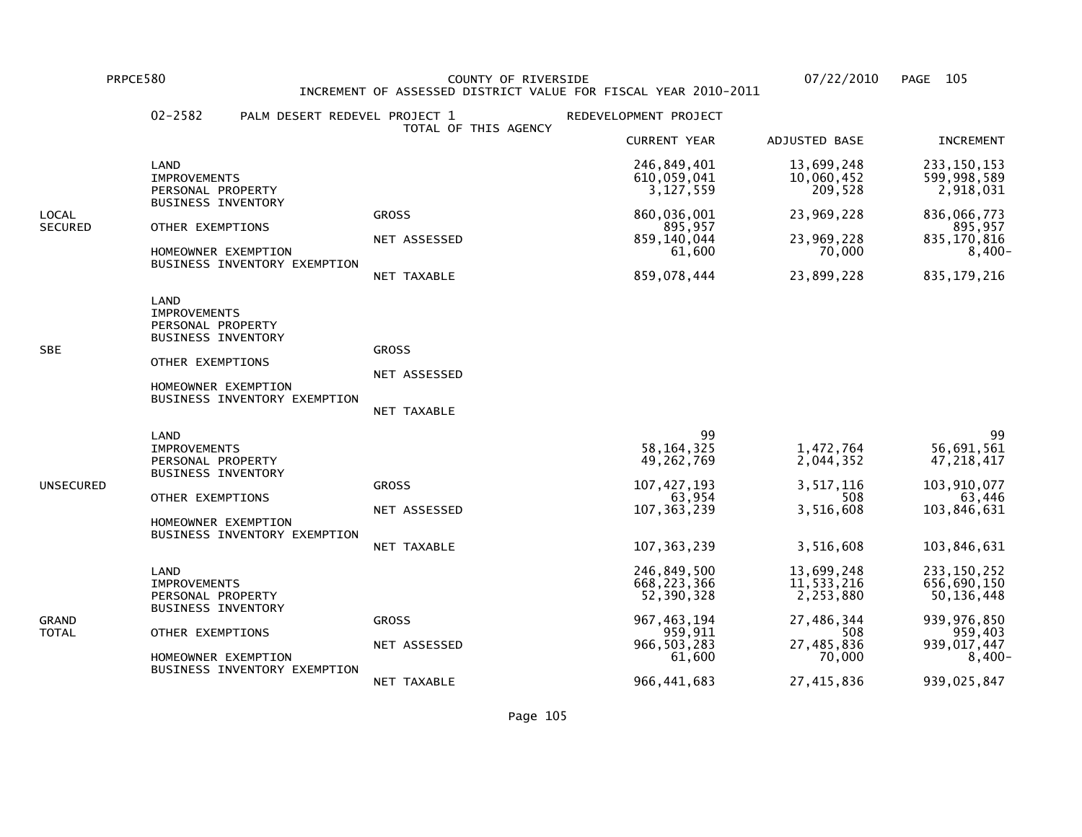PRPCE580 COUNTY OF RIVERSIDE 07/22/2010 PAGE 105 INCREMENT OF ASSESSED DISTRICT VALUE FOR FISCAL YEAR 2010-2011

|                         | $02 - 2582$                                                                                                                                              | PALM DESERT REDEVEL PROJECT 1<br>TOTAL OF THIS AGENCY | REDEVELOPMENT PROJECT                                                                                              |                                                                                                  |                                                                                                                  |
|-------------------------|----------------------------------------------------------------------------------------------------------------------------------------------------------|-------------------------------------------------------|--------------------------------------------------------------------------------------------------------------------|--------------------------------------------------------------------------------------------------|------------------------------------------------------------------------------------------------------------------|
|                         |                                                                                                                                                          |                                                       | <b>CURRENT YEAR</b>                                                                                                | ADJUSTED BASE                                                                                    | <b>INCREMENT</b>                                                                                                 |
|                         | LAND<br><b>IMPROVEMENTS</b><br>PERSONAL PROPERTY<br><b>BUSINESS INVENTORY</b>                                                                            |                                                       | 246,849,401<br>610,059,041<br>3, 127, 559                                                                          | 13,699,248<br>10,060,452<br>209,528                                                              | 233, 150, 153<br>599,998,589<br>2,918,031                                                                        |
| LOCAL<br><b>SECURED</b> | OTHER EXEMPTIONS<br>HOMEOWNER EXEMPTION<br>BUSINESS INVENTORY EXEMPTION                                                                                  | <b>GROSS</b><br>NET ASSESSED<br>NET TAXABLE           | 860,036,001<br>895,957<br>859, 140, 044<br>61,600<br>859,078,444                                                   | 23,969,228<br>23,969,228<br>70,000<br>23,899,228                                                 | 836,066,773<br>895,957<br>835,170,816<br>$8,400-$<br>835, 179, 216                                               |
| SBE                     | LAND<br><b>IMPROVEMENTS</b><br>PERSONAL PROPERTY<br><b>BUSINESS INVENTORY</b><br>OTHER EXEMPTIONS<br>HOMEOWNER EXEMPTION<br>BUSINESS INVENTORY EXEMPTION | <b>GROSS</b><br>NET ASSESSED<br>NET TAXABLE           |                                                                                                                    |                                                                                                  |                                                                                                                  |
| UNSECURED               | LAND<br><b>IMPROVEMENTS</b><br>PERSONAL PROPERTY<br><b>BUSINESS INVENTORY</b><br>OTHER EXEMPTIONS<br>HOMEOWNER EXEMPTION<br>BUSINESS INVENTORY EXEMPTION | <b>GROSS</b><br>NET ASSESSED<br>NET TAXABLE           | 99<br>58, 164, 325<br>49,262,769<br>107, 427, 193<br>63,954<br>107, 363, 239<br>107, 363, 239                      | 1,472,764<br>2,044,352<br>3,517,116<br>508<br>3,516,608<br>3,516,608                             | 99<br>56,691,561<br>47, 218, 417<br>103,910,077<br>63,446<br>103,846,631<br>103,846,631                          |
| GRAND<br>TOTAL          | LAND<br><b>IMPROVEMENTS</b><br>PERSONAL PROPERTY<br><b>BUSINESS INVENTORY</b><br>OTHER EXEMPTIONS<br>HOMEOWNER EXEMPTION<br>BUSINESS INVENTORY EXEMPTION | <b>GROSS</b><br>NET ASSESSED<br>NET TAXABLE           | 246,849,500<br>668, 223, 366<br>52,390,328<br>967, 463, 194<br>959,911<br>966, 503, 283<br>61,600<br>966, 441, 683 | 13,699,248<br>11,533,216<br>2,253,880<br>27,486,344<br>508<br>27,485,836<br>70,000<br>27,415,836 | 233, 150, 252<br>656,690,150<br>50,136,448<br>939, 976, 850<br>959,403<br>939,017,447<br>$8,400-$<br>939,025,847 |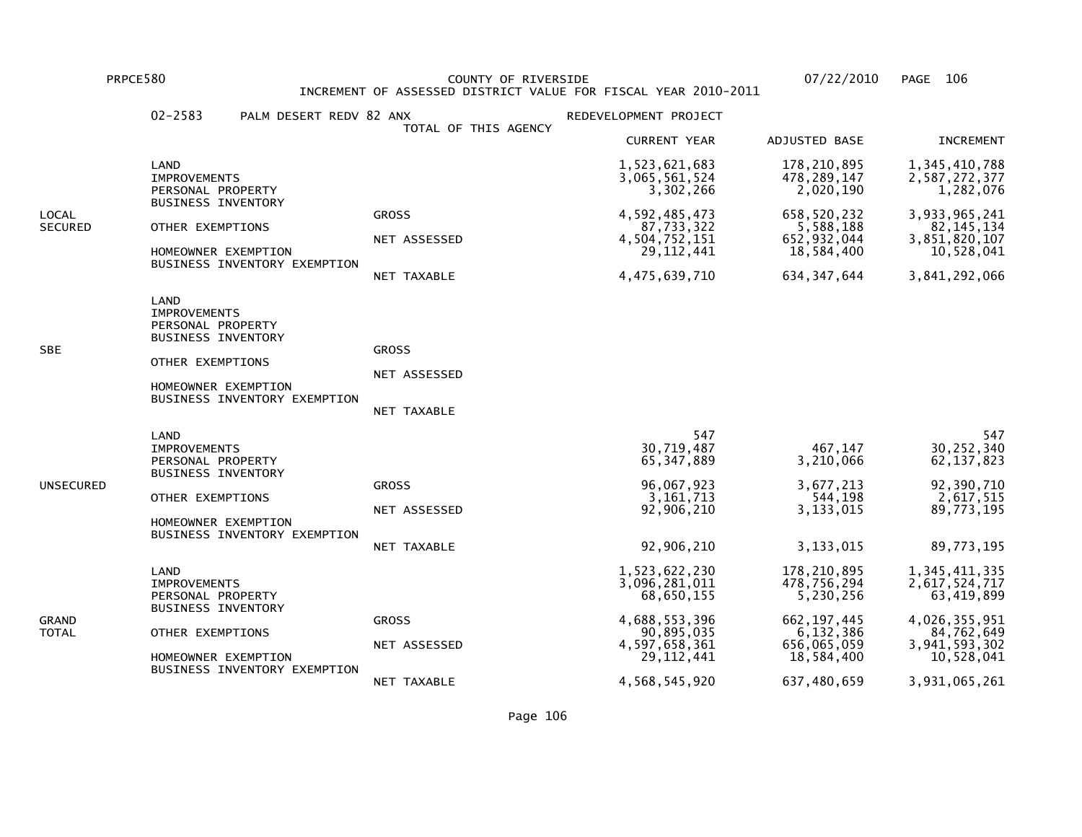PRPCE580 COUNTY OF RIVERSIDE 07/22/2010 PAGE 106 INCREMENT OF ASSESSED DISTRICT VALUE FOR FISCAL YEAR 2010-2011

|                  | $02 - 2583$<br>PALM DESERT REDV 82 ANX                                                                                                                   | TOTAL OF THIS AGENCY                        | REDEVELOPMENT PROJECT                                                                                                         |                                                                                                                   |                                                                                                                             |
|------------------|----------------------------------------------------------------------------------------------------------------------------------------------------------|---------------------------------------------|-------------------------------------------------------------------------------------------------------------------------------|-------------------------------------------------------------------------------------------------------------------|-----------------------------------------------------------------------------------------------------------------------------|
|                  |                                                                                                                                                          |                                             | <b>CURRENT YEAR</b>                                                                                                           | ADJUSTED BASE                                                                                                     | <b>INCREMENT</b>                                                                                                            |
|                  | LAND<br><b>IMPROVEMENTS</b><br>PERSONAL PROPERTY                                                                                                         |                                             | 1,523,621,683<br>3,065,561,524<br>3,302,266                                                                                   | 178, 210, 895<br>478, 289, 147<br>2,020,190                                                                       | 1, 345, 410, 788<br>2,587,272,377<br>1,282,076                                                                              |
| LOCAL<br>SECURED | <b>BUSINESS INVENTORY</b><br>OTHER EXEMPTIONS<br>HOMEOWNER EXEMPTION<br>BUSINESS INVENTORY EXEMPTION                                                     | <b>GROSS</b><br>NET ASSESSED<br>NET TAXABLE | 4,592,485,473<br>87,733,322<br>4,504,752,151<br>29, 112, 441<br>4,475,639,710                                                 | 658,520,232<br>5,588,188<br>652, 932, 044<br>18,584,400<br>634, 347, 644                                          | 3,933,965,241<br>82, 145, 134<br>3,851,820,107<br>10,528,041<br>3,841,292,066                                               |
| SBE              | LAND<br><b>IMPROVEMENTS</b><br>PERSONAL PROPERTY<br><b>BUSINESS INVENTORY</b><br>OTHER EXEMPTIONS<br>HOMEOWNER EXEMPTION<br>BUSINESS INVENTORY EXEMPTION | <b>GROSS</b><br>NET ASSESSED<br>NET TAXABLE |                                                                                                                               |                                                                                                                   |                                                                                                                             |
| UNSECURED        | LAND<br><b>IMPROVEMENTS</b><br>PERSONAL PROPERTY<br><b>BUSINESS INVENTORY</b><br>OTHER EXEMPTIONS<br>HOMEOWNER EXEMPTION<br>BUSINESS INVENTORY EXEMPTION | <b>GROSS</b><br>NET ASSESSED<br>NET TAXABLE | 547<br>30,719,487<br>65, 347, 889<br>96,067,923<br>3, 161, 713<br>92,906,210<br>92,906,210                                    | 467,147<br>3,210,066<br>3,677,213<br>544,198<br>3,133,015<br>3,133,015                                            | 547<br>30,252,340<br>62, 137, 823<br>92,390,710<br>2,617,515<br>89,773,195<br>89,773,195                                    |
| GRAND<br>TOTAL   | LAND<br><b>IMPROVEMENTS</b><br>PERSONAL PROPERTY<br><b>BUSINESS INVENTORY</b><br>OTHER EXEMPTIONS<br>HOMEOWNER EXEMPTION<br>BUSINESS INVENTORY EXEMPTION | <b>GROSS</b><br>NET ASSESSED<br>NET TAXABLE | 1,523,622,230<br>3,096,281,011<br>68,650,155<br>4,688,553,396<br>90,895,035<br>4,597,658,361<br>29, 112, 441<br>4,568,545,920 | 178,210,895<br>478,756,294<br>5,230,256<br>662, 197, 445<br>6,132,386<br>656,065,059<br>18,584,400<br>637,480,659 | 1,345,411,335<br>2,617,524,717<br>63,419,899<br>4,026,355,951<br>84,762,649<br>3,941,593,302<br>10,528,041<br>3,931,065,261 |

Page 106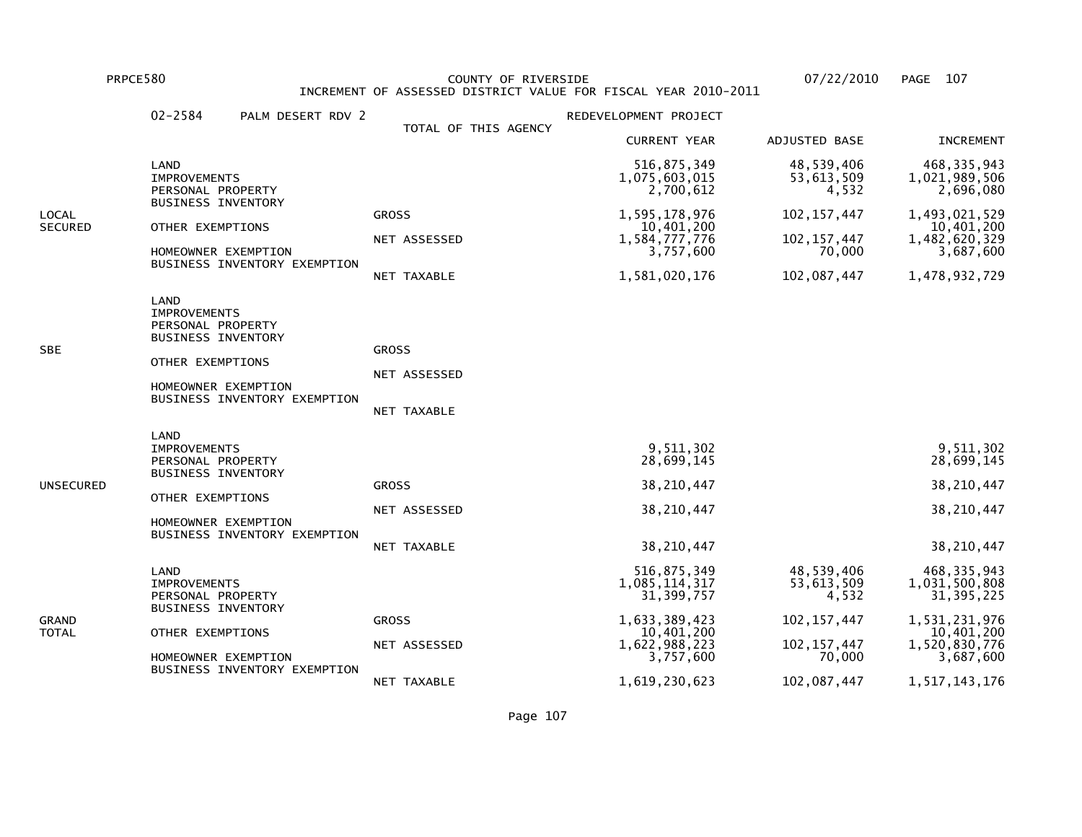PRPCE580 COUNTY OF RIVERSIDE 07/22/2010 PAGE 107 INCREMENT OF ASSESSED DISTRICT VALUE FOR FISCAL YEAR 2010-2011

|                  | $02 - 2584$<br>PALM DESERT RDV 2                                                                                                                         |                                                    | REDEVELOPMENT PROJECT                                                                                     |                                                                               |                                                                                                             |
|------------------|----------------------------------------------------------------------------------------------------------------------------------------------------------|----------------------------------------------------|-----------------------------------------------------------------------------------------------------------|-------------------------------------------------------------------------------|-------------------------------------------------------------------------------------------------------------|
|                  |                                                                                                                                                          | TOTAL OF THIS AGENCY                               | <b>CURRENT YEAR</b>                                                                                       | ADJUSTED BASE                                                                 | <b>INCREMENT</b>                                                                                            |
|                  | LAND<br><b>IMPROVEMENTS</b><br>PERSONAL PROPERTY                                                                                                         |                                                    | 516,875,349<br>1,075,603,015<br>2,700,612                                                                 | 48,539,406<br>53,613,509<br>4,532                                             | 468, 335, 943<br>1,021,989,506<br>2,696,080                                                                 |
| LOCAL<br>SECURED | <b>BUSINESS INVENTORY</b><br>OTHER EXEMPTIONS<br>HOMEOWNER EXEMPTION<br>BUSINESS INVENTORY EXEMPTION                                                     | <b>GROSS</b><br>NET ASSESSED<br>NET TAXABLE        | 1,595,178,976<br>10,401,200<br>1,584,777,776<br>3,757,600<br>1,581,020,176                                | 102, 157, 447<br>102, 157, 447<br>70,000<br>102,087,447                       | 1,493,021,529<br>10,401,200<br>1,482,620,329<br>3,687,600<br>1,478,932,729                                  |
| SBE              | LAND<br><b>IMPROVEMENTS</b><br>PERSONAL PROPERTY<br><b>BUSINESS INVENTORY</b><br>OTHER EXEMPTIONS<br>HOMEOWNER EXEMPTION<br>BUSINESS INVENTORY EXEMPTION | <b>GROSS</b><br>NET ASSESSED<br>NET TAXABLE        |                                                                                                           |                                                                               |                                                                                                             |
| UNSECURED        | LAND<br><b>IMPROVEMENTS</b><br>PERSONAL PROPERTY<br><b>BUSINESS INVENTORY</b><br>OTHER EXEMPTIONS<br>HOMEOWNER EXEMPTION<br>BUSINESS INVENTORY EXEMPTION | <b>GROSS</b><br>NET ASSESSED<br><b>NET TAXABLE</b> | 9,511,302<br>28,699,145<br>38,210,447<br>38,210,447<br>38,210,447                                         |                                                                               | 9,511,302<br>28,699,145<br>38,210,447<br>38,210,447<br>38,210,447                                           |
| GRAND<br>TOTAL   | LAND<br><b>IMPROVEMENTS</b><br>PERSONAL PROPERTY<br><b>BUSINESS INVENTORY</b><br>OTHER EXEMPTIONS<br>HOMEOWNER EXEMPTION<br>BUSINESS INVENTORY EXEMPTION | <b>GROSS</b><br>NET ASSESSED                       | 516,875,349<br>1,085,114,317<br>31, 399, 757<br>1,633,389,423<br>10,401,200<br>1,622,988,223<br>3,757,600 | 48,539,406<br>53,613,509<br>4,532<br>102, 157, 447<br>102, 157, 447<br>70,000 | 468, 335, 943<br>1,031,500,808<br>31, 395, 225<br>1,531,231,976<br>10,401,200<br>1,520,830,776<br>3,687,600 |
|                  |                                                                                                                                                          | NET TAXABLE                                        | 1,619,230,623                                                                                             | 102,087,447                                                                   | 1,517,143,176                                                                                               |

Page 107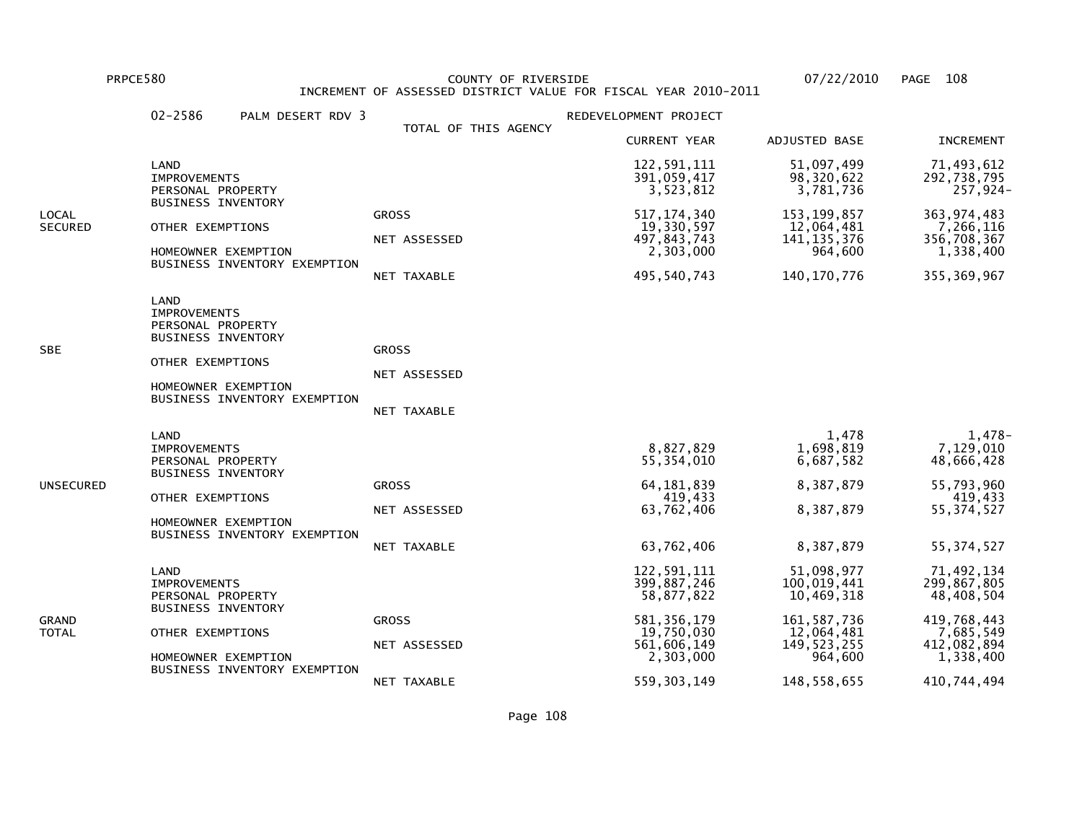PRPCE580 COUNTY OF RIVERSIDE 07/22/2010 PAGE 108 INCREMENT OF ASSESSED DISTRICT VALUE FOR FISCAL YEAR 2010-2011

|                  | $02 - 2586$<br>PALM DESERT RDV 3                                                                                                                         |                                                    | REDEVELOPMENT PROJECT                                                                                                |                                                                                                                   |                                                                                                                |
|------------------|----------------------------------------------------------------------------------------------------------------------------------------------------------|----------------------------------------------------|----------------------------------------------------------------------------------------------------------------------|-------------------------------------------------------------------------------------------------------------------|----------------------------------------------------------------------------------------------------------------|
|                  |                                                                                                                                                          | TOTAL OF THIS AGENCY                               | <b>CURRENT YEAR</b>                                                                                                  | ADJUSTED BASE                                                                                                     | <b>INCREMENT</b>                                                                                               |
| LOCAL<br>SECURED | LAND<br><b>IMPROVEMENTS</b><br>PERSONAL PROPERTY                                                                                                         |                                                    | 122,591,111<br>391,059,417<br>3,523,812                                                                              | 51,097,499<br>98,320,622<br>3,781,736                                                                             | 71,493,612<br>292,738,795<br>257,924-                                                                          |
|                  | <b>BUSINESS INVENTORY</b><br>OTHER EXEMPTIONS<br>HOMEOWNER EXEMPTION<br>BUSINESS INVENTORY EXEMPTION                                                     | <b>GROSS</b><br>NET ASSESSED<br>NET TAXABLE        | 517, 174, 340<br>19,330,597<br>497,843,743<br>2,303,000<br>495,540,743                                               | 153, 199, 857<br>12,064,481<br>141, 135, 376<br>964,600<br>140, 170, 776                                          | 363, 974, 483<br>7,266,116<br>356,708,367<br>1,338,400<br>355, 369, 967                                        |
| SBE              | LAND<br><b>IMPROVEMENTS</b><br>PERSONAL PROPERTY<br><b>BUSINESS INVENTORY</b><br>OTHER EXEMPTIONS<br>HOMEOWNER EXEMPTION<br>BUSINESS INVENTORY EXEMPTION | <b>GROSS</b><br>NET ASSESSED<br>NET TAXABLE        |                                                                                                                      |                                                                                                                   |                                                                                                                |
| UNSECURED        | LAND<br><b>IMPROVEMENTS</b><br>PERSONAL PROPERTY<br><b>BUSINESS INVENTORY</b><br>OTHER EXEMPTIONS<br>HOMEOWNER EXEMPTION<br>BUSINESS INVENTORY EXEMPTION | <b>GROSS</b><br>NET ASSESSED<br><b>NET TAXABLE</b> | 8,827,829<br>55, 354, 010<br>64, 181, 839<br>419,433<br>63,762,406<br>63,762,406                                     | 1,478<br>1,698,819<br>6,687,582<br>8,387,879<br>8,387,879<br>8,387,879                                            | 1,478-<br>7,129,010<br>48,666,428<br>55,793,960<br>419,433<br>55, 374, 527<br>55, 374, 527                     |
| GRAND<br>TOTAL   | LAND<br><b>IMPROVEMENTS</b><br>PERSONAL PROPERTY<br>BUSINESS INVENTORY<br>OTHER EXEMPTIONS<br>HOMEOWNER EXEMPTION<br>BUSINESS INVENTORY EXEMPTION        | <b>GROSS</b><br>NET ASSESSED<br>NET TAXABLE        | 122,591,111<br>399,887,246<br>58,877,822<br>581, 356, 179<br>19,750,030<br>561,606,149<br>2,303,000<br>559, 303, 149 | 51,098,977<br>100,019,441<br>10,469,318<br>161, 587, 736<br>12,064,481<br>149, 523, 255<br>964,600<br>148,558,655 | 71,492,134<br>299,867,805<br>48,408,504<br>419,768,443<br>7,685,549<br>412,082,894<br>1,338,400<br>410,744,494 |
|                  |                                                                                                                                                          |                                                    |                                                                                                                      |                                                                                                                   |                                                                                                                |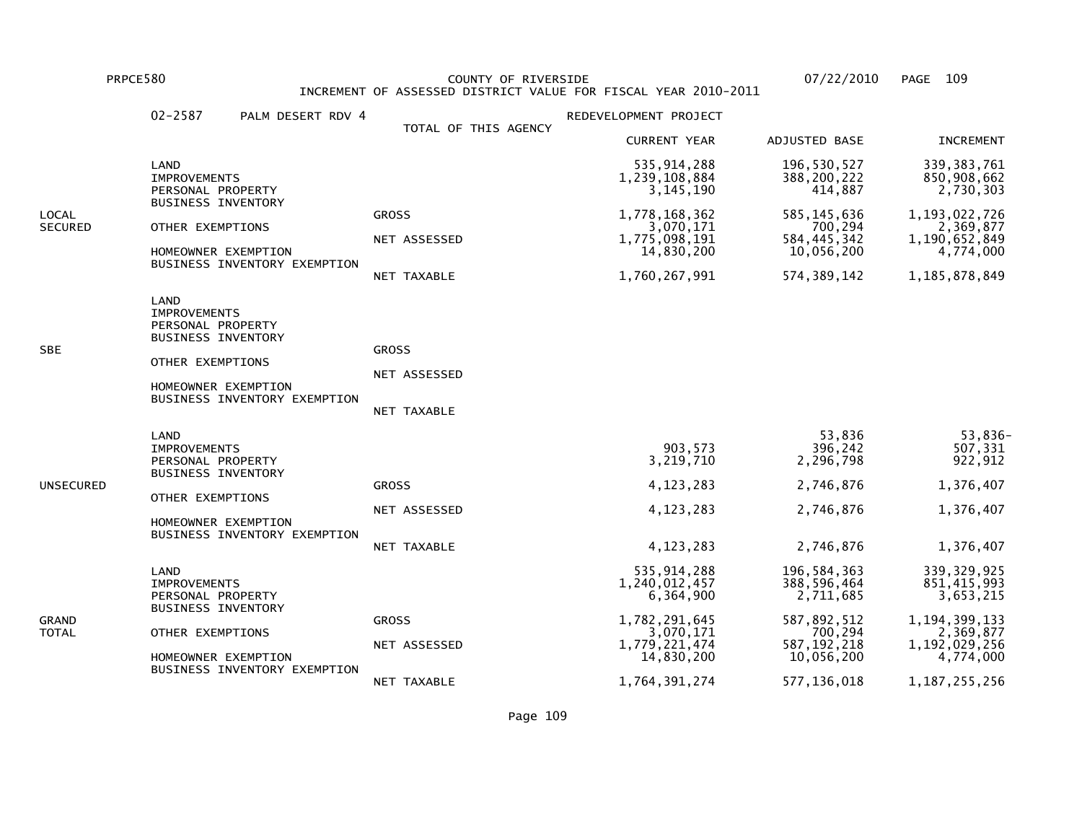PRPCE580 COUNTY OF RIVERSIDE 07/22/2010 PAGE 109 INCREMENT OF ASSESSED DISTRICT VALUE FOR FISCAL YEAR 2010-2011

|                         | $02 - 2587$<br>PALM DESERT RDV 4                                                                                                                         |                                             | REDEVELOPMENT PROJECT                                                                                                     |                                                                                                                   |                                                                                                                           |
|-------------------------|----------------------------------------------------------------------------------------------------------------------------------------------------------|---------------------------------------------|---------------------------------------------------------------------------------------------------------------------------|-------------------------------------------------------------------------------------------------------------------|---------------------------------------------------------------------------------------------------------------------------|
|                         |                                                                                                                                                          | TOTAL OF THIS AGENCY                        | <b>CURRENT YEAR</b>                                                                                                       | ADJUSTED BASE                                                                                                     | <b>INCREMENT</b>                                                                                                          |
|                         | LAND<br><b>IMPROVEMENTS</b><br>PERSONAL PROPERTY                                                                                                         |                                             | 535, 914, 288<br>1,239,108,884<br>3, 145, 190                                                                             | 196,530,527<br>388, 200, 222<br>414,887                                                                           | 339, 383, 761<br>850,908,662<br>2,730,303                                                                                 |
| LOCAL<br><b>SECURED</b> | <b>BUSINESS INVENTORY</b><br>OTHER EXEMPTIONS<br>HOMEOWNER EXEMPTION<br>BUSINESS INVENTORY EXEMPTION                                                     | <b>GROSS</b><br>NET ASSESSED<br>NET TAXABLE | 1,778,168,362<br>3,070,171<br>1,775,098,191<br>14,830,200<br>1,760,267,991                                                | 585, 145, 636<br>700,294<br>584, 445, 342<br>10,056,200<br>574, 389, 142                                          | 1, 193, 022, 726<br>2,369,877<br>1,190,652,849<br>4,774,000<br>1,185,878,849                                              |
| SBE                     | LAND<br><b>IMPROVEMENTS</b><br>PERSONAL PROPERTY<br><b>BUSINESS INVENTORY</b><br>OTHER EXEMPTIONS<br>HOMEOWNER EXEMPTION<br>BUSINESS INVENTORY EXEMPTION | <b>GROSS</b><br>NET ASSESSED<br>NET TAXABLE |                                                                                                                           |                                                                                                                   |                                                                                                                           |
| UNSECURED               | LAND<br><b>IMPROVEMENTS</b><br>PERSONAL PROPERTY<br><b>BUSINESS INVENTORY</b><br>OTHER EXEMPTIONS<br>HOMEOWNER EXEMPTION<br>BUSINESS INVENTORY EXEMPTION | <b>GROSS</b><br>NET ASSESSED<br>NET TAXABLE | 903,573<br>3,219,710<br>4, 123, 283<br>4, 123, 283<br>4, 123, 283                                                         | 53,836<br>396,242<br>2,296,798<br>2,746,876<br>2,746,876<br>2,746,876                                             | 53,836-<br>507,331<br>922,912<br>1,376,407<br>1,376,407<br>1,376,407                                                      |
| GRAND<br>TOTAL          | LAND<br><b>IMPROVEMENTS</b><br>PERSONAL PROPERTY<br><b>BUSINESS INVENTORY</b><br>OTHER EXEMPTIONS<br>HOMEOWNER EXEMPTION<br>BUSINESS INVENTORY EXEMPTION | <b>GROSS</b><br>NET ASSESSED<br>NET TAXABLE | 535, 914, 288<br>1,240,012,457<br>6,364,900<br>1,782,291,645<br>3,070,171<br>1,779,221,474<br>14,830,200<br>1,764,391,274 | 196, 584, 363<br>388,596,464<br>2,711,685<br>587,892,512<br>700,294<br>587, 192, 218<br>10,056,200<br>577,136,018 | 339, 329, 925<br>851,415,993<br>3,653,215<br>1,194,399,133<br>2,369,877<br>1,192,029,256<br>4,774,000<br>1, 187, 255, 256 |

Page 109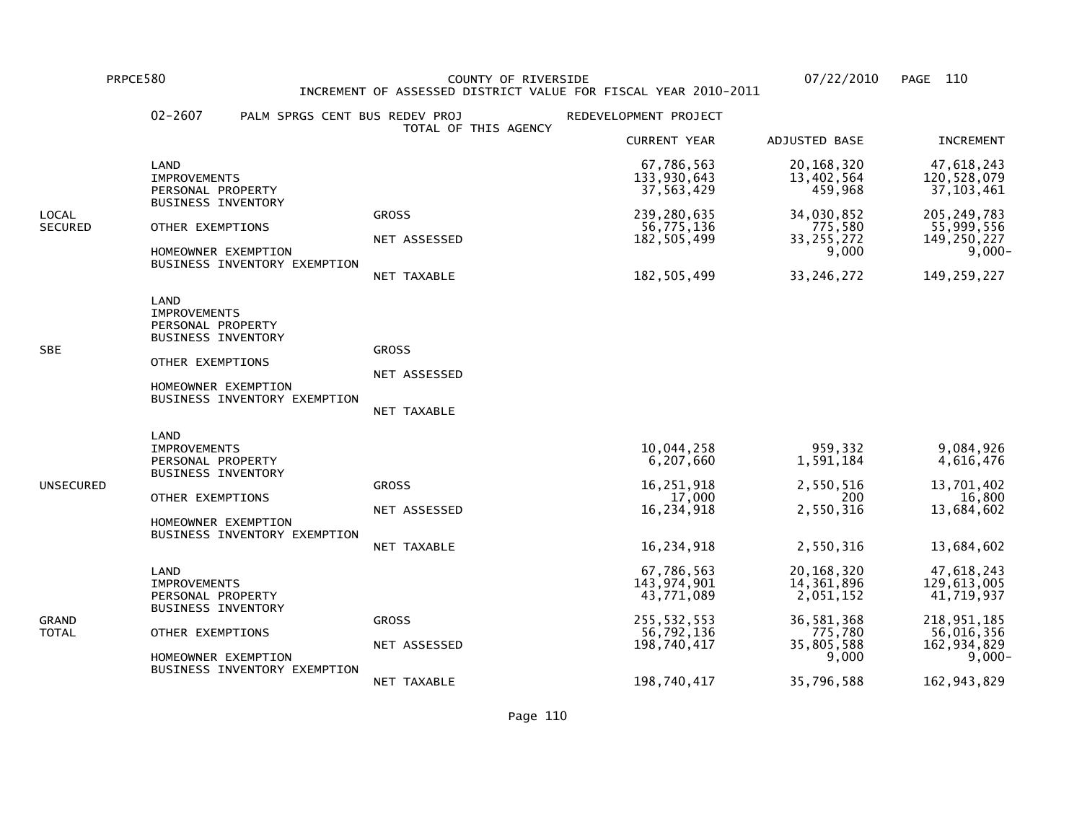PRPCE580 COUNTY OF RIVERSIDE 07/22/2010 PAGE 110 INCREMENT OF ASSESSED DISTRICT VALUE FOR FISCAL YEAR 2010-2011

|                         | $02 - 2607$                                                                                                              | PALM SPRGS CENT BUS REDEV PROJ                      | TOTAL OF THIS AGENCY                        | REDEVELOPMENT PROJECT                                                                 |                                                                                       |                                                                                                    |
|-------------------------|--------------------------------------------------------------------------------------------------------------------------|-----------------------------------------------------|---------------------------------------------|---------------------------------------------------------------------------------------|---------------------------------------------------------------------------------------|----------------------------------------------------------------------------------------------------|
|                         |                                                                                                                          |                                                     |                                             | <b>CURRENT YEAR</b>                                                                   | ADJUSTED BASE                                                                         | <b>INCREMENT</b>                                                                                   |
|                         | LAND<br>IMPROVEMENTS<br>PERSONAL PROPERTY                                                                                |                                                     |                                             | 67,786,563<br>133,930,643<br>37,563,429                                               | 20, 168, 320<br>13,402,564<br>459,968                                                 | 47,618,243<br>120,528,079<br>37, 103, 461                                                          |
| LOCAL<br><b>SECURED</b> | <b>BUSINESS INVENTORY</b><br>OTHER EXEMPTIONS                                                                            | HOMEOWNER EXEMPTION<br>BUSINESS INVENTORY EXEMPTION | <b>GROSS</b><br>NET ASSESSED<br>NET TAXABLE | 239,280,635<br>56,775,136<br>182, 505, 499<br>182, 505, 499                           | 34,030,852<br>775,580<br>33, 255, 272<br>9,000<br>33, 246, 272                        | 205, 249, 783<br>55,999,556<br>149,250,227<br>$9,000 -$<br>149,259,227                             |
| SBE                     | LAND<br><b>IMPROVEMENTS</b><br>PERSONAL PROPERTY<br><b>BUSINESS INVENTORY</b><br>OTHER EXEMPTIONS                        | HOMEOWNER EXEMPTION<br>BUSINESS INVENTORY EXEMPTION | <b>GROSS</b><br>NET ASSESSED<br>NET TAXABLE |                                                                                       |                                                                                       |                                                                                                    |
| UNSECURED               | LAND<br><b>IMPROVEMENTS</b><br>PERSONAL PROPERTY<br><b>BUSINESS INVENTORY</b><br>OTHER EXEMPTIONS                        | HOMEOWNER EXEMPTION<br>BUSINESS INVENTORY EXEMPTION | <b>GROSS</b><br>NET ASSESSED<br>NET TAXABLE | 10,044,258<br>6,207,660<br>16,251,918<br>17,000<br>16,234,918<br>16,234,918           | 959,332<br>1,591,184<br>2,550,516<br>200<br>2,550,316<br>2,550,316                    | 9,084,926<br>4,616,476<br>13,701,402<br>16,800<br>13,684,602<br>13,684,602                         |
| GRAND<br>TOTAL          | LAND<br><b>IMPROVEMENTS</b><br>PERSONAL PROPERTY<br><b>BUSINESS INVENTORY</b><br>OTHER EXEMPTIONS<br>HOMEOWNER EXEMPTION | BUSINESS INVENTORY EXEMPTION                        | <b>GROSS</b><br>NET ASSESSED                | 67,786,563<br>143,974,901<br>43,771,089<br>255, 532, 553<br>56,792,136<br>198,740,417 | 20,168,320<br>14,361,896<br>2,051,152<br>36,581,368<br>775,780<br>35,805,588<br>9,000 | 47,618,243<br>129,613,005<br>41,719,937<br>218,951,185<br>56,016,356<br>162, 934, 829<br>$9,000 -$ |
|                         |                                                                                                                          |                                                     | NET TAXABLE                                 | 198,740,417                                                                           | 35,796,588                                                                            | 162, 943, 829                                                                                      |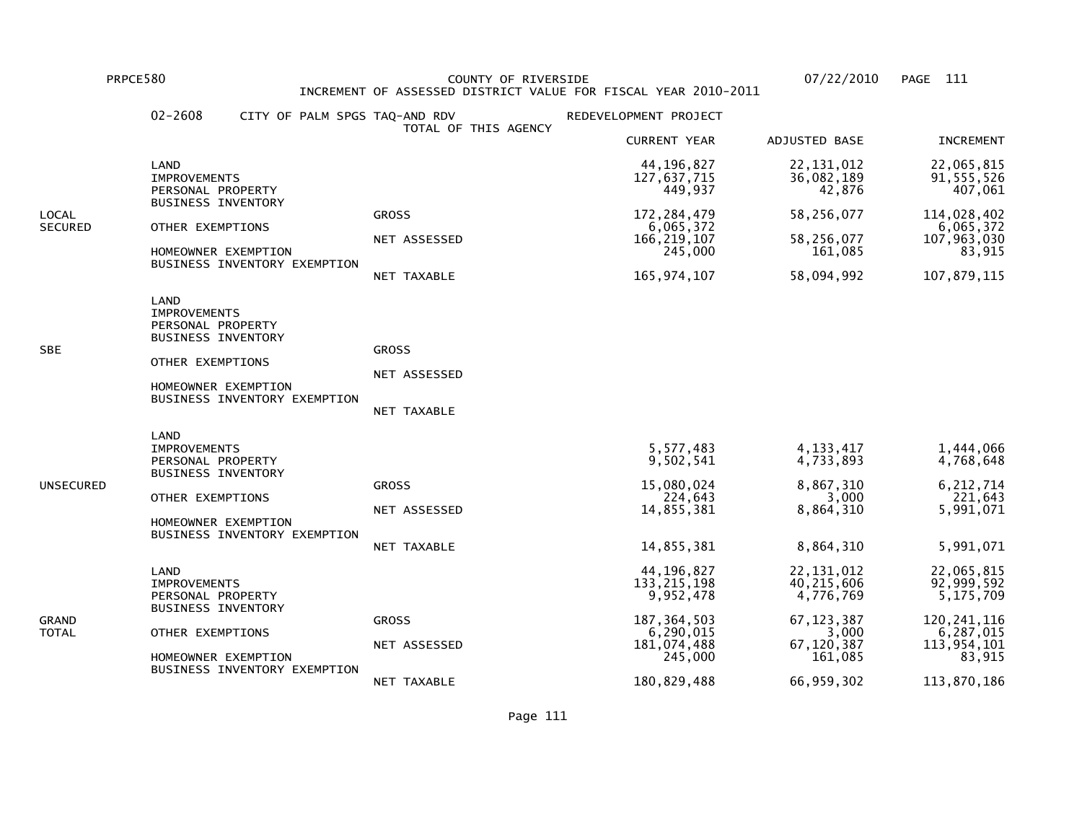PRPCE580 COUNTY OF RIVERSIDE 07/22/2010 PAGE 111 INCREMENT OF ASSESSED DISTRICT VALUE FOR FISCAL YEAR 2010-2011

|                       | $02 - 2608$<br>CITY OF PALM SPGS TAQ-AND RDV                                                                                                             | TOTAL OF THIS AGENCY                        | REDEVELOPMENT PROJECT                                                                              |                                                                                             |                                                                                              |
|-----------------------|----------------------------------------------------------------------------------------------------------------------------------------------------------|---------------------------------------------|----------------------------------------------------------------------------------------------------|---------------------------------------------------------------------------------------------|----------------------------------------------------------------------------------------------|
|                       |                                                                                                                                                          |                                             | <b>CURRENT YEAR</b>                                                                                | ADJUSTED BASE                                                                               | <b>INCREMENT</b>                                                                             |
|                       | LAND<br><b>IMPROVEMENTS</b><br>PERSONAL PROPERTY<br><b>BUSINESS INVENTORY</b>                                                                            |                                             | 44, 196, 827<br>127,637,715<br>449,937                                                             | 22, 131, 012<br>36,082,189<br>42,876                                                        | 22,065,815<br>91,555,526<br>407,061                                                          |
| LOCAL<br>SECURED      | OTHER EXEMPTIONS<br>HOMEOWNER EXEMPTION<br>BUSINESS INVENTORY EXEMPTION                                                                                  | <b>GROSS</b><br>NET ASSESSED<br>NET TAXABLE | 172, 284, 479<br>6,065,372<br>166, 219, 107<br>245,000<br>165, 974, 107                            | 58,256,077<br>58,256,077<br>161,085<br>58,094,992                                           | 114,028,402<br>6,065,372<br>107, 963, 030<br>83,915<br>107,879,115                           |
| SBE                   | LAND<br><b>IMPROVEMENTS</b><br>PERSONAL PROPERTY<br><b>BUSINESS INVENTORY</b><br>OTHER EXEMPTIONS<br>HOMEOWNER EXEMPTION<br>BUSINESS INVENTORY EXEMPTION | <b>GROSS</b><br>NET ASSESSED<br>NET TAXABLE |                                                                                                    |                                                                                             |                                                                                              |
| UNSECURED             | LAND<br><b>IMPROVEMENTS</b><br>PERSONAL PROPERTY<br><b>BUSINESS INVENTORY</b><br>OTHER EXEMPTIONS<br>HOMEOWNER EXEMPTION<br>BUSINESS INVENTORY EXEMPTION | <b>GROSS</b><br>NET ASSESSED<br>NET TAXABLE | 5,577,483<br>9,502,541<br>15,080,024<br>224,643<br>14,855,381<br>14,855,381                        | 4, 133, 417<br>4,733,893<br>8,867,310<br>3,000<br>8,864,310<br>8,864,310                    | 1,444,066<br>4,768,648<br>6, 212, 714<br>221,643<br>5,991,071<br>5,991,071                   |
| GRAND<br><b>TOTAL</b> | LAND<br><b>IMPROVEMENTS</b><br>PERSONAL PROPERTY<br><b>BUSINESS INVENTORY</b><br>OTHER EXEMPTIONS<br>HOMEOWNER EXEMPTION<br>BUSINESS INVENTORY EXEMPTION | <b>GROSS</b><br>NET ASSESSED                | 44, 196, 827<br>133, 215, 198<br>9,952,478<br>187, 364, 503<br>6,290,015<br>181,074,488<br>245,000 | 22, 131, 012<br>40, 215, 606<br>4,776,769<br>67, 123, 387<br>3,000<br>67,120,387<br>161,085 | 22,065,815<br>92,999,592<br>5,175,709<br>120, 241, 116<br>6,287,015<br>113,954,101<br>83,915 |
|                       |                                                                                                                                                          | NET TAXABLE                                 | 180,829,488                                                                                        | 66,959,302                                                                                  | 113,870,186                                                                                  |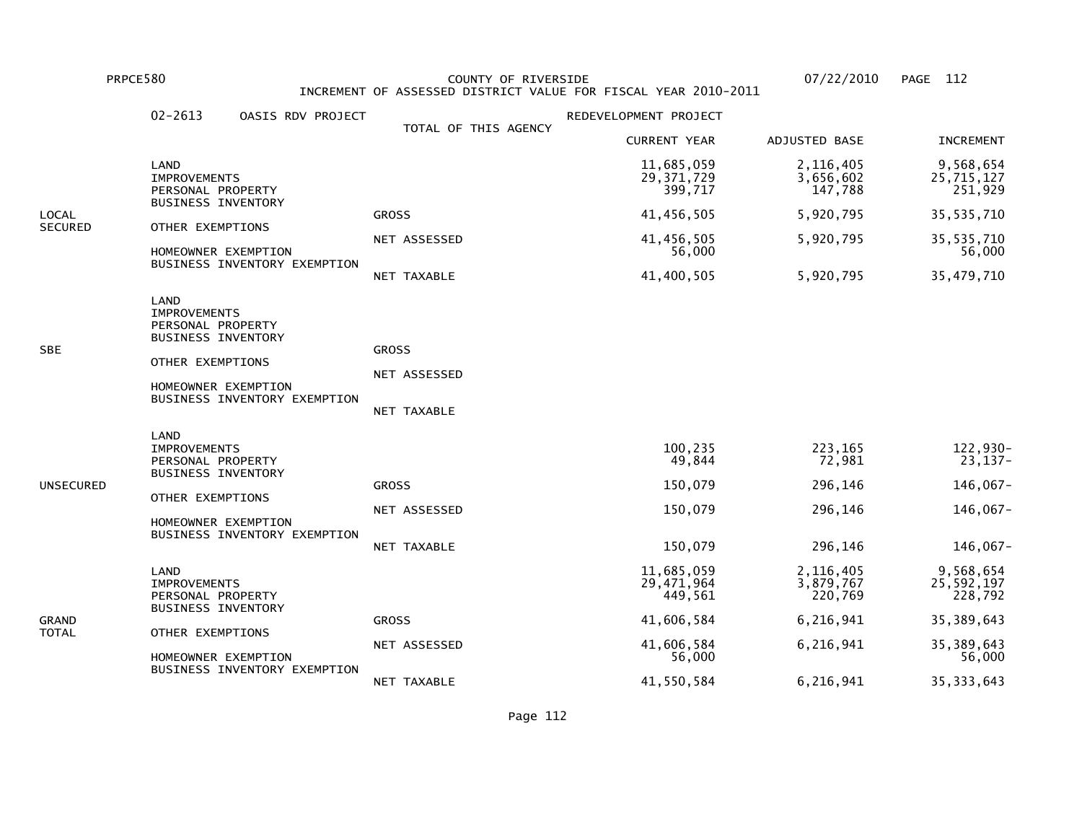PRPCE580 COUNTY OF RIVERSIDE 07/22/2010 PAGE 112 INCREMENT OF ASSESSED DISTRICT VALUE FOR FISCAL YEAR 2010-2011

|                | $02 - 2613$<br>OASIS RDV PROJECT                                                                                                                         |                                             | REDEVELOPMENT PROJECT                              |                                                    |                                                           |
|----------------|----------------------------------------------------------------------------------------------------------------------------------------------------------|---------------------------------------------|----------------------------------------------------|----------------------------------------------------|-----------------------------------------------------------|
|                |                                                                                                                                                          | TOTAL OF THIS AGENCY                        | <b>CURRENT YEAR</b>                                | ADJUSTED BASE                                      | <b>INCREMENT</b>                                          |
|                | LAND<br><b>IMPROVEMENTS</b><br>PERSONAL PROPERTY                                                                                                         |                                             | 11,685,059<br>29, 371, 729<br>399,717              | 2,116,405<br>3,656,602<br>147,788                  | 9,568,654<br>25,715,127<br>251,929                        |
| LOCAL          | <b>BUSINESS INVENTORY</b>                                                                                                                                | <b>GROSS</b>                                | 41,456,505                                         | 5,920,795                                          | 35, 535, 710                                              |
| SECURED        | OTHER EXEMPTIONS<br>HOMEOWNER EXEMPTION                                                                                                                  | NET ASSESSED                                | 41,456,505<br>56,000                               | 5,920,795                                          | 35, 535, 710<br>56,000                                    |
|                | BUSINESS INVENTORY EXEMPTION                                                                                                                             | NET TAXABLE                                 | 41,400,505                                         | 5,920,795                                          | 35,479,710                                                |
| SBE            | LAND<br><b>IMPROVEMENTS</b><br>PERSONAL PROPERTY<br><b>BUSINESS INVENTORY</b><br>OTHER EXEMPTIONS<br>HOMEOWNER EXEMPTION<br>BUSINESS INVENTORY EXEMPTION | <b>GROSS</b><br>NET ASSESSED<br>NET TAXABLE |                                                    |                                                    |                                                           |
| UNSECURED      | LAND<br><b>IMPROVEMENTS</b><br>PERSONAL PROPERTY<br><b>BUSINESS INVENTORY</b><br>OTHER EXEMPTIONS<br>HOMEOWNER EXEMPTION<br>BUSINESS INVENTORY EXEMPTION | <b>GROSS</b><br>NET ASSESSED<br>NET TAXABLE | 100,235<br>49,844<br>150,079<br>150,079<br>150,079 | 223,165<br>72,981<br>296,146<br>296,146<br>296,146 | 122,930-<br>$23,137-$<br>146,067-<br>146,067-<br>146,067- |
| GRAND<br>TOTAL | LAND<br><b>IMPROVEMENTS</b><br>PERSONAL PROPERTY<br><b>BUSINESS INVENTORY</b>                                                                            |                                             | 11,685,059<br>29,471,964<br>449,561                | 2,116,405<br>3,879,767<br>220,769                  | 9,568,654<br>25,592,197<br>228,792                        |
|                | OTHER EXEMPTIONS                                                                                                                                         | <b>GROSS</b>                                | 41,606,584                                         | 6,216,941                                          | 35, 389, 643                                              |
|                | HOMEOWNER EXEMPTION<br>BUSINESS INVENTORY EXEMPTION                                                                                                      | NET ASSESSED                                | 41,606,584<br>56,000                               | 6,216,941                                          | 35, 389, 643<br>56,000                                    |
|                |                                                                                                                                                          | NET TAXABLE                                 | 41,550,584                                         | 6,216,941                                          | 35, 333, 643                                              |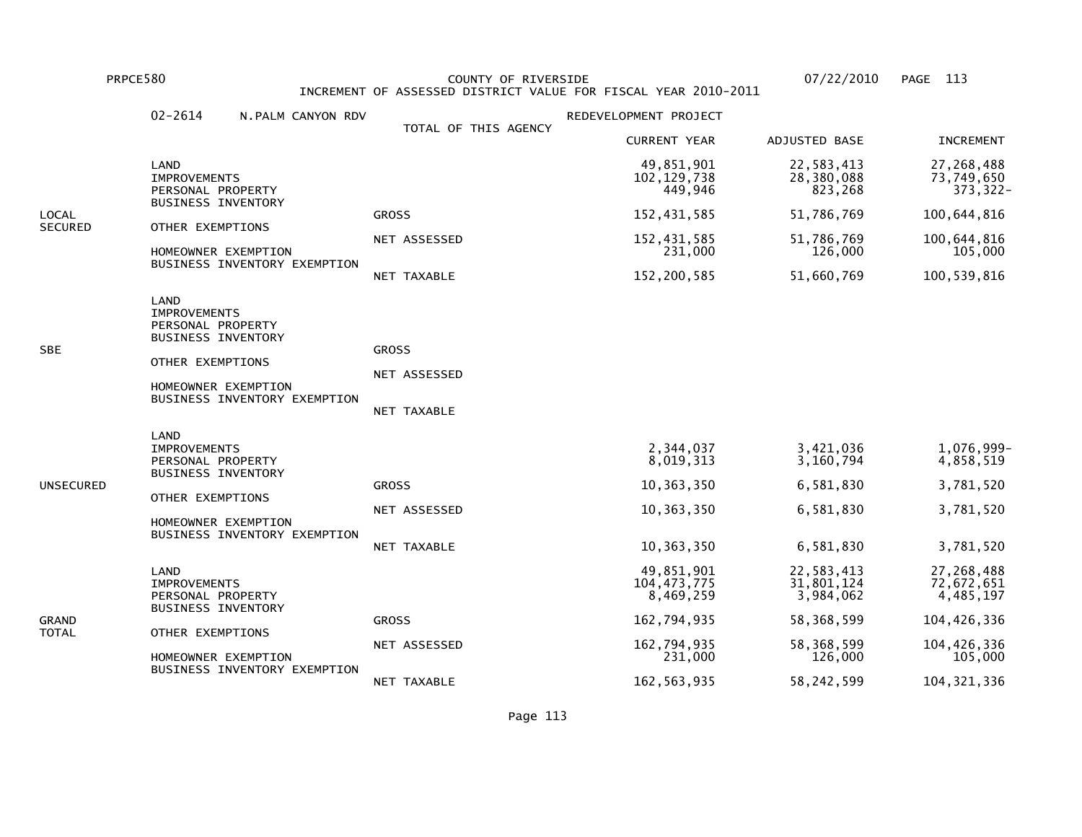PRPCE580 COUNTY OF RIVERSIDE 07/22/2010 PAGE 113 INCREMENT OF ASSESSED DISTRICT VALUE FOR FISCAL YEAR 2010-2011

|                | $02 - 2614$<br>N.PALM CANYON RDV                                                                                                                                |                                             | REDEVELOPMENT PROJECT                                            |                                                               |                                                                |
|----------------|-----------------------------------------------------------------------------------------------------------------------------------------------------------------|---------------------------------------------|------------------------------------------------------------------|---------------------------------------------------------------|----------------------------------------------------------------|
|                |                                                                                                                                                                 | TOTAL OF THIS AGENCY                        | <b>CURRENT YEAR</b>                                              | ADJUSTED BASE                                                 | <b>INCREMENT</b>                                               |
|                | LAND<br><b>IMPROVEMENTS</b><br>PERSONAL PROPERTY                                                                                                                |                                             | 49,851,901<br>102, 129, 738<br>449,946                           | 22,583,413<br>28,380,088<br>823,268                           | 27,268,488<br>73,749,650<br>373, 322-                          |
| LOCAL          | <b>BUSINESS INVENTORY</b>                                                                                                                                       | <b>GROSS</b>                                | 152,431,585                                                      | 51,786,769                                                    | 100,644,816                                                    |
| <b>SECURED</b> | OTHER EXEMPTIONS<br>HOMEOWNER EXEMPTION                                                                                                                         | NET ASSESSED                                | 152,431,585<br>231,000                                           | 51,786,769<br>126,000                                         | 100,644,816<br>105,000                                         |
|                | BUSINESS INVENTORY EXEMPTION                                                                                                                                    | NET TAXABLE                                 | 152,200,585                                                      | 51,660,769                                                    | 100,539,816                                                    |
| SBE            | <b>LAND</b><br><b>IMPROVEMENTS</b><br>PERSONAL PROPERTY<br><b>BUSINESS INVENTORY</b><br>OTHER EXEMPTIONS<br>HOMEOWNER EXEMPTION<br>BUSINESS INVENTORY EXEMPTION | <b>GROSS</b><br>NET ASSESSED<br>NET TAXABLE |                                                                  |                                                               |                                                                |
| UNSECURED      | LAND<br><b>IMPROVEMENTS</b><br>PERSONAL PROPERTY<br>BUSINESS INVENTORY<br>OTHER EXEMPTIONS<br>HOMEOWNER EXEMPTION<br>BUSINESS INVENTORY EXEMPTION               | <b>GROSS</b><br>NET ASSESSED<br>NET TAXABLE | 2,344,037<br>8,019,313<br>10,363,350<br>10,363,350<br>10,363,350 | 3,421,036<br>3,160,794<br>6,581,830<br>6,581,830<br>6,581,830 | 1,076,999-<br>4,858,519<br>3,781,520<br>3,781,520<br>3,781,520 |
| GRAND<br>TOTAL | LAND<br><b>IMPROVEMENTS</b><br>PERSONAL PROPERTY<br><b>BUSINESS INVENTORY</b>                                                                                   |                                             | 49,851,901<br>104, 473, 775<br>8,469,259                         | 22,583,413<br>31,801,124<br>3,984,062                         | 27,268,488<br>72,672,651<br>4,485,197                          |
|                | OTHER EXEMPTIONS                                                                                                                                                | <b>GROSS</b>                                | 162,794,935                                                      | 58,368,599                                                    | 104,426,336                                                    |
|                | HOMEOWNER EXEMPTION<br>BUSINESS INVENTORY EXEMPTION                                                                                                             | NET ASSESSED                                | 162,794,935<br>231,000                                           | 58,368,599<br>126,000                                         | 104,426,336<br>105,000                                         |
|                |                                                                                                                                                                 | NET TAXABLE                                 | 162, 563, 935                                                    | 58,242,599                                                    | 104, 321, 336                                                  |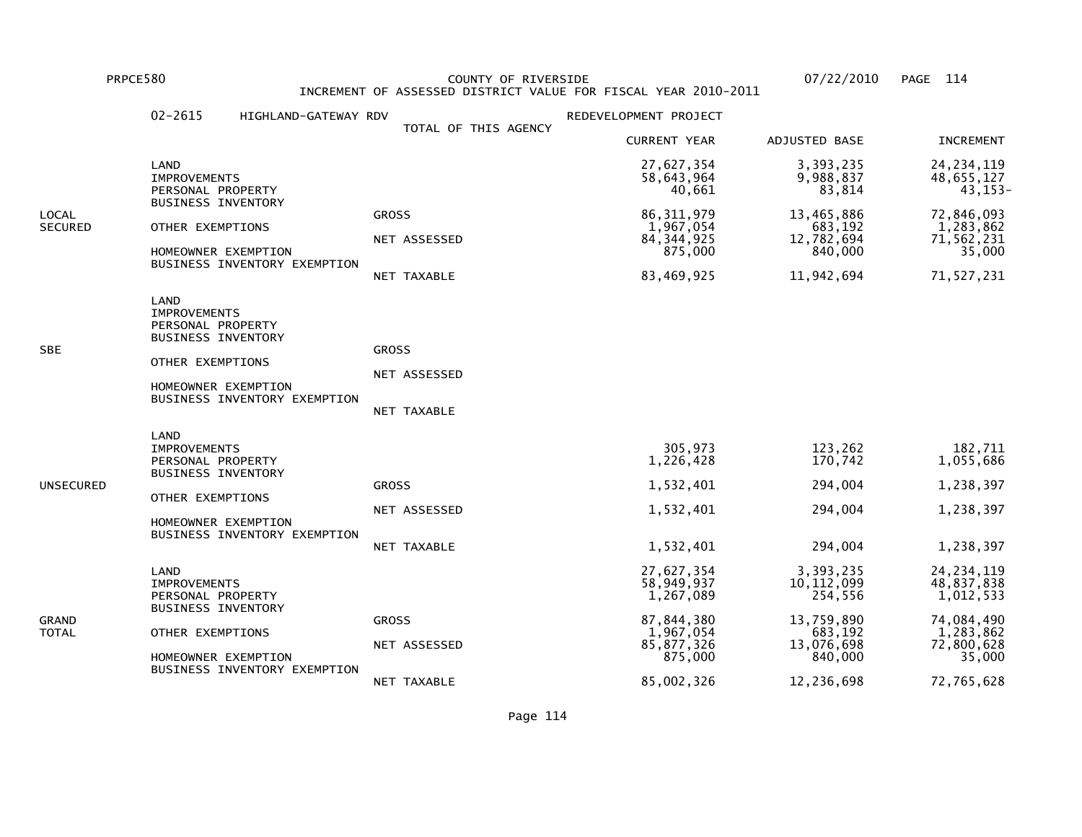PRPCE580 COUNTY OF RIVERSIDE 07/22/2010 PAGE 114 INCREMENT OF ASSESSED DISTRICT VALUE FOR FISCAL YEAR 2010-2011

| TOTAL OF THIS AGENCY<br><b>CURRENT YEAR</b><br>ADJUSTED BASE<br>3,393,235<br>27,627,354<br>LAND<br>58,643,964<br>9,988,837<br><b>IMPROVEMENTS</b><br>83,814<br>40,661<br>PERSONAL PROPERTY<br><b>BUSINESS INVENTORY</b><br>86, 311, 979<br>13,465,886<br><b>GROSS</b><br>OTHER EXEMPTIONS<br>1,967,054<br>683,192<br>12,782,694<br>84, 344, 925<br>NET ASSESSED<br>875,000<br>840,000<br>HOMEOWNER EXEMPTION<br>BUSINESS INVENTORY EXEMPTION<br>83,469,925<br>11,942,694<br>NET TAXABLE<br>LAND<br><b>IMPROVEMENTS</b><br>PERSONAL PROPERTY<br><b>BUSINESS INVENTORY</b><br><b>GROSS</b><br>OTHER EXEMPTIONS<br>NET ASSESSED<br>HOMEOWNER EXEMPTION<br>BUSINESS INVENTORY EXEMPTION<br>NET TAXABLE<br>LAND<br>305,973<br>123,262<br><b>IMPROVEMENTS</b><br>1,226,428<br>170,742<br>PERSONAL PROPERTY<br><b>BUSINESS INVENTORY</b><br>1,532,401<br>294,004<br><b>GROSS</b><br>OTHER EXEMPTIONS<br>1,532,401<br>294,004<br>NET ASSESSED<br>HOMEOWNER EXEMPTION<br>BUSINESS INVENTORY EXEMPTION<br>NET TAXABLE |  | $02 - 2615$<br>HIGHLAND-GATEWAY RDV | REDEVELOPMENT PROJECT |                                                               |                                                                                                          |
|-------------------------------------------------------------------------------------------------------------------------------------------------------------------------------------------------------------------------------------------------------------------------------------------------------------------------------------------------------------------------------------------------------------------------------------------------------------------------------------------------------------------------------------------------------------------------------------------------------------------------------------------------------------------------------------------------------------------------------------------------------------------------------------------------------------------------------------------------------------------------------------------------------------------------------------------------------------------------------------------------------------|--|-------------------------------------|-----------------------|---------------------------------------------------------------|----------------------------------------------------------------------------------------------------------|
| LOCAL<br>SECURED<br>SBE<br>UNSECURED                                                                                                                                                                                                                                                                                                                                                                                                                                                                                                                                                                                                                                                                                                                                                                                                                                                                                                                                                                        |  |                                     |                       |                                                               | <b>INCREMENT</b>                                                                                         |
|                                                                                                                                                                                                                                                                                                                                                                                                                                                                                                                                                                                                                                                                                                                                                                                                                                                                                                                                                                                                             |  |                                     |                       |                                                               | 24, 234, 119<br>48,655,127<br>43, 153-                                                                   |
|                                                                                                                                                                                                                                                                                                                                                                                                                                                                                                                                                                                                                                                                                                                                                                                                                                                                                                                                                                                                             |  |                                     |                       | 72,846,093<br>1,283,862<br>71,562,231<br>35,000<br>71,527,231 |                                                                                                          |
|                                                                                                                                                                                                                                                                                                                                                                                                                                                                                                                                                                                                                                                                                                                                                                                                                                                                                                                                                                                                             |  |                                     |                       |                                                               |                                                                                                          |
|                                                                                                                                                                                                                                                                                                                                                                                                                                                                                                                                                                                                                                                                                                                                                                                                                                                                                                                                                                                                             |  |                                     | 1,532,401             | 294,004                                                       | 182,711<br>1,055,686<br>1,238,397<br>1,238,397<br>1,238,397                                              |
| 3,393,235<br>27,627,354<br>LAND<br>58,949,937<br>10, 112, 099<br><b>IMPROVEMENTS</b><br>254,556<br>1,267,089<br>PERSONAL PROPERTY<br><b>BUSINESS INVENTORY</b><br>87,844,380<br>13,759,890<br>GRAND<br><b>GROSS</b><br>1,967,054<br>683,192<br>TOTAL<br>OTHER EXEMPTIONS<br>13,076,698<br>85,877,326<br>NET ASSESSED<br>840,000<br>HOMEOWNER EXEMPTION<br>875,000<br>BUSINESS INVENTORY EXEMPTION<br>85,002,326<br>12,236,698<br>NET TAXABLE                                                                                                                                                                                                                                                                                                                                                                                                                                                                                                                                                                |  |                                     |                       |                                                               | 24, 234, 119<br>48,837,838<br>1,012,533<br>74,084,490<br>1,283,862<br>72,800,628<br>35,000<br>72,765,628 |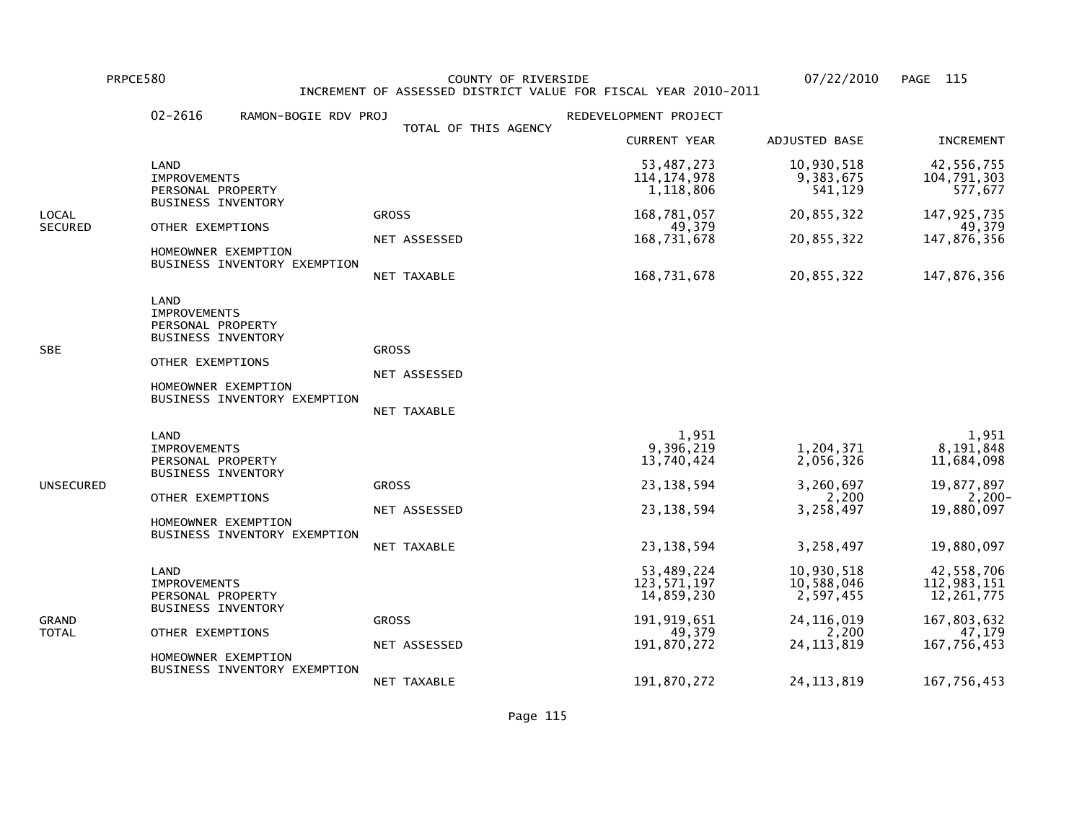PRPCE580 COUNTY OF RIVERSIDE 07/22/2010 PAGE 115 INCREMENT OF ASSESSED DISTRICT VALUE FOR FISCAL YEAR 2010-2011

|                         | 02-2616<br>RAMON-BOGIE RDV PROJ                                                                                                                                 |                                             | REDEVELOPMENT PROJECT                                                            |                                                                        |                                                                                        |
|-------------------------|-----------------------------------------------------------------------------------------------------------------------------------------------------------------|---------------------------------------------|----------------------------------------------------------------------------------|------------------------------------------------------------------------|----------------------------------------------------------------------------------------|
|                         |                                                                                                                                                                 | TOTAL OF THIS AGENCY                        | <b>CURRENT YEAR</b>                                                              | ADJUSTED BASE                                                          | <b>INCREMENT</b>                                                                       |
|                         | LAND<br><b>IMPROVEMENTS</b><br>PERSONAL PROPERTY                                                                                                                |                                             | 53,487,273<br>114, 174, 978<br>1,118,806                                         | 10,930,518<br>9,383,675<br>541,129                                     | 42,556,755<br>104,791,303<br>577,677                                                   |
| LOCAL<br><b>SECURED</b> | BUSINESS INVENTORY<br>OTHER EXEMPTIONS<br>HOMEOWNER EXEMPTION                                                                                                   | <b>GROSS</b><br>NET ASSESSED                | 168,781,057<br>49,379<br>168,731,678                                             | 20,855,322<br>20,855,322                                               | 147, 925, 735<br>49,379<br>147,876,356                                                 |
|                         | BUSINESS INVENTORY EXEMPTION                                                                                                                                    | NET TAXABLE                                 | 168,731,678                                                                      | 20,855,322                                                             | 147,876,356                                                                            |
| SBE                     | <b>LAND</b><br><b>IMPROVEMENTS</b><br>PERSONAL PROPERTY<br><b>BUSINESS INVENTORY</b><br>OTHER EXEMPTIONS<br>HOMEOWNER EXEMPTION<br>BUSINESS INVENTORY EXEMPTION | <b>GROSS</b><br>NET ASSESSED<br>NET TAXABLE |                                                                                  |                                                                        |                                                                                        |
| UNSECURED               | LAND<br><b>IMPROVEMENTS</b><br>PERSONAL PROPERTY<br><b>BUSINESS INVENTORY</b><br>OTHER EXEMPTIONS<br>HOMEOWNER EXEMPTION<br>BUSINESS INVENTORY EXEMPTION        | <b>GROSS</b><br>NET ASSESSED<br>NET TAXABLE | 1,951<br>9,396,219<br>13,740,424<br>23, 138, 594<br>23, 138, 594<br>23, 138, 594 | 1,204,371<br>2,056,326<br>3,260,697<br>2,200<br>3,258,497<br>3,258,497 | 1,951<br>8,191,848<br>11,684,098<br>19,877,897<br>$2,200-$<br>19,880,097<br>19,880,097 |
| GRAND<br>TOTAL          | LAND<br><b>IMPROVEMENTS</b><br>PERSONAL PROPERTY<br>BUSINESS INVENTORY                                                                                          | <b>GROSS</b>                                | 53,489,224<br>123, 571, 197<br>14,859,230<br>191, 919, 651                       | 10,930,518<br>10,588,046<br>2,597,455<br>24, 116, 019                  | 42,558,706<br>112,983,151<br>12, 261, 775<br>167,803,632                               |
|                         | OTHER EXEMPTIONS<br>HOMEOWNER EXEMPTION                                                                                                                         | NET ASSESSED                                | 49,379<br>191,870,272                                                            | 2,200<br>24, 113, 819                                                  | 47,179<br>167,756,453                                                                  |
|                         | BUSINESS INVENTORY EXEMPTION                                                                                                                                    | NET TAXABLE                                 | 191,870,272                                                                      | 24, 113, 819                                                           | 167,756,453                                                                            |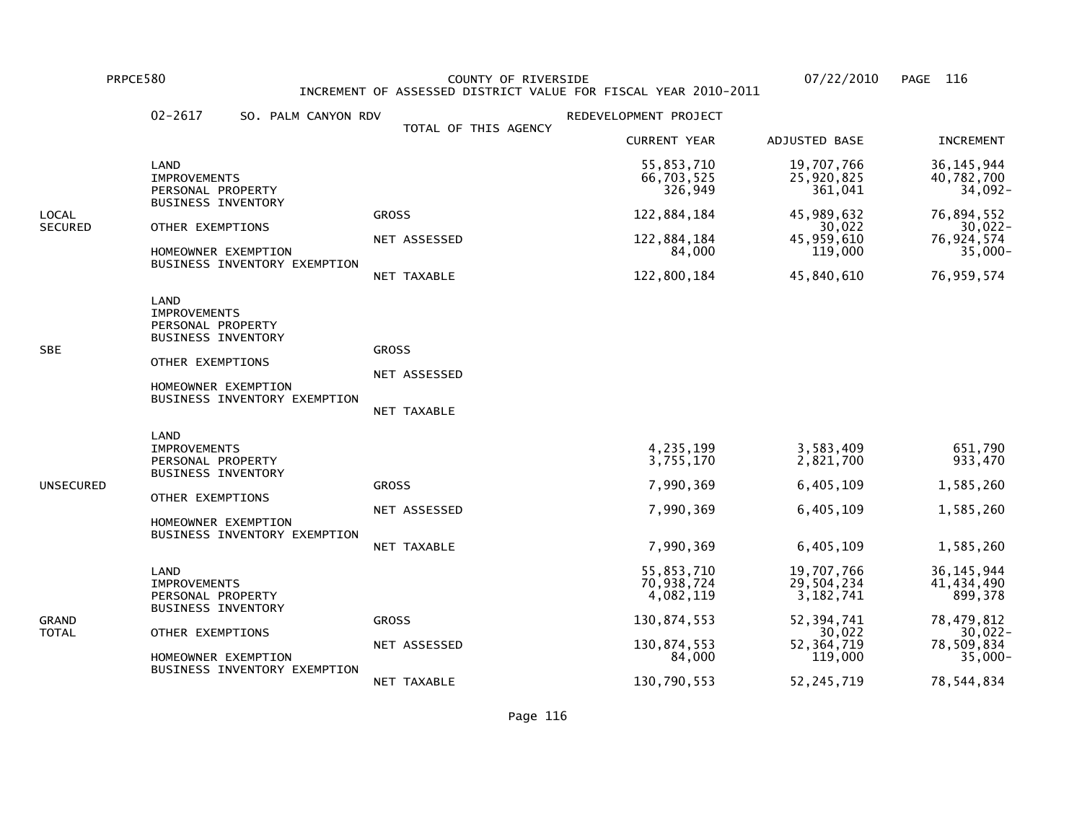PRPCE580 COUNTY OF RIVERSIDE 07/22/2010 PAGE 116 INCREMENT OF ASSESSED DISTRICT VALUE FOR FISCAL YEAR 2010-2011

|                                                                                                 | $02 - 2617$<br>SO. PALM CANYON RDV                                                                                                                       |                                             | REDEVELOPMENT PROJECT                                                         |                                                                                              |                                                                                               |
|-------------------------------------------------------------------------------------------------|----------------------------------------------------------------------------------------------------------------------------------------------------------|---------------------------------------------|-------------------------------------------------------------------------------|----------------------------------------------------------------------------------------------|-----------------------------------------------------------------------------------------------|
|                                                                                                 |                                                                                                                                                          | TOTAL OF THIS AGENCY                        | <b>CURRENT YEAR</b>                                                           | ADJUSTED BASE                                                                                | <b>INCREMENT</b>                                                                              |
|                                                                                                 | LAND<br><b>IMPROVEMENTS</b><br>PERSONAL PROPERTY                                                                                                         |                                             | 55,853,710<br>66,703,525<br>326,949                                           | 19,707,766<br>25,920,825<br>361,041                                                          | 36, 145, 944<br>40,782,700<br>34,092-                                                         |
| <b>BUSINESS INVENTORY</b><br>LOCAL<br><b>SECURED</b><br>OTHER EXEMPTIONS<br>HOMEOWNER EXEMPTION | BUSINESS INVENTORY EXEMPTION                                                                                                                             | <b>GROSS</b><br>NET ASSESSED<br>NET TAXABLE | 122,884,184<br>122,884,184<br>84,000<br>122,800,184                           | 45,989,632<br>30,022<br>45,959,610<br>119,000<br>45,840,610                                  | 76,894,552<br>30,022-<br>76,924,574<br>$35,000 -$<br>76,959,574                               |
| SBE                                                                                             | LAND<br><b>IMPROVEMENTS</b><br>PERSONAL PROPERTY<br><b>BUSINESS INVENTORY</b><br>OTHER EXEMPTIONS<br>HOMEOWNER EXEMPTION<br>BUSINESS INVENTORY EXEMPTION | <b>GROSS</b><br>NET ASSESSED<br>NET TAXABLE |                                                                               |                                                                                              |                                                                                               |
| UNSECURED                                                                                       | LAND<br><b>IMPROVEMENTS</b><br>PERSONAL PROPERTY<br><b>BUSINESS INVENTORY</b><br>OTHER EXEMPTIONS<br>HOMEOWNER EXEMPTION<br>BUSINESS INVENTORY EXEMPTION | <b>GROSS</b><br>NET ASSESSED<br>NET TAXABLE | 4,235,199<br>3,755,170<br>7,990,369<br>7,990,369<br>7,990,369                 | 3,583,409<br>2,821,700<br>6,405,109<br>6,405,109<br>6,405,109                                | 651,790<br>933,470<br>1,585,260<br>1,585,260<br>1,585,260                                     |
| GRAND<br>TOTAL                                                                                  | LAND<br><b>IMPROVEMENTS</b><br>PERSONAL PROPERTY<br><b>BUSINESS INVENTORY</b><br>OTHER EXEMPTIONS<br>HOMEOWNER EXEMPTION<br>BUSINESS INVENTORY EXEMPTION | <b>GROSS</b><br>NET ASSESSED                | 55,853,710<br>70,938,724<br>4,082,119<br>130,874,553<br>130,874,553<br>84,000 | 19,707,766<br>29,504,234<br>3, 182, 741<br>52, 394, 741<br>30,022<br>52, 364, 719<br>119,000 | 36, 145, 944<br>41,434,490<br>899,378<br>78,479,812<br>$30,022 -$<br>78,509,834<br>$35,000 -$ |
|                                                                                                 |                                                                                                                                                          | NET TAXABLE                                 | 130,790,553                                                                   | 52, 245, 719                                                                                 | 78,544,834                                                                                    |

Page 116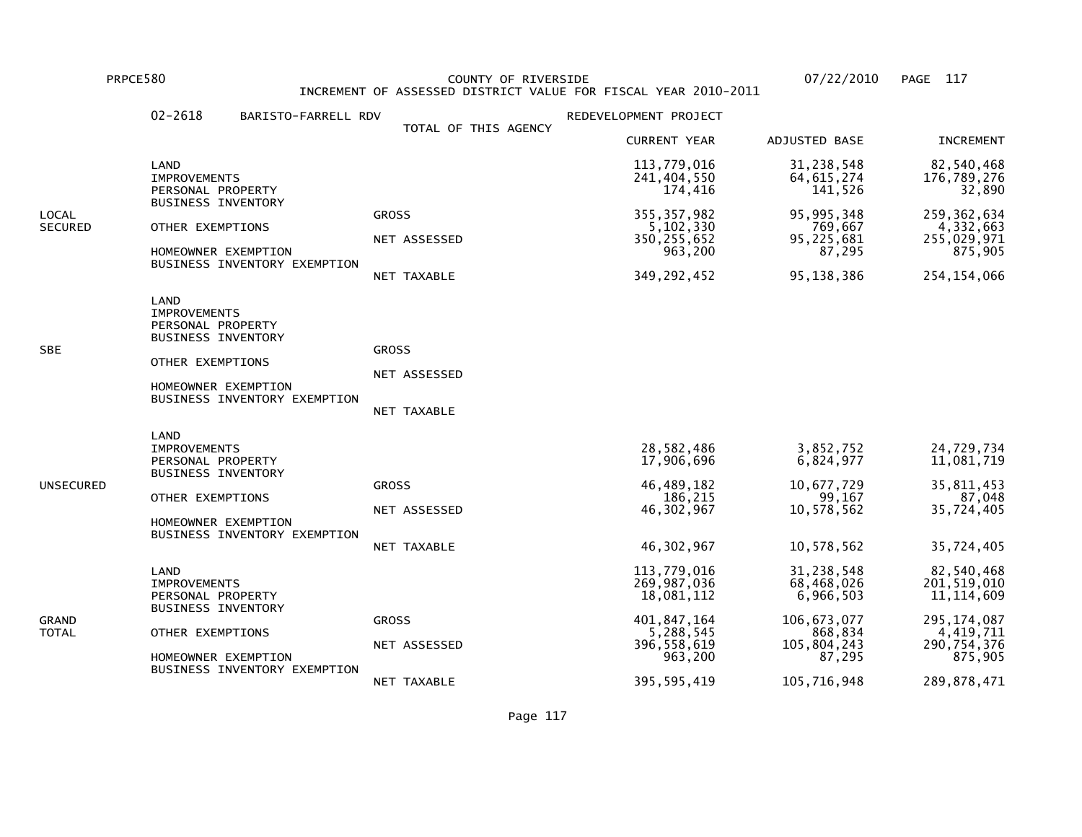PRPCE580 COUNTY OF RIVERSIDE 07/22/2010 PAGE 117 INCREMENT OF ASSESSED DISTRICT VALUE FOR FISCAL YEAR 2010-2011

|                  | $02 - 2618$<br>BARISTO-FARRELL RDV                                                                                                                       |                                             | REDEVELOPMENT PROJECT                                                                            |                                                                                            |                                                                                                     |
|------------------|----------------------------------------------------------------------------------------------------------------------------------------------------------|---------------------------------------------|--------------------------------------------------------------------------------------------------|--------------------------------------------------------------------------------------------|-----------------------------------------------------------------------------------------------------|
|                  |                                                                                                                                                          | TOTAL OF THIS AGENCY                        | <b>CURRENT YEAR</b>                                                                              | ADJUSTED BASE                                                                              | <b>INCREMENT</b>                                                                                    |
|                  | LAND<br><b>IMPROVEMENTS</b><br>PERSONAL PROPERTY                                                                                                         |                                             | 113,779,016<br>241,404,550<br>174,416                                                            | 31,238,548<br>64, 615, 274<br>141,526                                                      | 82,540,468<br>176,789,276<br>32,890                                                                 |
| LOCAL<br>SECURED | <b>BUSINESS INVENTORY</b><br>OTHER EXEMPTIONS<br>HOMEOWNER EXEMPTION<br>BUSINESS INVENTORY EXEMPTION                                                     | <b>GROSS</b><br>NET ASSESSED<br>NET TAXABLE | 355, 357, 982<br>5,102,330<br>350, 255, 652<br>963,200<br>349, 292, 452                          | 95, 995, 348<br>769,667<br>95,225,681<br>87,295<br>95, 138, 386                            | 259, 362, 634<br>4,332,663<br>255,029,971<br>875,905<br>254, 154, 066                               |
| <b>SBE</b>       | LAND<br><b>IMPROVEMENTS</b><br>PERSONAL PROPERTY<br>BUSINESS INVENTORY<br>OTHER EXEMPTIONS<br>HOMEOWNER EXEMPTION<br>BUSINESS INVENTORY EXEMPTION        | <b>GROSS</b><br>NET ASSESSED<br>NET TAXABLE |                                                                                                  |                                                                                            |                                                                                                     |
| UNSECURED        | LAND<br><b>IMPROVEMENTS</b><br>PERSONAL PROPERTY<br><b>BUSINESS INVENTORY</b><br>OTHER EXEMPTIONS<br>HOMEOWNER EXEMPTION<br>BUSINESS INVENTORY EXEMPTION | <b>GROSS</b><br>NET ASSESSED<br>NET TAXABLE | 28,582,486<br>17,906,696<br>46,489,182<br>186,215<br>46, 302, 967<br>46, 302, 967                | 3,852,752<br>6,824,977<br>10,677,729<br>99,167<br>10,578,562<br>10,578,562                 | 24,729,734<br>11,081,719<br>35,811,453<br>87,048<br>35,724,405<br>35,724,405                        |
| GRAND<br>TOTAL   | LAND<br><b>IMPROVEMENTS</b><br>PERSONAL PROPERTY<br><b>BUSINESS INVENTORY</b><br>OTHER EXEMPTIONS<br>HOMEOWNER EXEMPTION<br>BUSINESS INVENTORY EXEMPTION | <b>GROSS</b><br>NET ASSESSED                | 113,779,016<br>269,987,036<br>18,081,112<br>401, 847, 164<br>5,288,545<br>396,558,619<br>963,200 | 31,238,548<br>68,468,026<br>6,966,503<br>106, 673, 077<br>868,834<br>105,804,243<br>87,295 | 82,540,468<br>201, 519, 010<br>11, 114, 609<br>295, 174, 087<br>4,419,711<br>290,754,376<br>875,905 |
|                  |                                                                                                                                                          | NET TAXABLE                                 | 395, 595, 419                                                                                    | 105,716,948                                                                                | 289,878,471                                                                                         |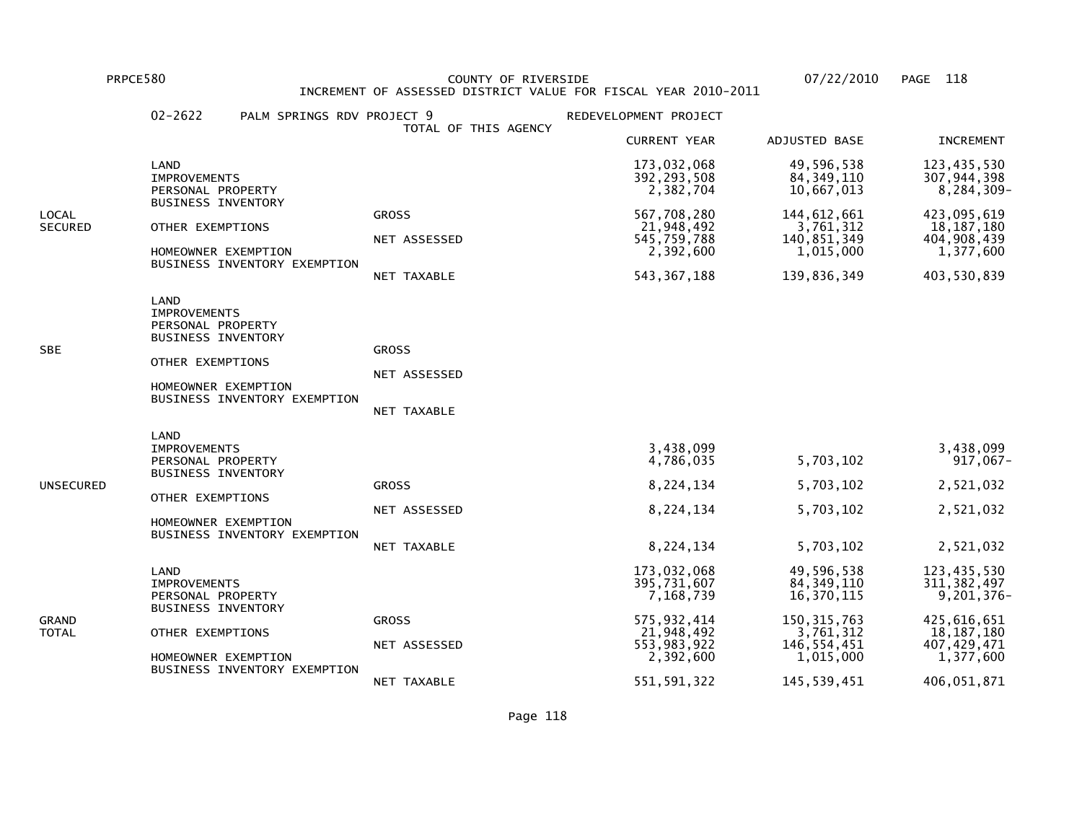PRPCE580 COUNTY OF RIVERSIDE 07/22/2010 PAGE 118 INCREMENT OF ASSESSED DISTRICT VALUE FOR FISCAL YEAR 2010-2011

|                         | $02 - 2622$                                                                                                              | PALM SPRINGS RDV PROJECT 9   | TOTAL OF THIS AGENCY                        | REDEVELOPMENT PROJECT                                                                            |                                                                                                    |                                                                                                         |
|-------------------------|--------------------------------------------------------------------------------------------------------------------------|------------------------------|---------------------------------------------|--------------------------------------------------------------------------------------------------|----------------------------------------------------------------------------------------------------|---------------------------------------------------------------------------------------------------------|
|                         |                                                                                                                          |                              | <b>CURRENT YEAR</b>                         | ADJUSTED BASE                                                                                    | <b>INCREMENT</b>                                                                                   |                                                                                                         |
|                         | LAND<br><b>IMPROVEMENTS</b><br>PERSONAL PROPERTY                                                                         |                              |                                             | 173,032,068<br>392, 293, 508<br>2,382,704                                                        | 49,596,538<br>84, 349, 110<br>10,667,013                                                           | 123,435,530<br>307,944,398<br>8,284,309-                                                                |
| LOCAL<br><b>SECURED</b> | <b>BUSINESS INVENTORY</b><br>OTHER EXEMPTIONS<br>HOMEOWNER EXEMPTION                                                     | BUSINESS INVENTORY EXEMPTION | <b>GROSS</b><br>NET ASSESSED<br>NET TAXABLE | 567,708,280<br>21,948,492<br>545,759,788<br>2,392,600<br>543, 367, 188                           | 144, 612, 661<br>3,761,312<br>140,851,349<br>1,015,000<br>139,836,349                              | 423,095,619<br>18, 187, 180<br>404,908,439<br>1,377,600<br>403,530,839                                  |
| SBE                     | LAND<br><b>IMPROVEMENTS</b><br>PERSONAL PROPERTY<br><b>BUSINESS INVENTORY</b><br>OTHER EXEMPTIONS<br>HOMEOWNER EXEMPTION | BUSINESS INVENTORY EXEMPTION | <b>GROSS</b><br>NET ASSESSED<br>NET TAXABLE |                                                                                                  |                                                                                                    |                                                                                                         |
| UNSECURED               | LAND<br><b>IMPROVEMENTS</b><br>PERSONAL PROPERTY<br><b>BUSINESS INVENTORY</b><br>OTHER EXEMPTIONS<br>HOMEOWNER EXEMPTION | BUSINESS INVENTORY EXEMPTION | <b>GROSS</b><br>NET ASSESSED<br>NET TAXABLE | 3,438,099<br>4,786,035<br>8,224,134<br>8,224,134<br>8,224,134                                    | 5,703,102<br>5,703,102<br>5,703,102<br>5,703,102                                                   | 3,438,099<br>917,067-<br>2,521,032<br>2,521,032<br>2,521,032                                            |
| GRAND<br>TOTAL          | LAND<br><b>IMPROVEMENTS</b><br>PERSONAL PROPERTY<br><b>BUSINESS INVENTORY</b><br>OTHER EXEMPTIONS<br>HOMEOWNER EXEMPTION | BUSINESS INVENTORY EXEMPTION | <b>GROSS</b><br>NET ASSESSED                | 173,032,068<br>395,731,607<br>7,168,739<br>575,932,414<br>21,948,492<br>553,983,922<br>2,392,600 | 49,596,538<br>84, 349, 110<br>16,370,115<br>150, 315, 763<br>3,761,312<br>146,554,451<br>1,015,000 | 123,435,530<br>311, 382, 497<br>9,201,376-<br>425,616,651<br>18, 187, 180<br>407, 429, 471<br>1,377,600 |
|                         |                                                                                                                          |                              | NET TAXABLE                                 | 551, 591, 322                                                                                    | 145,539,451                                                                                        | 406,051,871                                                                                             |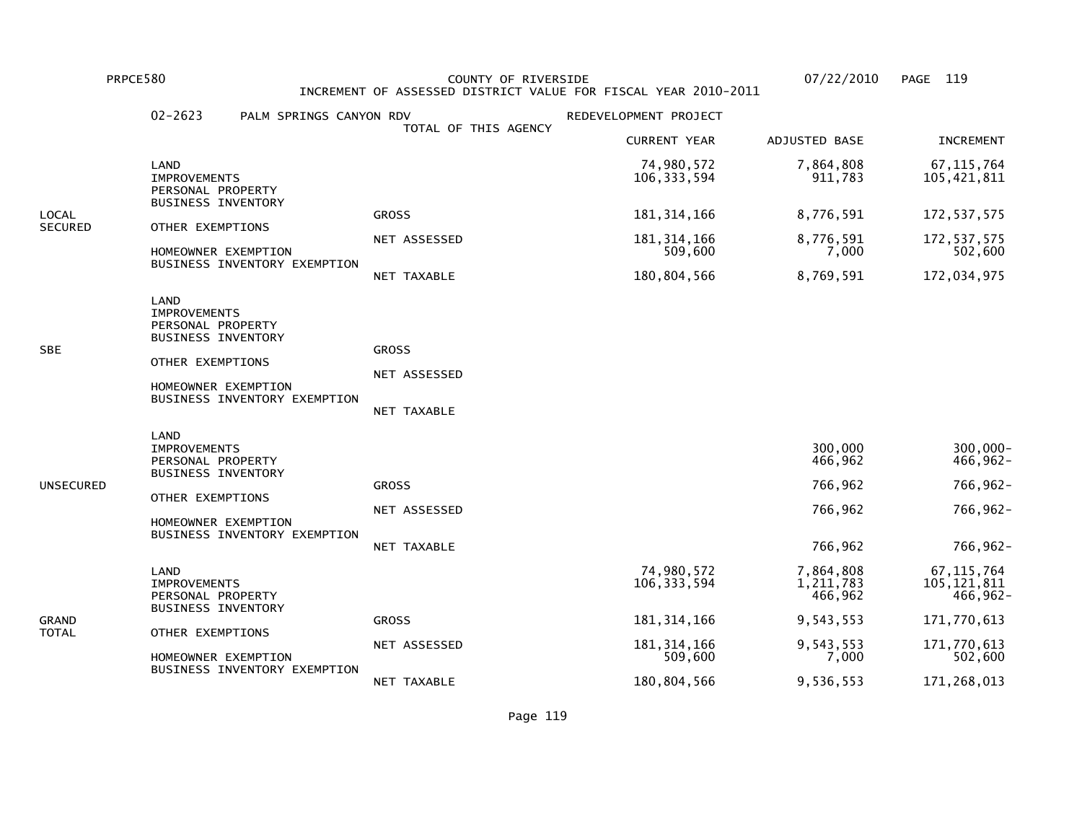PRPCE580 COUNTY OF RIVERSIDE 07/22/2010 PAGE 119 INCREMENT OF ASSESSED DISTRICT VALUE FOR FISCAL YEAR 2010-2011

|                | $02 - 2623$<br>PALM SPRINGS CANYON RDV                                                                                                                   |                                             | REDEVELOPMENT PROJECT       |                                                     |                                                             |
|----------------|----------------------------------------------------------------------------------------------------------------------------------------------------------|---------------------------------------------|-----------------------------|-----------------------------------------------------|-------------------------------------------------------------|
|                |                                                                                                                                                          | TOTAL OF THIS AGENCY                        | <b>CURRENT YEAR</b>         | ADJUSTED BASE                                       | <b>INCREMENT</b>                                            |
|                | LAND<br><b>IMPROVEMENTS</b><br>PERSONAL PROPERTY                                                                                                         |                                             | 74,980,572<br>106, 333, 594 | 7,864,808<br>911,783                                | 67, 115, 764<br>105,421,811                                 |
| LOCAL          | <b>BUSINESS INVENTORY</b>                                                                                                                                | <b>GROSS</b>                                | 181, 314, 166               | 8,776,591                                           | 172, 537, 575                                               |
| <b>SECURED</b> | OTHER EXEMPTIONS<br>HOMEOWNER EXEMPTION                                                                                                                  | NET ASSESSED                                | 181, 314, 166<br>509,600    | 8,776,591<br>7,000                                  | 172, 537, 575<br>502,600                                    |
|                | BUSINESS INVENTORY EXEMPTION                                                                                                                             | NET TAXABLE                                 | 180,804,566                 | 8,769,591                                           | 172,034,975                                                 |
| SBE            | LAND<br><b>IMPROVEMENTS</b><br>PERSONAL PROPERTY<br><b>BUSINESS INVENTORY</b><br>OTHER EXEMPTIONS<br>HOMEOWNER EXEMPTION<br>BUSINESS INVENTORY EXEMPTION | <b>GROSS</b><br>NET ASSESSED<br>NET TAXABLE |                             |                                                     |                                                             |
| UNSECURED      | LAND<br><b>IMPROVEMENTS</b><br>PERSONAL PROPERTY<br><b>BUSINESS INVENTORY</b><br>OTHER EXEMPTIONS<br>HOMEOWNER EXEMPTION<br>BUSINESS INVENTORY EXEMPTION | <b>GROSS</b><br>NET ASSESSED<br>NET TAXABLE |                             | 300,000<br>466,962<br>766,962<br>766,962<br>766,962 | 300,000-<br>$466,962 -$<br>766,962-<br>766,962-<br>766,962- |
| GRAND<br>TOTAL | LAND<br><b>IMPROVEMENTS</b><br>PERSONAL PROPERTY                                                                                                         |                                             | 74,980,572<br>106, 333, 594 | 7,864,808<br>1,211,783<br>466,962                   | 67, 115, 764<br>105, 121, 811<br>466,962-                   |
|                | <b>BUSINESS INVENTORY</b>                                                                                                                                | <b>GROSS</b>                                | 181, 314, 166               | 9,543,553                                           | 171,770,613                                                 |
|                | OTHER EXEMPTIONS<br>HOMEOWNER EXEMPTION                                                                                                                  | NET ASSESSED                                | 181, 314, 166<br>509,600    | 9,543,553<br>7,000                                  | 171,770,613<br>502,600                                      |
|                | BUSINESS INVENTORY EXEMPTION                                                                                                                             | NET TAXABLE                                 | 180,804,566                 | 9,536,553                                           | 171,268,013                                                 |

Page 119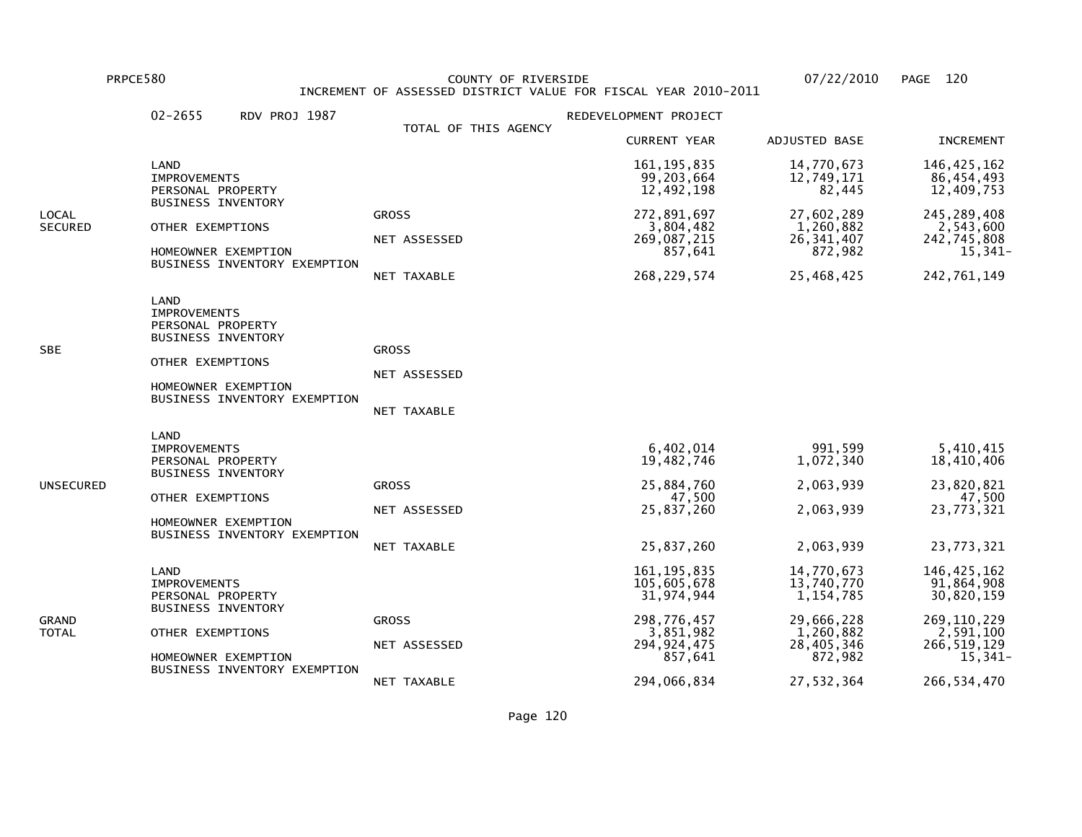PRPCE580 COUNTY OF RIVERSIDE 07/22/2010 PAGE 120 INCREMENT OF ASSESSED DISTRICT VALUE FOR FISCAL YEAR 2010-2011

|                                                                                                                          | $02 - 2655$<br>RDV PROJ 1987                                                                                                                             |                                                                     | REDEVELOPMENT PROJECT                                                                              |                                                                                             |                                                                                                       |
|--------------------------------------------------------------------------------------------------------------------------|----------------------------------------------------------------------------------------------------------------------------------------------------------|---------------------------------------------------------------------|----------------------------------------------------------------------------------------------------|---------------------------------------------------------------------------------------------|-------------------------------------------------------------------------------------------------------|
|                                                                                                                          |                                                                                                                                                          | TOTAL OF THIS AGENCY                                                | <b>CURRENT YEAR</b>                                                                                | ADJUSTED BASE                                                                               | <b>INCREMENT</b>                                                                                      |
|                                                                                                                          | LAND<br><b>IMPROVEMENTS</b><br>PERSONAL PROPERTY                                                                                                         |                                                                     | 161, 195, 835<br>99,203,664<br>12,492,198                                                          | 14,770,673<br>12,749,171<br>82,445                                                          | 146, 425, 162<br>86,454,493<br>12,409,753                                                             |
| <b>BUSINESS INVENTORY</b><br>LOCAL<br>SECURED<br>OTHER EXEMPTIONS<br>HOMEOWNER EXEMPTION<br>BUSINESS INVENTORY EXEMPTION | <b>GROSS</b><br>NET ASSESSED<br>NET TAXABLE                                                                                                              | 272,891,697<br>3,804,482<br>269,087,215<br>857,641<br>268, 229, 574 | 27,602,289<br>1,260,882<br>26, 341, 407<br>872,982<br>25,468,425                                   | 245, 289, 408<br>2,543,600<br>242,745,808<br>15,341-<br>242,761,149                         |                                                                                                       |
| SBE                                                                                                                      | LAND<br><b>IMPROVEMENTS</b><br>PERSONAL PROPERTY<br><b>BUSINESS INVENTORY</b><br>OTHER EXEMPTIONS<br>HOMEOWNER EXEMPTION<br>BUSINESS INVENTORY EXEMPTION | <b>GROSS</b><br>NET ASSESSED<br>NET TAXABLE                         |                                                                                                    |                                                                                             |                                                                                                       |
| UNSECURED                                                                                                                | LAND<br><b>IMPROVEMENTS</b><br>PERSONAL PROPERTY<br><b>BUSINESS INVENTORY</b><br>OTHER EXEMPTIONS<br>HOMEOWNER EXEMPTION<br>BUSINESS INVENTORY EXEMPTION | <b>GROSS</b><br>NET ASSESSED<br>NET TAXABLE                         | 6,402,014<br>19,482,746<br>25,884,760<br>47,500<br>25,837,260<br>25,837,260                        | 991.599<br>1,072,340<br>2,063,939<br>2,063,939<br>2,063,939                                 | 5,410,415<br>18,410,406<br>23,820,821<br>47,500<br>23,773,321<br>23,773,321                           |
| GRAND<br>TOTAL                                                                                                           | LAND<br><b>IMPROVEMENTS</b><br>PERSONAL PROPERTY<br><b>BUSINESS INVENTORY</b><br>OTHER EXEMPTIONS<br>HOMEOWNER EXEMPTION<br>BUSINESS INVENTORY EXEMPTION | <b>GROSS</b><br>NET ASSESSED                                        | 161, 195, 835<br>105,605,678<br>31,974,944<br>298,776,457<br>3,851,982<br>294, 924, 475<br>857,641 | 14,770,673<br>13,740,770<br>1, 154, 785<br>29,666,228<br>1,260,882<br>28,405,346<br>872,982 | 146, 425, 162<br>91,864,908<br>30,820,159<br>269, 110, 229<br>2,591,100<br>266, 519, 129<br>$15,341-$ |
|                                                                                                                          |                                                                                                                                                          | NET TAXABLE                                                         | 294,066,834                                                                                        | 27,532,364                                                                                  | 266, 534, 470                                                                                         |

Page 120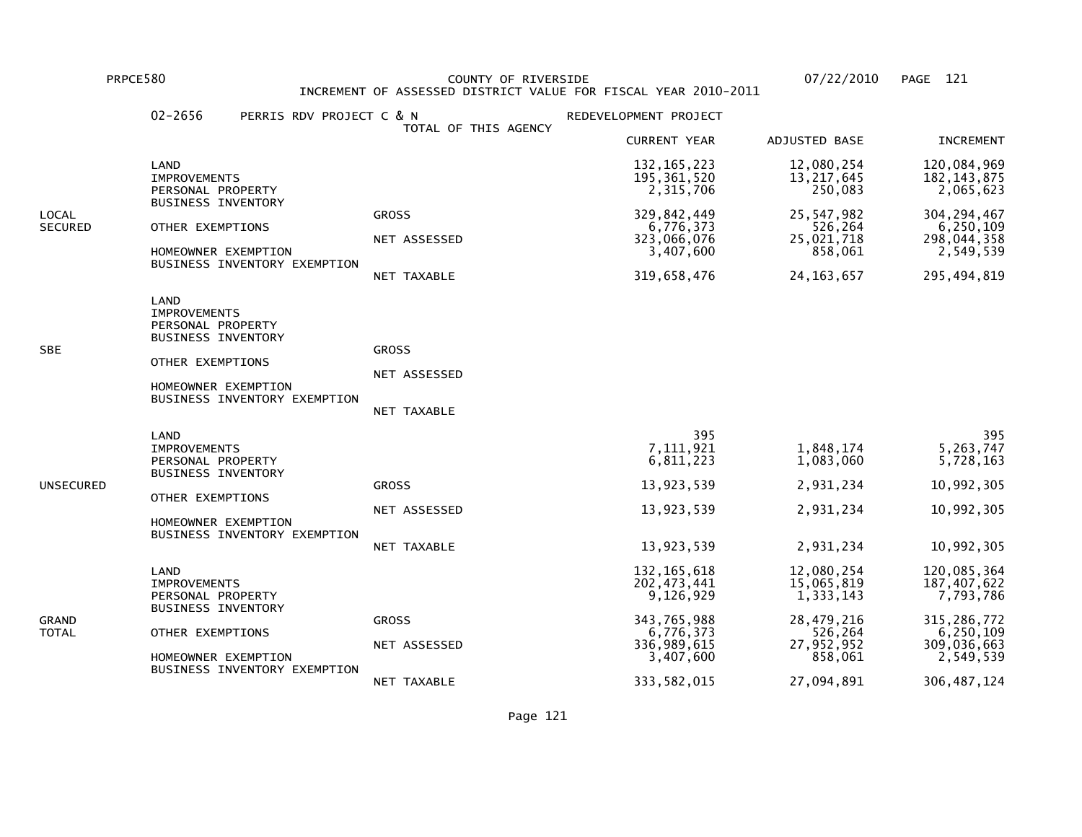PRPCE580 COUNTY OF RIVERSIDE 07/22/2010 PAGE 121 INCREMENT OF ASSESSED DISTRICT VALUE FOR FISCAL YEAR 2010-2011

|                  | $02 - 2656$<br>PERRIS RDV PROJECT C & N                                                                                                                  |                                                    | REDEVELOPMENT PROJECT                                                                                                |                                                                                                       |                                                                                                                    |
|------------------|----------------------------------------------------------------------------------------------------------------------------------------------------------|----------------------------------------------------|----------------------------------------------------------------------------------------------------------------------|-------------------------------------------------------------------------------------------------------|--------------------------------------------------------------------------------------------------------------------|
|                  |                                                                                                                                                          | TOTAL OF THIS AGENCY                               | <b>CURRENT YEAR</b>                                                                                                  | ADJUSTED BASE                                                                                         | <b>INCREMENT</b>                                                                                                   |
|                  | LAND<br><b>IMPROVEMENTS</b><br>PERSONAL PROPERTY                                                                                                         |                                                    | 132, 165, 223<br>195, 361, 520<br>2,315,706                                                                          | 12,080,254<br>13, 217, 645<br>250,083                                                                 | 120,084,969<br>182, 143, 875<br>2,065,623                                                                          |
| LOCAL<br>SECURED | <b>BUSINESS INVENTORY</b><br>OTHER EXEMPTIONS<br>HOMEOWNER EXEMPTION<br>BUSINESS INVENTORY EXEMPTION                                                     | <b>GROSS</b><br>NET ASSESSED<br><b>NET TAXABLE</b> | 329,842,449<br>6,776,373<br>323,066,076<br>3,407,600<br>319,658,476                                                  | 25, 547, 982<br>526,264<br>25,021,718<br>858,061<br>24, 163, 657                                      | 304, 294, 467<br>6,250,109<br>298,044,358<br>2,549,539<br>295,494,819                                              |
| SBE              | LAND<br><b>IMPROVEMENTS</b><br>PERSONAL PROPERTY<br><b>BUSINESS INVENTORY</b><br>OTHER EXEMPTIONS<br>HOMEOWNER EXEMPTION<br>BUSINESS INVENTORY EXEMPTION | <b>GROSS</b><br>NET ASSESSED<br><b>NET TAXABLE</b> |                                                                                                                      |                                                                                                       |                                                                                                                    |
| UNSECURED        | LAND<br><b>IMPROVEMENTS</b><br>PERSONAL PROPERTY<br><b>BUSINESS INVENTORY</b><br>OTHER EXEMPTIONS<br>HOMEOWNER EXEMPTION<br>BUSINESS INVENTORY EXEMPTION | <b>GROSS</b><br>NET ASSESSED<br>NET TAXABLE        | 395<br>7,111,921<br>6,811,223<br>13,923,539<br>13,923,539<br>13,923,539                                              | 1,848,174<br>1,083,060<br>2,931,234<br>2,931,234<br>2,931,234                                         | 395<br>5,263,747<br>5,728,163<br>10,992,305<br>10,992,305<br>10,992,305                                            |
| GRAND<br>TOTAL   | LAND<br><b>IMPROVEMENTS</b><br>PERSONAL PROPERTY<br><b>BUSINESS INVENTORY</b><br>OTHER EXEMPTIONS<br>HOMEOWNER EXEMPTION<br>BUSINESS INVENTORY EXEMPTION | <b>GROSS</b><br>NET ASSESSED<br>NET TAXABLE        | 132, 165, 618<br>202, 473, 441<br>9,126,929<br>343,765,988<br>6,776,373<br>336,989,615<br>3,407,600<br>333, 582, 015 | 12,080,254<br>15,065,819<br>1,333,143<br>28,479,216<br>526,264<br>27,952,952<br>858,061<br>27,094,891 | 120,085,364<br>187,407,622<br>7,793,786<br>315, 286, 772<br>6,250,109<br>309,036,663<br>2,549,539<br>306, 487, 124 |
|                  |                                                                                                                                                          |                                                    |                                                                                                                      |                                                                                                       |                                                                                                                    |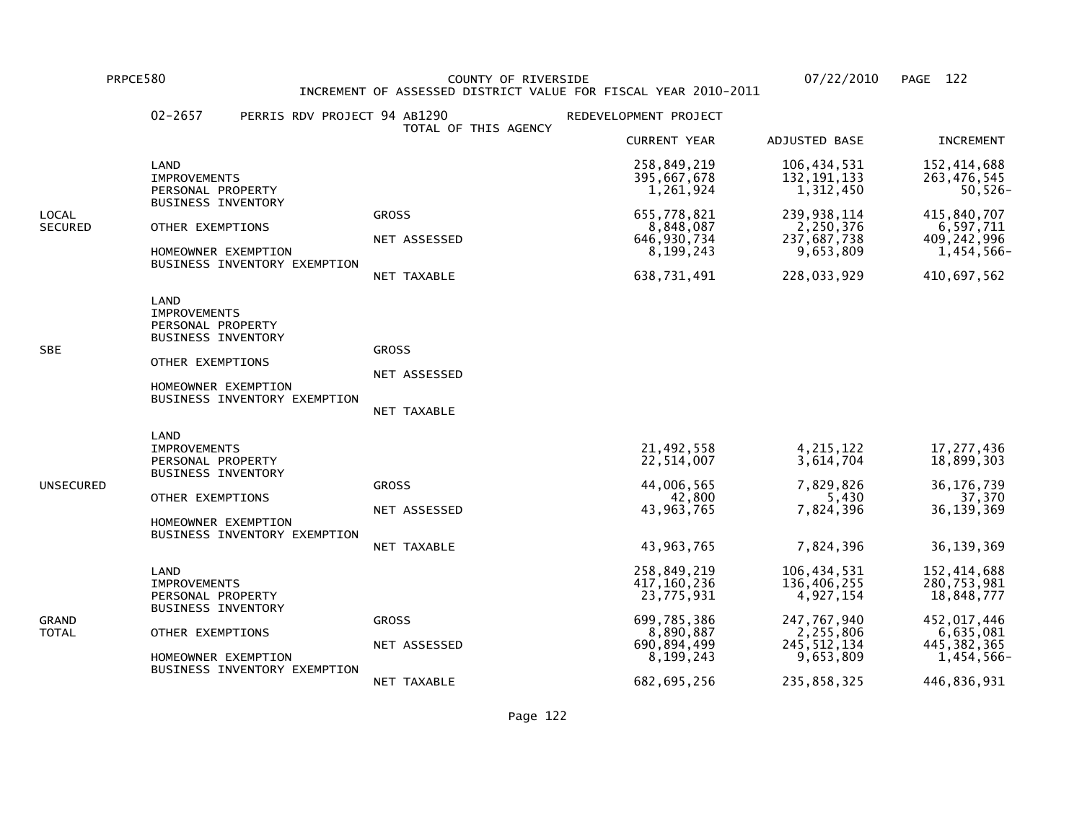PRPCE580 COUNTY OF RIVERSIDE 07/22/2010 PAGE 122 INCREMENT OF ASSESSED DISTRICT VALUE FOR FISCAL YEAR 2010-2011

| <b>CURRENT YEAR</b><br>ADJUSTED BASE<br>106,434,531<br>LAND<br>258,849,219<br>395,667,678<br>132, 191, 133<br><b>IMPROVEMENTS</b><br>1,261,924<br>1,312,450<br>PERSONAL PROPERTY<br><b>BUSINESS INVENTORY</b><br>655,778,821<br>239, 938, 114<br><b>GROSS</b><br>LOCAL<br>8,848,087<br>2,250,376<br>SECURED<br>OTHER EXEMPTIONS<br>NET ASSESSED<br>646, 930, 734<br>237,687,738<br>8,199,243<br>9,653,809<br>HOMEOWNER EXEMPTION<br>BUSINESS INVENTORY EXEMPTION<br>638,731,491<br>228,033,929<br>NET TAXABLE<br>LAND<br><b>IMPROVEMENTS</b><br>PERSONAL PROPERTY<br><b>BUSINESS INVENTORY</b><br>SBE<br><b>GROSS</b><br>OTHER EXEMPTIONS<br>NET ASSESSED<br>HOMEOWNER EXEMPTION<br>BUSINESS INVENTORY EXEMPTION<br>NET TAXABLE<br>LAND<br>4, 215, 122<br>21,492,558<br><b>IMPROVEMENTS</b><br>22,514,007<br>3,614,704<br>PERSONAL PROPERTY<br><b>BUSINESS INVENTORY</b><br>7,829,826<br>44,006,565<br>UNSECURED<br><b>GROSS</b><br>42,800<br>5,430<br>OTHER EXEMPTIONS<br>43, 963, 765<br>7,824,396<br>NET ASSESSED<br>HOMEOWNER EXEMPTION<br>BUSINESS INVENTORY EXEMPTION<br>7,824,396<br>43,963,765<br>NET TAXABLE<br>258,849,219<br>106,434,531<br>LAND<br>417,160,236<br>136,406,255<br><b>IMPROVEMENTS</b><br>23,775,931<br>4,927,154<br>PERSONAL PROPERTY<br><b>BUSINESS INVENTORY</b><br>699,785,386<br>247,767,940<br>GRAND<br><b>GROSS</b><br>2,255,806<br>8,890,887<br>OTHER EXEMPTIONS<br>TOTAL<br>690,894,499<br>245, 512, 134<br>NET ASSESSED<br>HOMEOWNER EXEMPTION | $02 - 2657$ | PERRIS RDV PROJECT 94 AB1290 | TOTAL OF THIS AGENCY | REDEVELOPMENT PROJECT |           |                                                                                                                      |
|------------------------------------------------------------------------------------------------------------------------------------------------------------------------------------------------------------------------------------------------------------------------------------------------------------------------------------------------------------------------------------------------------------------------------------------------------------------------------------------------------------------------------------------------------------------------------------------------------------------------------------------------------------------------------------------------------------------------------------------------------------------------------------------------------------------------------------------------------------------------------------------------------------------------------------------------------------------------------------------------------------------------------------------------------------------------------------------------------------------------------------------------------------------------------------------------------------------------------------------------------------------------------------------------------------------------------------------------------------------------------------------------------------------------------------------------------------------------------------|-------------|------------------------------|----------------------|-----------------------|-----------|----------------------------------------------------------------------------------------------------------------------|
|                                                                                                                                                                                                                                                                                                                                                                                                                                                                                                                                                                                                                                                                                                                                                                                                                                                                                                                                                                                                                                                                                                                                                                                                                                                                                                                                                                                                                                                                                    |             |                              |                      |                       |           | <b>INCREMENT</b>                                                                                                     |
|                                                                                                                                                                                                                                                                                                                                                                                                                                                                                                                                                                                                                                                                                                                                                                                                                                                                                                                                                                                                                                                                                                                                                                                                                                                                                                                                                                                                                                                                                    |             |                              |                      |                       |           | 152,414,688<br>263,476,545<br>50,526-                                                                                |
|                                                                                                                                                                                                                                                                                                                                                                                                                                                                                                                                                                                                                                                                                                                                                                                                                                                                                                                                                                                                                                                                                                                                                                                                                                                                                                                                                                                                                                                                                    |             |                              |                      |                       |           | 415,840,707<br>6,597,711<br>409, 242, 996<br>1,454,566-<br>410,697,562                                               |
|                                                                                                                                                                                                                                                                                                                                                                                                                                                                                                                                                                                                                                                                                                                                                                                                                                                                                                                                                                                                                                                                                                                                                                                                                                                                                                                                                                                                                                                                                    |             |                              |                      |                       |           |                                                                                                                      |
|                                                                                                                                                                                                                                                                                                                                                                                                                                                                                                                                                                                                                                                                                                                                                                                                                                                                                                                                                                                                                                                                                                                                                                                                                                                                                                                                                                                                                                                                                    |             |                              |                      |                       |           | 17, 277, 436<br>18,899,303<br>36, 176, 739<br>37,370<br>36, 139, 369<br>36, 139, 369                                 |
| BUSINESS INVENTORY EXEMPTION<br>682,695,256<br>235,858,325<br>NET TAXABLE                                                                                                                                                                                                                                                                                                                                                                                                                                                                                                                                                                                                                                                                                                                                                                                                                                                                                                                                                                                                                                                                                                                                                                                                                                                                                                                                                                                                          |             |                              |                      | 8,199,243             | 9,653,809 | 152,414,688<br>280,753,981<br>18,848,777<br>452, 017, 446<br>6,635,081<br>445, 382, 365<br>1,454,566-<br>446,836,931 |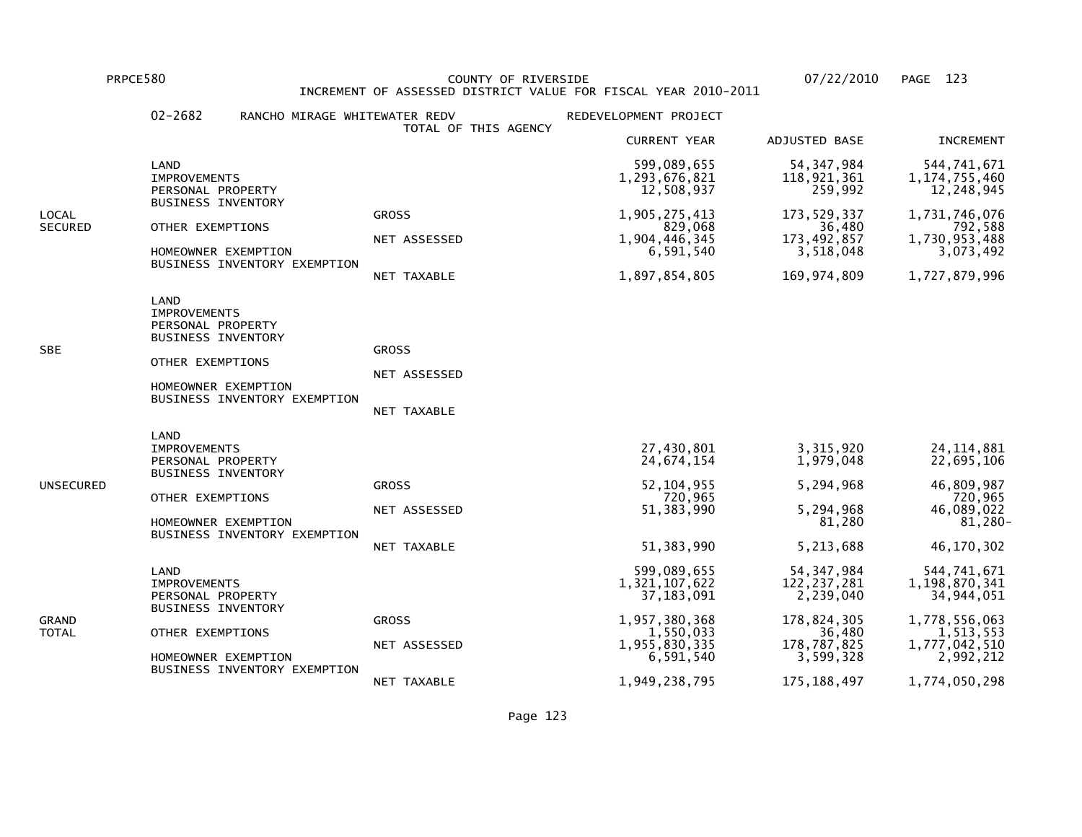PRPCE580 COUNTY OF RIVERSIDE 07/22/2010 PAGE 123INCREMENT OF ASSESSED DISTRICT VALUE FOR FISCAL YEAR 2010-2011

### 02-2682 RANCHO MIRAGE WHITEWATER REDV REDEVELOPMENT PROJECT TOTAL OF THIS AGENCY CURRENT YEAR ADJUSTED BASE INCREMENT LAND 599,089,655 54,347,984 544,741,6711, 174, 755, 460 IMPROVEMENTS 1,293,676,821 118,921,361 1,174,755,46012,248,945 PERSONAL PROPERTY 259,992 BUSINESS INVENTORYLOCAL GROSS 1,905,275,413 173,529,337 1,731,746,076792,588 SECURED OTHER EXEMPTIONS NET ASSESSED 1,904,446,345 36,480 371 SECURED OTHER EXEMPTIONS NET ASSESSED 1,730,953,488 NET ASSESSED 1,904,446,345 173,492,857 1,730,953,4883,073,492 HOMEOWNER EXEMPTION 6,591,540 3,518,048 BUSINESS INVENTORY EXEMPTION NET TAXABLE 1,897,854,805 169,974,809 1,727,879,996 LAND IMPROVEMENTS PERSONAL PROPERTY BUSINESS INVENTORYSBE GROSS OTHER EXEMPTIONS NET ASSESSED HOMEOWNER EXEMPTION BUSINESS INVENTORY EXEMPTION NET TAXABLE LAND**IMPROVEMENTS**  IMPROVEMENTS 27,430,801 3,315,920 24,114,88122,695,106 PERSONAL PROPERTY 1.979,048 BUSINESS INVENTORYUNSECURED GROSS 52,104,955 5,294,968 46,809,987720,965 OTHER EXEMPTIONS 720,965 720,96546,089,022 NET ASSESSED 51,383,990 5,294,968 46,089,022 $81,280 -$ HOMEOWNER EXEMPTION 81,280 BUSINESS INVENTORY EXEMPTION NET TAXABLE 51,383,990 5,213,688 46,170,302 LAND 599,089,655 54,347,984 544,741,6711,198,870,341 IMPROVEMENTS 1,321,107,622 122,237,281 1,198,870,34134,944,051 PERSONAL PROPERTY 2.239,040 BUSINESS INVENTORYGRAND GROSS 1,957,380,368 178,824,305 1,778,556,0631,513,553 TOTAL OTHER EXEMPTIONS 1,550,033 36,480 1,513,5531,777,042,510 NET ASSESSED 1,955,830,335 178,787,825 1,777,042,5102,992,212 HOMEOWNER EXEMPTION 6,591,540 3,599,328 BUSINESS INVENTORY EXEMPTIONNET TAXABLE 1,949,238,795 175,188,497 1,774,050,298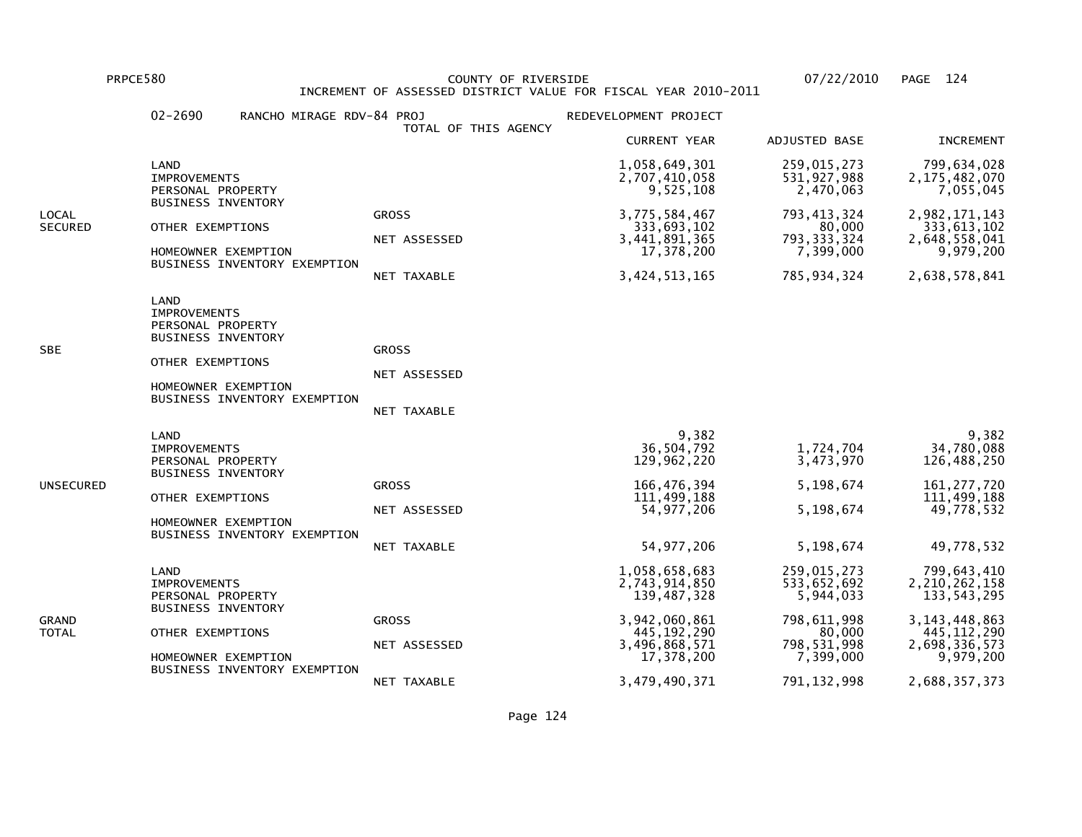PRPCE580 COUNTY OF RIVERSIDE 07/22/2010 PAGE 124 INCREMENT OF ASSESSED DISTRICT VALUE FOR FISCAL YEAR 2010-2011

|                         | $02 - 2690$<br>RANCHO MIRAGE RDV-84 PROJ                                                                                                                 | TOTAL OF THIS AGENCY                        | REDEVELOPMENT PROJECT                                                           |                                                                        |                                                                             |
|-------------------------|----------------------------------------------------------------------------------------------------------------------------------------------------------|---------------------------------------------|---------------------------------------------------------------------------------|------------------------------------------------------------------------|-----------------------------------------------------------------------------|
|                         |                                                                                                                                                          |                                             | <b>CURRENT YEAR</b>                                                             | <b>ADJUSTED BASE</b>                                                   | <b>INCREMENT</b>                                                            |
|                         | LAND<br><b>IMPROVEMENTS</b><br>PERSONAL PROPERTY                                                                                                         |                                             | 1,058,649,301<br>2,707,410,058<br>9,525,108                                     | 259,015,273<br>531, 927, 988<br>2,470,063                              | 799,634,028<br>2, 175, 482, 070<br>7,055,045                                |
| LOCAL<br><b>SECURED</b> | <b>BUSINESS INVENTORY</b><br>OTHER EXEMPTIONS<br>HOMEOWNER EXEMPTION<br>BUSINESS INVENTORY EXEMPTION                                                     | <b>GROSS</b><br>NET ASSESSED<br>NET TAXABLE | 3,775,584,467<br>333,693,102<br>3,441,891,365<br>17,378,200<br>3, 424, 513, 165 | 793, 413, 324<br>80,000<br>793, 333, 324<br>7,399,000<br>785, 934, 324 | 2,982,171,143<br>333,613,102<br>2,648,558,041<br>9,979,200<br>2,638,578,841 |
| SBE                     | LAND<br><b>IMPROVEMENTS</b><br>PERSONAL PROPERTY<br><b>BUSINESS INVENTORY</b><br>OTHER EXEMPTIONS<br>HOMEOWNER EXEMPTION<br>BUSINESS INVENTORY EXEMPTION | <b>GROSS</b><br>NET ASSESSED<br>NET TAXABLE |                                                                                 |                                                                        |                                                                             |
| UNSECURED               | LAND<br><b>IMPROVEMENTS</b><br>PERSONAL PROPERTY<br><b>BUSINESS INVENTORY</b>                                                                            | <b>GROSS</b>                                | 9,382<br>36,504,792<br>129,962,220<br>166,476,394                               | 1,724,704<br>3,473,970<br>5,198,674                                    | 9,382<br>34,780,088<br>126,488,250<br>161, 277, 720                         |
|                         | OTHER EXEMPTIONS<br>HOMEOWNER EXEMPTION<br>BUSINESS INVENTORY EXEMPTION                                                                                  | NET ASSESSED                                | 111,499,188<br>54, 977, 206                                                     | 5,198,674                                                              | 111,499,188<br>49,778,532                                                   |
|                         | LAND<br><b>IMPROVEMENTS</b><br>PERSONAL PROPERTY<br><b>BUSINESS INVENTORY</b>                                                                            | <b>NET TAXABLE</b>                          | 54, 977, 206<br>1,058,658,683<br>2,743,914,850<br>139,487,328                   | 5,198,674<br>259,015,273<br>533,652,692<br>5,944,033                   | 49,778,532<br>799,643,410<br>2, 210, 262, 158<br>133, 543, 295              |
| GRAND<br>TOTAL          | OTHER EXEMPTIONS<br>HOMEOWNER EXEMPTION<br>BUSINESS INVENTORY EXEMPTION                                                                                  | <b>GROSS</b><br>NET ASSESSED                | 3,942,060,861<br>445, 192, 290<br>3,496,868,571<br>17,378,200                   | 798,611,998<br>80,000<br>798, 531, 998<br>7,399,000                    | 3, 143, 448, 863<br>445, 112, 290<br>2,698,336,573<br>9,979,200             |
|                         |                                                                                                                                                          | NET TAXABLE                                 | 3,479,490,371                                                                   | 791, 132, 998                                                          | 2,688,357,373                                                               |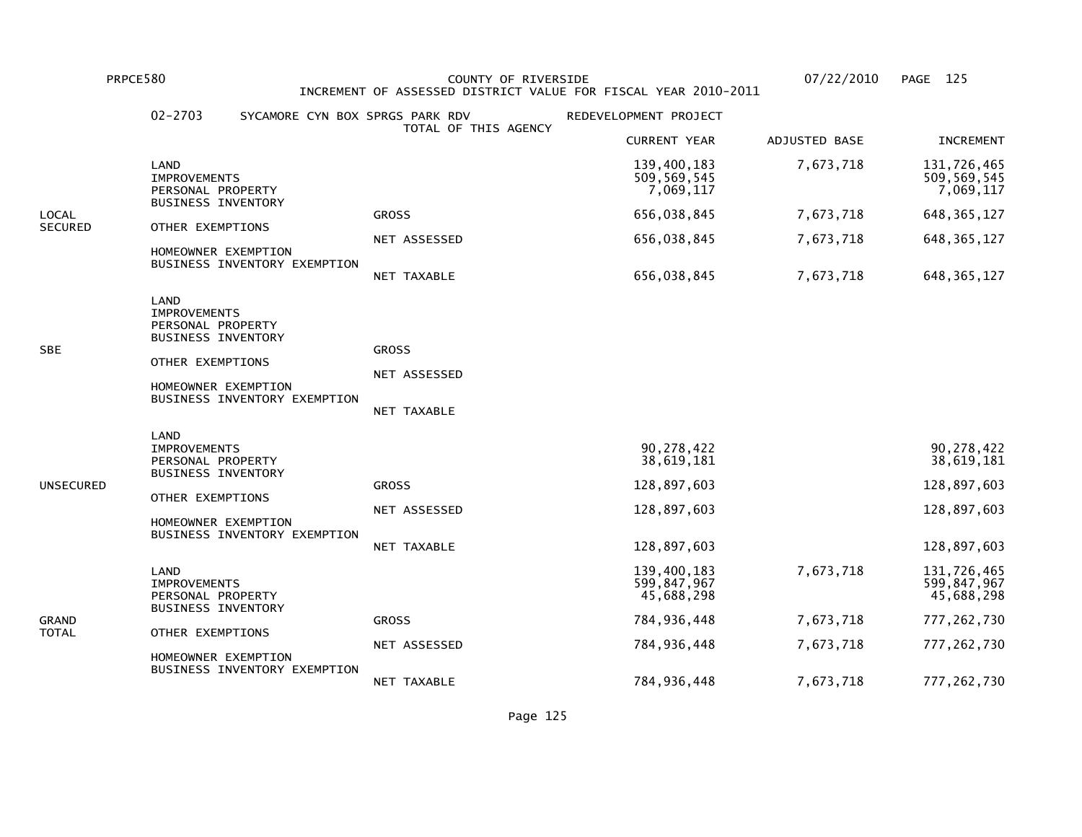PRPCE580 COUNTY OF RIVERSIDE 07/22/2010 PAGE 125 INCREMENT OF ASSESSED DISTRICT VALUE FOR FISCAL YEAR 2010-2011

|                | $02 - 2703$                                                                                                                                              | SYCAMORE CYN BOX SPRGS PARK RDV             | REDEVELOPMENT PROJECT                    |               |                                          |
|----------------|----------------------------------------------------------------------------------------------------------------------------------------------------------|---------------------------------------------|------------------------------------------|---------------|------------------------------------------|
|                |                                                                                                                                                          | TOTAL OF THIS AGENCY                        | <b>CURRENT YEAR</b>                      | ADJUSTED BASE | <b>INCREMENT</b>                         |
|                | LAND<br><b>IMPROVEMENTS</b><br>PERSONAL PROPERTY                                                                                                         |                                             | 139,400,183<br>509,569,545<br>7,069,117  | 7,673,718     | 131,726,465<br>509,569,545<br>7,069,117  |
| LOCAL          | BUSINESS INVENTORY                                                                                                                                       | <b>GROSS</b>                                | 656,038,845                              | 7,673,718     | 648, 365, 127                            |
| <b>SECURED</b> | OTHER EXEMPTIONS                                                                                                                                         | NET ASSESSED                                | 656,038,845                              | 7,673,718     | 648, 365, 127                            |
|                | HOMEOWNER EXEMPTION<br>BUSINESS INVENTORY EXEMPTION                                                                                                      |                                             |                                          |               |                                          |
|                |                                                                                                                                                          | NET TAXABLE                                 | 656,038,845                              | 7,673,718     | 648, 365, 127                            |
| SBE            | LAND<br><b>IMPROVEMENTS</b><br>PERSONAL PROPERTY<br><b>BUSINESS INVENTORY</b><br>OTHER EXEMPTIONS<br>HOMEOWNER EXEMPTION<br>BUSINESS INVENTORY EXEMPTION | <b>GROSS</b><br>NET ASSESSED<br>NET TAXABLE |                                          |               |                                          |
|                | LAND<br><b>IMPROVEMENTS</b><br>PERSONAL PROPERTY                                                                                                         |                                             | 90,278,422<br>38,619,181                 |               | 90,278,422<br>38,619,181                 |
| UNSECURED      | <b>BUSINESS INVENTORY</b>                                                                                                                                | <b>GROSS</b>                                | 128,897,603                              |               | 128,897,603                              |
|                | OTHER EXEMPTIONS                                                                                                                                         | NET ASSESSED                                | 128,897,603                              |               | 128,897,603                              |
|                | HOMEOWNER EXEMPTION<br>BUSINESS INVENTORY EXEMPTION                                                                                                      | NET TAXABLE                                 | 128,897,603                              |               | 128,897,603                              |
|                | LAND<br><b>IMPROVEMENTS</b><br>PERSONAL PROPERTY                                                                                                         |                                             | 139,400,183<br>599,847,967<br>45,688,298 | 7,673,718     | 131,726,465<br>599,847,967<br>45,688,298 |
| GRAND          | <b>BUSINESS INVENTORY</b>                                                                                                                                | <b>GROSS</b>                                | 784,936,448                              | 7,673,718     | 777, 262, 730                            |
| TOTAL          | OTHER EXEMPTIONS<br>HOMEOWNER EXEMPTION                                                                                                                  | NET ASSESSED                                | 784,936,448                              | 7,673,718     | 777, 262, 730                            |
|                | BUSINESS INVENTORY EXEMPTION                                                                                                                             | NET TAXABLE                                 | 784,936,448                              | 7,673,718     | 777, 262, 730                            |

Page 125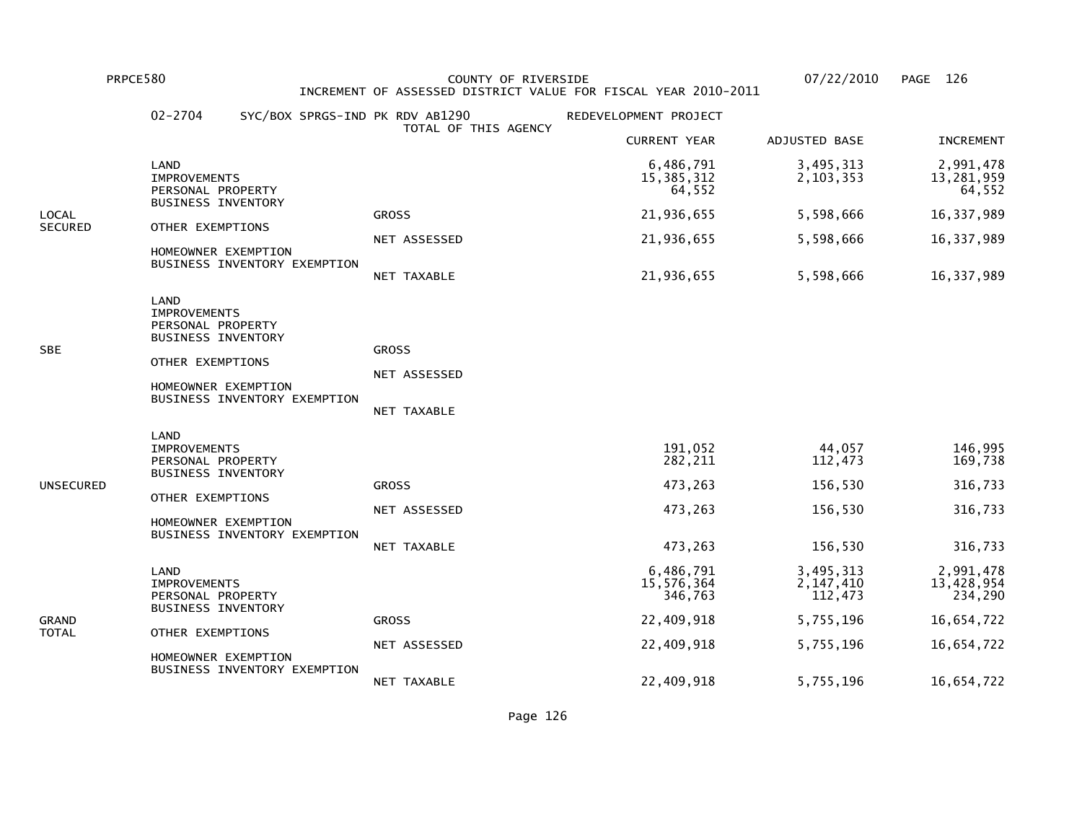PRPCE580 COUNTY OF RIVERSIDE 07/22/2010 PAGE 126 INCREMENT OF ASSESSED DISTRICT VALUE FOR FISCAL YEAR 2010-2011

|                | $02 - 2704$                                                                                                                                              |                      | SYC/BOX SPRGS-IND PK RDV AB1290             | REDEVELOPMENT PROJECT              |                                     |                                    |
|----------------|----------------------------------------------------------------------------------------------------------------------------------------------------------|----------------------|---------------------------------------------|------------------------------------|-------------------------------------|------------------------------------|
|                |                                                                                                                                                          | TOTAL OF THIS AGENCY | <b>CURRENT YEAR</b>                         | ADJUSTED BASE                      | <b>INCREMENT</b>                    |                                    |
|                | LAND<br>IMPROVEMENTS<br>PERSONAL PROPERTY                                                                                                                |                      |                                             | 6,486,791<br>15,385,312<br>64,552  | 3,495,313<br>2,103,353              | 2,991,478<br>13,281,959<br>64,552  |
| LOCAL          | BUSINESS INVENTORY                                                                                                                                       |                      | <b>GROSS</b>                                | 21,936,655                         | 5,598,666                           | 16,337,989                         |
| <b>SECURED</b> | OTHER EXEMPTIONS<br>HOMEOWNER EXEMPTION                                                                                                                  |                      | NET ASSESSED                                | 21,936,655                         | 5,598,666                           | 16, 337, 989                       |
|                | BUSINESS INVENTORY EXEMPTION                                                                                                                             |                      | NET TAXABLE                                 | 21,936,655                         | 5,598,666                           | 16, 337, 989                       |
| <b>SBE</b>     | LAND<br><b>IMPROVEMENTS</b><br>PERSONAL PROPERTY<br><b>BUSINESS INVENTORY</b><br>OTHER EXEMPTIONS<br>HOMEOWNER EXEMPTION<br>BUSINESS INVENTORY EXEMPTION |                      | <b>GROSS</b><br>NET ASSESSED<br>NET TAXABLE |                                    |                                     |                                    |
| UNSECURED      | LAND<br><b>IMPROVEMENTS</b><br>PERSONAL PROPERTY<br><b>BUSINESS INVENTORY</b><br>OTHER EXEMPTIONS                                                        |                      | <b>GROSS</b>                                | 191,052<br>282,211<br>473,263      | 44,057<br>112,473<br>156,530        | 146,995<br>169,738<br>316,733      |
|                | HOMEOWNER EXEMPTION                                                                                                                                      |                      | NET ASSESSED                                | 473,263                            | 156,530                             | 316,733                            |
|                | BUSINESS INVENTORY EXEMPTION                                                                                                                             |                      | NET TAXABLE                                 | 473,263                            | 156,530                             | 316,733                            |
|                | LAND<br><b>IMPROVEMENTS</b><br>PERSONAL PROPERTY<br><b>BUSINESS INVENTORY</b>                                                                            |                      |                                             | 6,486,791<br>15,576,364<br>346,763 | 3,495,313<br>2, 147, 410<br>112,473 | 2,991,478<br>13,428,954<br>234,290 |
| GRAND          | OTHER EXEMPTIONS                                                                                                                                         |                      | <b>GROSS</b>                                | 22,409,918                         | 5,755,196                           | 16,654,722                         |
| TOTAL          | HOMEOWNER EXEMPTION                                                                                                                                      |                      | NET ASSESSED                                | 22,409,918                         | 5,755,196                           | 16,654,722                         |
|                | BUSINESS INVENTORY EXEMPTION                                                                                                                             |                      | NET TAXABLE                                 | 22,409,918                         | 5,755,196                           | 16,654,722                         |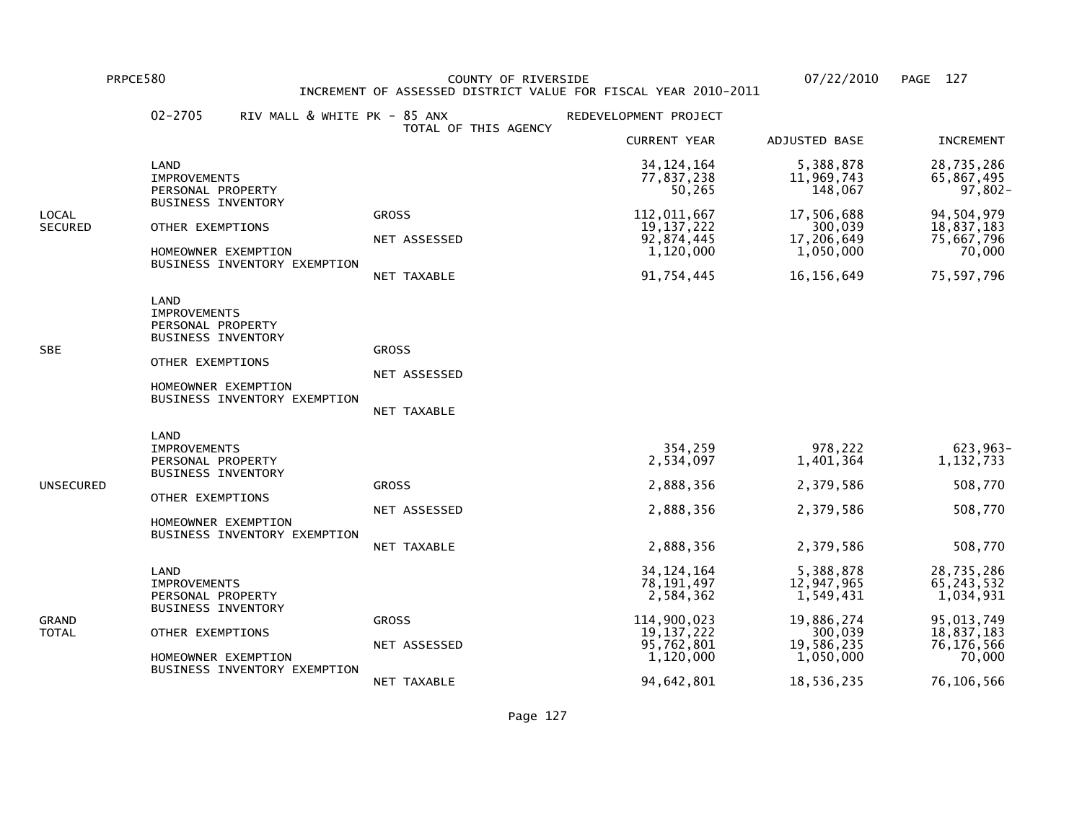BUSINESS INVENTORY EXEMPTION

 PRPCE580 COUNTY OF RIVERSIDE 07/22/2010 PAGE 127INCREMENT OF ASSESSED DISTRICT VALUE FOR FISCAL YEAR 2010-2011

 02-2705 RIV MALL & WHITE PK - 85 ANX REDEVELOPMENT PROJECT TOTAL OF THIS AGENCY CURRENT YEAR ADJUSTED BASE INCREMENT LAND 34,124,164 5,388,878 28,735,28665,867,495 IMPROVEMENTS 77,837,238 11,969,743 65,867,495 $97,802 -$ PERSONAL PROPERTY 148,067 BUSINESS INVENTORYLOCAL GROSS 112,011,667 17,506,688 94,504,97918,837,183 SECURED OTHER EXEMPTIONS 19,137,222 300,039 18,837,18375,667,796 NET ASSESSED 92,874,445 17,206,649 75,667,796 $70,000$ HOMEOWNER EXEMPTION  $1,120,000$   $1,050,000$  BUSINESS INVENTORY EXEMPTION NET TAXABLE 91,754,445 16,156,649 75,597,796 LAND IMPROVEMENTS PERSONAL PROPERTY BUSINESS INVENTORYSBE GROSS GROSS GROSS GROSS GROSS GROSS GROSS GROSS GROSS GROSS GROSS GROSS GROSS GROSS GROSS GROSS GROSS GROSS OTHER EXEMPTIONS NET ASSESSED HOMEOWNER EXEMPTION BUSINESS INVENTORY EXEMPTION NET TAXABLE LAND**IMPROVEMENTS**  IMPROVEMENTS 354,259 978,222 623,963-1,132,733 PERSONAL PROPERTY 1.401,364 BUSINESS INVENTORYUNSECURED GROSS 2,888,356 2,379,586 508,770 OTHER EXEMPTIONS NET ASSESSED 2,888,356 2,379,586 508,770 HOMEOWNER EXEMPTION BUSINESS INVENTORY EXEMPTION NET TAXABLE 2,888,356 2,379,586 508,770 LAND 34,124,164 5,388,878 28,735,28665.243.532 IMPROVEMENTS 78,191,497 12,947,965 65,243,532 $1,034,931$ PERSONAL PROPERTY 1,549,431 BUSINESS INVENTORYGRAND GROSS 114,900,023 19,886,274 95,013,74918,837,183 TOTAL OTHER EXEMPTIONS 19,137,222 300,039 18,837,18376,176,566 NET ASSESSED 95,762,801 19,586,235 76,176,56670,000 HOMEOWNER EXEMPTION  $1,120,000$   $1,050,000$ 

NET TAXABLE 94,642,801 18,536,235 76,106,566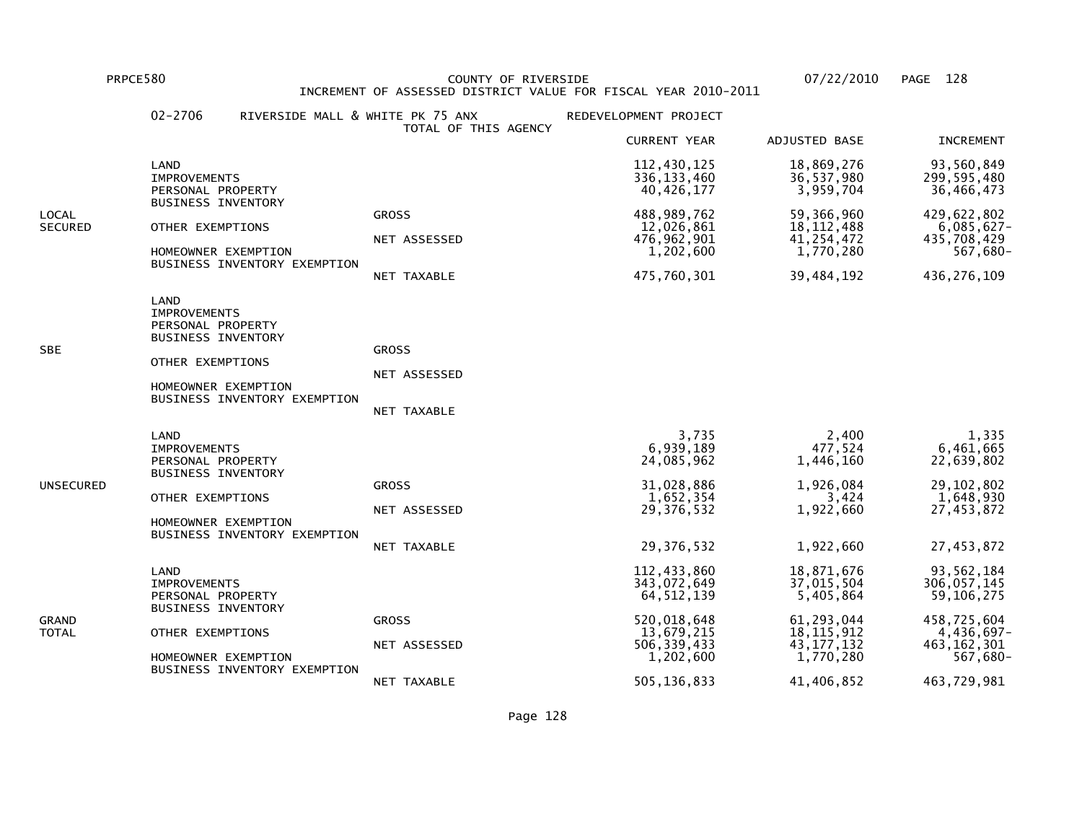PRPCE580 COUNTY OF RIVERSIDE 07/22/2010 PAGE 128 INCREMENT OF ASSESSED DISTRICT VALUE FOR FISCAL YEAR 2010-2011

|                         | $02 - 2706$<br>RIVERSIDE MALL & WHITE PK 75 ANX                                                                                                          |                                             | REDEVELOPMENT PROJECT                                                |                                                                       |                                                                         |
|-------------------------|----------------------------------------------------------------------------------------------------------------------------------------------------------|---------------------------------------------|----------------------------------------------------------------------|-----------------------------------------------------------------------|-------------------------------------------------------------------------|
|                         |                                                                                                                                                          | TOTAL OF THIS AGENCY                        | <b>CURRENT YEAR</b>                                                  | ADJUSTED BASE                                                         | <b>INCREMENT</b>                                                        |
|                         | LAND<br><b>IMPROVEMENTS</b><br>PERSONAL PROPERTY                                                                                                         |                                             | 112,430,125<br>336, 133, 460<br>40,426,177                           | 18,869,276<br>36,537,980<br>3,959,704                                 | 93,560,849<br>299,595,480<br>36,466,473                                 |
| LOCAL<br><b>SECURED</b> | <b>BUSINESS INVENTORY</b><br>OTHER EXEMPTIONS<br>HOMEOWNER EXEMPTION<br>BUSINESS INVENTORY EXEMPTION                                                     | <b>GROSS</b><br>NET ASSESSED<br>NET TAXABLE | 488,989,762<br>12,026,861<br>476,962,901<br>1,202,600<br>475,760,301 | 59,366,960<br>18, 112, 488<br>41, 254, 472<br>1,770,280<br>39,484,192 | 429,622,802<br>$6,085,627-$<br>435,708,429<br>567,680-<br>436, 276, 109 |
| SBE                     | LAND<br><b>IMPROVEMENTS</b><br>PERSONAL PROPERTY<br><b>BUSINESS INVENTORY</b><br>OTHER EXEMPTIONS<br>HOMEOWNER EXEMPTION<br>BUSINESS INVENTORY EXEMPTION | <b>GROSS</b><br>NET ASSESSED<br>NET TAXABLE |                                                                      |                                                                       |                                                                         |
| UNSECURED               | LAND<br><b>IMPROVEMENTS</b><br>PERSONAL PROPERTY<br><b>BUSINESS INVENTORY</b>                                                                            | <b>GROSS</b>                                | 3,735<br>6,939,189<br>24,085,962<br>31,028,886                       | 2,400<br>477,524<br>1,446,160<br>1,926,084                            | 1,335<br>6,461,665<br>22,639,802<br>29, 102, 802                        |
|                         | OTHER EXEMPTIONS<br>HOMEOWNER EXEMPTION<br>BUSINESS INVENTORY EXEMPTION                                                                                  | NET ASSESSED                                | 1,652,354<br>29,376,532                                              | 3,424<br>1,922,660                                                    | 1,648,930<br>27,453,872                                                 |
|                         |                                                                                                                                                          | NET TAXABLE                                 | 29,376,532                                                           | 1,922,660                                                             | 27,453,872                                                              |
| GRAND<br>TOTAL          | LAND<br><b>IMPROVEMENTS</b><br>PERSONAL PROPERTY<br><b>BUSINESS INVENTORY</b><br>OTHER EXEMPTIONS<br>HOMEOWNER EXEMPTION<br>BUSINESS INVENTORY EXEMPTION |                                             | 112,433,860<br>343,072,649<br>64, 512, 139                           | 18,871,676<br>37,015,504<br>5,405,864                                 | 93,562,184<br>306,057,145<br>59,106,275                                 |
|                         |                                                                                                                                                          | <b>GROSS</b><br>NET ASSESSED                | 520,018,648<br>13,679,215<br>506, 339, 433<br>1,202,600              | 61,293,044<br>18, 115, 912<br>43, 177, 132<br>1,770,280               | 458,725,604<br>4,436,697-<br>463, 162, 301<br>567,680-                  |
|                         |                                                                                                                                                          | NET TAXABLE                                 | 505,136,833                                                          | 41,406,852                                                            | 463,729,981                                                             |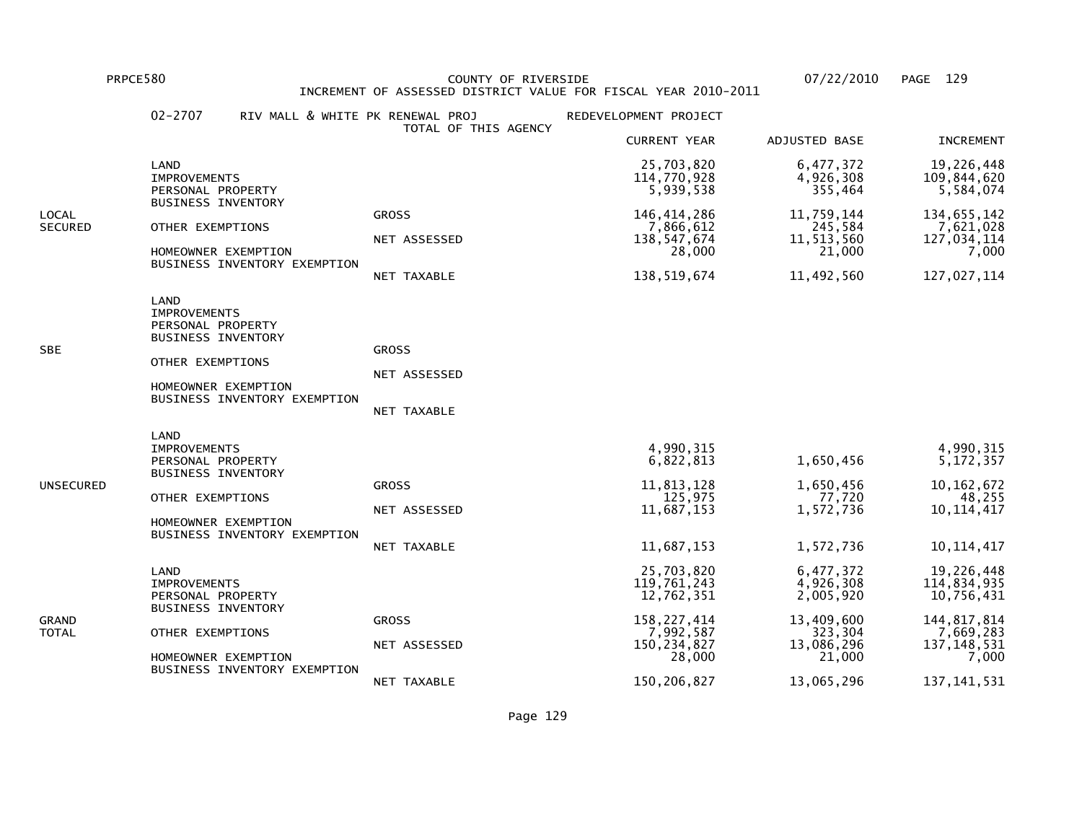PRPCE580 COUNTY OF RIVERSIDE 07/22/2010 PAGE 129 INCREMENT OF ASSESSED DISTRICT VALUE FOR FISCAL YEAR 2010-2011

|                         | $02 - 2707$<br>RIV MALL & WHITE PK RENEWAL PROJ                                                                                                          | TOTAL OF THIS AGENCY                               | REDEVELOPMENT PROJECT                                                                            |                                                                                      |                                                                                                 |
|-------------------------|----------------------------------------------------------------------------------------------------------------------------------------------------------|----------------------------------------------------|--------------------------------------------------------------------------------------------------|--------------------------------------------------------------------------------------|-------------------------------------------------------------------------------------------------|
|                         |                                                                                                                                                          |                                                    | <b>CURRENT YEAR</b>                                                                              | ADJUSTED BASE                                                                        | <b>INCREMENT</b>                                                                                |
|                         | LAND<br><b>IMPROVEMENTS</b><br>PERSONAL PROPERTY                                                                                                         |                                                    | 25,703,820<br>114,770,928<br>5,939,538                                                           | 6,477,372<br>4,926,308<br>355,464                                                    | 19,226,448<br>109,844,620<br>5,584,074                                                          |
| LOCAL<br><b>SECURED</b> | <b>BUSINESS INVENTORY</b><br>OTHER EXEMPTIONS<br>HOMEOWNER EXEMPTION<br>BUSINESS INVENTORY EXEMPTION                                                     | <b>GROSS</b><br>NET ASSESSED<br>NET TAXABLE        | 146, 414, 286<br>7,866,612<br>138,547,674<br>28,000<br>138,519,674                               | 11,759,144<br>245,584<br>11,513,560<br>21,000<br>11,492,560                          | 134,655,142<br>7,621,028<br>127,034,114<br>7,000<br>127,027,114                                 |
| SBE                     | LAND<br><b>IMPROVEMENTS</b><br>PERSONAL PROPERTY<br><b>BUSINESS INVENTORY</b><br>OTHER EXEMPTIONS<br>HOMEOWNER EXEMPTION<br>BUSINESS INVENTORY EXEMPTION | <b>GROSS</b><br>NET ASSESSED<br>NET TAXABLE        |                                                                                                  |                                                                                      |                                                                                                 |
| UNSECURED               | LAND<br><b>IMPROVEMENTS</b><br>PERSONAL PROPERTY<br><b>BUSINESS INVENTORY</b><br>OTHER EXEMPTIONS<br>HOMEOWNER EXEMPTION<br>BUSINESS INVENTORY EXEMPTION | <b>GROSS</b><br>NET ASSESSED<br><b>NET TAXABLE</b> | 4,990,315<br>6,822,813<br>11,813,128<br>125,975<br>11,687,153<br>11,687,153                      | 1,650,456<br>1,650,456<br>77,720<br>1,572,736<br>1,572,736                           | 4,990,315<br>5, 172, 357<br>10, 162, 672<br>48,255<br>10, 114, 417<br>10, 114, 417              |
| GRAND<br>TOTAL          | LAND<br><b>IMPROVEMENTS</b><br>PERSONAL PROPERTY<br><b>BUSINESS INVENTORY</b><br>OTHER EXEMPTIONS<br>HOMEOWNER EXEMPTION<br>BUSINESS INVENTORY EXEMPTION | <b>GROSS</b><br>NET ASSESSED                       | 25,703,820<br>119,761,243<br>12,762,351<br>158, 227, 414<br>7,992,587<br>150, 234, 827<br>28,000 | 6,477,372<br>4,926,308<br>2,005,920<br>13,409,600<br>323,304<br>13,086,296<br>21,000 | 19,226,448<br>114,834,935<br>10,756,431<br>144, 817, 814<br>7,669,283<br>137, 148, 531<br>7,000 |
|                         |                                                                                                                                                          | NET TAXABLE                                        | 150,206,827                                                                                      | 13,065,296                                                                           | 137, 141, 531                                                                                   |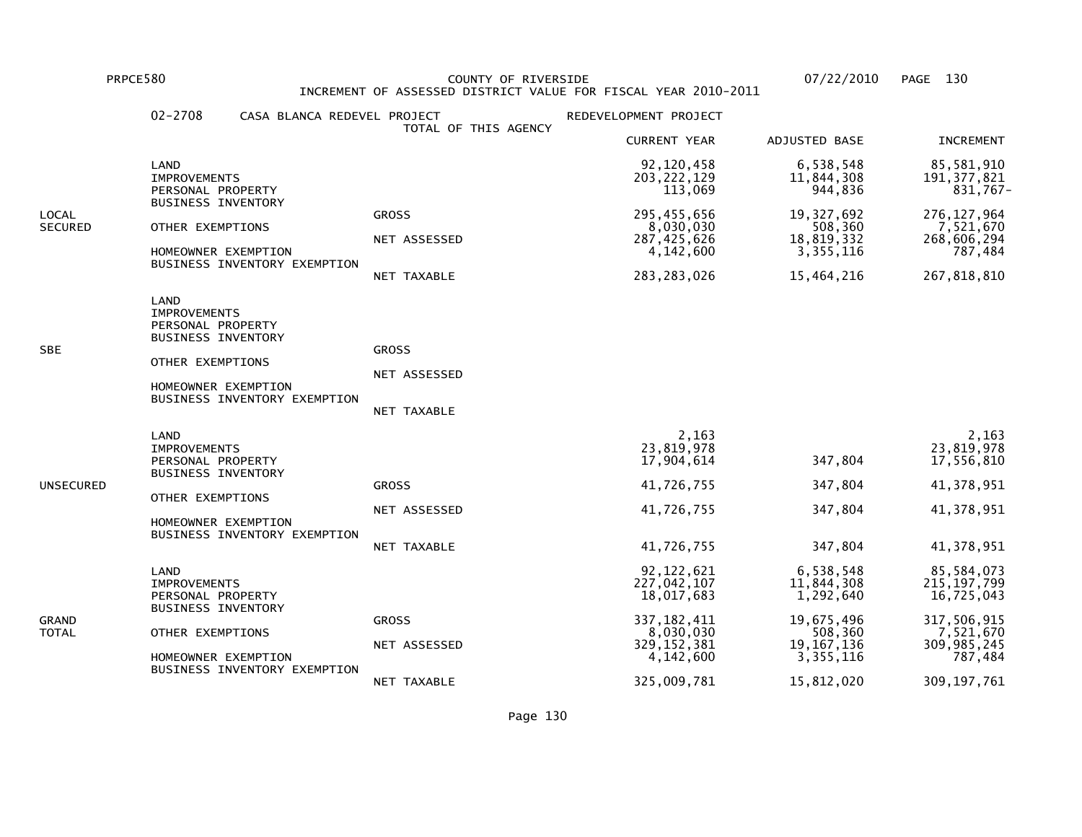PRPCE580 COUNTY OF RIVERSIDE 07/22/2010 PAGE 130 INCREMENT OF ASSESSED DISTRICT VALUE FOR FISCAL YEAR 2010-2011

|                         | $02 - 2708$<br>CASA BLANCA REDEVEL PROJECT                                                                                                               | TOTAL OF THIS AGENCY                        | REDEVELOPMENT PROJECT                                                                                 |                                                                                              |                                                                                                 |
|-------------------------|----------------------------------------------------------------------------------------------------------------------------------------------------------|---------------------------------------------|-------------------------------------------------------------------------------------------------------|----------------------------------------------------------------------------------------------|-------------------------------------------------------------------------------------------------|
|                         |                                                                                                                                                          |                                             | <b>CURRENT YEAR</b>                                                                                   | ADJUSTED BASE                                                                                | <b>INCREMENT</b>                                                                                |
|                         | LAND<br><b>IMPROVEMENTS</b><br>PERSONAL PROPERTY                                                                                                         |                                             | 92,120,458<br>203, 222, 129<br>113,069                                                                | 6,538,548<br>11,844,308<br>944,836                                                           | 85,581,910<br>191, 377, 821<br>831,767-                                                         |
| LOCAL<br><b>SECURED</b> | <b>BUSINESS INVENTORY</b><br>OTHER EXEMPTIONS<br>HOMEOWNER EXEMPTION<br>BUSINESS INVENTORY EXEMPTION                                                     | <b>GROSS</b><br>NET ASSESSED<br>NET TAXABLE | 295,455,656<br>8,030,030<br>287,425,626<br>4,142,600<br>283, 283, 026                                 | 19,327,692<br>508,360<br>18,819,332<br>3,355,116<br>15,464,216                               | 276, 127, 964<br>7,521,670<br>268,606,294<br>787,484<br>267,818,810                             |
| SBE                     | LAND<br><b>IMPROVEMENTS</b><br>PERSONAL PROPERTY<br><b>BUSINESS INVENTORY</b><br>OTHER EXEMPTIONS<br>HOMEOWNER EXEMPTION<br>BUSINESS INVENTORY EXEMPTION | <b>GROSS</b><br>NET ASSESSED<br>NET TAXABLE |                                                                                                       |                                                                                              |                                                                                                 |
| UNSECURED               | LAND<br><b>IMPROVEMENTS</b><br>PERSONAL PROPERTY<br><b>BUSINESS INVENTORY</b><br>OTHER EXEMPTIONS<br>HOMEOWNER EXEMPTION<br>BUSINESS INVENTORY EXEMPTION | <b>GROSS</b><br>NET ASSESSED<br>NET TAXABLE | 2,163<br>23,819,978<br>17,904,614<br>41,726,755<br>41,726,755<br>41,726,755                           | 347,804<br>347,804<br>347,804<br>347,804                                                     | 2,163<br>23,819,978<br>17,556,810<br>41,378,951<br>41,378,951<br>41,378,951                     |
| GRAND<br>TOTAL          | LAND<br><b>IMPROVEMENTS</b><br>PERSONAL PROPERTY<br><b>BUSINESS INVENTORY</b><br>OTHER EXEMPTIONS<br>HOMEOWNER EXEMPTION<br>BUSINESS INVENTORY EXEMPTION | <b>GROSS</b><br>NET ASSESSED                | 92, 122, 621<br>227,042,107<br>18,017,683<br>337, 182, 411<br>8,030,030<br>329, 152, 381<br>4,142,600 | 6,538,548<br>11,844,308<br>1,292,640<br>19,675,496<br>508,360<br>19, 167, 136<br>3, 355, 116 | 85,584,073<br>215, 197, 799<br>16,725,043<br>317,506,915<br>7,521,670<br>309,985,245<br>787,484 |
|                         |                                                                                                                                                          | NET TAXABLE                                 | 325,009,781                                                                                           | 15,812,020                                                                                   | 309, 197, 761                                                                                   |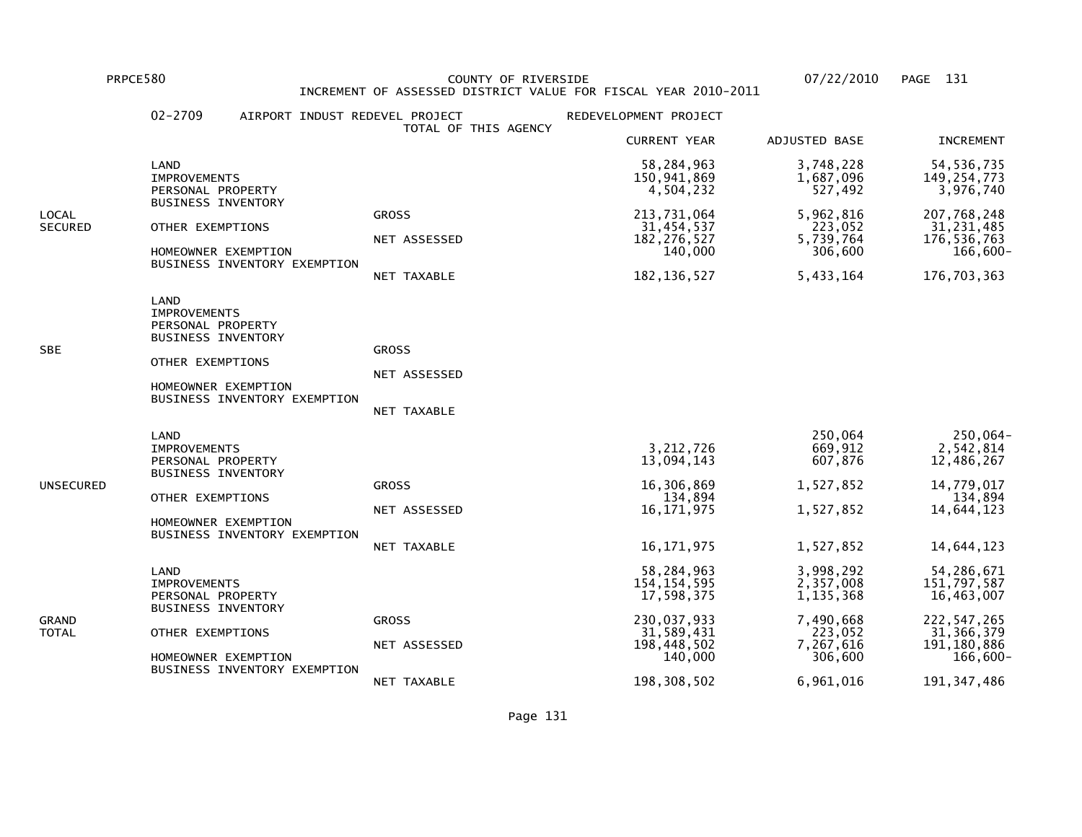PRPCE580 COUNTY OF RIVERSIDE 07/22/2010 PAGE 131 INCREMENT OF ASSESSED DISTRICT VALUE FOR FISCAL YEAR 2010-2011

|                  | $02 - 2709$                                                                                                              | AIRPORT INDUST REDEVEL PROJECT          | TOTAL OF THIS AGENCY                        | REDEVELOPMENT PROJECT                                                  |                                                           |                                                                     |
|------------------|--------------------------------------------------------------------------------------------------------------------------|-----------------------------------------|---------------------------------------------|------------------------------------------------------------------------|-----------------------------------------------------------|---------------------------------------------------------------------|
|                  |                                                                                                                          |                                         |                                             | <b>CURRENT YEAR</b>                                                    | ADJUSTED BASE                                             | <b>INCREMENT</b>                                                    |
|                  | LAND<br><b>IMPROVEMENTS</b><br>PERSONAL PROPERTY                                                                         |                                         |                                             | 58,284,963<br>150,941,869<br>4,504,232                                 | 3,748,228<br>1,687,096<br>527,492                         | 54, 536, 735<br>149, 254, 773<br>3,976,740                          |
| LOCAL<br>SECURED | <b>BUSINESS INVENTORY</b><br>OTHER EXEMPTIONS<br>HOMEOWNER EXEMPTION                                                     | BUSINESS INVENTORY EXEMPTION            | <b>GROSS</b><br>NET ASSESSED<br>NET TAXABLE | 213,731,064<br>31,454,537<br>182, 276, 527<br>140,000<br>182, 136, 527 | 5,962,816<br>223,052<br>5,739,764<br>306,600<br>5,433,164 | 207,768,248<br>31,231,485<br>176,536,763<br>166,600-<br>176,703,363 |
| SBE              | LAND<br><b>IMPROVEMENTS</b><br>PERSONAL PROPERTY<br><b>BUSINESS INVENTORY</b><br>OTHER EXEMPTIONS<br>HOMEOWNER EXEMPTION | BUSINESS INVENTORY EXEMPTION            | <b>GROSS</b><br>NET ASSESSED<br>NET TAXABLE |                                                                        |                                                           |                                                                     |
| UNSECURED        | LAND<br><b>IMPROVEMENTS</b><br>PERSONAL PROPERTY<br><b>BUSINESS INVENTORY</b><br>OTHER EXEMPTIONS                        |                                         | <b>GROSS</b>                                | 3, 212, 726<br>13,094,143<br>16,306,869<br>134,894                     | 250,064<br>669,912<br>607,876<br>1,527,852                | 250,064-<br>2,542,814<br>12,486,267<br>14,779,017<br>134,894        |
|                  | HOMEOWNER EXEMPTION                                                                                                      | BUSINESS INVENTORY EXEMPTION            | NET ASSESSED<br>NET TAXABLE                 | 16, 171, 975<br>16, 171, 975                                           | 1,527,852<br>1,527,852                                    | 14,644,123<br>14,644,123                                            |
| GRAND<br>TOTAL   | LAND<br><b>IMPROVEMENTS</b><br>PERSONAL PROPERTY<br><b>BUSINESS INVENTORY</b>                                            |                                         |                                             | 58,284,963<br>154, 154, 595<br>17,598,375                              | 3,998,292<br>2,357,008<br>1,135,368                       | 54,286,671<br>151,797,587<br>16,463,007                             |
|                  |                                                                                                                          | OTHER EXEMPTIONS<br>HOMEOWNER EXEMPTION | <b>GROSS</b><br>NET ASSESSED                | 230,037,933<br>31,589,431<br>198,448,502<br>140,000                    | 7,490,668<br>223,052<br>7,267,616<br>306,600              | 222,547,265<br>31, 366, 379<br>191, 180, 886<br>$166,600 -$         |
|                  |                                                                                                                          | BUSINESS INVENTORY EXEMPTION            | NET TAXABLE                                 | 198, 308, 502                                                          | 6,961,016                                                 | 191, 347, 486                                                       |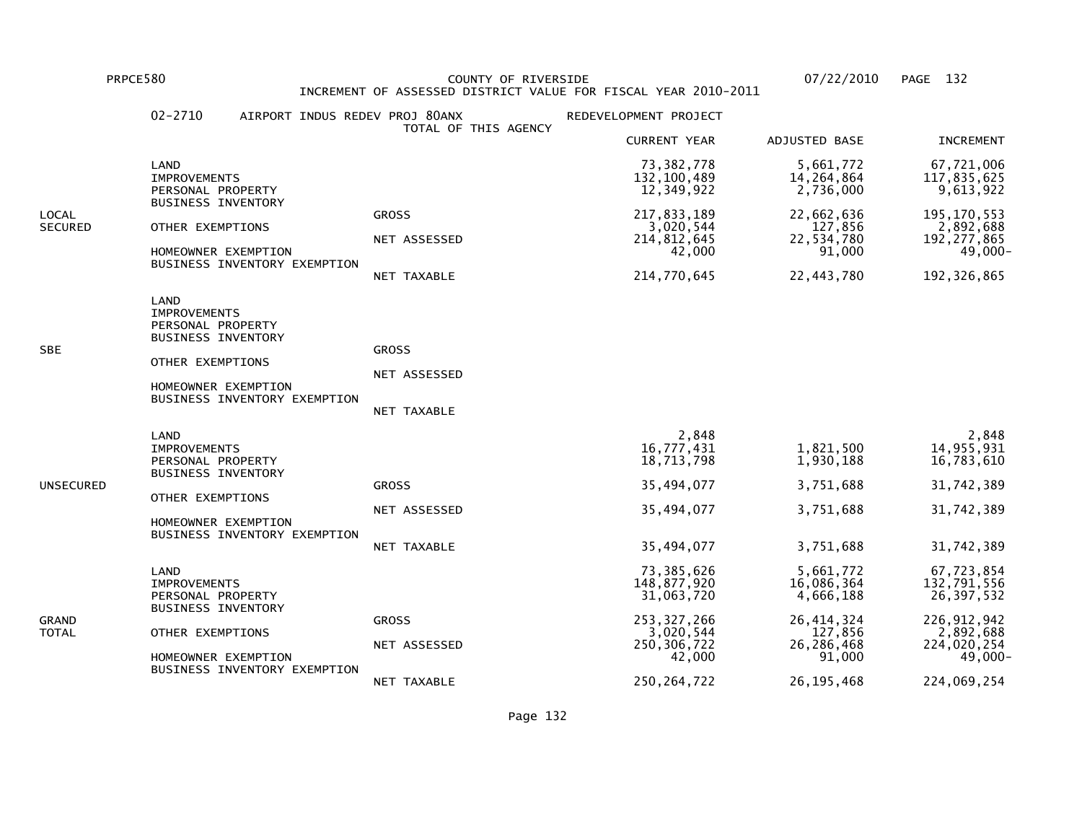PRPCE580 COUNTY OF RIVERSIDE 07/22/2010 PAGE 132 INCREMENT OF ASSESSED DISTRICT VALUE FOR FISCAL YEAR 2010-2011

|                         | $02 - 2710$                                                                                                              | AIRPORT INDUS REDEV PROJ 80ANX | TOTAL OF THIS AGENCY                        | REDEVELOPMENT PROJECT                                                                                             |                                                                                                         |                                                                                                                |
|-------------------------|--------------------------------------------------------------------------------------------------------------------------|--------------------------------|---------------------------------------------|-------------------------------------------------------------------------------------------------------------------|---------------------------------------------------------------------------------------------------------|----------------------------------------------------------------------------------------------------------------|
|                         |                                                                                                                          |                                |                                             | <b>CURRENT YEAR</b>                                                                                               | ADJUSTED BASE                                                                                           | <b>INCREMENT</b>                                                                                               |
|                         | LAND<br><b>IMPROVEMENTS</b><br>PERSONAL PROPERTY                                                                         |                                |                                             | 73,382,778<br>132, 100, 489<br>12,349,922                                                                         | 5,661,772<br>14,264,864<br>2,736,000                                                                    | 67,721,006<br>117,835,625<br>9,613,922                                                                         |
| LOCAL<br><b>SECURED</b> | <b>BUSINESS INVENTORY</b><br>OTHER EXEMPTIONS<br>HOMEOWNER EXEMPTION                                                     | BUSINESS INVENTORY EXEMPTION   | <b>GROSS</b><br>NET ASSESSED<br>NET TAXABLE | 217,833,189<br>3,020,544<br>214,812,645<br>42,000<br>214,770,645                                                  | 22,662,636<br>127,856<br>22,534,780<br>91,000<br>22,443,780                                             | 195, 170, 553<br>2,892,688<br>192, 277, 865<br>49,000-<br>192, 326, 865                                        |
| SBE                     | LAND<br><b>IMPROVEMENTS</b><br>PERSONAL PROPERTY<br><b>BUSINESS INVENTORY</b><br>OTHER EXEMPTIONS<br>HOMEOWNER EXEMPTION | BUSINESS INVENTORY EXEMPTION   | <b>GROSS</b><br>NET ASSESSED<br>NET TAXABLE |                                                                                                                   |                                                                                                         |                                                                                                                |
| UNSECURED               | LAND<br><b>IMPROVEMENTS</b><br>PERSONAL PROPERTY<br><b>BUSINESS INVENTORY</b><br>OTHER EXEMPTIONS<br>HOMEOWNER EXEMPTION | BUSINESS INVENTORY EXEMPTION   | <b>GROSS</b><br>NET ASSESSED<br>NET TAXABLE | 2,848<br>16,777,431<br>18,713,798<br>35,494,077<br>35,494,077<br>35,494,077                                       | 1,821,500<br>1,930,188<br>3,751,688<br>3,751,688<br>3,751,688                                           | 2,848<br>14,955,931<br>16,783,610<br>31,742,389<br>31,742,389<br>31,742,389                                    |
| GRAND<br>TOTAL          | LAND<br><b>IMPROVEMENTS</b><br>PERSONAL PROPERTY<br><b>BUSINESS INVENTORY</b><br>OTHER EXEMPTIONS<br>HOMEOWNER EXEMPTION | BUSINESS INVENTORY EXEMPTION   | <b>GROSS</b><br>NET ASSESSED<br>NET TAXABLE | 73,385,626<br>148,877,920<br>31,063,720<br>253, 327, 266<br>3,020,544<br>250, 306, 722<br>42,000<br>250, 264, 722 | 5,661,772<br>16,086,364<br>4,666,188<br>26, 414, 324<br>127,856<br>26,286,468<br>91,000<br>26, 195, 468 | 67,723,854<br>132,791,556<br>26,397,532<br>226, 912, 942<br>2,892,688<br>224,020,254<br>49,000-<br>224,069,254 |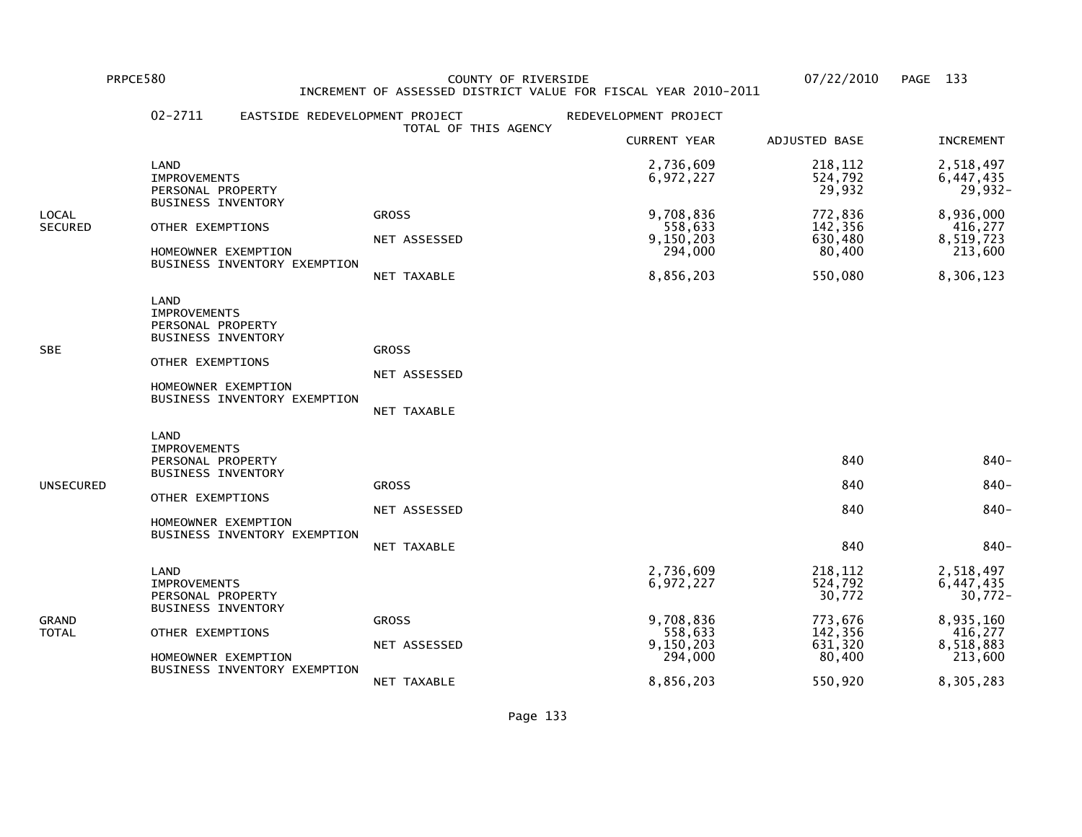PRPCE580 COUNTY OF RIVERSIDE 07/22/2010 PAGE 133INCREMENT OF ASSESSED DISTRICT VALUE FOR FISCAL YEAR 2010-2011

# 02-2711 EASTSIDE REDEVELOPMENT PROJECT REDEVELOPMENT PROJECT TOTAL OF THIS AGENCY CURRENT YEAR ADJUSTED BASE INCREMENT LAND 2,736,609 218,112 2,518,497 IMPROVEMENTS 6,972,227 524,792 6,447,435PERSONAL PROPERTY 29,932 BUSINESS INVENTORYLOCAL GROSS 9,708,836 772,836 8,936,000416,277 SECURED OTHER EXEMPTIONS NET ASSESSED 558,633 142,356 558,633 142,356<br>630,480 9,150,203 8,519,723 NET ASSESSED 9,150,203 630,480 8,519,723213,600 HOMEOWNER EXEMPTION 80,400 BUSINESS INVENTORY EXEMPTION NET TAXABLE 8,856,203 550,080 8,306,123 LAND IMPROVEMENTS PERSONAL PROPERTY BUSINESS INVENTORYSBE GROSS OTHER EXEMPTIONS NET ASSESSED HOMEOWNER EXEMPTION BUSINESS INVENTORY EXEMPTION NET TAXABLE LAND IMPROVEMENTS PERSONAL PROPERTY 840 840- BUSINESS INVENTORYunsecured and the second service of the service of the service of the service of the service of the service of the service of the service of the service of the service of the service of the service of the service of the se OTHER EXEMPTIONS NET ASSESSED 840 840- HOMEOWNER EXEMPTION BUSINESS INVENTORY EXEMPTION NET TAXABLE 840 840- LAND 2,736,609 218,112 2,518,497 $6.447.435$  IMPROVEMENTS 6,972,227 524,792 6,447,435 $30,772-$ PERSONAL PROPERTY 30,772 BUSINESS INVENTORYGRAND GROSS 9,708,836 773,676 8,935,160416,277 TOTAL OTHER EXEMPTIONS 558,633 142,356 416,2778,518,883 NET ASSESSED 9,150,203 631,320 8,518,883213,600 HOMEOWNER EXEMPTION 80,400 BUSINESS INVENTORY EXEMPTIONNET TAXABLE 8,856,203 550,920 8,305,283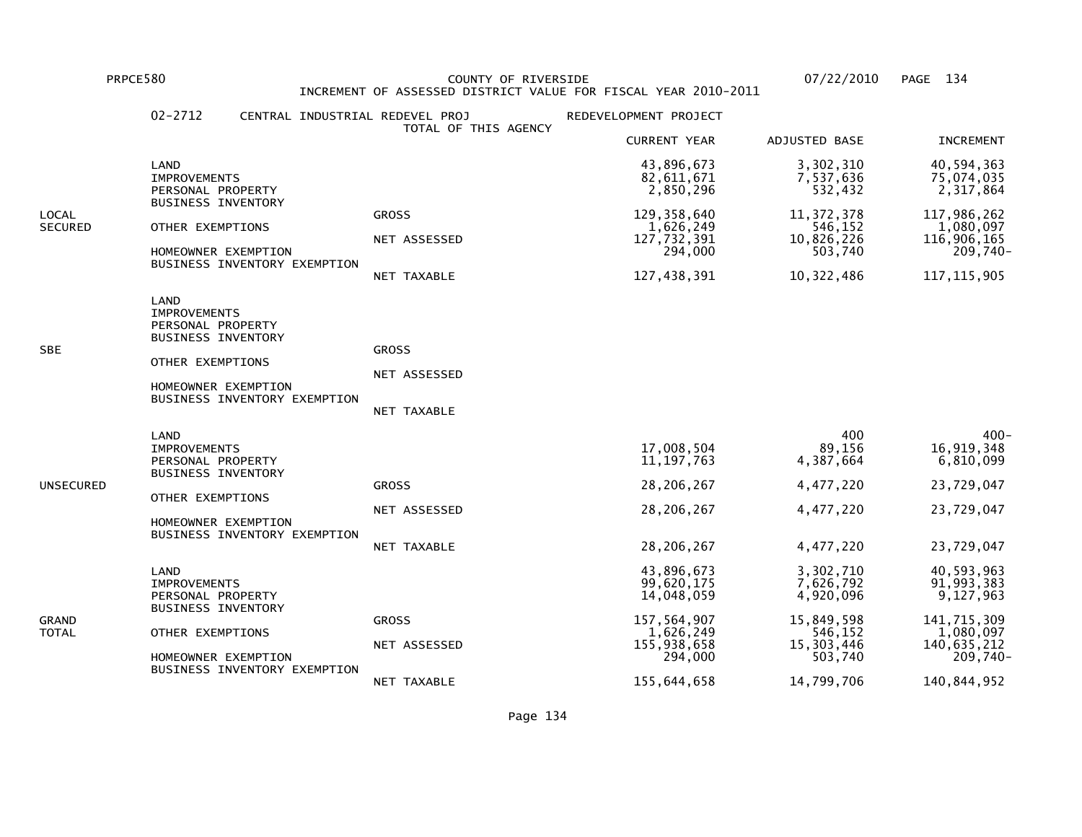PRPCE580 COUNTY OF RIVERSIDE 07/22/2010 PAGE 134 INCREMENT OF ASSESSED DISTRICT VALUE FOR FISCAL YEAR 2010-2011

|                         | $02 - 2712$<br>CENTRAL INDUSTRIAL REDEVEL PROJ                                                                                                           | TOTAL OF THIS AGENCY                        | REDEVELOPMENT PROJECT                                                                                       |                                                                                                     |                                                                                                             |
|-------------------------|----------------------------------------------------------------------------------------------------------------------------------------------------------|---------------------------------------------|-------------------------------------------------------------------------------------------------------------|-----------------------------------------------------------------------------------------------------|-------------------------------------------------------------------------------------------------------------|
|                         |                                                                                                                                                          |                                             | <b>CURRENT YEAR</b>                                                                                         | ADJUSTED BASE                                                                                       | <b>INCREMENT</b>                                                                                            |
|                         | LAND<br><b>IMPROVEMENTS</b><br>PERSONAL PROPERTY                                                                                                         |                                             | 43,896,673<br>82,611,671<br>2,850,296                                                                       | 3,302,310<br>7,537,636<br>532,432                                                                   | 40,594,363<br>75,074,035<br>2,317,864                                                                       |
| LOCAL<br><b>SECURED</b> | <b>BUSINESS INVENTORY</b><br>OTHER EXEMPTIONS<br>HOMEOWNER EXEMPTION<br>BUSINESS INVENTORY EXEMPTION                                                     | <b>GROSS</b><br>NET ASSESSED<br>NET TAXABLE | 129, 358, 640<br>1,626,249<br>127,732,391<br>294,000<br>127,438,391                                         | 11, 372, 378<br>546,152<br>10,826,226<br>503,740<br>10,322,486                                      | 117,986,262<br>1,080,097<br>116,906,165<br>$209,740-$<br>117, 115, 905                                      |
| SBE                     | LAND<br><b>IMPROVEMENTS</b><br>PERSONAL PROPERTY<br><b>BUSINESS INVENTORY</b><br>OTHER EXEMPTIONS<br>HOMEOWNER EXEMPTION<br>BUSINESS INVENTORY EXEMPTION | <b>GROSS</b><br>NET ASSESSED<br>NET TAXABLE |                                                                                                             |                                                                                                     |                                                                                                             |
| UNSECURED               | LAND<br><b>IMPROVEMENTS</b><br>PERSONAL PROPERTY<br><b>BUSINESS INVENTORY</b><br>OTHER EXEMPTIONS<br>HOMEOWNER EXEMPTION<br>BUSINESS INVENTORY EXEMPTION | <b>GROSS</b><br>NET ASSESSED<br>NET TAXABLE | 17,008,504<br>11, 197, 763<br>28,206,267<br>28,206,267<br>28,206,267                                        | 400<br>89,156<br>4,387,664<br>4,477,220<br>4,477,220<br>4,477,220                                   | $400 -$<br>16,919,348<br>6,810,099<br>23,729,047<br>23,729,047<br>23,729,047                                |
| GRAND<br>TOTAL          | LAND<br><b>IMPROVEMENTS</b><br>PERSONAL PROPERTY<br><b>BUSINESS INVENTORY</b><br>OTHER EXEMPTIONS<br>HOMEOWNER EXEMPTION<br>BUSINESS INVENTORY EXEMPTION | <b>GROSS</b><br>NET ASSESSED<br>NET TAXABLE | 43,896,673<br>99,620,175<br>14,048,059<br>157,564,907<br>1,626,249<br>155,938,658<br>294,000<br>155,644,658 | 3,302,710<br>7,626,792<br>4,920,096<br>15,849,598<br>546,152<br>15,303,446<br>503,740<br>14,799,706 | 40,593,963<br>91,993,383<br>9,127,963<br>141,715,309<br>1,080,097<br>140,635,212<br>209,740-<br>140,844,952 |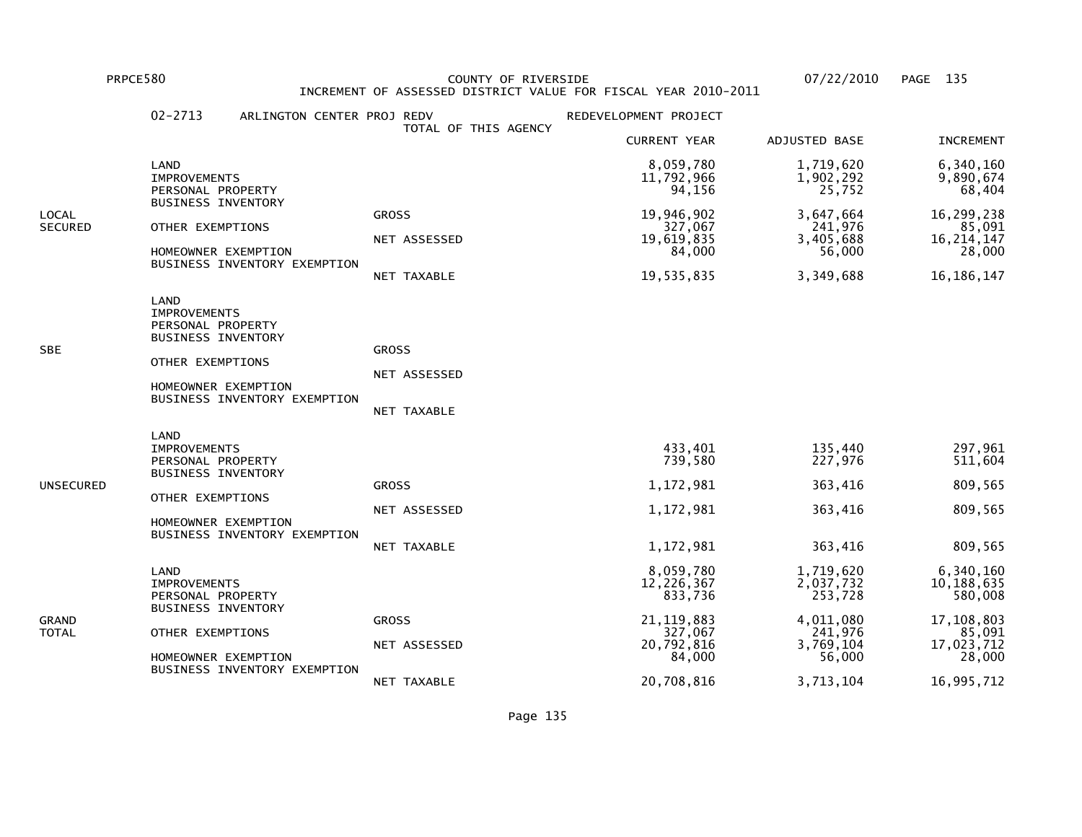PRPCE580 COUNTY OF RIVERSIDE 07/22/2010 PAGE 135 INCREMENT OF ASSESSED DISTRICT VALUE FOR FISCAL YEAR 2010-2011

|                         | $02 - 2713$<br>ARLINGTON CENTER PROJ REDV                                                                                                                | TOTAL OF THIS AGENCY                        | REDEVELOPMENT PROJECT                                                                 |                                                                                  |                                                                                    |
|-------------------------|----------------------------------------------------------------------------------------------------------------------------------------------------------|---------------------------------------------|---------------------------------------------------------------------------------------|----------------------------------------------------------------------------------|------------------------------------------------------------------------------------|
|                         |                                                                                                                                                          |                                             | <b>CURRENT YEAR</b>                                                                   | ADJUSTED BASE                                                                    | <b>INCREMENT</b>                                                                   |
|                         | LAND<br><b>IMPROVEMENTS</b><br>PERSONAL PROPERTY                                                                                                         |                                             | 8,059,780<br>11,792,966<br>94,156                                                     | 1,719,620<br>1,902,292<br>25,752                                                 | 6,340,160<br>9,890,674<br>68,404                                                   |
| LOCAL<br><b>SECURED</b> | <b>BUSINESS INVENTORY</b><br>OTHER EXEMPTIONS<br>HOMEOWNER EXEMPTION<br>BUSINESS INVENTORY EXEMPTION                                                     | <b>GROSS</b><br>NET ASSESSED<br>NET TAXABLE | 19,946,902<br>327,067<br>19,619,835<br>84,000<br>19,535,835                           | 3,647,664<br>241,976<br>3,405,688<br>56,000<br>3,349,688                         | 16,299,238<br>85,091<br>16, 214, 147<br>28,000<br>16, 186, 147                     |
| <b>SBE</b>              | LAND<br><b>IMPROVEMENTS</b><br>PERSONAL PROPERTY<br><b>BUSINESS INVENTORY</b><br>OTHER EXEMPTIONS<br>HOMEOWNER EXEMPTION<br>BUSINESS INVENTORY EXEMPTION | <b>GROSS</b><br>NET ASSESSED<br>NET TAXABLE |                                                                                       |                                                                                  |                                                                                    |
| UNSECURED               | LAND<br><b>IMPROVEMENTS</b><br>PERSONAL PROPERTY<br><b>BUSINESS INVENTORY</b><br>OTHER EXEMPTIONS<br>HOMEOWNER EXEMPTION<br>BUSINESS INVENTORY EXEMPTION | <b>GROSS</b><br>NET ASSESSED<br>NET TAXABLE | 433,401<br>739,580<br>1,172,981<br>1,172,981<br>1,172,981                             | 135,440<br>227,976<br>363,416<br>363,416<br>363,416                              | 297,961<br>511,604<br>809,565<br>809,565<br>809,565                                |
| GRAND<br>TOTAL          | LAND<br><b>IMPROVEMENTS</b><br>PERSONAL PROPERTY<br><b>BUSINESS INVENTORY</b><br>OTHER EXEMPTIONS<br>HOMEOWNER EXEMPTION<br>BUSINESS INVENTORY EXEMPTION | <b>GROSS</b><br>NET ASSESSED                | 8,059,780<br>12,226,367<br>833,736<br>21, 119, 883<br>327,067<br>20,792,816<br>84,000 | 1,719,620<br>2,037,732<br>253,728<br>4,011,080<br>241,976<br>3,769,104<br>56,000 | 6,340,160<br>10,188,635<br>580,008<br>17,108,803<br>85,091<br>17,023,712<br>28,000 |
|                         |                                                                                                                                                          | NET TAXABLE                                 | 20,708,816                                                                            | 3,713,104                                                                        | 16,995,712                                                                         |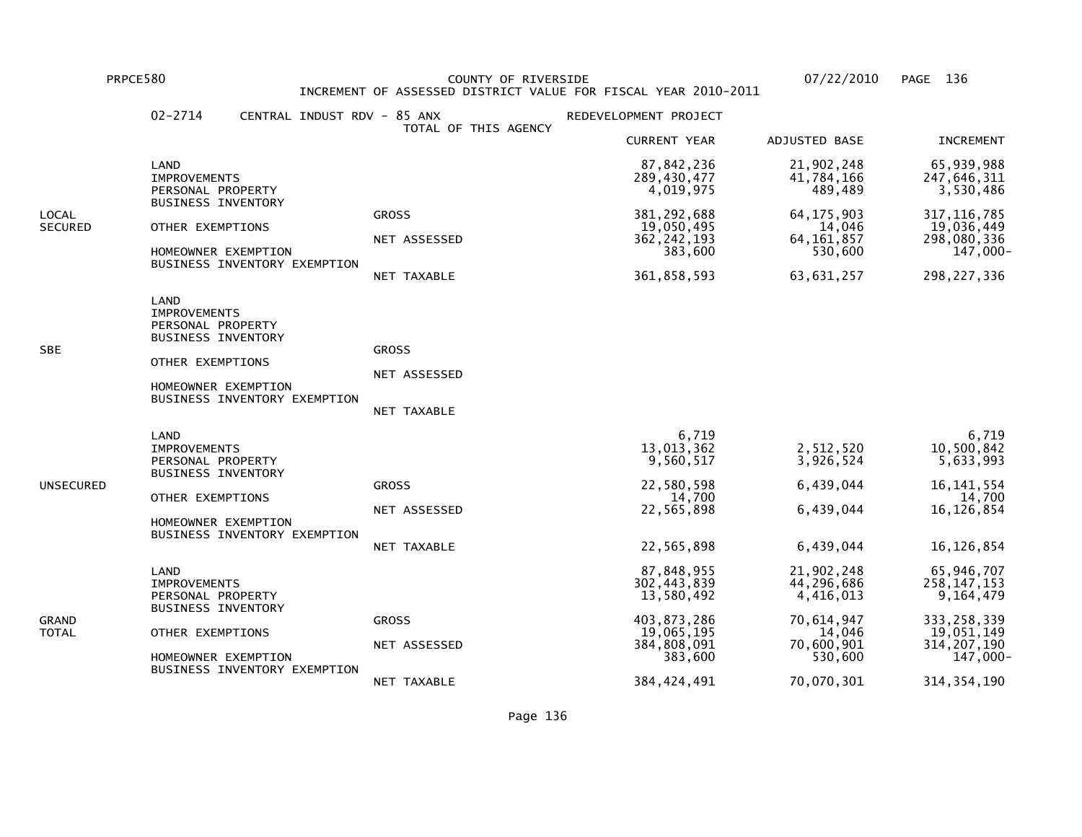PRPCE580 COUNTY OF RIVERSIDE 07/22/2010 PAGE 136 INCREMENT OF ASSESSED DISTRICT VALUE FOR FISCAL YEAR 2010-2011

|                         | $02 - 2714$<br>CENTRAL INDUST RDV - 85 ANX                                                                                                               | TOTAL OF THIS AGENCY                        | REDEVELOPMENT PROJECT                                                                                           |                                                                                                      |                                                                                                                     |
|-------------------------|----------------------------------------------------------------------------------------------------------------------------------------------------------|---------------------------------------------|-----------------------------------------------------------------------------------------------------------------|------------------------------------------------------------------------------------------------------|---------------------------------------------------------------------------------------------------------------------|
|                         |                                                                                                                                                          |                                             | <b>CURRENT YEAR</b>                                                                                             | ADJUSTED BASE                                                                                        | <b>INCREMENT</b>                                                                                                    |
|                         | LAND<br><b>IMPROVEMENTS</b><br>PERSONAL PROPERTY                                                                                                         |                                             | 87,842,236<br>289,430,477<br>4,019,975                                                                          | 21,902,248<br>41,784,166<br>489,489                                                                  | 65,939,988<br>247,646,311<br>3,530,486                                                                              |
| LOCAL<br><b>SECURED</b> | <b>BUSINESS INVENTORY</b><br>OTHER EXEMPTIONS<br>HOMEOWNER EXEMPTION<br>BUSINESS INVENTORY EXEMPTION                                                     | <b>GROSS</b><br>NET ASSESSED<br>NET TAXABLE | 381, 292, 688<br>19,050,495<br>362, 242, 193<br>383,600<br>361,858,593                                          | 64, 175, 903<br>14,046<br>64, 161, 857<br>530,600<br>63,631,257                                      | 317, 116, 785<br>19,036,449<br>298,080,336<br>$147,000 -$<br>298, 227, 336                                          |
| SBE                     | LAND<br><b>IMPROVEMENTS</b><br>PERSONAL PROPERTY<br><b>BUSINESS INVENTORY</b><br>OTHER EXEMPTIONS<br>HOMEOWNER EXEMPTION<br>BUSINESS INVENTORY EXEMPTION | <b>GROSS</b><br>NET ASSESSED<br>NET TAXABLE |                                                                                                                 |                                                                                                      |                                                                                                                     |
| UNSECURED               | LAND<br><b>IMPROVEMENTS</b><br>PERSONAL PROPERTY<br><b>BUSINESS INVENTORY</b><br>OTHER EXEMPTIONS<br>HOMEOWNER EXEMPTION<br>BUSINESS INVENTORY EXEMPTION | <b>GROSS</b><br>NET ASSESSED<br>NET TAXABLE | 6,719<br>13,013,362<br>9,560,517<br>22,580,598<br>14,700<br>22,565,898<br>22,565,898                            | 2,512,520<br>3,926,524<br>6,439,044<br>6,439,044<br>6,439,044                                        | 6,719<br>10,500,842<br>5,633,993<br>16, 141, 554<br>14,700<br>16,126,854<br>16,126,854                              |
| GRAND<br>TOTAL          | LAND<br><b>IMPROVEMENTS</b><br>PERSONAL PROPERTY<br><b>BUSINESS INVENTORY</b><br>OTHER EXEMPTIONS<br>HOMEOWNER EXEMPTION<br>BUSINESS INVENTORY EXEMPTION | <b>GROSS</b><br>NET ASSESSED<br>NET TAXABLE | 87,848,955<br>302,443,839<br>13,580,492<br>403,873,286<br>19,065,195<br>384,808,091<br>383,600<br>384, 424, 491 | 21,902,248<br>44,296,686<br>4,416,013<br>70,614,947<br>14,046<br>70,600,901<br>530,600<br>70,070,301 | 65,946,707<br>258, 147, 153<br>9,164,479<br>333,258,339<br>19,051,149<br>314, 207, 190<br>147,000-<br>314, 354, 190 |
|                         |                                                                                                                                                          |                                             |                                                                                                                 |                                                                                                      |                                                                                                                     |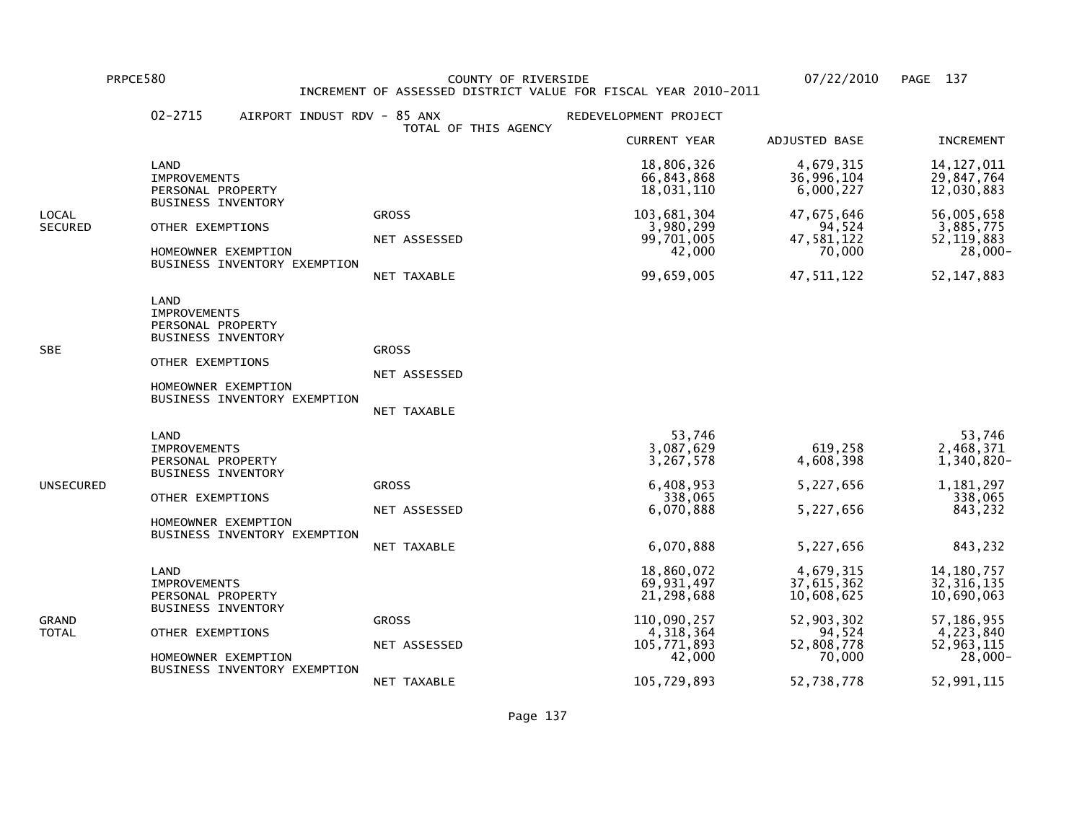PRPCE580 COUNTY OF RIVERSIDE 07/22/2010 PAGE 137 INCREMENT OF ASSESSED DISTRICT VALUE FOR FISCAL YEAR 2010-2011

|                         | $02 - 2715$<br>AIRPORT INDUST RDV - 85 ANX                                                                                                               |                                             | REDEVELOPMENT PROJECT                                                                         |                                                                                       |                                                                                                   |
|-------------------------|----------------------------------------------------------------------------------------------------------------------------------------------------------|---------------------------------------------|-----------------------------------------------------------------------------------------------|---------------------------------------------------------------------------------------|---------------------------------------------------------------------------------------------------|
|                         |                                                                                                                                                          | TOTAL OF THIS AGENCY                        | <b>CURRENT YEAR</b>                                                                           | ADJUSTED BASE                                                                         | <b>INCREMENT</b>                                                                                  |
|                         | LAND<br><b>IMPROVEMENTS</b><br>PERSONAL PROPERTY                                                                                                         |                                             | 18,806,326<br>66,843,868<br>18,031,110                                                        | 4,679,315<br>36,996,104<br>6,000,227                                                  | 14, 127, 011<br>29,847,764<br>12,030,883                                                          |
| LOCAL<br><b>SECURED</b> | <b>BUSINESS INVENTORY</b><br>OTHER EXEMPTIONS<br>HOMEOWNER EXEMPTION<br>BUSINESS INVENTORY EXEMPTION                                                     | <b>GROSS</b><br>NET ASSESSED<br>NET TAXABLE | 103,681,304<br>3,980,299<br>99,701,005<br>42,000<br>99,659,005                                | 47,675,646<br>94,524<br>47,581,122<br>70,000<br>47, 511, 122                          | 56,005,658<br>3,885,775<br>52, 119, 883<br>$28,000 -$<br>52, 147, 883                             |
| SBE                     | LAND<br><b>IMPROVEMENTS</b><br>PERSONAL PROPERTY<br><b>BUSINESS INVENTORY</b><br>OTHER EXEMPTIONS<br>HOMEOWNER EXEMPTION<br>BUSINESS INVENTORY EXEMPTION | <b>GROSS</b><br>NET ASSESSED<br>NET TAXABLE |                                                                                               |                                                                                       |                                                                                                   |
| UNSECURED               | LAND<br><b>IMPROVEMENTS</b><br>PERSONAL PROPERTY<br><b>BUSINESS INVENTORY</b><br>OTHER EXEMPTIONS<br>HOMEOWNER EXEMPTION<br>BUSINESS INVENTORY EXEMPTION | <b>GROSS</b><br>NET ASSESSED<br>NET TAXABLE | 53,746<br>3,087,629<br>3,267,578<br>6,408,953<br>338,065<br>6,070,888<br>6,070,888            | 619,258<br>4,608,398<br>5,227,656<br>5,227,656<br>5,227,656                           | 53,746<br>2,468,371<br>$1,340,820 -$<br>1,181,297<br>338,065<br>843,232<br>843,232                |
| GRAND<br>TOTAL          | LAND<br><b>IMPROVEMENTS</b><br>PERSONAL PROPERTY<br><b>BUSINESS INVENTORY</b><br>OTHER EXEMPTIONS<br>HOMEOWNER EXEMPTION<br>BUSINESS INVENTORY EXEMPTION | <b>GROSS</b><br>NET ASSESSED                | 18,860,072<br>69,931,497<br>21,298,688<br>110,090,257<br>4, 318, 364<br>105,771,893<br>42,000 | 4,679,315<br>37,615,362<br>10,608,625<br>52,903,302<br>94,524<br>52,808,778<br>70,000 | 14, 180, 757<br>32, 316, 135<br>10,690,063<br>57,186,955<br>4,223,840<br>52,963,115<br>$28,000 -$ |
|                         |                                                                                                                                                          | NET TAXABLE                                 | 105,729,893                                                                                   | 52,738,778                                                                            | 52,991,115                                                                                        |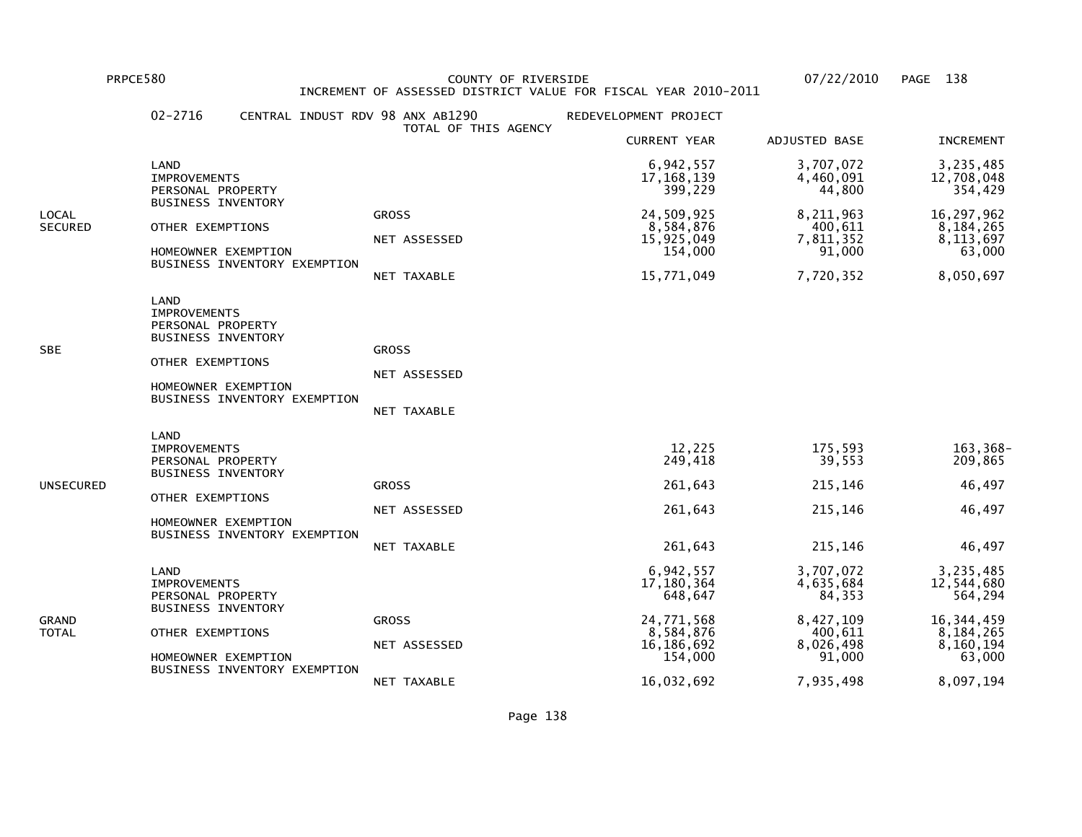PRPCE580 COUNTY OF RIVERSIDE 07/22/2010 PAGE 138 INCREMENT OF ASSESSED DISTRICT VALUE FOR FISCAL YEAR 2010-2011

| TOTAL OF THIS AGENCY<br><b>CURRENT YEAR</b><br>ADJUSTED BASE<br>3,707,072<br>6,942,557<br>LAND<br>17, 168, 139<br>4,460,091<br><b>IMPROVEMENTS</b><br>399,229<br>44,800<br>PERSONAL PROPERTY<br><b>BUSINESS INVENTORY</b><br>24,509,925<br>8,211,963<br><b>GROSS</b><br>LOCAL<br>OTHER EXEMPTIONS<br>8,584,876<br>400,611<br>SECURED<br>15,925,049<br>7,811,352<br>NET ASSESSED<br>154,000<br>91,000<br>HOMEOWNER EXEMPTION<br>BUSINESS INVENTORY EXEMPTION<br>15,771,049<br>7,720,352<br>NET TAXABLE<br>LAND<br><b>IMPROVEMENTS</b><br>PERSONAL PROPERTY<br><b>BUSINESS INVENTORY</b><br><b>SBE</b><br><b>GROSS</b><br>OTHER EXEMPTIONS<br>NET ASSESSED<br>HOMEOWNER EXEMPTION<br>BUSINESS INVENTORY EXEMPTION<br>NET TAXABLE<br>LAND<br>12,225<br>175,593<br><b>IMPROVEMENTS</b><br>39,553<br>249,418<br>PERSONAL PROPERTY<br><b>BUSINESS INVENTORY</b><br>261,643<br>215,146<br><b>GROSS</b><br>UNSECURED<br>OTHER EXEMPTIONS<br>261,643<br>215,146<br>NET ASSESSED<br>HOMEOWNER EXEMPTION<br>BUSINESS INVENTORY EXEMPTION<br>261,643<br>215,146<br>NET TAXABLE<br>6,942,557<br>3,707,072<br>LAND<br>17,180,364<br>4,635,684<br><b>IMPROVEMENTS</b><br>84,353<br>PERSONAL PROPERTY<br>648,647<br><b>BUSINESS INVENTORY</b><br>24,771,568<br>8,427,109<br><b>GROSS</b><br>GRAND<br>8,584,876<br>OTHER EXEMPTIONS<br>400,611<br>TOTAL<br>16,186,692<br>8,026,498<br>NET ASSESSED<br>154,000<br>91,000<br>HOMEOWNER EXEMPTION<br>BUSINESS INVENTORY EXEMPTION | $02 - 2716$<br>CENTRAL INDUST RDV 98 ANX AB1290 |             | REDEVELOPMENT PROJECT |           |                                                                                                     |
|---------------------------------------------------------------------------------------------------------------------------------------------------------------------------------------------------------------------------------------------------------------------------------------------------------------------------------------------------------------------------------------------------------------------------------------------------------------------------------------------------------------------------------------------------------------------------------------------------------------------------------------------------------------------------------------------------------------------------------------------------------------------------------------------------------------------------------------------------------------------------------------------------------------------------------------------------------------------------------------------------------------------------------------------------------------------------------------------------------------------------------------------------------------------------------------------------------------------------------------------------------------------------------------------------------------------------------------------------------------------------------------------------------------------------------------------------------------|-------------------------------------------------|-------------|-----------------------|-----------|-----------------------------------------------------------------------------------------------------|
|                                                                                                                                                                                                                                                                                                                                                                                                                                                                                                                                                                                                                                                                                                                                                                                                                                                                                                                                                                                                                                                                                                                                                                                                                                                                                                                                                                                                                                                               |                                                 |             |                       |           | <b>INCREMENT</b>                                                                                    |
|                                                                                                                                                                                                                                                                                                                                                                                                                                                                                                                                                                                                                                                                                                                                                                                                                                                                                                                                                                                                                                                                                                                                                                                                                                                                                                                                                                                                                                                               |                                                 |             |                       |           | 3,235,485<br>12,708,048<br>354,429                                                                  |
|                                                                                                                                                                                                                                                                                                                                                                                                                                                                                                                                                                                                                                                                                                                                                                                                                                                                                                                                                                                                                                                                                                                                                                                                                                                                                                                                                                                                                                                               |                                                 |             |                       |           | 16,297,962<br>8,184,265<br>8,113,697<br>63,000<br>8,050,697                                         |
|                                                                                                                                                                                                                                                                                                                                                                                                                                                                                                                                                                                                                                                                                                                                                                                                                                                                                                                                                                                                                                                                                                                                                                                                                                                                                                                                                                                                                                                               |                                                 |             |                       |           |                                                                                                     |
|                                                                                                                                                                                                                                                                                                                                                                                                                                                                                                                                                                                                                                                                                                                                                                                                                                                                                                                                                                                                                                                                                                                                                                                                                                                                                                                                                                                                                                                               |                                                 |             |                       |           | 163,368-<br>209,865<br>46,497<br>46,497<br>46,497                                                   |
|                                                                                                                                                                                                                                                                                                                                                                                                                                                                                                                                                                                                                                                                                                                                                                                                                                                                                                                                                                                                                                                                                                                                                                                                                                                                                                                                                                                                                                                               |                                                 | NET TAXABLE | 16,032,692            | 7,935,498 | 3,235,485<br>12,544,680<br>564,294<br>16, 344, 459<br>8,184,265<br>8,160,194<br>63,000<br>8,097,194 |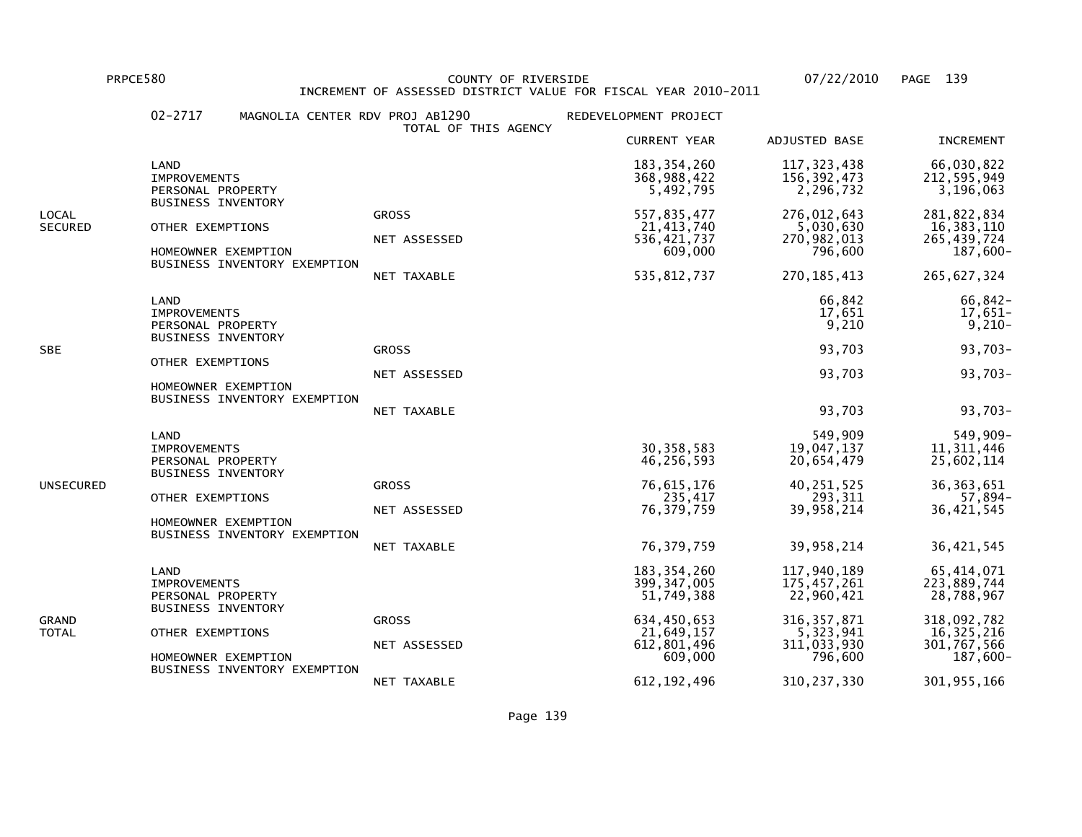PRPCE580 COUNTY OF RIVERSIDE 07/22/2010 PAGE 139INCREMENT OF ASSESSED DISTRICT VALUE FOR FISCAL YEAR 2010-2011

#### 02-2717 MAGNOLIA CENTER RDV PROJ AB1290 REDEVELOPMENT PROJECT TOTAL OF THIS AGENCY CURRENT YEAR ADJUSTED BASE INCREMENT LAND 183,354,260 117,323,438 66,030,822212,595,949 IMPROVEMENTS 368,988,422 156,392,473 212,595,9493,196,063 PERSONAL PROPERTY 3.5.492,795 2,296,732 BUSINESS INVENTORYLOCAL GROSS 557,835,477 276,012,643 281,822,83416,383,110 SECURED OTHER EXEMPTIONS NET ASSESSED 21,413,740 5,030,630 570.982,013<br>270,982,013 536,421,737 536,421,737 265,439,724 NET ASSESSED 536,421,737 270,982,013 265,439,724 $187,600 -$ HOMEOWNER EXEMPTION 600 NORTH CHARGES AND THE SERVICE OF STATE OF STATES AND THE SERVICE OF STATES OF STATES OF STATES AND THE SERVICE OF STATES OF STATES AND THE STATES OF STATES OF STATES OF STATES OF STATES OF STATES OF BUSINESS INVENTORY EXEMPTION NET TAXABLE 535,812,737 270,185,413 265,627,324 LAND 66,842 66,842- $17,651-$  IMPROVEMENTS 17,651 17,651- $9,210 -$ PERSONAL PROPERTY 9,210 BUSINESS INVENTORYSBE GROSS 93,703 93,703- OTHER EXEMPTIONS NET ASSESSED 93,703 93,703- HOMEOWNER EXEMPTION BUSINESS INVENTORY EXEMPTION NET TAXABLE 93,703 93,703- LAND 549,909 549,909-11, 311, 446 IMPROVEMENTS 30,358,583 19,047,137 11,311,44625,602,114 PERSONAL PROPERTY 46,256,593 20,654,479 25,602,114 BUSINESS INVENTORYUNSECURED GROSS 76,615,176 40,251,525 36,363,651 $57,894-$  OTHER EXEMPTIONS 235,417 293,311 57,894-36.421.545 NET ASSESSED 76,379,759 39,958,214 36,421,545 HOMEOWNER EXEMPTION BUSINESS INVENTORY EXEMPTION NET TAXABLE 76,379,759 39,958,214 36,421,545 LAND 183,354,260 117,940,189 65,414,071223.889.744 IMPROVEMENTS 399,347,005 175,457,261 223,889,74428,788,967 PERSONAL PROPERTY 22,960,421 BUSINESS INVENTORYGRAND GROSS 634,450,653 316,357,871 318,092,78216, 325, 216 TOTAL OTHER EXEMPTIONS 21,649,157 5,323,941 16,325,216301,767,566 NET ASSESSED 612,801,496 311,033,930 301,767,566 $187,600 -$ HOMEOWNER EXEMPTION 600 CONTROL CONTROL CONTROL CONTROL CONTROL CONTROL CONTROL CONTROL CONTROL CONTROL CONTROL CONTROL CONTROL CONTROL CONTROL CONTROL CONTROL CONTROL CONTROL CONTROL CONTROL CONTROL CONTROL CONTROL CONTRO BUSINESS INVENTORY EXEMPTIONNET TAXABLE 612,192,496 310,237,330 301,955,166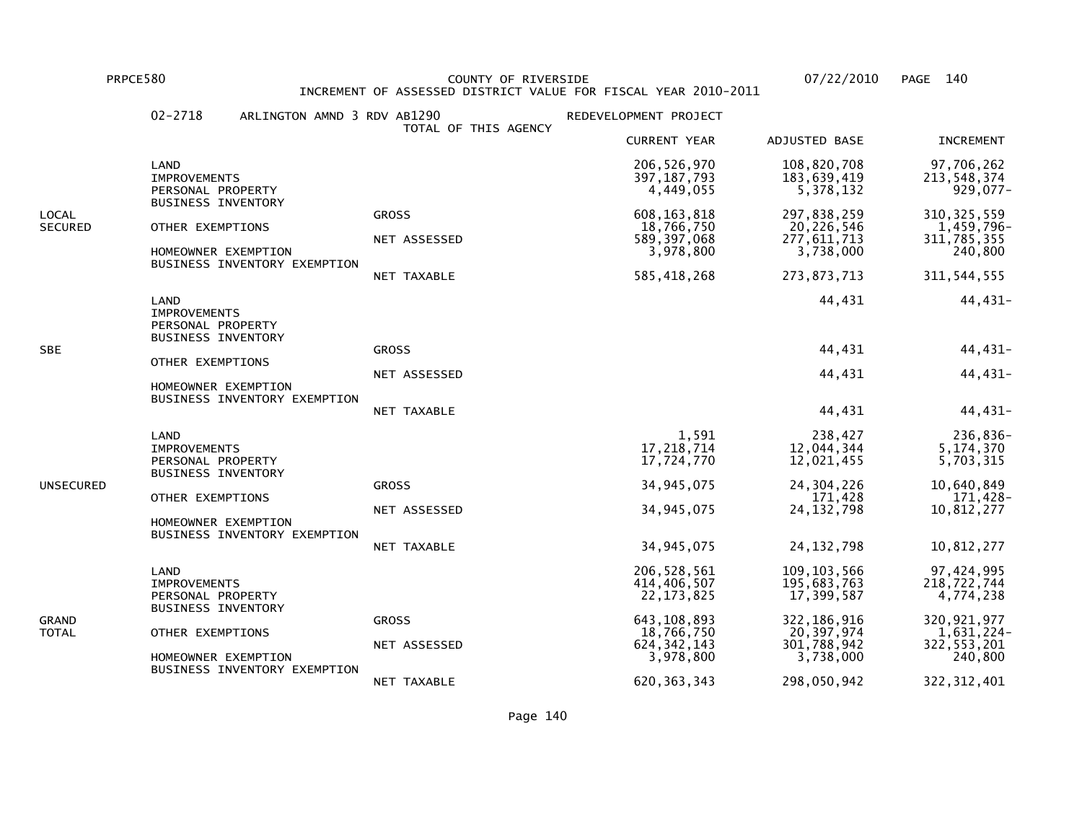PRPCE580 COUNTY OF RIVERSIDE 07/22/2010 PAGE 140INCREMENT OF ASSESSED DISTRICT VALUE FOR FISCAL YEAR 2010-2011

### 02-2718 ARLINGTON AMND 3 RDV AB1290 REDEVELOPMENT PROJECT TOTAL OF THIS AGENCY CURRENT YEAR ADJUSTED BASE INCREMENT LAND 206,526,970 108,820,708 97,706,262213,548,374 IMPROVEMENTS 397,187,793 183,639,419 213,548,374 $929.077 -$ PERSONAL PROPERTY 6.6 132 BUSINESS INVENTORYLOCAL GROSS 608,163,818 297,838,259 310,325,5591,459,796-SECURED OTHER EXEMPTIONS 18,766,750 20,226,546 1,459,796-311,785,355 NET ASSESSED 589,397,068 277,611,713 311,785,355240,800 HOMEOWNER EXEMPTION 3,978,800 3,738,000 240,800 BUSINESS INVENTORY EXEMPTION NET TAXABLE 585,418,268 273,873,713 311,544,555 LAND 44,431 44,431-**IMPROVEMENTS**  PERSONAL PROPERTY BUSINESS INVENTORY $SBE$  and the contract of the contract of the contract of the contract of the contract of the contract of the contract of the contract of the contract of the contract of the contract of the contract of the contract of the OTHER EXEMPTIONS NET ASSESSED 44,431 44,431- HOMEOWNER EXEMPTION BUSINESS INVENTORY EXEMPTION NET TAXABLE 44,431 44,431- LAND 1,591 238,427 236,836-5,174,370 IMPROVEMENTS 17,218,714 12,044,344 5,174,3705,703,315 PERSONAL PROPERTY 17,724,770 12,021,455 5,703,315 BUSINESS INVENTORYUNSECURED GROSS 34,945,075 24,304,226 10,640,849 $171,428-$  OTHER EXEMPTIONS 171,428 171,428-10.812.277 NET ASSESSED 34,945,075 24,132,798 10,812,277 HOMEOWNER EXEMPTION BUSINESS INVENTORY EXEMPTION NET TAXABLE 34,945,075 24,132,798 10,812,277 LAND 206,528,561 109,103,566 97,424,995218.722.744 IMPROVEMENTS 414,406,507 195,683,763 218,722,744 $4,774,238$ PERSONAL PROPERTY 22,173,825 17,399,587 BUSINESS INVENTORYGRAND GROSS 643,108,893 322,186,916 320,921,9771,631,224-TOTAL OTHER EXEMPTIONS 18,766,750 20,397,974 1,631,224-322,553,201 NET ASSESSED 624,342,143 301,788,942 322,553,201240,800 HOMEOWNER EXEMPTION 3.978,800 3,738,000 BUSINESS INVENTORY EXEMPTIONNET TAXABLE 620,363,343 298,050,942 322,312,401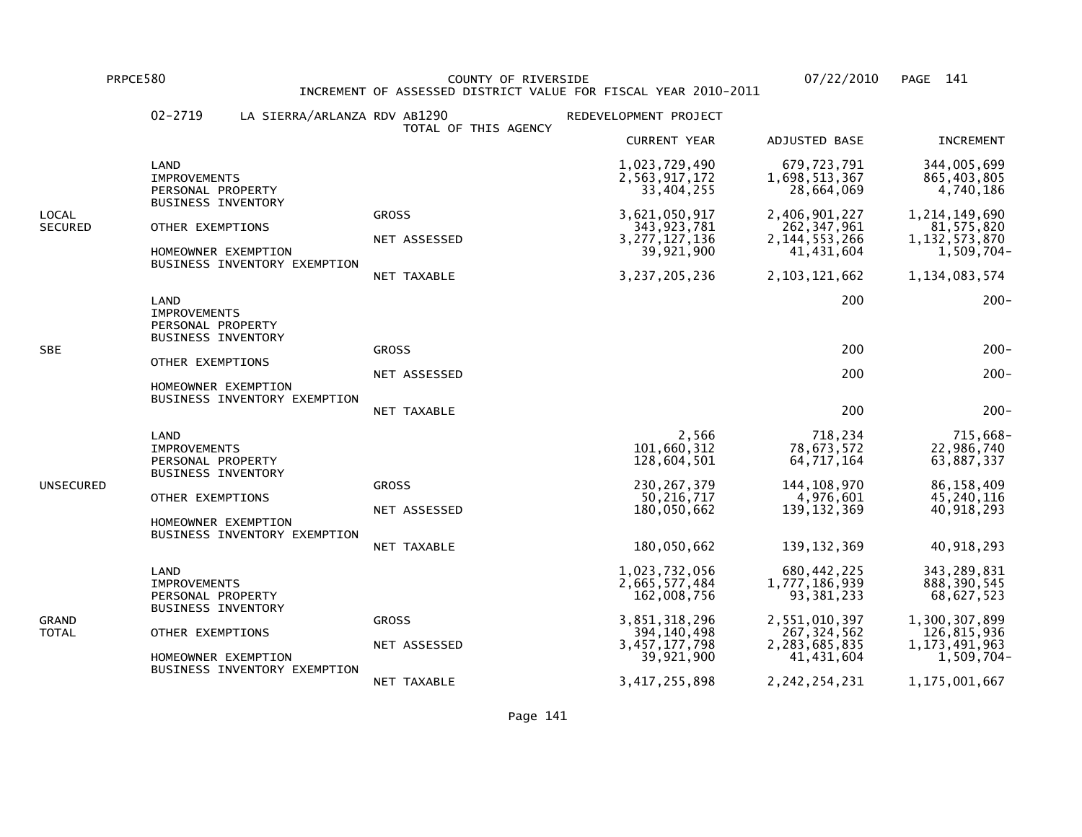PRPCE580 COUNTY OF RIVERSIDE 07/22/2010 PAGE 141 INCREMENT OF ASSESSED DISTRICT VALUE FOR FISCAL YEAR 2010-2011

|                         | $02 - 2719$                                                             | LA SIERRA/ARLANZA RDV AB1290                                                                         | TOTAL OF THIS AGENCY                         | REDEVELOPMENT PROJECT                                                             |                                                                                        |                                                                                        |
|-------------------------|-------------------------------------------------------------------------|------------------------------------------------------------------------------------------------------|----------------------------------------------|-----------------------------------------------------------------------------------|----------------------------------------------------------------------------------------|----------------------------------------------------------------------------------------|
|                         |                                                                         |                                                                                                      |                                              | <b>CURRENT YEAR</b>                                                               | ADJUSTED BASE                                                                          | <b>INCREMENT</b>                                                                       |
|                         | LAND<br><b>IMPROVEMENTS</b><br>PERSONAL PROPERTY                        |                                                                                                      |                                              | 1,023,729,490<br>2,563,917,172<br>33,404,255                                      | 679,723,791<br>1,698,513,367<br>28,664,069                                             | 344,005,699<br>865,403,805<br>4,740,186                                                |
| LOCAL<br><b>SECURED</b> |                                                                         | <b>BUSINESS INVENTORY</b><br>OTHER EXEMPTIONS<br>HOMEOWNER EXEMPTION<br>BUSINESS INVENTORY EXEMPTION | <b>GROSS</b><br>NET ASSESSED<br>NET TAXABLE  | 3,621,050,917<br>343, 923, 781<br>3, 277, 127, 136<br>39,921,900<br>3,237,205,236 | 2,406,901,227<br>262, 347, 961<br>2, 144, 553, 266<br>41, 431, 604<br>2, 103, 121, 662 | 1, 214, 149, 690<br>81,575,820<br>1, 132, 573, 870<br>$1,509,704-$<br>1, 134, 083, 574 |
|                         | LAND<br><b>IMPROVEMENTS</b><br>PERSONAL PROPERTY                        |                                                                                                      |                                              |                                                                                   | 200                                                                                    | $200 -$                                                                                |
| SBE                     |                                                                         | <b>BUSINESS INVENTORY</b><br>OTHER EXEMPTIONS<br>HOMEOWNER EXEMPTION                                 | <b>GROSS</b><br>NET ASSESSED                 |                                                                                   | 200<br>200                                                                             | $200 -$<br>$200 -$                                                                     |
|                         |                                                                         | BUSINESS INVENTORY EXEMPTION                                                                         | NET TAXABLE                                  |                                                                                   | 200                                                                                    | $200 -$                                                                                |
| UNSECURED               | LAND                                                                    | <b>IMPROVEMENTS</b><br>PERSONAL PROPERTY<br><b>BUSINESS INVENTORY</b>                                |                                              | 2,566<br>101,660,312<br>128,604,501                                               | 718,234<br>78,673,572<br>64,717,164                                                    | 715,668-<br>22,986,740<br>63,887,337                                                   |
|                         | OTHER EXEMPTIONS<br>HOMEOWNER EXEMPTION<br>BUSINESS INVENTORY EXEMPTION | <b>GROSS</b><br>NET ASSESSED                                                                         | 230, 267, 379<br>50, 216, 717<br>180,050,662 | 144, 108, 970<br>4,976,601<br>139, 132, 369                                       | 86,158,409<br>45,240,116<br>40,918,293                                                 |                                                                                        |
|                         |                                                                         | NET TAXABLE                                                                                          | 180,050,662                                  | 139, 132, 369                                                                     | 40,918,293                                                                             |                                                                                        |
| GRAND<br>TOTAL          | LAND<br><b>IMPROVEMENTS</b><br>PERSONAL PROPERTY                        |                                                                                                      |                                              | 1,023,732,056<br>2,665,577,484<br>162,008,756                                     | 680,442,225<br>1,777,186,939<br>93, 381, 233                                           | 343, 289, 831<br>888, 390, 545<br>68,627,523                                           |
|                         |                                                                         | <b>BUSINESS INVENTORY</b><br>OTHER EXEMPTIONS<br>HOMEOWNER EXEMPTION                                 | <b>GROSS</b><br>NET ASSESSED                 | 3,851,318,296<br>394, 140, 498<br>3, 457, 177, 798<br>39,921,900                  | 2,551,010,397<br>267, 324, 562<br>2,283,685,835<br>41,431,604                          | 1,300,307,899<br>126,815,936<br>1, 173, 491, 963<br>1,509,704-                         |
|                         |                                                                         | BUSINESS INVENTORY EXEMPTION                                                                         | NET TAXABLE                                  | 3, 417, 255, 898                                                                  | 2, 242, 254, 231                                                                       | 1,175,001,667                                                                          |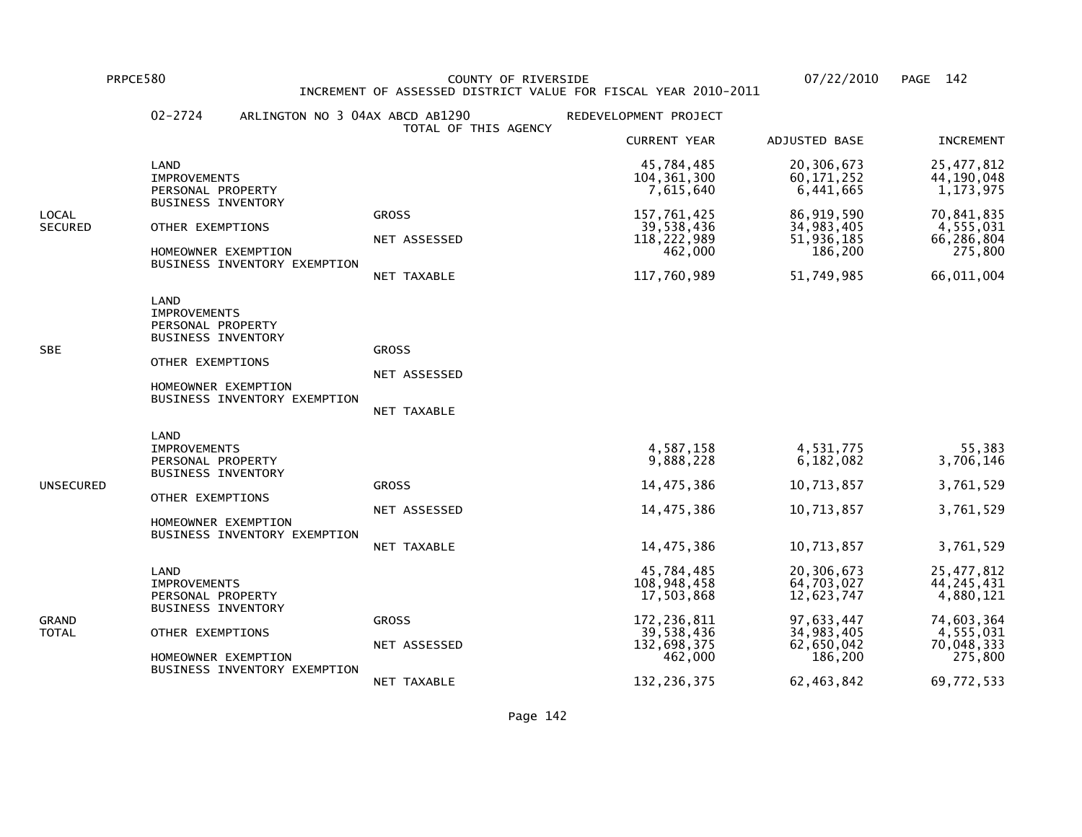PRPCE580 COUNTY OF RIVERSIDE 07/22/2010 PAGE 142 INCREMENT OF ASSESSED DISTRICT VALUE FOR FISCAL YEAR 2010-2011

|                         | $02 - 2724$                                                                                                              | ARLINGTON NO 3 04AX ABCD AB1290 | TOTAL OF THIS AGENCY                        | REDEVELOPMENT PROJECT                                                                            |                                                                                             |                                                                                               |
|-------------------------|--------------------------------------------------------------------------------------------------------------------------|---------------------------------|---------------------------------------------|--------------------------------------------------------------------------------------------------|---------------------------------------------------------------------------------------------|-----------------------------------------------------------------------------------------------|
|                         |                                                                                                                          |                                 |                                             | <b>CURRENT YEAR</b>                                                                              | ADJUSTED BASE                                                                               | <b>INCREMENT</b>                                                                              |
|                         | LAND<br>IMPROVEMENTS<br>PERSONAL PROPERTY<br><b>BUSINESS INVENTORY</b>                                                   |                                 |                                             | 45,784,485<br>104, 361, 300<br>7,615,640                                                         | 20,306,673<br>60, 171, 252<br>6,441,665                                                     | 25,477,812<br>44,190,048<br>1,173,975                                                         |
| LOCAL<br><b>SECURED</b> | OTHER EXEMPTIONS<br>HOMEOWNER EXEMPTION                                                                                  | BUSINESS INVENTORY EXEMPTION    | <b>GROSS</b><br>NET ASSESSED<br>NET TAXABLE | 157,761,425<br>39,538,436<br>118, 222, 989<br>462,000<br>117,760,989                             | 86, 919, 590<br>34,983,405<br>51,936,185<br>186,200<br>51,749,985                           | 70,841,835<br>4,555,031<br>66,286,804<br>275,800<br>66,011,004                                |
| SBE                     | LAND<br><b>IMPROVEMENTS</b><br>PERSONAL PROPERTY<br><b>BUSINESS INVENTORY</b><br>OTHER EXEMPTIONS<br>HOMEOWNER EXEMPTION | BUSINESS INVENTORY EXEMPTION    | <b>GROSS</b><br>NET ASSESSED<br>NET TAXABLE |                                                                                                  |                                                                                             |                                                                                               |
| UNSECURED               | LAND<br><b>IMPROVEMENTS</b><br>PERSONAL PROPERTY<br><b>BUSINESS INVENTORY</b><br>OTHER EXEMPTIONS<br>HOMEOWNER EXEMPTION | BUSINESS INVENTORY EXEMPTION    | <b>GROSS</b><br>NET ASSESSED<br>NET TAXABLE | 4,587,158<br>9,888,228<br>14,475,386<br>14,475,386<br>14,475,386                                 | 4,531,775<br>6,182,082<br>10,713,857<br>10,713,857<br>10,713,857                            | 55,383<br>3,706,146<br>3,761,529<br>3,761,529<br>3,761,529                                    |
| GRAND<br>TOTAL          | LAND<br><b>IMPROVEMENTS</b><br>PERSONAL PROPERTY<br><b>BUSINESS INVENTORY</b><br>OTHER EXEMPTIONS<br>HOMEOWNER EXEMPTION | BUSINESS INVENTORY EXEMPTION    | <b>GROSS</b><br>NET ASSESSED                | 45,784,485<br>108,948,458<br>17,503,868<br>172, 236, 811<br>39,538,436<br>132,698,375<br>462,000 | 20,306,673<br>64,703,027<br>12,623,747<br>97,633,447<br>34,983,405<br>62,650,042<br>186,200 | 25, 477, 812<br>44, 245, 431<br>4,880,121<br>74,603,364<br>4,555,031<br>70,048,333<br>275,800 |
|                         |                                                                                                                          |                                 | NET TAXABLE                                 | 132, 236, 375                                                                                    | 62, 463, 842                                                                                | 69,772,533                                                                                    |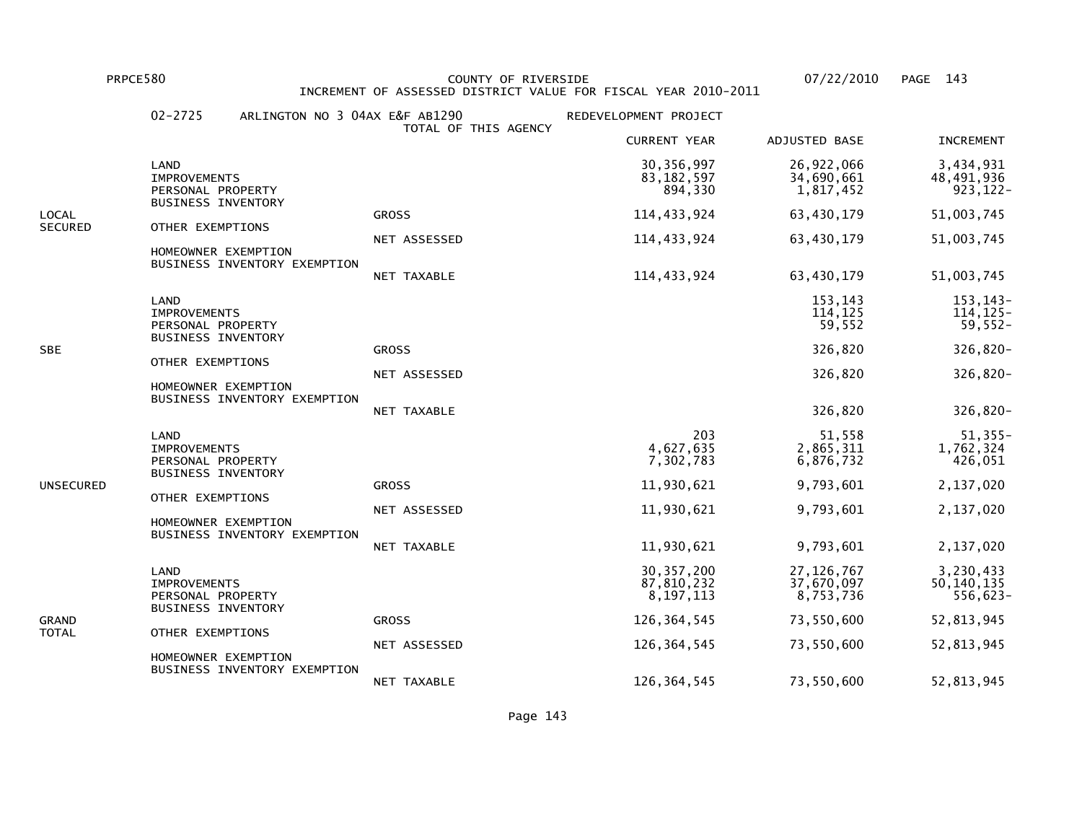PRPCE580 COUNTY OF RIVERSIDE 07/22/2010 PAGE 143INCREMENT OF ASSESSED DISTRICT VALUE FOR FISCAL YEAR 2010-2011

# 02-2725 ARLINGTON NO 3 04AX E&F AB1290 REDEVELOPMENT PROJECT TOTAL OF THIS AGENCY CURRENT YEAR ADJUSTED BASE INCREMENT LAND 30,356,997 26,922,066 3,434,93148,491,936 IMPROVEMENTS 83,182,597 34,690,661 48,491,936 $923.122 -$ PERSONAL PROPERTY **894,330** 1,817,452 BUSINESS INVENTORYLOCAL GROSS 114,433,924 63,430,179 51,003,745SECURED OTHER EXEMPTIONS NET ASSESSED 114,433,924 63,430,179 51,003,745 HOMEOWNER EXEMPTION BUSINESS INVENTORY EXEMPTION NET TAXABLE 114,433,924 63,430,179 51,003,745 LAND 153,143 153,143- $114, 125 -$  IMPROVEMENTS 114,125 114,125- $59,552-$ PERSONAL PROPERTY 59,552 BUSINESS INVENTORYSBE GROSS 326,820 326,820- OTHER EXEMPTIONS NET ASSESSED 326,820 326,820- HOMEOWNER EXEMPTION BUSINESS INVENTORY EXEMPTION NET TAXABLE 326,820 326,820- LAND 203 51,558 51,355-1,762,324 IMPROVEMENTS 4,627,635 2,865,311 1,762,324426,051 PERSONAL PROPERTY 6.876,732 BUSINESS INVENTORYUNSECURED GROSS 11,930,621 9,793,601 2,137,020 OTHER EXEMPTIONS NET ASSESSED 11,930,621 9,793,601 2,137,020 HOMEOWNER EXEMPTION BUSINESS INVENTORY EXEMPTION NET TAXABLE 11,930,621 9,793,601 2,137,020 LAND 30,357,200 27,126,767 3,230,43350,140,135 10,135 10,135 10,232 37,670,097 50,140,135 10,232 37,670,097 50,140,135  $556,623-$ PERSONAL PROPERTY 8.197,113 8,197,113 BUSINESS INVENTORYGRAND GROSS 126,364,545 73,550,600 52,813,945TOTAL OTHER EXEMPTIONS NET ASSESSED 126,364,545 73,550,600 52,813,945 HOMEOWNER EXEMPTION BUSINESS INVENTORY EXEMPTIONNET TAXABLE 126,364,545 73,550,600 52,813,945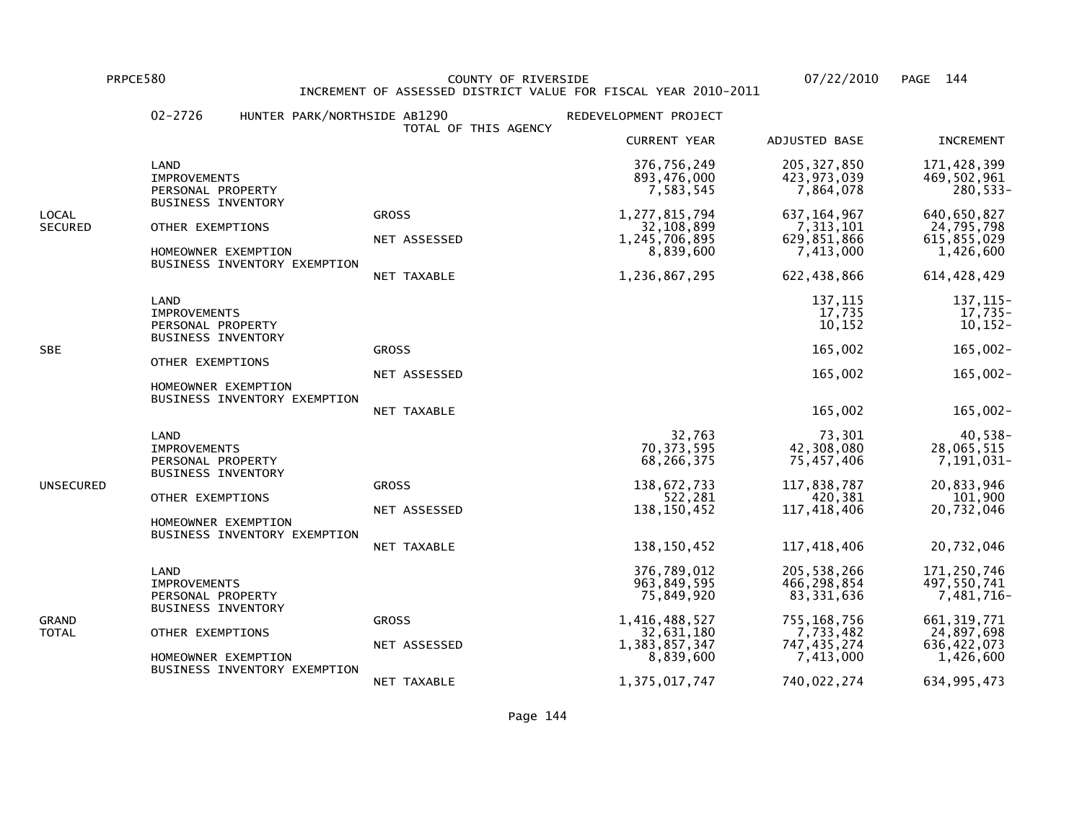PRPCE580 COUNTY OF RIVERSIDE 07/22/2010 PAGE 144 INCREMENT OF ASSESSED DISTRICT VALUE FOR FISCAL YEAR 2010-2011

|                  | $02 - 2726$                                                                                                                                              | HUNTER PARK/NORTHSIDE AB1290 | TOTAL OF THIS AGENCY                        | REDEVELOPMENT PROJECT                                                         |                                                                         |                                                                      |
|------------------|----------------------------------------------------------------------------------------------------------------------------------------------------------|------------------------------|---------------------------------------------|-------------------------------------------------------------------------------|-------------------------------------------------------------------------|----------------------------------------------------------------------|
|                  |                                                                                                                                                          |                              |                                             | <b>CURRENT YEAR</b>                                                           | ADJUSTED BASE                                                           | <b>INCREMENT</b>                                                     |
|                  | LAND<br><b>IMPROVEMENTS</b><br>PERSONAL PROPERTY<br><b>BUSINESS INVENTORY</b>                                                                            |                              |                                             | 376,756,249<br>893,476,000<br>7,583,545                                       | 205, 327, 850<br>423,973,039<br>7,864,078                               | 171,428,399<br>469,502,961<br>280,533-                               |
| LOCAL<br>SECURED | OTHER EXEMPTIONS<br>HOMEOWNER EXEMPTION                                                                                                                  | BUSINESS INVENTORY EXEMPTION | <b>GROSS</b><br>NET ASSESSED<br>NET TAXABLE | 1, 277, 815, 794<br>32,108,899<br>1,245,706,895<br>8,839,600<br>1,236,867,295 | 637, 164, 967<br>7, 313, 101<br>629,851,866<br>7,413,000<br>622,438,866 | 640,650,827<br>24,795,798<br>615,855,029<br>1,426,600<br>614,428,429 |
| SBE              | LAND<br><b>IMPROVEMENTS</b><br>PERSONAL PROPERTY<br><b>BUSINESS INVENTORY</b><br>OTHER EXEMPTIONS<br>HOMEOWNER EXEMPTION                                 |                              | <b>GROSS</b><br>NET ASSESSED                |                                                                               | 137,115<br>17,735<br>10, 152<br>165,002<br>165,002                      | 137, 115-<br>$17,735-$<br>$10,152-$<br>$165,002 -$<br>$165,002 -$    |
|                  |                                                                                                                                                          | BUSINESS INVENTORY EXEMPTION | NET TAXABLE                                 |                                                                               | 165,002                                                                 | $165,002 -$                                                          |
|                  | LAND<br><b>IMPROVEMENTS</b><br>PERSONAL PROPERTY<br><b>BUSINESS INVENTORY</b><br>OTHER EXEMPTIONS<br>HOMEOWNER EXEMPTION<br>BUSINESS INVENTORY EXEMPTION |                              |                                             | 32,763<br>70, 373, 595<br>68,266,375                                          | 73,301<br>42,308,080<br>75,457,406                                      | 40,538-<br>28,065,515<br>7,191,031-                                  |
| UNSECURED        |                                                                                                                                                          | <b>GROSS</b><br>NET ASSESSED | 138,672,733<br>522,281<br>138, 150, 452     | 117,838,787<br>420,381<br>117,418,406                                         | 20,833,946<br>101,900<br>20,732,046                                     |                                                                      |
|                  |                                                                                                                                                          | NET TAXABLE                  | 138, 150, 452                               | 117,418,406                                                                   | 20,732,046                                                              |                                                                      |
| GRAND<br>TOTAL   | LAND<br><b>IMPROVEMENTS</b><br>PERSONAL PROPERTY<br><b>BUSINESS INVENTORY</b>                                                                            |                              |                                             | 376,789,012<br>963,849,595<br>75,849,920                                      | 205, 538, 266<br>466,298,854<br>83,331,636                              | 171,250,746<br>497,550,741<br>7,481,716-                             |
|                  | OTHER EXEMPTIONS<br>HOMEOWNER EXEMPTION                                                                                                                  |                              | <b>GROSS</b><br>NET ASSESSED                | 1,416,488,527<br>32,631,180<br>1,383,857,347<br>8,839,600                     | 755,168,756<br>7,733,482<br>747, 435, 274<br>7,413,000                  | 661, 319, 771<br>24,897,698<br>636, 422, 073<br>1,426,600            |
|                  |                                                                                                                                                          | BUSINESS INVENTORY EXEMPTION | NET TAXABLE                                 | 1, 375, 017, 747                                                              | 740,022,274                                                             | 634, 995, 473                                                        |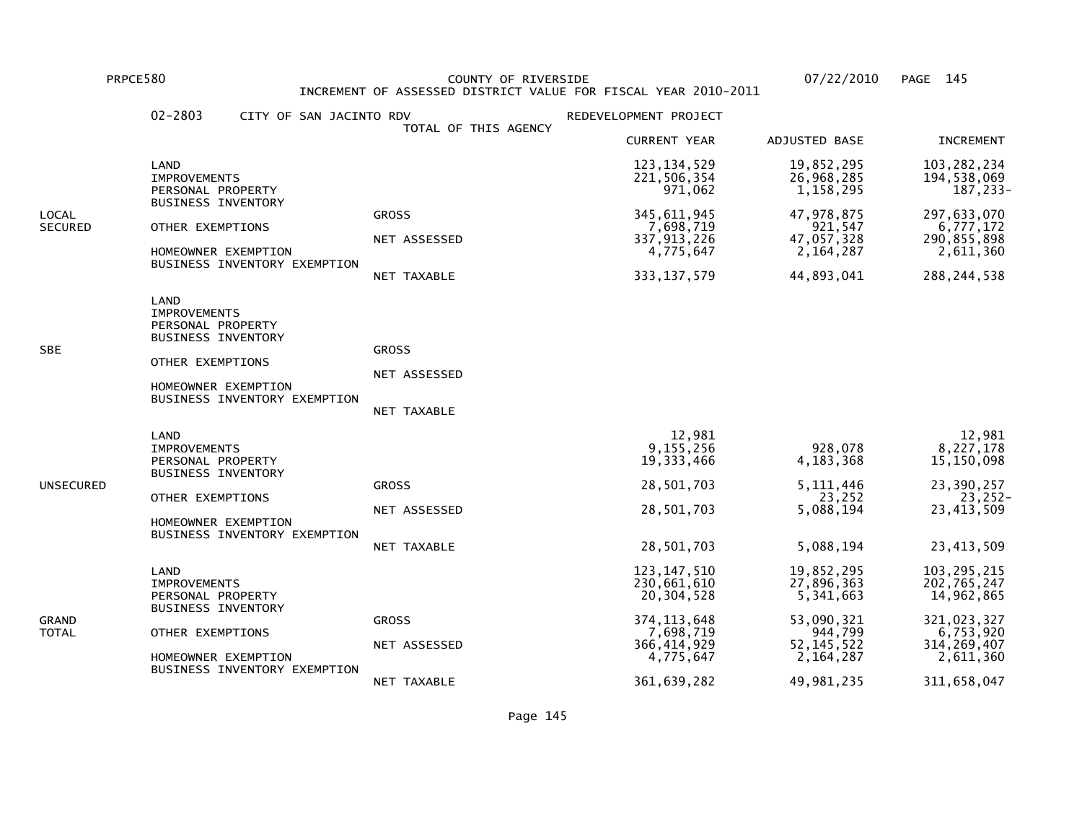PRPCE580 COUNTY OF RIVERSIDE 07/22/2010 PAGE 145 INCREMENT OF ASSESSED DISTRICT VALUE FOR FISCAL YEAR 2010-2011

|                         | $02 - 2803$<br>CITY OF SAN JACINTO RDV                                                                                                                   |                                             | REDEVELOPMENT PROJECT                                                                                                 |                                                                                                           |                                                                                                                     |
|-------------------------|----------------------------------------------------------------------------------------------------------------------------------------------------------|---------------------------------------------|-----------------------------------------------------------------------------------------------------------------------|-----------------------------------------------------------------------------------------------------------|---------------------------------------------------------------------------------------------------------------------|
|                         |                                                                                                                                                          | TOTAL OF THIS AGENCY                        | <b>CURRENT YEAR</b>                                                                                                   | ADJUSTED BASE                                                                                             | <b>INCREMENT</b>                                                                                                    |
|                         | LAND<br><b>IMPROVEMENTS</b><br>PERSONAL PROPERTY                                                                                                         |                                             | 123, 134, 529<br>221,506,354<br>971,062                                                                               | 19,852,295<br>26,968,285<br>1,158,295                                                                     | 103,282,234<br>194,538,069<br>187,233-                                                                              |
| LOCAL<br><b>SECURED</b> | BUSINESS INVENTORY<br>OTHER EXEMPTIONS<br>HOMEOWNER EXEMPTION<br>BUSINESS INVENTORY EXEMPTION                                                            | <b>GROSS</b><br>NET ASSESSED<br>NET TAXABLE | 345, 611, 945<br>7,698,719<br>337, 913, 226<br>4,775,647<br>333, 137, 579                                             | 47,978,875<br>921,547<br>47,057,328<br>2,164,287<br>44,893,041                                            | 297,633,070<br>6,777,172<br>290,855,898<br>2,611,360<br>288, 244, 538                                               |
| SBE                     | LAND<br><b>IMPROVEMENTS</b><br>PERSONAL PROPERTY<br><b>BUSINESS INVENTORY</b><br>OTHER EXEMPTIONS<br>HOMEOWNER EXEMPTION<br>BUSINESS INVENTORY EXEMPTION | <b>GROSS</b><br>NET ASSESSED<br>NET TAXABLE |                                                                                                                       |                                                                                                           |                                                                                                                     |
| UNSECURED               | LAND<br><b>IMPROVEMENTS</b><br>PERSONAL PROPERTY<br><b>BUSINESS INVENTORY</b><br>OTHER EXEMPTIONS<br>HOMEOWNER EXEMPTION<br>BUSINESS INVENTORY EXEMPTION | <b>GROSS</b><br>NET ASSESSED<br>NET TAXABLE | 12,981<br>9,155,256<br>19, 333, 466<br>28,501,703<br>28,501,703<br>28,501,703                                         | 928,078<br>4, 183, 368<br>5, 111, 446<br>23,252<br>5,088,194<br>5,088,194                                 | 12,981<br>8,227,178<br>15,150,098<br>23,390,257<br>23,252-<br>23,413,509<br>23, 413, 509                            |
| GRAND<br>TOTAL          | LAND<br><b>IMPROVEMENTS</b><br>PERSONAL PROPERTY<br><b>BUSINESS INVENTORY</b><br>OTHER EXEMPTIONS<br>HOMEOWNER EXEMPTION<br>BUSINESS INVENTORY EXEMPTION | <b>GROSS</b><br>NET ASSESSED<br>NET TAXABLE | 123, 147, 510<br>230,661,610<br>20,304,528<br>374, 113, 648<br>7,698,719<br>366, 414, 929<br>4,775,647<br>361,639,282 | 19,852,295<br>27,896,363<br>5,341,663<br>53,090,321<br>944,799<br>52, 145, 522<br>2,164,287<br>49,981,235 | 103, 295, 215<br>202,765,247<br>14,962,865<br>321,023,327<br>6,753,920<br>314, 269, 407<br>2,611,360<br>311,658,047 |
|                         |                                                                                                                                                          |                                             |                                                                                                                       |                                                                                                           |                                                                                                                     |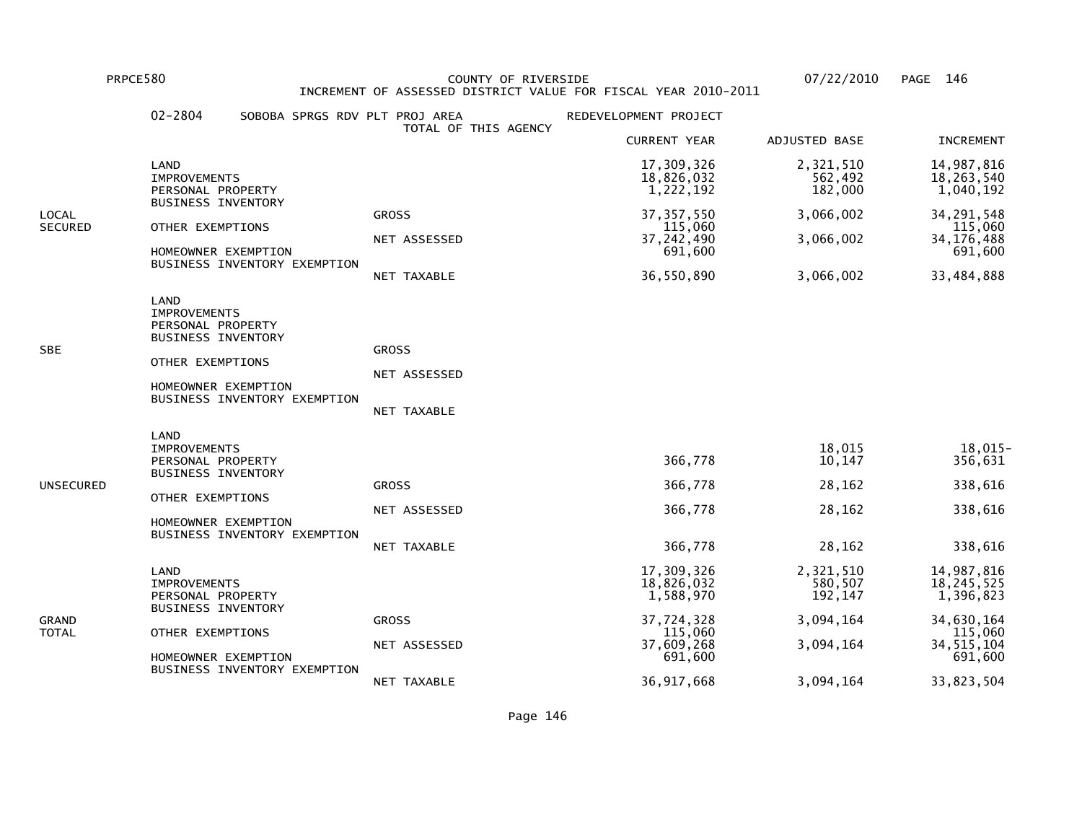PRPCE580 COUNTY OF RIVERSIDE 07/22/2010 PAGE 146 INCREMENT OF ASSESSED DISTRICT VALUE FOR FISCAL YEAR 2010-2011

|                         | $02 - 2804$<br>SOBOBA SPRGS RDV PLT PROJ AREA                                                                                                                   | TOTAL OF THIS AGENCY                        | REDEVELOPMENT PROJECT                                                                   |                                                           |                                                                                             |
|-------------------------|-----------------------------------------------------------------------------------------------------------------------------------------------------------------|---------------------------------------------|-----------------------------------------------------------------------------------------|-----------------------------------------------------------|---------------------------------------------------------------------------------------------|
|                         |                                                                                                                                                                 |                                             | <b>CURRENT YEAR</b>                                                                     | ADJUSTED BASE                                             | <b>INCREMENT</b>                                                                            |
|                         | LAND<br><b>IMPROVEMENTS</b><br>PERSONAL PROPERTY                                                                                                                |                                             | 17,309,326<br>18,826,032<br>1,222,192                                                   | 2,321,510<br>562,492<br>182,000                           | 14,987,816<br>18,263,540<br>1,040,192                                                       |
| LOCAL<br><b>SECURED</b> | <b>BUSINESS INVENTORY</b><br>OTHER EXEMPTIONS<br>HOMEOWNER EXEMPTION<br>BUSINESS INVENTORY EXEMPTION                                                            | <b>GROSS</b><br>NET ASSESSED<br>NET TAXABLE | 37, 357, 550<br>115,060<br>37, 242, 490<br>691,600<br>36,550,890                        | 3,066,002<br>3,066,002<br>3,066,002                       | 34, 291, 548<br>115,060<br>34, 176, 488<br>691,600<br>33,484,888                            |
| SBE                     | <b>LAND</b><br><b>IMPROVEMENTS</b><br>PERSONAL PROPERTY<br><b>BUSINESS INVENTORY</b><br>OTHER EXEMPTIONS<br>HOMEOWNER EXEMPTION<br>BUSINESS INVENTORY EXEMPTION | <b>GROSS</b><br>NET ASSESSED<br>NET TAXABLE |                                                                                         |                                                           |                                                                                             |
| UNSECURED               | LAND<br><b>IMPROVEMENTS</b><br>PERSONAL PROPERTY<br><b>BUSINESS INVENTORY</b><br>OTHER EXEMPTIONS<br>HOMEOWNER EXEMPTION<br>BUSINESS INVENTORY EXEMPTION        | <b>GROSS</b><br>NET ASSESSED<br>NET TAXABLE | 366,778<br>366,778<br>366,778<br>366,778                                                | 18,015<br>10,147<br>28,162<br>28,162<br>28,162            | $18,015-$<br>356,631<br>338,616<br>338,616<br>338,616                                       |
| GRAND<br>TOTAL          | LAND<br><b>IMPROVEMENTS</b><br>PERSONAL PROPERTY<br><b>BUSINESS INVENTORY</b><br>OTHER EXEMPTIONS<br>HOMEOWNER EXEMPTION<br>BUSINESS INVENTORY EXEMPTION        | <b>GROSS</b><br>NET ASSESSED                | 17,309,326<br>18,826,032<br>1,588,970<br>37,724,328<br>115,060<br>37,609,268<br>691,600 | 2,321,510<br>580,507<br>192,147<br>3,094,164<br>3,094,164 | 14,987,816<br>18, 245, 525<br>1,396,823<br>34,630,164<br>115,060<br>34, 515, 104<br>691,600 |
|                         |                                                                                                                                                                 | NET TAXABLE                                 | 36, 917, 668                                                                            | 3,094,164                                                 | 33,823,504                                                                                  |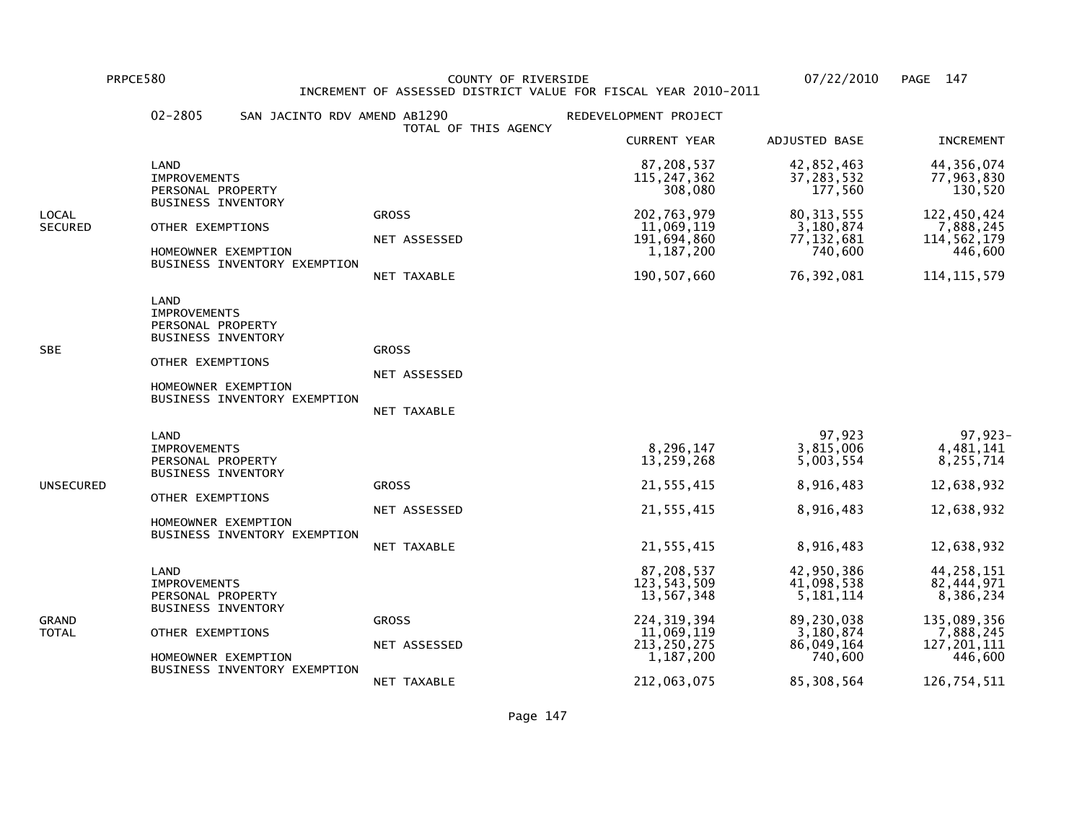PRPCE580 COUNTY OF RIVERSIDE 07/22/2010 PAGE 147INCREMENT OF ASSESSED DISTRICT VALUE FOR FISCAL YEAR 2010-2011

 02-2805 SAN JACINTO RDV AMEND AB1290 REDEVELOPMENT PROJECT TOTAL OF THIS AGENCY CURRENT YEAR ADJUSTED BASE INCREMENT LAND 87,208,537 42,852,463 44,356,07477,963,830 IMPROVEMENTS 115,247,362 37,283,532 77,963,830130,520 PERSONAL PROPERTY **177, 560**  BUSINESS INVENTORYLOCAL GROSS 202,763,979 80,313,555 122,450,4247,888,245 SECURED OTHER EXEMPTIONS 11,069,119 3,180,874 7,888,245114,562,179 NET ASSESSED 191,694,860 77,132,681 114,562,179446,600 HOMEOWNER EXEMPTION 1,187,200 740,600 446,600 BUSINESS INVENTORY EXEMPTION NET TAXABLE 190,507,660 76,392,081 114,115,579 LAND IMPROVEMENTS PERSONAL PROPERTY BUSINESS INVENTORYSBE GROSS GROSS GROSS GROSS GROSS GROSS GROSS GROSS GROSS GROSS GROSS GROSS GROSS GROSS GROSS GROSS GROSS GROSS OTHER EXEMPTIONS NET ASSESSED HOMEOWNER EXEMPTION BUSINESS INVENTORY EXEMPTION NET TAXABLE LAND 97,923 97,923-4.481.141 IMPROVEMENTS 8,296,147 3,815,006 4,481,1418,255,714 PERSONAL PROPERTY 6.003,554 8,259,268 5,003,554 BUSINESS INVENTORYUNSECURED GROSS 21,555,415 8,916,483 12,638,932 OTHER EXEMPTIONS NET ASSESSED 21,555,415 8,916,483 12,638,932 HOMEOWNER EXEMPTION BUSINESS INVENTORY EXEMPTION NET TAXABLE 21,555,415 8,916,483 12,638,932 LAND 87,208,537 42,950,386 44,258,15182.444.971 IMPROVEMENTS 123,543,509 41,098,538 82,444,9718,386,234 PERSONAL PROPERTY 3.181,114 BUSINESS INVENTORYGRAND GROSS 224,319,394 89,230,038 135,089,3567,888,245 TOTAL OTHER EXEMPTIONS 11,069,119 3,180,874 7,888,245127,201,111 NET ASSESSED 213,250,275 86,049,164 127,201,111446,600 HOMEOWNER EXEMPTION **1,187,200** 740,600 BUSINESS INVENTORY EXEMPTIONNET TAXABLE 212,063,075 85,308,564 126,754,511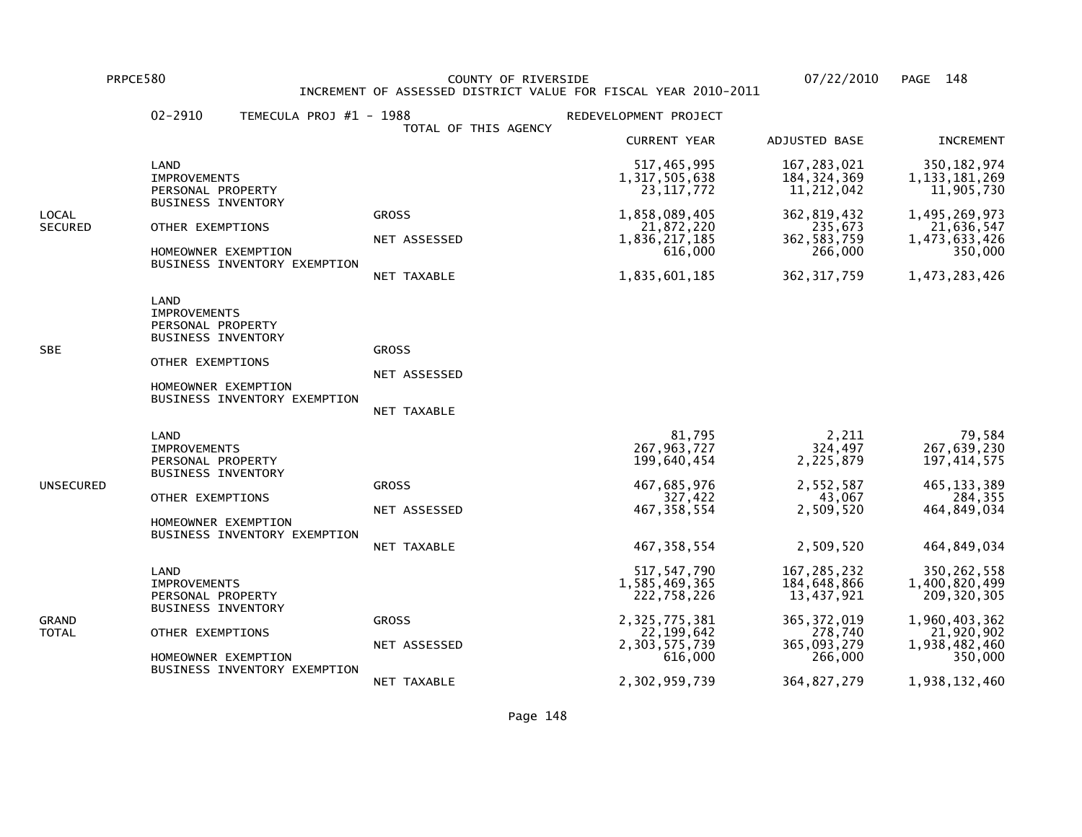PRPCE580 COUNTY OF RIVERSIDE 07/22/2010 PAGE 148 INCREMENT OF ASSESSED DISTRICT VALUE FOR FISCAL YEAR 2010-2011

|                         | $02 - 2910$<br>TEMECULA PROJ #1 - 1988                                                                                                                   | TOTAL OF THIS AGENCY                               | REDEVELOPMENT PROJECT                                                                                                       |                                                                                                                   |                                                                                                                             |
|-------------------------|----------------------------------------------------------------------------------------------------------------------------------------------------------|----------------------------------------------------|-----------------------------------------------------------------------------------------------------------------------------|-------------------------------------------------------------------------------------------------------------------|-----------------------------------------------------------------------------------------------------------------------------|
|                         |                                                                                                                                                          |                                                    | <b>CURRENT YEAR</b>                                                                                                         | ADJUSTED BASE                                                                                                     | <b>INCREMENT</b>                                                                                                            |
|                         | LAND<br><b>IMPROVEMENTS</b><br>PERSONAL PROPERTY                                                                                                         |                                                    | 517,465,995<br>1, 317, 505, 638<br>23, 117, 772                                                                             | 167, 283, 021<br>184, 324, 369<br>11,212,042                                                                      | 350, 182, 974<br>1, 133, 181, 269<br>11,905,730                                                                             |
| LOCAL<br><b>SECURED</b> | <b>BUSINESS INVENTORY</b><br>OTHER EXEMPTIONS<br>HOMEOWNER EXEMPTION<br>BUSINESS INVENTORY EXEMPTION                                                     | <b>GROSS</b><br>NET ASSESSED<br>NET TAXABLE        | 1,858,089,405<br>21,872,220<br>1,836,217,185<br>616,000<br>1,835,601,185                                                    | 362, 819, 432<br>235,673<br>362, 583, 759<br>266,000<br>362, 317, 759                                             | 1,495,269,973<br>21,636,547<br>1,473,633,426<br>350,000<br>1,473,283,426                                                    |
| <b>SBE</b>              | LAND<br><b>IMPROVEMENTS</b><br>PERSONAL PROPERTY<br>BUSINESS INVENTORY<br>OTHER EXEMPTIONS<br>HOMEOWNER EXEMPTION<br>BUSINESS INVENTORY EXEMPTION        | <b>GROSS</b><br>NET ASSESSED<br><b>NET TAXABLE</b> |                                                                                                                             |                                                                                                                   |                                                                                                                             |
| UNSECURED               | LAND<br><b>IMPROVEMENTS</b><br>PERSONAL PROPERTY<br><b>BUSINESS INVENTORY</b><br>OTHER EXEMPTIONS<br>HOMEOWNER EXEMPTION<br>BUSINESS INVENTORY EXEMPTION | <b>GROSS</b><br>NET ASSESSED<br>NET TAXABLE        | 81,795<br>267, 963, 727<br>199,640,454<br>467,685,976<br>327,422<br>467, 358, 554<br>467, 358, 554                          | 2,211<br>324,497<br>2,225,879<br>2,552,587<br>43,067<br>2,509,520<br>2,509,520                                    | 79,584<br>267,639,230<br>197, 414, 575<br>465, 133, 389<br>284,355<br>464,849,034<br>464,849,034                            |
| GRAND<br>TOTAL          | LAND<br><b>IMPROVEMENTS</b><br>PERSONAL PROPERTY<br><b>BUSINESS INVENTORY</b><br>OTHER EXEMPTIONS<br>HOMEOWNER EXEMPTION<br>BUSINESS INVENTORY EXEMPTION | <b>GROSS</b><br>NET ASSESSED<br>NET TAXABLE        | 517, 547, 790<br>1,585,469,365<br>222,758,226<br>2,325,775,381<br>22, 199, 642<br>2,303,575,739<br>616,000<br>2,302,959,739 | 167, 285, 232<br>184,648,866<br>13,437,921<br>365, 372, 019<br>278,740<br>365,093,279<br>266,000<br>364, 827, 279 | 350, 262, 558<br>1,400,820,499<br>209, 320, 305<br>1,960,403,362<br>21,920,902<br>1,938,482,460<br>350,000<br>1,938,132,460 |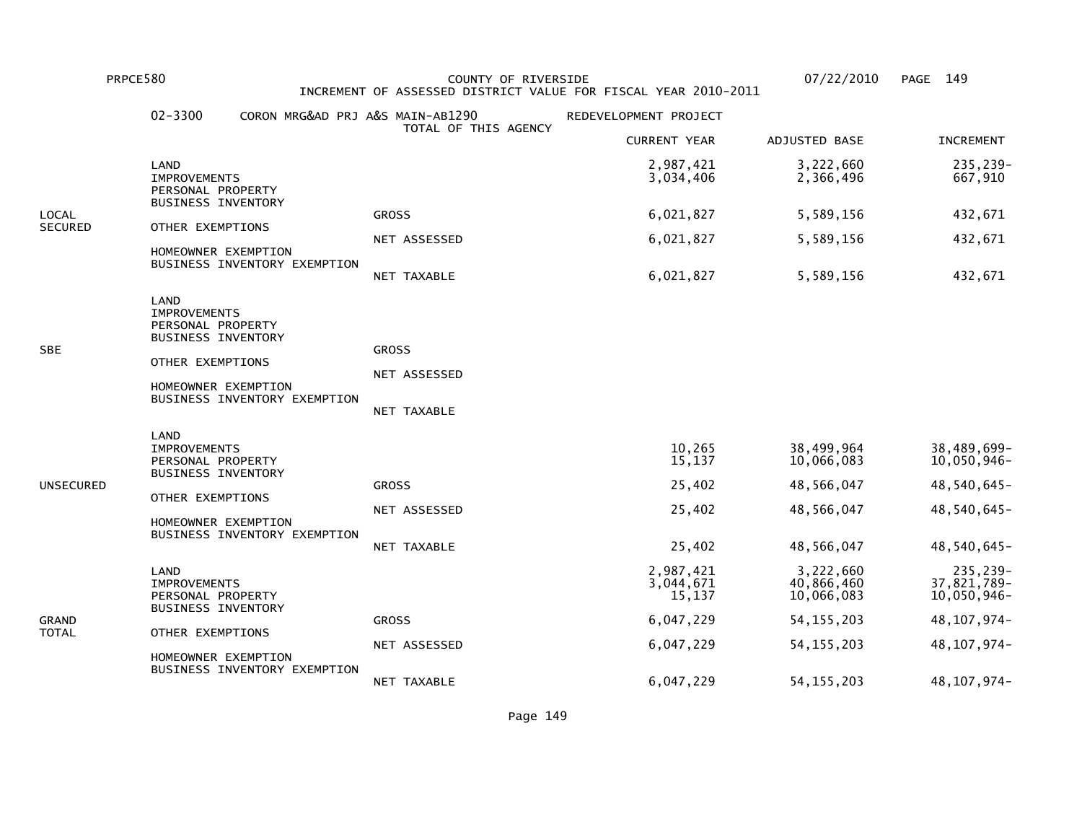PRPCE580 COUNTY OF RIVERSIDE 07/22/2010 PAGE 149 INCREMENT OF ASSESSED DISTRICT VALUE FOR FISCAL YEAR 2010-2011

|                  | $02 - 3300$<br>CORON MRG&AD PRJ A&S MAIN-AB1290                                                      |                      | REDEVELOPMENT PROJECT            |                                       |                                        |
|------------------|------------------------------------------------------------------------------------------------------|----------------------|----------------------------------|---------------------------------------|----------------------------------------|
|                  |                                                                                                      | TOTAL OF THIS AGENCY | <b>CURRENT YEAR</b>              | ADJUSTED BASE                         | <b>INCREMENT</b>                       |
| LOCAL<br>SECURED | LAND<br><b>IMPROVEMENTS</b><br>PERSONAL PROPERTY                                                     |                      | 2,987,421<br>3,034,406           | 3,222,660<br>2,366,496                | 235,239-<br>667,910                    |
|                  | <b>BUSINESS INVENTORY</b><br>OTHER EXEMPTIONS<br>HOMEOWNER EXEMPTION<br>BUSINESS INVENTORY EXEMPTION | <b>GROSS</b>         | 6,021,827                        | 5,589,156                             | 432,671                                |
|                  |                                                                                                      | NET ASSESSED         | 6,021,827                        | 5,589,156                             | 432,671                                |
|                  |                                                                                                      | NET TAXABLE          | 6,021,827                        | 5,589,156                             | 432,671                                |
| <b>SBE</b>       | LAND<br><b>IMPROVEMENTS</b><br>PERSONAL PROPERTY<br><b>BUSINESS INVENTORY</b>                        |                      |                                  |                                       |                                        |
|                  | OTHER EXEMPTIONS                                                                                     | <b>GROSS</b>         |                                  |                                       |                                        |
|                  | HOMEOWNER EXEMPTION                                                                                  | NET ASSESSED         |                                  |                                       |                                        |
|                  | BUSINESS INVENTORY EXEMPTION                                                                         | <b>NET TAXABLE</b>   |                                  |                                       |                                        |
| UNSECURED        | LAND<br><b>IMPROVEMENTS</b><br>PERSONAL PROPERTY<br><b>BUSINESS INVENTORY</b>                        |                      | 10,265<br>15,137                 | 38,499,964<br>10,066,083              | 38,489,699-<br>10,050,946-             |
|                  | OTHER EXEMPTIONS                                                                                     | <b>GROSS</b>         | 25,402                           | 48,566,047                            | 48,540,645-                            |
|                  | HOMEOWNER EXEMPTION<br>BUSINESS INVENTORY EXEMPTION                                                  | NET ASSESSED         | 25,402                           | 48,566,047                            | 48,540,645-                            |
|                  |                                                                                                      | NET TAXABLE          | 25,402                           | 48,566,047                            | 48,540,645-                            |
| GRAND<br>TOTAL   | LAND<br><b>IMPROVEMENTS</b><br>PERSONAL PROPERTY<br><b>BUSINESS INVENTORY</b>                        |                      | 2,987,421<br>3,044,671<br>15,137 | 3,222,660<br>40,866,460<br>10,066,083 | 235,239-<br>37,821,789-<br>10,050,946- |
|                  | OTHER EXEMPTIONS                                                                                     | <b>GROSS</b>         | 6,047,229                        | 54, 155, 203                          | 48, 107, 974-                          |
|                  | HOMEOWNER EXEMPTION                                                                                  | NET ASSESSED         | 6,047,229                        | 54, 155, 203                          | 48, 107, 974-                          |
|                  | BUSINESS INVENTORY EXEMPTION                                                                         | NET TAXABLE          | 6,047,229                        | 54, 155, 203                          | 48, 107, 974-                          |